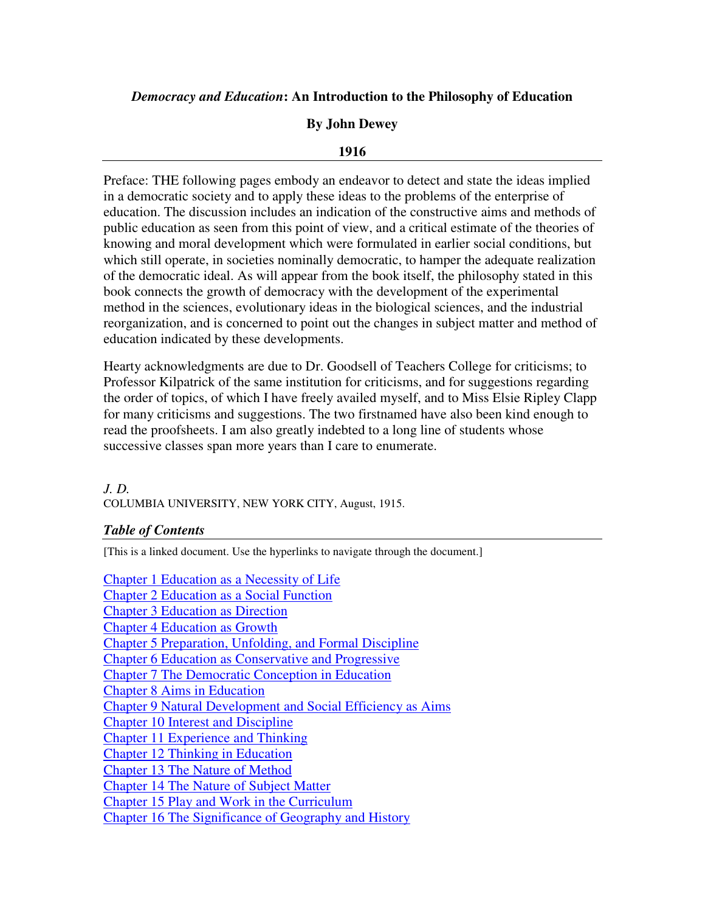# *Democracy and Education***: An Introduction to the Philosophy of Education**

# **By John Dewey**

### **1916**

Preface: THE following pages embody an endeavor to detect and state the ideas implied in a democratic society and to apply these ideas to the problems of the enterprise of education. The discussion includes an indication of the constructive aims and methods of public education as seen from this point of view, and a critical estimate of the theories of knowing and moral development which were formulated in earlier social conditions, but which still operate, in societies nominally democratic, to hamper the adequate realization of the democratic ideal. As will appear from the book itself, the philosophy stated in this book connects the growth of democracy with the development of the experimental method in the sciences, evolutionary ideas in the biological sciences, and the industrial reorganization, and is concerned to point out the changes in subject matter and method of education indicated by these developments.

Hearty acknowledgments are due to Dr. Goodsell of Teachers College for criticisms; to Professor Kilpatrick of the same institution for criticisms, and for suggestions regarding the order of topics, of which I have freely availed myself, and to Miss Elsie Ripley Clapp for many criticisms and suggestions. The two firstnamed have also been kind enough to read the proofsheets. I am also greatly indebted to a long line of students whose successive classes span more years than I care to enumerate.

#### *J. D.*  COLUMBIA UNIVERSITY, NEW YORK CITY, August, 1915.

### *Table of Contents*

[This is a linked document. Use the hyperlinks to navigate through the document.]

Chapter 1 Education as a Necessity of Life Chapter 2 Education as a Social Function Chapter 3 Education as Direction Chapter 4 Education as Growth Chapter 5 Preparation, Unfolding, and Formal Discipline Chapter 6 Education as Conservative and Progressive Chapter 7 The Democratic Conception in Education Chapter 8 Aims in Education Chapter 9 Natural Development and Social Efficiency as Aims Chapter 10 Interest and Discipline Chapter 11 Experience and Thinking Chapter 12 Thinking in Education Chapter 13 The Nature of Method Chapter 14 The Nature of Subject Matter Chapter 15 Play and Work in the Curriculum Chapter 16 The Significance of Geography and History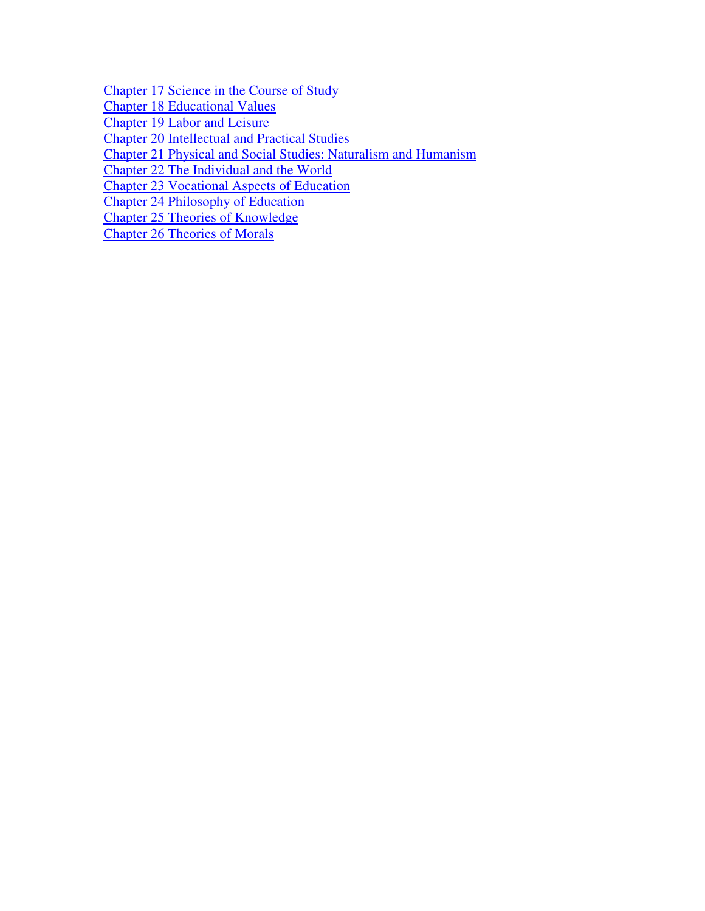Chapter 17 Science in the Course of Study

Chapter 18 Educational Values

Chapter 19 Labor and Leisure

Chapter 20 Intellectual and Practical Studies

Chapter 21 Physical and Social Studies: Naturalism and Humanism

Chapter 22 The Individual and the World

Chapter 23 Vocational Aspects of Education

Chapter 24 Philosophy of Education

Chapter 25 Theories of Knowledge

Chapter 26 Theories of Morals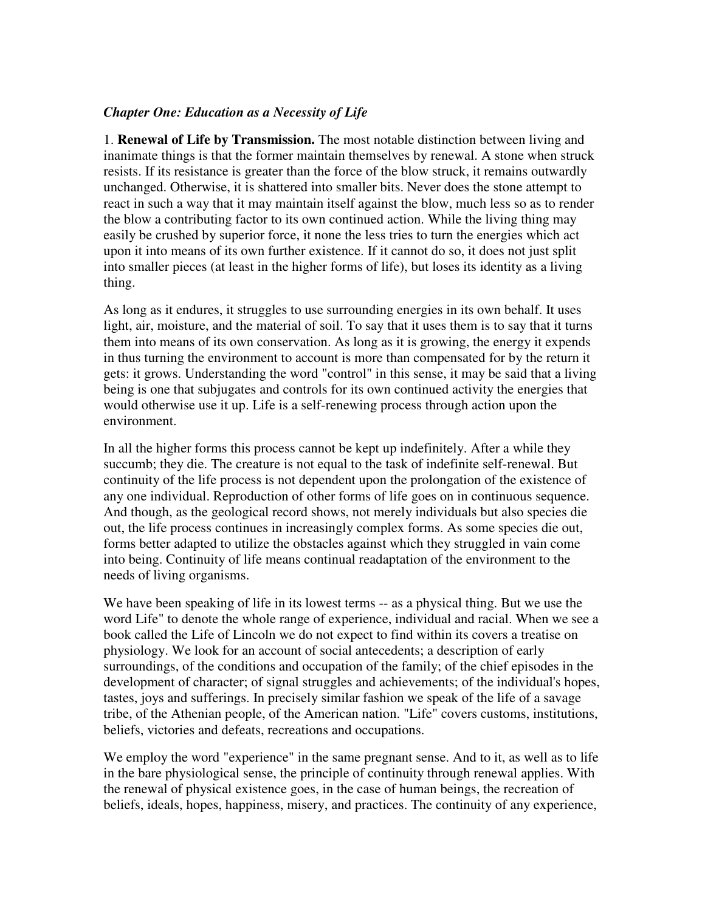### *Chapter One: Education as a Necessity of Life*

1. **Renewal of Life by Transmission.** The most notable distinction between living and inanimate things is that the former maintain themselves by renewal. A stone when struck resists. If its resistance is greater than the force of the blow struck, it remains outwardly unchanged. Otherwise, it is shattered into smaller bits. Never does the stone attempt to react in such a way that it may maintain itself against the blow, much less so as to render the blow a contributing factor to its own continued action. While the living thing may easily be crushed by superior force, it none the less tries to turn the energies which act upon it into means of its own further existence. If it cannot do so, it does not just split into smaller pieces (at least in the higher forms of life), but loses its identity as a living thing.

As long as it endures, it struggles to use surrounding energies in its own behalf. It uses light, air, moisture, and the material of soil. To say that it uses them is to say that it turns them into means of its own conservation. As long as it is growing, the energy it expends in thus turning the environment to account is more than compensated for by the return it gets: it grows. Understanding the word "control" in this sense, it may be said that a living being is one that subjugates and controls for its own continued activity the energies that would otherwise use it up. Life is a self-renewing process through action upon the environment.

In all the higher forms this process cannot be kept up indefinitely. After a while they succumb; they die. The creature is not equal to the task of indefinite self-renewal. But continuity of the life process is not dependent upon the prolongation of the existence of any one individual. Reproduction of other forms of life goes on in continuous sequence. And though, as the geological record shows, not merely individuals but also species die out, the life process continues in increasingly complex forms. As some species die out, forms better adapted to utilize the obstacles against which they struggled in vain come into being. Continuity of life means continual readaptation of the environment to the needs of living organisms.

We have been speaking of life in its lowest terms -- as a physical thing. But we use the word Life" to denote the whole range of experience, individual and racial. When we see a book called the Life of Lincoln we do not expect to find within its covers a treatise on physiology. We look for an account of social antecedents; a description of early surroundings, of the conditions and occupation of the family; of the chief episodes in the development of character; of signal struggles and achievements; of the individual's hopes, tastes, joys and sufferings. In precisely similar fashion we speak of the life of a savage tribe, of the Athenian people, of the American nation. "Life" covers customs, institutions, beliefs, victories and defeats, recreations and occupations.

We employ the word "experience" in the same pregnant sense. And to it, as well as to life in the bare physiological sense, the principle of continuity through renewal applies. With the renewal of physical existence goes, in the case of human beings, the recreation of beliefs, ideals, hopes, happiness, misery, and practices. The continuity of any experience,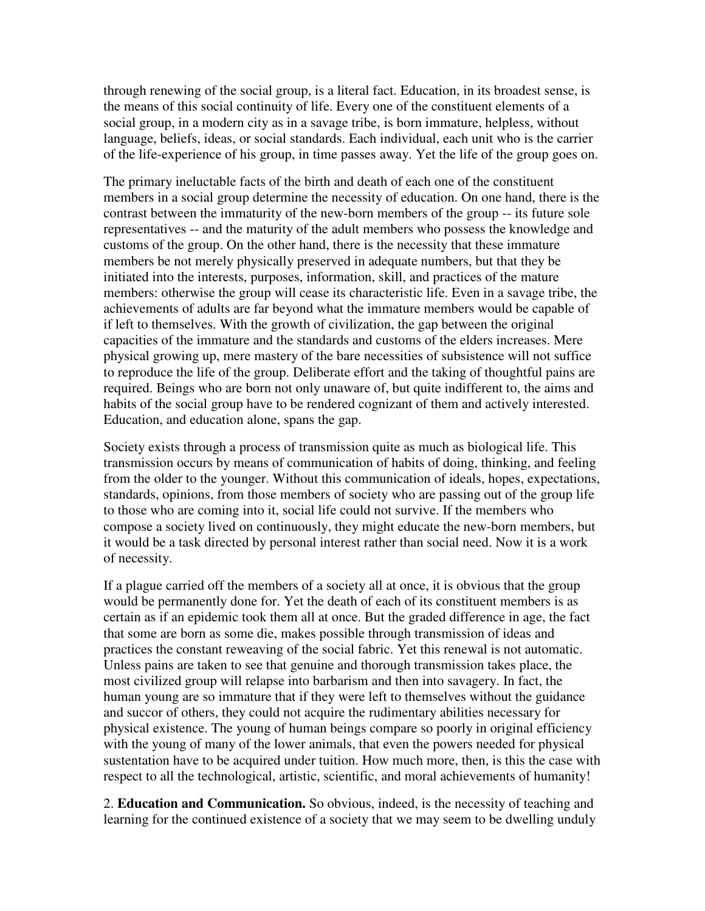through renewing of the social group, is a literal fact. Education, in its broadest sense, is the means of this social continuity of life. Every one of the constituent elements of a social group, in a modern city as in a savage tribe, is born immature, helpless, without language, beliefs, ideas, or social standards. Each individual, each unit who is the carrier of the life-experience of his group, in time passes away. Yet the life of the group goes on.

The primary ineluctable facts of the birth and death of each one of the constituent members in a social group determine the necessity of education. On one hand, there is the contrast between the immaturity of the new-born members of the group -- its future sole representatives -- and the maturity of the adult members who possess the knowledge and customs of the group. On the other hand, there is the necessity that these immature members be not merely physically preserved in adequate numbers, but that they be initiated into the interests, purposes, information, skill, and practices of the mature members: otherwise the group will cease its characteristic life. Even in a savage tribe, the achievements of adults are far beyond what the immature members would be capable of if left to themselves. With the growth of civilization, the gap between the original capacities of the immature and the standards and customs of the elders increases. Mere physical growing up, mere mastery of the bare necessities of subsistence will not suffice to reproduce the life of the group. Deliberate effort and the taking of thoughtful pains are required. Beings who are born not only unaware of, but quite indifferent to, the aims and habits of the social group have to be rendered cognizant of them and actively interested. Education, and education alone, spans the gap.

Society exists through a process of transmission quite as much as biological life. This transmission occurs by means of communication of habits of doing, thinking, and feeling from the older to the younger. Without this communication of ideals, hopes, expectations, standards, opinions, from those members of society who are passing out of the group life to those who are coming into it, social life could not survive. If the members who compose a society lived on continuously, they might educate the new-born members, but it would be a task directed by personal interest rather than social need. Now it is a work of necessity.

If a plague carried off the members of a society all at once, it is obvious that the group would be permanently done for. Yet the death of each of its constituent members is as certain as if an epidemic took them all at once. But the graded difference in age, the fact that some are born as some die, makes possible through transmission of ideas and practices the constant reweaving of the social fabric. Yet this renewal is not automatic. Unless pains are taken to see that genuine and thorough transmission takes place, the most civilized group will relapse into barbarism and then into savagery. In fact, the human young are so immature that if they were left to themselves without the guidance and succor of others, they could not acquire the rudimentary abilities necessary for physical existence. The young of human beings compare so poorly in original efficiency with the young of many of the lower animals, that even the powers needed for physical sustentation have to be acquired under tuition. How much more, then, is this the case with respect to all the technological, artistic, scientific, and moral achievements of humanity!

2. **Education and Communication.** So obvious, indeed, is the necessity of teaching and learning for the continued existence of a society that we may seem to be dwelling unduly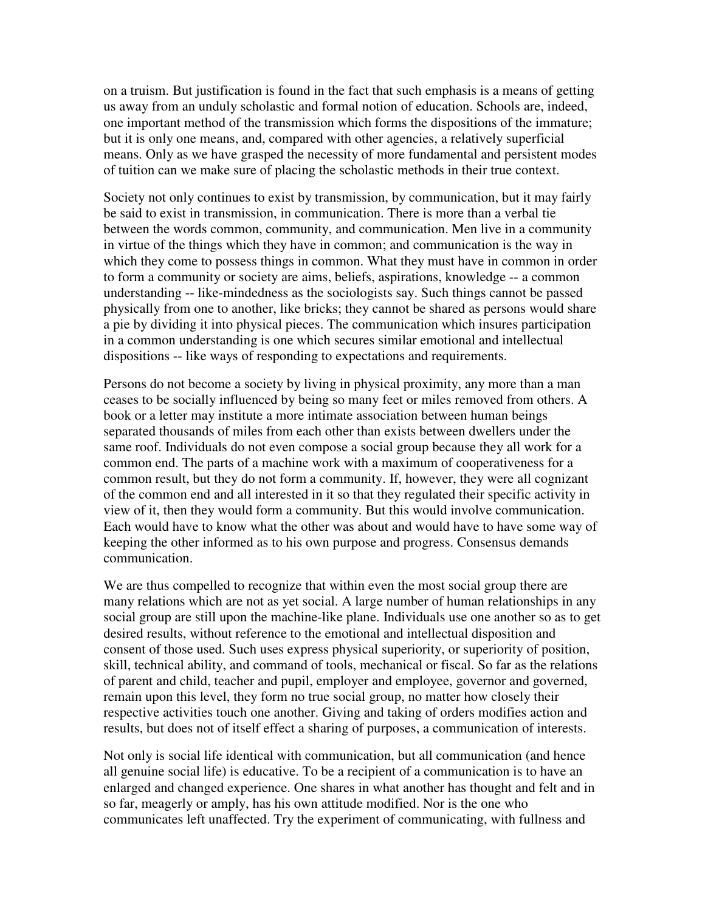on a truism. But justification is found in the fact that such emphasis is a means of getting us away from an unduly scholastic and formal notion of education. Schools are, indeed, one important method of the transmission which forms the dispositions of the immature; but it is only one means, and, compared with other agencies, a relatively superficial means. Only as we have grasped the necessity of more fundamental and persistent modes of tuition can we make sure of placing the scholastic methods in their true context.

Society not only continues to exist by transmission, by communication, but it may fairly be said to exist in transmission, in communication. There is more than a verbal tie between the words common, community, and communication. Men live in a community in virtue of the things which they have in common; and communication is the way in which they come to possess things in common. What they must have in common in order to form a community or society are aims, beliefs, aspirations, knowledge -- a common understanding -- like-mindedness as the sociologists say. Such things cannot be passed physically from one to another, like bricks; they cannot be shared as persons would share a pie by dividing it into physical pieces. The communication which insures participation in a common understanding is one which secures similar emotional and intellectual dispositions -- like ways of responding to expectations and requirements.

Persons do not become a society by living in physical proximity, any more than a man ceases to be socially influenced by being so many feet or miles removed from others. A book or a letter may institute a more intimate association between human beings separated thousands of miles from each other than exists between dwellers under the same roof. Individuals do not even compose a social group because they all work for a common end. The parts of a machine work with a maximum of cooperativeness for a common result, but they do not form a community. If, however, they were all cognizant of the common end and all interested in it so that they regulated their specific activity in view of it, then they would form a community. But this would involve communication. Each would have to know what the other was about and would have to have some way of keeping the other informed as to his own purpose and progress. Consensus demands communication.

We are thus compelled to recognize that within even the most social group there are many relations which are not as yet social. A large number of human relationships in any social group are still upon the machine-like plane. Individuals use one another so as to get desired results, without reference to the emotional and intellectual disposition and consent of those used. Such uses express physical superiority, or superiority of position, skill, technical ability, and command of tools, mechanical or fiscal. So far as the relations of parent and child, teacher and pupil, employer and employee, governor and governed, remain upon this level, they form no true social group, no matter how closely their respective activities touch one another. Giving and taking of orders modifies action and results, but does not of itself effect a sharing of purposes, a communication of interests.

Not only is social life identical with communication, but all communication (and hence all genuine social life) is educative. To be a recipient of a communication is to have an enlarged and changed experience. One shares in what another has thought and felt and in so far, meagerly or amply, has his own attitude modified. Nor is the one who communicates left unaffected. Try the experiment of communicating, with fullness and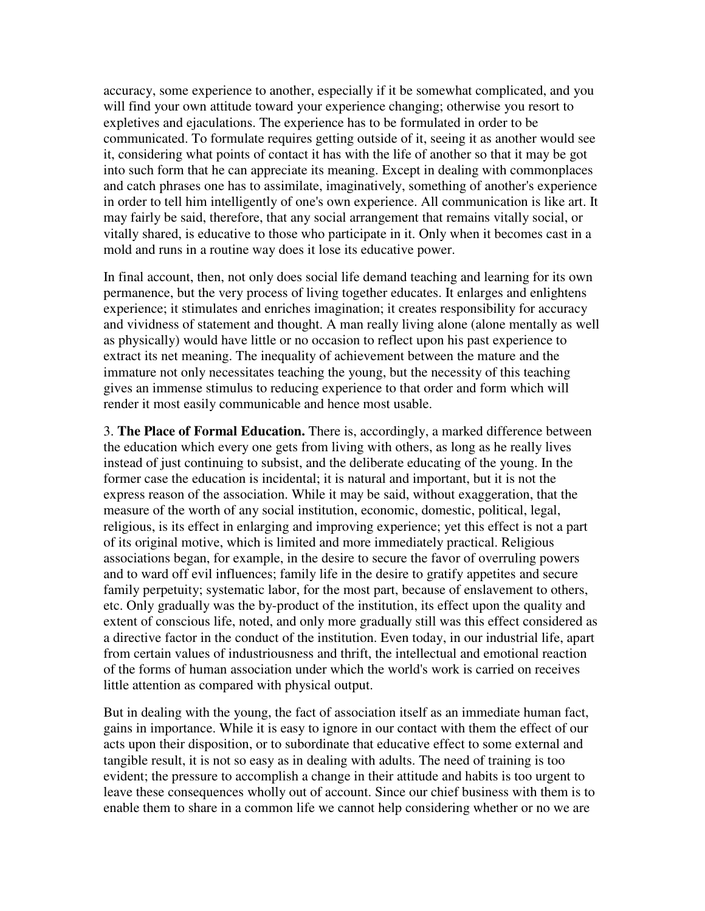accuracy, some experience to another, especially if it be somewhat complicated, and you will find your own attitude toward your experience changing; otherwise you resort to expletives and ejaculations. The experience has to be formulated in order to be communicated. To formulate requires getting outside of it, seeing it as another would see it, considering what points of contact it has with the life of another so that it may be got into such form that he can appreciate its meaning. Except in dealing with commonplaces and catch phrases one has to assimilate, imaginatively, something of another's experience in order to tell him intelligently of one's own experience. All communication is like art. It may fairly be said, therefore, that any social arrangement that remains vitally social, or vitally shared, is educative to those who participate in it. Only when it becomes cast in a mold and runs in a routine way does it lose its educative power.

In final account, then, not only does social life demand teaching and learning for its own permanence, but the very process of living together educates. It enlarges and enlightens experience; it stimulates and enriches imagination; it creates responsibility for accuracy and vividness of statement and thought. A man really living alone (alone mentally as well as physically) would have little or no occasion to reflect upon his past experience to extract its net meaning. The inequality of achievement between the mature and the immature not only necessitates teaching the young, but the necessity of this teaching gives an immense stimulus to reducing experience to that order and form which will render it most easily communicable and hence most usable.

3. **The Place of Formal Education.** There is, accordingly, a marked difference between the education which every one gets from living with others, as long as he really lives instead of just continuing to subsist, and the deliberate educating of the young. In the former case the education is incidental; it is natural and important, but it is not the express reason of the association. While it may be said, without exaggeration, that the measure of the worth of any social institution, economic, domestic, political, legal, religious, is its effect in enlarging and improving experience; yet this effect is not a part of its original motive, which is limited and more immediately practical. Religious associations began, for example, in the desire to secure the favor of overruling powers and to ward off evil influences; family life in the desire to gratify appetites and secure family perpetuity; systematic labor, for the most part, because of enslavement to others, etc. Only gradually was the by-product of the institution, its effect upon the quality and extent of conscious life, noted, and only more gradually still was this effect considered as a directive factor in the conduct of the institution. Even today, in our industrial life, apart from certain values of industriousness and thrift, the intellectual and emotional reaction of the forms of human association under which the world's work is carried on receives little attention as compared with physical output.

But in dealing with the young, the fact of association itself as an immediate human fact, gains in importance. While it is easy to ignore in our contact with them the effect of our acts upon their disposition, or to subordinate that educative effect to some external and tangible result, it is not so easy as in dealing with adults. The need of training is too evident; the pressure to accomplish a change in their attitude and habits is too urgent to leave these consequences wholly out of account. Since our chief business with them is to enable them to share in a common life we cannot help considering whether or no we are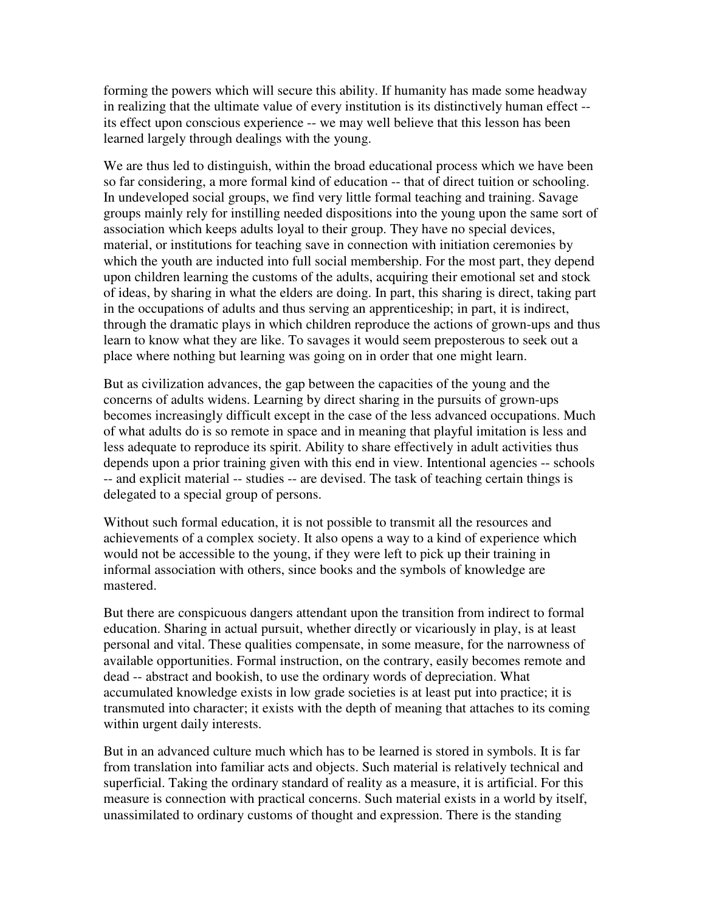forming the powers which will secure this ability. If humanity has made some headway in realizing that the ultimate value of every institution is its distinctively human effect - its effect upon conscious experience -- we may well believe that this lesson has been learned largely through dealings with the young.

We are thus led to distinguish, within the broad educational process which we have been so far considering, a more formal kind of education -- that of direct tuition or schooling. In undeveloped social groups, we find very little formal teaching and training. Savage groups mainly rely for instilling needed dispositions into the young upon the same sort of association which keeps adults loyal to their group. They have no special devices, material, or institutions for teaching save in connection with initiation ceremonies by which the youth are inducted into full social membership. For the most part, they depend upon children learning the customs of the adults, acquiring their emotional set and stock of ideas, by sharing in what the elders are doing. In part, this sharing is direct, taking part in the occupations of adults and thus serving an apprenticeship; in part, it is indirect, through the dramatic plays in which children reproduce the actions of grown-ups and thus learn to know what they are like. To savages it would seem preposterous to seek out a place where nothing but learning was going on in order that one might learn.

But as civilization advances, the gap between the capacities of the young and the concerns of adults widens. Learning by direct sharing in the pursuits of grown-ups becomes increasingly difficult except in the case of the less advanced occupations. Much of what adults do is so remote in space and in meaning that playful imitation is less and less adequate to reproduce its spirit. Ability to share effectively in adult activities thus depends upon a prior training given with this end in view. Intentional agencies -- schools -- and explicit material -- studies -- are devised. The task of teaching certain things is delegated to a special group of persons.

Without such formal education, it is not possible to transmit all the resources and achievements of a complex society. It also opens a way to a kind of experience which would not be accessible to the young, if they were left to pick up their training in informal association with others, since books and the symbols of knowledge are mastered.

But there are conspicuous dangers attendant upon the transition from indirect to formal education. Sharing in actual pursuit, whether directly or vicariously in play, is at least personal and vital. These qualities compensate, in some measure, for the narrowness of available opportunities. Formal instruction, on the contrary, easily becomes remote and dead -- abstract and bookish, to use the ordinary words of depreciation. What accumulated knowledge exists in low grade societies is at least put into practice; it is transmuted into character; it exists with the depth of meaning that attaches to its coming within urgent daily interests.

But in an advanced culture much which has to be learned is stored in symbols. It is far from translation into familiar acts and objects. Such material is relatively technical and superficial. Taking the ordinary standard of reality as a measure, it is artificial. For this measure is connection with practical concerns. Such material exists in a world by itself, unassimilated to ordinary customs of thought and expression. There is the standing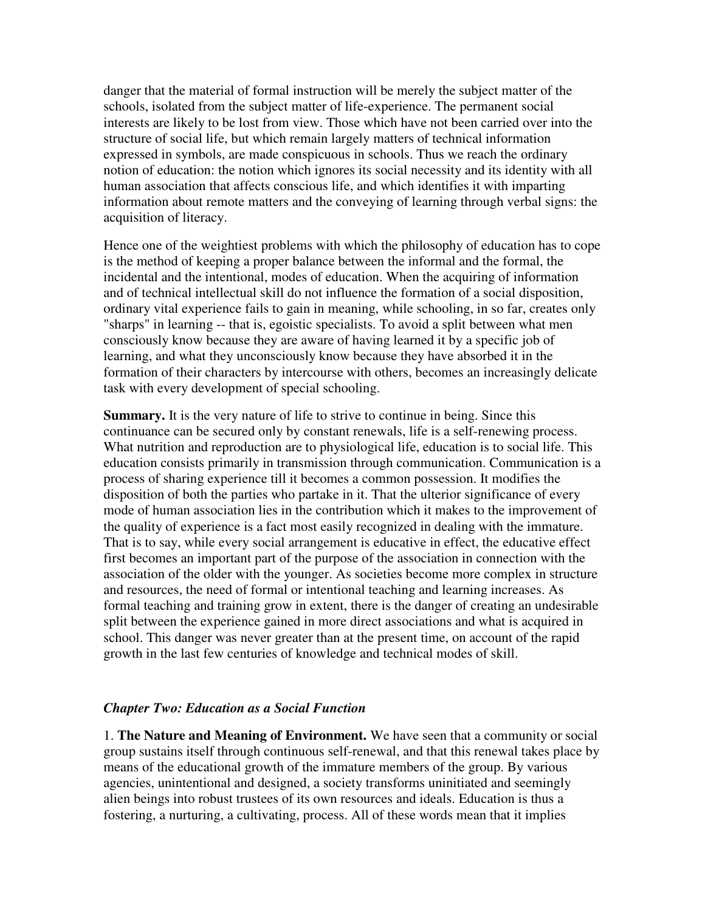danger that the material of formal instruction will be merely the subject matter of the schools, isolated from the subject matter of life-experience. The permanent social interests are likely to be lost from view. Those which have not been carried over into the structure of social life, but which remain largely matters of technical information expressed in symbols, are made conspicuous in schools. Thus we reach the ordinary notion of education: the notion which ignores its social necessity and its identity with all human association that affects conscious life, and which identifies it with imparting information about remote matters and the conveying of learning through verbal signs: the acquisition of literacy.

Hence one of the weightiest problems with which the philosophy of education has to cope is the method of keeping a proper balance between the informal and the formal, the incidental and the intentional, modes of education. When the acquiring of information and of technical intellectual skill do not influence the formation of a social disposition, ordinary vital experience fails to gain in meaning, while schooling, in so far, creates only "sharps" in learning -- that is, egoistic specialists. To avoid a split between what men consciously know because they are aware of having learned it by a specific job of learning, and what they unconsciously know because they have absorbed it in the formation of their characters by intercourse with others, becomes an increasingly delicate task with every development of special schooling.

**Summary.** It is the very nature of life to strive to continue in being. Since this continuance can be secured only by constant renewals, life is a self-renewing process. What nutrition and reproduction are to physiological life, education is to social life. This education consists primarily in transmission through communication. Communication is a process of sharing experience till it becomes a common possession. It modifies the disposition of both the parties who partake in it. That the ulterior significance of every mode of human association lies in the contribution which it makes to the improvement of the quality of experience is a fact most easily recognized in dealing with the immature. That is to say, while every social arrangement is educative in effect, the educative effect first becomes an important part of the purpose of the association in connection with the association of the older with the younger. As societies become more complex in structure and resources, the need of formal or intentional teaching and learning increases. As formal teaching and training grow in extent, there is the danger of creating an undesirable split between the experience gained in more direct associations and what is acquired in school. This danger was never greater than at the present time, on account of the rapid growth in the last few centuries of knowledge and technical modes of skill.

### *Chapter Two: Education as a Social Function*

1. **The Nature and Meaning of Environment.** We have seen that a community or social group sustains itself through continuous self-renewal, and that this renewal takes place by means of the educational growth of the immature members of the group. By various agencies, unintentional and designed, a society transforms uninitiated and seemingly alien beings into robust trustees of its own resources and ideals. Education is thus a fostering, a nurturing, a cultivating, process. All of these words mean that it implies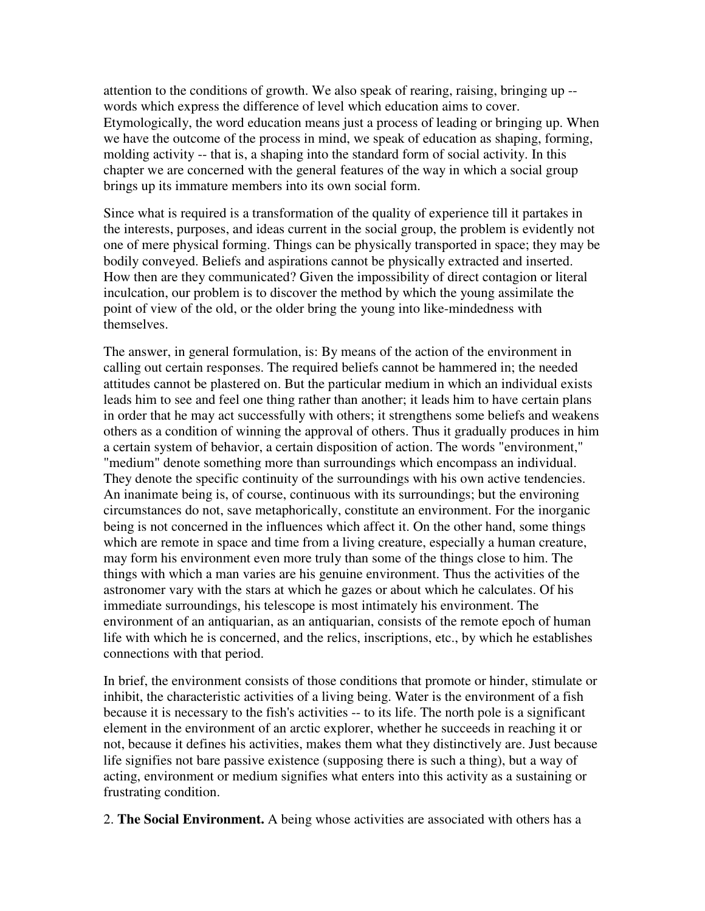attention to the conditions of growth. We also speak of rearing, raising, bringing up - words which express the difference of level which education aims to cover. Etymologically, the word education means just a process of leading or bringing up. When we have the outcome of the process in mind, we speak of education as shaping, forming, molding activity -- that is, a shaping into the standard form of social activity. In this chapter we are concerned with the general features of the way in which a social group brings up its immature members into its own social form.

Since what is required is a transformation of the quality of experience till it partakes in the interests, purposes, and ideas current in the social group, the problem is evidently not one of mere physical forming. Things can be physically transported in space; they may be bodily conveyed. Beliefs and aspirations cannot be physically extracted and inserted. How then are they communicated? Given the impossibility of direct contagion or literal inculcation, our problem is to discover the method by which the young assimilate the point of view of the old, or the older bring the young into like-mindedness with themselves.

The answer, in general formulation, is: By means of the action of the environment in calling out certain responses. The required beliefs cannot be hammered in; the needed attitudes cannot be plastered on. But the particular medium in which an individual exists leads him to see and feel one thing rather than another; it leads him to have certain plans in order that he may act successfully with others; it strengthens some beliefs and weakens others as a condition of winning the approval of others. Thus it gradually produces in him a certain system of behavior, a certain disposition of action. The words "environment," "medium" denote something more than surroundings which encompass an individual. They denote the specific continuity of the surroundings with his own active tendencies. An inanimate being is, of course, continuous with its surroundings; but the environing circumstances do not, save metaphorically, constitute an environment. For the inorganic being is not concerned in the influences which affect it. On the other hand, some things which are remote in space and time from a living creature, especially a human creature, may form his environment even more truly than some of the things close to him. The things with which a man varies are his genuine environment. Thus the activities of the astronomer vary with the stars at which he gazes or about which he calculates. Of his immediate surroundings, his telescope is most intimately his environment. The environment of an antiquarian, as an antiquarian, consists of the remote epoch of human life with which he is concerned, and the relics, inscriptions, etc., by which he establishes connections with that period.

In brief, the environment consists of those conditions that promote or hinder, stimulate or inhibit, the characteristic activities of a living being. Water is the environment of a fish because it is necessary to the fish's activities -- to its life. The north pole is a significant element in the environment of an arctic explorer, whether he succeeds in reaching it or not, because it defines his activities, makes them what they distinctively are. Just because life signifies not bare passive existence (supposing there is such a thing), but a way of acting, environment or medium signifies what enters into this activity as a sustaining or frustrating condition.

2. **The Social Environment.** A being whose activities are associated with others has a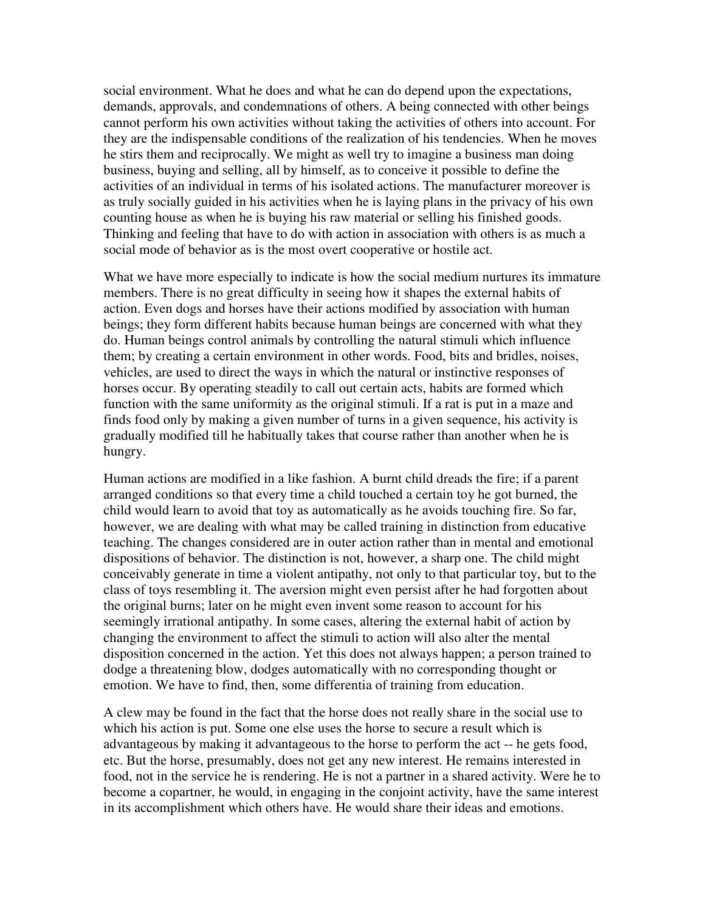social environment. What he does and what he can do depend upon the expectations, demands, approvals, and condemnations of others. A being connected with other beings cannot perform his own activities without taking the activities of others into account. For they are the indispensable conditions of the realization of his tendencies. When he moves he stirs them and reciprocally. We might as well try to imagine a business man doing business, buying and selling, all by himself, as to conceive it possible to define the activities of an individual in terms of his isolated actions. The manufacturer moreover is as truly socially guided in his activities when he is laying plans in the privacy of his own counting house as when he is buying his raw material or selling his finished goods. Thinking and feeling that have to do with action in association with others is as much a social mode of behavior as is the most overt cooperative or hostile act.

What we have more especially to indicate is how the social medium nurtures its immature members. There is no great difficulty in seeing how it shapes the external habits of action. Even dogs and horses have their actions modified by association with human beings; they form different habits because human beings are concerned with what they do. Human beings control animals by controlling the natural stimuli which influence them; by creating a certain environment in other words. Food, bits and bridles, noises, vehicles, are used to direct the ways in which the natural or instinctive responses of horses occur. By operating steadily to call out certain acts, habits are formed which function with the same uniformity as the original stimuli. If a rat is put in a maze and finds food only by making a given number of turns in a given sequence, his activity is gradually modified till he habitually takes that course rather than another when he is hungry.

Human actions are modified in a like fashion. A burnt child dreads the fire; if a parent arranged conditions so that every time a child touched a certain toy he got burned, the child would learn to avoid that toy as automatically as he avoids touching fire. So far, however, we are dealing with what may be called training in distinction from educative teaching. The changes considered are in outer action rather than in mental and emotional dispositions of behavior. The distinction is not, however, a sharp one. The child might conceivably generate in time a violent antipathy, not only to that particular toy, but to the class of toys resembling it. The aversion might even persist after he had forgotten about the original burns; later on he might even invent some reason to account for his seemingly irrational antipathy. In some cases, altering the external habit of action by changing the environment to affect the stimuli to action will also alter the mental disposition concerned in the action. Yet this does not always happen; a person trained to dodge a threatening blow, dodges automatically with no corresponding thought or emotion. We have to find, then, some differentia of training from education.

A clew may be found in the fact that the horse does not really share in the social use to which his action is put. Some one else uses the horse to secure a result which is advantageous by making it advantageous to the horse to perform the act -- he gets food, etc. But the horse, presumably, does not get any new interest. He remains interested in food, not in the service he is rendering. He is not a partner in a shared activity. Were he to become a copartner, he would, in engaging in the conjoint activity, have the same interest in its accomplishment which others have. He would share their ideas and emotions.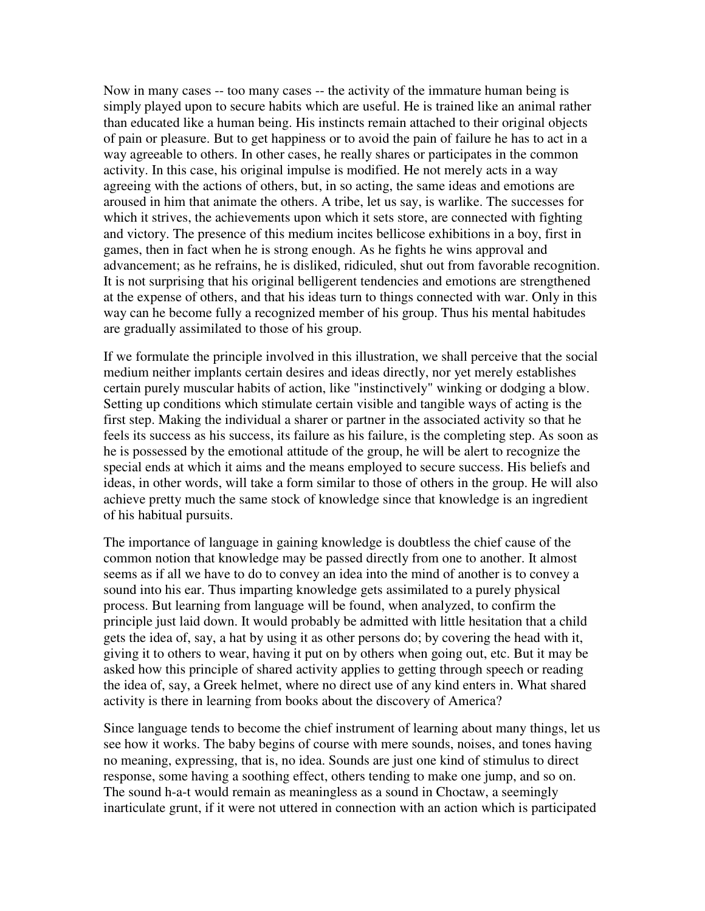Now in many cases -- too many cases -- the activity of the immature human being is simply played upon to secure habits which are useful. He is trained like an animal rather than educated like a human being. His instincts remain attached to their original objects of pain or pleasure. But to get happiness or to avoid the pain of failure he has to act in a way agreeable to others. In other cases, he really shares or participates in the common activity. In this case, his original impulse is modified. He not merely acts in a way agreeing with the actions of others, but, in so acting, the same ideas and emotions are aroused in him that animate the others. A tribe, let us say, is warlike. The successes for which it strives, the achievements upon which it sets store, are connected with fighting and victory. The presence of this medium incites bellicose exhibitions in a boy, first in games, then in fact when he is strong enough. As he fights he wins approval and advancement; as he refrains, he is disliked, ridiculed, shut out from favorable recognition. It is not surprising that his original belligerent tendencies and emotions are strengthened at the expense of others, and that his ideas turn to things connected with war. Only in this way can he become fully a recognized member of his group. Thus his mental habitudes are gradually assimilated to those of his group.

If we formulate the principle involved in this illustration, we shall perceive that the social medium neither implants certain desires and ideas directly, nor yet merely establishes certain purely muscular habits of action, like "instinctively" winking or dodging a blow. Setting up conditions which stimulate certain visible and tangible ways of acting is the first step. Making the individual a sharer or partner in the associated activity so that he feels its success as his success, its failure as his failure, is the completing step. As soon as he is possessed by the emotional attitude of the group, he will be alert to recognize the special ends at which it aims and the means employed to secure success. His beliefs and ideas, in other words, will take a form similar to those of others in the group. He will also achieve pretty much the same stock of knowledge since that knowledge is an ingredient of his habitual pursuits.

The importance of language in gaining knowledge is doubtless the chief cause of the common notion that knowledge may be passed directly from one to another. It almost seems as if all we have to do to convey an idea into the mind of another is to convey a sound into his ear. Thus imparting knowledge gets assimilated to a purely physical process. But learning from language will be found, when analyzed, to confirm the principle just laid down. It would probably be admitted with little hesitation that a child gets the idea of, say, a hat by using it as other persons do; by covering the head with it, giving it to others to wear, having it put on by others when going out, etc. But it may be asked how this principle of shared activity applies to getting through speech or reading the idea of, say, a Greek helmet, where no direct use of any kind enters in. What shared activity is there in learning from books about the discovery of America?

Since language tends to become the chief instrument of learning about many things, let us see how it works. The baby begins of course with mere sounds, noises, and tones having no meaning, expressing, that is, no idea. Sounds are just one kind of stimulus to direct response, some having a soothing effect, others tending to make one jump, and so on. The sound h-a-t would remain as meaningless as a sound in Choctaw, a seemingly inarticulate grunt, if it were not uttered in connection with an action which is participated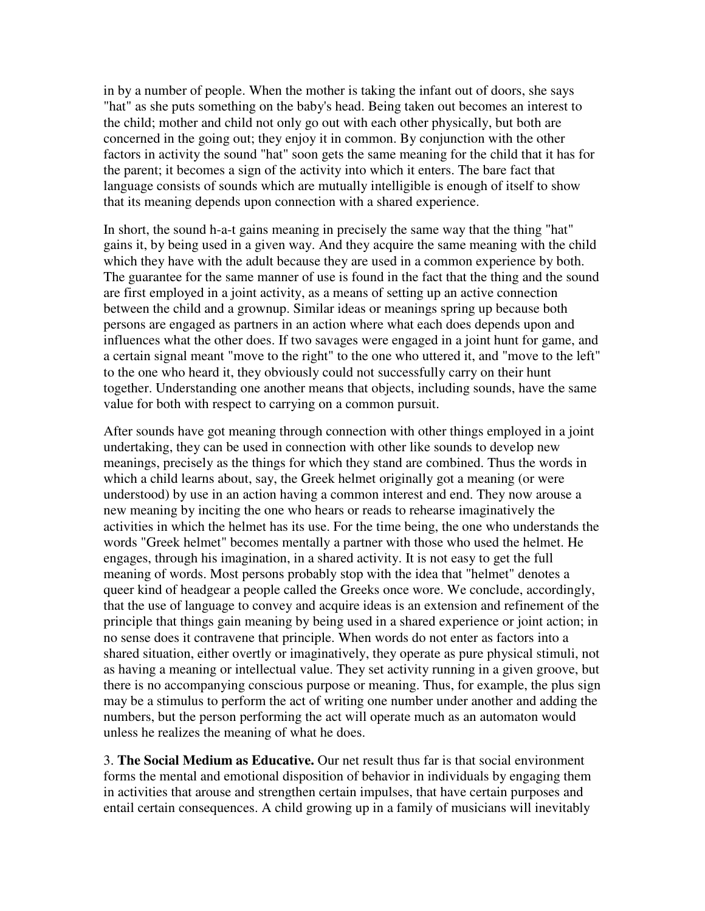in by a number of people. When the mother is taking the infant out of doors, she says "hat" as she puts something on the baby's head. Being taken out becomes an interest to the child; mother and child not only go out with each other physically, but both are concerned in the going out; they enjoy it in common. By conjunction with the other factors in activity the sound "hat" soon gets the same meaning for the child that it has for the parent; it becomes a sign of the activity into which it enters. The bare fact that language consists of sounds which are mutually intelligible is enough of itself to show that its meaning depends upon connection with a shared experience.

In short, the sound h-a-t gains meaning in precisely the same way that the thing "hat" gains it, by being used in a given way. And they acquire the same meaning with the child which they have with the adult because they are used in a common experience by both. The guarantee for the same manner of use is found in the fact that the thing and the sound are first employed in a joint activity, as a means of setting up an active connection between the child and a grownup. Similar ideas or meanings spring up because both persons are engaged as partners in an action where what each does depends upon and influences what the other does. If two savages were engaged in a joint hunt for game, and a certain signal meant "move to the right" to the one who uttered it, and "move to the left" to the one who heard it, they obviously could not successfully carry on their hunt together. Understanding one another means that objects, including sounds, have the same value for both with respect to carrying on a common pursuit.

After sounds have got meaning through connection with other things employed in a joint undertaking, they can be used in connection with other like sounds to develop new meanings, precisely as the things for which they stand are combined. Thus the words in which a child learns about, say, the Greek helmet originally got a meaning (or were understood) by use in an action having a common interest and end. They now arouse a new meaning by inciting the one who hears or reads to rehearse imaginatively the activities in which the helmet has its use. For the time being, the one who understands the words "Greek helmet" becomes mentally a partner with those who used the helmet. He engages, through his imagination, in a shared activity. It is not easy to get the full meaning of words. Most persons probably stop with the idea that "helmet" denotes a queer kind of headgear a people called the Greeks once wore. We conclude, accordingly, that the use of language to convey and acquire ideas is an extension and refinement of the principle that things gain meaning by being used in a shared experience or joint action; in no sense does it contravene that principle. When words do not enter as factors into a shared situation, either overtly or imaginatively, they operate as pure physical stimuli, not as having a meaning or intellectual value. They set activity running in a given groove, but there is no accompanying conscious purpose or meaning. Thus, for example, the plus sign may be a stimulus to perform the act of writing one number under another and adding the numbers, but the person performing the act will operate much as an automaton would unless he realizes the meaning of what he does.

3. **The Social Medium as Educative.** Our net result thus far is that social environment forms the mental and emotional disposition of behavior in individuals by engaging them in activities that arouse and strengthen certain impulses, that have certain purposes and entail certain consequences. A child growing up in a family of musicians will inevitably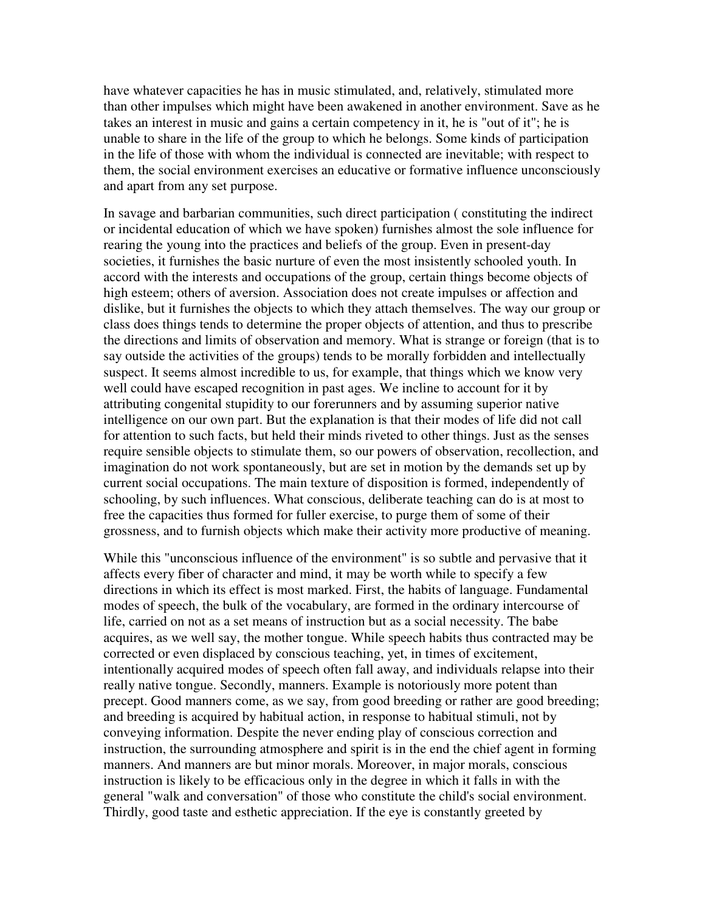have whatever capacities he has in music stimulated, and, relatively, stimulated more than other impulses which might have been awakened in another environment. Save as he takes an interest in music and gains a certain competency in it, he is "out of it"; he is unable to share in the life of the group to which he belongs. Some kinds of participation in the life of those with whom the individual is connected are inevitable; with respect to them, the social environment exercises an educative or formative influence unconsciously and apart from any set purpose.

In savage and barbarian communities, such direct participation ( constituting the indirect or incidental education of which we have spoken) furnishes almost the sole influence for rearing the young into the practices and beliefs of the group. Even in present-day societies, it furnishes the basic nurture of even the most insistently schooled youth. In accord with the interests and occupations of the group, certain things become objects of high esteem; others of aversion. Association does not create impulses or affection and dislike, but it furnishes the objects to which they attach themselves. The way our group or class does things tends to determine the proper objects of attention, and thus to prescribe the directions and limits of observation and memory. What is strange or foreign (that is to say outside the activities of the groups) tends to be morally forbidden and intellectually suspect. It seems almost incredible to us, for example, that things which we know very well could have escaped recognition in past ages. We incline to account for it by attributing congenital stupidity to our forerunners and by assuming superior native intelligence on our own part. But the explanation is that their modes of life did not call for attention to such facts, but held their minds riveted to other things. Just as the senses require sensible objects to stimulate them, so our powers of observation, recollection, and imagination do not work spontaneously, but are set in motion by the demands set up by current social occupations. The main texture of disposition is formed, independently of schooling, by such influences. What conscious, deliberate teaching can do is at most to free the capacities thus formed for fuller exercise, to purge them of some of their grossness, and to furnish objects which make their activity more productive of meaning.

While this "unconscious influence of the environment" is so subtle and pervasive that it affects every fiber of character and mind, it may be worth while to specify a few directions in which its effect is most marked. First, the habits of language. Fundamental modes of speech, the bulk of the vocabulary, are formed in the ordinary intercourse of life, carried on not as a set means of instruction but as a social necessity. The babe acquires, as we well say, the mother tongue. While speech habits thus contracted may be corrected or even displaced by conscious teaching, yet, in times of excitement, intentionally acquired modes of speech often fall away, and individuals relapse into their really native tongue. Secondly, manners. Example is notoriously more potent than precept. Good manners come, as we say, from good breeding or rather are good breeding; and breeding is acquired by habitual action, in response to habitual stimuli, not by conveying information. Despite the never ending play of conscious correction and instruction, the surrounding atmosphere and spirit is in the end the chief agent in forming manners. And manners are but minor morals. Moreover, in major morals, conscious instruction is likely to be efficacious only in the degree in which it falls in with the general "walk and conversation" of those who constitute the child's social environment. Thirdly, good taste and esthetic appreciation. If the eye is constantly greeted by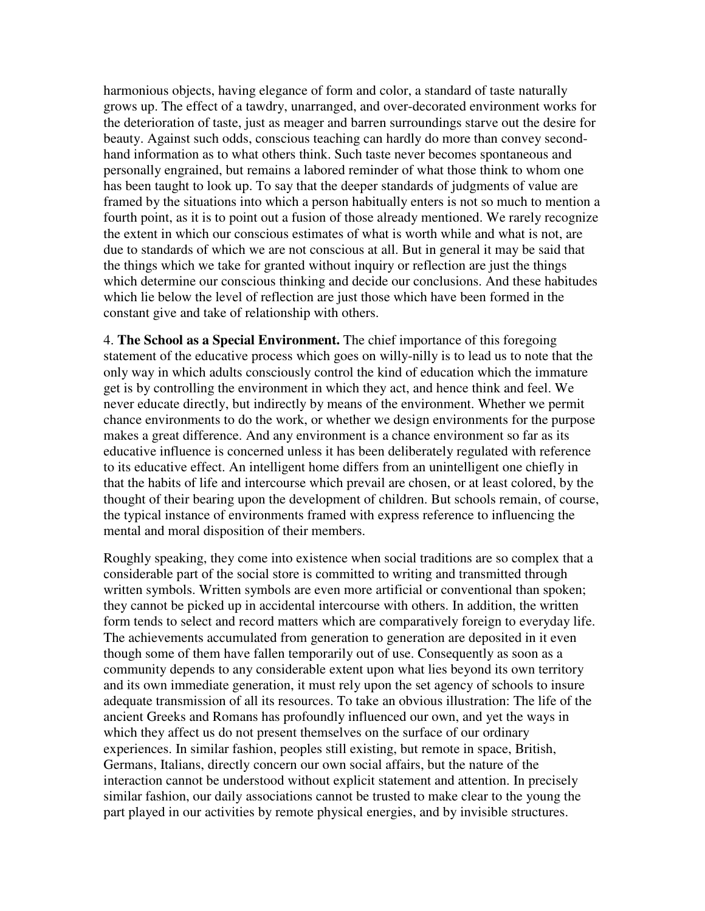harmonious objects, having elegance of form and color, a standard of taste naturally grows up. The effect of a tawdry, unarranged, and over-decorated environment works for the deterioration of taste, just as meager and barren surroundings starve out the desire for beauty. Against such odds, conscious teaching can hardly do more than convey secondhand information as to what others think. Such taste never becomes spontaneous and personally engrained, but remains a labored reminder of what those think to whom one has been taught to look up. To say that the deeper standards of judgments of value are framed by the situations into which a person habitually enters is not so much to mention a fourth point, as it is to point out a fusion of those already mentioned. We rarely recognize the extent in which our conscious estimates of what is worth while and what is not, are due to standards of which we are not conscious at all. But in general it may be said that the things which we take for granted without inquiry or reflection are just the things which determine our conscious thinking and decide our conclusions. And these habitudes which lie below the level of reflection are just those which have been formed in the constant give and take of relationship with others.

4. **The School as a Special Environment.** The chief importance of this foregoing statement of the educative process which goes on willy-nilly is to lead us to note that the only way in which adults consciously control the kind of education which the immature get is by controlling the environment in which they act, and hence think and feel. We never educate directly, but indirectly by means of the environment. Whether we permit chance environments to do the work, or whether we design environments for the purpose makes a great difference. And any environment is a chance environment so far as its educative influence is concerned unless it has been deliberately regulated with reference to its educative effect. An intelligent home differs from an unintelligent one chiefly in that the habits of life and intercourse which prevail are chosen, or at least colored, by the thought of their bearing upon the development of children. But schools remain, of course, the typical instance of environments framed with express reference to influencing the mental and moral disposition of their members.

Roughly speaking, they come into existence when social traditions are so complex that a considerable part of the social store is committed to writing and transmitted through written symbols. Written symbols are even more artificial or conventional than spoken; they cannot be picked up in accidental intercourse with others. In addition, the written form tends to select and record matters which are comparatively foreign to everyday life. The achievements accumulated from generation to generation are deposited in it even though some of them have fallen temporarily out of use. Consequently as soon as a community depends to any considerable extent upon what lies beyond its own territory and its own immediate generation, it must rely upon the set agency of schools to insure adequate transmission of all its resources. To take an obvious illustration: The life of the ancient Greeks and Romans has profoundly influenced our own, and yet the ways in which they affect us do not present themselves on the surface of our ordinary experiences. In similar fashion, peoples still existing, but remote in space, British, Germans, Italians, directly concern our own social affairs, but the nature of the interaction cannot be understood without explicit statement and attention. In precisely similar fashion, our daily associations cannot be trusted to make clear to the young the part played in our activities by remote physical energies, and by invisible structures.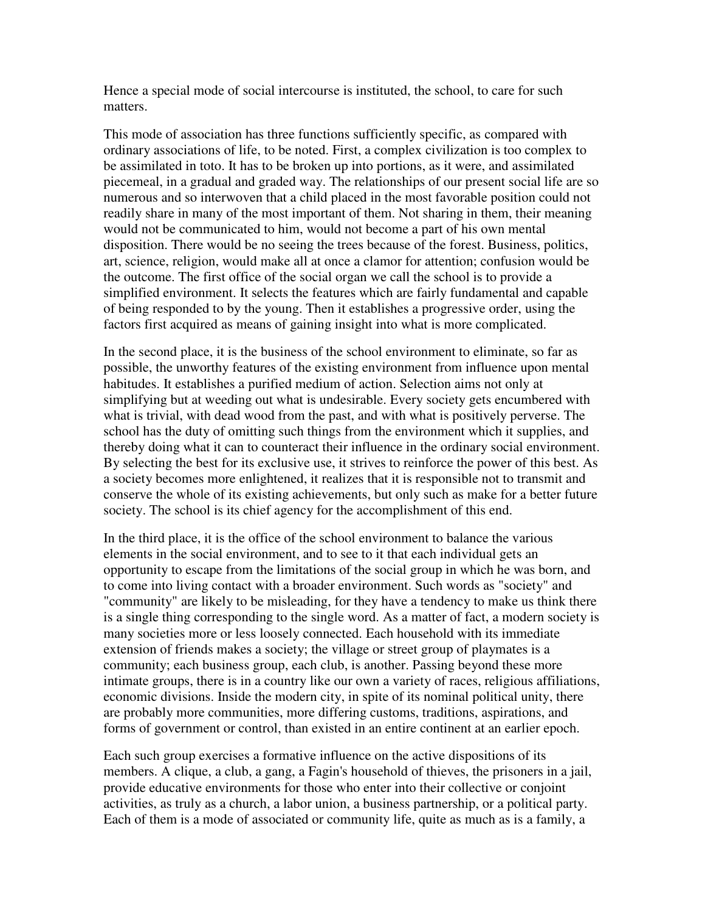Hence a special mode of social intercourse is instituted, the school, to care for such matters.

This mode of association has three functions sufficiently specific, as compared with ordinary associations of life, to be noted. First, a complex civilization is too complex to be assimilated in toto. It has to be broken up into portions, as it were, and assimilated piecemeal, in a gradual and graded way. The relationships of our present social life are so numerous and so interwoven that a child placed in the most favorable position could not readily share in many of the most important of them. Not sharing in them, their meaning would not be communicated to him, would not become a part of his own mental disposition. There would be no seeing the trees because of the forest. Business, politics, art, science, religion, would make all at once a clamor for attention; confusion would be the outcome. The first office of the social organ we call the school is to provide a simplified environment. It selects the features which are fairly fundamental and capable of being responded to by the young. Then it establishes a progressive order, using the factors first acquired as means of gaining insight into what is more complicated.

In the second place, it is the business of the school environment to eliminate, so far as possible, the unworthy features of the existing environment from influence upon mental habitudes. It establishes a purified medium of action. Selection aims not only at simplifying but at weeding out what is undesirable. Every society gets encumbered with what is trivial, with dead wood from the past, and with what is positively perverse. The school has the duty of omitting such things from the environment which it supplies, and thereby doing what it can to counteract their influence in the ordinary social environment. By selecting the best for its exclusive use, it strives to reinforce the power of this best. As a society becomes more enlightened, it realizes that it is responsible not to transmit and conserve the whole of its existing achievements, but only such as make for a better future society. The school is its chief agency for the accomplishment of this end.

In the third place, it is the office of the school environment to balance the various elements in the social environment, and to see to it that each individual gets an opportunity to escape from the limitations of the social group in which he was born, and to come into living contact with a broader environment. Such words as "society" and "community" are likely to be misleading, for they have a tendency to make us think there is a single thing corresponding to the single word. As a matter of fact, a modern society is many societies more or less loosely connected. Each household with its immediate extension of friends makes a society; the village or street group of playmates is a community; each business group, each club, is another. Passing beyond these more intimate groups, there is in a country like our own a variety of races, religious affiliations, economic divisions. Inside the modern city, in spite of its nominal political unity, there are probably more communities, more differing customs, traditions, aspirations, and forms of government or control, than existed in an entire continent at an earlier epoch.

Each such group exercises a formative influence on the active dispositions of its members. A clique, a club, a gang, a Fagin's household of thieves, the prisoners in a jail, provide educative environments for those who enter into their collective or conjoint activities, as truly as a church, a labor union, a business partnership, or a political party. Each of them is a mode of associated or community life, quite as much as is a family, a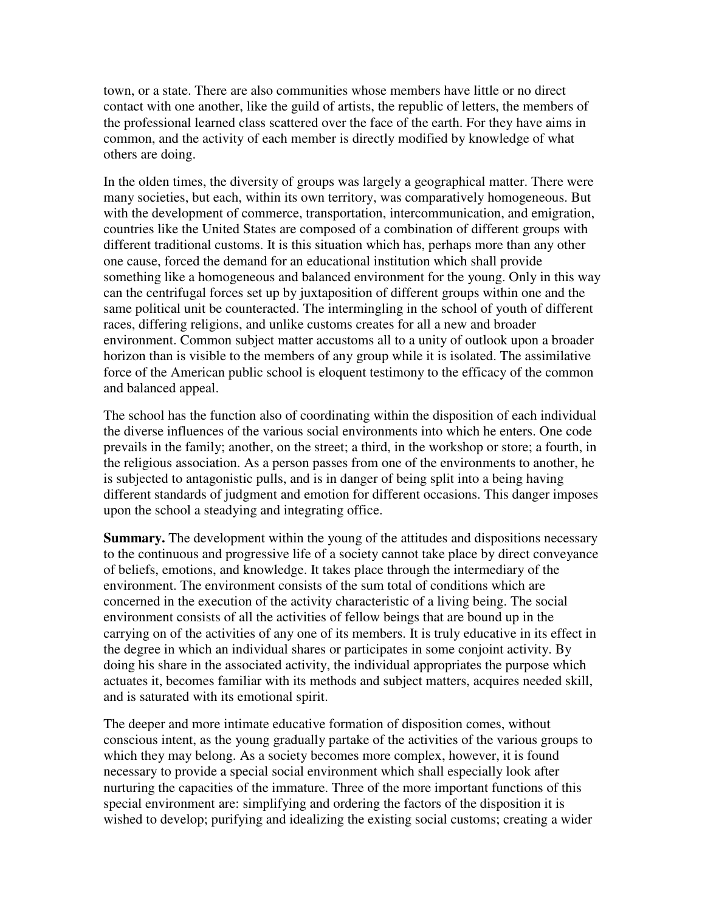town, or a state. There are also communities whose members have little or no direct contact with one another, like the guild of artists, the republic of letters, the members of the professional learned class scattered over the face of the earth. For they have aims in common, and the activity of each member is directly modified by knowledge of what others are doing.

In the olden times, the diversity of groups was largely a geographical matter. There were many societies, but each, within its own territory, was comparatively homogeneous. But with the development of commerce, transportation, intercommunication, and emigration, countries like the United States are composed of a combination of different groups with different traditional customs. It is this situation which has, perhaps more than any other one cause, forced the demand for an educational institution which shall provide something like a homogeneous and balanced environment for the young. Only in this way can the centrifugal forces set up by juxtaposition of different groups within one and the same political unit be counteracted. The intermingling in the school of youth of different races, differing religions, and unlike customs creates for all a new and broader environment. Common subject matter accustoms all to a unity of outlook upon a broader horizon than is visible to the members of any group while it is isolated. The assimilative force of the American public school is eloquent testimony to the efficacy of the common and balanced appeal.

The school has the function also of coordinating within the disposition of each individual the diverse influences of the various social environments into which he enters. One code prevails in the family; another, on the street; a third, in the workshop or store; a fourth, in the religious association. As a person passes from one of the environments to another, he is subjected to antagonistic pulls, and is in danger of being split into a being having different standards of judgment and emotion for different occasions. This danger imposes upon the school a steadying and integrating office.

**Summary.** The development within the young of the attitudes and dispositions necessary to the continuous and progressive life of a society cannot take place by direct conveyance of beliefs, emotions, and knowledge. It takes place through the intermediary of the environment. The environment consists of the sum total of conditions which are concerned in the execution of the activity characteristic of a living being. The social environment consists of all the activities of fellow beings that are bound up in the carrying on of the activities of any one of its members. It is truly educative in its effect in the degree in which an individual shares or participates in some conjoint activity. By doing his share in the associated activity, the individual appropriates the purpose which actuates it, becomes familiar with its methods and subject matters, acquires needed skill, and is saturated with its emotional spirit.

The deeper and more intimate educative formation of disposition comes, without conscious intent, as the young gradually partake of the activities of the various groups to which they may belong. As a society becomes more complex, however, it is found necessary to provide a special social environment which shall especially look after nurturing the capacities of the immature. Three of the more important functions of this special environment are: simplifying and ordering the factors of the disposition it is wished to develop; purifying and idealizing the existing social customs; creating a wider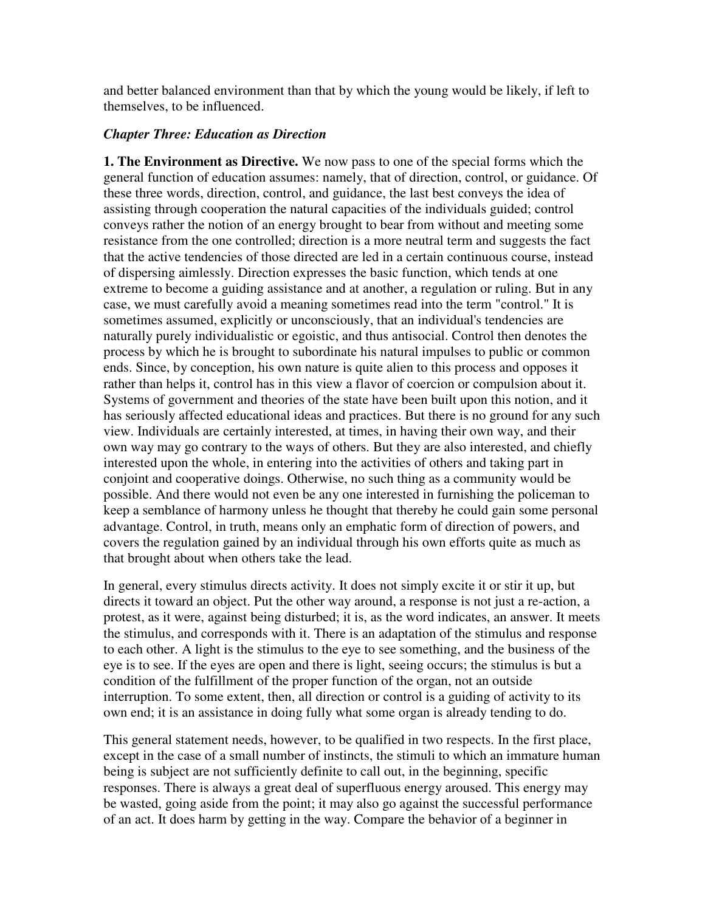and better balanced environment than that by which the young would be likely, if left to themselves, to be influenced.

## *Chapter Three: Education as Direction*

**1. The Environment as Directive.** We now pass to one of the special forms which the general function of education assumes: namely, that of direction, control, or guidance. Of these three words, direction, control, and guidance, the last best conveys the idea of assisting through cooperation the natural capacities of the individuals guided; control conveys rather the notion of an energy brought to bear from without and meeting some resistance from the one controlled; direction is a more neutral term and suggests the fact that the active tendencies of those directed are led in a certain continuous course, instead of dispersing aimlessly. Direction expresses the basic function, which tends at one extreme to become a guiding assistance and at another, a regulation or ruling. But in any case, we must carefully avoid a meaning sometimes read into the term "control." It is sometimes assumed, explicitly or unconsciously, that an individual's tendencies are naturally purely individualistic or egoistic, and thus antisocial. Control then denotes the process by which he is brought to subordinate his natural impulses to public or common ends. Since, by conception, his own nature is quite alien to this process and opposes it rather than helps it, control has in this view a flavor of coercion or compulsion about it. Systems of government and theories of the state have been built upon this notion, and it has seriously affected educational ideas and practices. But there is no ground for any such view. Individuals are certainly interested, at times, in having their own way, and their own way may go contrary to the ways of others. But they are also interested, and chiefly interested upon the whole, in entering into the activities of others and taking part in conjoint and cooperative doings. Otherwise, no such thing as a community would be possible. And there would not even be any one interested in furnishing the policeman to keep a semblance of harmony unless he thought that thereby he could gain some personal advantage. Control, in truth, means only an emphatic form of direction of powers, and covers the regulation gained by an individual through his own efforts quite as much as that brought about when others take the lead.

In general, every stimulus directs activity. It does not simply excite it or stir it up, but directs it toward an object. Put the other way around, a response is not just a re-action, a protest, as it were, against being disturbed; it is, as the word indicates, an answer. It meets the stimulus, and corresponds with it. There is an adaptation of the stimulus and response to each other. A light is the stimulus to the eye to see something, and the business of the eye is to see. If the eyes are open and there is light, seeing occurs; the stimulus is but a condition of the fulfillment of the proper function of the organ, not an outside interruption. To some extent, then, all direction or control is a guiding of activity to its own end; it is an assistance in doing fully what some organ is already tending to do.

This general statement needs, however, to be qualified in two respects. In the first place, except in the case of a small number of instincts, the stimuli to which an immature human being is subject are not sufficiently definite to call out, in the beginning, specific responses. There is always a great deal of superfluous energy aroused. This energy may be wasted, going aside from the point; it may also go against the successful performance of an act. It does harm by getting in the way. Compare the behavior of a beginner in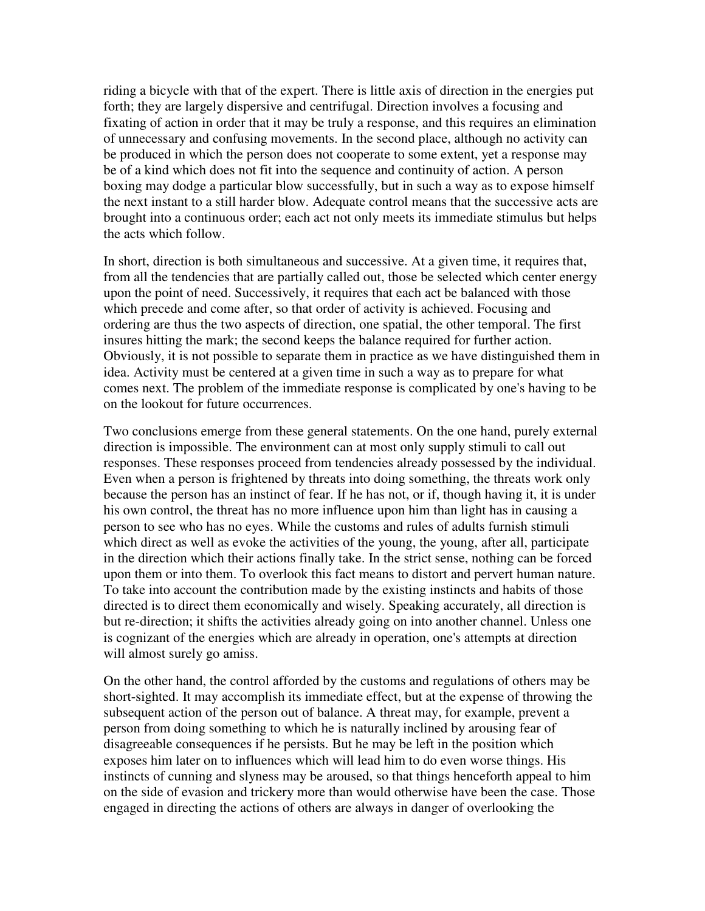riding a bicycle with that of the expert. There is little axis of direction in the energies put forth; they are largely dispersive and centrifugal. Direction involves a focusing and fixating of action in order that it may be truly a response, and this requires an elimination of unnecessary and confusing movements. In the second place, although no activity can be produced in which the person does not cooperate to some extent, yet a response may be of a kind which does not fit into the sequence and continuity of action. A person boxing may dodge a particular blow successfully, but in such a way as to expose himself the next instant to a still harder blow. Adequate control means that the successive acts are brought into a continuous order; each act not only meets its immediate stimulus but helps the acts which follow.

In short, direction is both simultaneous and successive. At a given time, it requires that, from all the tendencies that are partially called out, those be selected which center energy upon the point of need. Successively, it requires that each act be balanced with those which precede and come after, so that order of activity is achieved. Focusing and ordering are thus the two aspects of direction, one spatial, the other temporal. The first insures hitting the mark; the second keeps the balance required for further action. Obviously, it is not possible to separate them in practice as we have distinguished them in idea. Activity must be centered at a given time in such a way as to prepare for what comes next. The problem of the immediate response is complicated by one's having to be on the lookout for future occurrences.

Two conclusions emerge from these general statements. On the one hand, purely external direction is impossible. The environment can at most only supply stimuli to call out responses. These responses proceed from tendencies already possessed by the individual. Even when a person is frightened by threats into doing something, the threats work only because the person has an instinct of fear. If he has not, or if, though having it, it is under his own control, the threat has no more influence upon him than light has in causing a person to see who has no eyes. While the customs and rules of adults furnish stimuli which direct as well as evoke the activities of the young, the young, after all, participate in the direction which their actions finally take. In the strict sense, nothing can be forced upon them or into them. To overlook this fact means to distort and pervert human nature. To take into account the contribution made by the existing instincts and habits of those directed is to direct them economically and wisely. Speaking accurately, all direction is but re-direction; it shifts the activities already going on into another channel. Unless one is cognizant of the energies which are already in operation, one's attempts at direction will almost surely go amiss.

On the other hand, the control afforded by the customs and regulations of others may be short-sighted. It may accomplish its immediate effect, but at the expense of throwing the subsequent action of the person out of balance. A threat may, for example, prevent a person from doing something to which he is naturally inclined by arousing fear of disagreeable consequences if he persists. But he may be left in the position which exposes him later on to influences which will lead him to do even worse things. His instincts of cunning and slyness may be aroused, so that things henceforth appeal to him on the side of evasion and trickery more than would otherwise have been the case. Those engaged in directing the actions of others are always in danger of overlooking the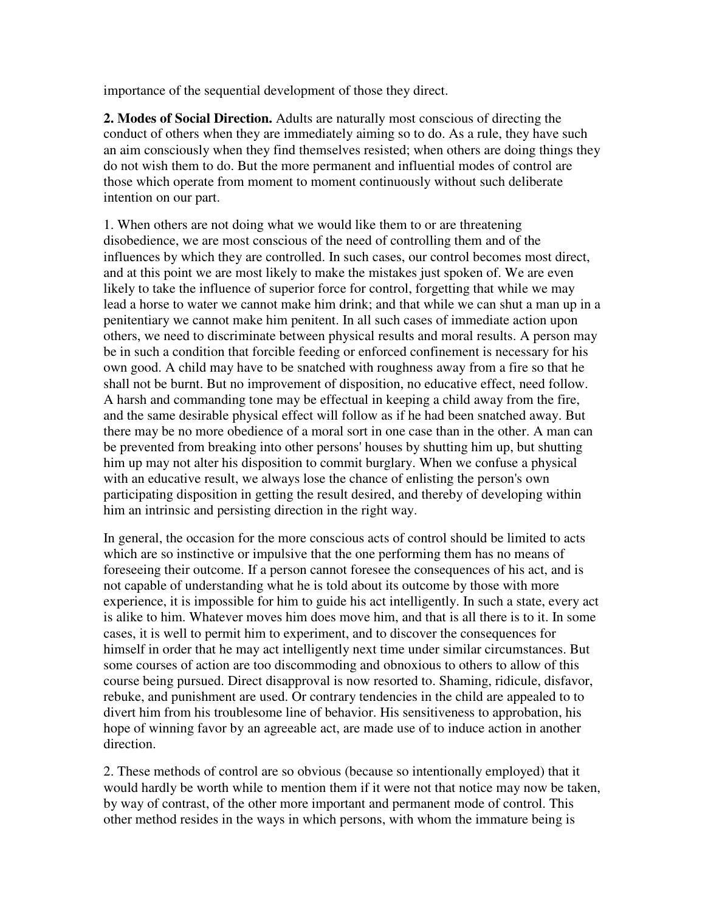importance of the sequential development of those they direct.

**2. Modes of Social Direction.** Adults are naturally most conscious of directing the conduct of others when they are immediately aiming so to do. As a rule, they have such an aim consciously when they find themselves resisted; when others are doing things they do not wish them to do. But the more permanent and influential modes of control are those which operate from moment to moment continuously without such deliberate intention on our part.

1. When others are not doing what we would like them to or are threatening disobedience, we are most conscious of the need of controlling them and of the influences by which they are controlled. In such cases, our control becomes most direct, and at this point we are most likely to make the mistakes just spoken of. We are even likely to take the influence of superior force for control, forgetting that while we may lead a horse to water we cannot make him drink; and that while we can shut a man up in a penitentiary we cannot make him penitent. In all such cases of immediate action upon others, we need to discriminate between physical results and moral results. A person may be in such a condition that forcible feeding or enforced confinement is necessary for his own good. A child may have to be snatched with roughness away from a fire so that he shall not be burnt. But no improvement of disposition, no educative effect, need follow. A harsh and commanding tone may be effectual in keeping a child away from the fire, and the same desirable physical effect will follow as if he had been snatched away. But there may be no more obedience of a moral sort in one case than in the other. A man can be prevented from breaking into other persons' houses by shutting him up, but shutting him up may not alter his disposition to commit burglary. When we confuse a physical with an educative result, we always lose the chance of enlisting the person's own participating disposition in getting the result desired, and thereby of developing within him an intrinsic and persisting direction in the right way.

In general, the occasion for the more conscious acts of control should be limited to acts which are so instinctive or impulsive that the one performing them has no means of foreseeing their outcome. If a person cannot foresee the consequences of his act, and is not capable of understanding what he is told about its outcome by those with more experience, it is impossible for him to guide his act intelligently. In such a state, every act is alike to him. Whatever moves him does move him, and that is all there is to it. In some cases, it is well to permit him to experiment, and to discover the consequences for himself in order that he may act intelligently next time under similar circumstances. But some courses of action are too discommoding and obnoxious to others to allow of this course being pursued. Direct disapproval is now resorted to. Shaming, ridicule, disfavor, rebuke, and punishment are used. Or contrary tendencies in the child are appealed to to divert him from his troublesome line of behavior. His sensitiveness to approbation, his hope of winning favor by an agreeable act, are made use of to induce action in another direction.

2. These methods of control are so obvious (because so intentionally employed) that it would hardly be worth while to mention them if it were not that notice may now be taken, by way of contrast, of the other more important and permanent mode of control. This other method resides in the ways in which persons, with whom the immature being is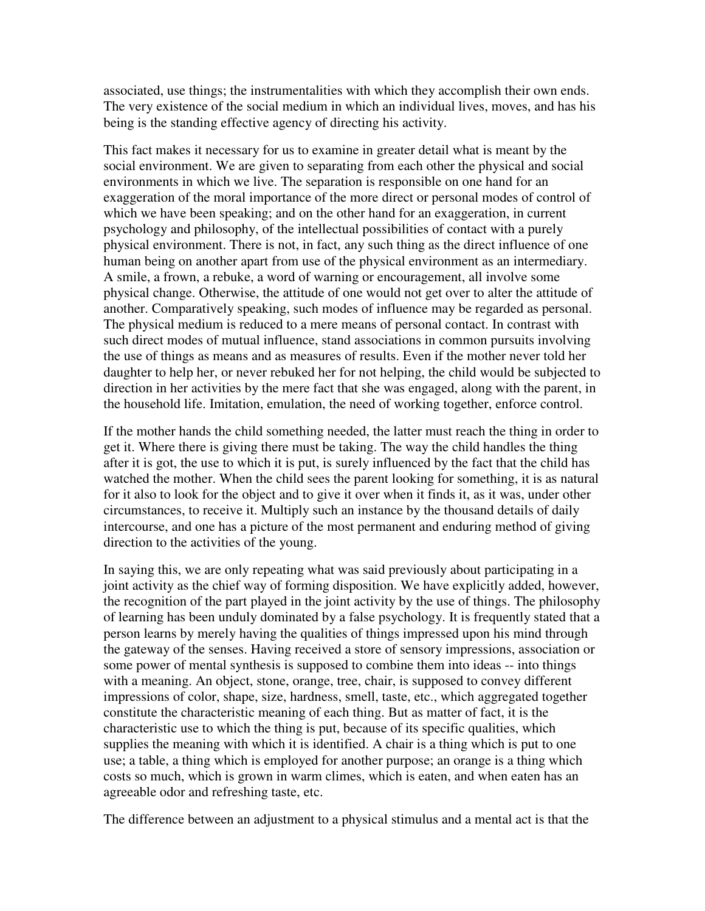associated, use things; the instrumentalities with which they accomplish their own ends. The very existence of the social medium in which an individual lives, moves, and has his being is the standing effective agency of directing his activity.

This fact makes it necessary for us to examine in greater detail what is meant by the social environment. We are given to separating from each other the physical and social environments in which we live. The separation is responsible on one hand for an exaggeration of the moral importance of the more direct or personal modes of control of which we have been speaking; and on the other hand for an exaggeration, in current psychology and philosophy, of the intellectual possibilities of contact with a purely physical environment. There is not, in fact, any such thing as the direct influence of one human being on another apart from use of the physical environment as an intermediary. A smile, a frown, a rebuke, a word of warning or encouragement, all involve some physical change. Otherwise, the attitude of one would not get over to alter the attitude of another. Comparatively speaking, such modes of influence may be regarded as personal. The physical medium is reduced to a mere means of personal contact. In contrast with such direct modes of mutual influence, stand associations in common pursuits involving the use of things as means and as measures of results. Even if the mother never told her daughter to help her, or never rebuked her for not helping, the child would be subjected to direction in her activities by the mere fact that she was engaged, along with the parent, in the household life. Imitation, emulation, the need of working together, enforce control.

If the mother hands the child something needed, the latter must reach the thing in order to get it. Where there is giving there must be taking. The way the child handles the thing after it is got, the use to which it is put, is surely influenced by the fact that the child has watched the mother. When the child sees the parent looking for something, it is as natural for it also to look for the object and to give it over when it finds it, as it was, under other circumstances, to receive it. Multiply such an instance by the thousand details of daily intercourse, and one has a picture of the most permanent and enduring method of giving direction to the activities of the young.

In saying this, we are only repeating what was said previously about participating in a joint activity as the chief way of forming disposition. We have explicitly added, however, the recognition of the part played in the joint activity by the use of things. The philosophy of learning has been unduly dominated by a false psychology. It is frequently stated that a person learns by merely having the qualities of things impressed upon his mind through the gateway of the senses. Having received a store of sensory impressions, association or some power of mental synthesis is supposed to combine them into ideas -- into things with a meaning. An object, stone, orange, tree, chair, is supposed to convey different impressions of color, shape, size, hardness, smell, taste, etc., which aggregated together constitute the characteristic meaning of each thing. But as matter of fact, it is the characteristic use to which the thing is put, because of its specific qualities, which supplies the meaning with which it is identified. A chair is a thing which is put to one use; a table, a thing which is employed for another purpose; an orange is a thing which costs so much, which is grown in warm climes, which is eaten, and when eaten has an agreeable odor and refreshing taste, etc.

The difference between an adjustment to a physical stimulus and a mental act is that the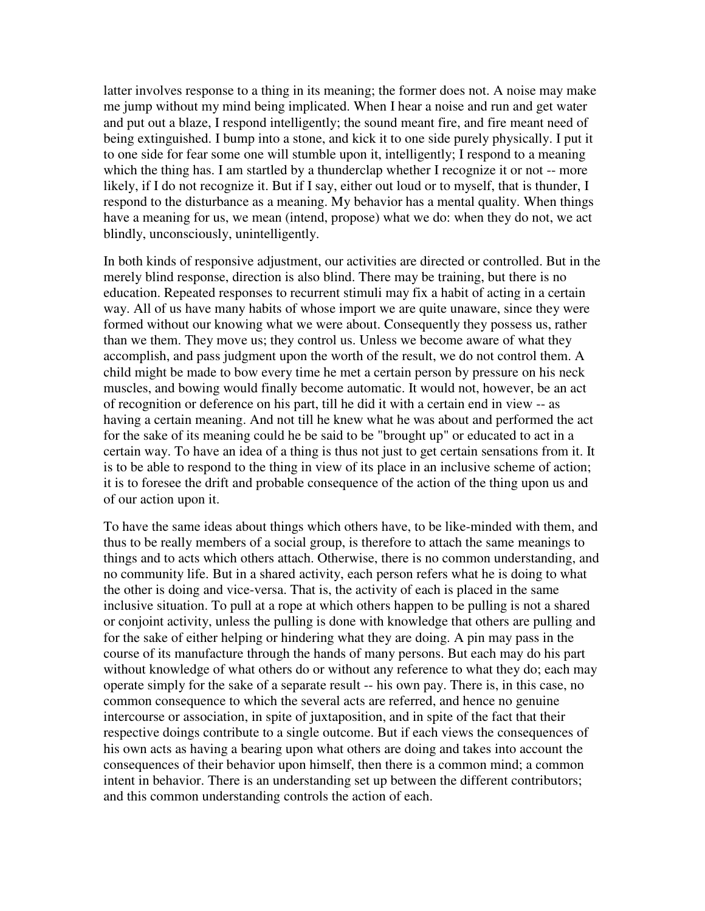latter involves response to a thing in its meaning; the former does not. A noise may make me jump without my mind being implicated. When I hear a noise and run and get water and put out a blaze, I respond intelligently; the sound meant fire, and fire meant need of being extinguished. I bump into a stone, and kick it to one side purely physically. I put it to one side for fear some one will stumble upon it, intelligently; I respond to a meaning which the thing has. I am startled by a thunderclap whether I recognize it or not -- more likely, if I do not recognize it. But if I say, either out loud or to myself, that is thunder, I respond to the disturbance as a meaning. My behavior has a mental quality. When things have a meaning for us, we mean (intend, propose) what we do: when they do not, we act blindly, unconsciously, unintelligently.

In both kinds of responsive adjustment, our activities are directed or controlled. But in the merely blind response, direction is also blind. There may be training, but there is no education. Repeated responses to recurrent stimuli may fix a habit of acting in a certain way. All of us have many habits of whose import we are quite unaware, since they were formed without our knowing what we were about. Consequently they possess us, rather than we them. They move us; they control us. Unless we become aware of what they accomplish, and pass judgment upon the worth of the result, we do not control them. A child might be made to bow every time he met a certain person by pressure on his neck muscles, and bowing would finally become automatic. It would not, however, be an act of recognition or deference on his part, till he did it with a certain end in view -- as having a certain meaning. And not till he knew what he was about and performed the act for the sake of its meaning could he be said to be "brought up" or educated to act in a certain way. To have an idea of a thing is thus not just to get certain sensations from it. It is to be able to respond to the thing in view of its place in an inclusive scheme of action; it is to foresee the drift and probable consequence of the action of the thing upon us and of our action upon it.

To have the same ideas about things which others have, to be like-minded with them, and thus to be really members of a social group, is therefore to attach the same meanings to things and to acts which others attach. Otherwise, there is no common understanding, and no community life. But in a shared activity, each person refers what he is doing to what the other is doing and vice-versa. That is, the activity of each is placed in the same inclusive situation. To pull at a rope at which others happen to be pulling is not a shared or conjoint activity, unless the pulling is done with knowledge that others are pulling and for the sake of either helping or hindering what they are doing. A pin may pass in the course of its manufacture through the hands of many persons. But each may do his part without knowledge of what others do or without any reference to what they do; each may operate simply for the sake of a separate result -- his own pay. There is, in this case, no common consequence to which the several acts are referred, and hence no genuine intercourse or association, in spite of juxtaposition, and in spite of the fact that their respective doings contribute to a single outcome. But if each views the consequences of his own acts as having a bearing upon what others are doing and takes into account the consequences of their behavior upon himself, then there is a common mind; a common intent in behavior. There is an understanding set up between the different contributors; and this common understanding controls the action of each.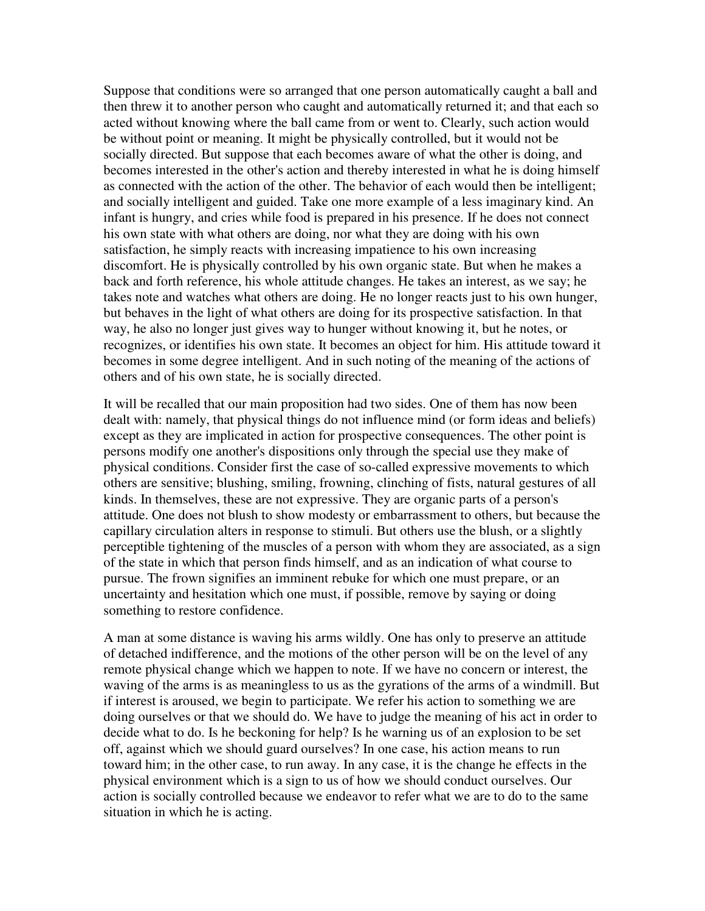Suppose that conditions were so arranged that one person automatically caught a ball and then threw it to another person who caught and automatically returned it; and that each so acted without knowing where the ball came from or went to. Clearly, such action would be without point or meaning. It might be physically controlled, but it would not be socially directed. But suppose that each becomes aware of what the other is doing, and becomes interested in the other's action and thereby interested in what he is doing himself as connected with the action of the other. The behavior of each would then be intelligent; and socially intelligent and guided. Take one more example of a less imaginary kind. An infant is hungry, and cries while food is prepared in his presence. If he does not connect his own state with what others are doing, nor what they are doing with his own satisfaction, he simply reacts with increasing impatience to his own increasing discomfort. He is physically controlled by his own organic state. But when he makes a back and forth reference, his whole attitude changes. He takes an interest, as we say; he takes note and watches what others are doing. He no longer reacts just to his own hunger, but behaves in the light of what others are doing for its prospective satisfaction. In that way, he also no longer just gives way to hunger without knowing it, but he notes, or recognizes, or identifies his own state. It becomes an object for him. His attitude toward it becomes in some degree intelligent. And in such noting of the meaning of the actions of others and of his own state, he is socially directed.

It will be recalled that our main proposition had two sides. One of them has now been dealt with: namely, that physical things do not influence mind (or form ideas and beliefs) except as they are implicated in action for prospective consequences. The other point is persons modify one another's dispositions only through the special use they make of physical conditions. Consider first the case of so-called expressive movements to which others are sensitive; blushing, smiling, frowning, clinching of fists, natural gestures of all kinds. In themselves, these are not expressive. They are organic parts of a person's attitude. One does not blush to show modesty or embarrassment to others, but because the capillary circulation alters in response to stimuli. But others use the blush, or a slightly perceptible tightening of the muscles of a person with whom they are associated, as a sign of the state in which that person finds himself, and as an indication of what course to pursue. The frown signifies an imminent rebuke for which one must prepare, or an uncertainty and hesitation which one must, if possible, remove by saying or doing something to restore confidence.

A man at some distance is waving his arms wildly. One has only to preserve an attitude of detached indifference, and the motions of the other person will be on the level of any remote physical change which we happen to note. If we have no concern or interest, the waving of the arms is as meaningless to us as the gyrations of the arms of a windmill. But if interest is aroused, we begin to participate. We refer his action to something we are doing ourselves or that we should do. We have to judge the meaning of his act in order to decide what to do. Is he beckoning for help? Is he warning us of an explosion to be set off, against which we should guard ourselves? In one case, his action means to run toward him; in the other case, to run away. In any case, it is the change he effects in the physical environment which is a sign to us of how we should conduct ourselves. Our action is socially controlled because we endeavor to refer what we are to do to the same situation in which he is acting.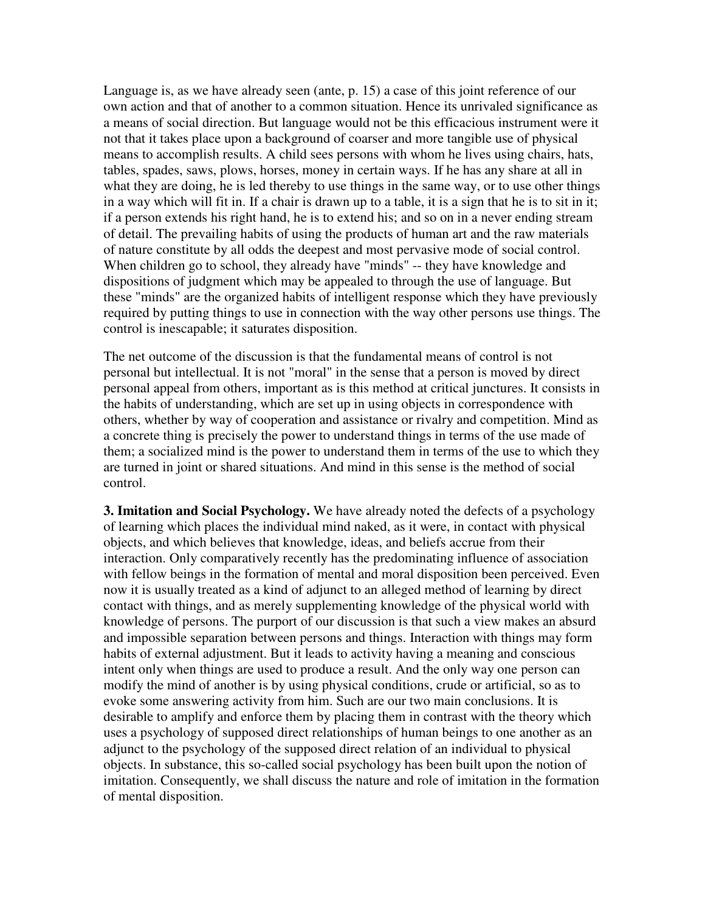Language is, as we have already seen (ante, p. 15) a case of this joint reference of our own action and that of another to a common situation. Hence its unrivaled significance as a means of social direction. But language would not be this efficacious instrument were it not that it takes place upon a background of coarser and more tangible use of physical means to accomplish results. A child sees persons with whom he lives using chairs, hats, tables, spades, saws, plows, horses, money in certain ways. If he has any share at all in what they are doing, he is led thereby to use things in the same way, or to use other things in a way which will fit in. If a chair is drawn up to a table, it is a sign that he is to sit in it; if a person extends his right hand, he is to extend his; and so on in a never ending stream of detail. The prevailing habits of using the products of human art and the raw materials of nature constitute by all odds the deepest and most pervasive mode of social control. When children go to school, they already have "minds" -- they have knowledge and dispositions of judgment which may be appealed to through the use of language. But these "minds" are the organized habits of intelligent response which they have previously required by putting things to use in connection with the way other persons use things. The control is inescapable; it saturates disposition.

The net outcome of the discussion is that the fundamental means of control is not personal but intellectual. It is not "moral" in the sense that a person is moved by direct personal appeal from others, important as is this method at critical junctures. It consists in the habits of understanding, which are set up in using objects in correspondence with others, whether by way of cooperation and assistance or rivalry and competition. Mind as a concrete thing is precisely the power to understand things in terms of the use made of them; a socialized mind is the power to understand them in terms of the use to which they are turned in joint or shared situations. And mind in this sense is the method of social control.

**3. Imitation and Social Psychology.** We have already noted the defects of a psychology of learning which places the individual mind naked, as it were, in contact with physical objects, and which believes that knowledge, ideas, and beliefs accrue from their interaction. Only comparatively recently has the predominating influence of association with fellow beings in the formation of mental and moral disposition been perceived. Even now it is usually treated as a kind of adjunct to an alleged method of learning by direct contact with things, and as merely supplementing knowledge of the physical world with knowledge of persons. The purport of our discussion is that such a view makes an absurd and impossible separation between persons and things. Interaction with things may form habits of external adjustment. But it leads to activity having a meaning and conscious intent only when things are used to produce a result. And the only way one person can modify the mind of another is by using physical conditions, crude or artificial, so as to evoke some answering activity from him. Such are our two main conclusions. It is desirable to amplify and enforce them by placing them in contrast with the theory which uses a psychology of supposed direct relationships of human beings to one another as an adjunct to the psychology of the supposed direct relation of an individual to physical objects. In substance, this so-called social psychology has been built upon the notion of imitation. Consequently, we shall discuss the nature and role of imitation in the formation of mental disposition.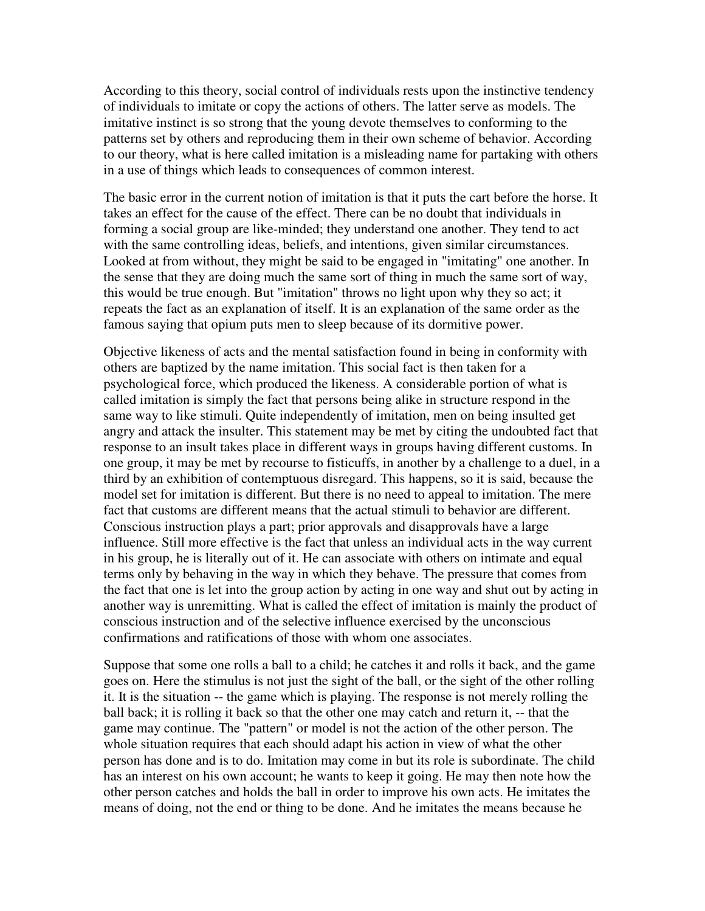According to this theory, social control of individuals rests upon the instinctive tendency of individuals to imitate or copy the actions of others. The latter serve as models. The imitative instinct is so strong that the young devote themselves to conforming to the patterns set by others and reproducing them in their own scheme of behavior. According to our theory, what is here called imitation is a misleading name for partaking with others in a use of things which leads to consequences of common interest.

The basic error in the current notion of imitation is that it puts the cart before the horse. It takes an effect for the cause of the effect. There can be no doubt that individuals in forming a social group are like-minded; they understand one another. They tend to act with the same controlling ideas, beliefs, and intentions, given similar circumstances. Looked at from without, they might be said to be engaged in "imitating" one another. In the sense that they are doing much the same sort of thing in much the same sort of way, this would be true enough. But "imitation" throws no light upon why they so act; it repeats the fact as an explanation of itself. It is an explanation of the same order as the famous saying that opium puts men to sleep because of its dormitive power.

Objective likeness of acts and the mental satisfaction found in being in conformity with others are baptized by the name imitation. This social fact is then taken for a psychological force, which produced the likeness. A considerable portion of what is called imitation is simply the fact that persons being alike in structure respond in the same way to like stimuli. Quite independently of imitation, men on being insulted get angry and attack the insulter. This statement may be met by citing the undoubted fact that response to an insult takes place in different ways in groups having different customs. In one group, it may be met by recourse to fisticuffs, in another by a challenge to a duel, in a third by an exhibition of contemptuous disregard. This happens, so it is said, because the model set for imitation is different. But there is no need to appeal to imitation. The mere fact that customs are different means that the actual stimuli to behavior are different. Conscious instruction plays a part; prior approvals and disapprovals have a large influence. Still more effective is the fact that unless an individual acts in the way current in his group, he is literally out of it. He can associate with others on intimate and equal terms only by behaving in the way in which they behave. The pressure that comes from the fact that one is let into the group action by acting in one way and shut out by acting in another way is unremitting. What is called the effect of imitation is mainly the product of conscious instruction and of the selective influence exercised by the unconscious confirmations and ratifications of those with whom one associates.

Suppose that some one rolls a ball to a child; he catches it and rolls it back, and the game goes on. Here the stimulus is not just the sight of the ball, or the sight of the other rolling it. It is the situation -- the game which is playing. The response is not merely rolling the ball back; it is rolling it back so that the other one may catch and return it, -- that the game may continue. The "pattern" or model is not the action of the other person. The whole situation requires that each should adapt his action in view of what the other person has done and is to do. Imitation may come in but its role is subordinate. The child has an interest on his own account; he wants to keep it going. He may then note how the other person catches and holds the ball in order to improve his own acts. He imitates the means of doing, not the end or thing to be done. And he imitates the means because he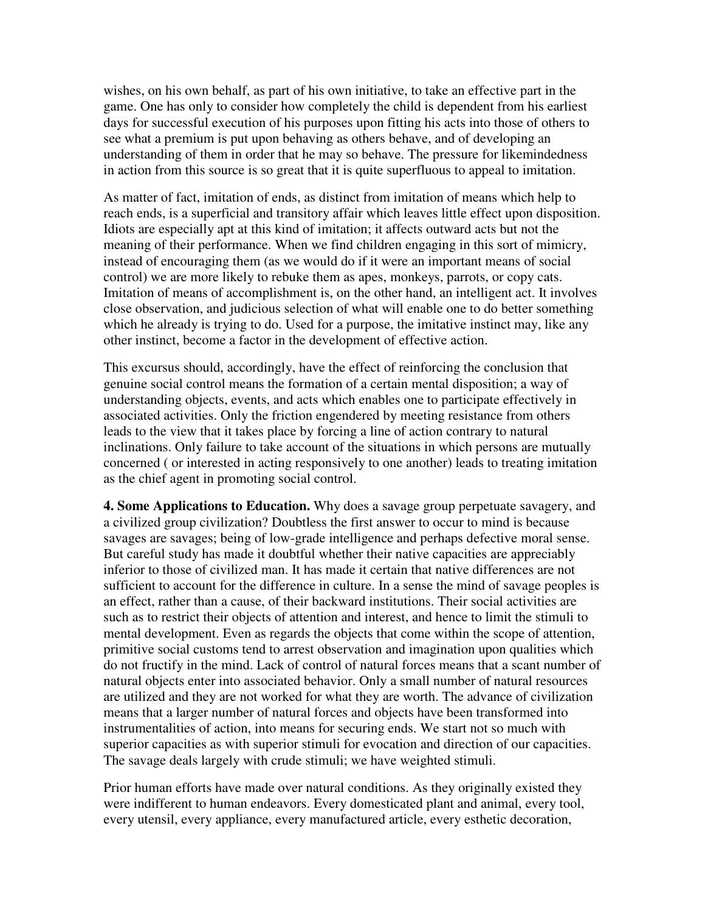wishes, on his own behalf, as part of his own initiative, to take an effective part in the game. One has only to consider how completely the child is dependent from his earliest days for successful execution of his purposes upon fitting his acts into those of others to see what a premium is put upon behaving as others behave, and of developing an understanding of them in order that he may so behave. The pressure for likemindedness in action from this source is so great that it is quite superfluous to appeal to imitation.

As matter of fact, imitation of ends, as distinct from imitation of means which help to reach ends, is a superficial and transitory affair which leaves little effect upon disposition. Idiots are especially apt at this kind of imitation; it affects outward acts but not the meaning of their performance. When we find children engaging in this sort of mimicry, instead of encouraging them (as we would do if it were an important means of social control) we are more likely to rebuke them as apes, monkeys, parrots, or copy cats. Imitation of means of accomplishment is, on the other hand, an intelligent act. It involves close observation, and judicious selection of what will enable one to do better something which he already is trying to do. Used for a purpose, the imitative instinct may, like any other instinct, become a factor in the development of effective action.

This excursus should, accordingly, have the effect of reinforcing the conclusion that genuine social control means the formation of a certain mental disposition; a way of understanding objects, events, and acts which enables one to participate effectively in associated activities. Only the friction engendered by meeting resistance from others leads to the view that it takes place by forcing a line of action contrary to natural inclinations. Only failure to take account of the situations in which persons are mutually concerned ( or interested in acting responsively to one another) leads to treating imitation as the chief agent in promoting social control.

**4. Some Applications to Education.** Why does a savage group perpetuate savagery, and a civilized group civilization? Doubtless the first answer to occur to mind is because savages are savages; being of low-grade intelligence and perhaps defective moral sense. But careful study has made it doubtful whether their native capacities are appreciably inferior to those of civilized man. It has made it certain that native differences are not sufficient to account for the difference in culture. In a sense the mind of savage peoples is an effect, rather than a cause, of their backward institutions. Their social activities are such as to restrict their objects of attention and interest, and hence to limit the stimuli to mental development. Even as regards the objects that come within the scope of attention, primitive social customs tend to arrest observation and imagination upon qualities which do not fructify in the mind. Lack of control of natural forces means that a scant number of natural objects enter into associated behavior. Only a small number of natural resources are utilized and they are not worked for what they are worth. The advance of civilization means that a larger number of natural forces and objects have been transformed into instrumentalities of action, into means for securing ends. We start not so much with superior capacities as with superior stimuli for evocation and direction of our capacities. The savage deals largely with crude stimuli; we have weighted stimuli.

Prior human efforts have made over natural conditions. As they originally existed they were indifferent to human endeavors. Every domesticated plant and animal, every tool, every utensil, every appliance, every manufactured article, every esthetic decoration,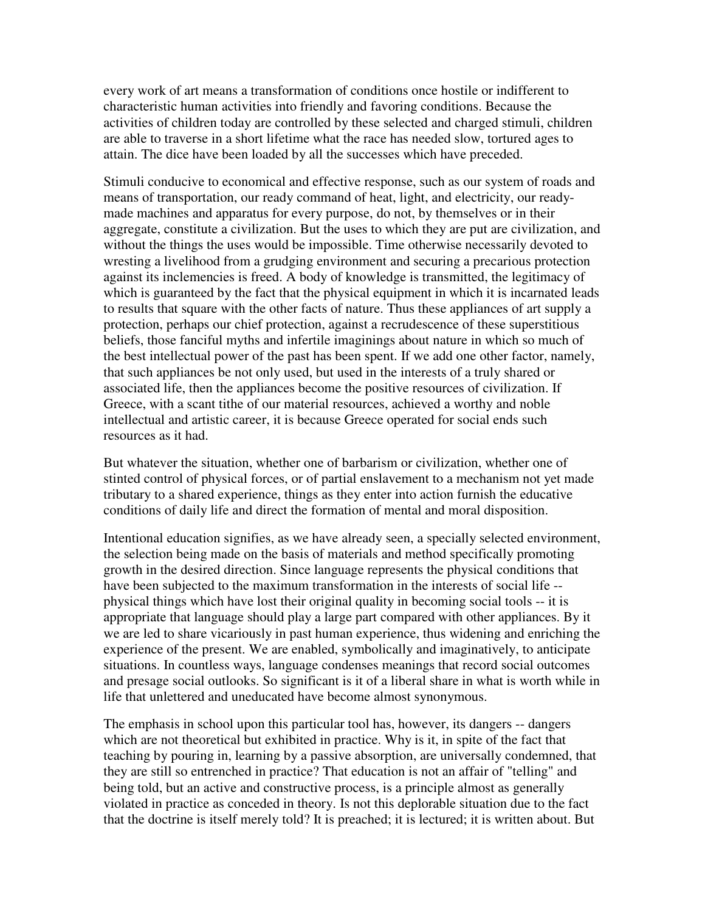every work of art means a transformation of conditions once hostile or indifferent to characteristic human activities into friendly and favoring conditions. Because the activities of children today are controlled by these selected and charged stimuli, children are able to traverse in a short lifetime what the race has needed slow, tortured ages to attain. The dice have been loaded by all the successes which have preceded.

Stimuli conducive to economical and effective response, such as our system of roads and means of transportation, our ready command of heat, light, and electricity, our readymade machines and apparatus for every purpose, do not, by themselves or in their aggregate, constitute a civilization. But the uses to which they are put are civilization, and without the things the uses would be impossible. Time otherwise necessarily devoted to wresting a livelihood from a grudging environment and securing a precarious protection against its inclemencies is freed. A body of knowledge is transmitted, the legitimacy of which is guaranteed by the fact that the physical equipment in which it is incarnated leads to results that square with the other facts of nature. Thus these appliances of art supply a protection, perhaps our chief protection, against a recrudescence of these superstitious beliefs, those fanciful myths and infertile imaginings about nature in which so much of the best intellectual power of the past has been spent. If we add one other factor, namely, that such appliances be not only used, but used in the interests of a truly shared or associated life, then the appliances become the positive resources of civilization. If Greece, with a scant tithe of our material resources, achieved a worthy and noble intellectual and artistic career, it is because Greece operated for social ends such resources as it had.

But whatever the situation, whether one of barbarism or civilization, whether one of stinted control of physical forces, or of partial enslavement to a mechanism not yet made tributary to a shared experience, things as they enter into action furnish the educative conditions of daily life and direct the formation of mental and moral disposition.

Intentional education signifies, as we have already seen, a specially selected environment, the selection being made on the basis of materials and method specifically promoting growth in the desired direction. Since language represents the physical conditions that have been subjected to the maximum transformation in the interests of social life - physical things which have lost their original quality in becoming social tools -- it is appropriate that language should play a large part compared with other appliances. By it we are led to share vicariously in past human experience, thus widening and enriching the experience of the present. We are enabled, symbolically and imaginatively, to anticipate situations. In countless ways, language condenses meanings that record social outcomes and presage social outlooks. So significant is it of a liberal share in what is worth while in life that unlettered and uneducated have become almost synonymous.

The emphasis in school upon this particular tool has, however, its dangers -- dangers which are not theoretical but exhibited in practice. Why is it, in spite of the fact that teaching by pouring in, learning by a passive absorption, are universally condemned, that they are still so entrenched in practice? That education is not an affair of "telling" and being told, but an active and constructive process, is a principle almost as generally violated in practice as conceded in theory. Is not this deplorable situation due to the fact that the doctrine is itself merely told? It is preached; it is lectured; it is written about. But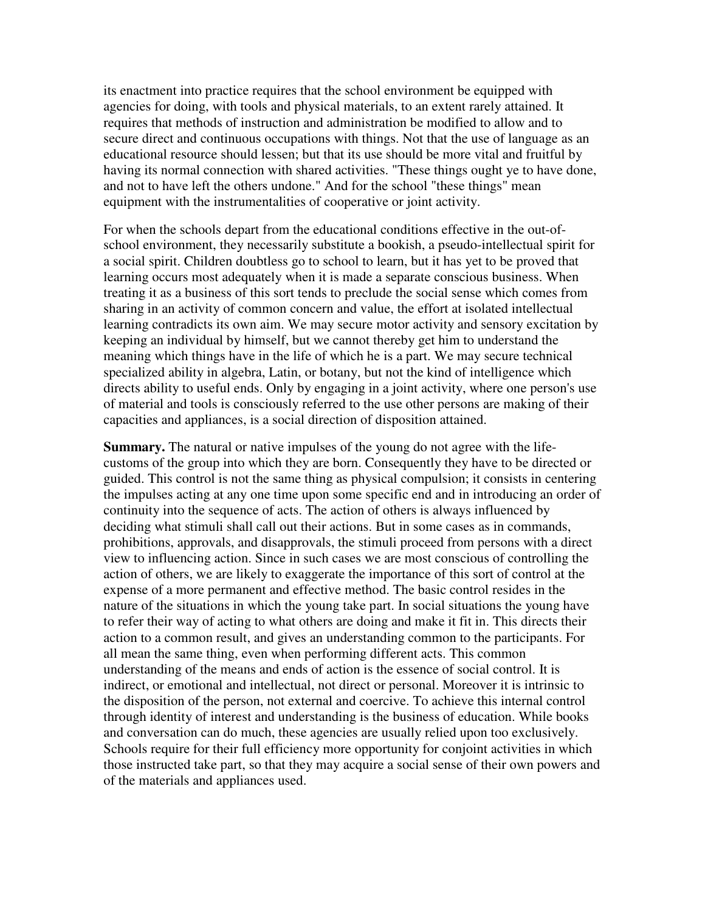its enactment into practice requires that the school environment be equipped with agencies for doing, with tools and physical materials, to an extent rarely attained. It requires that methods of instruction and administration be modified to allow and to secure direct and continuous occupations with things. Not that the use of language as an educational resource should lessen; but that its use should be more vital and fruitful by having its normal connection with shared activities. "These things ought ye to have done, and not to have left the others undone." And for the school "these things" mean equipment with the instrumentalities of cooperative or joint activity.

For when the schools depart from the educational conditions effective in the out-ofschool environment, they necessarily substitute a bookish, a pseudo-intellectual spirit for a social spirit. Children doubtless go to school to learn, but it has yet to be proved that learning occurs most adequately when it is made a separate conscious business. When treating it as a business of this sort tends to preclude the social sense which comes from sharing in an activity of common concern and value, the effort at isolated intellectual learning contradicts its own aim. We may secure motor activity and sensory excitation by keeping an individual by himself, but we cannot thereby get him to understand the meaning which things have in the life of which he is a part. We may secure technical specialized ability in algebra, Latin, or botany, but not the kind of intelligence which directs ability to useful ends. Only by engaging in a joint activity, where one person's use of material and tools is consciously referred to the use other persons are making of their capacities and appliances, is a social direction of disposition attained.

**Summary.** The natural or native impulses of the young do not agree with the lifecustoms of the group into which they are born. Consequently they have to be directed or guided. This control is not the same thing as physical compulsion; it consists in centering the impulses acting at any one time upon some specific end and in introducing an order of continuity into the sequence of acts. The action of others is always influenced by deciding what stimuli shall call out their actions. But in some cases as in commands, prohibitions, approvals, and disapprovals, the stimuli proceed from persons with a direct view to influencing action. Since in such cases we are most conscious of controlling the action of others, we are likely to exaggerate the importance of this sort of control at the expense of a more permanent and effective method. The basic control resides in the nature of the situations in which the young take part. In social situations the young have to refer their way of acting to what others are doing and make it fit in. This directs their action to a common result, and gives an understanding common to the participants. For all mean the same thing, even when performing different acts. This common understanding of the means and ends of action is the essence of social control. It is indirect, or emotional and intellectual, not direct or personal. Moreover it is intrinsic to the disposition of the person, not external and coercive. To achieve this internal control through identity of interest and understanding is the business of education. While books and conversation can do much, these agencies are usually relied upon too exclusively. Schools require for their full efficiency more opportunity for conjoint activities in which those instructed take part, so that they may acquire a social sense of their own powers and of the materials and appliances used.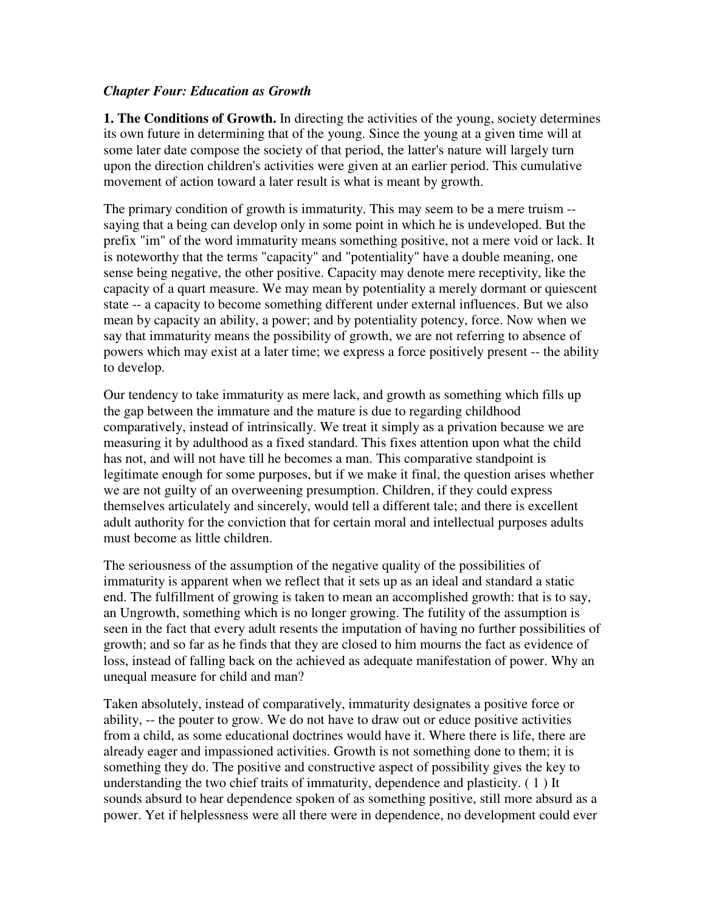# *Chapter Four: Education as Growth*

**1. The Conditions of Growth.** In directing the activities of the young, society determines its own future in determining that of the young. Since the young at a given time will at some later date compose the society of that period, the latter's nature will largely turn upon the direction children's activities were given at an earlier period. This cumulative movement of action toward a later result is what is meant by growth.

The primary condition of growth is immaturity. This may seem to be a mere truism - saying that a being can develop only in some point in which he is undeveloped. But the prefix "im" of the word immaturity means something positive, not a mere void or lack. It is noteworthy that the terms "capacity" and "potentiality" have a double meaning, one sense being negative, the other positive. Capacity may denote mere receptivity, like the capacity of a quart measure. We may mean by potentiality a merely dormant or quiescent state -- a capacity to become something different under external influences. But we also mean by capacity an ability, a power; and by potentiality potency, force. Now when we say that immaturity means the possibility of growth, we are not referring to absence of powers which may exist at a later time; we express a force positively present -- the ability to develop.

Our tendency to take immaturity as mere lack, and growth as something which fills up the gap between the immature and the mature is due to regarding childhood comparatively, instead of intrinsically. We treat it simply as a privation because we are measuring it by adulthood as a fixed standard. This fixes attention upon what the child has not, and will not have till he becomes a man. This comparative standpoint is legitimate enough for some purposes, but if we make it final, the question arises whether we are not guilty of an overweening presumption. Children, if they could express themselves articulately and sincerely, would tell a different tale; and there is excellent adult authority for the conviction that for certain moral and intellectual purposes adults must become as little children.

The seriousness of the assumption of the negative quality of the possibilities of immaturity is apparent when we reflect that it sets up as an ideal and standard a static end. The fulfillment of growing is taken to mean an accomplished growth: that is to say, an Ungrowth, something which is no longer growing. The futility of the assumption is seen in the fact that every adult resents the imputation of having no further possibilities of growth; and so far as he finds that they are closed to him mourns the fact as evidence of loss, instead of falling back on the achieved as adequate manifestation of power. Why an unequal measure for child and man?

Taken absolutely, instead of comparatively, immaturity designates a positive force or ability, -- the pouter to grow. We do not have to draw out or educe positive activities from a child, as some educational doctrines would have it. Where there is life, there are already eager and impassioned activities. Growth is not something done to them; it is something they do. The positive and constructive aspect of possibility gives the key to understanding the two chief traits of immaturity, dependence and plasticity. ( 1 ) It sounds absurd to hear dependence spoken of as something positive, still more absurd as a power. Yet if helplessness were all there were in dependence, no development could ever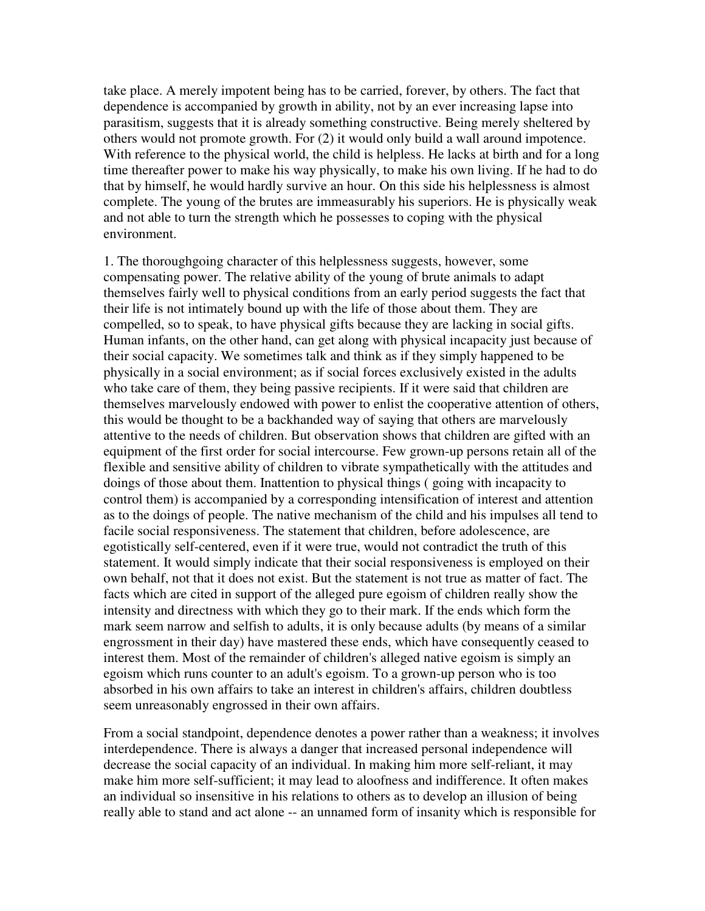take place. A merely impotent being has to be carried, forever, by others. The fact that dependence is accompanied by growth in ability, not by an ever increasing lapse into parasitism, suggests that it is already something constructive. Being merely sheltered by others would not promote growth. For (2) it would only build a wall around impotence. With reference to the physical world, the child is helpless. He lacks at birth and for a long time thereafter power to make his way physically, to make his own living. If he had to do that by himself, he would hardly survive an hour. On this side his helplessness is almost complete. The young of the brutes are immeasurably his superiors. He is physically weak and not able to turn the strength which he possesses to coping with the physical environment.

1. The thoroughgoing character of this helplessness suggests, however, some compensating power. The relative ability of the young of brute animals to adapt themselves fairly well to physical conditions from an early period suggests the fact that their life is not intimately bound up with the life of those about them. They are compelled, so to speak, to have physical gifts because they are lacking in social gifts. Human infants, on the other hand, can get along with physical incapacity just because of their social capacity. We sometimes talk and think as if they simply happened to be physically in a social environment; as if social forces exclusively existed in the adults who take care of them, they being passive recipients. If it were said that children are themselves marvelously endowed with power to enlist the cooperative attention of others, this would be thought to be a backhanded way of saying that others are marvelously attentive to the needs of children. But observation shows that children are gifted with an equipment of the first order for social intercourse. Few grown-up persons retain all of the flexible and sensitive ability of children to vibrate sympathetically with the attitudes and doings of those about them. Inattention to physical things ( going with incapacity to control them) is accompanied by a corresponding intensification of interest and attention as to the doings of people. The native mechanism of the child and his impulses all tend to facile social responsiveness. The statement that children, before adolescence, are egotistically self-centered, even if it were true, would not contradict the truth of this statement. It would simply indicate that their social responsiveness is employed on their own behalf, not that it does not exist. But the statement is not true as matter of fact. The facts which are cited in support of the alleged pure egoism of children really show the intensity and directness with which they go to their mark. If the ends which form the mark seem narrow and selfish to adults, it is only because adults (by means of a similar engrossment in their day) have mastered these ends, which have consequently ceased to interest them. Most of the remainder of children's alleged native egoism is simply an egoism which runs counter to an adult's egoism. To a grown-up person who is too absorbed in his own affairs to take an interest in children's affairs, children doubtless seem unreasonably engrossed in their own affairs.

From a social standpoint, dependence denotes a power rather than a weakness; it involves interdependence. There is always a danger that increased personal independence will decrease the social capacity of an individual. In making him more self-reliant, it may make him more self-sufficient; it may lead to aloofness and indifference. It often makes an individual so insensitive in his relations to others as to develop an illusion of being really able to stand and act alone -- an unnamed form of insanity which is responsible for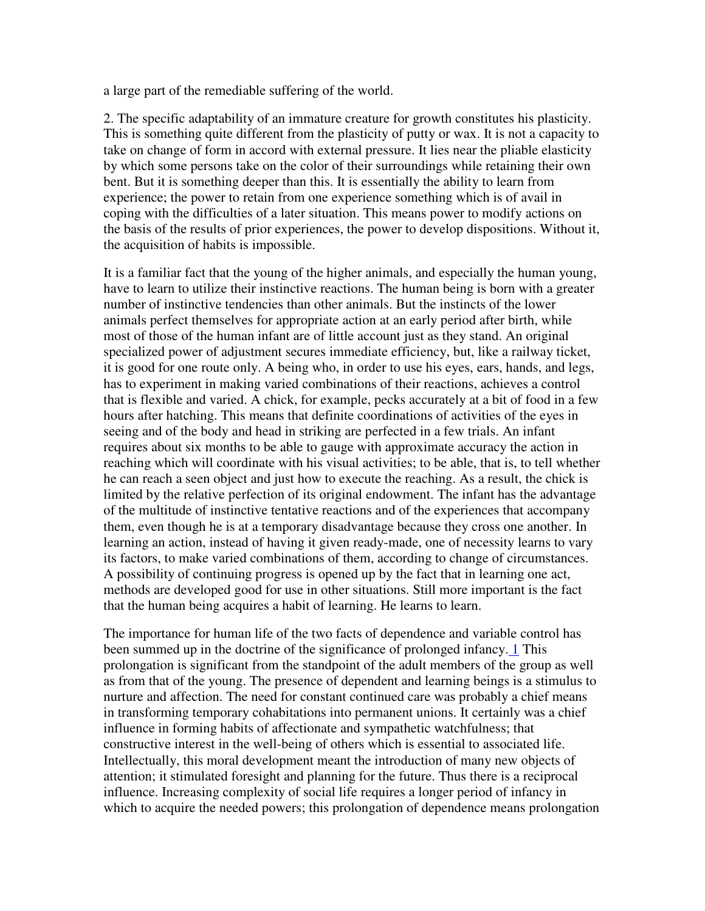a large part of the remediable suffering of the world.

2. The specific adaptability of an immature creature for growth constitutes his plasticity. This is something quite different from the plasticity of putty or wax. It is not a capacity to take on change of form in accord with external pressure. It lies near the pliable elasticity by which some persons take on the color of their surroundings while retaining their own bent. But it is something deeper than this. It is essentially the ability to learn from experience; the power to retain from one experience something which is of avail in coping with the difficulties of a later situation. This means power to modify actions on the basis of the results of prior experiences, the power to develop dispositions. Without it, the acquisition of habits is impossible.

It is a familiar fact that the young of the higher animals, and especially the human young, have to learn to utilize their instinctive reactions. The human being is born with a greater number of instinctive tendencies than other animals. But the instincts of the lower animals perfect themselves for appropriate action at an early period after birth, while most of those of the human infant are of little account just as they stand. An original specialized power of adjustment secures immediate efficiency, but, like a railway ticket, it is good for one route only. A being who, in order to use his eyes, ears, hands, and legs, has to experiment in making varied combinations of their reactions, achieves a control that is flexible and varied. A chick, for example, pecks accurately at a bit of food in a few hours after hatching. This means that definite coordinations of activities of the eyes in seeing and of the body and head in striking are perfected in a few trials. An infant requires about six months to be able to gauge with approximate accuracy the action in reaching which will coordinate with his visual activities; to be able, that is, to tell whether he can reach a seen object and just how to execute the reaching. As a result, the chick is limited by the relative perfection of its original endowment. The infant has the advantage of the multitude of instinctive tentative reactions and of the experiences that accompany them, even though he is at a temporary disadvantage because they cross one another. In learning an action, instead of having it given ready-made, one of necessity learns to vary its factors, to make varied combinations of them, according to change of circumstances. A possibility of continuing progress is opened up by the fact that in learning one act, methods are developed good for use in other situations. Still more important is the fact that the human being acquires a habit of learning. He learns to learn.

The importance for human life of the two facts of dependence and variable control has been summed up in the doctrine of the significance of prolonged infancy. 1 This prolongation is significant from the standpoint of the adult members of the group as well as from that of the young. The presence of dependent and learning beings is a stimulus to nurture and affection. The need for constant continued care was probably a chief means in transforming temporary cohabitations into permanent unions. It certainly was a chief influence in forming habits of affectionate and sympathetic watchfulness; that constructive interest in the well-being of others which is essential to associated life. Intellectually, this moral development meant the introduction of many new objects of attention; it stimulated foresight and planning for the future. Thus there is a reciprocal influence. Increasing complexity of social life requires a longer period of infancy in which to acquire the needed powers; this prolongation of dependence means prolongation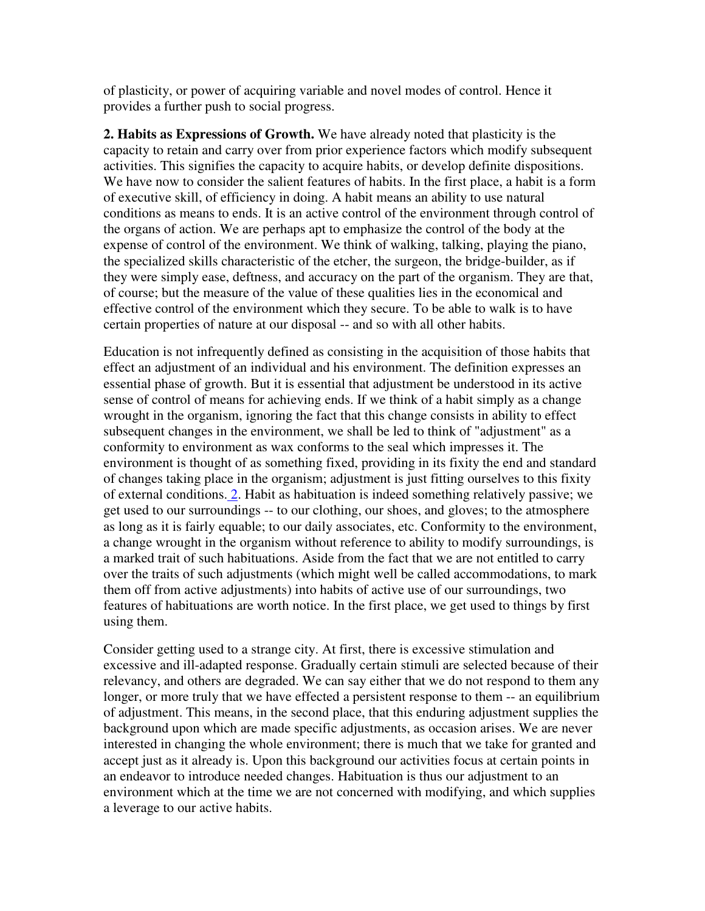of plasticity, or power of acquiring variable and novel modes of control. Hence it provides a further push to social progress.

**2. Habits as Expressions of Growth.** We have already noted that plasticity is the capacity to retain and carry over from prior experience factors which modify subsequent activities. This signifies the capacity to acquire habits, or develop definite dispositions. We have now to consider the salient features of habits. In the first place, a habit is a form of executive skill, of efficiency in doing. A habit means an ability to use natural conditions as means to ends. It is an active control of the environment through control of the organs of action. We are perhaps apt to emphasize the control of the body at the expense of control of the environment. We think of walking, talking, playing the piano, the specialized skills characteristic of the etcher, the surgeon, the bridge-builder, as if they were simply ease, deftness, and accuracy on the part of the organism. They are that, of course; but the measure of the value of these qualities lies in the economical and effective control of the environment which they secure. To be able to walk is to have certain properties of nature at our disposal -- and so with all other habits.

Education is not infrequently defined as consisting in the acquisition of those habits that effect an adjustment of an individual and his environment. The definition expresses an essential phase of growth. But it is essential that adjustment be understood in its active sense of control of means for achieving ends. If we think of a habit simply as a change wrought in the organism, ignoring the fact that this change consists in ability to effect subsequent changes in the environment, we shall be led to think of "adjustment" as a conformity to environment as wax conforms to the seal which impresses it. The environment is thought of as something fixed, providing in its fixity the end and standard of changes taking place in the organism; adjustment is just fitting ourselves to this fixity of external conditions. 2. Habit as habituation is indeed something relatively passive; we get used to our surroundings -- to our clothing, our shoes, and gloves; to the atmosphere as long as it is fairly equable; to our daily associates, etc. Conformity to the environment, a change wrought in the organism without reference to ability to modify surroundings, is a marked trait of such habituations. Aside from the fact that we are not entitled to carry over the traits of such adjustments (which might well be called accommodations, to mark them off from active adjustments) into habits of active use of our surroundings, two features of habituations are worth notice. In the first place, we get used to things by first using them.

Consider getting used to a strange city. At first, there is excessive stimulation and excessive and ill-adapted response. Gradually certain stimuli are selected because of their relevancy, and others are degraded. We can say either that we do not respond to them any longer, or more truly that we have effected a persistent response to them -- an equilibrium of adjustment. This means, in the second place, that this enduring adjustment supplies the background upon which are made specific adjustments, as occasion arises. We are never interested in changing the whole environment; there is much that we take for granted and accept just as it already is. Upon this background our activities focus at certain points in an endeavor to introduce needed changes. Habituation is thus our adjustment to an environment which at the time we are not concerned with modifying, and which supplies a leverage to our active habits.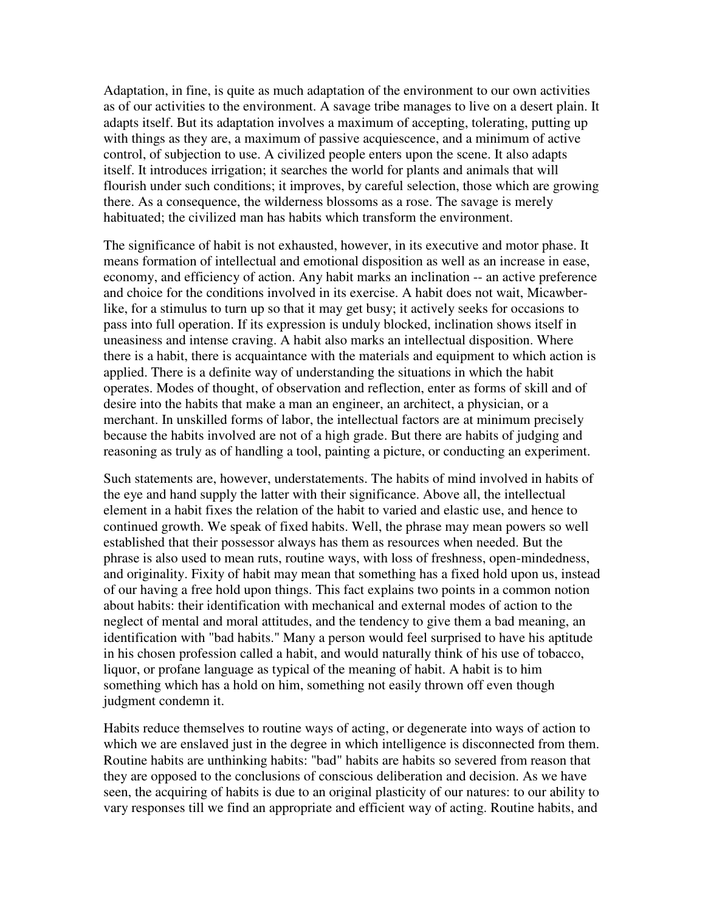Adaptation, in fine, is quite as much adaptation of the environment to our own activities as of our activities to the environment. A savage tribe manages to live on a desert plain. It adapts itself. But its adaptation involves a maximum of accepting, tolerating, putting up with things as they are, a maximum of passive acquiescence, and a minimum of active control, of subjection to use. A civilized people enters upon the scene. It also adapts itself. It introduces irrigation; it searches the world for plants and animals that will flourish under such conditions; it improves, by careful selection, those which are growing there. As a consequence, the wilderness blossoms as a rose. The savage is merely habituated; the civilized man has habits which transform the environment.

The significance of habit is not exhausted, however, in its executive and motor phase. It means formation of intellectual and emotional disposition as well as an increase in ease, economy, and efficiency of action. Any habit marks an inclination -- an active preference and choice for the conditions involved in its exercise. A habit does not wait, Micawberlike, for a stimulus to turn up so that it may get busy; it actively seeks for occasions to pass into full operation. If its expression is unduly blocked, inclination shows itself in uneasiness and intense craving. A habit also marks an intellectual disposition. Where there is a habit, there is acquaintance with the materials and equipment to which action is applied. There is a definite way of understanding the situations in which the habit operates. Modes of thought, of observation and reflection, enter as forms of skill and of desire into the habits that make a man an engineer, an architect, a physician, or a merchant. In unskilled forms of labor, the intellectual factors are at minimum precisely because the habits involved are not of a high grade. But there are habits of judging and reasoning as truly as of handling a tool, painting a picture, or conducting an experiment.

Such statements are, however, understatements. The habits of mind involved in habits of the eye and hand supply the latter with their significance. Above all, the intellectual element in a habit fixes the relation of the habit to varied and elastic use, and hence to continued growth. We speak of fixed habits. Well, the phrase may mean powers so well established that their possessor always has them as resources when needed. But the phrase is also used to mean ruts, routine ways, with loss of freshness, open-mindedness, and originality. Fixity of habit may mean that something has a fixed hold upon us, instead of our having a free hold upon things. This fact explains two points in a common notion about habits: their identification with mechanical and external modes of action to the neglect of mental and moral attitudes, and the tendency to give them a bad meaning, an identification with "bad habits." Many a person would feel surprised to have his aptitude in his chosen profession called a habit, and would naturally think of his use of tobacco, liquor, or profane language as typical of the meaning of habit. A habit is to him something which has a hold on him, something not easily thrown off even though judgment condemn it.

Habits reduce themselves to routine ways of acting, or degenerate into ways of action to which we are enslaved just in the degree in which intelligence is disconnected from them. Routine habits are unthinking habits: "bad" habits are habits so severed from reason that they are opposed to the conclusions of conscious deliberation and decision. As we have seen, the acquiring of habits is due to an original plasticity of our natures: to our ability to vary responses till we find an appropriate and efficient way of acting. Routine habits, and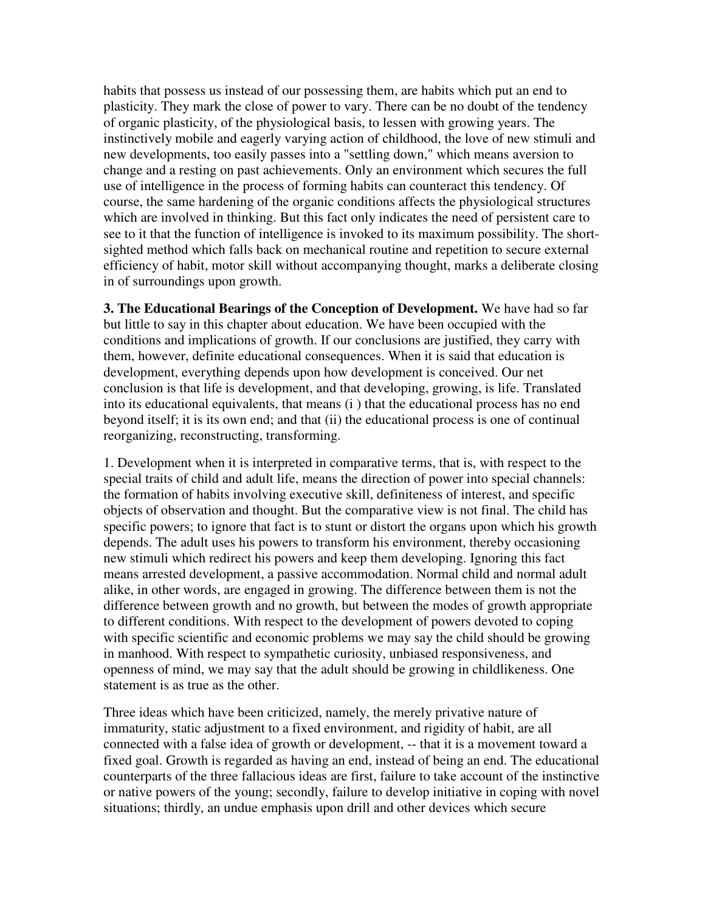habits that possess us instead of our possessing them, are habits which put an end to plasticity. They mark the close of power to vary. There can be no doubt of the tendency of organic plasticity, of the physiological basis, to lessen with growing years. The instinctively mobile and eagerly varying action of childhood, the love of new stimuli and new developments, too easily passes into a "settling down," which means aversion to change and a resting on past achievements. Only an environment which secures the full use of intelligence in the process of forming habits can counteract this tendency. Of course, the same hardening of the organic conditions affects the physiological structures which are involved in thinking. But this fact only indicates the need of persistent care to see to it that the function of intelligence is invoked to its maximum possibility. The shortsighted method which falls back on mechanical routine and repetition to secure external efficiency of habit, motor skill without accompanying thought, marks a deliberate closing in of surroundings upon growth.

**3. The Educational Bearings of the Conception of Development.** We have had so far but little to say in this chapter about education. We have been occupied with the conditions and implications of growth. If our conclusions are justified, they carry with them, however, definite educational consequences. When it is said that education is development, everything depends upon how development is conceived. Our net conclusion is that life is development, and that developing, growing, is life. Translated into its educational equivalents, that means (i ) that the educational process has no end beyond itself; it is its own end; and that (ii) the educational process is one of continual reorganizing, reconstructing, transforming.

1. Development when it is interpreted in comparative terms, that is, with respect to the special traits of child and adult life, means the direction of power into special channels: the formation of habits involving executive skill, definiteness of interest, and specific objects of observation and thought. But the comparative view is not final. The child has specific powers; to ignore that fact is to stunt or distort the organs upon which his growth depends. The adult uses his powers to transform his environment, thereby occasioning new stimuli which redirect his powers and keep them developing. Ignoring this fact means arrested development, a passive accommodation. Normal child and normal adult alike, in other words, are engaged in growing. The difference between them is not the difference between growth and no growth, but between the modes of growth appropriate to different conditions. With respect to the development of powers devoted to coping with specific scientific and economic problems we may say the child should be growing in manhood. With respect to sympathetic curiosity, unbiased responsiveness, and openness of mind, we may say that the adult should be growing in childlikeness. One statement is as true as the other.

Three ideas which have been criticized, namely, the merely privative nature of immaturity, static adjustment to a fixed environment, and rigidity of habit, are all connected with a false idea of growth or development, -- that it is a movement toward a fixed goal. Growth is regarded as having an end, instead of being an end. The educational counterparts of the three fallacious ideas are first, failure to take account of the instinctive or native powers of the young; secondly, failure to develop initiative in coping with novel situations; thirdly, an undue emphasis upon drill and other devices which secure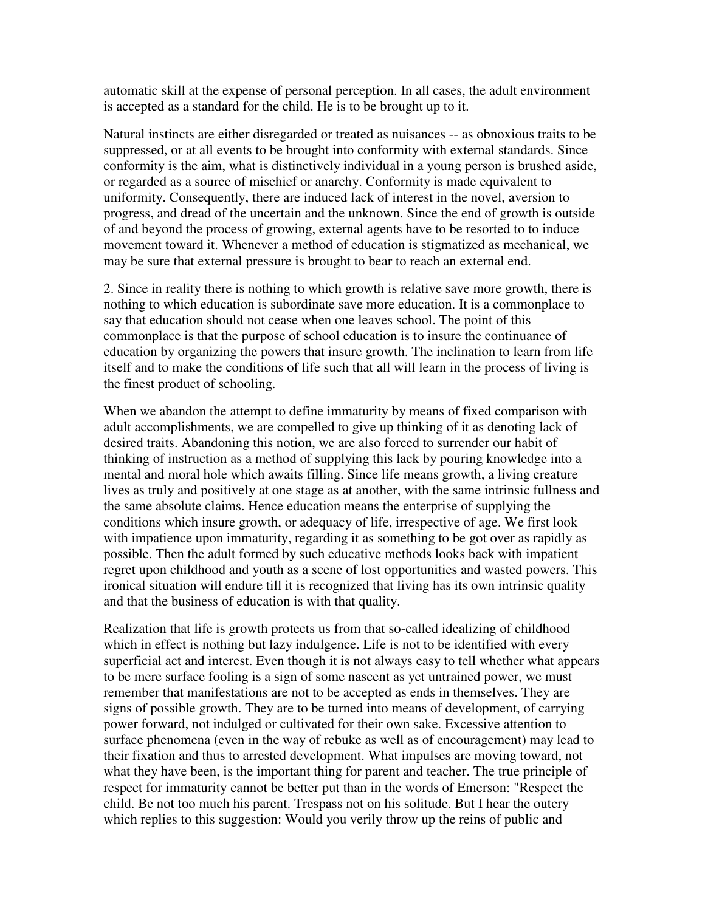automatic skill at the expense of personal perception. In all cases, the adult environment is accepted as a standard for the child. He is to be brought up to it.

Natural instincts are either disregarded or treated as nuisances -- as obnoxious traits to be suppressed, or at all events to be brought into conformity with external standards. Since conformity is the aim, what is distinctively individual in a young person is brushed aside, or regarded as a source of mischief or anarchy. Conformity is made equivalent to uniformity. Consequently, there are induced lack of interest in the novel, aversion to progress, and dread of the uncertain and the unknown. Since the end of growth is outside of and beyond the process of growing, external agents have to be resorted to to induce movement toward it. Whenever a method of education is stigmatized as mechanical, we may be sure that external pressure is brought to bear to reach an external end.

2. Since in reality there is nothing to which growth is relative save more growth, there is nothing to which education is subordinate save more education. It is a commonplace to say that education should not cease when one leaves school. The point of this commonplace is that the purpose of school education is to insure the continuance of education by organizing the powers that insure growth. The inclination to learn from life itself and to make the conditions of life such that all will learn in the process of living is the finest product of schooling.

When we abandon the attempt to define immaturity by means of fixed comparison with adult accomplishments, we are compelled to give up thinking of it as denoting lack of desired traits. Abandoning this notion, we are also forced to surrender our habit of thinking of instruction as a method of supplying this lack by pouring knowledge into a mental and moral hole which awaits filling. Since life means growth, a living creature lives as truly and positively at one stage as at another, with the same intrinsic fullness and the same absolute claims. Hence education means the enterprise of supplying the conditions which insure growth, or adequacy of life, irrespective of age. We first look with impatience upon immaturity, regarding it as something to be got over as rapidly as possible. Then the adult formed by such educative methods looks back with impatient regret upon childhood and youth as a scene of lost opportunities and wasted powers. This ironical situation will endure till it is recognized that living has its own intrinsic quality and that the business of education is with that quality.

Realization that life is growth protects us from that so-called idealizing of childhood which in effect is nothing but lazy indulgence. Life is not to be identified with every superficial act and interest. Even though it is not always easy to tell whether what appears to be mere surface fooling is a sign of some nascent as yet untrained power, we must remember that manifestations are not to be accepted as ends in themselves. They are signs of possible growth. They are to be turned into means of development, of carrying power forward, not indulged or cultivated for their own sake. Excessive attention to surface phenomena (even in the way of rebuke as well as of encouragement) may lead to their fixation and thus to arrested development. What impulses are moving toward, not what they have been, is the important thing for parent and teacher. The true principle of respect for immaturity cannot be better put than in the words of Emerson: "Respect the child. Be not too much his parent. Trespass not on his solitude. But I hear the outcry which replies to this suggestion: Would you verily throw up the reins of public and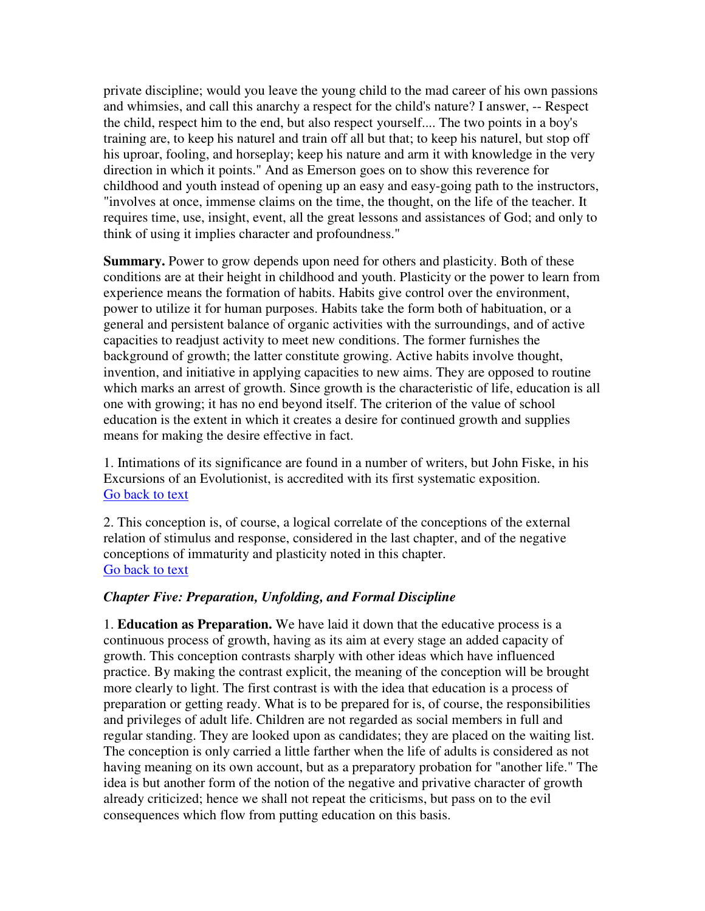private discipline; would you leave the young child to the mad career of his own passions and whimsies, and call this anarchy a respect for the child's nature? I answer, -- Respect the child, respect him to the end, but also respect yourself.... The two points in a boy's training are, to keep his naturel and train off all but that; to keep his naturel, but stop off his uproar, fooling, and horseplay; keep his nature and arm it with knowledge in the very direction in which it points." And as Emerson goes on to show this reverence for childhood and youth instead of opening up an easy and easy-going path to the instructors, "involves at once, immense claims on the time, the thought, on the life of the teacher. It requires time, use, insight, event, all the great lessons and assistances of God; and only to think of using it implies character and profoundness."

**Summary.** Power to grow depends upon need for others and plasticity. Both of these conditions are at their height in childhood and youth. Plasticity or the power to learn from experience means the formation of habits. Habits give control over the environment, power to utilize it for human purposes. Habits take the form both of habituation, or a general and persistent balance of organic activities with the surroundings, and of active capacities to readjust activity to meet new conditions. The former furnishes the background of growth; the latter constitute growing. Active habits involve thought, invention, and initiative in applying capacities to new aims. They are opposed to routine which marks an arrest of growth. Since growth is the characteristic of life, education is all one with growing; it has no end beyond itself. The criterion of the value of school education is the extent in which it creates a desire for continued growth and supplies means for making the desire effective in fact.

1. Intimations of its significance are found in a number of writers, but John Fiske, in his Excursions of an Evolutionist, is accredited with its first systematic exposition. Go back to text

2. This conception is, of course, a logical correlate of the conceptions of the external relation of stimulus and response, considered in the last chapter, and of the negative conceptions of immaturity and plasticity noted in this chapter. Go back to text

### *Chapter Five: Preparation, Unfolding, and Formal Discipline*

1. **Education as Preparation.** We have laid it down that the educative process is a continuous process of growth, having as its aim at every stage an added capacity of growth. This conception contrasts sharply with other ideas which have influenced practice. By making the contrast explicit, the meaning of the conception will be brought more clearly to light. The first contrast is with the idea that education is a process of preparation or getting ready. What is to be prepared for is, of course, the responsibilities and privileges of adult life. Children are not regarded as social members in full and regular standing. They are looked upon as candidates; they are placed on the waiting list. The conception is only carried a little farther when the life of adults is considered as not having meaning on its own account, but as a preparatory probation for "another life." The idea is but another form of the notion of the negative and privative character of growth already criticized; hence we shall not repeat the criticisms, but pass on to the evil consequences which flow from putting education on this basis.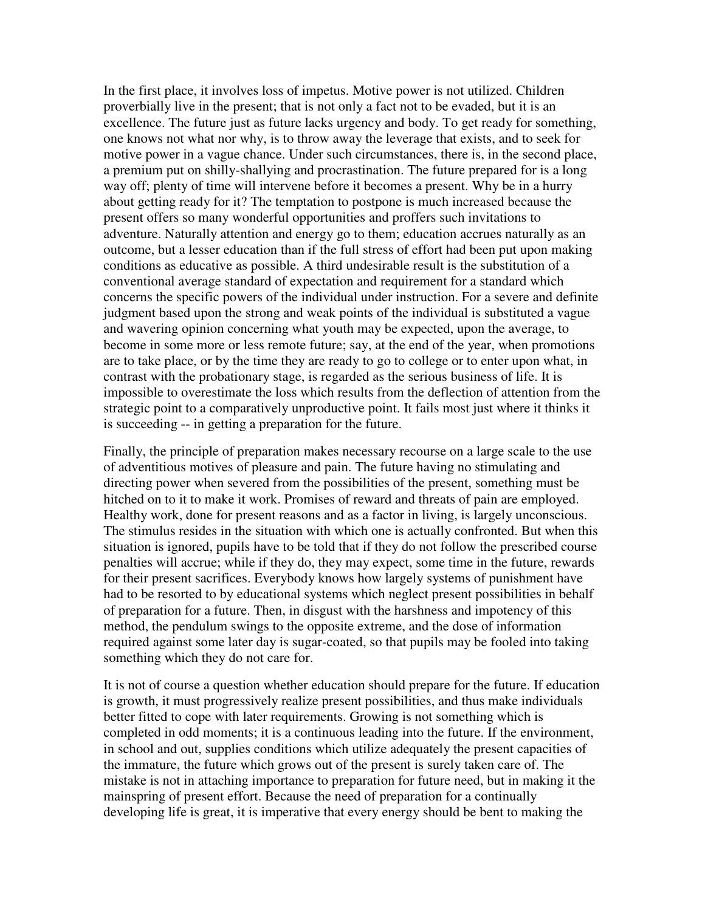In the first place, it involves loss of impetus. Motive power is not utilized. Children proverbially live in the present; that is not only a fact not to be evaded, but it is an excellence. The future just as future lacks urgency and body. To get ready for something, one knows not what nor why, is to throw away the leverage that exists, and to seek for motive power in a vague chance. Under such circumstances, there is, in the second place, a premium put on shilly-shallying and procrastination. The future prepared for is a long way off; plenty of time will intervene before it becomes a present. Why be in a hurry about getting ready for it? The temptation to postpone is much increased because the present offers so many wonderful opportunities and proffers such invitations to adventure. Naturally attention and energy go to them; education accrues naturally as an outcome, but a lesser education than if the full stress of effort had been put upon making conditions as educative as possible. A third undesirable result is the substitution of a conventional average standard of expectation and requirement for a standard which concerns the specific powers of the individual under instruction. For a severe and definite judgment based upon the strong and weak points of the individual is substituted a vague and wavering opinion concerning what youth may be expected, upon the average, to become in some more or less remote future; say, at the end of the year, when promotions are to take place, or by the time they are ready to go to college or to enter upon what, in contrast with the probationary stage, is regarded as the serious business of life. It is impossible to overestimate the loss which results from the deflection of attention from the strategic point to a comparatively unproductive point. It fails most just where it thinks it is succeeding -- in getting a preparation for the future.

Finally, the principle of preparation makes necessary recourse on a large scale to the use of adventitious motives of pleasure and pain. The future having no stimulating and directing power when severed from the possibilities of the present, something must be hitched on to it to make it work. Promises of reward and threats of pain are employed. Healthy work, done for present reasons and as a factor in living, is largely unconscious. The stimulus resides in the situation with which one is actually confronted. But when this situation is ignored, pupils have to be told that if they do not follow the prescribed course penalties will accrue; while if they do, they may expect, some time in the future, rewards for their present sacrifices. Everybody knows how largely systems of punishment have had to be resorted to by educational systems which neglect present possibilities in behalf of preparation for a future. Then, in disgust with the harshness and impotency of this method, the pendulum swings to the opposite extreme, and the dose of information required against some later day is sugar-coated, so that pupils may be fooled into taking something which they do not care for.

It is not of course a question whether education should prepare for the future. If education is growth, it must progressively realize present possibilities, and thus make individuals better fitted to cope with later requirements. Growing is not something which is completed in odd moments; it is a continuous leading into the future. If the environment, in school and out, supplies conditions which utilize adequately the present capacities of the immature, the future which grows out of the present is surely taken care of. The mistake is not in attaching importance to preparation for future need, but in making it the mainspring of present effort. Because the need of preparation for a continually developing life is great, it is imperative that every energy should be bent to making the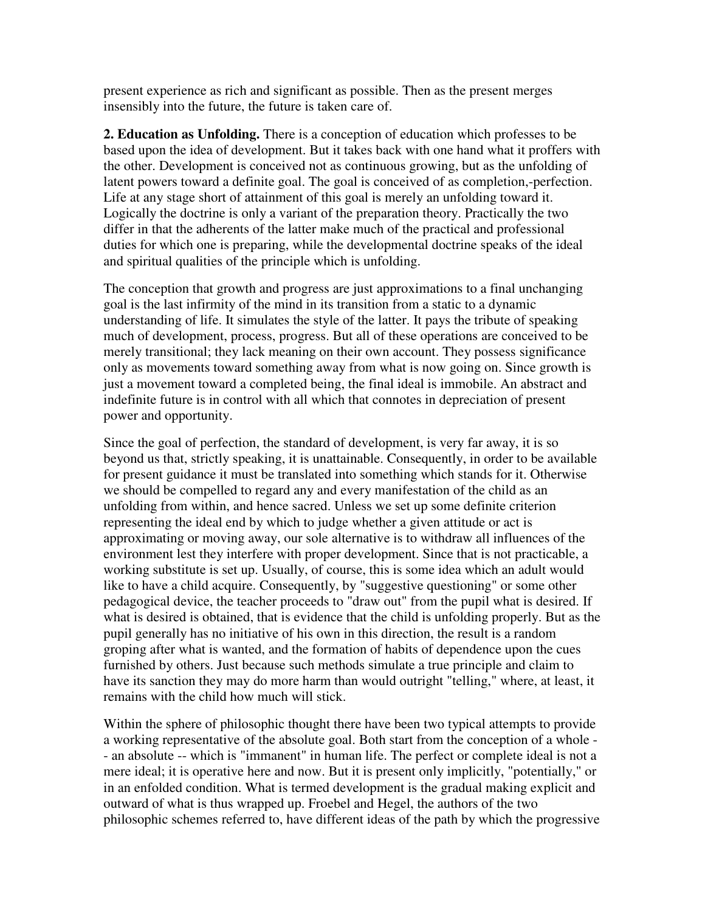present experience as rich and significant as possible. Then as the present merges insensibly into the future, the future is taken care of.

**2. Education as Unfolding.** There is a conception of education which professes to be based upon the idea of development. But it takes back with one hand what it proffers with the other. Development is conceived not as continuous growing, but as the unfolding of latent powers toward a definite goal. The goal is conceived of as completion,-perfection. Life at any stage short of attainment of this goal is merely an unfolding toward it. Logically the doctrine is only a variant of the preparation theory. Practically the two differ in that the adherents of the latter make much of the practical and professional duties for which one is preparing, while the developmental doctrine speaks of the ideal and spiritual qualities of the principle which is unfolding.

The conception that growth and progress are just approximations to a final unchanging goal is the last infirmity of the mind in its transition from a static to a dynamic understanding of life. It simulates the style of the latter. It pays the tribute of speaking much of development, process, progress. But all of these operations are conceived to be merely transitional; they lack meaning on their own account. They possess significance only as movements toward something away from what is now going on. Since growth is just a movement toward a completed being, the final ideal is immobile. An abstract and indefinite future is in control with all which that connotes in depreciation of present power and opportunity.

Since the goal of perfection, the standard of development, is very far away, it is so beyond us that, strictly speaking, it is unattainable. Consequently, in order to be available for present guidance it must be translated into something which stands for it. Otherwise we should be compelled to regard any and every manifestation of the child as an unfolding from within, and hence sacred. Unless we set up some definite criterion representing the ideal end by which to judge whether a given attitude or act is approximating or moving away, our sole alternative is to withdraw all influences of the environment lest they interfere with proper development. Since that is not practicable, a working substitute is set up. Usually, of course, this is some idea which an adult would like to have a child acquire. Consequently, by "suggestive questioning" or some other pedagogical device, the teacher proceeds to "draw out" from the pupil what is desired. If what is desired is obtained, that is evidence that the child is unfolding properly. But as the pupil generally has no initiative of his own in this direction, the result is a random groping after what is wanted, and the formation of habits of dependence upon the cues furnished by others. Just because such methods simulate a true principle and claim to have its sanction they may do more harm than would outright "telling," where, at least, it remains with the child how much will stick.

Within the sphere of philosophic thought there have been two typical attempts to provide a working representative of the absolute goal. Both start from the conception of a whole - - an absolute -- which is "immanent" in human life. The perfect or complete ideal is not a mere ideal; it is operative here and now. But it is present only implicitly, "potentially," or in an enfolded condition. What is termed development is the gradual making explicit and outward of what is thus wrapped up. Froebel and Hegel, the authors of the two philosophic schemes referred to, have different ideas of the path by which the progressive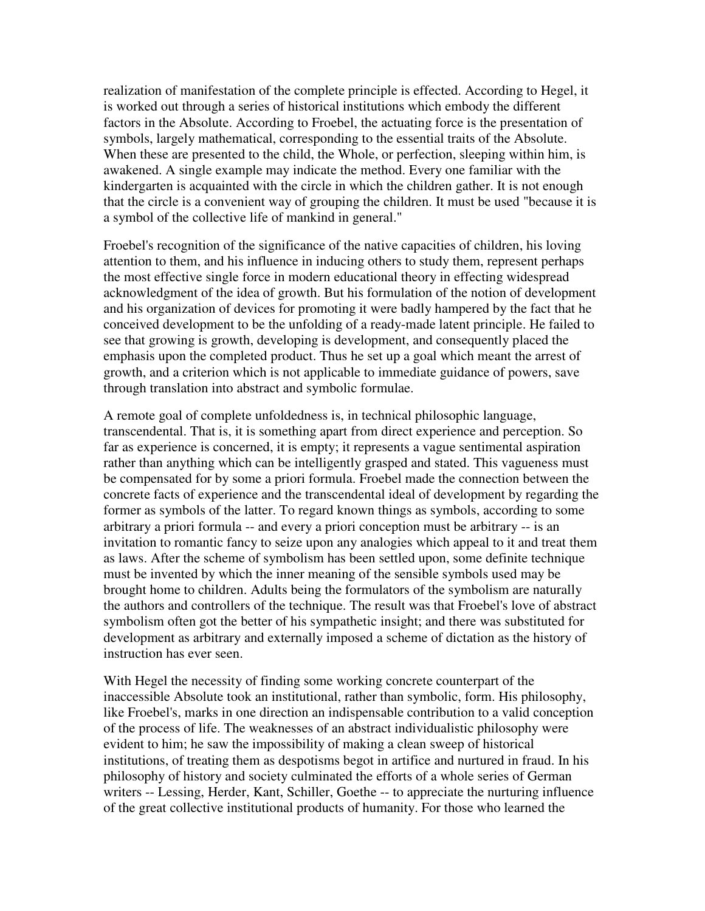realization of manifestation of the complete principle is effected. According to Hegel, it is worked out through a series of historical institutions which embody the different factors in the Absolute. According to Froebel, the actuating force is the presentation of symbols, largely mathematical, corresponding to the essential traits of the Absolute. When these are presented to the child, the Whole, or perfection, sleeping within him, is awakened. A single example may indicate the method. Every one familiar with the kindergarten is acquainted with the circle in which the children gather. It is not enough that the circle is a convenient way of grouping the children. It must be used "because it is a symbol of the collective life of mankind in general."

Froebel's recognition of the significance of the native capacities of children, his loving attention to them, and his influence in inducing others to study them, represent perhaps the most effective single force in modern educational theory in effecting widespread acknowledgment of the idea of growth. But his formulation of the notion of development and his organization of devices for promoting it were badly hampered by the fact that he conceived development to be the unfolding of a ready-made latent principle. He failed to see that growing is growth, developing is development, and consequently placed the emphasis upon the completed product. Thus he set up a goal which meant the arrest of growth, and a criterion which is not applicable to immediate guidance of powers, save through translation into abstract and symbolic formulae.

A remote goal of complete unfoldedness is, in technical philosophic language, transcendental. That is, it is something apart from direct experience and perception. So far as experience is concerned, it is empty; it represents a vague sentimental aspiration rather than anything which can be intelligently grasped and stated. This vagueness must be compensated for by some a priori formula. Froebel made the connection between the concrete facts of experience and the transcendental ideal of development by regarding the former as symbols of the latter. To regard known things as symbols, according to some arbitrary a priori formula -- and every a priori conception must be arbitrary -- is an invitation to romantic fancy to seize upon any analogies which appeal to it and treat them as laws. After the scheme of symbolism has been settled upon, some definite technique must be invented by which the inner meaning of the sensible symbols used may be brought home to children. Adults being the formulators of the symbolism are naturally the authors and controllers of the technique. The result was that Froebel's love of abstract symbolism often got the better of his sympathetic insight; and there was substituted for development as arbitrary and externally imposed a scheme of dictation as the history of instruction has ever seen.

With Hegel the necessity of finding some working concrete counterpart of the inaccessible Absolute took an institutional, rather than symbolic, form. His philosophy, like Froebel's, marks in one direction an indispensable contribution to a valid conception of the process of life. The weaknesses of an abstract individualistic philosophy were evident to him; he saw the impossibility of making a clean sweep of historical institutions, of treating them as despotisms begot in artifice and nurtured in fraud. In his philosophy of history and society culminated the efforts of a whole series of German writers -- Lessing, Herder, Kant, Schiller, Goethe -- to appreciate the nurturing influence of the great collective institutional products of humanity. For those who learned the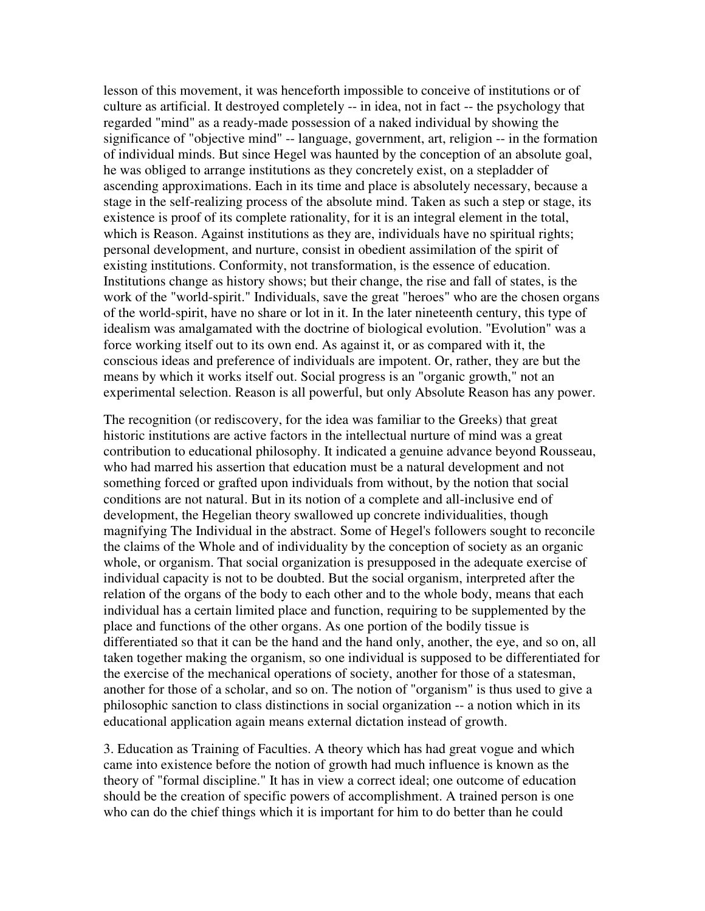lesson of this movement, it was henceforth impossible to conceive of institutions or of culture as artificial. It destroyed completely -- in idea, not in fact -- the psychology that regarded "mind" as a ready-made possession of a naked individual by showing the significance of "objective mind" -- language, government, art, religion -- in the formation of individual minds. But since Hegel was haunted by the conception of an absolute goal, he was obliged to arrange institutions as they concretely exist, on a stepladder of ascending approximations. Each in its time and place is absolutely necessary, because a stage in the self-realizing process of the absolute mind. Taken as such a step or stage, its existence is proof of its complete rationality, for it is an integral element in the total, which is Reason. Against institutions as they are, individuals have no spiritual rights; personal development, and nurture, consist in obedient assimilation of the spirit of existing institutions. Conformity, not transformation, is the essence of education. Institutions change as history shows; but their change, the rise and fall of states, is the work of the "world-spirit." Individuals, save the great "heroes" who are the chosen organs of the world-spirit, have no share or lot in it. In the later nineteenth century, this type of idealism was amalgamated with the doctrine of biological evolution. "Evolution" was a force working itself out to its own end. As against it, or as compared with it, the conscious ideas and preference of individuals are impotent. Or, rather, they are but the means by which it works itself out. Social progress is an "organic growth," not an experimental selection. Reason is all powerful, but only Absolute Reason has any power.

The recognition (or rediscovery, for the idea was familiar to the Greeks) that great historic institutions are active factors in the intellectual nurture of mind was a great contribution to educational philosophy. It indicated a genuine advance beyond Rousseau, who had marred his assertion that education must be a natural development and not something forced or grafted upon individuals from without, by the notion that social conditions are not natural. But in its notion of a complete and all-inclusive end of development, the Hegelian theory swallowed up concrete individualities, though magnifying The Individual in the abstract. Some of Hegel's followers sought to reconcile the claims of the Whole and of individuality by the conception of society as an organic whole, or organism. That social organization is presupposed in the adequate exercise of individual capacity is not to be doubted. But the social organism, interpreted after the relation of the organs of the body to each other and to the whole body, means that each individual has a certain limited place and function, requiring to be supplemented by the place and functions of the other organs. As one portion of the bodily tissue is differentiated so that it can be the hand and the hand only, another, the eye, and so on, all taken together making the organism, so one individual is supposed to be differentiated for the exercise of the mechanical operations of society, another for those of a statesman, another for those of a scholar, and so on. The notion of "organism" is thus used to give a philosophic sanction to class distinctions in social organization -- a notion which in its educational application again means external dictation instead of growth.

3. Education as Training of Faculties. A theory which has had great vogue and which came into existence before the notion of growth had much influence is known as the theory of "formal discipline." It has in view a correct ideal; one outcome of education should be the creation of specific powers of accomplishment. A trained person is one who can do the chief things which it is important for him to do better than he could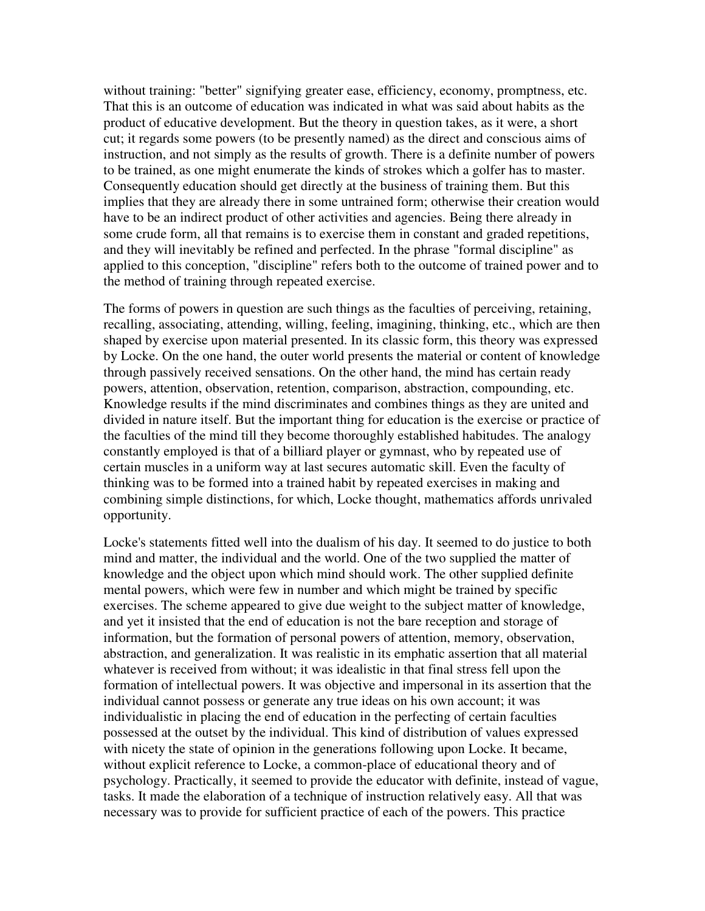without training: "better" signifying greater ease, efficiency, economy, promptness, etc. That this is an outcome of education was indicated in what was said about habits as the product of educative development. But the theory in question takes, as it were, a short cut; it regards some powers (to be presently named) as the direct and conscious aims of instruction, and not simply as the results of growth. There is a definite number of powers to be trained, as one might enumerate the kinds of strokes which a golfer has to master. Consequently education should get directly at the business of training them. But this implies that they are already there in some untrained form; otherwise their creation would have to be an indirect product of other activities and agencies. Being there already in some crude form, all that remains is to exercise them in constant and graded repetitions, and they will inevitably be refined and perfected. In the phrase "formal discipline" as applied to this conception, "discipline" refers both to the outcome of trained power and to the method of training through repeated exercise.

The forms of powers in question are such things as the faculties of perceiving, retaining, recalling, associating, attending, willing, feeling, imagining, thinking, etc., which are then shaped by exercise upon material presented. In its classic form, this theory was expressed by Locke. On the one hand, the outer world presents the material or content of knowledge through passively received sensations. On the other hand, the mind has certain ready powers, attention, observation, retention, comparison, abstraction, compounding, etc. Knowledge results if the mind discriminates and combines things as they are united and divided in nature itself. But the important thing for education is the exercise or practice of the faculties of the mind till they become thoroughly established habitudes. The analogy constantly employed is that of a billiard player or gymnast, who by repeated use of certain muscles in a uniform way at last secures automatic skill. Even the faculty of thinking was to be formed into a trained habit by repeated exercises in making and combining simple distinctions, for which, Locke thought, mathematics affords unrivaled opportunity.

Locke's statements fitted well into the dualism of his day. It seemed to do justice to both mind and matter, the individual and the world. One of the two supplied the matter of knowledge and the object upon which mind should work. The other supplied definite mental powers, which were few in number and which might be trained by specific exercises. The scheme appeared to give due weight to the subject matter of knowledge, and yet it insisted that the end of education is not the bare reception and storage of information, but the formation of personal powers of attention, memory, observation, abstraction, and generalization. It was realistic in its emphatic assertion that all material whatever is received from without; it was idealistic in that final stress fell upon the formation of intellectual powers. It was objective and impersonal in its assertion that the individual cannot possess or generate any true ideas on his own account; it was individualistic in placing the end of education in the perfecting of certain faculties possessed at the outset by the individual. This kind of distribution of values expressed with nicety the state of opinion in the generations following upon Locke. It became, without explicit reference to Locke, a common-place of educational theory and of psychology. Practically, it seemed to provide the educator with definite, instead of vague, tasks. It made the elaboration of a technique of instruction relatively easy. All that was necessary was to provide for sufficient practice of each of the powers. This practice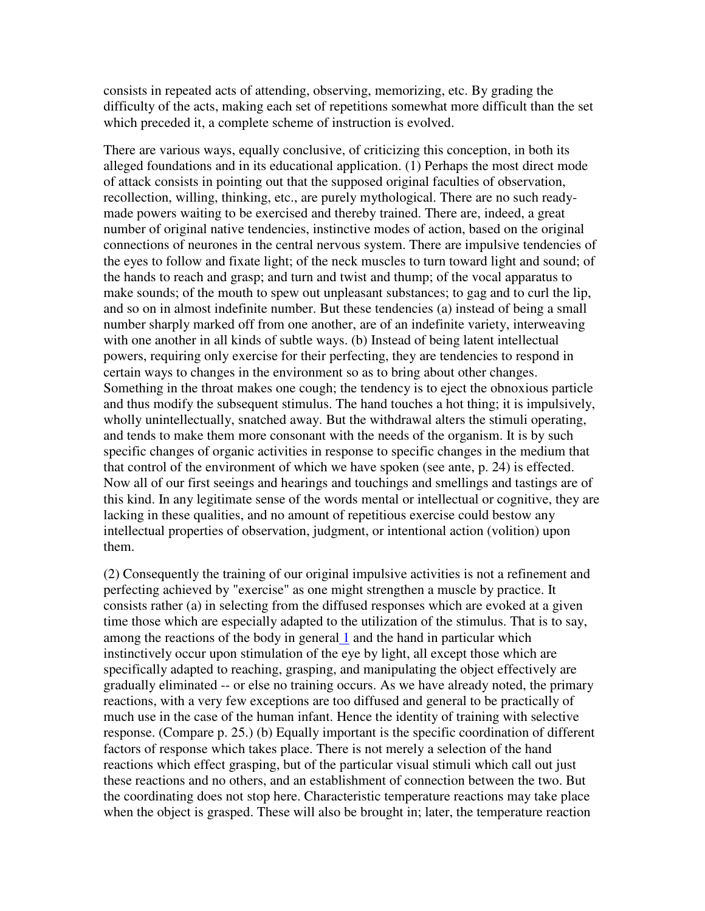consists in repeated acts of attending, observing, memorizing, etc. By grading the difficulty of the acts, making each set of repetitions somewhat more difficult than the set which preceded it, a complete scheme of instruction is evolved.

There are various ways, equally conclusive, of criticizing this conception, in both its alleged foundations and in its educational application. (1) Perhaps the most direct mode of attack consists in pointing out that the supposed original faculties of observation, recollection, willing, thinking, etc., are purely mythological. There are no such readymade powers waiting to be exercised and thereby trained. There are, indeed, a great number of original native tendencies, instinctive modes of action, based on the original connections of neurones in the central nervous system. There are impulsive tendencies of the eyes to follow and fixate light; of the neck muscles to turn toward light and sound; of the hands to reach and grasp; and turn and twist and thump; of the vocal apparatus to make sounds; of the mouth to spew out unpleasant substances; to gag and to curl the lip, and so on in almost indefinite number. But these tendencies (a) instead of being a small number sharply marked off from one another, are of an indefinite variety, interweaving with one another in all kinds of subtle ways. (b) Instead of being latent intellectual powers, requiring only exercise for their perfecting, they are tendencies to respond in certain ways to changes in the environment so as to bring about other changes. Something in the throat makes one cough; the tendency is to eject the obnoxious particle and thus modify the subsequent stimulus. The hand touches a hot thing; it is impulsively, wholly unintellectually, snatched away. But the withdrawal alters the stimuli operating, and tends to make them more consonant with the needs of the organism. It is by such specific changes of organic activities in response to specific changes in the medium that that control of the environment of which we have spoken (see ante, p. 24) is effected. Now all of our first seeings and hearings and touchings and smellings and tastings are of this kind. In any legitimate sense of the words mental or intellectual or cognitive, they are lacking in these qualities, and no amount of repetitious exercise could bestow any intellectual properties of observation, judgment, or intentional action (volition) upon them.

(2) Consequently the training of our original impulsive activities is not a refinement and perfecting achieved by "exercise" as one might strengthen a muscle by practice. It consists rather (a) in selecting from the diffused responses which are evoked at a given time those which are especially adapted to the utilization of the stimulus. That is to say, among the reactions of the body in general 1 and the hand in particular which instinctively occur upon stimulation of the eye by light, all except those which are specifically adapted to reaching, grasping, and manipulating the object effectively are gradually eliminated -- or else no training occurs. As we have already noted, the primary reactions, with a very few exceptions are too diffused and general to be practically of much use in the case of the human infant. Hence the identity of training with selective response. (Compare p. 25.) (b) Equally important is the specific coordination of different factors of response which takes place. There is not merely a selection of the hand reactions which effect grasping, but of the particular visual stimuli which call out just these reactions and no others, and an establishment of connection between the two. But the coordinating does not stop here. Characteristic temperature reactions may take place when the object is grasped. These will also be brought in; later, the temperature reaction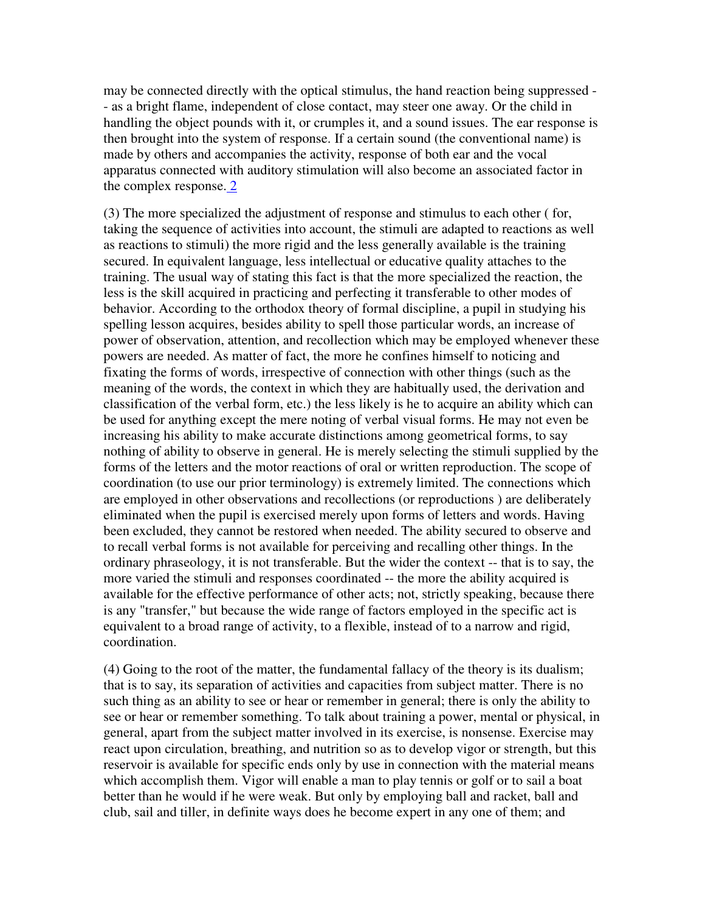may be connected directly with the optical stimulus, the hand reaction being suppressed - - as a bright flame, independent of close contact, may steer one away. Or the child in handling the object pounds with it, or crumples it, and a sound issues. The ear response is then brought into the system of response. If a certain sound (the conventional name) is made by others and accompanies the activity, response of both ear and the vocal apparatus connected with auditory stimulation will also become an associated factor in the complex response. 2

(3) The more specialized the adjustment of response and stimulus to each other ( for, taking the sequence of activities into account, the stimuli are adapted to reactions as well as reactions to stimuli) the more rigid and the less generally available is the training secured. In equivalent language, less intellectual or educative quality attaches to the training. The usual way of stating this fact is that the more specialized the reaction, the less is the skill acquired in practicing and perfecting it transferable to other modes of behavior. According to the orthodox theory of formal discipline, a pupil in studying his spelling lesson acquires, besides ability to spell those particular words, an increase of power of observation, attention, and recollection which may be employed whenever these powers are needed. As matter of fact, the more he confines himself to noticing and fixating the forms of words, irrespective of connection with other things (such as the meaning of the words, the context in which they are habitually used, the derivation and classification of the verbal form, etc.) the less likely is he to acquire an ability which can be used for anything except the mere noting of verbal visual forms. He may not even be increasing his ability to make accurate distinctions among geometrical forms, to say nothing of ability to observe in general. He is merely selecting the stimuli supplied by the forms of the letters and the motor reactions of oral or written reproduction. The scope of coordination (to use our prior terminology) is extremely limited. The connections which are employed in other observations and recollections (or reproductions ) are deliberately eliminated when the pupil is exercised merely upon forms of letters and words. Having been excluded, they cannot be restored when needed. The ability secured to observe and to recall verbal forms is not available for perceiving and recalling other things. In the ordinary phraseology, it is not transferable. But the wider the context -- that is to say, the more varied the stimuli and responses coordinated -- the more the ability acquired is available for the effective performance of other acts; not, strictly speaking, because there is any "transfer," but because the wide range of factors employed in the specific act is equivalent to a broad range of activity, to a flexible, instead of to a narrow and rigid, coordination.

(4) Going to the root of the matter, the fundamental fallacy of the theory is its dualism; that is to say, its separation of activities and capacities from subject matter. There is no such thing as an ability to see or hear or remember in general; there is only the ability to see or hear or remember something. To talk about training a power, mental or physical, in general, apart from the subject matter involved in its exercise, is nonsense. Exercise may react upon circulation, breathing, and nutrition so as to develop vigor or strength, but this reservoir is available for specific ends only by use in connection with the material means which accomplish them. Vigor will enable a man to play tennis or golf or to sail a boat better than he would if he were weak. But only by employing ball and racket, ball and club, sail and tiller, in definite ways does he become expert in any one of them; and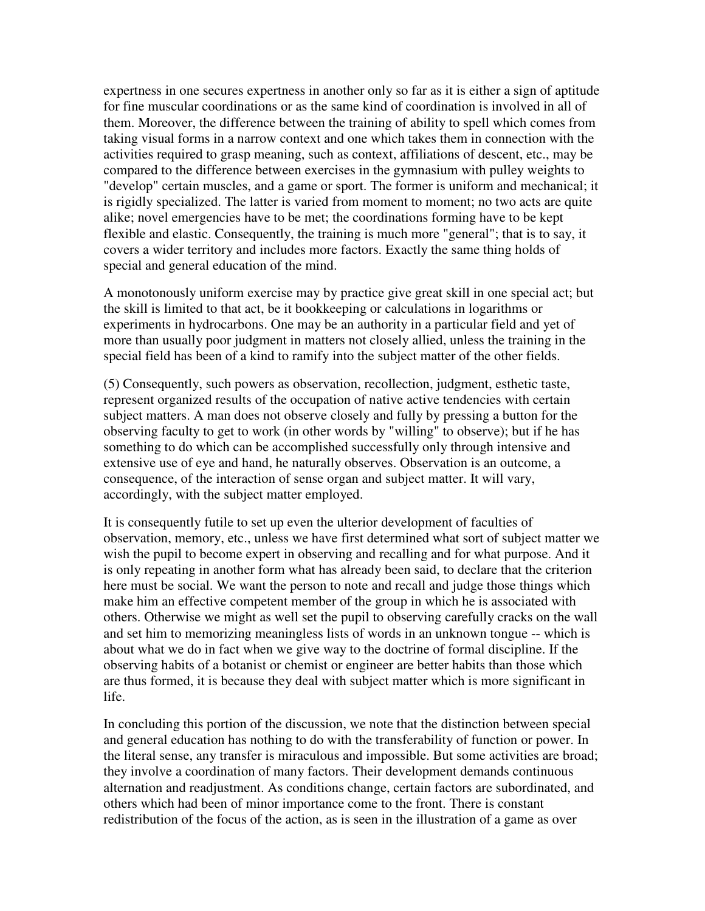expertness in one secures expertness in another only so far as it is either a sign of aptitude for fine muscular coordinations or as the same kind of coordination is involved in all of them. Moreover, the difference between the training of ability to spell which comes from taking visual forms in a narrow context and one which takes them in connection with the activities required to grasp meaning, such as context, affiliations of descent, etc., may be compared to the difference between exercises in the gymnasium with pulley weights to "develop" certain muscles, and a game or sport. The former is uniform and mechanical; it is rigidly specialized. The latter is varied from moment to moment; no two acts are quite alike; novel emergencies have to be met; the coordinations forming have to be kept flexible and elastic. Consequently, the training is much more "general"; that is to say, it covers a wider territory and includes more factors. Exactly the same thing holds of special and general education of the mind.

A monotonously uniform exercise may by practice give great skill in one special act; but the skill is limited to that act, be it bookkeeping or calculations in logarithms or experiments in hydrocarbons. One may be an authority in a particular field and yet of more than usually poor judgment in matters not closely allied, unless the training in the special field has been of a kind to ramify into the subject matter of the other fields.

(5) Consequently, such powers as observation, recollection, judgment, esthetic taste, represent organized results of the occupation of native active tendencies with certain subject matters. A man does not observe closely and fully by pressing a button for the observing faculty to get to work (in other words by "willing" to observe); but if he has something to do which can be accomplished successfully only through intensive and extensive use of eye and hand, he naturally observes. Observation is an outcome, a consequence, of the interaction of sense organ and subject matter. It will vary, accordingly, with the subject matter employed.

It is consequently futile to set up even the ulterior development of faculties of observation, memory, etc., unless we have first determined what sort of subject matter we wish the pupil to become expert in observing and recalling and for what purpose. And it is only repeating in another form what has already been said, to declare that the criterion here must be social. We want the person to note and recall and judge those things which make him an effective competent member of the group in which he is associated with others. Otherwise we might as well set the pupil to observing carefully cracks on the wall and set him to memorizing meaningless lists of words in an unknown tongue -- which is about what we do in fact when we give way to the doctrine of formal discipline. If the observing habits of a botanist or chemist or engineer are better habits than those which are thus formed, it is because they deal with subject matter which is more significant in life.

In concluding this portion of the discussion, we note that the distinction between special and general education has nothing to do with the transferability of function or power. In the literal sense, any transfer is miraculous and impossible. But some activities are broad; they involve a coordination of many factors. Their development demands continuous alternation and readjustment. As conditions change, certain factors are subordinated, and others which had been of minor importance come to the front. There is constant redistribution of the focus of the action, as is seen in the illustration of a game as over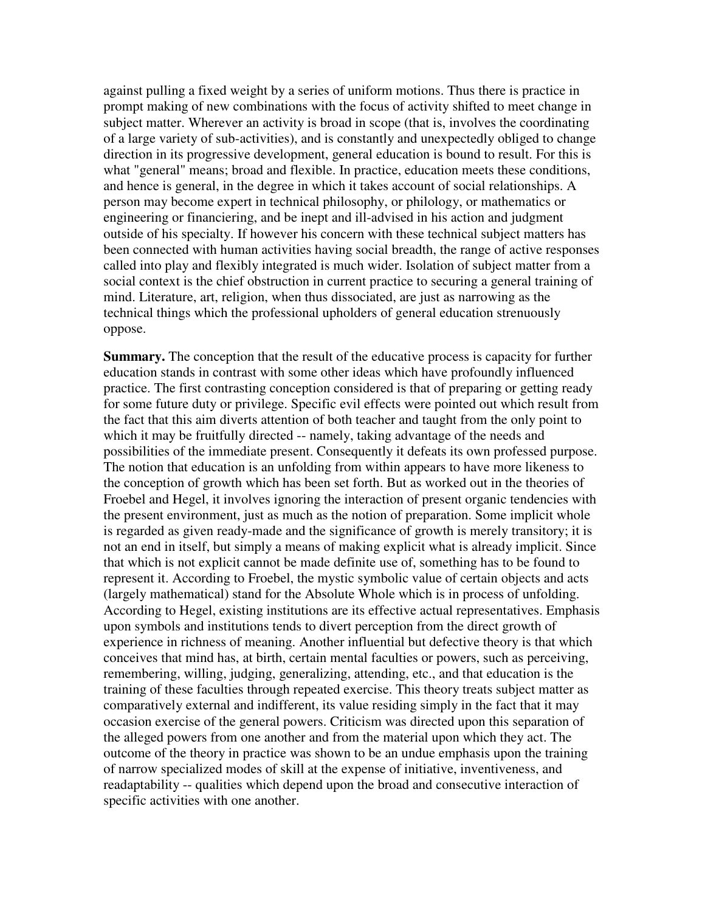against pulling a fixed weight by a series of uniform motions. Thus there is practice in prompt making of new combinations with the focus of activity shifted to meet change in subject matter. Wherever an activity is broad in scope (that is, involves the coordinating of a large variety of sub-activities), and is constantly and unexpectedly obliged to change direction in its progressive development, general education is bound to result. For this is what "general" means; broad and flexible. In practice, education meets these conditions, and hence is general, in the degree in which it takes account of social relationships. A person may become expert in technical philosophy, or philology, or mathematics or engineering or financiering, and be inept and ill-advised in his action and judgment outside of his specialty. If however his concern with these technical subject matters has been connected with human activities having social breadth, the range of active responses called into play and flexibly integrated is much wider. Isolation of subject matter from a social context is the chief obstruction in current practice to securing a general training of mind. Literature, art, religion, when thus dissociated, are just as narrowing as the technical things which the professional upholders of general education strenuously oppose.

**Summary.** The conception that the result of the educative process is capacity for further education stands in contrast with some other ideas which have profoundly influenced practice. The first contrasting conception considered is that of preparing or getting ready for some future duty or privilege. Specific evil effects were pointed out which result from the fact that this aim diverts attention of both teacher and taught from the only point to which it may be fruitfully directed -- namely, taking advantage of the needs and possibilities of the immediate present. Consequently it defeats its own professed purpose. The notion that education is an unfolding from within appears to have more likeness to the conception of growth which has been set forth. But as worked out in the theories of Froebel and Hegel, it involves ignoring the interaction of present organic tendencies with the present environment, just as much as the notion of preparation. Some implicit whole is regarded as given ready-made and the significance of growth is merely transitory; it is not an end in itself, but simply a means of making explicit what is already implicit. Since that which is not explicit cannot be made definite use of, something has to be found to represent it. According to Froebel, the mystic symbolic value of certain objects and acts (largely mathematical) stand for the Absolute Whole which is in process of unfolding. According to Hegel, existing institutions are its effective actual representatives. Emphasis upon symbols and institutions tends to divert perception from the direct growth of experience in richness of meaning. Another influential but defective theory is that which conceives that mind has, at birth, certain mental faculties or powers, such as perceiving, remembering, willing, judging, generalizing, attending, etc., and that education is the training of these faculties through repeated exercise. This theory treats subject matter as comparatively external and indifferent, its value residing simply in the fact that it may occasion exercise of the general powers. Criticism was directed upon this separation of the alleged powers from one another and from the material upon which they act. The outcome of the theory in practice was shown to be an undue emphasis upon the training of narrow specialized modes of skill at the expense of initiative, inventiveness, and readaptability -- qualities which depend upon the broad and consecutive interaction of specific activities with one another.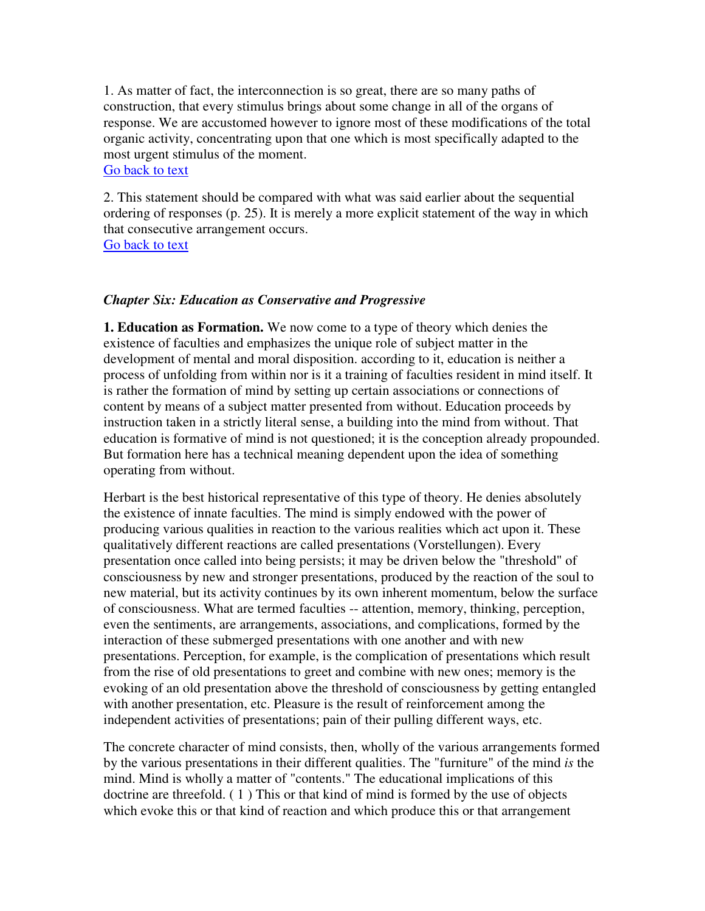1. As matter of fact, the interconnection is so great, there are so many paths of construction, that every stimulus brings about some change in all of the organs of response. We are accustomed however to ignore most of these modifications of the total organic activity, concentrating upon that one which is most specifically adapted to the most urgent stimulus of the moment. Go back to text

2. This statement should be compared with what was said earlier about the sequential ordering of responses (p. 25). It is merely a more explicit statement of the way in which that consecutive arrangement occurs. Go back to text

#### *Chapter Six: Education as Conservative and Progressive*

**1. Education as Formation.** We now come to a type of theory which denies the existence of faculties and emphasizes the unique role of subject matter in the development of mental and moral disposition. according to it, education is neither a process of unfolding from within nor is it a training of faculties resident in mind itself. It is rather the formation of mind by setting up certain associations or connections of content by means of a subject matter presented from without. Education proceeds by instruction taken in a strictly literal sense, a building into the mind from without. That education is formative of mind is not questioned; it is the conception already propounded. But formation here has a technical meaning dependent upon the idea of something operating from without.

Herbart is the best historical representative of this type of theory. He denies absolutely the existence of innate faculties. The mind is simply endowed with the power of producing various qualities in reaction to the various realities which act upon it. These qualitatively different reactions are called presentations (Vorstellungen). Every presentation once called into being persists; it may be driven below the "threshold" of consciousness by new and stronger presentations, produced by the reaction of the soul to new material, but its activity continues by its own inherent momentum, below the surface of consciousness. What are termed faculties -- attention, memory, thinking, perception, even the sentiments, are arrangements, associations, and complications, formed by the interaction of these submerged presentations with one another and with new presentations. Perception, for example, is the complication of presentations which result from the rise of old presentations to greet and combine with new ones; memory is the evoking of an old presentation above the threshold of consciousness by getting entangled with another presentation, etc. Pleasure is the result of reinforcement among the independent activities of presentations; pain of their pulling different ways, etc.

The concrete character of mind consists, then, wholly of the various arrangements formed by the various presentations in their different qualities. The "furniture" of the mind *is* the mind. Mind is wholly a matter of "contents." The educational implications of this doctrine are threefold. ( 1 ) This or that kind of mind is formed by the use of objects which evoke this or that kind of reaction and which produce this or that arrangement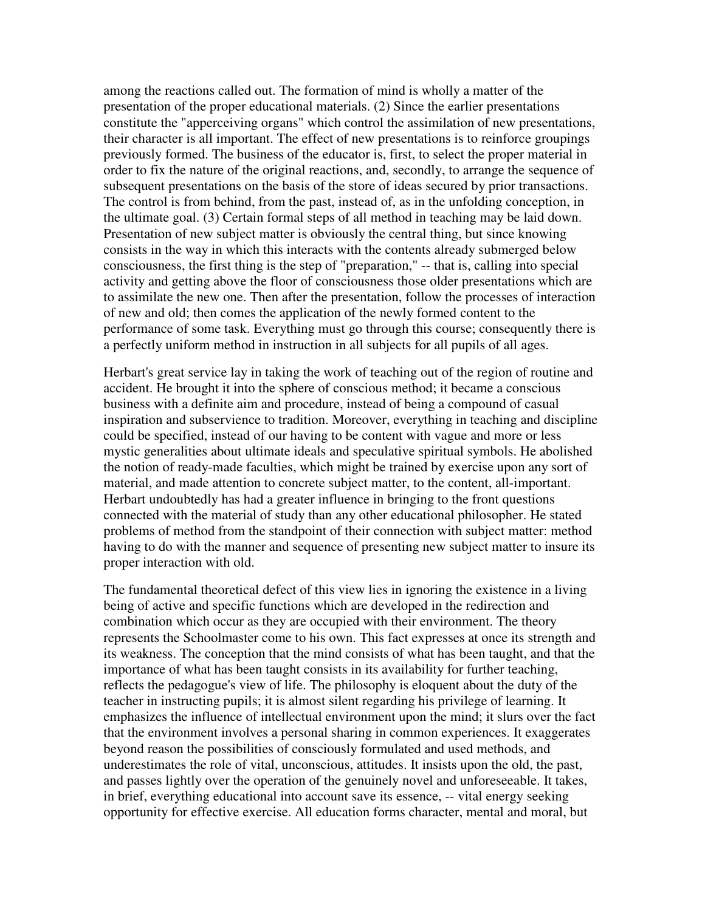among the reactions called out. The formation of mind is wholly a matter of the presentation of the proper educational materials. (2) Since the earlier presentations constitute the "apperceiving organs" which control the assimilation of new presentations, their character is all important. The effect of new presentations is to reinforce groupings previously formed. The business of the educator is, first, to select the proper material in order to fix the nature of the original reactions, and, secondly, to arrange the sequence of subsequent presentations on the basis of the store of ideas secured by prior transactions. The control is from behind, from the past, instead of, as in the unfolding conception, in the ultimate goal. (3) Certain formal steps of all method in teaching may be laid down. Presentation of new subject matter is obviously the central thing, but since knowing consists in the way in which this interacts with the contents already submerged below consciousness, the first thing is the step of "preparation," -- that is, calling into special activity and getting above the floor of consciousness those older presentations which are to assimilate the new one. Then after the presentation, follow the processes of interaction of new and old; then comes the application of the newly formed content to the performance of some task. Everything must go through this course; consequently there is a perfectly uniform method in instruction in all subjects for all pupils of all ages.

Herbart's great service lay in taking the work of teaching out of the region of routine and accident. He brought it into the sphere of conscious method; it became a conscious business with a definite aim and procedure, instead of being a compound of casual inspiration and subservience to tradition. Moreover, everything in teaching and discipline could be specified, instead of our having to be content with vague and more or less mystic generalities about ultimate ideals and speculative spiritual symbols. He abolished the notion of ready-made faculties, which might be trained by exercise upon any sort of material, and made attention to concrete subject matter, to the content, all-important. Herbart undoubtedly has had a greater influence in bringing to the front questions connected with the material of study than any other educational philosopher. He stated problems of method from the standpoint of their connection with subject matter: method having to do with the manner and sequence of presenting new subject matter to insure its proper interaction with old.

The fundamental theoretical defect of this view lies in ignoring the existence in a living being of active and specific functions which are developed in the redirection and combination which occur as they are occupied with their environment. The theory represents the Schoolmaster come to his own. This fact expresses at once its strength and its weakness. The conception that the mind consists of what has been taught, and that the importance of what has been taught consists in its availability for further teaching, reflects the pedagogue's view of life. The philosophy is eloquent about the duty of the teacher in instructing pupils; it is almost silent regarding his privilege of learning. It emphasizes the influence of intellectual environment upon the mind; it slurs over the fact that the environment involves a personal sharing in common experiences. It exaggerates beyond reason the possibilities of consciously formulated and used methods, and underestimates the role of vital, unconscious, attitudes. It insists upon the old, the past, and passes lightly over the operation of the genuinely novel and unforeseeable. It takes, in brief, everything educational into account save its essence, -- vital energy seeking opportunity for effective exercise. All education forms character, mental and moral, but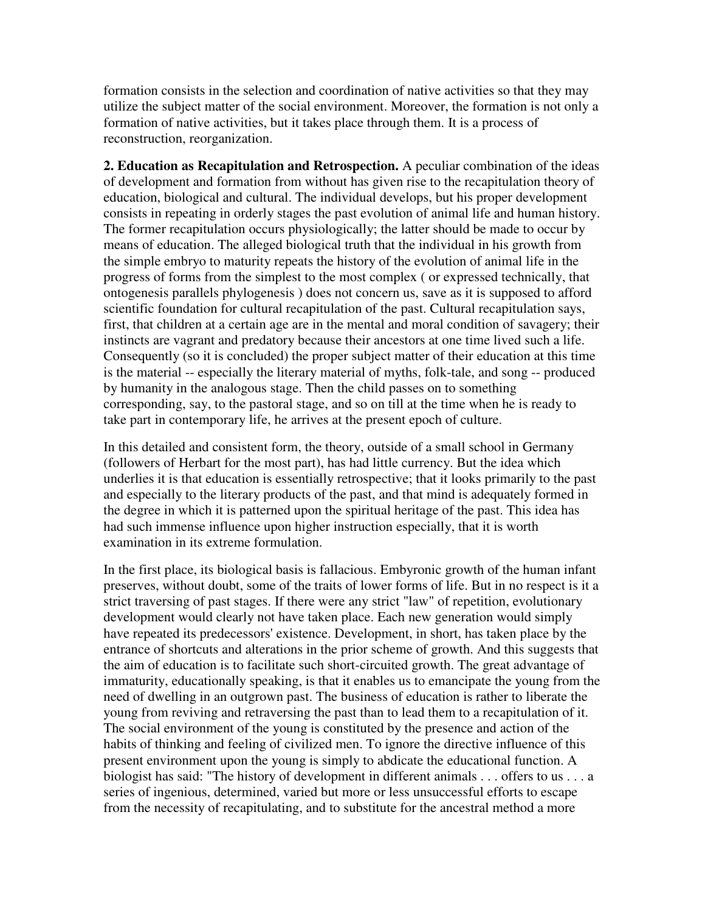formation consists in the selection and coordination of native activities so that they may utilize the subject matter of the social environment. Moreover, the formation is not only a formation of native activities, but it takes place through them. It is a process of reconstruction, reorganization.

**2. Education as Recapitulation and Retrospection.** A peculiar combination of the ideas of development and formation from without has given rise to the recapitulation theory of education, biological and cultural. The individual develops, but his proper development consists in repeating in orderly stages the past evolution of animal life and human history. The former recapitulation occurs physiologically; the latter should be made to occur by means of education. The alleged biological truth that the individual in his growth from the simple embryo to maturity repeats the history of the evolution of animal life in the progress of forms from the simplest to the most complex ( or expressed technically, that ontogenesis parallels phylogenesis ) does not concern us, save as it is supposed to afford scientific foundation for cultural recapitulation of the past. Cultural recapitulation says, first, that children at a certain age are in the mental and moral condition of savagery; their instincts are vagrant and predatory because their ancestors at one time lived such a life. Consequently (so it is concluded) the proper subject matter of their education at this time is the material -- especially the literary material of myths, folk-tale, and song -- produced by humanity in the analogous stage. Then the child passes on to something corresponding, say, to the pastoral stage, and so on till at the time when he is ready to take part in contemporary life, he arrives at the present epoch of culture.

In this detailed and consistent form, the theory, outside of a small school in Germany (followers of Herbart for the most part), has had little currency. But the idea which underlies it is that education is essentially retrospective; that it looks primarily to the past and especially to the literary products of the past, and that mind is adequately formed in the degree in which it is patterned upon the spiritual heritage of the past. This idea has had such immense influence upon higher instruction especially, that it is worth examination in its extreme formulation.

In the first place, its biological basis is fallacious. Embyronic growth of the human infant preserves, without doubt, some of the traits of lower forms of life. But in no respect is it a strict traversing of past stages. If there were any strict "law" of repetition, evolutionary development would clearly not have taken place. Each new generation would simply have repeated its predecessors' existence. Development, in short, has taken place by the entrance of shortcuts and alterations in the prior scheme of growth. And this suggests that the aim of education is to facilitate such short-circuited growth. The great advantage of immaturity, educationally speaking, is that it enables us to emancipate the young from the need of dwelling in an outgrown past. The business of education is rather to liberate the young from reviving and retraversing the past than to lead them to a recapitulation of it. The social environment of the young is constituted by the presence and action of the habits of thinking and feeling of civilized men. To ignore the directive influence of this present environment upon the young is simply to abdicate the educational function. A biologist has said: "The history of development in different animals . . . offers to us . . . a series of ingenious, determined, varied but more or less unsuccessful efforts to escape from the necessity of recapitulating, and to substitute for the ancestral method a more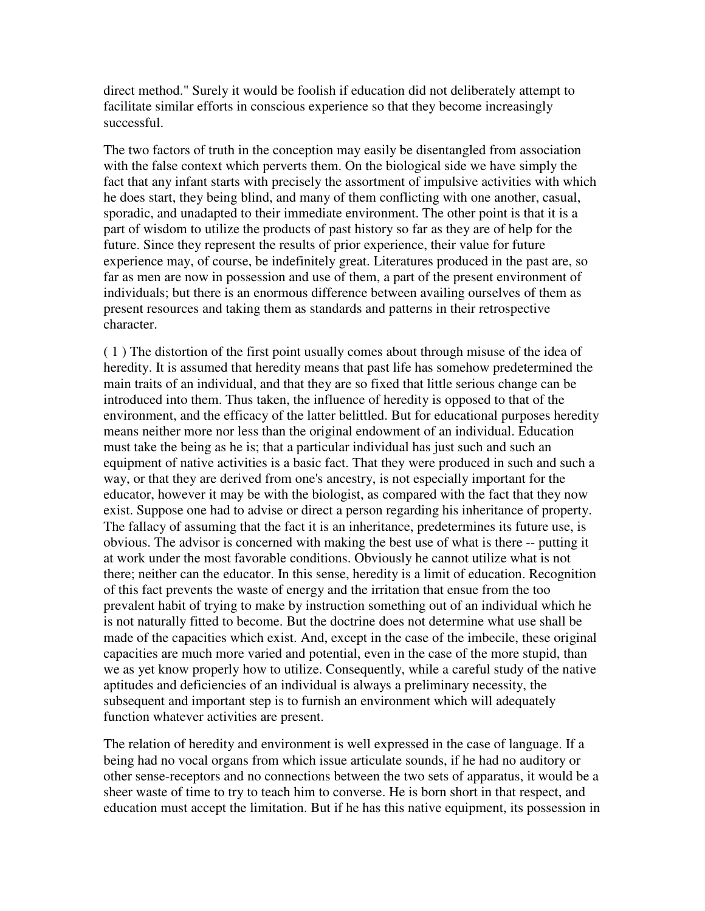direct method." Surely it would be foolish if education did not deliberately attempt to facilitate similar efforts in conscious experience so that they become increasingly successful.

The two factors of truth in the conception may easily be disentangled from association with the false context which perverts them. On the biological side we have simply the fact that any infant starts with precisely the assortment of impulsive activities with which he does start, they being blind, and many of them conflicting with one another, casual, sporadic, and unadapted to their immediate environment. The other point is that it is a part of wisdom to utilize the products of past history so far as they are of help for the future. Since they represent the results of prior experience, their value for future experience may, of course, be indefinitely great. Literatures produced in the past are, so far as men are now in possession and use of them, a part of the present environment of individuals; but there is an enormous difference between availing ourselves of them as present resources and taking them as standards and patterns in their retrospective character.

( 1 ) The distortion of the first point usually comes about through misuse of the idea of heredity. It is assumed that heredity means that past life has somehow predetermined the main traits of an individual, and that they are so fixed that little serious change can be introduced into them. Thus taken, the influence of heredity is opposed to that of the environment, and the efficacy of the latter belittled. But for educational purposes heredity means neither more nor less than the original endowment of an individual. Education must take the being as he is; that a particular individual has just such and such an equipment of native activities is a basic fact. That they were produced in such and such a way, or that they are derived from one's ancestry, is not especially important for the educator, however it may be with the biologist, as compared with the fact that they now exist. Suppose one had to advise or direct a person regarding his inheritance of property. The fallacy of assuming that the fact it is an inheritance, predetermines its future use, is obvious. The advisor is concerned with making the best use of what is there -- putting it at work under the most favorable conditions. Obviously he cannot utilize what is not there; neither can the educator. In this sense, heredity is a limit of education. Recognition of this fact prevents the waste of energy and the irritation that ensue from the too prevalent habit of trying to make by instruction something out of an individual which he is not naturally fitted to become. But the doctrine does not determine what use shall be made of the capacities which exist. And, except in the case of the imbecile, these original capacities are much more varied and potential, even in the case of the more stupid, than we as yet know properly how to utilize. Consequently, while a careful study of the native aptitudes and deficiencies of an individual is always a preliminary necessity, the subsequent and important step is to furnish an environment which will adequately function whatever activities are present.

The relation of heredity and environment is well expressed in the case of language. If a being had no vocal organs from which issue articulate sounds, if he had no auditory or other sense-receptors and no connections between the two sets of apparatus, it would be a sheer waste of time to try to teach him to converse. He is born short in that respect, and education must accept the limitation. But if he has this native equipment, its possession in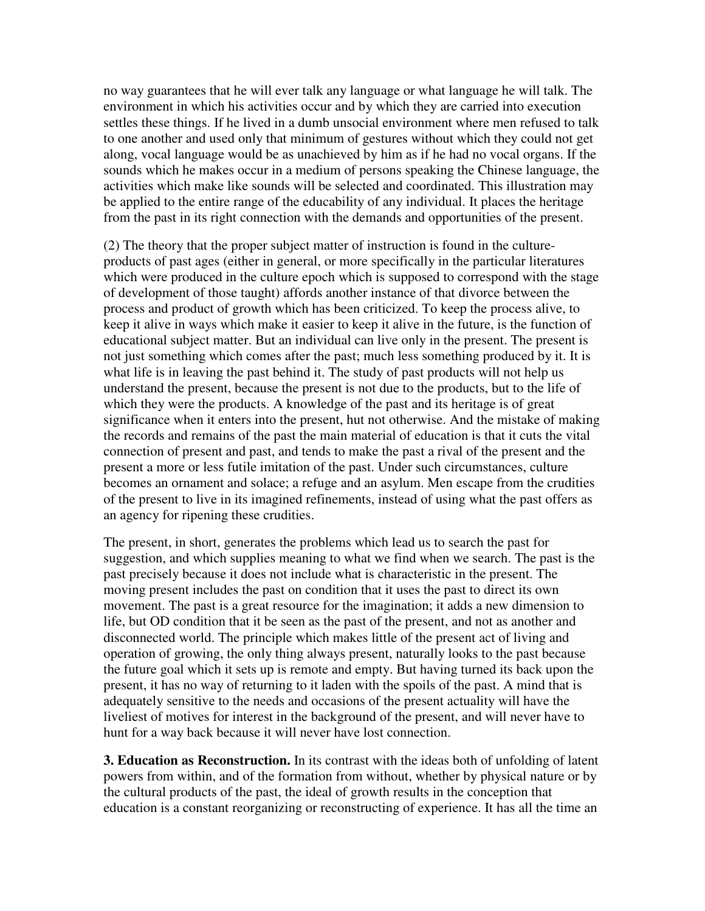no way guarantees that he will ever talk any language or what language he will talk. The environment in which his activities occur and by which they are carried into execution settles these things. If he lived in a dumb unsocial environment where men refused to talk to one another and used only that minimum of gestures without which they could not get along, vocal language would be as unachieved by him as if he had no vocal organs. If the sounds which he makes occur in a medium of persons speaking the Chinese language, the activities which make like sounds will be selected and coordinated. This illustration may be applied to the entire range of the educability of any individual. It places the heritage from the past in its right connection with the demands and opportunities of the present.

(2) The theory that the proper subject matter of instruction is found in the cultureproducts of past ages (either in general, or more specifically in the particular literatures which were produced in the culture epoch which is supposed to correspond with the stage of development of those taught) affords another instance of that divorce between the process and product of growth which has been criticized. To keep the process alive, to keep it alive in ways which make it easier to keep it alive in the future, is the function of educational subject matter. But an individual can live only in the present. The present is not just something which comes after the past; much less something produced by it. It is what life is in leaving the past behind it. The study of past products will not help us understand the present, because the present is not due to the products, but to the life of which they were the products. A knowledge of the past and its heritage is of great significance when it enters into the present, hut not otherwise. And the mistake of making the records and remains of the past the main material of education is that it cuts the vital connection of present and past, and tends to make the past a rival of the present and the present a more or less futile imitation of the past. Under such circumstances, culture becomes an ornament and solace; a refuge and an asylum. Men escape from the crudities of the present to live in its imagined refinements, instead of using what the past offers as an agency for ripening these crudities.

The present, in short, generates the problems which lead us to search the past for suggestion, and which supplies meaning to what we find when we search. The past is the past precisely because it does not include what is characteristic in the present. The moving present includes the past on condition that it uses the past to direct its own movement. The past is a great resource for the imagination; it adds a new dimension to life, but OD condition that it be seen as the past of the present, and not as another and disconnected world. The principle which makes little of the present act of living and operation of growing, the only thing always present, naturally looks to the past because the future goal which it sets up is remote and empty. But having turned its back upon the present, it has no way of returning to it laden with the spoils of the past. A mind that is adequately sensitive to the needs and occasions of the present actuality will have the liveliest of motives for interest in the background of the present, and will never have to hunt for a way back because it will never have lost connection.

**3. Education as Reconstruction.** In its contrast with the ideas both of unfolding of latent powers from within, and of the formation from without, whether by physical nature or by the cultural products of the past, the ideal of growth results in the conception that education is a constant reorganizing or reconstructing of experience. It has all the time an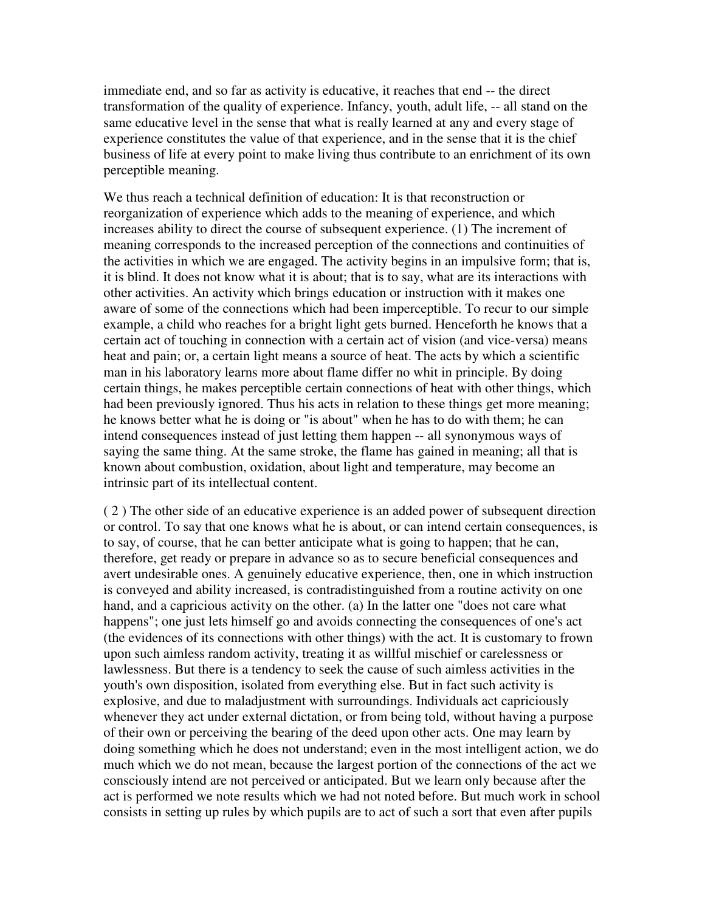immediate end, and so far as activity is educative, it reaches that end -- the direct transformation of the quality of experience. Infancy, youth, adult life, -- all stand on the same educative level in the sense that what is really learned at any and every stage of experience constitutes the value of that experience, and in the sense that it is the chief business of life at every point to make living thus contribute to an enrichment of its own perceptible meaning.

We thus reach a technical definition of education: It is that reconstruction or reorganization of experience which adds to the meaning of experience, and which increases ability to direct the course of subsequent experience. (1) The increment of meaning corresponds to the increased perception of the connections and continuities of the activities in which we are engaged. The activity begins in an impulsive form; that is, it is blind. It does not know what it is about; that is to say, what are its interactions with other activities. An activity which brings education or instruction with it makes one aware of some of the connections which had been imperceptible. To recur to our simple example, a child who reaches for a bright light gets burned. Henceforth he knows that a certain act of touching in connection with a certain act of vision (and vice-versa) means heat and pain; or, a certain light means a source of heat. The acts by which a scientific man in his laboratory learns more about flame differ no whit in principle. By doing certain things, he makes perceptible certain connections of heat with other things, which had been previously ignored. Thus his acts in relation to these things get more meaning; he knows better what he is doing or "is about" when he has to do with them; he can intend consequences instead of just letting them happen -- all synonymous ways of saying the same thing. At the same stroke, the flame has gained in meaning; all that is known about combustion, oxidation, about light and temperature, may become an intrinsic part of its intellectual content.

( 2 ) The other side of an educative experience is an added power of subsequent direction or control. To say that one knows what he is about, or can intend certain consequences, is to say, of course, that he can better anticipate what is going to happen; that he can, therefore, get ready or prepare in advance so as to secure beneficial consequences and avert undesirable ones. A genuinely educative experience, then, one in which instruction is conveyed and ability increased, is contradistinguished from a routine activity on one hand, and a capricious activity on the other. (a) In the latter one "does not care what happens"; one just lets himself go and avoids connecting the consequences of one's act (the evidences of its connections with other things) with the act. It is customary to frown upon such aimless random activity, treating it as willful mischief or carelessness or lawlessness. But there is a tendency to seek the cause of such aimless activities in the youth's own disposition, isolated from everything else. But in fact such activity is explosive, and due to maladjustment with surroundings. Individuals act capriciously whenever they act under external dictation, or from being told, without having a purpose of their own or perceiving the bearing of the deed upon other acts. One may learn by doing something which he does not understand; even in the most intelligent action, we do much which we do not mean, because the largest portion of the connections of the act we consciously intend are not perceived or anticipated. But we learn only because after the act is performed we note results which we had not noted before. But much work in school consists in setting up rules by which pupils are to act of such a sort that even after pupils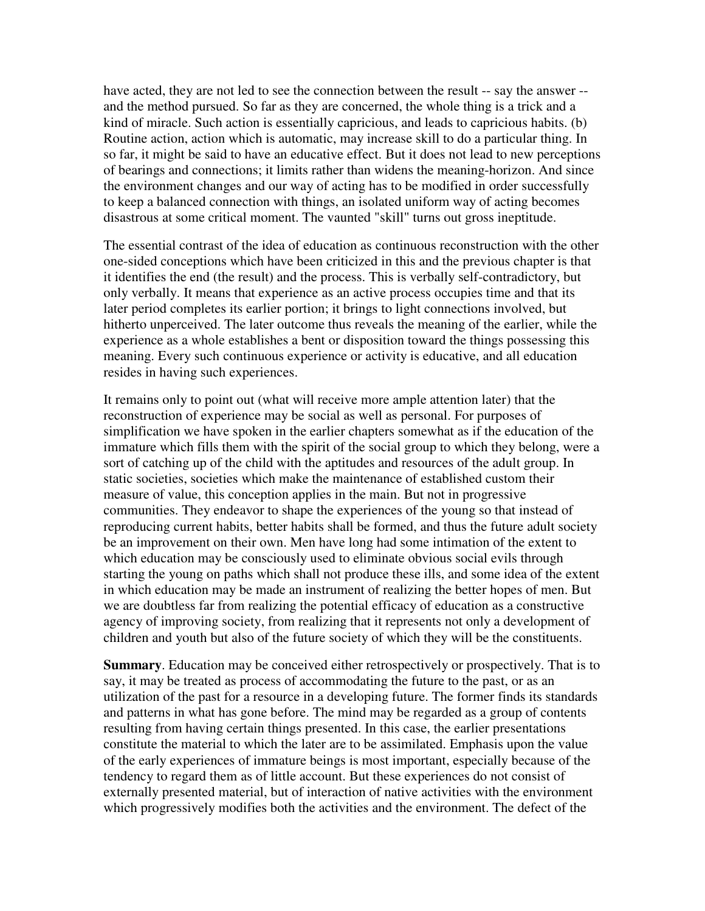have acted, they are not led to see the connection between the result -- say the answer - and the method pursued. So far as they are concerned, the whole thing is a trick and a kind of miracle. Such action is essentially capricious, and leads to capricious habits. (b) Routine action, action which is automatic, may increase skill to do a particular thing. In so far, it might be said to have an educative effect. But it does not lead to new perceptions of bearings and connections; it limits rather than widens the meaning-horizon. And since the environment changes and our way of acting has to be modified in order successfully to keep a balanced connection with things, an isolated uniform way of acting becomes disastrous at some critical moment. The vaunted "skill" turns out gross ineptitude.

The essential contrast of the idea of education as continuous reconstruction with the other one-sided conceptions which have been criticized in this and the previous chapter is that it identifies the end (the result) and the process. This is verbally self-contradictory, but only verbally. It means that experience as an active process occupies time and that its later period completes its earlier portion; it brings to light connections involved, but hitherto unperceived. The later outcome thus reveals the meaning of the earlier, while the experience as a whole establishes a bent or disposition toward the things possessing this meaning. Every such continuous experience or activity is educative, and all education resides in having such experiences.

It remains only to point out (what will receive more ample attention later) that the reconstruction of experience may be social as well as personal. For purposes of simplification we have spoken in the earlier chapters somewhat as if the education of the immature which fills them with the spirit of the social group to which they belong, were a sort of catching up of the child with the aptitudes and resources of the adult group. In static societies, societies which make the maintenance of established custom their measure of value, this conception applies in the main. But not in progressive communities. They endeavor to shape the experiences of the young so that instead of reproducing current habits, better habits shall be formed, and thus the future adult society be an improvement on their own. Men have long had some intimation of the extent to which education may be consciously used to eliminate obvious social evils through starting the young on paths which shall not produce these ills, and some idea of the extent in which education may be made an instrument of realizing the better hopes of men. But we are doubtless far from realizing the potential efficacy of education as a constructive agency of improving society, from realizing that it represents not only a development of children and youth but also of the future society of which they will be the constituents.

**Summary**. Education may be conceived either retrospectively or prospectively. That is to say, it may be treated as process of accommodating the future to the past, or as an utilization of the past for a resource in a developing future. The former finds its standards and patterns in what has gone before. The mind may be regarded as a group of contents resulting from having certain things presented. In this case, the earlier presentations constitute the material to which the later are to be assimilated. Emphasis upon the value of the early experiences of immature beings is most important, especially because of the tendency to regard them as of little account. But these experiences do not consist of externally presented material, but of interaction of native activities with the environment which progressively modifies both the activities and the environment. The defect of the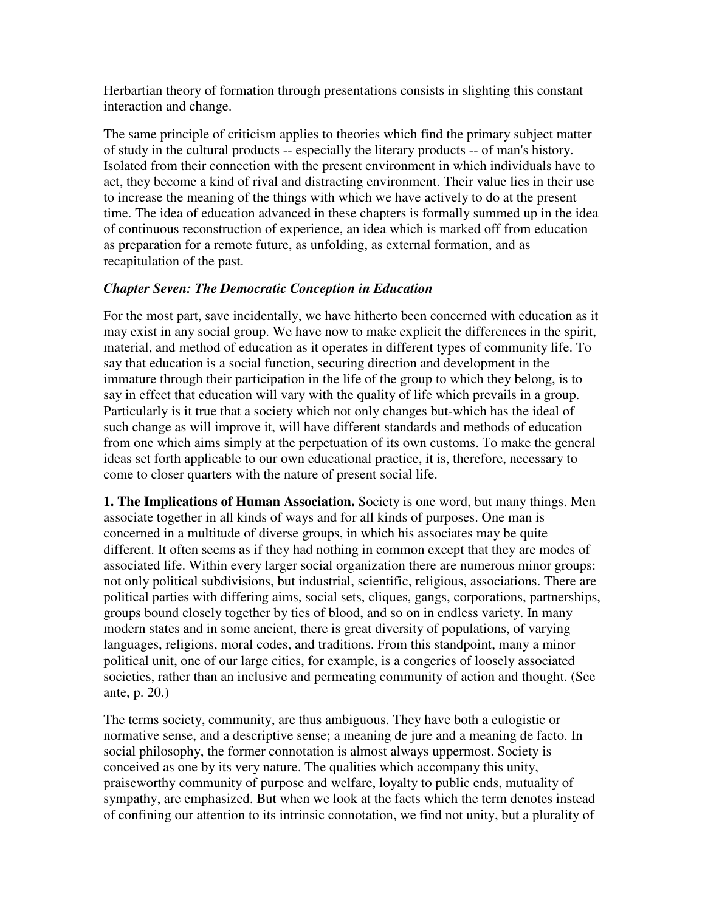Herbartian theory of formation through presentations consists in slighting this constant interaction and change.

The same principle of criticism applies to theories which find the primary subject matter of study in the cultural products -- especially the literary products -- of man's history. Isolated from their connection with the present environment in which individuals have to act, they become a kind of rival and distracting environment. Their value lies in their use to increase the meaning of the things with which we have actively to do at the present time. The idea of education advanced in these chapters is formally summed up in the idea of continuous reconstruction of experience, an idea which is marked off from education as preparation for a remote future, as unfolding, as external formation, and as recapitulation of the past.

# *Chapter Seven: The Democratic Conception in Education*

For the most part, save incidentally, we have hitherto been concerned with education as it may exist in any social group. We have now to make explicit the differences in the spirit, material, and method of education as it operates in different types of community life. To say that education is a social function, securing direction and development in the immature through their participation in the life of the group to which they belong, is to say in effect that education will vary with the quality of life which prevails in a group. Particularly is it true that a society which not only changes but-which has the ideal of such change as will improve it, will have different standards and methods of education from one which aims simply at the perpetuation of its own customs. To make the general ideas set forth applicable to our own educational practice, it is, therefore, necessary to come to closer quarters with the nature of present social life.

**1. The Implications of Human Association.** Society is one word, but many things. Men associate together in all kinds of ways and for all kinds of purposes. One man is concerned in a multitude of diverse groups, in which his associates may be quite different. It often seems as if they had nothing in common except that they are modes of associated life. Within every larger social organization there are numerous minor groups: not only political subdivisions, but industrial, scientific, religious, associations. There are political parties with differing aims, social sets, cliques, gangs, corporations, partnerships, groups bound closely together by ties of blood, and so on in endless variety. In many modern states and in some ancient, there is great diversity of populations, of varying languages, religions, moral codes, and traditions. From this standpoint, many a minor political unit, one of our large cities, for example, is a congeries of loosely associated societies, rather than an inclusive and permeating community of action and thought. (See ante, p. 20.)

The terms society, community, are thus ambiguous. They have both a eulogistic or normative sense, and a descriptive sense; a meaning de jure and a meaning de facto. In social philosophy, the former connotation is almost always uppermost. Society is conceived as one by its very nature. The qualities which accompany this unity, praiseworthy community of purpose and welfare, loyalty to public ends, mutuality of sympathy, are emphasized. But when we look at the facts which the term denotes instead of confining our attention to its intrinsic connotation, we find not unity, but a plurality of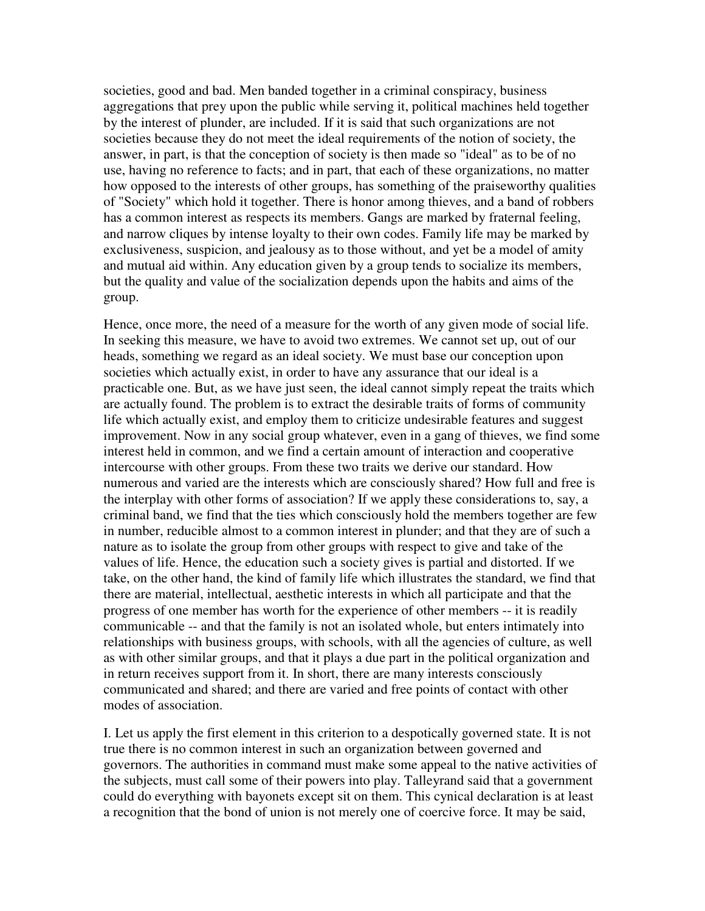societies, good and bad. Men banded together in a criminal conspiracy, business aggregations that prey upon the public while serving it, political machines held together by the interest of plunder, are included. If it is said that such organizations are not societies because they do not meet the ideal requirements of the notion of society, the answer, in part, is that the conception of society is then made so "ideal" as to be of no use, having no reference to facts; and in part, that each of these organizations, no matter how opposed to the interests of other groups, has something of the praiseworthy qualities of "Society" which hold it together. There is honor among thieves, and a band of robbers has a common interest as respects its members. Gangs are marked by fraternal feeling, and narrow cliques by intense loyalty to their own codes. Family life may be marked by exclusiveness, suspicion, and jealousy as to those without, and yet be a model of amity and mutual aid within. Any education given by a group tends to socialize its members, but the quality and value of the socialization depends upon the habits and aims of the group.

Hence, once more, the need of a measure for the worth of any given mode of social life. In seeking this measure, we have to avoid two extremes. We cannot set up, out of our heads, something we regard as an ideal society. We must base our conception upon societies which actually exist, in order to have any assurance that our ideal is a practicable one. But, as we have just seen, the ideal cannot simply repeat the traits which are actually found. The problem is to extract the desirable traits of forms of community life which actually exist, and employ them to criticize undesirable features and suggest improvement. Now in any social group whatever, even in a gang of thieves, we find some interest held in common, and we find a certain amount of interaction and cooperative intercourse with other groups. From these two traits we derive our standard. How numerous and varied are the interests which are consciously shared? How full and free is the interplay with other forms of association? If we apply these considerations to, say, a criminal band, we find that the ties which consciously hold the members together are few in number, reducible almost to a common interest in plunder; and that they are of such a nature as to isolate the group from other groups with respect to give and take of the values of life. Hence, the education such a society gives is partial and distorted. If we take, on the other hand, the kind of family life which illustrates the standard, we find that there are material, intellectual, aesthetic interests in which all participate and that the progress of one member has worth for the experience of other members -- it is readily communicable -- and that the family is not an isolated whole, but enters intimately into relationships with business groups, with schools, with all the agencies of culture, as well as with other similar groups, and that it plays a due part in the political organization and in return receives support from it. In short, there are many interests consciously communicated and shared; and there are varied and free points of contact with other modes of association.

I. Let us apply the first element in this criterion to a despotically governed state. It is not true there is no common interest in such an organization between governed and governors. The authorities in command must make some appeal to the native activities of the subjects, must call some of their powers into play. Talleyrand said that a government could do everything with bayonets except sit on them. This cynical declaration is at least a recognition that the bond of union is not merely one of coercive force. It may be said,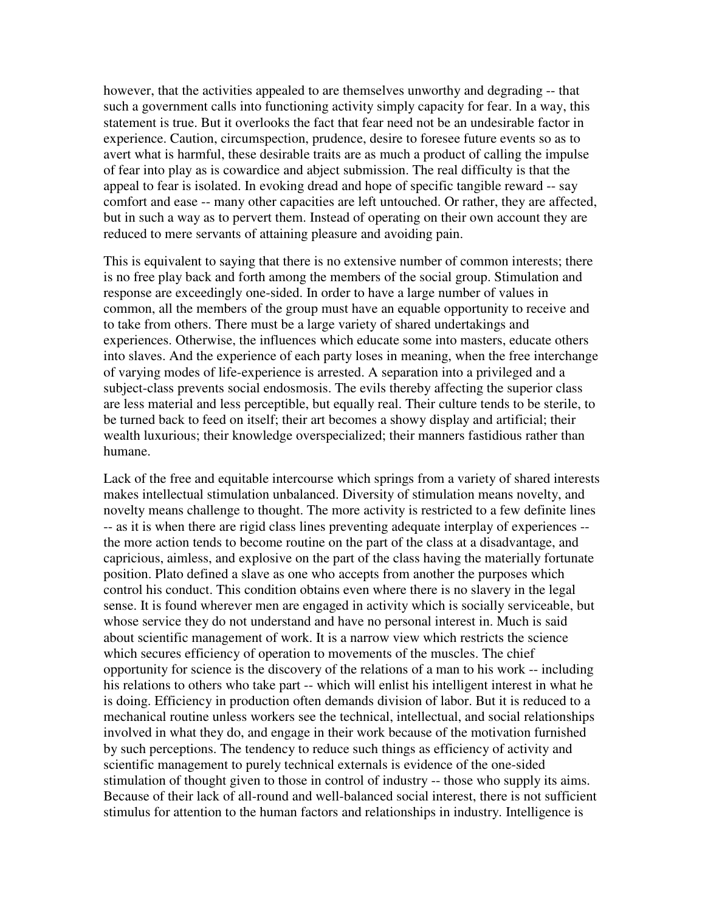however, that the activities appealed to are themselves unworthy and degrading -- that such a government calls into functioning activity simply capacity for fear. In a way, this statement is true. But it overlooks the fact that fear need not be an undesirable factor in experience. Caution, circumspection, prudence, desire to foresee future events so as to avert what is harmful, these desirable traits are as much a product of calling the impulse of fear into play as is cowardice and abject submission. The real difficulty is that the appeal to fear is isolated. In evoking dread and hope of specific tangible reward -- say comfort and ease -- many other capacities are left untouched. Or rather, they are affected, but in such a way as to pervert them. Instead of operating on their own account they are reduced to mere servants of attaining pleasure and avoiding pain.

This is equivalent to saying that there is no extensive number of common interests; there is no free play back and forth among the members of the social group. Stimulation and response are exceedingly one-sided. In order to have a large number of values in common, all the members of the group must have an equable opportunity to receive and to take from others. There must be a large variety of shared undertakings and experiences. Otherwise, the influences which educate some into masters, educate others into slaves. And the experience of each party loses in meaning, when the free interchange of varying modes of life-experience is arrested. A separation into a privileged and a subject-class prevents social endosmosis. The evils thereby affecting the superior class are less material and less perceptible, but equally real. Their culture tends to be sterile, to be turned back to feed on itself; their art becomes a showy display and artificial; their wealth luxurious; their knowledge overspecialized; their manners fastidious rather than humane.

Lack of the free and equitable intercourse which springs from a variety of shared interests makes intellectual stimulation unbalanced. Diversity of stimulation means novelty, and novelty means challenge to thought. The more activity is restricted to a few definite lines -- as it is when there are rigid class lines preventing adequate interplay of experiences - the more action tends to become routine on the part of the class at a disadvantage, and capricious, aimless, and explosive on the part of the class having the materially fortunate position. Plato defined a slave as one who accepts from another the purposes which control his conduct. This condition obtains even where there is no slavery in the legal sense. It is found wherever men are engaged in activity which is socially serviceable, but whose service they do not understand and have no personal interest in. Much is said about scientific management of work. It is a narrow view which restricts the science which secures efficiency of operation to movements of the muscles. The chief opportunity for science is the discovery of the relations of a man to his work -- including his relations to others who take part -- which will enlist his intelligent interest in what he is doing. Efficiency in production often demands division of labor. But it is reduced to a mechanical routine unless workers see the technical, intellectual, and social relationships involved in what they do, and engage in their work because of the motivation furnished by such perceptions. The tendency to reduce such things as efficiency of activity and scientific management to purely technical externals is evidence of the one-sided stimulation of thought given to those in control of industry -- those who supply its aims. Because of their lack of all-round and well-balanced social interest, there is not sufficient stimulus for attention to the human factors and relationships in industry. Intelligence is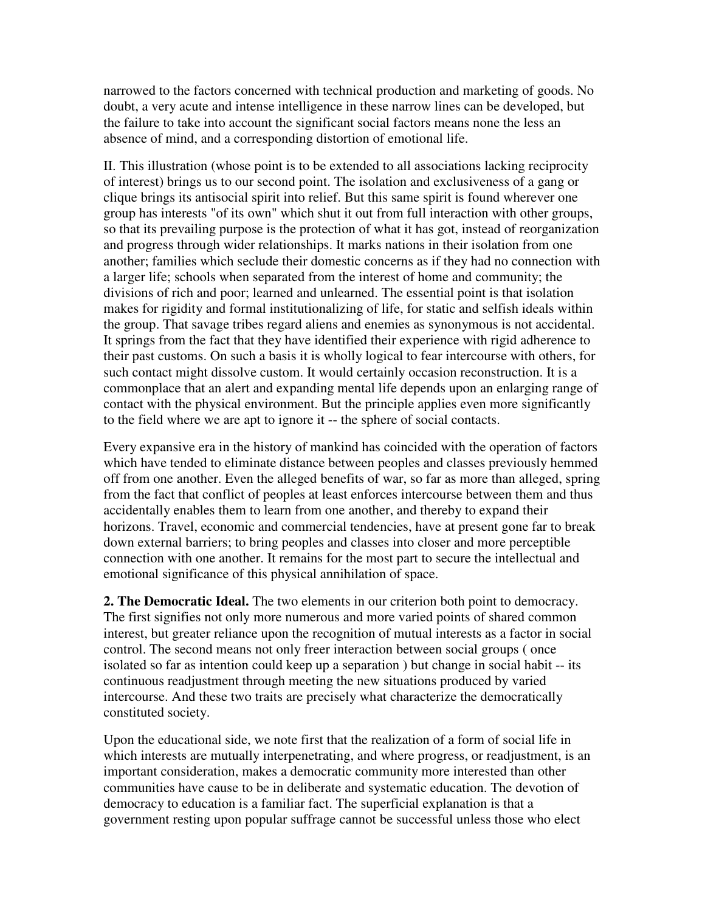narrowed to the factors concerned with technical production and marketing of goods. No doubt, a very acute and intense intelligence in these narrow lines can be developed, but the failure to take into account the significant social factors means none the less an absence of mind, and a corresponding distortion of emotional life.

II. This illustration (whose point is to be extended to all associations lacking reciprocity of interest) brings us to our second point. The isolation and exclusiveness of a gang or clique brings its antisocial spirit into relief. But this same spirit is found wherever one group has interests "of its own" which shut it out from full interaction with other groups, so that its prevailing purpose is the protection of what it has got, instead of reorganization and progress through wider relationships. It marks nations in their isolation from one another; families which seclude their domestic concerns as if they had no connection with a larger life; schools when separated from the interest of home and community; the divisions of rich and poor; learned and unlearned. The essential point is that isolation makes for rigidity and formal institutionalizing of life, for static and selfish ideals within the group. That savage tribes regard aliens and enemies as synonymous is not accidental. It springs from the fact that they have identified their experience with rigid adherence to their past customs. On such a basis it is wholly logical to fear intercourse with others, for such contact might dissolve custom. It would certainly occasion reconstruction. It is a commonplace that an alert and expanding mental life depends upon an enlarging range of contact with the physical environment. But the principle applies even more significantly to the field where we are apt to ignore it -- the sphere of social contacts.

Every expansive era in the history of mankind has coincided with the operation of factors which have tended to eliminate distance between peoples and classes previously hemmed off from one another. Even the alleged benefits of war, so far as more than alleged, spring from the fact that conflict of peoples at least enforces intercourse between them and thus accidentally enables them to learn from one another, and thereby to expand their horizons. Travel, economic and commercial tendencies, have at present gone far to break down external barriers; to bring peoples and classes into closer and more perceptible connection with one another. It remains for the most part to secure the intellectual and emotional significance of this physical annihilation of space.

**2. The Democratic Ideal.** The two elements in our criterion both point to democracy. The first signifies not only more numerous and more varied points of shared common interest, but greater reliance upon the recognition of mutual interests as a factor in social control. The second means not only freer interaction between social groups ( once isolated so far as intention could keep up a separation ) but change in social habit -- its continuous readjustment through meeting the new situations produced by varied intercourse. And these two traits are precisely what characterize the democratically constituted society.

Upon the educational side, we note first that the realization of a form of social life in which interests are mutually interpenetrating, and where progress, or readjustment, is an important consideration, makes a democratic community more interested than other communities have cause to be in deliberate and systematic education. The devotion of democracy to education is a familiar fact. The superficial explanation is that a government resting upon popular suffrage cannot be successful unless those who elect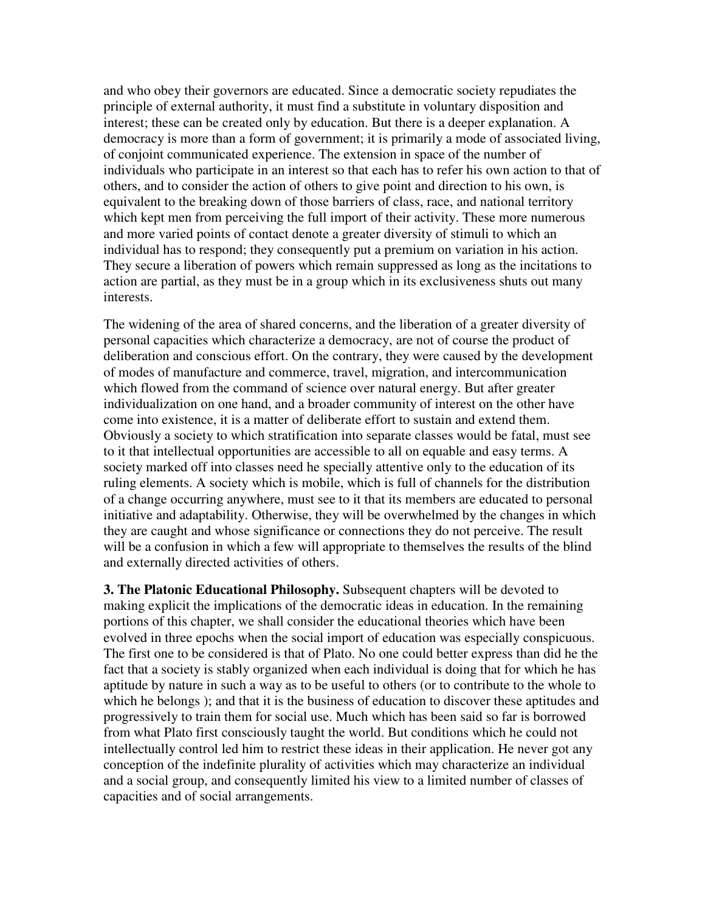and who obey their governors are educated. Since a democratic society repudiates the principle of external authority, it must find a substitute in voluntary disposition and interest; these can be created only by education. But there is a deeper explanation. A democracy is more than a form of government; it is primarily a mode of associated living, of conjoint communicated experience. The extension in space of the number of individuals who participate in an interest so that each has to refer his own action to that of others, and to consider the action of others to give point and direction to his own, is equivalent to the breaking down of those barriers of class, race, and national territory which kept men from perceiving the full import of their activity. These more numerous and more varied points of contact denote a greater diversity of stimuli to which an individual has to respond; they consequently put a premium on variation in his action. They secure a liberation of powers which remain suppressed as long as the incitations to action are partial, as they must be in a group which in its exclusiveness shuts out many interests.

The widening of the area of shared concerns, and the liberation of a greater diversity of personal capacities which characterize a democracy, are not of course the product of deliberation and conscious effort. On the contrary, they were caused by the development of modes of manufacture and commerce, travel, migration, and intercommunication which flowed from the command of science over natural energy. But after greater individualization on one hand, and a broader community of interest on the other have come into existence, it is a matter of deliberate effort to sustain and extend them. Obviously a society to which stratification into separate classes would be fatal, must see to it that intellectual opportunities are accessible to all on equable and easy terms. A society marked off into classes need he specially attentive only to the education of its ruling elements. A society which is mobile, which is full of channels for the distribution of a change occurring anywhere, must see to it that its members are educated to personal initiative and adaptability. Otherwise, they will be overwhelmed by the changes in which they are caught and whose significance or connections they do not perceive. The result will be a confusion in which a few will appropriate to themselves the results of the blind and externally directed activities of others.

**3. The Platonic Educational Philosophy.** Subsequent chapters will be devoted to making explicit the implications of the democratic ideas in education. In the remaining portions of this chapter, we shall consider the educational theories which have been evolved in three epochs when the social import of education was especially conspicuous. The first one to be considered is that of Plato. No one could better express than did he the fact that a society is stably organized when each individual is doing that for which he has aptitude by nature in such a way as to be useful to others (or to contribute to the whole to which he belongs ); and that it is the business of education to discover these aptitudes and progressively to train them for social use. Much which has been said so far is borrowed from what Plato first consciously taught the world. But conditions which he could not intellectually control led him to restrict these ideas in their application. He never got any conception of the indefinite plurality of activities which may characterize an individual and a social group, and consequently limited his view to a limited number of classes of capacities and of social arrangements.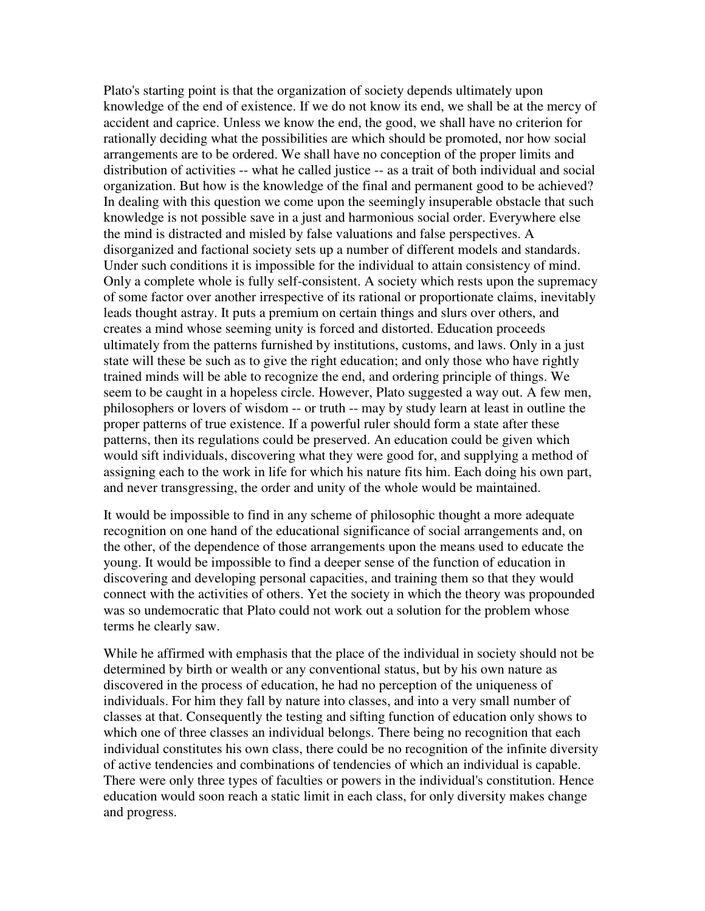Plato's starting point is that the organization of society depends ultimately upon knowledge of the end of existence. If we do not know its end, we shall be at the mercy of accident and caprice. Unless we know the end, the good, we shall have no criterion for rationally deciding what the possibilities are which should be promoted, nor how social arrangements are to be ordered. We shall have no conception of the proper limits and distribution of activities -- what he called justice -- as a trait of both individual and social organization. But how is the knowledge of the final and permanent good to be achieved? In dealing with this question we come upon the seemingly insuperable obstacle that such knowledge is not possible save in a just and harmonious social order. Everywhere else the mind is distracted and misled by false valuations and false perspectives. A disorganized and factional society sets up a number of different models and standards. Under such conditions it is impossible for the individual to attain consistency of mind. Only a complete whole is fully self-consistent. A society which rests upon the supremacy of some factor over another irrespective of its rational or proportionate claims, inevitably leads thought astray. It puts a premium on certain things and slurs over others, and creates a mind whose seeming unity is forced and distorted. Education proceeds ultimately from the patterns furnished by institutions, customs, and laws. Only in a just state will these be such as to give the right education; and only those who have rightly trained minds will be able to recognize the end, and ordering principle of things. We seem to be caught in a hopeless circle. However, Plato suggested a way out. A few men, philosophers or lovers of wisdom -- or truth -- may by study learn at least in outline the proper patterns of true existence. If a powerful ruler should form a state after these patterns, then its regulations could be preserved. An education could be given which would sift individuals, discovering what they were good for, and supplying a method of assigning each to the work in life for which his nature fits him. Each doing his own part, and never transgressing, the order and unity of the whole would be maintained.

It would be impossible to find in any scheme of philosophic thought a more adequate recognition on one hand of the educational significance of social arrangements and, on the other, of the dependence of those arrangements upon the means used to educate the young. It would be impossible to find a deeper sense of the function of education in discovering and developing personal capacities, and training them so that they would connect with the activities of others. Yet the society in which the theory was propounded was so undemocratic that Plato could not work out a solution for the problem whose terms he clearly saw.

While he affirmed with emphasis that the place of the individual in society should not be determined by birth or wealth or any conventional status, but by his own nature as discovered in the process of education, he had no perception of the uniqueness of individuals. For him they fall by nature into classes, and into a very small number of classes at that. Consequently the testing and sifting function of education only shows to which one of three classes an individual belongs. There being no recognition that each individual constitutes his own class, there could be no recognition of the infinite diversity of active tendencies and combinations of tendencies of which an individual is capable. There were only three types of faculties or powers in the individual's constitution. Hence education would soon reach a static limit in each class, for only diversity makes change and progress.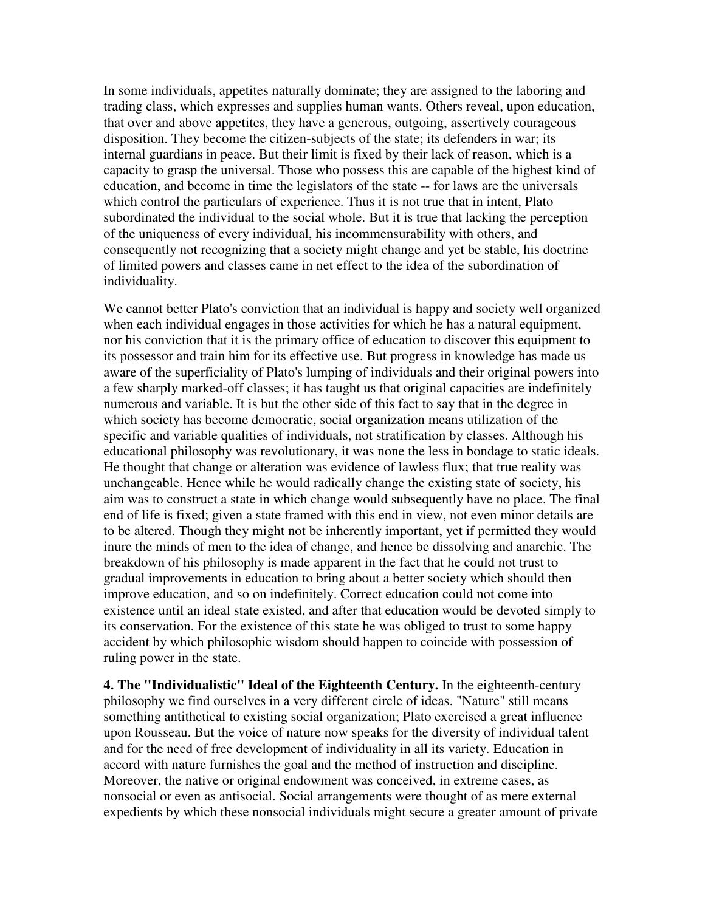In some individuals, appetites naturally dominate; they are assigned to the laboring and trading class, which expresses and supplies human wants. Others reveal, upon education, that over and above appetites, they have a generous, outgoing, assertively courageous disposition. They become the citizen-subjects of the state; its defenders in war; its internal guardians in peace. But their limit is fixed by their lack of reason, which is a capacity to grasp the universal. Those who possess this are capable of the highest kind of education, and become in time the legislators of the state -- for laws are the universals which control the particulars of experience. Thus it is not true that in intent, Plato subordinated the individual to the social whole. But it is true that lacking the perception of the uniqueness of every individual, his incommensurability with others, and consequently not recognizing that a society might change and yet be stable, his doctrine of limited powers and classes came in net effect to the idea of the subordination of individuality.

We cannot better Plato's conviction that an individual is happy and society well organized when each individual engages in those activities for which he has a natural equipment, nor his conviction that it is the primary office of education to discover this equipment to its possessor and train him for its effective use. But progress in knowledge has made us aware of the superficiality of Plato's lumping of individuals and their original powers into a few sharply marked-off classes; it has taught us that original capacities are indefinitely numerous and variable. It is but the other side of this fact to say that in the degree in which society has become democratic, social organization means utilization of the specific and variable qualities of individuals, not stratification by classes. Although his educational philosophy was revolutionary, it was none the less in bondage to static ideals. He thought that change or alteration was evidence of lawless flux; that true reality was unchangeable. Hence while he would radically change the existing state of society, his aim was to construct a state in which change would subsequently have no place. The final end of life is fixed; given a state framed with this end in view, not even minor details are to be altered. Though they might not be inherently important, yet if permitted they would inure the minds of men to the idea of change, and hence be dissolving and anarchic. The breakdown of his philosophy is made apparent in the fact that he could not trust to gradual improvements in education to bring about a better society which should then improve education, and so on indefinitely. Correct education could not come into existence until an ideal state existed, and after that education would be devoted simply to its conservation. For the existence of this state he was obliged to trust to some happy accident by which philosophic wisdom should happen to coincide with possession of ruling power in the state.

**4. The "Individualistic" Ideal of the Eighteenth Century.** In the eighteenth-century philosophy we find ourselves in a very different circle of ideas. "Nature" still means something antithetical to existing social organization; Plato exercised a great influence upon Rousseau. But the voice of nature now speaks for the diversity of individual talent and for the need of free development of individuality in all its variety. Education in accord with nature furnishes the goal and the method of instruction and discipline. Moreover, the native or original endowment was conceived, in extreme cases, as nonsocial or even as antisocial. Social arrangements were thought of as mere external expedients by which these nonsocial individuals might secure a greater amount of private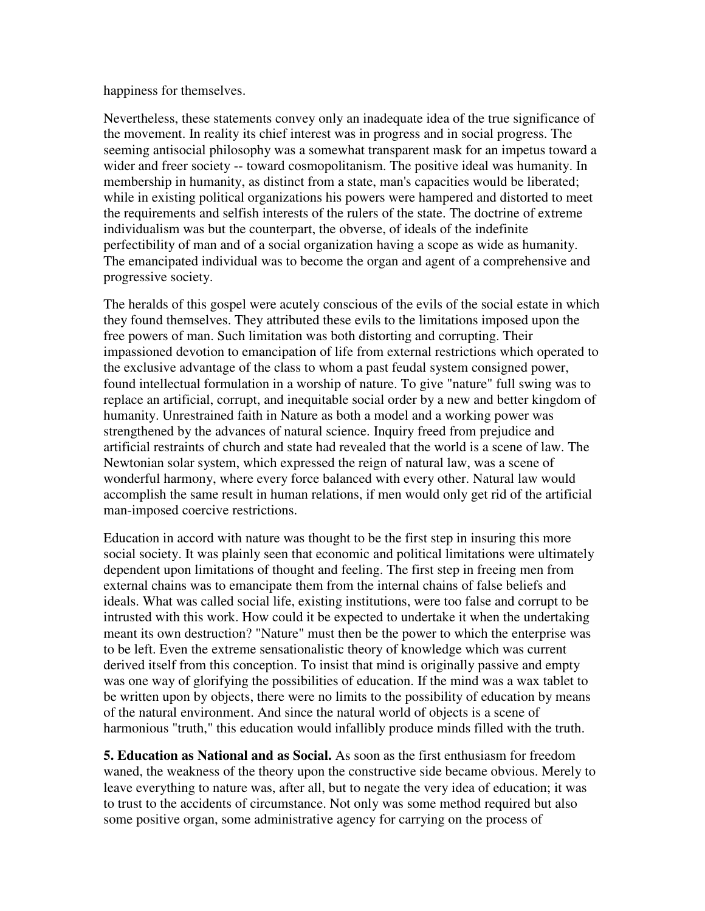#### happiness for themselves.

Nevertheless, these statements convey only an inadequate idea of the true significance of the movement. In reality its chief interest was in progress and in social progress. The seeming antisocial philosophy was a somewhat transparent mask for an impetus toward a wider and freer society -- toward cosmopolitanism. The positive ideal was humanity. In membership in humanity, as distinct from a state, man's capacities would be liberated; while in existing political organizations his powers were hampered and distorted to meet the requirements and selfish interests of the rulers of the state. The doctrine of extreme individualism was but the counterpart, the obverse, of ideals of the indefinite perfectibility of man and of a social organization having a scope as wide as humanity. The emancipated individual was to become the organ and agent of a comprehensive and progressive society.

The heralds of this gospel were acutely conscious of the evils of the social estate in which they found themselves. They attributed these evils to the limitations imposed upon the free powers of man. Such limitation was both distorting and corrupting. Their impassioned devotion to emancipation of life from external restrictions which operated to the exclusive advantage of the class to whom a past feudal system consigned power, found intellectual formulation in a worship of nature. To give "nature" full swing was to replace an artificial, corrupt, and inequitable social order by a new and better kingdom of humanity. Unrestrained faith in Nature as both a model and a working power was strengthened by the advances of natural science. Inquiry freed from prejudice and artificial restraints of church and state had revealed that the world is a scene of law. The Newtonian solar system, which expressed the reign of natural law, was a scene of wonderful harmony, where every force balanced with every other. Natural law would accomplish the same result in human relations, if men would only get rid of the artificial man-imposed coercive restrictions.

Education in accord with nature was thought to be the first step in insuring this more social society. It was plainly seen that economic and political limitations were ultimately dependent upon limitations of thought and feeling. The first step in freeing men from external chains was to emancipate them from the internal chains of false beliefs and ideals. What was called social life, existing institutions, were too false and corrupt to be intrusted with this work. How could it be expected to undertake it when the undertaking meant its own destruction? "Nature" must then be the power to which the enterprise was to be left. Even the extreme sensationalistic theory of knowledge which was current derived itself from this conception. To insist that mind is originally passive and empty was one way of glorifying the possibilities of education. If the mind was a wax tablet to be written upon by objects, there were no limits to the possibility of education by means of the natural environment. And since the natural world of objects is a scene of harmonious "truth," this education would infallibly produce minds filled with the truth.

**5. Education as National and as Social.** As soon as the first enthusiasm for freedom waned, the weakness of the theory upon the constructive side became obvious. Merely to leave everything to nature was, after all, but to negate the very idea of education; it was to trust to the accidents of circumstance. Not only was some method required but also some positive organ, some administrative agency for carrying on the process of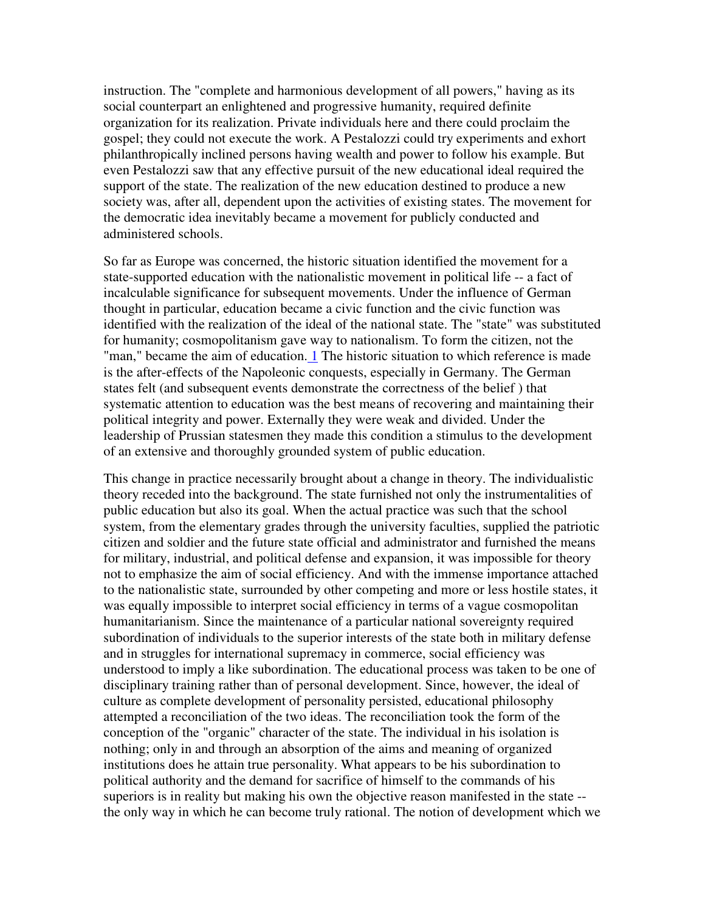instruction. The "complete and harmonious development of all powers," having as its social counterpart an enlightened and progressive humanity, required definite organization for its realization. Private individuals here and there could proclaim the gospel; they could not execute the work. A Pestalozzi could try experiments and exhort philanthropically inclined persons having wealth and power to follow his example. But even Pestalozzi saw that any effective pursuit of the new educational ideal required the support of the state. The realization of the new education destined to produce a new society was, after all, dependent upon the activities of existing states. The movement for the democratic idea inevitably became a movement for publicly conducted and administered schools.

So far as Europe was concerned, the historic situation identified the movement for a state-supported education with the nationalistic movement in political life -- a fact of incalculable significance for subsequent movements. Under the influence of German thought in particular, education became a civic function and the civic function was identified with the realization of the ideal of the national state. The "state" was substituted for humanity; cosmopolitanism gave way to nationalism. To form the citizen, not the "man," became the aim of education. 1 The historic situation to which reference is made is the after-effects of the Napoleonic conquests, especially in Germany. The German states felt (and subsequent events demonstrate the correctness of the belief ) that systematic attention to education was the best means of recovering and maintaining their political integrity and power. Externally they were weak and divided. Under the leadership of Prussian statesmen they made this condition a stimulus to the development of an extensive and thoroughly grounded system of public education.

This change in practice necessarily brought about a change in theory. The individualistic theory receded into the background. The state furnished not only the instrumentalities of public education but also its goal. When the actual practice was such that the school system, from the elementary grades through the university faculties, supplied the patriotic citizen and soldier and the future state official and administrator and furnished the means for military, industrial, and political defense and expansion, it was impossible for theory not to emphasize the aim of social efficiency. And with the immense importance attached to the nationalistic state, surrounded by other competing and more or less hostile states, it was equally impossible to interpret social efficiency in terms of a vague cosmopolitan humanitarianism. Since the maintenance of a particular national sovereignty required subordination of individuals to the superior interests of the state both in military defense and in struggles for international supremacy in commerce, social efficiency was understood to imply a like subordination. The educational process was taken to be one of disciplinary training rather than of personal development. Since, however, the ideal of culture as complete development of personality persisted, educational philosophy attempted a reconciliation of the two ideas. The reconciliation took the form of the conception of the "organic" character of the state. The individual in his isolation is nothing; only in and through an absorption of the aims and meaning of organized institutions does he attain true personality. What appears to be his subordination to political authority and the demand for sacrifice of himself to the commands of his superiors is in reality but making his own the objective reason manifested in the state - the only way in which he can become truly rational. The notion of development which we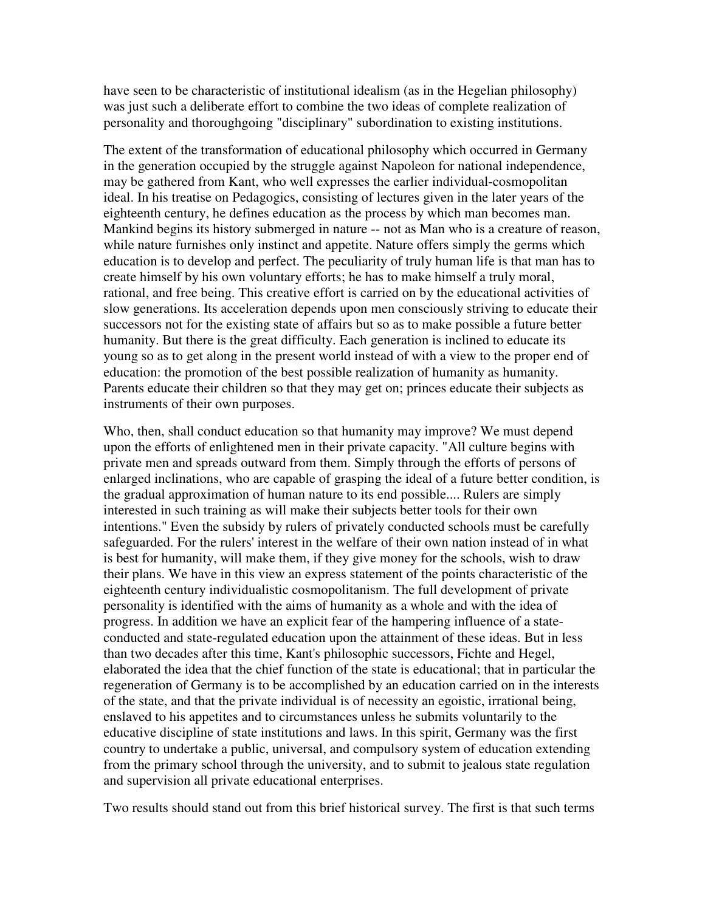have seen to be characteristic of institutional idealism (as in the Hegelian philosophy) was just such a deliberate effort to combine the two ideas of complete realization of personality and thoroughgoing "disciplinary" subordination to existing institutions.

The extent of the transformation of educational philosophy which occurred in Germany in the generation occupied by the struggle against Napoleon for national independence, may be gathered from Kant, who well expresses the earlier individual-cosmopolitan ideal. In his treatise on Pedagogics, consisting of lectures given in the later years of the eighteenth century, he defines education as the process by which man becomes man. Mankind begins its history submerged in nature -- not as Man who is a creature of reason, while nature furnishes only instinct and appetite. Nature offers simply the germs which education is to develop and perfect. The peculiarity of truly human life is that man has to create himself by his own voluntary efforts; he has to make himself a truly moral, rational, and free being. This creative effort is carried on by the educational activities of slow generations. Its acceleration depends upon men consciously striving to educate their successors not for the existing state of affairs but so as to make possible a future better humanity. But there is the great difficulty. Each generation is inclined to educate its young so as to get along in the present world instead of with a view to the proper end of education: the promotion of the best possible realization of humanity as humanity. Parents educate their children so that they may get on; princes educate their subjects as instruments of their own purposes.

Who, then, shall conduct education so that humanity may improve? We must depend upon the efforts of enlightened men in their private capacity. "All culture begins with private men and spreads outward from them. Simply through the efforts of persons of enlarged inclinations, who are capable of grasping the ideal of a future better condition, is the gradual approximation of human nature to its end possible.... Rulers are simply interested in such training as will make their subjects better tools for their own intentions." Even the subsidy by rulers of privately conducted schools must be carefully safeguarded. For the rulers' interest in the welfare of their own nation instead of in what is best for humanity, will make them, if they give money for the schools, wish to draw their plans. We have in this view an express statement of the points characteristic of the eighteenth century individualistic cosmopolitanism. The full development of private personality is identified with the aims of humanity as a whole and with the idea of progress. In addition we have an explicit fear of the hampering influence of a stateconducted and state-regulated education upon the attainment of these ideas. But in less than two decades after this time, Kant's philosophic successors, Fichte and Hegel, elaborated the idea that the chief function of the state is educational; that in particular the regeneration of Germany is to be accomplished by an education carried on in the interests of the state, and that the private individual is of necessity an egoistic, irrational being, enslaved to his appetites and to circumstances unless he submits voluntarily to the educative discipline of state institutions and laws. In this spirit, Germany was the first country to undertake a public, universal, and compulsory system of education extending from the primary school through the university, and to submit to jealous state regulation and supervision all private educational enterprises.

Two results should stand out from this brief historical survey. The first is that such terms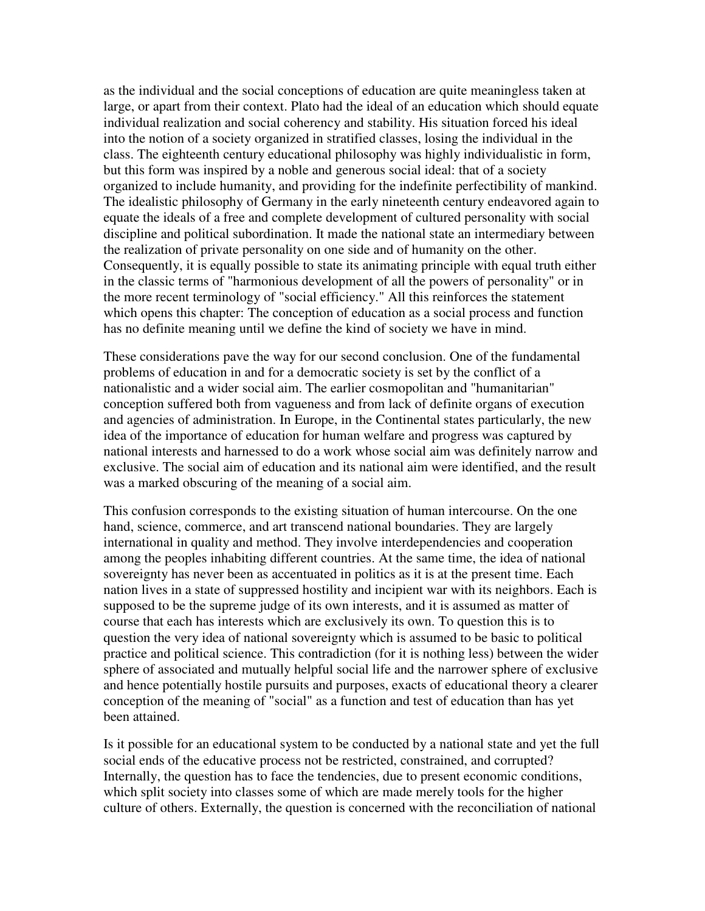as the individual and the social conceptions of education are quite meaningless taken at large, or apart from their context. Plato had the ideal of an education which should equate individual realization and social coherency and stability. His situation forced his ideal into the notion of a society organized in stratified classes, losing the individual in the class. The eighteenth century educational philosophy was highly individualistic in form, but this form was inspired by a noble and generous social ideal: that of a society organized to include humanity, and providing for the indefinite perfectibility of mankind. The idealistic philosophy of Germany in the early nineteenth century endeavored again to equate the ideals of a free and complete development of cultured personality with social discipline and political subordination. It made the national state an intermediary between the realization of private personality on one side and of humanity on the other. Consequently, it is equally possible to state its animating principle with equal truth either in the classic terms of "harmonious development of all the powers of personality" or in the more recent terminology of "social efficiency." All this reinforces the statement which opens this chapter: The conception of education as a social process and function has no definite meaning until we define the kind of society we have in mind.

These considerations pave the way for our second conclusion. One of the fundamental problems of education in and for a democratic society is set by the conflict of a nationalistic and a wider social aim. The earlier cosmopolitan and "humanitarian" conception suffered both from vagueness and from lack of definite organs of execution and agencies of administration. In Europe, in the Continental states particularly, the new idea of the importance of education for human welfare and progress was captured by national interests and harnessed to do a work whose social aim was definitely narrow and exclusive. The social aim of education and its national aim were identified, and the result was a marked obscuring of the meaning of a social aim.

This confusion corresponds to the existing situation of human intercourse. On the one hand, science, commerce, and art transcend national boundaries. They are largely international in quality and method. They involve interdependencies and cooperation among the peoples inhabiting different countries. At the same time, the idea of national sovereignty has never been as accentuated in politics as it is at the present time. Each nation lives in a state of suppressed hostility and incipient war with its neighbors. Each is supposed to be the supreme judge of its own interests, and it is assumed as matter of course that each has interests which are exclusively its own. To question this is to question the very idea of national sovereignty which is assumed to be basic to political practice and political science. This contradiction (for it is nothing less) between the wider sphere of associated and mutually helpful social life and the narrower sphere of exclusive and hence potentially hostile pursuits and purposes, exacts of educational theory a clearer conception of the meaning of "social" as a function and test of education than has yet been attained.

Is it possible for an educational system to be conducted by a national state and yet the full social ends of the educative process not be restricted, constrained, and corrupted? Internally, the question has to face the tendencies, due to present economic conditions, which split society into classes some of which are made merely tools for the higher culture of others. Externally, the question is concerned with the reconciliation of national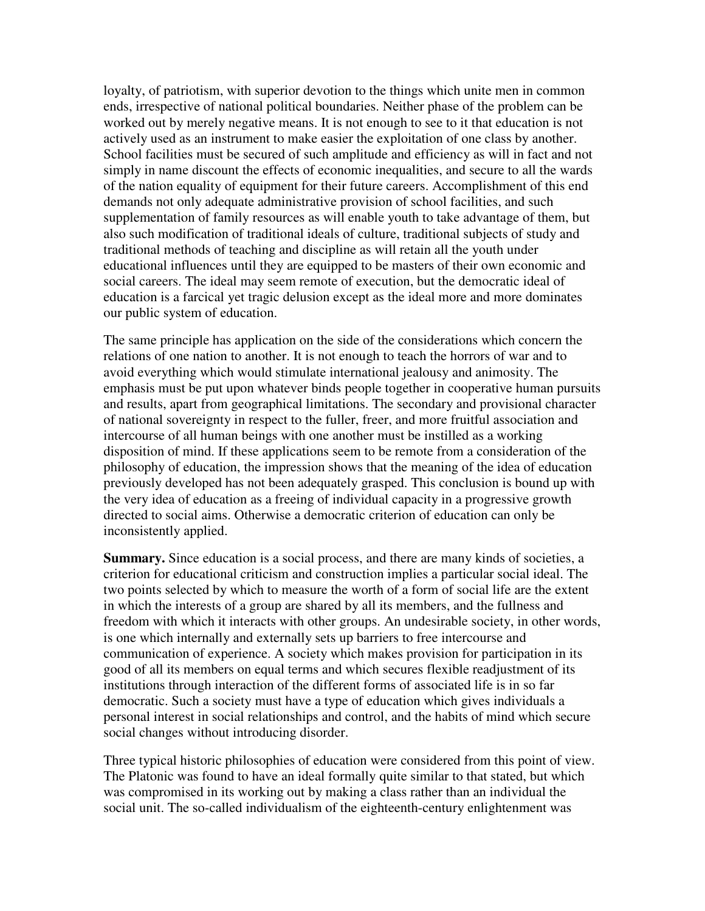loyalty, of patriotism, with superior devotion to the things which unite men in common ends, irrespective of national political boundaries. Neither phase of the problem can be worked out by merely negative means. It is not enough to see to it that education is not actively used as an instrument to make easier the exploitation of one class by another. School facilities must be secured of such amplitude and efficiency as will in fact and not simply in name discount the effects of economic inequalities, and secure to all the wards of the nation equality of equipment for their future careers. Accomplishment of this end demands not only adequate administrative provision of school facilities, and such supplementation of family resources as will enable youth to take advantage of them, but also such modification of traditional ideals of culture, traditional subjects of study and traditional methods of teaching and discipline as will retain all the youth under educational influences until they are equipped to be masters of their own economic and social careers. The ideal may seem remote of execution, but the democratic ideal of education is a farcical yet tragic delusion except as the ideal more and more dominates our public system of education.

The same principle has application on the side of the considerations which concern the relations of one nation to another. It is not enough to teach the horrors of war and to avoid everything which would stimulate international jealousy and animosity. The emphasis must be put upon whatever binds people together in cooperative human pursuits and results, apart from geographical limitations. The secondary and provisional character of national sovereignty in respect to the fuller, freer, and more fruitful association and intercourse of all human beings with one another must be instilled as a working disposition of mind. If these applications seem to be remote from a consideration of the philosophy of education, the impression shows that the meaning of the idea of education previously developed has not been adequately grasped. This conclusion is bound up with the very idea of education as a freeing of individual capacity in a progressive growth directed to social aims. Otherwise a democratic criterion of education can only be inconsistently applied.

**Summary.** Since education is a social process, and there are many kinds of societies, a criterion for educational criticism and construction implies a particular social ideal. The two points selected by which to measure the worth of a form of social life are the extent in which the interests of a group are shared by all its members, and the fullness and freedom with which it interacts with other groups. An undesirable society, in other words, is one which internally and externally sets up barriers to free intercourse and communication of experience. A society which makes provision for participation in its good of all its members on equal terms and which secures flexible readjustment of its institutions through interaction of the different forms of associated life is in so far democratic. Such a society must have a type of education which gives individuals a personal interest in social relationships and control, and the habits of mind which secure social changes without introducing disorder.

Three typical historic philosophies of education were considered from this point of view. The Platonic was found to have an ideal formally quite similar to that stated, but which was compromised in its working out by making a class rather than an individual the social unit. The so-called individualism of the eighteenth-century enlightenment was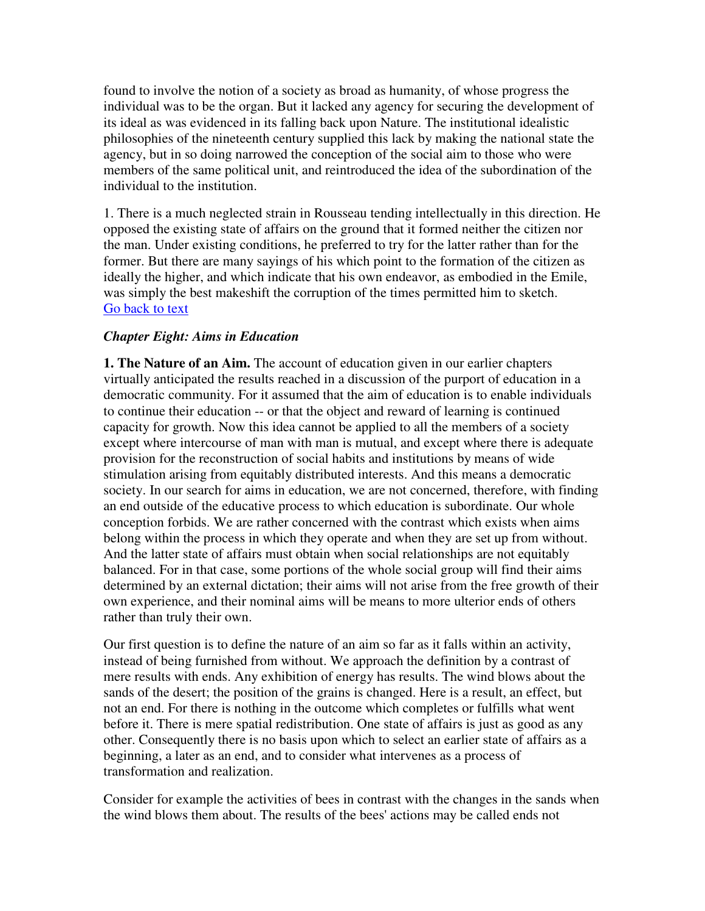found to involve the notion of a society as broad as humanity, of whose progress the individual was to be the organ. But it lacked any agency for securing the development of its ideal as was evidenced in its falling back upon Nature. The institutional idealistic philosophies of the nineteenth century supplied this lack by making the national state the agency, but in so doing narrowed the conception of the social aim to those who were members of the same political unit, and reintroduced the idea of the subordination of the individual to the institution.

1. There is a much neglected strain in Rousseau tending intellectually in this direction. He opposed the existing state of affairs on the ground that it formed neither the citizen nor the man. Under existing conditions, he preferred to try for the latter rather than for the former. But there are many sayings of his which point to the formation of the citizen as ideally the higher, and which indicate that his own endeavor, as embodied in the Emile, was simply the best makeshift the corruption of the times permitted him to sketch. Go back to text

## *Chapter Eight: Aims in Education*

**1. The Nature of an Aim.** The account of education given in our earlier chapters virtually anticipated the results reached in a discussion of the purport of education in a democratic community. For it assumed that the aim of education is to enable individuals to continue their education -- or that the object and reward of learning is continued capacity for growth. Now this idea cannot be applied to all the members of a society except where intercourse of man with man is mutual, and except where there is adequate provision for the reconstruction of social habits and institutions by means of wide stimulation arising from equitably distributed interests. And this means a democratic society. In our search for aims in education, we are not concerned, therefore, with finding an end outside of the educative process to which education is subordinate. Our whole conception forbids. We are rather concerned with the contrast which exists when aims belong within the process in which they operate and when they are set up from without. And the latter state of affairs must obtain when social relationships are not equitably balanced. For in that case, some portions of the whole social group will find their aims determined by an external dictation; their aims will not arise from the free growth of their own experience, and their nominal aims will be means to more ulterior ends of others rather than truly their own.

Our first question is to define the nature of an aim so far as it falls within an activity, instead of being furnished from without. We approach the definition by a contrast of mere results with ends. Any exhibition of energy has results. The wind blows about the sands of the desert; the position of the grains is changed. Here is a result, an effect, but not an end. For there is nothing in the outcome which completes or fulfills what went before it. There is mere spatial redistribution. One state of affairs is just as good as any other. Consequently there is no basis upon which to select an earlier state of affairs as a beginning, a later as an end, and to consider what intervenes as a process of transformation and realization.

Consider for example the activities of bees in contrast with the changes in the sands when the wind blows them about. The results of the bees' actions may be called ends not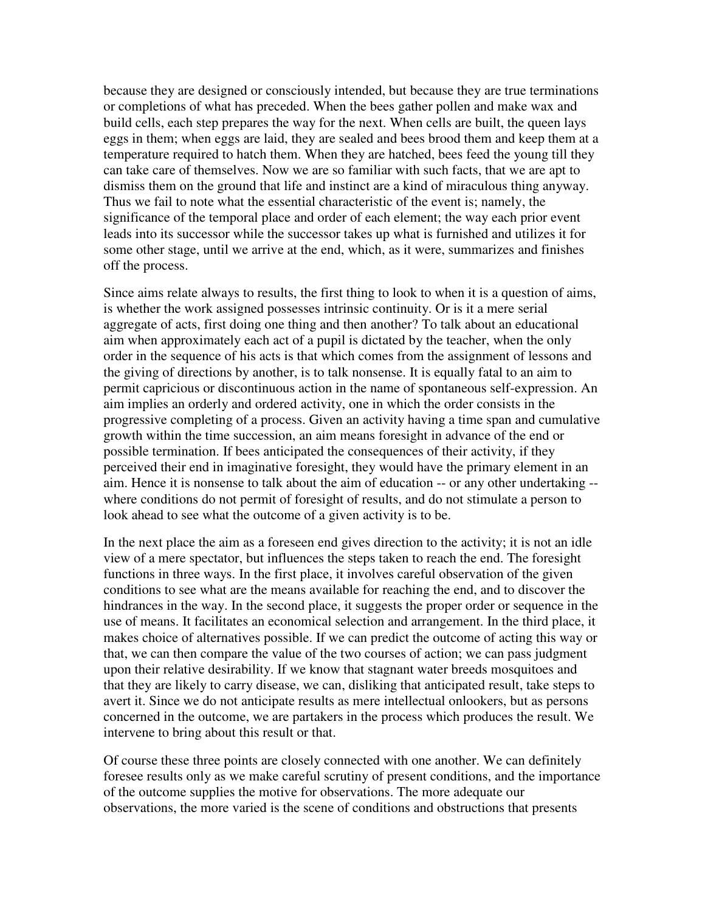because they are designed or consciously intended, but because they are true terminations or completions of what has preceded. When the bees gather pollen and make wax and build cells, each step prepares the way for the next. When cells are built, the queen lays eggs in them; when eggs are laid, they are sealed and bees brood them and keep them at a temperature required to hatch them. When they are hatched, bees feed the young till they can take care of themselves. Now we are so familiar with such facts, that we are apt to dismiss them on the ground that life and instinct are a kind of miraculous thing anyway. Thus we fail to note what the essential characteristic of the event is; namely, the significance of the temporal place and order of each element; the way each prior event leads into its successor while the successor takes up what is furnished and utilizes it for some other stage, until we arrive at the end, which, as it were, summarizes and finishes off the process.

Since aims relate always to results, the first thing to look to when it is a question of aims, is whether the work assigned possesses intrinsic continuity. Or is it a mere serial aggregate of acts, first doing one thing and then another? To talk about an educational aim when approximately each act of a pupil is dictated by the teacher, when the only order in the sequence of his acts is that which comes from the assignment of lessons and the giving of directions by another, is to talk nonsense. It is equally fatal to an aim to permit capricious or discontinuous action in the name of spontaneous self-expression. An aim implies an orderly and ordered activity, one in which the order consists in the progressive completing of a process. Given an activity having a time span and cumulative growth within the time succession, an aim means foresight in advance of the end or possible termination. If bees anticipated the consequences of their activity, if they perceived their end in imaginative foresight, they would have the primary element in an aim. Hence it is nonsense to talk about the aim of education -- or any other undertaking - where conditions do not permit of foresight of results, and do not stimulate a person to look ahead to see what the outcome of a given activity is to be.

In the next place the aim as a foreseen end gives direction to the activity; it is not an idle view of a mere spectator, but influences the steps taken to reach the end. The foresight functions in three ways. In the first place, it involves careful observation of the given conditions to see what are the means available for reaching the end, and to discover the hindrances in the way. In the second place, it suggests the proper order or sequence in the use of means. It facilitates an economical selection and arrangement. In the third place, it makes choice of alternatives possible. If we can predict the outcome of acting this way or that, we can then compare the value of the two courses of action; we can pass judgment upon their relative desirability. If we know that stagnant water breeds mosquitoes and that they are likely to carry disease, we can, disliking that anticipated result, take steps to avert it. Since we do not anticipate results as mere intellectual onlookers, but as persons concerned in the outcome, we are partakers in the process which produces the result. We intervene to bring about this result or that.

Of course these three points are closely connected with one another. We can definitely foresee results only as we make careful scrutiny of present conditions, and the importance of the outcome supplies the motive for observations. The more adequate our observations, the more varied is the scene of conditions and obstructions that presents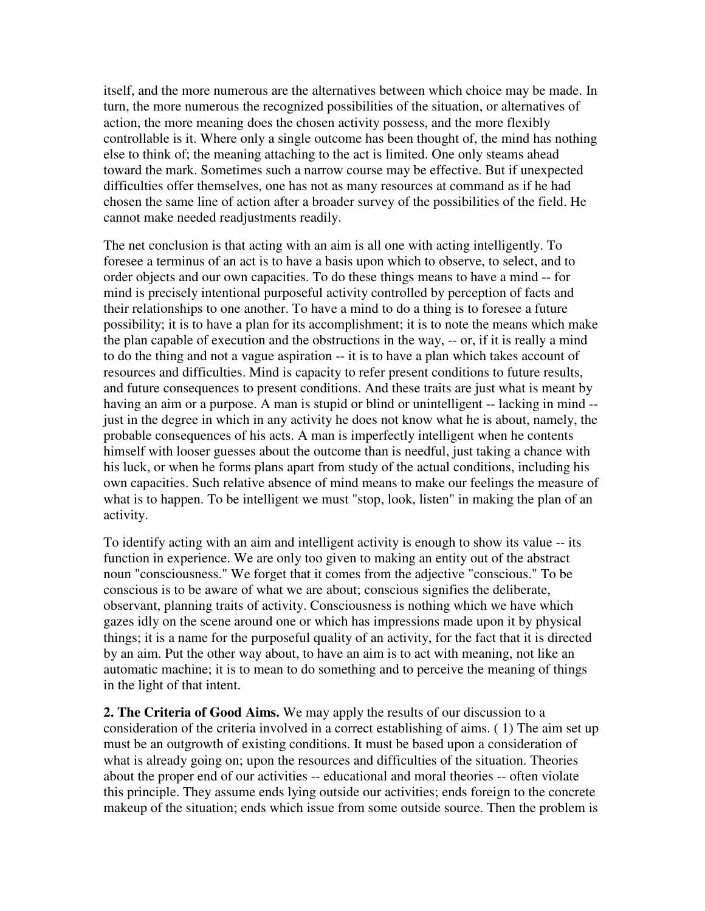itself, and the more numerous are the alternatives between which choice may be made. In turn, the more numerous the recognized possibilities of the situation, or alternatives of action, the more meaning does the chosen activity possess, and the more flexibly controllable is it. Where only a single outcome has been thought of, the mind has nothing else to think of; the meaning attaching to the act is limited. One only steams ahead toward the mark. Sometimes such a narrow course may be effective. But if unexpected difficulties offer themselves, one has not as many resources at command as if he had chosen the same line of action after a broader survey of the possibilities of the field. He cannot make needed readjustments readily.

The net conclusion is that acting with an aim is all one with acting intelligently. To foresee a terminus of an act is to have a basis upon which to observe, to select, and to order objects and our own capacities. To do these things means to have a mind -- for mind is precisely intentional purposeful activity controlled by perception of facts and their relationships to one another. To have a mind to do a thing is to foresee a future possibility; it is to have a plan for its accomplishment; it is to note the means which make the plan capable of execution and the obstructions in the way, -- or, if it is really a mind to do the thing and not a vague aspiration -- it is to have a plan which takes account of resources and difficulties. Mind is capacity to refer present conditions to future results, and future consequences to present conditions. And these traits are just what is meant by having an aim or a purpose. A man is stupid or blind or unintelligent -- lacking in mind - just in the degree in which in any activity he does not know what he is about, namely, the probable consequences of his acts. A man is imperfectly intelligent when he contents himself with looser guesses about the outcome than is needful, just taking a chance with his luck, or when he forms plans apart from study of the actual conditions, including his own capacities. Such relative absence of mind means to make our feelings the measure of what is to happen. To be intelligent we must "stop, look, listen" in making the plan of an activity.

To identify acting with an aim and intelligent activity is enough to show its value -- its function in experience. We are only too given to making an entity out of the abstract noun "consciousness." We forget that it comes from the adjective "conscious." To be conscious is to be aware of what we are about; conscious signifies the deliberate, observant, planning traits of activity. Consciousness is nothing which we have which gazes idly on the scene around one or which has impressions made upon it by physical things; it is a name for the purposeful quality of an activity, for the fact that it is directed by an aim. Put the other way about, to have an aim is to act with meaning, not like an automatic machine; it is to mean to do something and to perceive the meaning of things in the light of that intent.

**2. The Criteria of Good Aims.** We may apply the results of our discussion to a consideration of the criteria involved in a correct establishing of aims. ( 1) The aim set up must be an outgrowth of existing conditions. It must be based upon a consideration of what is already going on; upon the resources and difficulties of the situation. Theories about the proper end of our activities -- educational and moral theories -- often violate this principle. They assume ends lying outside our activities; ends foreign to the concrete makeup of the situation; ends which issue from some outside source. Then the problem is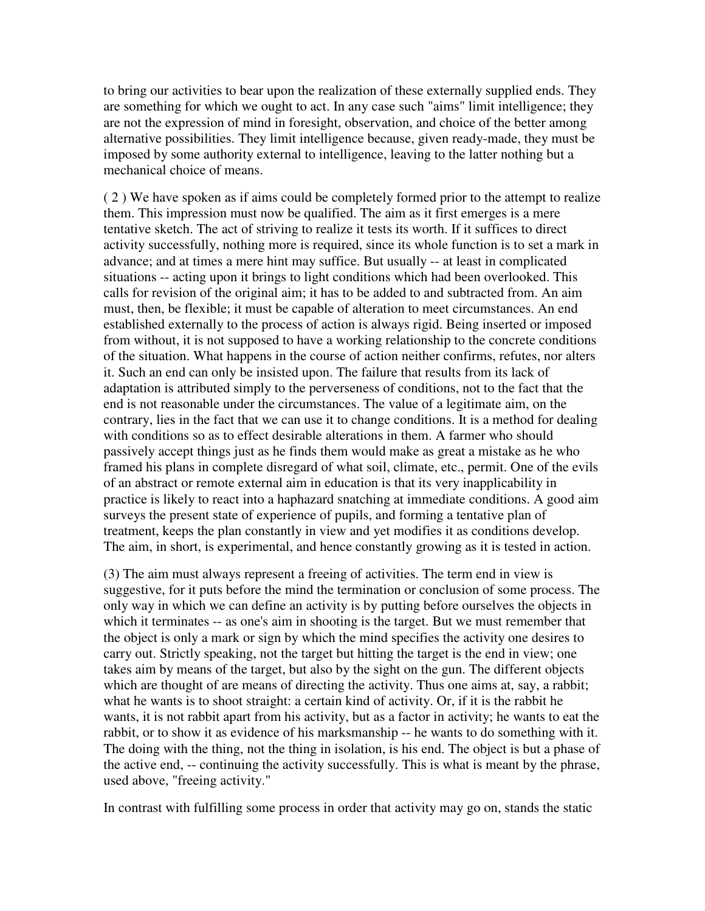to bring our activities to bear upon the realization of these externally supplied ends. They are something for which we ought to act. In any case such "aims" limit intelligence; they are not the expression of mind in foresight, observation, and choice of the better among alternative possibilities. They limit intelligence because, given ready-made, they must be imposed by some authority external to intelligence, leaving to the latter nothing but a mechanical choice of means.

( 2 ) We have spoken as if aims could be completely formed prior to the attempt to realize them. This impression must now be qualified. The aim as it first emerges is a mere tentative sketch. The act of striving to realize it tests its worth. If it suffices to direct activity successfully, nothing more is required, since its whole function is to set a mark in advance; and at times a mere hint may suffice. But usually -- at least in complicated situations -- acting upon it brings to light conditions which had been overlooked. This calls for revision of the original aim; it has to be added to and subtracted from. An aim must, then, be flexible; it must be capable of alteration to meet circumstances. An end established externally to the process of action is always rigid. Being inserted or imposed from without, it is not supposed to have a working relationship to the concrete conditions of the situation. What happens in the course of action neither confirms, refutes, nor alters it. Such an end can only be insisted upon. The failure that results from its lack of adaptation is attributed simply to the perverseness of conditions, not to the fact that the end is not reasonable under the circumstances. The value of a legitimate aim, on the contrary, lies in the fact that we can use it to change conditions. It is a method for dealing with conditions so as to effect desirable alterations in them. A farmer who should passively accept things just as he finds them would make as great a mistake as he who framed his plans in complete disregard of what soil, climate, etc., permit. One of the evils of an abstract or remote external aim in education is that its very inapplicability in practice is likely to react into a haphazard snatching at immediate conditions. A good aim surveys the present state of experience of pupils, and forming a tentative plan of treatment, keeps the plan constantly in view and yet modifies it as conditions develop. The aim, in short, is experimental, and hence constantly growing as it is tested in action.

(3) The aim must always represent a freeing of activities. The term end in view is suggestive, for it puts before the mind the termination or conclusion of some process. The only way in which we can define an activity is by putting before ourselves the objects in which it terminates -- as one's aim in shooting is the target. But we must remember that the object is only a mark or sign by which the mind specifies the activity one desires to carry out. Strictly speaking, not the target but hitting the target is the end in view; one takes aim by means of the target, but also by the sight on the gun. The different objects which are thought of are means of directing the activity. Thus one aims at, say, a rabbit; what he wants is to shoot straight: a certain kind of activity. Or, if it is the rabbit he wants, it is not rabbit apart from his activity, but as a factor in activity; he wants to eat the rabbit, or to show it as evidence of his marksmanship -- he wants to do something with it. The doing with the thing, not the thing in isolation, is his end. The object is but a phase of the active end, -- continuing the activity successfully. This is what is meant by the phrase, used above, "freeing activity."

In contrast with fulfilling some process in order that activity may go on, stands the static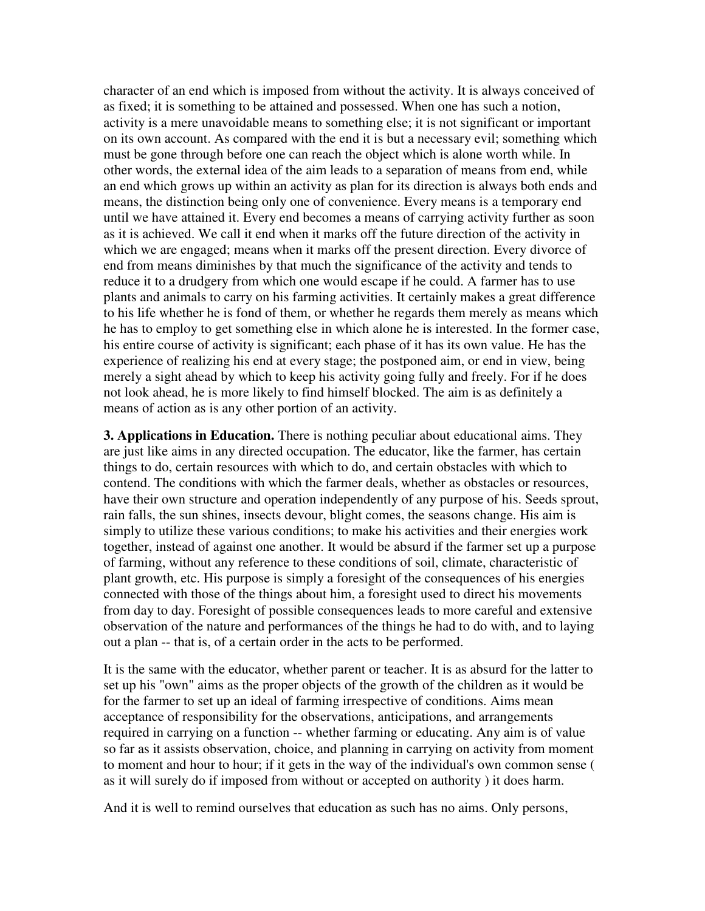character of an end which is imposed from without the activity. It is always conceived of as fixed; it is something to be attained and possessed. When one has such a notion, activity is a mere unavoidable means to something else; it is not significant or important on its own account. As compared with the end it is but a necessary evil; something which must be gone through before one can reach the object which is alone worth while. In other words, the external idea of the aim leads to a separation of means from end, while an end which grows up within an activity as plan for its direction is always both ends and means, the distinction being only one of convenience. Every means is a temporary end until we have attained it. Every end becomes a means of carrying activity further as soon as it is achieved. We call it end when it marks off the future direction of the activity in which we are engaged; means when it marks off the present direction. Every divorce of end from means diminishes by that much the significance of the activity and tends to reduce it to a drudgery from which one would escape if he could. A farmer has to use plants and animals to carry on his farming activities. It certainly makes a great difference to his life whether he is fond of them, or whether he regards them merely as means which he has to employ to get something else in which alone he is interested. In the former case, his entire course of activity is significant; each phase of it has its own value. He has the experience of realizing his end at every stage; the postponed aim, or end in view, being merely a sight ahead by which to keep his activity going fully and freely. For if he does not look ahead, he is more likely to find himself blocked. The aim is as definitely a means of action as is any other portion of an activity.

**3. Applications in Education.** There is nothing peculiar about educational aims. They are just like aims in any directed occupation. The educator, like the farmer, has certain things to do, certain resources with which to do, and certain obstacles with which to contend. The conditions with which the farmer deals, whether as obstacles or resources, have their own structure and operation independently of any purpose of his. Seeds sprout, rain falls, the sun shines, insects devour, blight comes, the seasons change. His aim is simply to utilize these various conditions; to make his activities and their energies work together, instead of against one another. It would be absurd if the farmer set up a purpose of farming, without any reference to these conditions of soil, climate, characteristic of plant growth, etc. His purpose is simply a foresight of the consequences of his energies connected with those of the things about him, a foresight used to direct his movements from day to day. Foresight of possible consequences leads to more careful and extensive observation of the nature and performances of the things he had to do with, and to laying out a plan -- that is, of a certain order in the acts to be performed.

It is the same with the educator, whether parent or teacher. It is as absurd for the latter to set up his "own" aims as the proper objects of the growth of the children as it would be for the farmer to set up an ideal of farming irrespective of conditions. Aims mean acceptance of responsibility for the observations, anticipations, and arrangements required in carrying on a function -- whether farming or educating. Any aim is of value so far as it assists observation, choice, and planning in carrying on activity from moment to moment and hour to hour; if it gets in the way of the individual's own common sense ( as it will surely do if imposed from without or accepted on authority ) it does harm.

And it is well to remind ourselves that education as such has no aims. Only persons,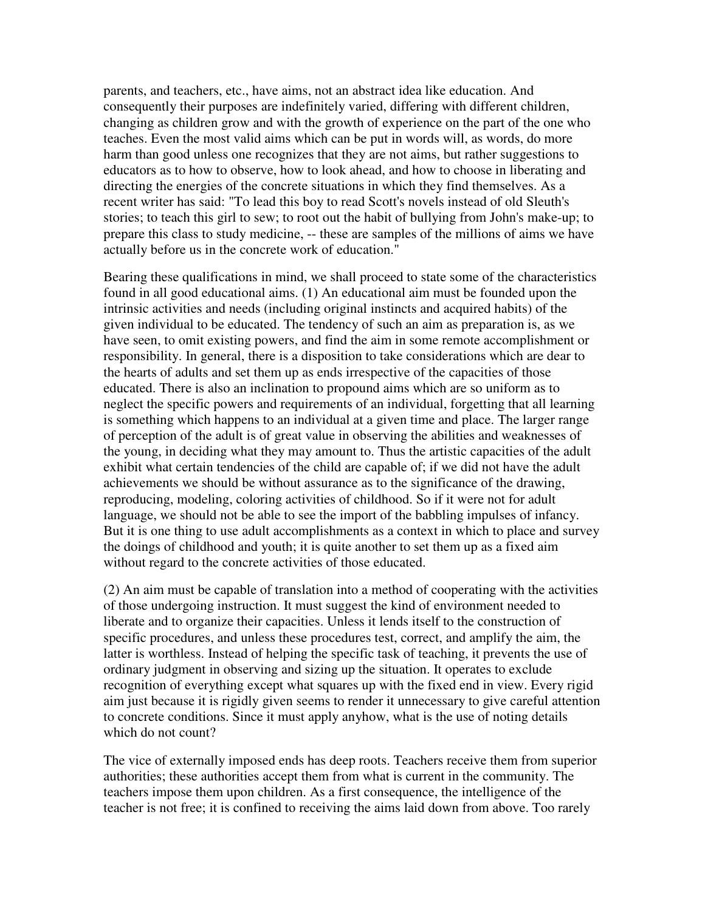parents, and teachers, etc., have aims, not an abstract idea like education. And consequently their purposes are indefinitely varied, differing with different children, changing as children grow and with the growth of experience on the part of the one who teaches. Even the most valid aims which can be put in words will, as words, do more harm than good unless one recognizes that they are not aims, but rather suggestions to educators as to how to observe, how to look ahead, and how to choose in liberating and directing the energies of the concrete situations in which they find themselves. As a recent writer has said: "To lead this boy to read Scott's novels instead of old Sleuth's stories; to teach this girl to sew; to root out the habit of bullying from John's make-up; to prepare this class to study medicine, -- these are samples of the millions of aims we have actually before us in the concrete work of education."

Bearing these qualifications in mind, we shall proceed to state some of the characteristics found in all good educational aims. (1) An educational aim must be founded upon the intrinsic activities and needs (including original instincts and acquired habits) of the given individual to be educated. The tendency of such an aim as preparation is, as we have seen, to omit existing powers, and find the aim in some remote accomplishment or responsibility. In general, there is a disposition to take considerations which are dear to the hearts of adults and set them up as ends irrespective of the capacities of those educated. There is also an inclination to propound aims which are so uniform as to neglect the specific powers and requirements of an individual, forgetting that all learning is something which happens to an individual at a given time and place. The larger range of perception of the adult is of great value in observing the abilities and weaknesses of the young, in deciding what they may amount to. Thus the artistic capacities of the adult exhibit what certain tendencies of the child are capable of; if we did not have the adult achievements we should be without assurance as to the significance of the drawing, reproducing, modeling, coloring activities of childhood. So if it were not for adult language, we should not be able to see the import of the babbling impulses of infancy. But it is one thing to use adult accomplishments as a context in which to place and survey the doings of childhood and youth; it is quite another to set them up as a fixed aim without regard to the concrete activities of those educated.

(2) An aim must be capable of translation into a method of cooperating with the activities of those undergoing instruction. It must suggest the kind of environment needed to liberate and to organize their capacities. Unless it lends itself to the construction of specific procedures, and unless these procedures test, correct, and amplify the aim, the latter is worthless. Instead of helping the specific task of teaching, it prevents the use of ordinary judgment in observing and sizing up the situation. It operates to exclude recognition of everything except what squares up with the fixed end in view. Every rigid aim just because it is rigidly given seems to render it unnecessary to give careful attention to concrete conditions. Since it must apply anyhow, what is the use of noting details which do not count?

The vice of externally imposed ends has deep roots. Teachers receive them from superior authorities; these authorities accept them from what is current in the community. The teachers impose them upon children. As a first consequence, the intelligence of the teacher is not free; it is confined to receiving the aims laid down from above. Too rarely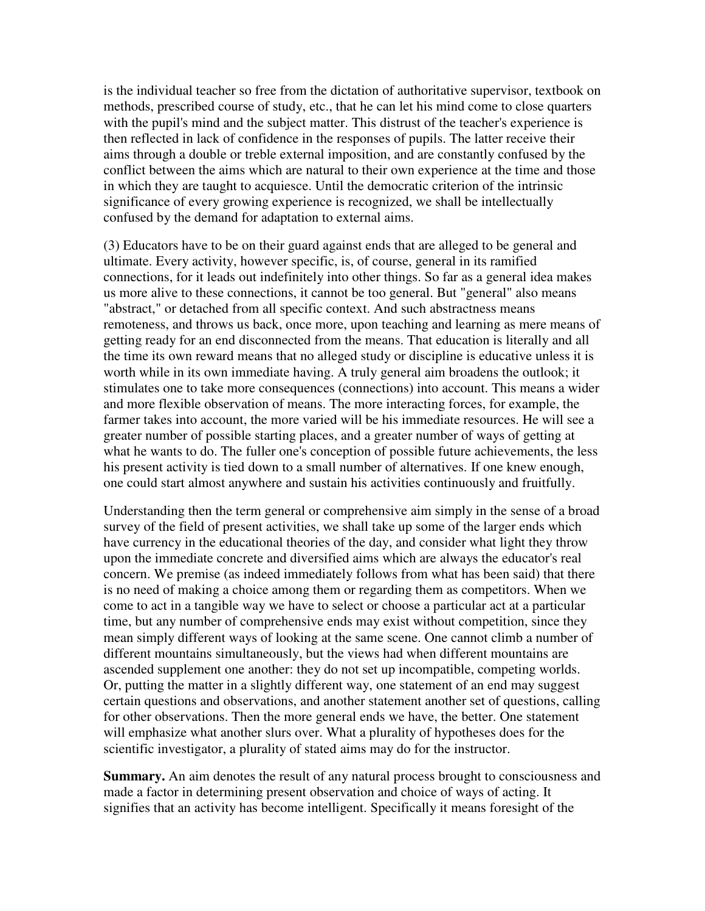is the individual teacher so free from the dictation of authoritative supervisor, textbook on methods, prescribed course of study, etc., that he can let his mind come to close quarters with the pupil's mind and the subject matter. This distrust of the teacher's experience is then reflected in lack of confidence in the responses of pupils. The latter receive their aims through a double or treble external imposition, and are constantly confused by the conflict between the aims which are natural to their own experience at the time and those in which they are taught to acquiesce. Until the democratic criterion of the intrinsic significance of every growing experience is recognized, we shall be intellectually confused by the demand for adaptation to external aims.

(3) Educators have to be on their guard against ends that are alleged to be general and ultimate. Every activity, however specific, is, of course, general in its ramified connections, for it leads out indefinitely into other things. So far as a general idea makes us more alive to these connections, it cannot be too general. But "general" also means "abstract," or detached from all specific context. And such abstractness means remoteness, and throws us back, once more, upon teaching and learning as mere means of getting ready for an end disconnected from the means. That education is literally and all the time its own reward means that no alleged study or discipline is educative unless it is worth while in its own immediate having. A truly general aim broadens the outlook; it stimulates one to take more consequences (connections) into account. This means a wider and more flexible observation of means. The more interacting forces, for example, the farmer takes into account, the more varied will be his immediate resources. He will see a greater number of possible starting places, and a greater number of ways of getting at what he wants to do. The fuller one's conception of possible future achievements, the less his present activity is tied down to a small number of alternatives. If one knew enough, one could start almost anywhere and sustain his activities continuously and fruitfully.

Understanding then the term general or comprehensive aim simply in the sense of a broad survey of the field of present activities, we shall take up some of the larger ends which have currency in the educational theories of the day, and consider what light they throw upon the immediate concrete and diversified aims which are always the educator's real concern. We premise (as indeed immediately follows from what has been said) that there is no need of making a choice among them or regarding them as competitors. When we come to act in a tangible way we have to select or choose a particular act at a particular time, but any number of comprehensive ends may exist without competition, since they mean simply different ways of looking at the same scene. One cannot climb a number of different mountains simultaneously, but the views had when different mountains are ascended supplement one another: they do not set up incompatible, competing worlds. Or, putting the matter in a slightly different way, one statement of an end may suggest certain questions and observations, and another statement another set of questions, calling for other observations. Then the more general ends we have, the better. One statement will emphasize what another slurs over. What a plurality of hypotheses does for the scientific investigator, a plurality of stated aims may do for the instructor.

**Summary.** An aim denotes the result of any natural process brought to consciousness and made a factor in determining present observation and choice of ways of acting. It signifies that an activity has become intelligent. Specifically it means foresight of the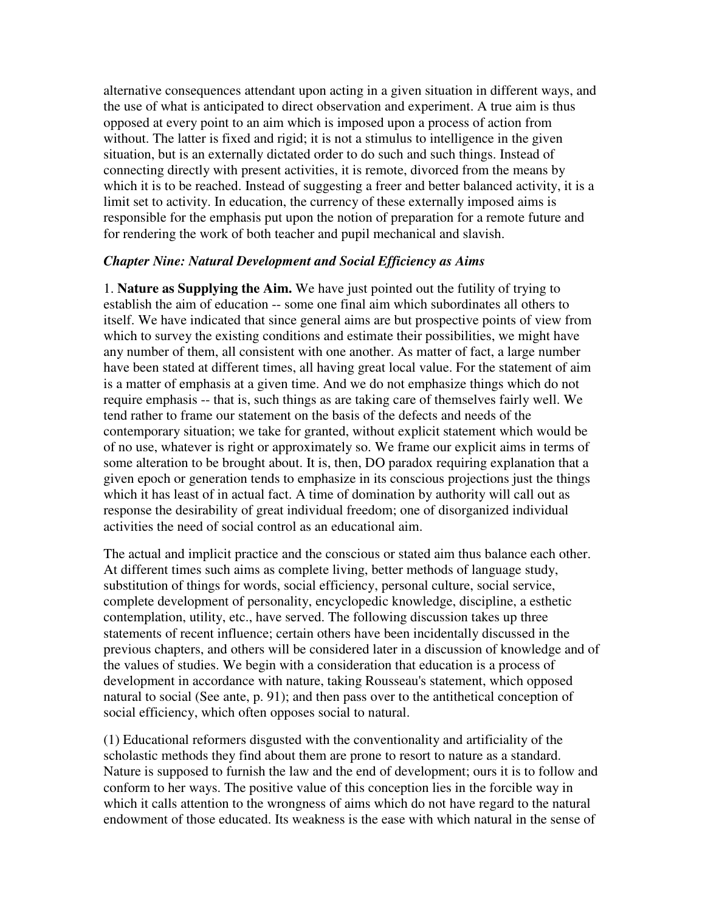alternative consequences attendant upon acting in a given situation in different ways, and the use of what is anticipated to direct observation and experiment. A true aim is thus opposed at every point to an aim which is imposed upon a process of action from without. The latter is fixed and rigid; it is not a stimulus to intelligence in the given situation, but is an externally dictated order to do such and such things. Instead of connecting directly with present activities, it is remote, divorced from the means by which it is to be reached. Instead of suggesting a freer and better balanced activity, it is a limit set to activity. In education, the currency of these externally imposed aims is responsible for the emphasis put upon the notion of preparation for a remote future and for rendering the work of both teacher and pupil mechanical and slavish.

### *Chapter Nine: Natural Development and Social Efficiency as Aims*

1. **Nature as Supplying the Aim.** We have just pointed out the futility of trying to establish the aim of education -- some one final aim which subordinates all others to itself. We have indicated that since general aims are but prospective points of view from which to survey the existing conditions and estimate their possibilities, we might have any number of them, all consistent with one another. As matter of fact, a large number have been stated at different times, all having great local value. For the statement of aim is a matter of emphasis at a given time. And we do not emphasize things which do not require emphasis -- that is, such things as are taking care of themselves fairly well. We tend rather to frame our statement on the basis of the defects and needs of the contemporary situation; we take for granted, without explicit statement which would be of no use, whatever is right or approximately so. We frame our explicit aims in terms of some alteration to be brought about. It is, then, DO paradox requiring explanation that a given epoch or generation tends to emphasize in its conscious projections just the things which it has least of in actual fact. A time of domination by authority will call out as response the desirability of great individual freedom; one of disorganized individual activities the need of social control as an educational aim.

The actual and implicit practice and the conscious or stated aim thus balance each other. At different times such aims as complete living, better methods of language study, substitution of things for words, social efficiency, personal culture, social service, complete development of personality, encyclopedic knowledge, discipline, a esthetic contemplation, utility, etc., have served. The following discussion takes up three statements of recent influence; certain others have been incidentally discussed in the previous chapters, and others will be considered later in a discussion of knowledge and of the values of studies. We begin with a consideration that education is a process of development in accordance with nature, taking Rousseau's statement, which opposed natural to social (See ante, p. 91); and then pass over to the antithetical conception of social efficiency, which often opposes social to natural.

(1) Educational reformers disgusted with the conventionality and artificiality of the scholastic methods they find about them are prone to resort to nature as a standard. Nature is supposed to furnish the law and the end of development; ours it is to follow and conform to her ways. The positive value of this conception lies in the forcible way in which it calls attention to the wrongness of aims which do not have regard to the natural endowment of those educated. Its weakness is the ease with which natural in the sense of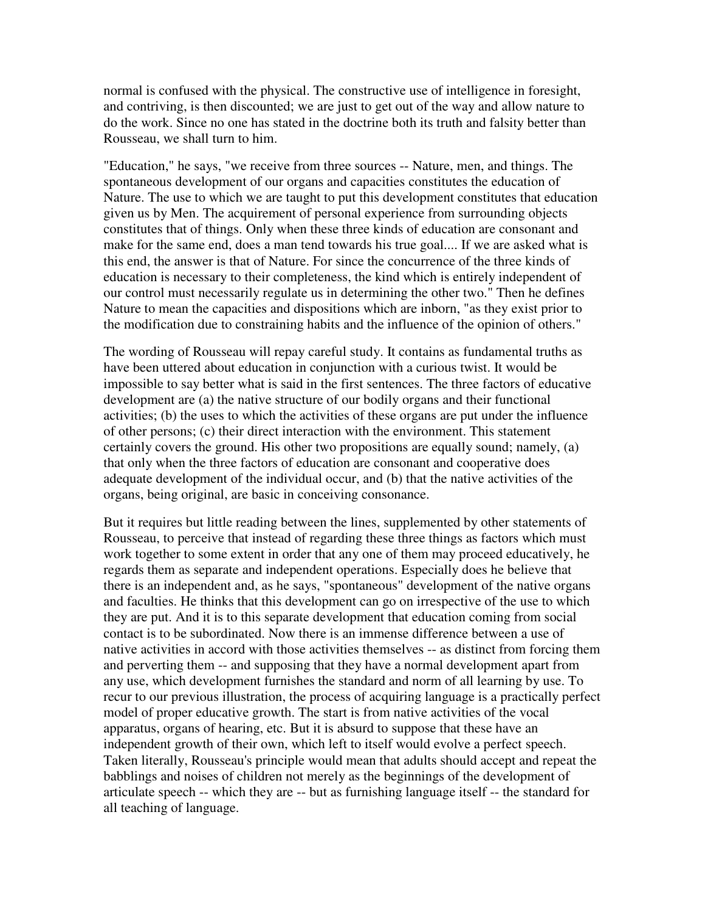normal is confused with the physical. The constructive use of intelligence in foresight, and contriving, is then discounted; we are just to get out of the way and allow nature to do the work. Since no one has stated in the doctrine both its truth and falsity better than Rousseau, we shall turn to him.

"Education," he says, "we receive from three sources -- Nature, men, and things. The spontaneous development of our organs and capacities constitutes the education of Nature. The use to which we are taught to put this development constitutes that education given us by Men. The acquirement of personal experience from surrounding objects constitutes that of things. Only when these three kinds of education are consonant and make for the same end, does a man tend towards his true goal.... If we are asked what is this end, the answer is that of Nature. For since the concurrence of the three kinds of education is necessary to their completeness, the kind which is entirely independent of our control must necessarily regulate us in determining the other two." Then he defines Nature to mean the capacities and dispositions which are inborn, "as they exist prior to the modification due to constraining habits and the influence of the opinion of others."

The wording of Rousseau will repay careful study. It contains as fundamental truths as have been uttered about education in conjunction with a curious twist. It would be impossible to say better what is said in the first sentences. The three factors of educative development are (a) the native structure of our bodily organs and their functional activities; (b) the uses to which the activities of these organs are put under the influence of other persons; (c) their direct interaction with the environment. This statement certainly covers the ground. His other two propositions are equally sound; namely, (a) that only when the three factors of education are consonant and cooperative does adequate development of the individual occur, and (b) that the native activities of the organs, being original, are basic in conceiving consonance.

But it requires but little reading between the lines, supplemented by other statements of Rousseau, to perceive that instead of regarding these three things as factors which must work together to some extent in order that any one of them may proceed educatively, he regards them as separate and independent operations. Especially does he believe that there is an independent and, as he says, "spontaneous" development of the native organs and faculties. He thinks that this development can go on irrespective of the use to which they are put. And it is to this separate development that education coming from social contact is to be subordinated. Now there is an immense difference between a use of native activities in accord with those activities themselves -- as distinct from forcing them and perverting them -- and supposing that they have a normal development apart from any use, which development furnishes the standard and norm of all learning by use. To recur to our previous illustration, the process of acquiring language is a practically perfect model of proper educative growth. The start is from native activities of the vocal apparatus, organs of hearing, etc. But it is absurd to suppose that these have an independent growth of their own, which left to itself would evolve a perfect speech. Taken literally, Rousseau's principle would mean that adults should accept and repeat the babblings and noises of children not merely as the beginnings of the development of articulate speech -- which they are -- but as furnishing language itself -- the standard for all teaching of language.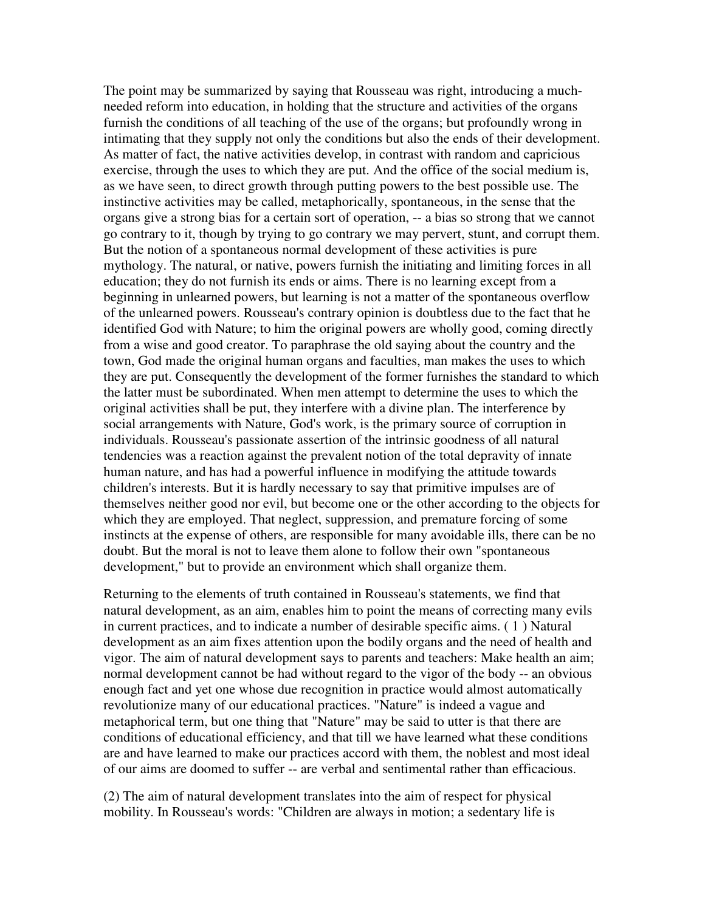The point may be summarized by saying that Rousseau was right, introducing a muchneeded reform into education, in holding that the structure and activities of the organs furnish the conditions of all teaching of the use of the organs; but profoundly wrong in intimating that they supply not only the conditions but also the ends of their development. As matter of fact, the native activities develop, in contrast with random and capricious exercise, through the uses to which they are put. And the office of the social medium is, as we have seen, to direct growth through putting powers to the best possible use. The instinctive activities may be called, metaphorically, spontaneous, in the sense that the organs give a strong bias for a certain sort of operation, -- a bias so strong that we cannot go contrary to it, though by trying to go contrary we may pervert, stunt, and corrupt them. But the notion of a spontaneous normal development of these activities is pure mythology. The natural, or native, powers furnish the initiating and limiting forces in all education; they do not furnish its ends or aims. There is no learning except from a beginning in unlearned powers, but learning is not a matter of the spontaneous overflow of the unlearned powers. Rousseau's contrary opinion is doubtless due to the fact that he identified God with Nature; to him the original powers are wholly good, coming directly from a wise and good creator. To paraphrase the old saying about the country and the town, God made the original human organs and faculties, man makes the uses to which they are put. Consequently the development of the former furnishes the standard to which the latter must be subordinated. When men attempt to determine the uses to which the original activities shall be put, they interfere with a divine plan. The interference by social arrangements with Nature, God's work, is the primary source of corruption in individuals. Rousseau's passionate assertion of the intrinsic goodness of all natural tendencies was a reaction against the prevalent notion of the total depravity of innate human nature, and has had a powerful influence in modifying the attitude towards children's interests. But it is hardly necessary to say that primitive impulses are of themselves neither good nor evil, but become one or the other according to the objects for which they are employed. That neglect, suppression, and premature forcing of some instincts at the expense of others, are responsible for many avoidable ills, there can be no doubt. But the moral is not to leave them alone to follow their own "spontaneous development," but to provide an environment which shall organize them.

Returning to the elements of truth contained in Rousseau's statements, we find that natural development, as an aim, enables him to point the means of correcting many evils in current practices, and to indicate a number of desirable specific aims. ( 1 ) Natural development as an aim fixes attention upon the bodily organs and the need of health and vigor. The aim of natural development says to parents and teachers: Make health an aim; normal development cannot be had without regard to the vigor of the body -- an obvious enough fact and yet one whose due recognition in practice would almost automatically revolutionize many of our educational practices. "Nature" is indeed a vague and metaphorical term, but one thing that "Nature" may be said to utter is that there are conditions of educational efficiency, and that till we have learned what these conditions are and have learned to make our practices accord with them, the noblest and most ideal of our aims are doomed to suffer -- are verbal and sentimental rather than efficacious.

(2) The aim of natural development translates into the aim of respect for physical mobility. In Rousseau's words: "Children are always in motion; a sedentary life is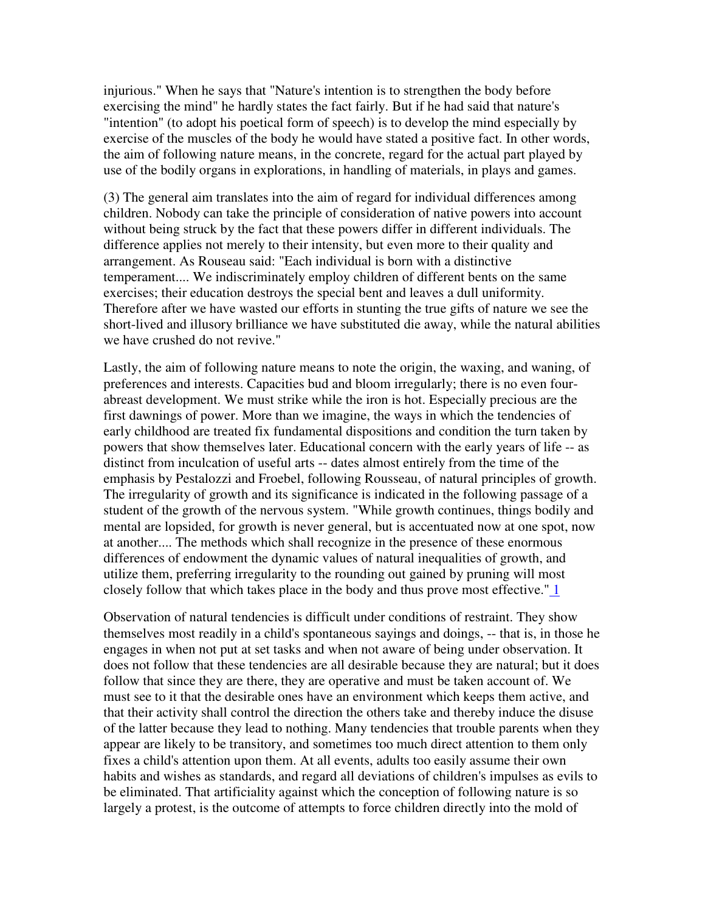injurious." When he says that "Nature's intention is to strengthen the body before exercising the mind" he hardly states the fact fairly. But if he had said that nature's "intention" (to adopt his poetical form of speech) is to develop the mind especially by exercise of the muscles of the body he would have stated a positive fact. In other words, the aim of following nature means, in the concrete, regard for the actual part played by use of the bodily organs in explorations, in handling of materials, in plays and games.

(3) The general aim translates into the aim of regard for individual differences among children. Nobody can take the principle of consideration of native powers into account without being struck by the fact that these powers differ in different individuals. The difference applies not merely to their intensity, but even more to their quality and arrangement. As Rouseau said: "Each individual is born with a distinctive temperament.... We indiscriminately employ children of different bents on the same exercises; their education destroys the special bent and leaves a dull uniformity. Therefore after we have wasted our efforts in stunting the true gifts of nature we see the short-lived and illusory brilliance we have substituted die away, while the natural abilities we have crushed do not revive."

Lastly, the aim of following nature means to note the origin, the waxing, and waning, of preferences and interests. Capacities bud and bloom irregularly; there is no even fourabreast development. We must strike while the iron is hot. Especially precious are the first dawnings of power. More than we imagine, the ways in which the tendencies of early childhood are treated fix fundamental dispositions and condition the turn taken by powers that show themselves later. Educational concern with the early years of life -- as distinct from inculcation of useful arts -- dates almost entirely from the time of the emphasis by Pestalozzi and Froebel, following Rousseau, of natural principles of growth. The irregularity of growth and its significance is indicated in the following passage of a student of the growth of the nervous system. "While growth continues, things bodily and mental are lopsided, for growth is never general, but is accentuated now at one spot, now at another.... The methods which shall recognize in the presence of these enormous differences of endowment the dynamic values of natural inequalities of growth, and utilize them, preferring irregularity to the rounding out gained by pruning will most closely follow that which takes place in the body and thus prove most effective." 1

Observation of natural tendencies is difficult under conditions of restraint. They show themselves most readily in a child's spontaneous sayings and doings, -- that is, in those he engages in when not put at set tasks and when not aware of being under observation. It does not follow that these tendencies are all desirable because they are natural; but it does follow that since they are there, they are operative and must be taken account of. We must see to it that the desirable ones have an environment which keeps them active, and that their activity shall control the direction the others take and thereby induce the disuse of the latter because they lead to nothing. Many tendencies that trouble parents when they appear are likely to be transitory, and sometimes too much direct attention to them only fixes a child's attention upon them. At all events, adults too easily assume their own habits and wishes as standards, and regard all deviations of children's impulses as evils to be eliminated. That artificiality against which the conception of following nature is so largely a protest, is the outcome of attempts to force children directly into the mold of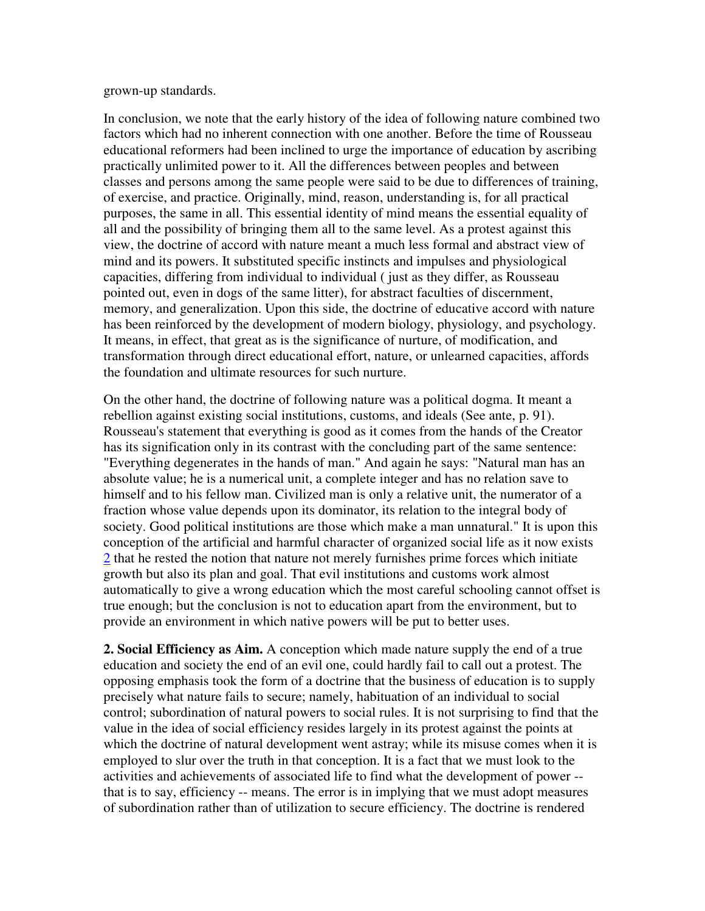grown-up standards.

In conclusion, we note that the early history of the idea of following nature combined two factors which had no inherent connection with one another. Before the time of Rousseau educational reformers had been inclined to urge the importance of education by ascribing practically unlimited power to it. All the differences between peoples and between classes and persons among the same people were said to be due to differences of training, of exercise, and practice. Originally, mind, reason, understanding is, for all practical purposes, the same in all. This essential identity of mind means the essential equality of all and the possibility of bringing them all to the same level. As a protest against this view, the doctrine of accord with nature meant a much less formal and abstract view of mind and its powers. It substituted specific instincts and impulses and physiological capacities, differing from individual to individual ( just as they differ, as Rousseau pointed out, even in dogs of the same litter), for abstract faculties of discernment, memory, and generalization. Upon this side, the doctrine of educative accord with nature has been reinforced by the development of modern biology, physiology, and psychology. It means, in effect, that great as is the significance of nurture, of modification, and transformation through direct educational effort, nature, or unlearned capacities, affords the foundation and ultimate resources for such nurture.

On the other hand, the doctrine of following nature was a political dogma. It meant a rebellion against existing social institutions, customs, and ideals (See ante, p. 91). Rousseau's statement that everything is good as it comes from the hands of the Creator has its signification only in its contrast with the concluding part of the same sentence: "Everything degenerates in the hands of man." And again he says: "Natural man has an absolute value; he is a numerical unit, a complete integer and has no relation save to himself and to his fellow man. Civilized man is only a relative unit, the numerator of a fraction whose value depends upon its dominator, its relation to the integral body of society. Good political institutions are those which make a man unnatural." It is upon this conception of the artificial and harmful character of organized social life as it now exists 2 that he rested the notion that nature not merely furnishes prime forces which initiate growth but also its plan and goal. That evil institutions and customs work almost automatically to give a wrong education which the most careful schooling cannot offset is true enough; but the conclusion is not to education apart from the environment, but to provide an environment in which native powers will be put to better uses.

**2. Social Efficiency as Aim.** A conception which made nature supply the end of a true education and society the end of an evil one, could hardly fail to call out a protest. The opposing emphasis took the form of a doctrine that the business of education is to supply precisely what nature fails to secure; namely, habituation of an individual to social control; subordination of natural powers to social rules. It is not surprising to find that the value in the idea of social efficiency resides largely in its protest against the points at which the doctrine of natural development went astray; while its misuse comes when it is employed to slur over the truth in that conception. It is a fact that we must look to the activities and achievements of associated life to find what the development of power - that is to say, efficiency -- means. The error is in implying that we must adopt measures of subordination rather than of utilization to secure efficiency. The doctrine is rendered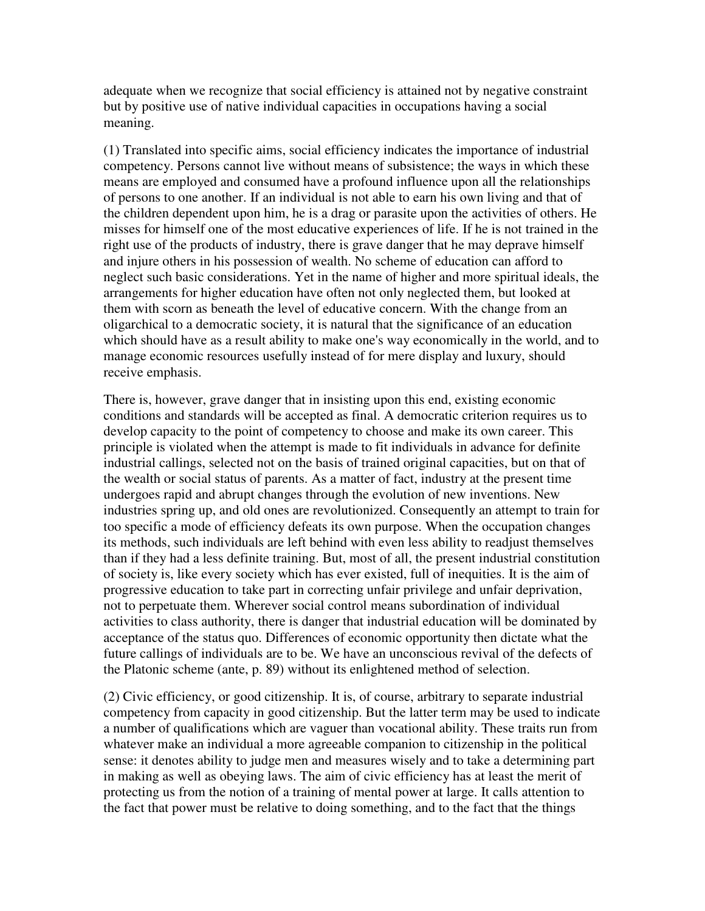adequate when we recognize that social efficiency is attained not by negative constraint but by positive use of native individual capacities in occupations having a social meaning.

(1) Translated into specific aims, social efficiency indicates the importance of industrial competency. Persons cannot live without means of subsistence; the ways in which these means are employed and consumed have a profound influence upon all the relationships of persons to one another. If an individual is not able to earn his own living and that of the children dependent upon him, he is a drag or parasite upon the activities of others. He misses for himself one of the most educative experiences of life. If he is not trained in the right use of the products of industry, there is grave danger that he may deprave himself and injure others in his possession of wealth. No scheme of education can afford to neglect such basic considerations. Yet in the name of higher and more spiritual ideals, the arrangements for higher education have often not only neglected them, but looked at them with scorn as beneath the level of educative concern. With the change from an oligarchical to a democratic society, it is natural that the significance of an education which should have as a result ability to make one's way economically in the world, and to manage economic resources usefully instead of for mere display and luxury, should receive emphasis.

There is, however, grave danger that in insisting upon this end, existing economic conditions and standards will be accepted as final. A democratic criterion requires us to develop capacity to the point of competency to choose and make its own career. This principle is violated when the attempt is made to fit individuals in advance for definite industrial callings, selected not on the basis of trained original capacities, but on that of the wealth or social status of parents. As a matter of fact, industry at the present time undergoes rapid and abrupt changes through the evolution of new inventions. New industries spring up, and old ones are revolutionized. Consequently an attempt to train for too specific a mode of efficiency defeats its own purpose. When the occupation changes its methods, such individuals are left behind with even less ability to readjust themselves than if they had a less definite training. But, most of all, the present industrial constitution of society is, like every society which has ever existed, full of inequities. It is the aim of progressive education to take part in correcting unfair privilege and unfair deprivation, not to perpetuate them. Wherever social control means subordination of individual activities to class authority, there is danger that industrial education will be dominated by acceptance of the status quo. Differences of economic opportunity then dictate what the future callings of individuals are to be. We have an unconscious revival of the defects of the Platonic scheme (ante, p. 89) without its enlightened method of selection.

(2) Civic efficiency, or good citizenship. It is, of course, arbitrary to separate industrial competency from capacity in good citizenship. But the latter term may be used to indicate a number of qualifications which are vaguer than vocational ability. These traits run from whatever make an individual a more agreeable companion to citizenship in the political sense: it denotes ability to judge men and measures wisely and to take a determining part in making as well as obeying laws. The aim of civic efficiency has at least the merit of protecting us from the notion of a training of mental power at large. It calls attention to the fact that power must be relative to doing something, and to the fact that the things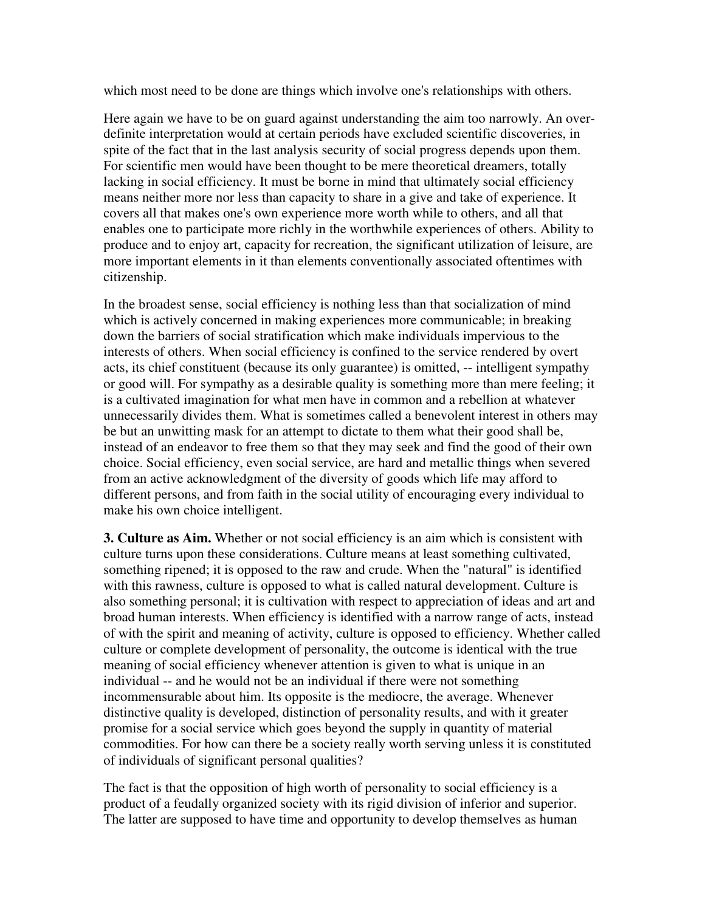which most need to be done are things which involve one's relationships with others.

Here again we have to be on guard against understanding the aim too narrowly. An overdefinite interpretation would at certain periods have excluded scientific discoveries, in spite of the fact that in the last analysis security of social progress depends upon them. For scientific men would have been thought to be mere theoretical dreamers, totally lacking in social efficiency. It must be borne in mind that ultimately social efficiency means neither more nor less than capacity to share in a give and take of experience. It covers all that makes one's own experience more worth while to others, and all that enables one to participate more richly in the worthwhile experiences of others. Ability to produce and to enjoy art, capacity for recreation, the significant utilization of leisure, are more important elements in it than elements conventionally associated oftentimes with citizenship.

In the broadest sense, social efficiency is nothing less than that socialization of mind which is actively concerned in making experiences more communicable; in breaking down the barriers of social stratification which make individuals impervious to the interests of others. When social efficiency is confined to the service rendered by overt acts, its chief constituent (because its only guarantee) is omitted, -- intelligent sympathy or good will. For sympathy as a desirable quality is something more than mere feeling; it is a cultivated imagination for what men have in common and a rebellion at whatever unnecessarily divides them. What is sometimes called a benevolent interest in others may be but an unwitting mask for an attempt to dictate to them what their good shall be, instead of an endeavor to free them so that they may seek and find the good of their own choice. Social efficiency, even social service, are hard and metallic things when severed from an active acknowledgment of the diversity of goods which life may afford to different persons, and from faith in the social utility of encouraging every individual to make his own choice intelligent.

**3. Culture as Aim.** Whether or not social efficiency is an aim which is consistent with culture turns upon these considerations. Culture means at least something cultivated, something ripened; it is opposed to the raw and crude. When the "natural" is identified with this rawness, culture is opposed to what is called natural development. Culture is also something personal; it is cultivation with respect to appreciation of ideas and art and broad human interests. When efficiency is identified with a narrow range of acts, instead of with the spirit and meaning of activity, culture is opposed to efficiency. Whether called culture or complete development of personality, the outcome is identical with the true meaning of social efficiency whenever attention is given to what is unique in an individual -- and he would not be an individual if there were not something incommensurable about him. Its opposite is the mediocre, the average. Whenever distinctive quality is developed, distinction of personality results, and with it greater promise for a social service which goes beyond the supply in quantity of material commodities. For how can there be a society really worth serving unless it is constituted of individuals of significant personal qualities?

The fact is that the opposition of high worth of personality to social efficiency is a product of a feudally organized society with its rigid division of inferior and superior. The latter are supposed to have time and opportunity to develop themselves as human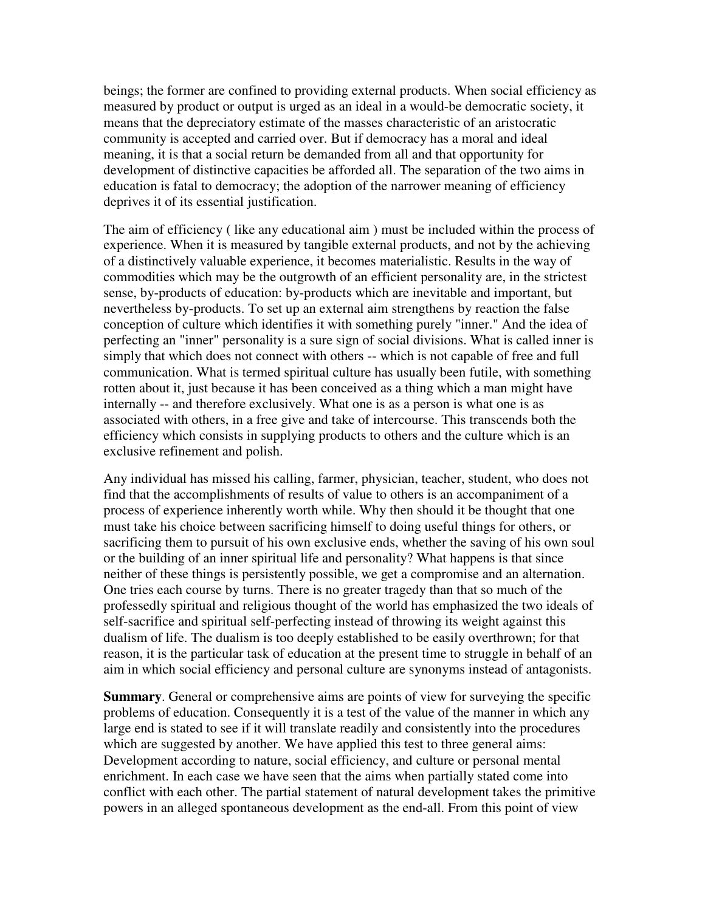beings; the former are confined to providing external products. When social efficiency as measured by product or output is urged as an ideal in a would-be democratic society, it means that the depreciatory estimate of the masses characteristic of an aristocratic community is accepted and carried over. But if democracy has a moral and ideal meaning, it is that a social return be demanded from all and that opportunity for development of distinctive capacities be afforded all. The separation of the two aims in education is fatal to democracy; the adoption of the narrower meaning of efficiency deprives it of its essential justification.

The aim of efficiency ( like any educational aim ) must be included within the process of experience. When it is measured by tangible external products, and not by the achieving of a distinctively valuable experience, it becomes materialistic. Results in the way of commodities which may be the outgrowth of an efficient personality are, in the strictest sense, by-products of education: by-products which are inevitable and important, but nevertheless by-products. To set up an external aim strengthens by reaction the false conception of culture which identifies it with something purely "inner." And the idea of perfecting an "inner" personality is a sure sign of social divisions. What is called inner is simply that which does not connect with others -- which is not capable of free and full communication. What is termed spiritual culture has usually been futile, with something rotten about it, just because it has been conceived as a thing which a man might have internally -- and therefore exclusively. What one is as a person is what one is as associated with others, in a free give and take of intercourse. This transcends both the efficiency which consists in supplying products to others and the culture which is an exclusive refinement and polish.

Any individual has missed his calling, farmer, physician, teacher, student, who does not find that the accomplishments of results of value to others is an accompaniment of a process of experience inherently worth while. Why then should it be thought that one must take his choice between sacrificing himself to doing useful things for others, or sacrificing them to pursuit of his own exclusive ends, whether the saving of his own soul or the building of an inner spiritual life and personality? What happens is that since neither of these things is persistently possible, we get a compromise and an alternation. One tries each course by turns. There is no greater tragedy than that so much of the professedly spiritual and religious thought of the world has emphasized the two ideals of self-sacrifice and spiritual self-perfecting instead of throwing its weight against this dualism of life. The dualism is too deeply established to be easily overthrown; for that reason, it is the particular task of education at the present time to struggle in behalf of an aim in which social efficiency and personal culture are synonyms instead of antagonists.

**Summary.** General or comprehensive aims are points of view for surveying the specific problems of education. Consequently it is a test of the value of the manner in which any large end is stated to see if it will translate readily and consistently into the procedures which are suggested by another. We have applied this test to three general aims: Development according to nature, social efficiency, and culture or personal mental enrichment. In each case we have seen that the aims when partially stated come into conflict with each other. The partial statement of natural development takes the primitive powers in an alleged spontaneous development as the end-all. From this point of view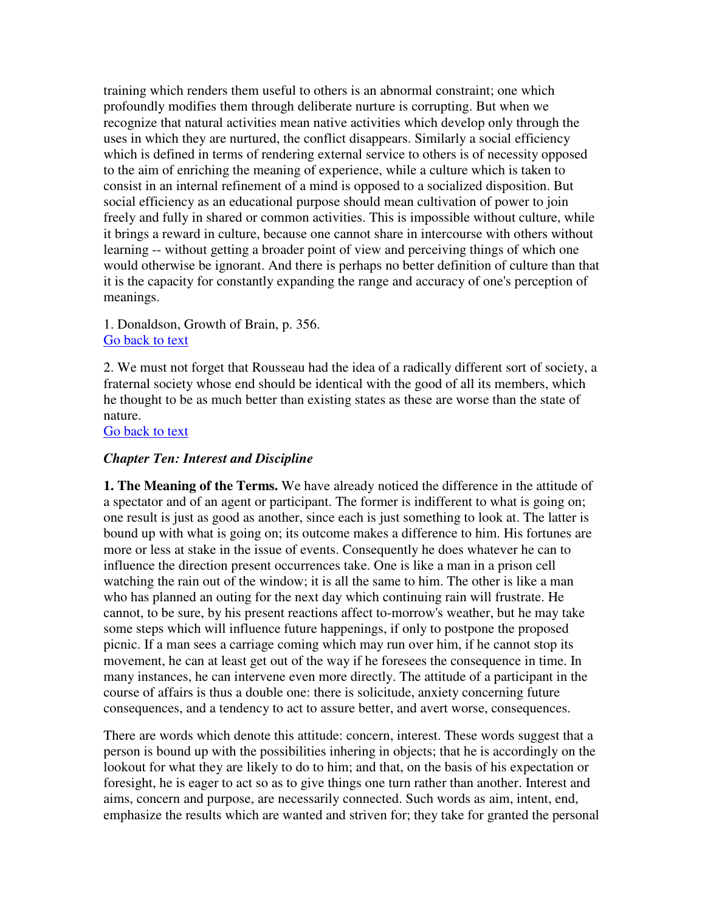training which renders them useful to others is an abnormal constraint; one which profoundly modifies them through deliberate nurture is corrupting. But when we recognize that natural activities mean native activities which develop only through the uses in which they are nurtured, the conflict disappears. Similarly a social efficiency which is defined in terms of rendering external service to others is of necessity opposed to the aim of enriching the meaning of experience, while a culture which is taken to consist in an internal refinement of a mind is opposed to a socialized disposition. But social efficiency as an educational purpose should mean cultivation of power to join freely and fully in shared or common activities. This is impossible without culture, while it brings a reward in culture, because one cannot share in intercourse with others without learning -- without getting a broader point of view and perceiving things of which one would otherwise be ignorant. And there is perhaps no better definition of culture than that it is the capacity for constantly expanding the range and accuracy of one's perception of meanings.

1. Donaldson, Growth of Brain, p. 356. Go back to text

2. We must not forget that Rousseau had the idea of a radically different sort of society, a fraternal society whose end should be identical with the good of all its members, which he thought to be as much better than existing states as these are worse than the state of nature.

Go back to text

# *Chapter Ten: Interest and Discipline*

**1. The Meaning of the Terms.** We have already noticed the difference in the attitude of a spectator and of an agent or participant. The former is indifferent to what is going on; one result is just as good as another, since each is just something to look at. The latter is bound up with what is going on; its outcome makes a difference to him. His fortunes are more or less at stake in the issue of events. Consequently he does whatever he can to influence the direction present occurrences take. One is like a man in a prison cell watching the rain out of the window; it is all the same to him. The other is like a man who has planned an outing for the next day which continuing rain will frustrate. He cannot, to be sure, by his present reactions affect to-morrow's weather, but he may take some steps which will influence future happenings, if only to postpone the proposed picnic. If a man sees a carriage coming which may run over him, if he cannot stop its movement, he can at least get out of the way if he foresees the consequence in time. In many instances, he can intervene even more directly. The attitude of a participant in the course of affairs is thus a double one: there is solicitude, anxiety concerning future consequences, and a tendency to act to assure better, and avert worse, consequences.

There are words which denote this attitude: concern, interest. These words suggest that a person is bound up with the possibilities inhering in objects; that he is accordingly on the lookout for what they are likely to do to him; and that, on the basis of his expectation or foresight, he is eager to act so as to give things one turn rather than another. Interest and aims, concern and purpose, are necessarily connected. Such words as aim, intent, end, emphasize the results which are wanted and striven for; they take for granted the personal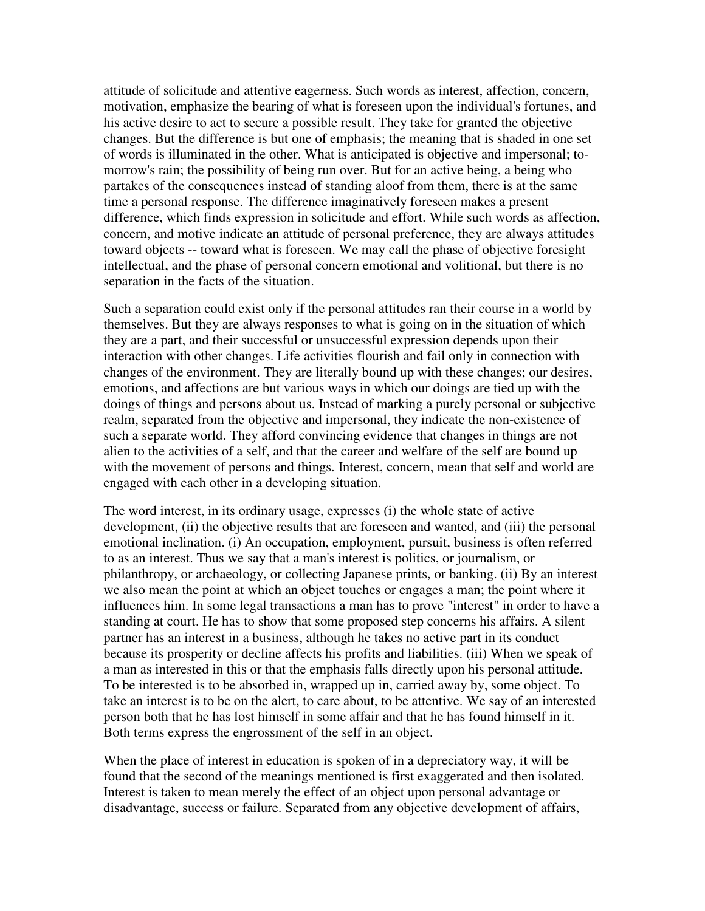attitude of solicitude and attentive eagerness. Such words as interest, affection, concern, motivation, emphasize the bearing of what is foreseen upon the individual's fortunes, and his active desire to act to secure a possible result. They take for granted the objective changes. But the difference is but one of emphasis; the meaning that is shaded in one set of words is illuminated in the other. What is anticipated is objective and impersonal; tomorrow's rain; the possibility of being run over. But for an active being, a being who partakes of the consequences instead of standing aloof from them, there is at the same time a personal response. The difference imaginatively foreseen makes a present difference, which finds expression in solicitude and effort. While such words as affection, concern, and motive indicate an attitude of personal preference, they are always attitudes toward objects -- toward what is foreseen. We may call the phase of objective foresight intellectual, and the phase of personal concern emotional and volitional, but there is no separation in the facts of the situation.

Such a separation could exist only if the personal attitudes ran their course in a world by themselves. But they are always responses to what is going on in the situation of which they are a part, and their successful or unsuccessful expression depends upon their interaction with other changes. Life activities flourish and fail only in connection with changes of the environment. They are literally bound up with these changes; our desires, emotions, and affections are but various ways in which our doings are tied up with the doings of things and persons about us. Instead of marking a purely personal or subjective realm, separated from the objective and impersonal, they indicate the non-existence of such a separate world. They afford convincing evidence that changes in things are not alien to the activities of a self, and that the career and welfare of the self are bound up with the movement of persons and things. Interest, concern, mean that self and world are engaged with each other in a developing situation.

The word interest, in its ordinary usage, expresses (i) the whole state of active development, (ii) the objective results that are foreseen and wanted, and (iii) the personal emotional inclination. (i) An occupation, employment, pursuit, business is often referred to as an interest. Thus we say that a man's interest is politics, or journalism, or philanthropy, or archaeology, or collecting Japanese prints, or banking. (ii) By an interest we also mean the point at which an object touches or engages a man; the point where it influences him. In some legal transactions a man has to prove "interest" in order to have a standing at court. He has to show that some proposed step concerns his affairs. A silent partner has an interest in a business, although he takes no active part in its conduct because its prosperity or decline affects his profits and liabilities. (iii) When we speak of a man as interested in this or that the emphasis falls directly upon his personal attitude. To be interested is to be absorbed in, wrapped up in, carried away by, some object. To take an interest is to be on the alert, to care about, to be attentive. We say of an interested person both that he has lost himself in some affair and that he has found himself in it. Both terms express the engrossment of the self in an object.

When the place of interest in education is spoken of in a depreciatory way, it will be found that the second of the meanings mentioned is first exaggerated and then isolated. Interest is taken to mean merely the effect of an object upon personal advantage or disadvantage, success or failure. Separated from any objective development of affairs,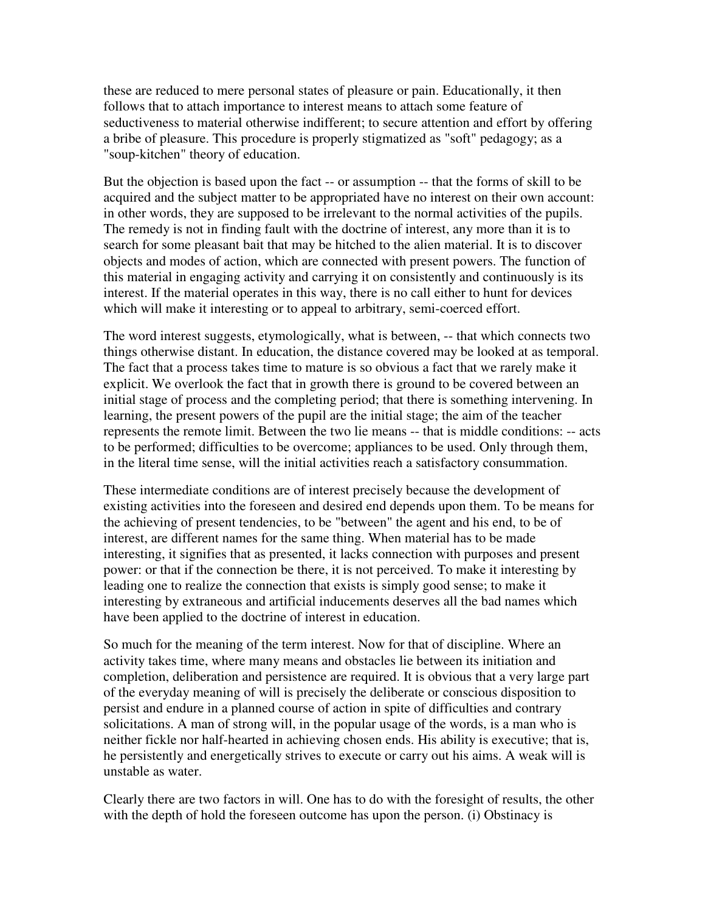these are reduced to mere personal states of pleasure or pain. Educationally, it then follows that to attach importance to interest means to attach some feature of seductiveness to material otherwise indifferent; to secure attention and effort by offering a bribe of pleasure. This procedure is properly stigmatized as "soft" pedagogy; as a "soup-kitchen" theory of education.

But the objection is based upon the fact -- or assumption -- that the forms of skill to be acquired and the subject matter to be appropriated have no interest on their own account: in other words, they are supposed to be irrelevant to the normal activities of the pupils. The remedy is not in finding fault with the doctrine of interest, any more than it is to search for some pleasant bait that may be hitched to the alien material. It is to discover objects and modes of action, which are connected with present powers. The function of this material in engaging activity and carrying it on consistently and continuously is its interest. If the material operates in this way, there is no call either to hunt for devices which will make it interesting or to appeal to arbitrary, semi-coerced effort.

The word interest suggests, etymologically, what is between, -- that which connects two things otherwise distant. In education, the distance covered may be looked at as temporal. The fact that a process takes time to mature is so obvious a fact that we rarely make it explicit. We overlook the fact that in growth there is ground to be covered between an initial stage of process and the completing period; that there is something intervening. In learning, the present powers of the pupil are the initial stage; the aim of the teacher represents the remote limit. Between the two lie means -- that is middle conditions: -- acts to be performed; difficulties to be overcome; appliances to be used. Only through them, in the literal time sense, will the initial activities reach a satisfactory consummation.

These intermediate conditions are of interest precisely because the development of existing activities into the foreseen and desired end depends upon them. To be means for the achieving of present tendencies, to be "between" the agent and his end, to be of interest, are different names for the same thing. When material has to be made interesting, it signifies that as presented, it lacks connection with purposes and present power: or that if the connection be there, it is not perceived. To make it interesting by leading one to realize the connection that exists is simply good sense; to make it interesting by extraneous and artificial inducements deserves all the bad names which have been applied to the doctrine of interest in education.

So much for the meaning of the term interest. Now for that of discipline. Where an activity takes time, where many means and obstacles lie between its initiation and completion, deliberation and persistence are required. It is obvious that a very large part of the everyday meaning of will is precisely the deliberate or conscious disposition to persist and endure in a planned course of action in spite of difficulties and contrary solicitations. A man of strong will, in the popular usage of the words, is a man who is neither fickle nor half-hearted in achieving chosen ends. His ability is executive; that is, he persistently and energetically strives to execute or carry out his aims. A weak will is unstable as water.

Clearly there are two factors in will. One has to do with the foresight of results, the other with the depth of hold the foreseen outcome has upon the person. (i) Obstinacy is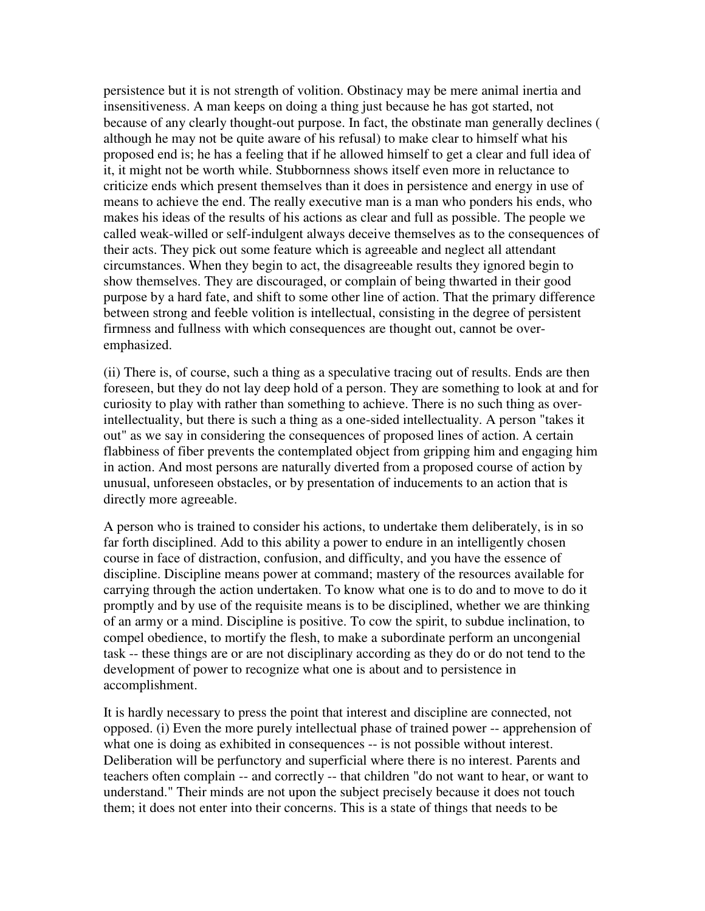persistence but it is not strength of volition. Obstinacy may be mere animal inertia and insensitiveness. A man keeps on doing a thing just because he has got started, not because of any clearly thought-out purpose. In fact, the obstinate man generally declines ( although he may not be quite aware of his refusal) to make clear to himself what his proposed end is; he has a feeling that if he allowed himself to get a clear and full idea of it, it might not be worth while. Stubbornness shows itself even more in reluctance to criticize ends which present themselves than it does in persistence and energy in use of means to achieve the end. The really executive man is a man who ponders his ends, who makes his ideas of the results of his actions as clear and full as possible. The people we called weak-willed or self-indulgent always deceive themselves as to the consequences of their acts. They pick out some feature which is agreeable and neglect all attendant circumstances. When they begin to act, the disagreeable results they ignored begin to show themselves. They are discouraged, or complain of being thwarted in their good purpose by a hard fate, and shift to some other line of action. That the primary difference between strong and feeble volition is intellectual, consisting in the degree of persistent firmness and fullness with which consequences are thought out, cannot be overemphasized.

(ii) There is, of course, such a thing as a speculative tracing out of results. Ends are then foreseen, but they do not lay deep hold of a person. They are something to look at and for curiosity to play with rather than something to achieve. There is no such thing as overintellectuality, but there is such a thing as a one-sided intellectuality. A person "takes it out" as we say in considering the consequences of proposed lines of action. A certain flabbiness of fiber prevents the contemplated object from gripping him and engaging him in action. And most persons are naturally diverted from a proposed course of action by unusual, unforeseen obstacles, or by presentation of inducements to an action that is directly more agreeable.

A person who is trained to consider his actions, to undertake them deliberately, is in so far forth disciplined. Add to this ability a power to endure in an intelligently chosen course in face of distraction, confusion, and difficulty, and you have the essence of discipline. Discipline means power at command; mastery of the resources available for carrying through the action undertaken. To know what one is to do and to move to do it promptly and by use of the requisite means is to be disciplined, whether we are thinking of an army or a mind. Discipline is positive. To cow the spirit, to subdue inclination, to compel obedience, to mortify the flesh, to make a subordinate perform an uncongenial task -- these things are or are not disciplinary according as they do or do not tend to the development of power to recognize what one is about and to persistence in accomplishment.

It is hardly necessary to press the point that interest and discipline are connected, not opposed. (i) Even the more purely intellectual phase of trained power -- apprehension of what one is doing as exhibited in consequences -- is not possible without interest. Deliberation will be perfunctory and superficial where there is no interest. Parents and teachers often complain -- and correctly -- that children "do not want to hear, or want to understand." Their minds are not upon the subject precisely because it does not touch them; it does not enter into their concerns. This is a state of things that needs to be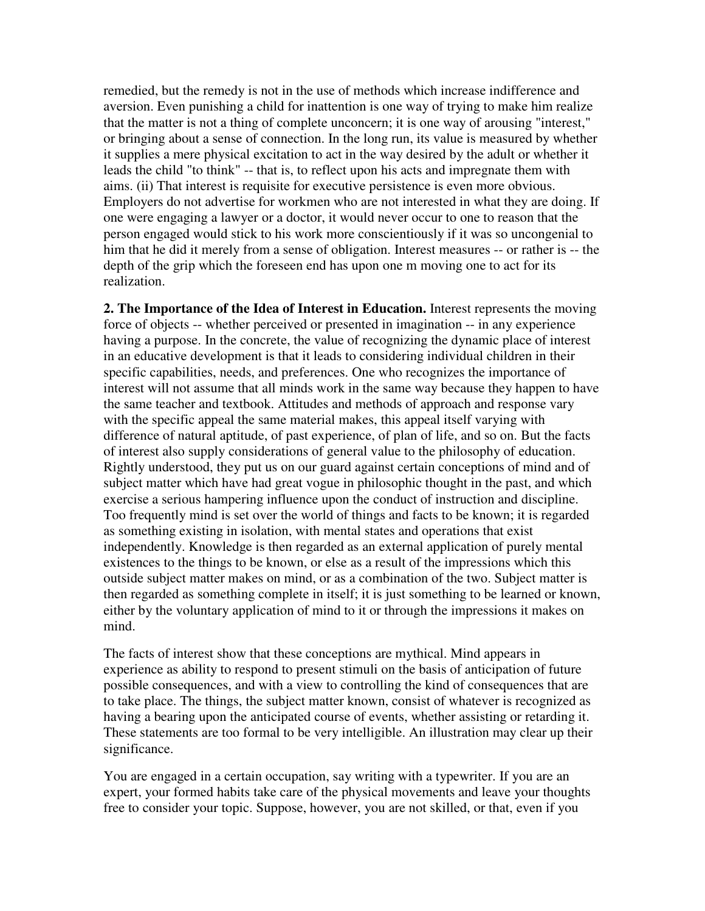remedied, but the remedy is not in the use of methods which increase indifference and aversion. Even punishing a child for inattention is one way of trying to make him realize that the matter is not a thing of complete unconcern; it is one way of arousing "interest," or bringing about a sense of connection. In the long run, its value is measured by whether it supplies a mere physical excitation to act in the way desired by the adult or whether it leads the child "to think" -- that is, to reflect upon his acts and impregnate them with aims. (ii) That interest is requisite for executive persistence is even more obvious. Employers do not advertise for workmen who are not interested in what they are doing. If one were engaging a lawyer or a doctor, it would never occur to one to reason that the person engaged would stick to his work more conscientiously if it was so uncongenial to him that he did it merely from a sense of obligation. Interest measures -- or rather is -- the depth of the grip which the foreseen end has upon one m moving one to act for its realization.

**2. The Importance of the Idea of Interest in Education.** Interest represents the moving force of objects -- whether perceived or presented in imagination -- in any experience having a purpose. In the concrete, the value of recognizing the dynamic place of interest in an educative development is that it leads to considering individual children in their specific capabilities, needs, and preferences. One who recognizes the importance of interest will not assume that all minds work in the same way because they happen to have the same teacher and textbook. Attitudes and methods of approach and response vary with the specific appeal the same material makes, this appeal itself varying with difference of natural aptitude, of past experience, of plan of life, and so on. But the facts of interest also supply considerations of general value to the philosophy of education. Rightly understood, they put us on our guard against certain conceptions of mind and of subject matter which have had great vogue in philosophic thought in the past, and which exercise a serious hampering influence upon the conduct of instruction and discipline. Too frequently mind is set over the world of things and facts to be known; it is regarded as something existing in isolation, with mental states and operations that exist independently. Knowledge is then regarded as an external application of purely mental existences to the things to be known, or else as a result of the impressions which this outside subject matter makes on mind, or as a combination of the two. Subject matter is then regarded as something complete in itself; it is just something to be learned or known, either by the voluntary application of mind to it or through the impressions it makes on mind.

The facts of interest show that these conceptions are mythical. Mind appears in experience as ability to respond to present stimuli on the basis of anticipation of future possible consequences, and with a view to controlling the kind of consequences that are to take place. The things, the subject matter known, consist of whatever is recognized as having a bearing upon the anticipated course of events, whether assisting or retarding it. These statements are too formal to be very intelligible. An illustration may clear up their significance.

You are engaged in a certain occupation, say writing with a typewriter. If you are an expert, your formed habits take care of the physical movements and leave your thoughts free to consider your topic. Suppose, however, you are not skilled, or that, even if you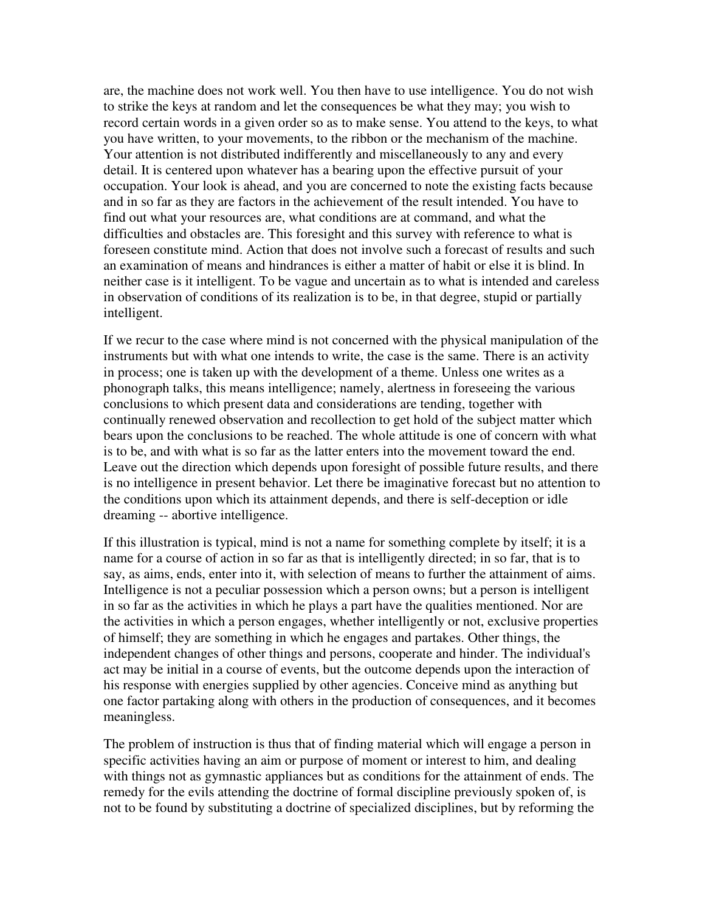are, the machine does not work well. You then have to use intelligence. You do not wish to strike the keys at random and let the consequences be what they may; you wish to record certain words in a given order so as to make sense. You attend to the keys, to what you have written, to your movements, to the ribbon or the mechanism of the machine. Your attention is not distributed indifferently and miscellaneously to any and every detail. It is centered upon whatever has a bearing upon the effective pursuit of your occupation. Your look is ahead, and you are concerned to note the existing facts because and in so far as they are factors in the achievement of the result intended. You have to find out what your resources are, what conditions are at command, and what the difficulties and obstacles are. This foresight and this survey with reference to what is foreseen constitute mind. Action that does not involve such a forecast of results and such an examination of means and hindrances is either a matter of habit or else it is blind. In neither case is it intelligent. To be vague and uncertain as to what is intended and careless in observation of conditions of its realization is to be, in that degree, stupid or partially intelligent.

If we recur to the case where mind is not concerned with the physical manipulation of the instruments but with what one intends to write, the case is the same. There is an activity in process; one is taken up with the development of a theme. Unless one writes as a phonograph talks, this means intelligence; namely, alertness in foreseeing the various conclusions to which present data and considerations are tending, together with continually renewed observation and recollection to get hold of the subject matter which bears upon the conclusions to be reached. The whole attitude is one of concern with what is to be, and with what is so far as the latter enters into the movement toward the end. Leave out the direction which depends upon foresight of possible future results, and there is no intelligence in present behavior. Let there be imaginative forecast but no attention to the conditions upon which its attainment depends, and there is self-deception or idle dreaming -- abortive intelligence.

If this illustration is typical, mind is not a name for something complete by itself; it is a name for a course of action in so far as that is intelligently directed; in so far, that is to say, as aims, ends, enter into it, with selection of means to further the attainment of aims. Intelligence is not a peculiar possession which a person owns; but a person is intelligent in so far as the activities in which he plays a part have the qualities mentioned. Nor are the activities in which a person engages, whether intelligently or not, exclusive properties of himself; they are something in which he engages and partakes. Other things, the independent changes of other things and persons, cooperate and hinder. The individual's act may be initial in a course of events, but the outcome depends upon the interaction of his response with energies supplied by other agencies. Conceive mind as anything but one factor partaking along with others in the production of consequences, and it becomes meaningless.

The problem of instruction is thus that of finding material which will engage a person in specific activities having an aim or purpose of moment or interest to him, and dealing with things not as gymnastic appliances but as conditions for the attainment of ends. The remedy for the evils attending the doctrine of formal discipline previously spoken of, is not to be found by substituting a doctrine of specialized disciplines, but by reforming the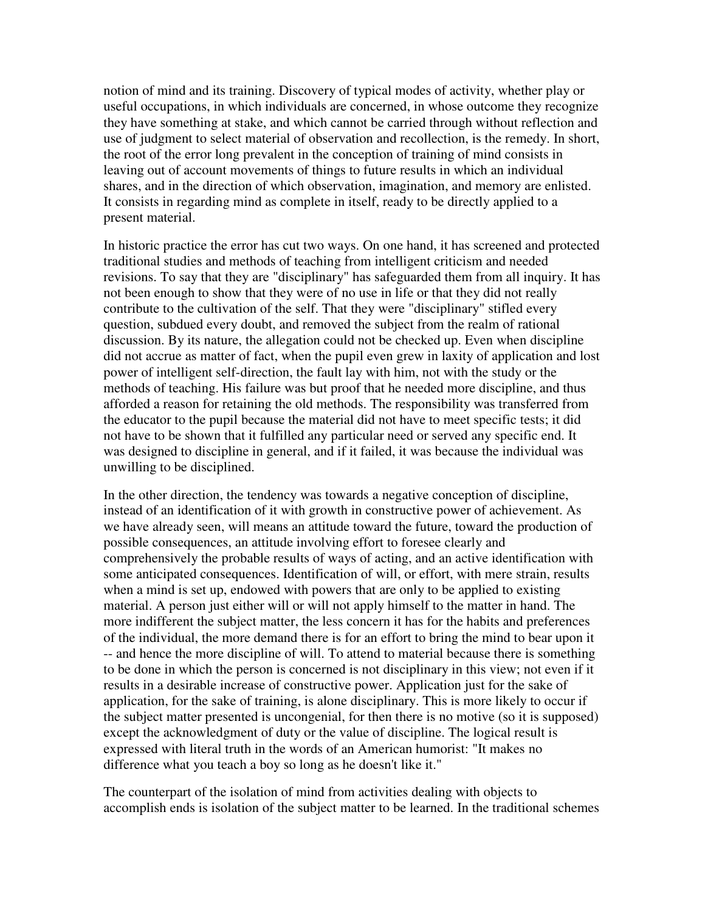notion of mind and its training. Discovery of typical modes of activity, whether play or useful occupations, in which individuals are concerned, in whose outcome they recognize they have something at stake, and which cannot be carried through without reflection and use of judgment to select material of observation and recollection, is the remedy. In short, the root of the error long prevalent in the conception of training of mind consists in leaving out of account movements of things to future results in which an individual shares, and in the direction of which observation, imagination, and memory are enlisted. It consists in regarding mind as complete in itself, ready to be directly applied to a present material.

In historic practice the error has cut two ways. On one hand, it has screened and protected traditional studies and methods of teaching from intelligent criticism and needed revisions. To say that they are "disciplinary" has safeguarded them from all inquiry. It has not been enough to show that they were of no use in life or that they did not really contribute to the cultivation of the self. That they were "disciplinary" stifled every question, subdued every doubt, and removed the subject from the realm of rational discussion. By its nature, the allegation could not be checked up. Even when discipline did not accrue as matter of fact, when the pupil even grew in laxity of application and lost power of intelligent self-direction, the fault lay with him, not with the study or the methods of teaching. His failure was but proof that he needed more discipline, and thus afforded a reason for retaining the old methods. The responsibility was transferred from the educator to the pupil because the material did not have to meet specific tests; it did not have to be shown that it fulfilled any particular need or served any specific end. It was designed to discipline in general, and if it failed, it was because the individual was unwilling to be disciplined.

In the other direction, the tendency was towards a negative conception of discipline, instead of an identification of it with growth in constructive power of achievement. As we have already seen, will means an attitude toward the future, toward the production of possible consequences, an attitude involving effort to foresee clearly and comprehensively the probable results of ways of acting, and an active identification with some anticipated consequences. Identification of will, or effort, with mere strain, results when a mind is set up, endowed with powers that are only to be applied to existing material. A person just either will or will not apply himself to the matter in hand. The more indifferent the subject matter, the less concern it has for the habits and preferences of the individual, the more demand there is for an effort to bring the mind to bear upon it -- and hence the more discipline of will. To attend to material because there is something to be done in which the person is concerned is not disciplinary in this view; not even if it results in a desirable increase of constructive power. Application just for the sake of application, for the sake of training, is alone disciplinary. This is more likely to occur if the subject matter presented is uncongenial, for then there is no motive (so it is supposed) except the acknowledgment of duty or the value of discipline. The logical result is expressed with literal truth in the words of an American humorist: "It makes no difference what you teach a boy so long as he doesn't like it."

The counterpart of the isolation of mind from activities dealing with objects to accomplish ends is isolation of the subject matter to be learned. In the traditional schemes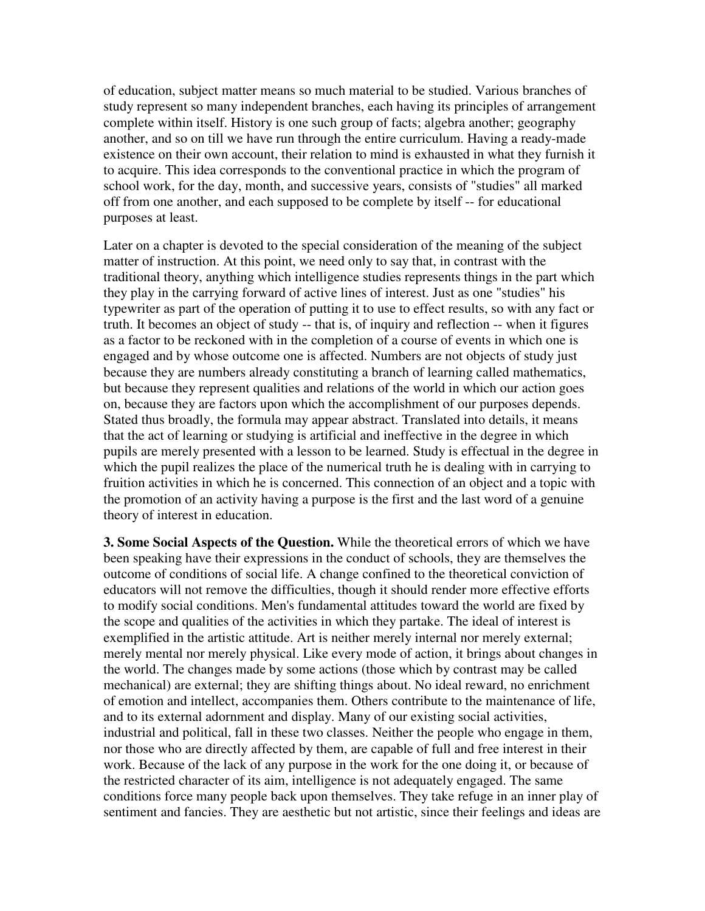of education, subject matter means so much material to be studied. Various branches of study represent so many independent branches, each having its principles of arrangement complete within itself. History is one such group of facts; algebra another; geography another, and so on till we have run through the entire curriculum. Having a ready-made existence on their own account, their relation to mind is exhausted in what they furnish it to acquire. This idea corresponds to the conventional practice in which the program of school work, for the day, month, and successive years, consists of "studies" all marked off from one another, and each supposed to be complete by itself -- for educational purposes at least.

Later on a chapter is devoted to the special consideration of the meaning of the subject matter of instruction. At this point, we need only to say that, in contrast with the traditional theory, anything which intelligence studies represents things in the part which they play in the carrying forward of active lines of interest. Just as one "studies" his typewriter as part of the operation of putting it to use to effect results, so with any fact or truth. It becomes an object of study -- that is, of inquiry and reflection -- when it figures as a factor to be reckoned with in the completion of a course of events in which one is engaged and by whose outcome one is affected. Numbers are not objects of study just because they are numbers already constituting a branch of learning called mathematics, but because they represent qualities and relations of the world in which our action goes on, because they are factors upon which the accomplishment of our purposes depends. Stated thus broadly, the formula may appear abstract. Translated into details, it means that the act of learning or studying is artificial and ineffective in the degree in which pupils are merely presented with a lesson to be learned. Study is effectual in the degree in which the pupil realizes the place of the numerical truth he is dealing with in carrying to fruition activities in which he is concerned. This connection of an object and a topic with the promotion of an activity having a purpose is the first and the last word of a genuine theory of interest in education.

**3. Some Social Aspects of the Question.** While the theoretical errors of which we have been speaking have their expressions in the conduct of schools, they are themselves the outcome of conditions of social life. A change confined to the theoretical conviction of educators will not remove the difficulties, though it should render more effective efforts to modify social conditions. Men's fundamental attitudes toward the world are fixed by the scope and qualities of the activities in which they partake. The ideal of interest is exemplified in the artistic attitude. Art is neither merely internal nor merely external; merely mental nor merely physical. Like every mode of action, it brings about changes in the world. The changes made by some actions (those which by contrast may be called mechanical) are external; they are shifting things about. No ideal reward, no enrichment of emotion and intellect, accompanies them. Others contribute to the maintenance of life, and to its external adornment and display. Many of our existing social activities, industrial and political, fall in these two classes. Neither the people who engage in them, nor those who are directly affected by them, are capable of full and free interest in their work. Because of the lack of any purpose in the work for the one doing it, or because of the restricted character of its aim, intelligence is not adequately engaged. The same conditions force many people back upon themselves. They take refuge in an inner play of sentiment and fancies. They are aesthetic but not artistic, since their feelings and ideas are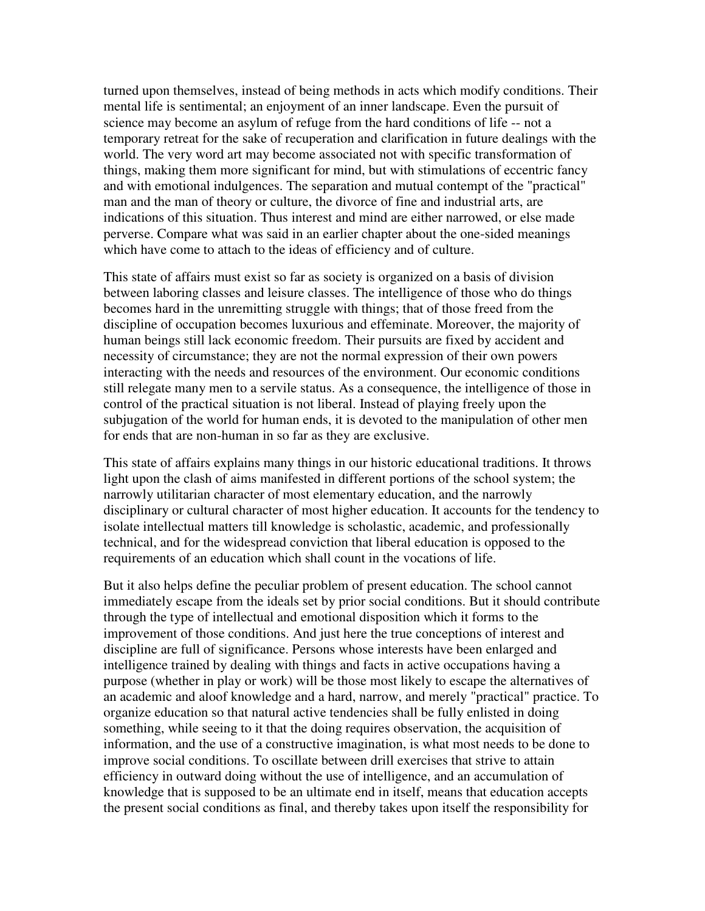turned upon themselves, instead of being methods in acts which modify conditions. Their mental life is sentimental; an enjoyment of an inner landscape. Even the pursuit of science may become an asylum of refuge from the hard conditions of life -- not a temporary retreat for the sake of recuperation and clarification in future dealings with the world. The very word art may become associated not with specific transformation of things, making them more significant for mind, but with stimulations of eccentric fancy and with emotional indulgences. The separation and mutual contempt of the "practical" man and the man of theory or culture, the divorce of fine and industrial arts, are indications of this situation. Thus interest and mind are either narrowed, or else made perverse. Compare what was said in an earlier chapter about the one-sided meanings which have come to attach to the ideas of efficiency and of culture.

This state of affairs must exist so far as society is organized on a basis of division between laboring classes and leisure classes. The intelligence of those who do things becomes hard in the unremitting struggle with things; that of those freed from the discipline of occupation becomes luxurious and effeminate. Moreover, the majority of human beings still lack economic freedom. Their pursuits are fixed by accident and necessity of circumstance; they are not the normal expression of their own powers interacting with the needs and resources of the environment. Our economic conditions still relegate many men to a servile status. As a consequence, the intelligence of those in control of the practical situation is not liberal. Instead of playing freely upon the subjugation of the world for human ends, it is devoted to the manipulation of other men for ends that are non-human in so far as they are exclusive.

This state of affairs explains many things in our historic educational traditions. It throws light upon the clash of aims manifested in different portions of the school system; the narrowly utilitarian character of most elementary education, and the narrowly disciplinary or cultural character of most higher education. It accounts for the tendency to isolate intellectual matters till knowledge is scholastic, academic, and professionally technical, and for the widespread conviction that liberal education is opposed to the requirements of an education which shall count in the vocations of life.

But it also helps define the peculiar problem of present education. The school cannot immediately escape from the ideals set by prior social conditions. But it should contribute through the type of intellectual and emotional disposition which it forms to the improvement of those conditions. And just here the true conceptions of interest and discipline are full of significance. Persons whose interests have been enlarged and intelligence trained by dealing with things and facts in active occupations having a purpose (whether in play or work) will be those most likely to escape the alternatives of an academic and aloof knowledge and a hard, narrow, and merely "practical" practice. To organize education so that natural active tendencies shall be fully enlisted in doing something, while seeing to it that the doing requires observation, the acquisition of information, and the use of a constructive imagination, is what most needs to be done to improve social conditions. To oscillate between drill exercises that strive to attain efficiency in outward doing without the use of intelligence, and an accumulation of knowledge that is supposed to be an ultimate end in itself, means that education accepts the present social conditions as final, and thereby takes upon itself the responsibility for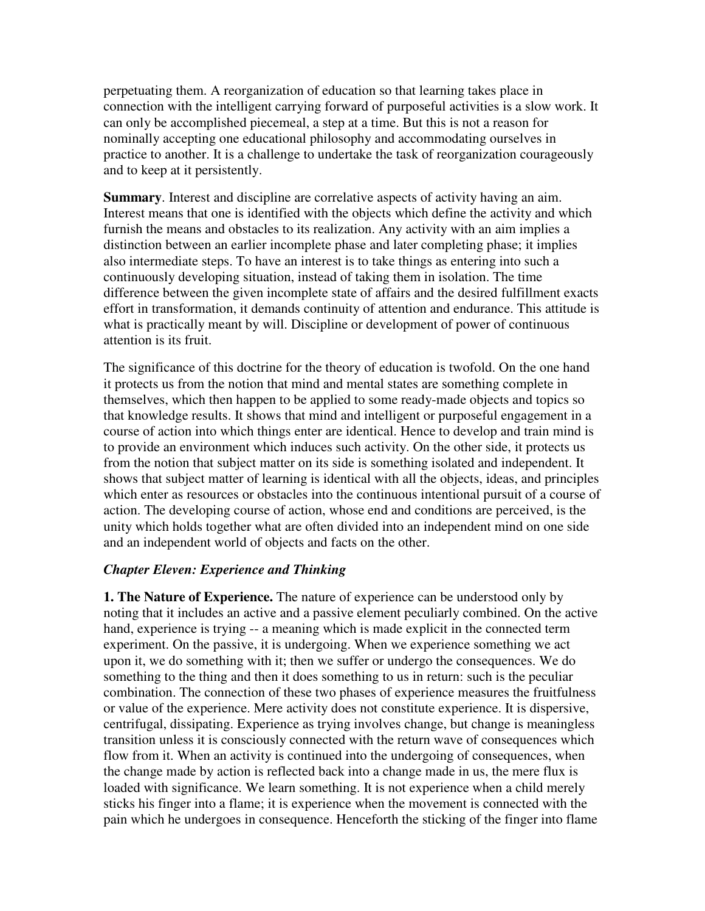perpetuating them. A reorganization of education so that learning takes place in connection with the intelligent carrying forward of purposeful activities is a slow work. It can only be accomplished piecemeal, a step at a time. But this is not a reason for nominally accepting one educational philosophy and accommodating ourselves in practice to another. It is a challenge to undertake the task of reorganization courageously and to keep at it persistently.

**Summary.** Interest and discipline are correlative aspects of activity having an aim. Interest means that one is identified with the objects which define the activity and which furnish the means and obstacles to its realization. Any activity with an aim implies a distinction between an earlier incomplete phase and later completing phase; it implies also intermediate steps. To have an interest is to take things as entering into such a continuously developing situation, instead of taking them in isolation. The time difference between the given incomplete state of affairs and the desired fulfillment exacts effort in transformation, it demands continuity of attention and endurance. This attitude is what is practically meant by will. Discipline or development of power of continuous attention is its fruit.

The significance of this doctrine for the theory of education is twofold. On the one hand it protects us from the notion that mind and mental states are something complete in themselves, which then happen to be applied to some ready-made objects and topics so that knowledge results. It shows that mind and intelligent or purposeful engagement in a course of action into which things enter are identical. Hence to develop and train mind is to provide an environment which induces such activity. On the other side, it protects us from the notion that subject matter on its side is something isolated and independent. It shows that subject matter of learning is identical with all the objects, ideas, and principles which enter as resources or obstacles into the continuous intentional pursuit of a course of action. The developing course of action, whose end and conditions are perceived, is the unity which holds together what are often divided into an independent mind on one side and an independent world of objects and facts on the other.

# *Chapter Eleven: Experience and Thinking*

**1. The Nature of Experience.** The nature of experience can be understood only by noting that it includes an active and a passive element peculiarly combined. On the active hand, experience is trying -- a meaning which is made explicit in the connected term experiment. On the passive, it is undergoing. When we experience something we act upon it, we do something with it; then we suffer or undergo the consequences. We do something to the thing and then it does something to us in return: such is the peculiar combination. The connection of these two phases of experience measures the fruitfulness or value of the experience. Mere activity does not constitute experience. It is dispersive, centrifugal, dissipating. Experience as trying involves change, but change is meaningless transition unless it is consciously connected with the return wave of consequences which flow from it. When an activity is continued into the undergoing of consequences, when the change made by action is reflected back into a change made in us, the mere flux is loaded with significance. We learn something. It is not experience when a child merely sticks his finger into a flame; it is experience when the movement is connected with the pain which he undergoes in consequence. Henceforth the sticking of the finger into flame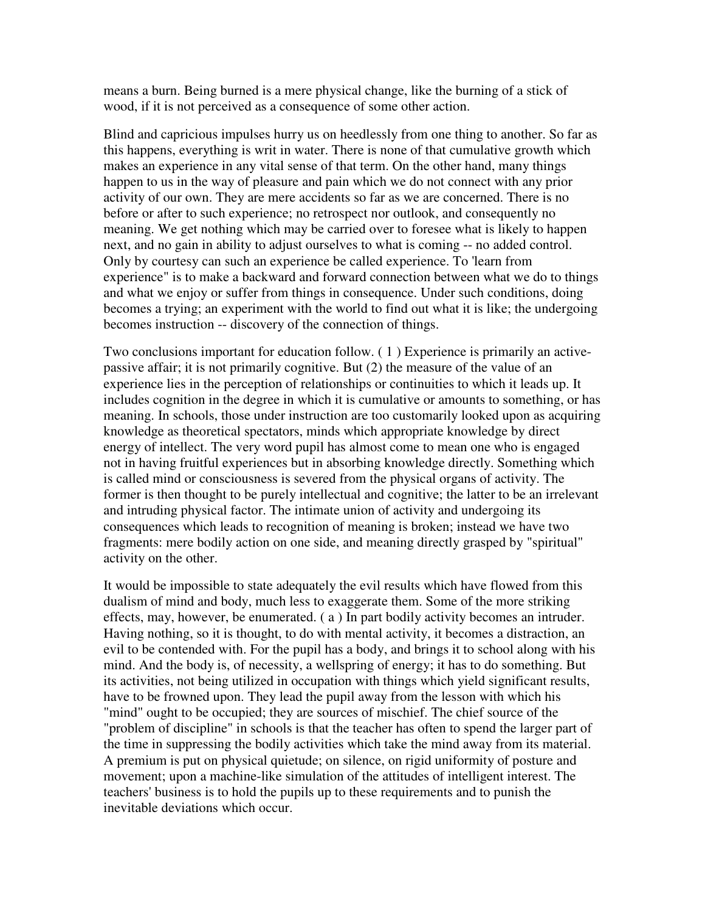means a burn. Being burned is a mere physical change, like the burning of a stick of wood, if it is not perceived as a consequence of some other action.

Blind and capricious impulses hurry us on heedlessly from one thing to another. So far as this happens, everything is writ in water. There is none of that cumulative growth which makes an experience in any vital sense of that term. On the other hand, many things happen to us in the way of pleasure and pain which we do not connect with any prior activity of our own. They are mere accidents so far as we are concerned. There is no before or after to such experience; no retrospect nor outlook, and consequently no meaning. We get nothing which may be carried over to foresee what is likely to happen next, and no gain in ability to adjust ourselves to what is coming -- no added control. Only by courtesy can such an experience be called experience. To 'learn from experience" is to make a backward and forward connection between what we do to things and what we enjoy or suffer from things in consequence. Under such conditions, doing becomes a trying; an experiment with the world to find out what it is like; the undergoing becomes instruction -- discovery of the connection of things.

Two conclusions important for education follow. ( 1 ) Experience is primarily an activepassive affair; it is not primarily cognitive. But (2) the measure of the value of an experience lies in the perception of relationships or continuities to which it leads up. It includes cognition in the degree in which it is cumulative or amounts to something, or has meaning. In schools, those under instruction are too customarily looked upon as acquiring knowledge as theoretical spectators, minds which appropriate knowledge by direct energy of intellect. The very word pupil has almost come to mean one who is engaged not in having fruitful experiences but in absorbing knowledge directly. Something which is called mind or consciousness is severed from the physical organs of activity. The former is then thought to be purely intellectual and cognitive; the latter to be an irrelevant and intruding physical factor. The intimate union of activity and undergoing its consequences which leads to recognition of meaning is broken; instead we have two fragments: mere bodily action on one side, and meaning directly grasped by "spiritual" activity on the other.

It would be impossible to state adequately the evil results which have flowed from this dualism of mind and body, much less to exaggerate them. Some of the more striking effects, may, however, be enumerated. ( a ) In part bodily activity becomes an intruder. Having nothing, so it is thought, to do with mental activity, it becomes a distraction, an evil to be contended with. For the pupil has a body, and brings it to school along with his mind. And the body is, of necessity, a wellspring of energy; it has to do something. But its activities, not being utilized in occupation with things which yield significant results, have to be frowned upon. They lead the pupil away from the lesson with which his "mind" ought to be occupied; they are sources of mischief. The chief source of the "problem of discipline" in schools is that the teacher has often to spend the larger part of the time in suppressing the bodily activities which take the mind away from its material. A premium is put on physical quietude; on silence, on rigid uniformity of posture and movement; upon a machine-like simulation of the attitudes of intelligent interest. The teachers' business is to hold the pupils up to these requirements and to punish the inevitable deviations which occur.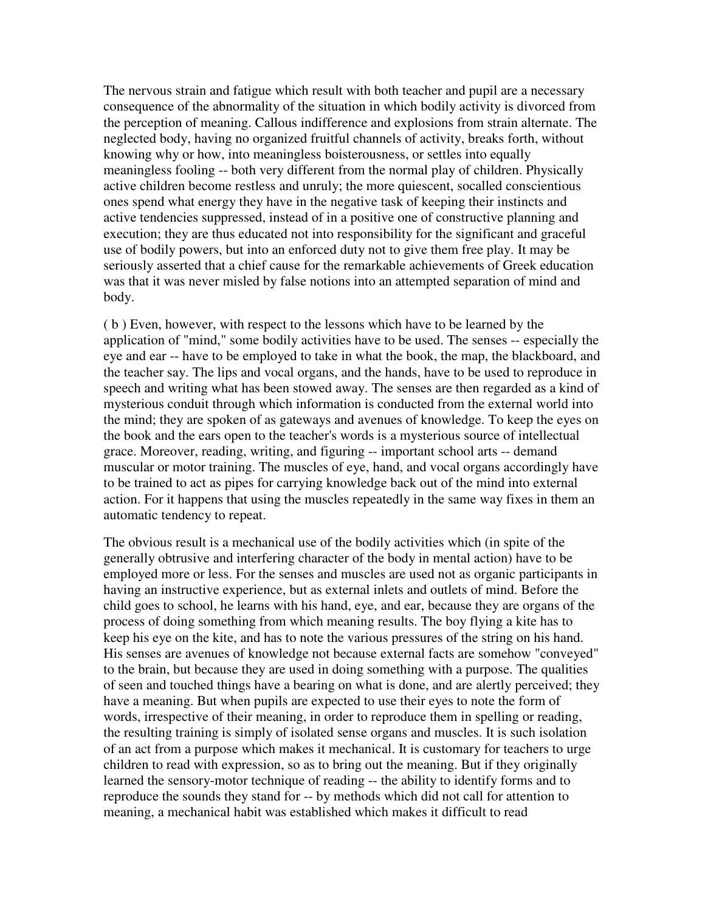The nervous strain and fatigue which result with both teacher and pupil are a necessary consequence of the abnormality of the situation in which bodily activity is divorced from the perception of meaning. Callous indifference and explosions from strain alternate. The neglected body, having no organized fruitful channels of activity, breaks forth, without knowing why or how, into meaningless boisterousness, or settles into equally meaningless fooling -- both very different from the normal play of children. Physically active children become restless and unruly; the more quiescent, socalled conscientious ones spend what energy they have in the negative task of keeping their instincts and active tendencies suppressed, instead of in a positive one of constructive planning and execution; they are thus educated not into responsibility for the significant and graceful use of bodily powers, but into an enforced duty not to give them free play. It may be seriously asserted that a chief cause for the remarkable achievements of Greek education was that it was never misled by false notions into an attempted separation of mind and body.

( b ) Even, however, with respect to the lessons which have to be learned by the application of "mind," some bodily activities have to be used. The senses -- especially the eye and ear -- have to be employed to take in what the book, the map, the blackboard, and the teacher say. The lips and vocal organs, and the hands, have to be used to reproduce in speech and writing what has been stowed away. The senses are then regarded as a kind of mysterious conduit through which information is conducted from the external world into the mind; they are spoken of as gateways and avenues of knowledge. To keep the eyes on the book and the ears open to the teacher's words is a mysterious source of intellectual grace. Moreover, reading, writing, and figuring -- important school arts -- demand muscular or motor training. The muscles of eye, hand, and vocal organs accordingly have to be trained to act as pipes for carrying knowledge back out of the mind into external action. For it happens that using the muscles repeatedly in the same way fixes in them an automatic tendency to repeat.

The obvious result is a mechanical use of the bodily activities which (in spite of the generally obtrusive and interfering character of the body in mental action) have to be employed more or less. For the senses and muscles are used not as organic participants in having an instructive experience, but as external inlets and outlets of mind. Before the child goes to school, he learns with his hand, eye, and ear, because they are organs of the process of doing something from which meaning results. The boy flying a kite has to keep his eye on the kite, and has to note the various pressures of the string on his hand. His senses are avenues of knowledge not because external facts are somehow "conveyed" to the brain, but because they are used in doing something with a purpose. The qualities of seen and touched things have a bearing on what is done, and are alertly perceived; they have a meaning. But when pupils are expected to use their eyes to note the form of words, irrespective of their meaning, in order to reproduce them in spelling or reading, the resulting training is simply of isolated sense organs and muscles. It is such isolation of an act from a purpose which makes it mechanical. It is customary for teachers to urge children to read with expression, so as to bring out the meaning. But if they originally learned the sensory-motor technique of reading -- the ability to identify forms and to reproduce the sounds they stand for -- by methods which did not call for attention to meaning, a mechanical habit was established which makes it difficult to read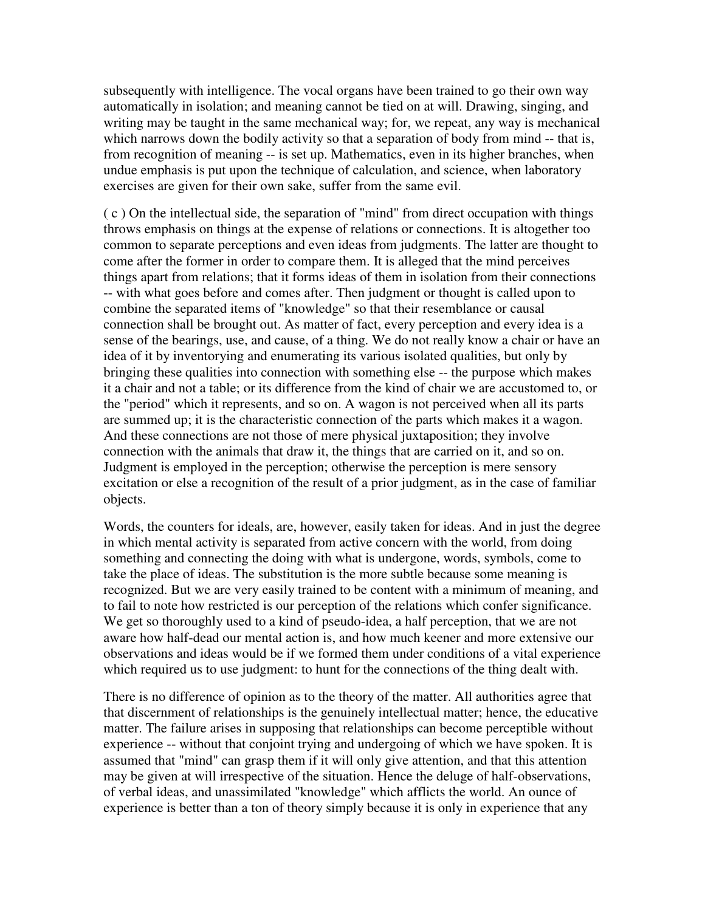subsequently with intelligence. The vocal organs have been trained to go their own way automatically in isolation; and meaning cannot be tied on at will. Drawing, singing, and writing may be taught in the same mechanical way; for, we repeat, any way is mechanical which narrows down the bodily activity so that a separation of body from mind -- that is, from recognition of meaning -- is set up. Mathematics, even in its higher branches, when undue emphasis is put upon the technique of calculation, and science, when laboratory exercises are given for their own sake, suffer from the same evil.

 $(c)$  On the intellectual side, the separation of "mind" from direct occupation with things throws emphasis on things at the expense of relations or connections. It is altogether too common to separate perceptions and even ideas from judgments. The latter are thought to come after the former in order to compare them. It is alleged that the mind perceives things apart from relations; that it forms ideas of them in isolation from their connections -- with what goes before and comes after. Then judgment or thought is called upon to combine the separated items of "knowledge" so that their resemblance or causal connection shall be brought out. As matter of fact, every perception and every idea is a sense of the bearings, use, and cause, of a thing. We do not really know a chair or have an idea of it by inventorying and enumerating its various isolated qualities, but only by bringing these qualities into connection with something else -- the purpose which makes it a chair and not a table; or its difference from the kind of chair we are accustomed to, or the "period" which it represents, and so on. A wagon is not perceived when all its parts are summed up; it is the characteristic connection of the parts which makes it a wagon. And these connections are not those of mere physical juxtaposition; they involve connection with the animals that draw it, the things that are carried on it, and so on. Judgment is employed in the perception; otherwise the perception is mere sensory excitation or else a recognition of the result of a prior judgment, as in the case of familiar objects.

Words, the counters for ideals, are, however, easily taken for ideas. And in just the degree in which mental activity is separated from active concern with the world, from doing something and connecting the doing with what is undergone, words, symbols, come to take the place of ideas. The substitution is the more subtle because some meaning is recognized. But we are very easily trained to be content with a minimum of meaning, and to fail to note how restricted is our perception of the relations which confer significance. We get so thoroughly used to a kind of pseudo-idea, a half perception, that we are not aware how half-dead our mental action is, and how much keener and more extensive our observations and ideas would be if we formed them under conditions of a vital experience which required us to use judgment: to hunt for the connections of the thing dealt with.

There is no difference of opinion as to the theory of the matter. All authorities agree that that discernment of relationships is the genuinely intellectual matter; hence, the educative matter. The failure arises in supposing that relationships can become perceptible without experience -- without that conjoint trying and undergoing of which we have spoken. It is assumed that "mind" can grasp them if it will only give attention, and that this attention may be given at will irrespective of the situation. Hence the deluge of half-observations, of verbal ideas, and unassimilated "knowledge" which afflicts the world. An ounce of experience is better than a ton of theory simply because it is only in experience that any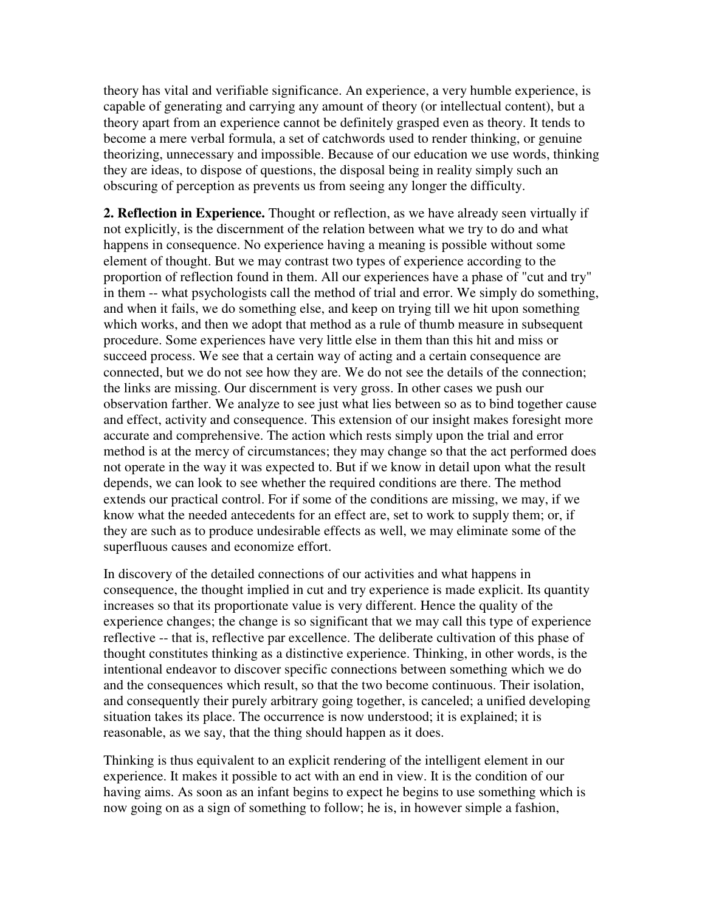theory has vital and verifiable significance. An experience, a very humble experience, is capable of generating and carrying any amount of theory (or intellectual content), but a theory apart from an experience cannot be definitely grasped even as theory. It tends to become a mere verbal formula, a set of catchwords used to render thinking, or genuine theorizing, unnecessary and impossible. Because of our education we use words, thinking they are ideas, to dispose of questions, the disposal being in reality simply such an obscuring of perception as prevents us from seeing any longer the difficulty.

**2. Reflection in Experience.** Thought or reflection, as we have already seen virtually if not explicitly, is the discernment of the relation between what we try to do and what happens in consequence. No experience having a meaning is possible without some element of thought. But we may contrast two types of experience according to the proportion of reflection found in them. All our experiences have a phase of "cut and try" in them -- what psychologists call the method of trial and error. We simply do something, and when it fails, we do something else, and keep on trying till we hit upon something which works, and then we adopt that method as a rule of thumb measure in subsequent procedure. Some experiences have very little else in them than this hit and miss or succeed process. We see that a certain way of acting and a certain consequence are connected, but we do not see how they are. We do not see the details of the connection; the links are missing. Our discernment is very gross. In other cases we push our observation farther. We analyze to see just what lies between so as to bind together cause and effect, activity and consequence. This extension of our insight makes foresight more accurate and comprehensive. The action which rests simply upon the trial and error method is at the mercy of circumstances; they may change so that the act performed does not operate in the way it was expected to. But if we know in detail upon what the result depends, we can look to see whether the required conditions are there. The method extends our practical control. For if some of the conditions are missing, we may, if we know what the needed antecedents for an effect are, set to work to supply them; or, if they are such as to produce undesirable effects as well, we may eliminate some of the superfluous causes and economize effort.

In discovery of the detailed connections of our activities and what happens in consequence, the thought implied in cut and try experience is made explicit. Its quantity increases so that its proportionate value is very different. Hence the quality of the experience changes; the change is so significant that we may call this type of experience reflective -- that is, reflective par excellence. The deliberate cultivation of this phase of thought constitutes thinking as a distinctive experience. Thinking, in other words, is the intentional endeavor to discover specific connections between something which we do and the consequences which result, so that the two become continuous. Their isolation, and consequently their purely arbitrary going together, is canceled; a unified developing situation takes its place. The occurrence is now understood; it is explained; it is reasonable, as we say, that the thing should happen as it does.

Thinking is thus equivalent to an explicit rendering of the intelligent element in our experience. It makes it possible to act with an end in view. It is the condition of our having aims. As soon as an infant begins to expect he begins to use something which is now going on as a sign of something to follow; he is, in however simple a fashion,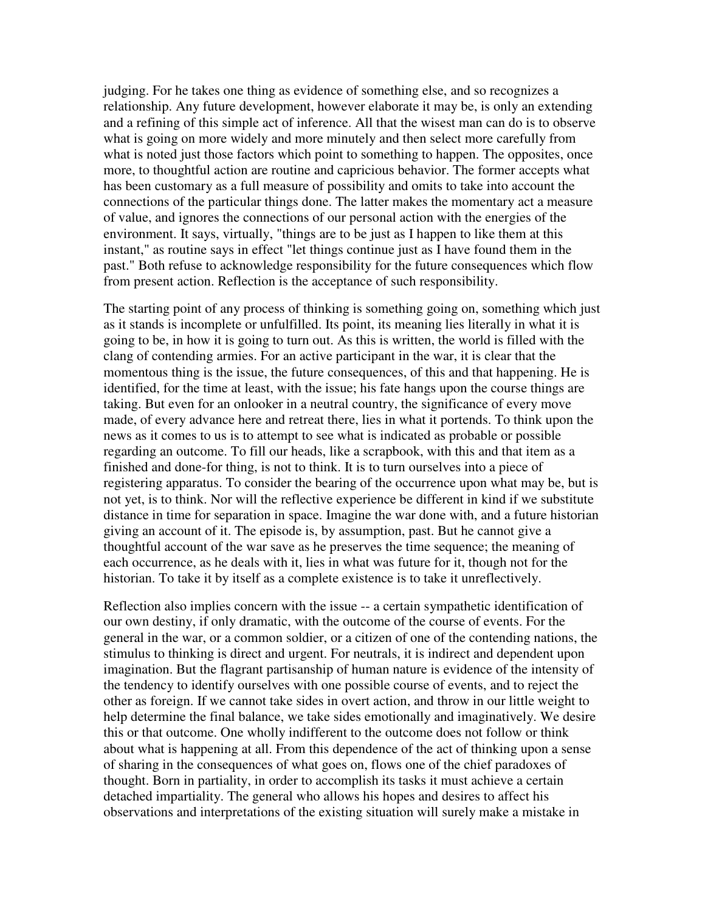judging. For he takes one thing as evidence of something else, and so recognizes a relationship. Any future development, however elaborate it may be, is only an extending and a refining of this simple act of inference. All that the wisest man can do is to observe what is going on more widely and more minutely and then select more carefully from what is noted just those factors which point to something to happen. The opposites, once more, to thoughtful action are routine and capricious behavior. The former accepts what has been customary as a full measure of possibility and omits to take into account the connections of the particular things done. The latter makes the momentary act a measure of value, and ignores the connections of our personal action with the energies of the environment. It says, virtually, "things are to be just as I happen to like them at this instant," as routine says in effect "let things continue just as I have found them in the past." Both refuse to acknowledge responsibility for the future consequences which flow from present action. Reflection is the acceptance of such responsibility.

The starting point of any process of thinking is something going on, something which just as it stands is incomplete or unfulfilled. Its point, its meaning lies literally in what it is going to be, in how it is going to turn out. As this is written, the world is filled with the clang of contending armies. For an active participant in the war, it is clear that the momentous thing is the issue, the future consequences, of this and that happening. He is identified, for the time at least, with the issue; his fate hangs upon the course things are taking. But even for an onlooker in a neutral country, the significance of every move made, of every advance here and retreat there, lies in what it portends. To think upon the news as it comes to us is to attempt to see what is indicated as probable or possible regarding an outcome. To fill our heads, like a scrapbook, with this and that item as a finished and done-for thing, is not to think. It is to turn ourselves into a piece of registering apparatus. To consider the bearing of the occurrence upon what may be, but is not yet, is to think. Nor will the reflective experience be different in kind if we substitute distance in time for separation in space. Imagine the war done with, and a future historian giving an account of it. The episode is, by assumption, past. But he cannot give a thoughtful account of the war save as he preserves the time sequence; the meaning of each occurrence, as he deals with it, lies in what was future for it, though not for the historian. To take it by itself as a complete existence is to take it unreflectively.

Reflection also implies concern with the issue -- a certain sympathetic identification of our own destiny, if only dramatic, with the outcome of the course of events. For the general in the war, or a common soldier, or a citizen of one of the contending nations, the stimulus to thinking is direct and urgent. For neutrals, it is indirect and dependent upon imagination. But the flagrant partisanship of human nature is evidence of the intensity of the tendency to identify ourselves with one possible course of events, and to reject the other as foreign. If we cannot take sides in overt action, and throw in our little weight to help determine the final balance, we take sides emotionally and imaginatively. We desire this or that outcome. One wholly indifferent to the outcome does not follow or think about what is happening at all. From this dependence of the act of thinking upon a sense of sharing in the consequences of what goes on, flows one of the chief paradoxes of thought. Born in partiality, in order to accomplish its tasks it must achieve a certain detached impartiality. The general who allows his hopes and desires to affect his observations and interpretations of the existing situation will surely make a mistake in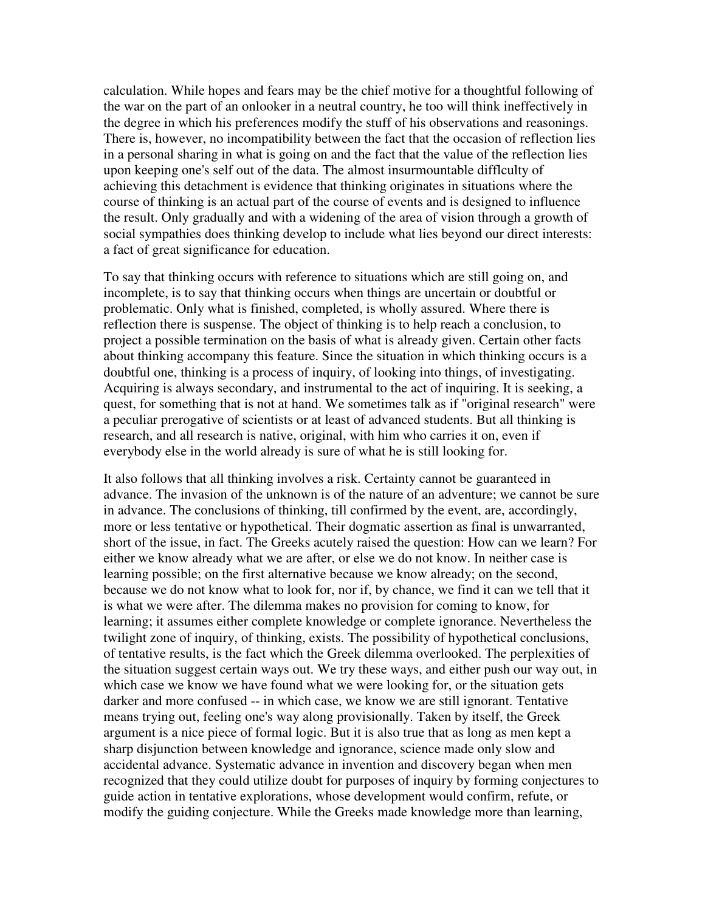calculation. While hopes and fears may be the chief motive for a thoughtful following of the war on the part of an onlooker in a neutral country, he too will think ineffectively in the degree in which his preferences modify the stuff of his observations and reasonings. There is, however, no incompatibility between the fact that the occasion of reflection lies in a personal sharing in what is going on and the fact that the value of the reflection lies upon keeping one's self out of the data. The almost insurmountable difflculty of achieving this detachment is evidence that thinking originates in situations where the course of thinking is an actual part of the course of events and is designed to influence the result. Only gradually and with a widening of the area of vision through a growth of social sympathies does thinking develop to include what lies beyond our direct interests: a fact of great significance for education.

To say that thinking occurs with reference to situations which are still going on, and incomplete, is to say that thinking occurs when things are uncertain or doubtful or problematic. Only what is finished, completed, is wholly assured. Where there is reflection there is suspense. The object of thinking is to help reach a conclusion, to project a possible termination on the basis of what is already given. Certain other facts about thinking accompany this feature. Since the situation in which thinking occurs is a doubtful one, thinking is a process of inquiry, of looking into things, of investigating. Acquiring is always secondary, and instrumental to the act of inquiring. It is seeking, a quest, for something that is not at hand. We sometimes talk as if "original research" were a peculiar prerogative of scientists or at least of advanced students. But all thinking is research, and all research is native, original, with him who carries it on, even if everybody else in the world already is sure of what he is still looking for.

It also follows that all thinking involves a risk. Certainty cannot be guaranteed in advance. The invasion of the unknown is of the nature of an adventure; we cannot be sure in advance. The conclusions of thinking, till confirmed by the event, are, accordingly, more or less tentative or hypothetical. Their dogmatic assertion as final is unwarranted, short of the issue, in fact. The Greeks acutely raised the question: How can we learn? For either we know already what we are after, or else we do not know. In neither case is learning possible; on the first alternative because we know already; on the second, because we do not know what to look for, nor if, by chance, we find it can we tell that it is what we were after. The dilemma makes no provision for coming to know, for learning; it assumes either complete knowledge or complete ignorance. Nevertheless the twilight zone of inquiry, of thinking, exists. The possibility of hypothetical conclusions, of tentative results, is the fact which the Greek dilemma overlooked. The perplexities of the situation suggest certain ways out. We try these ways, and either push our way out, in which case we know we have found what we were looking for, or the situation gets darker and more confused -- in which case, we know we are still ignorant. Tentative means trying out, feeling one's way along provisionally. Taken by itself, the Greek argument is a nice piece of formal logic. But it is also true that as long as men kept a sharp disjunction between knowledge and ignorance, science made only slow and accidental advance. Systematic advance in invention and discovery began when men recognized that they could utilize doubt for purposes of inquiry by forming conjectures to guide action in tentative explorations, whose development would confirm, refute, or modify the guiding conjecture. While the Greeks made knowledge more than learning,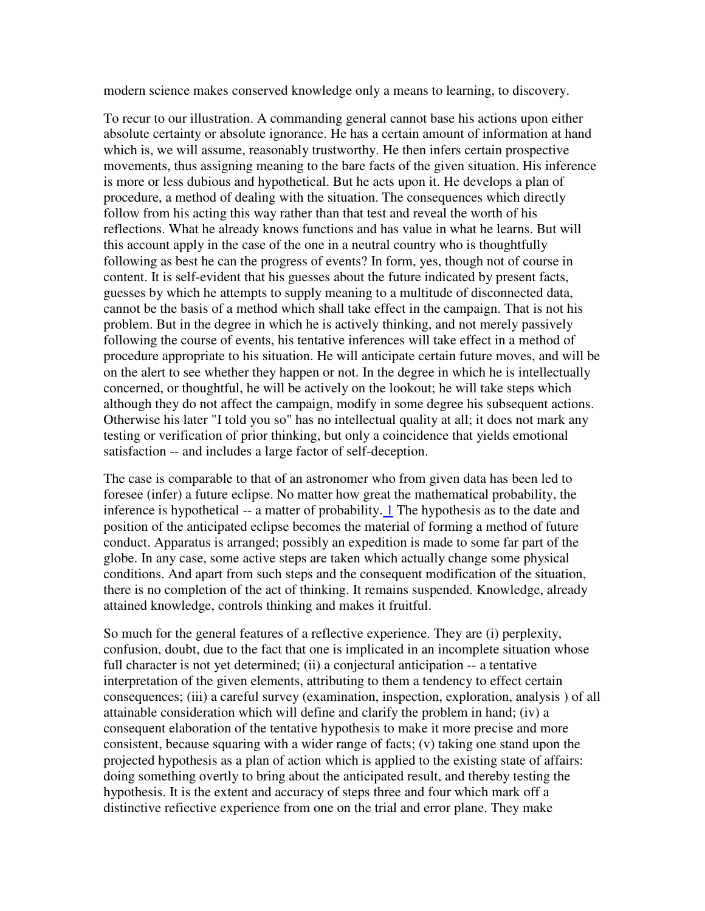modern science makes conserved knowledge only a means to learning, to discovery.

To recur to our illustration. A commanding general cannot base his actions upon either absolute certainty or absolute ignorance. He has a certain amount of information at hand which is, we will assume, reasonably trustworthy. He then infers certain prospective movements, thus assigning meaning to the bare facts of the given situation. His inference is more or less dubious and hypothetical. But he acts upon it. He develops a plan of procedure, a method of dealing with the situation. The consequences which directly follow from his acting this way rather than that test and reveal the worth of his reflections. What he already knows functions and has value in what he learns. But will this account apply in the case of the one in a neutral country who is thoughtfully following as best he can the progress of events? In form, yes, though not of course in content. It is self-evident that his guesses about the future indicated by present facts, guesses by which he attempts to supply meaning to a multitude of disconnected data, cannot be the basis of a method which shall take effect in the campaign. That is not his problem. But in the degree in which he is actively thinking, and not merely passively following the course of events, his tentative inferences will take effect in a method of procedure appropriate to his situation. He will anticipate certain future moves, and will be on the alert to see whether they happen or not. In the degree in which he is intellectually concerned, or thoughtful, he will be actively on the lookout; he will take steps which although they do not affect the campaign, modify in some degree his subsequent actions. Otherwise his later "I told you so" has no intellectual quality at all; it does not mark any testing or verification of prior thinking, but only a coincidence that yields emotional satisfaction -- and includes a large factor of self-deception.

The case is comparable to that of an astronomer who from given data has been led to foresee (infer) a future eclipse. No matter how great the mathematical probability, the inference is hypothetical  $-$  a matter of probability.  $\perp$  The hypothesis as to the date and position of the anticipated eclipse becomes the material of forming a method of future conduct. Apparatus is arranged; possibly an expedition is made to some far part of the globe. In any case, some active steps are taken which actually change some physical conditions. And apart from such steps and the consequent modification of the situation, there is no completion of the act of thinking. It remains suspended. Knowledge, already attained knowledge, controls thinking and makes it fruitful.

So much for the general features of a reflective experience. They are (i) perplexity, confusion, doubt, due to the fact that one is implicated in an incomplete situation whose full character is not yet determined; (ii) a conjectural anticipation -- a tentative interpretation of the given elements, attributing to them a tendency to effect certain consequences; (iii) a careful survey (examination, inspection, exploration, analysis ) of all attainable consideration which will define and clarify the problem in hand; (iv) a consequent elaboration of the tentative hypothesis to make it more precise and more consistent, because squaring with a wider range of facts; (v) taking one stand upon the projected hypothesis as a plan of action which is applied to the existing state of affairs: doing something overtly to bring about the anticipated result, and thereby testing the hypothesis. It is the extent and accuracy of steps three and four which mark off a distinctive refiective experience from one on the trial and error plane. They make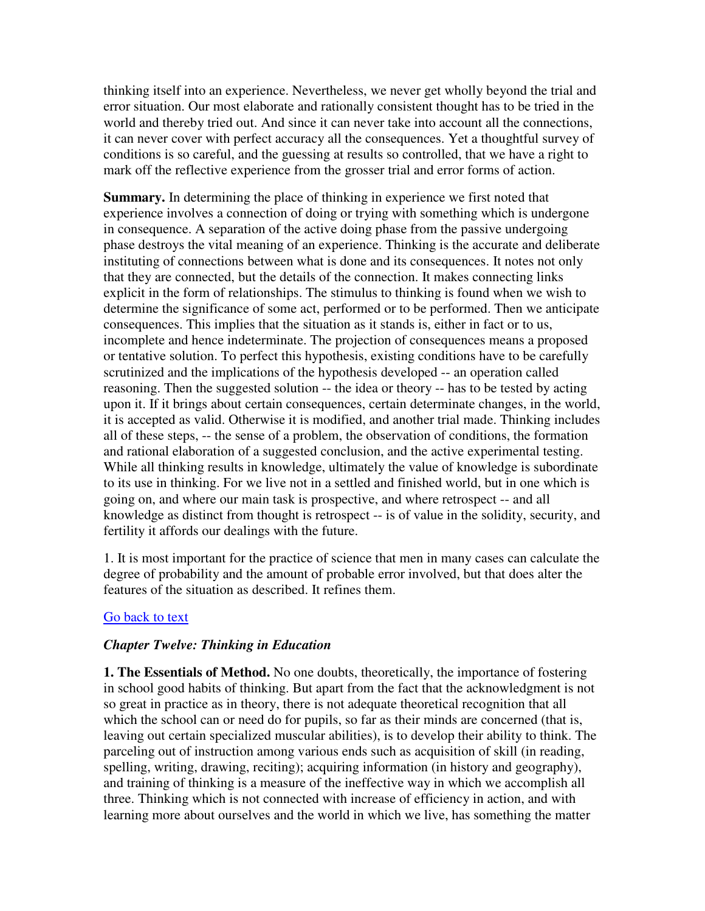thinking itself into an experience. Nevertheless, we never get wholly beyond the trial and error situation. Our most elaborate and rationally consistent thought has to be tried in the world and thereby tried out. And since it can never take into account all the connections, it can never cover with perfect accuracy all the consequences. Yet a thoughtful survey of conditions is so careful, and the guessing at results so controlled, that we have a right to mark off the reflective experience from the grosser trial and error forms of action.

**Summary.** In determining the place of thinking in experience we first noted that experience involves a connection of doing or trying with something which is undergone in consequence. A separation of the active doing phase from the passive undergoing phase destroys the vital meaning of an experience. Thinking is the accurate and deliberate instituting of connections between what is done and its consequences. It notes not only that they are connected, but the details of the connection. It makes connecting links explicit in the form of relationships. The stimulus to thinking is found when we wish to determine the significance of some act, performed or to be performed. Then we anticipate consequences. This implies that the situation as it stands is, either in fact or to us, incomplete and hence indeterminate. The projection of consequences means a proposed or tentative solution. To perfect this hypothesis, existing conditions have to be carefully scrutinized and the implications of the hypothesis developed -- an operation called reasoning. Then the suggested solution -- the idea or theory -- has to be tested by acting upon it. If it brings about certain consequences, certain determinate changes, in the world, it is accepted as valid. Otherwise it is modified, and another trial made. Thinking includes all of these steps, -- the sense of a problem, the observation of conditions, the formation and rational elaboration of a suggested conclusion, and the active experimental testing. While all thinking results in knowledge, ultimately the value of knowledge is subordinate to its use in thinking. For we live not in a settled and finished world, but in one which is going on, and where our main task is prospective, and where retrospect -- and all knowledge as distinct from thought is retrospect -- is of value in the solidity, security, and fertility it affords our dealings with the future.

1. It is most important for the practice of science that men in many cases can calculate the degree of probability and the amount of probable error involved, but that does alter the features of the situation as described. It refines them.

# Go back to text

# *Chapter Twelve: Thinking in Education*

**1. The Essentials of Method.** No one doubts, theoretically, the importance of fostering in school good habits of thinking. But apart from the fact that the acknowledgment is not so great in practice as in theory, there is not adequate theoretical recognition that all which the school can or need do for pupils, so far as their minds are concerned (that is, leaving out certain specialized muscular abilities), is to develop their ability to think. The parceling out of instruction among various ends such as acquisition of skill (in reading, spelling, writing, drawing, reciting); acquiring information (in history and geography), and training of thinking is a measure of the ineffective way in which we accomplish all three. Thinking which is not connected with increase of efficiency in action, and with learning more about ourselves and the world in which we live, has something the matter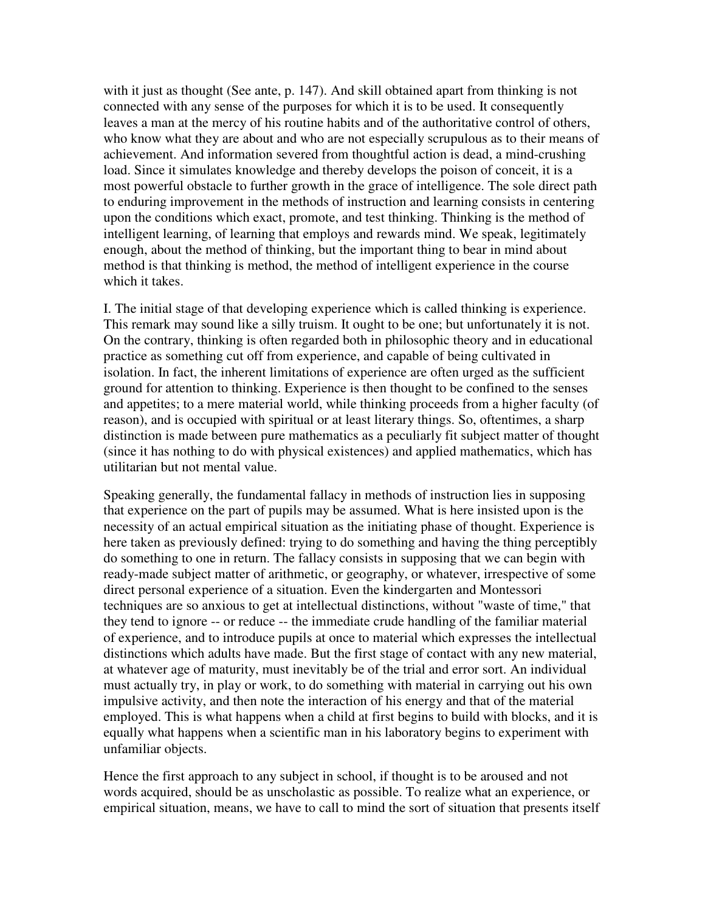with it just as thought (See ante, p. 147). And skill obtained apart from thinking is not connected with any sense of the purposes for which it is to be used. It consequently leaves a man at the mercy of his routine habits and of the authoritative control of others, who know what they are about and who are not especially scrupulous as to their means of achievement. And information severed from thoughtful action is dead, a mind-crushing load. Since it simulates knowledge and thereby develops the poison of conceit, it is a most powerful obstacle to further growth in the grace of intelligence. The sole direct path to enduring improvement in the methods of instruction and learning consists in centering upon the conditions which exact, promote, and test thinking. Thinking is the method of intelligent learning, of learning that employs and rewards mind. We speak, legitimately enough, about the method of thinking, but the important thing to bear in mind about method is that thinking is method, the method of intelligent experience in the course which it takes.

I. The initial stage of that developing experience which is called thinking is experience. This remark may sound like a silly truism. It ought to be one; but unfortunately it is not. On the contrary, thinking is often regarded both in philosophic theory and in educational practice as something cut off from experience, and capable of being cultivated in isolation. In fact, the inherent limitations of experience are often urged as the sufficient ground for attention to thinking. Experience is then thought to be confined to the senses and appetites; to a mere material world, while thinking proceeds from a higher faculty (of reason), and is occupied with spiritual or at least literary things. So, oftentimes, a sharp distinction is made between pure mathematics as a peculiarly fit subject matter of thought (since it has nothing to do with physical existences) and applied mathematics, which has utilitarian but not mental value.

Speaking generally, the fundamental fallacy in methods of instruction lies in supposing that experience on the part of pupils may be assumed. What is here insisted upon is the necessity of an actual empirical situation as the initiating phase of thought. Experience is here taken as previously defined: trying to do something and having the thing perceptibly do something to one in return. The fallacy consists in supposing that we can begin with ready-made subject matter of arithmetic, or geography, or whatever, irrespective of some direct personal experience of a situation. Even the kindergarten and Montessori techniques are so anxious to get at intellectual distinctions, without "waste of time," that they tend to ignore -- or reduce -- the immediate crude handling of the familiar material of experience, and to introduce pupils at once to material which expresses the intellectual distinctions which adults have made. But the first stage of contact with any new material, at whatever age of maturity, must inevitably be of the trial and error sort. An individual must actually try, in play or work, to do something with material in carrying out his own impulsive activity, and then note the interaction of his energy and that of the material employed. This is what happens when a child at first begins to build with blocks, and it is equally what happens when a scientific man in his laboratory begins to experiment with unfamiliar objects.

Hence the first approach to any subject in school, if thought is to be aroused and not words acquired, should be as unscholastic as possible. To realize what an experience, or empirical situation, means, we have to call to mind the sort of situation that presents itself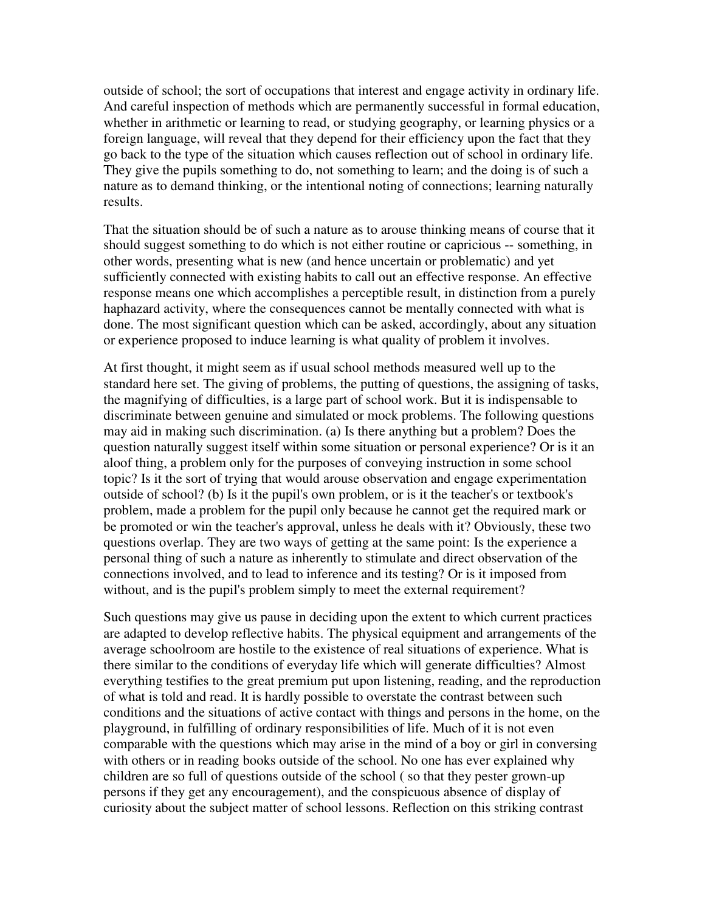outside of school; the sort of occupations that interest and engage activity in ordinary life. And careful inspection of methods which are permanently successful in formal education, whether in arithmetic or learning to read, or studying geography, or learning physics or a foreign language, will reveal that they depend for their efficiency upon the fact that they go back to the type of the situation which causes reflection out of school in ordinary life. They give the pupils something to do, not something to learn; and the doing is of such a nature as to demand thinking, or the intentional noting of connections; learning naturally results.

That the situation should be of such a nature as to arouse thinking means of course that it should suggest something to do which is not either routine or capricious -- something, in other words, presenting what is new (and hence uncertain or problematic) and yet sufficiently connected with existing habits to call out an effective response. An effective response means one which accomplishes a perceptible result, in distinction from a purely haphazard activity, where the consequences cannot be mentally connected with what is done. The most significant question which can be asked, accordingly, about any situation or experience proposed to induce learning is what quality of problem it involves.

At first thought, it might seem as if usual school methods measured well up to the standard here set. The giving of problems, the putting of questions, the assigning of tasks, the magnifying of difficulties, is a large part of school work. But it is indispensable to discriminate between genuine and simulated or mock problems. The following questions may aid in making such discrimination. (a) Is there anything but a problem? Does the question naturally suggest itself within some situation or personal experience? Or is it an aloof thing, a problem only for the purposes of conveying instruction in some school topic? Is it the sort of trying that would arouse observation and engage experimentation outside of school? (b) Is it the pupil's own problem, or is it the teacher's or textbook's problem, made a problem for the pupil only because he cannot get the required mark or be promoted or win the teacher's approval, unless he deals with it? Obviously, these two questions overlap. They are two ways of getting at the same point: Is the experience a personal thing of such a nature as inherently to stimulate and direct observation of the connections involved, and to lead to inference and its testing? Or is it imposed from without, and is the pupil's problem simply to meet the external requirement?

Such questions may give us pause in deciding upon the extent to which current practices are adapted to develop reflective habits. The physical equipment and arrangements of the average schoolroom are hostile to the existence of real situations of experience. What is there similar to the conditions of everyday life which will generate difficulties? Almost everything testifies to the great premium put upon listening, reading, and the reproduction of what is told and read. It is hardly possible to overstate the contrast between such conditions and the situations of active contact with things and persons in the home, on the playground, in fulfilling of ordinary responsibilities of life. Much of it is not even comparable with the questions which may arise in the mind of a boy or girl in conversing with others or in reading books outside of the school. No one has ever explained why children are so full of questions outside of the school ( so that they pester grown-up persons if they get any encouragement), and the conspicuous absence of display of curiosity about the subject matter of school lessons. Reflection on this striking contrast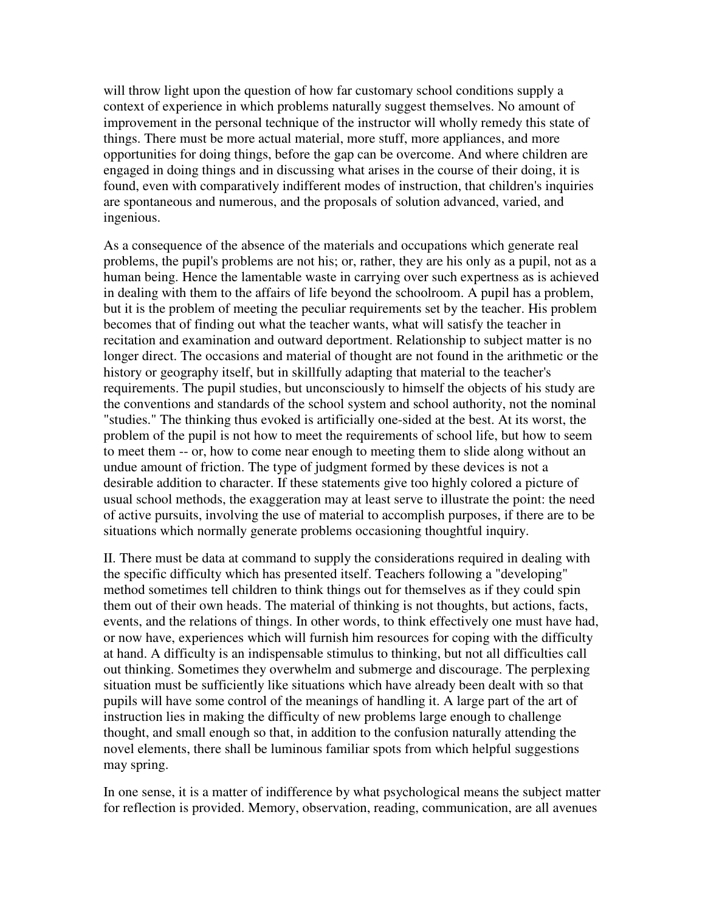will throw light upon the question of how far customary school conditions supply a context of experience in which problems naturally suggest themselves. No amount of improvement in the personal technique of the instructor will wholly remedy this state of things. There must be more actual material, more stuff, more appliances, and more opportunities for doing things, before the gap can be overcome. And where children are engaged in doing things and in discussing what arises in the course of their doing, it is found, even with comparatively indifferent modes of instruction, that children's inquiries are spontaneous and numerous, and the proposals of solution advanced, varied, and ingenious.

As a consequence of the absence of the materials and occupations which generate real problems, the pupil's problems are not his; or, rather, they are his only as a pupil, not as a human being. Hence the lamentable waste in carrying over such expertness as is achieved in dealing with them to the affairs of life beyond the schoolroom. A pupil has a problem, but it is the problem of meeting the peculiar requirements set by the teacher. His problem becomes that of finding out what the teacher wants, what will satisfy the teacher in recitation and examination and outward deportment. Relationship to subject matter is no longer direct. The occasions and material of thought are not found in the arithmetic or the history or geography itself, but in skillfully adapting that material to the teacher's requirements. The pupil studies, but unconsciously to himself the objects of his study are the conventions and standards of the school system and school authority, not the nominal "studies." The thinking thus evoked is artificially one-sided at the best. At its worst, the problem of the pupil is not how to meet the requirements of school life, but how to seem to meet them -- or, how to come near enough to meeting them to slide along without an undue amount of friction. The type of judgment formed by these devices is not a desirable addition to character. If these statements give too highly colored a picture of usual school methods, the exaggeration may at least serve to illustrate the point: the need of active pursuits, involving the use of material to accomplish purposes, if there are to be situations which normally generate problems occasioning thoughtful inquiry.

II. There must be data at command to supply the considerations required in dealing with the specific difficulty which has presented itself. Teachers following a "developing" method sometimes tell children to think things out for themselves as if they could spin them out of their own heads. The material of thinking is not thoughts, but actions, facts, events, and the relations of things. In other words, to think effectively one must have had, or now have, experiences which will furnish him resources for coping with the difficulty at hand. A difficulty is an indispensable stimulus to thinking, but not all difficulties call out thinking. Sometimes they overwhelm and submerge and discourage. The perplexing situation must be sufficiently like situations which have already been dealt with so that pupils will have some control of the meanings of handling it. A large part of the art of instruction lies in making the difficulty of new problems large enough to challenge thought, and small enough so that, in addition to the confusion naturally attending the novel elements, there shall be luminous familiar spots from which helpful suggestions may spring.

In one sense, it is a matter of indifference by what psychological means the subject matter for reflection is provided. Memory, observation, reading, communication, are all avenues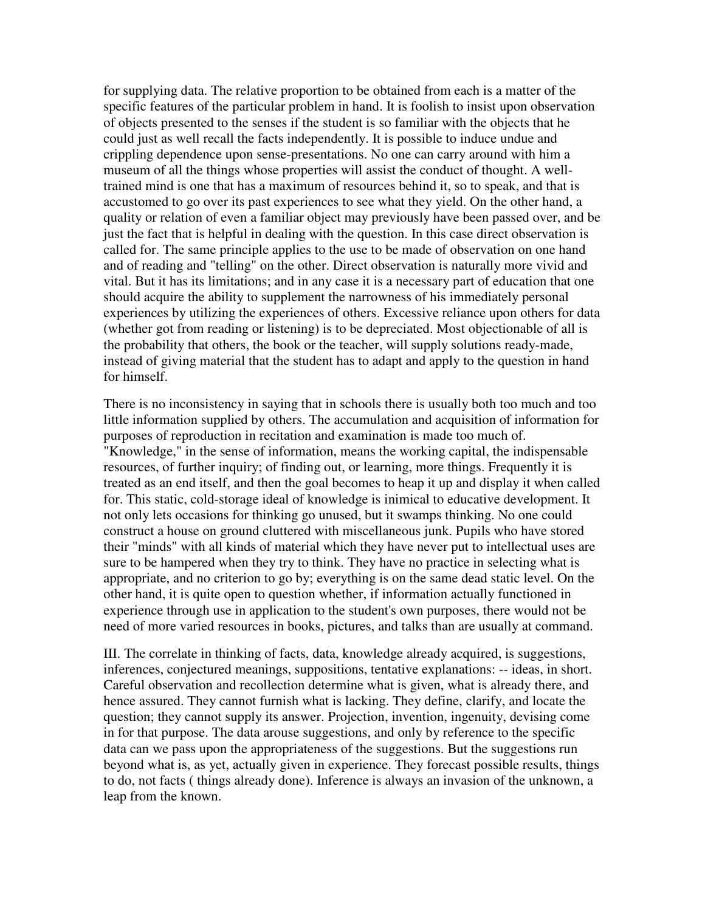for supplying data. The relative proportion to be obtained from each is a matter of the specific features of the particular problem in hand. It is foolish to insist upon observation of objects presented to the senses if the student is so familiar with the objects that he could just as well recall the facts independently. It is possible to induce undue and crippling dependence upon sense-presentations. No one can carry around with him a museum of all the things whose properties will assist the conduct of thought. A welltrained mind is one that has a maximum of resources behind it, so to speak, and that is accustomed to go over its past experiences to see what they yield. On the other hand, a quality or relation of even a familiar object may previously have been passed over, and be just the fact that is helpful in dealing with the question. In this case direct observation is called for. The same principle applies to the use to be made of observation on one hand and of reading and "telling" on the other. Direct observation is naturally more vivid and vital. But it has its limitations; and in any case it is a necessary part of education that one should acquire the ability to supplement the narrowness of his immediately personal experiences by utilizing the experiences of others. Excessive reliance upon others for data (whether got from reading or listening) is to be depreciated. Most objectionable of all is the probability that others, the book or the teacher, will supply solutions ready-made, instead of giving material that the student has to adapt and apply to the question in hand for himself.

There is no inconsistency in saying that in schools there is usually both too much and too little information supplied by others. The accumulation and acquisition of information for purposes of reproduction in recitation and examination is made too much of. "Knowledge," in the sense of information, means the working capital, the indispensable resources, of further inquiry; of finding out, or learning, more things. Frequently it is treated as an end itself, and then the goal becomes to heap it up and display it when called for. This static, cold-storage ideal of knowledge is inimical to educative development. It not only lets occasions for thinking go unused, but it swamps thinking. No one could construct a house on ground cluttered with miscellaneous junk. Pupils who have stored their "minds" with all kinds of material which they have never put to intellectual uses are sure to be hampered when they try to think. They have no practice in selecting what is appropriate, and no criterion to go by; everything is on the same dead static level. On the other hand, it is quite open to question whether, if information actually functioned in experience through use in application to the student's own purposes, there would not be need of more varied resources in books, pictures, and talks than are usually at command.

III. The correlate in thinking of facts, data, knowledge already acquired, is suggestions, inferences, conjectured meanings, suppositions, tentative explanations: -- ideas, in short. Careful observation and recollection determine what is given, what is already there, and hence assured. They cannot furnish what is lacking. They define, clarify, and locate the question; they cannot supply its answer. Projection, invention, ingenuity, devising come in for that purpose. The data arouse suggestions, and only by reference to the specific data can we pass upon the appropriateness of the suggestions. But the suggestions run beyond what is, as yet, actually given in experience. They forecast possible results, things to do, not facts ( things already done). Inference is always an invasion of the unknown, a leap from the known.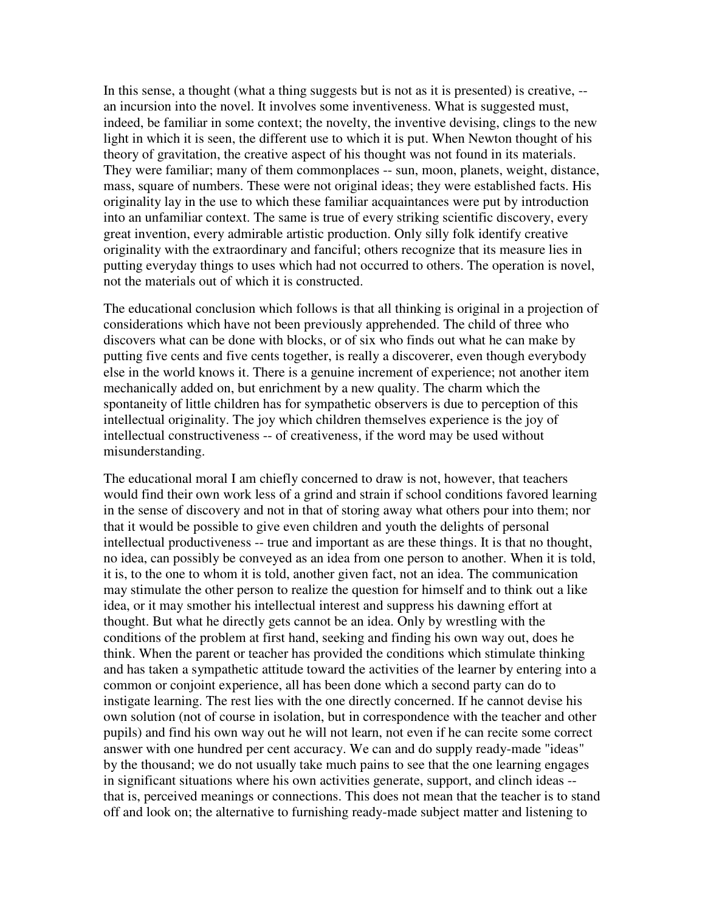In this sense, a thought (what a thing suggests but is not as it is presented) is creative, -an incursion into the novel. It involves some inventiveness. What is suggested must, indeed, be familiar in some context; the novelty, the inventive devising, clings to the new light in which it is seen, the different use to which it is put. When Newton thought of his theory of gravitation, the creative aspect of his thought was not found in its materials. They were familiar; many of them commonplaces -- sun, moon, planets, weight, distance, mass, square of numbers. These were not original ideas; they were established facts. His originality lay in the use to which these familiar acquaintances were put by introduction into an unfamiliar context. The same is true of every striking scientific discovery, every great invention, every admirable artistic production. Only silly folk identify creative originality with the extraordinary and fanciful; others recognize that its measure lies in putting everyday things to uses which had not occurred to others. The operation is novel, not the materials out of which it is constructed.

The educational conclusion which follows is that all thinking is original in a projection of considerations which have not been previously apprehended. The child of three who discovers what can be done with blocks, or of six who finds out what he can make by putting five cents and five cents together, is really a discoverer, even though everybody else in the world knows it. There is a genuine increment of experience; not another item mechanically added on, but enrichment by a new quality. The charm which the spontaneity of little children has for sympathetic observers is due to perception of this intellectual originality. The joy which children themselves experience is the joy of intellectual constructiveness -- of creativeness, if the word may be used without misunderstanding.

The educational moral I am chiefly concerned to draw is not, however, that teachers would find their own work less of a grind and strain if school conditions favored learning in the sense of discovery and not in that of storing away what others pour into them; nor that it would be possible to give even children and youth the delights of personal intellectual productiveness -- true and important as are these things. It is that no thought, no idea, can possibly be conveyed as an idea from one person to another. When it is told, it is, to the one to whom it is told, another given fact, not an idea. The communication may stimulate the other person to realize the question for himself and to think out a like idea, or it may smother his intellectual interest and suppress his dawning effort at thought. But what he directly gets cannot be an idea. Only by wrestling with the conditions of the problem at first hand, seeking and finding his own way out, does he think. When the parent or teacher has provided the conditions which stimulate thinking and has taken a sympathetic attitude toward the activities of the learner by entering into a common or conjoint experience, all has been done which a second party can do to instigate learning. The rest lies with the one directly concerned. If he cannot devise his own solution (not of course in isolation, but in correspondence with the teacher and other pupils) and find his own way out he will not learn, not even if he can recite some correct answer with one hundred per cent accuracy. We can and do supply ready-made "ideas" by the thousand; we do not usually take much pains to see that the one learning engages in significant situations where his own activities generate, support, and clinch ideas - that is, perceived meanings or connections. This does not mean that the teacher is to stand off and look on; the alternative to furnishing ready-made subject matter and listening to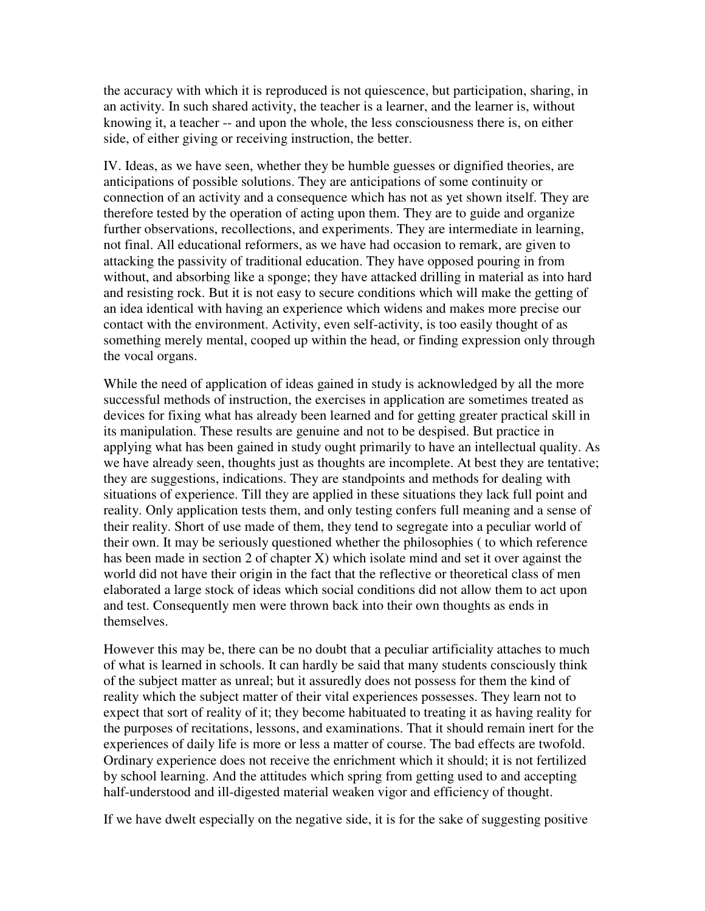the accuracy with which it is reproduced is not quiescence, but participation, sharing, in an activity. In such shared activity, the teacher is a learner, and the learner is, without knowing it, a teacher -- and upon the whole, the less consciousness there is, on either side, of either giving or receiving instruction, the better.

IV. Ideas, as we have seen, whether they be humble guesses or dignified theories, are anticipations of possible solutions. They are anticipations of some continuity or connection of an activity and a consequence which has not as yet shown itself. They are therefore tested by the operation of acting upon them. They are to guide and organize further observations, recollections, and experiments. They are intermediate in learning, not final. All educational reformers, as we have had occasion to remark, are given to attacking the passivity of traditional education. They have opposed pouring in from without, and absorbing like a sponge; they have attacked drilling in material as into hard and resisting rock. But it is not easy to secure conditions which will make the getting of an idea identical with having an experience which widens and makes more precise our contact with the environment. Activity, even self-activity, is too easily thought of as something merely mental, cooped up within the head, or finding expression only through the vocal organs.

While the need of application of ideas gained in study is acknowledged by all the more successful methods of instruction, the exercises in application are sometimes treated as devices for fixing what has already been learned and for getting greater practical skill in its manipulation. These results are genuine and not to be despised. But practice in applying what has been gained in study ought primarily to have an intellectual quality. As we have already seen, thoughts just as thoughts are incomplete. At best they are tentative; they are suggestions, indications. They are standpoints and methods for dealing with situations of experience. Till they are applied in these situations they lack full point and reality. Only application tests them, and only testing confers full meaning and a sense of their reality. Short of use made of them, they tend to segregate into a peculiar world of their own. It may be seriously questioned whether the philosophies ( to which reference has been made in section 2 of chapter X) which isolate mind and set it over against the world did not have their origin in the fact that the reflective or theoretical class of men elaborated a large stock of ideas which social conditions did not allow them to act upon and test. Consequently men were thrown back into their own thoughts as ends in themselves.

However this may be, there can be no doubt that a peculiar artificiality attaches to much of what is learned in schools. It can hardly be said that many students consciously think of the subject matter as unreal; but it assuredly does not possess for them the kind of reality which the subject matter of their vital experiences possesses. They learn not to expect that sort of reality of it; they become habituated to treating it as having reality for the purposes of recitations, lessons, and examinations. That it should remain inert for the experiences of daily life is more or less a matter of course. The bad effects are twofold. Ordinary experience does not receive the enrichment which it should; it is not fertilized by school learning. And the attitudes which spring from getting used to and accepting half-understood and ill-digested material weaken vigor and efficiency of thought.

If we have dwelt especially on the negative side, it is for the sake of suggesting positive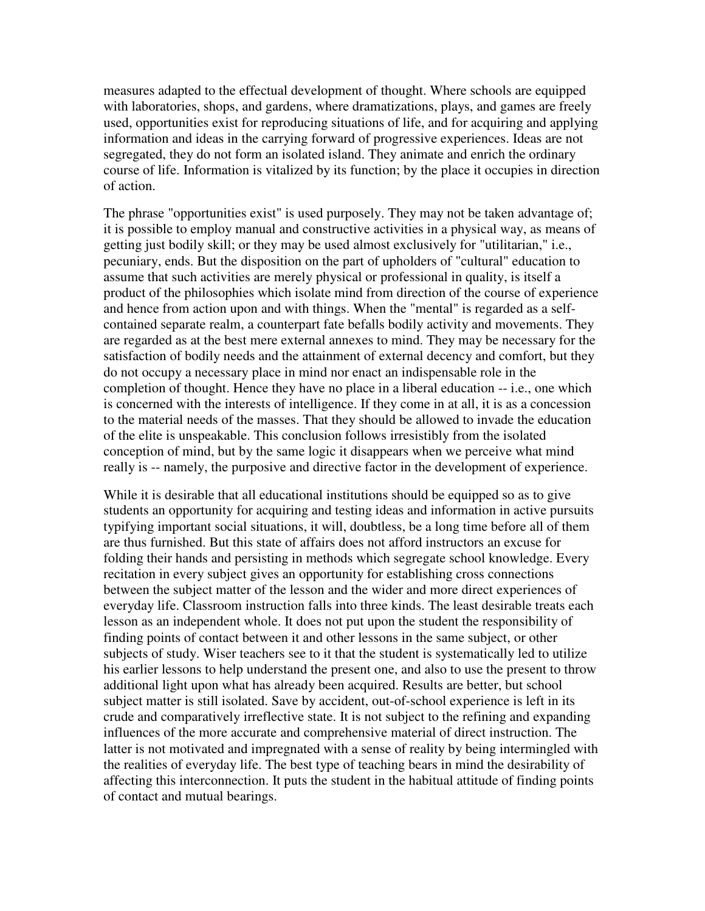measures adapted to the effectual development of thought. Where schools are equipped with laboratories, shops, and gardens, where dramatizations, plays, and games are freely used, opportunities exist for reproducing situations of life, and for acquiring and applying information and ideas in the carrying forward of progressive experiences. Ideas are not segregated, they do not form an isolated island. They animate and enrich the ordinary course of life. Information is vitalized by its function; by the place it occupies in direction of action.

The phrase "opportunities exist" is used purposely. They may not be taken advantage of; it is possible to employ manual and constructive activities in a physical way, as means of getting just bodily skill; or they may be used almost exclusively for "utilitarian," i.e., pecuniary, ends. But the disposition on the part of upholders of "cultural" education to assume that such activities are merely physical or professional in quality, is itself a product of the philosophies which isolate mind from direction of the course of experience and hence from action upon and with things. When the "mental" is regarded as a selfcontained separate realm, a counterpart fate befalls bodily activity and movements. They are regarded as at the best mere external annexes to mind. They may be necessary for the satisfaction of bodily needs and the attainment of external decency and comfort, but they do not occupy a necessary place in mind nor enact an indispensable role in the completion of thought. Hence they have no place in a liberal education -- i.e., one which is concerned with the interests of intelligence. If they come in at all, it is as a concession to the material needs of the masses. That they should be allowed to invade the education of the elite is unspeakable. This conclusion follows irresistibly from the isolated conception of mind, but by the same logic it disappears when we perceive what mind really is -- namely, the purposive and directive factor in the development of experience.

While it is desirable that all educational institutions should be equipped so as to give students an opportunity for acquiring and testing ideas and information in active pursuits typifying important social situations, it will, doubtless, be a long time before all of them are thus furnished. But this state of affairs does not afford instructors an excuse for folding their hands and persisting in methods which segregate school knowledge. Every recitation in every subject gives an opportunity for establishing cross connections between the subject matter of the lesson and the wider and more direct experiences of everyday life. Classroom instruction falls into three kinds. The least desirable treats each lesson as an independent whole. It does not put upon the student the responsibility of finding points of contact between it and other lessons in the same subject, or other subjects of study. Wiser teachers see to it that the student is systematically led to utilize his earlier lessons to help understand the present one, and also to use the present to throw additional light upon what has already been acquired. Results are better, but school subject matter is still isolated. Save by accident, out-of-school experience is left in its crude and comparatively irreflective state. It is not subject to the refining and expanding influences of the more accurate and comprehensive material of direct instruction. The latter is not motivated and impregnated with a sense of reality by being intermingled with the realities of everyday life. The best type of teaching bears in mind the desirability of affecting this interconnection. It puts the student in the habitual attitude of finding points of contact and mutual bearings.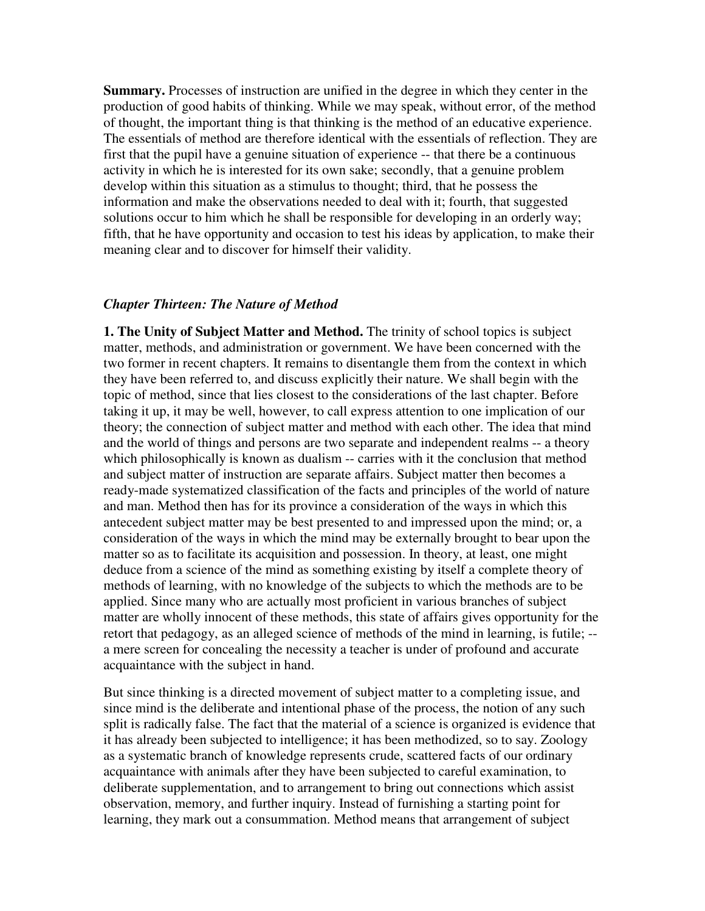**Summary.** Processes of instruction are unified in the degree in which they center in the production of good habits of thinking. While we may speak, without error, of the method of thought, the important thing is that thinking is the method of an educative experience. The essentials of method are therefore identical with the essentials of reflection. They are first that the pupil have a genuine situation of experience -- that there be a continuous activity in which he is interested for its own sake; secondly, that a genuine problem develop within this situation as a stimulus to thought; third, that he possess the information and make the observations needed to deal with it; fourth, that suggested solutions occur to him which he shall be responsible for developing in an orderly way; fifth, that he have opportunity and occasion to test his ideas by application, to make their meaning clear and to discover for himself their validity.

## *Chapter Thirteen: The Nature of Method*

**1. The Unity of Subject Matter and Method.** The trinity of school topics is subject matter, methods, and administration or government. We have been concerned with the two former in recent chapters. It remains to disentangle them from the context in which they have been referred to, and discuss explicitly their nature. We shall begin with the topic of method, since that lies closest to the considerations of the last chapter. Before taking it up, it may be well, however, to call express attention to one implication of our theory; the connection of subject matter and method with each other. The idea that mind and the world of things and persons are two separate and independent realms -- a theory which philosophically is known as dualism -- carries with it the conclusion that method and subject matter of instruction are separate affairs. Subject matter then becomes a ready-made systematized classification of the facts and principles of the world of nature and man. Method then has for its province a consideration of the ways in which this antecedent subject matter may be best presented to and impressed upon the mind; or, a consideration of the ways in which the mind may be externally brought to bear upon the matter so as to facilitate its acquisition and possession. In theory, at least, one might deduce from a science of the mind as something existing by itself a complete theory of methods of learning, with no knowledge of the subjects to which the methods are to be applied. Since many who are actually most proficient in various branches of subject matter are wholly innocent of these methods, this state of affairs gives opportunity for the retort that pedagogy, as an alleged science of methods of the mind in learning, is futile; - a mere screen for concealing the necessity a teacher is under of profound and accurate acquaintance with the subject in hand.

But since thinking is a directed movement of subject matter to a completing issue, and since mind is the deliberate and intentional phase of the process, the notion of any such split is radically false. The fact that the material of a science is organized is evidence that it has already been subjected to intelligence; it has been methodized, so to say. Zoology as a systematic branch of knowledge represents crude, scattered facts of our ordinary acquaintance with animals after they have been subjected to careful examination, to deliberate supplementation, and to arrangement to bring out connections which assist observation, memory, and further inquiry. Instead of furnishing a starting point for learning, they mark out a consummation. Method means that arrangement of subject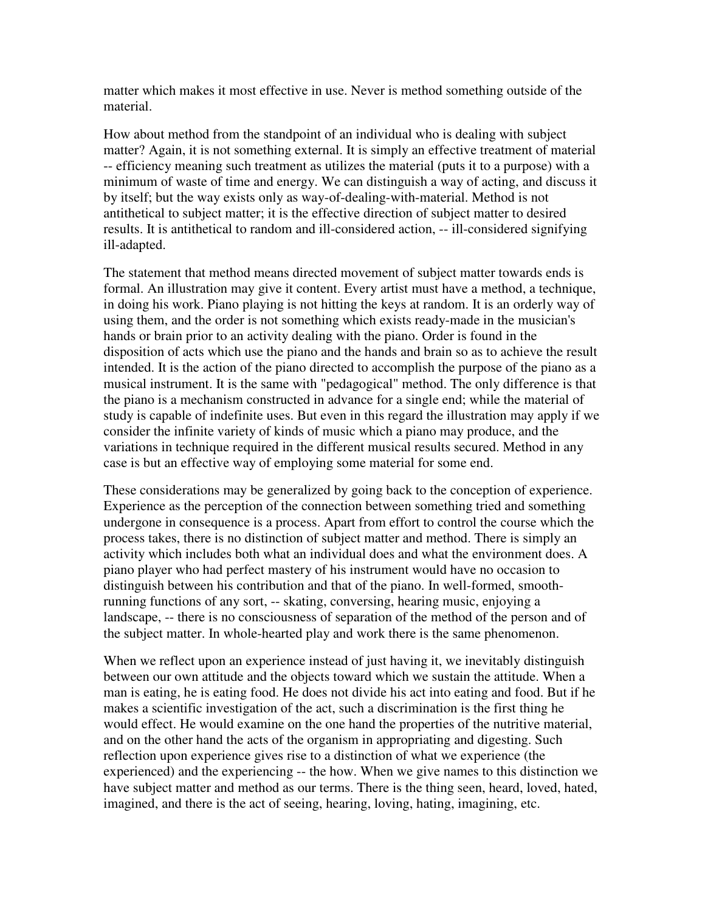matter which makes it most effective in use. Never is method something outside of the material.

How about method from the standpoint of an individual who is dealing with subject matter? Again, it is not something external. It is simply an effective treatment of material -- efficiency meaning such treatment as utilizes the material (puts it to a purpose) with a minimum of waste of time and energy. We can distinguish a way of acting, and discuss it by itself; but the way exists only as way-of-dealing-with-material. Method is not antithetical to subject matter; it is the effective direction of subject matter to desired results. It is antithetical to random and ill-considered action, -- ill-considered signifying ill-adapted.

The statement that method means directed movement of subject matter towards ends is formal. An illustration may give it content. Every artist must have a method, a technique, in doing his work. Piano playing is not hitting the keys at random. It is an orderly way of using them, and the order is not something which exists ready-made in the musician's hands or brain prior to an activity dealing with the piano. Order is found in the disposition of acts which use the piano and the hands and brain so as to achieve the result intended. It is the action of the piano directed to accomplish the purpose of the piano as a musical instrument. It is the same with "pedagogical" method. The only difference is that the piano is a mechanism constructed in advance for a single end; while the material of study is capable of indefinite uses. But even in this regard the illustration may apply if we consider the infinite variety of kinds of music which a piano may produce, and the variations in technique required in the different musical results secured. Method in any case is but an effective way of employing some material for some end.

These considerations may be generalized by going back to the conception of experience. Experience as the perception of the connection between something tried and something undergone in consequence is a process. Apart from effort to control the course which the process takes, there is no distinction of subject matter and method. There is simply an activity which includes both what an individual does and what the environment does. A piano player who had perfect mastery of his instrument would have no occasion to distinguish between his contribution and that of the piano. In well-formed, smoothrunning functions of any sort, -- skating, conversing, hearing music, enjoying a landscape, -- there is no consciousness of separation of the method of the person and of the subject matter. In whole-hearted play and work there is the same phenomenon.

When we reflect upon an experience instead of just having it, we inevitably distinguish between our own attitude and the objects toward which we sustain the attitude. When a man is eating, he is eating food. He does not divide his act into eating and food. But if he makes a scientific investigation of the act, such a discrimination is the first thing he would effect. He would examine on the one hand the properties of the nutritive material, and on the other hand the acts of the organism in appropriating and digesting. Such reflection upon experience gives rise to a distinction of what we experience (the experienced) and the experiencing -- the how. When we give names to this distinction we have subject matter and method as our terms. There is the thing seen, heard, loved, hated, imagined, and there is the act of seeing, hearing, loving, hating, imagining, etc.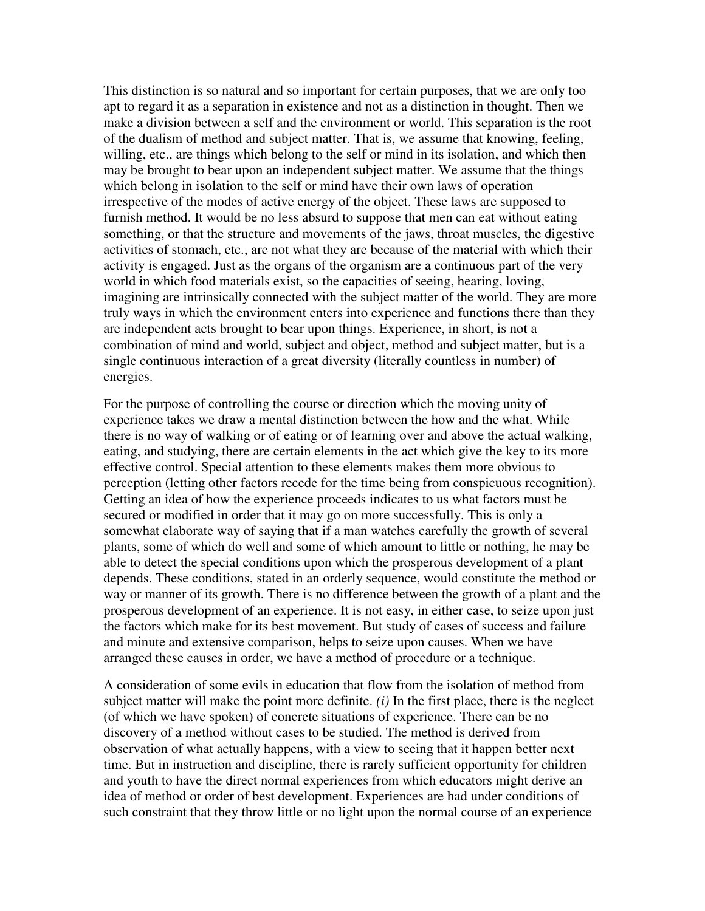This distinction is so natural and so important for certain purposes, that we are only too apt to regard it as a separation in existence and not as a distinction in thought. Then we make a division between a self and the environment or world. This separation is the root of the dualism of method and subject matter. That is, we assume that knowing, feeling, willing, etc., are things which belong to the self or mind in its isolation, and which then may be brought to bear upon an independent subject matter. We assume that the things which belong in isolation to the self or mind have their own laws of operation irrespective of the modes of active energy of the object. These laws are supposed to furnish method. It would be no less absurd to suppose that men can eat without eating something, or that the structure and movements of the jaws, throat muscles, the digestive activities of stomach, etc., are not what they are because of the material with which their activity is engaged. Just as the organs of the organism are a continuous part of the very world in which food materials exist, so the capacities of seeing, hearing, loving, imagining are intrinsically connected with the subject matter of the world. They are more truly ways in which the environment enters into experience and functions there than they are independent acts brought to bear upon things. Experience, in short, is not a combination of mind and world, subject and object, method and subject matter, but is a single continuous interaction of a great diversity (literally countless in number) of energies.

For the purpose of controlling the course or direction which the moving unity of experience takes we draw a mental distinction between the how and the what. While there is no way of walking or of eating or of learning over and above the actual walking, eating, and studying, there are certain elements in the act which give the key to its more effective control. Special attention to these elements makes them more obvious to perception (letting other factors recede for the time being from conspicuous recognition). Getting an idea of how the experience proceeds indicates to us what factors must be secured or modified in order that it may go on more successfully. This is only a somewhat elaborate way of saying that if a man watches carefully the growth of several plants, some of which do well and some of which amount to little or nothing, he may be able to detect the special conditions upon which the prosperous development of a plant depends. These conditions, stated in an orderly sequence, would constitute the method or way or manner of its growth. There is no difference between the growth of a plant and the prosperous development of an experience. It is not easy, in either case, to seize upon just the factors which make for its best movement. But study of cases of success and failure and minute and extensive comparison, helps to seize upon causes. When we have arranged these causes in order, we have a method of procedure or a technique.

A consideration of some evils in education that flow from the isolation of method from subject matter will make the point more definite.  $(i)$  In the first place, there is the neglect (of which we have spoken) of concrete situations of experience. There can be no discovery of a method without cases to be studied. The method is derived from observation of what actually happens, with a view to seeing that it happen better next time. But in instruction and discipline, there is rarely sufficient opportunity for children and youth to have the direct normal experiences from which educators might derive an idea of method or order of best development. Experiences are had under conditions of such constraint that they throw little or no light upon the normal course of an experience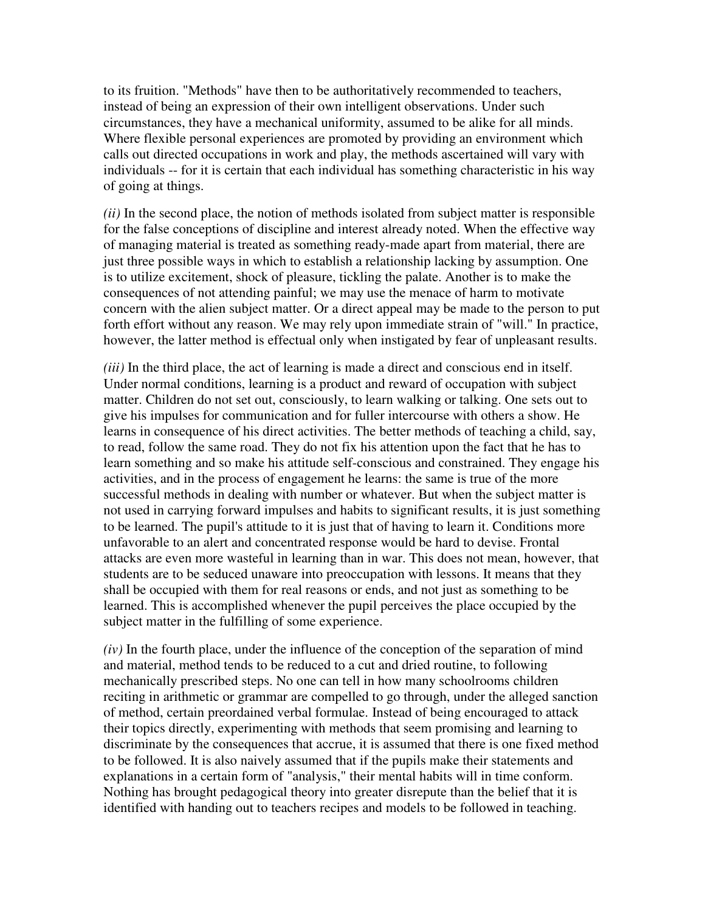to its fruition. "Methods" have then to be authoritatively recommended to teachers, instead of being an expression of their own intelligent observations. Under such circumstances, they have a mechanical uniformity, assumed to be alike for all minds. Where flexible personal experiences are promoted by providing an environment which calls out directed occupations in work and play, the methods ascertained will vary with individuals -- for it is certain that each individual has something characteristic in his way of going at things.

*(ii)* In the second place, the notion of methods isolated from subject matter is responsible for the false conceptions of discipline and interest already noted. When the effective way of managing material is treated as something ready-made apart from material, there are just three possible ways in which to establish a relationship lacking by assumption. One is to utilize excitement, shock of pleasure, tickling the palate. Another is to make the consequences of not attending painful; we may use the menace of harm to motivate concern with the alien subject matter. Or a direct appeal may be made to the person to put forth effort without any reason. We may rely upon immediate strain of "will." In practice, however, the latter method is effectual only when instigated by fear of unpleasant results.

*(iii)* In the third place, the act of learning is made a direct and conscious end in itself. Under normal conditions, learning is a product and reward of occupation with subject matter. Children do not set out, consciously, to learn walking or talking. One sets out to give his impulses for communication and for fuller intercourse with others a show. He learns in consequence of his direct activities. The better methods of teaching a child, say, to read, follow the same road. They do not fix his attention upon the fact that he has to learn something and so make his attitude self-conscious and constrained. They engage his activities, and in the process of engagement he learns: the same is true of the more successful methods in dealing with number or whatever. But when the subject matter is not used in carrying forward impulses and habits to significant results, it is just something to be learned. The pupil's attitude to it is just that of having to learn it. Conditions more unfavorable to an alert and concentrated response would be hard to devise. Frontal attacks are even more wasteful in learning than in war. This does not mean, however, that students are to be seduced unaware into preoccupation with lessons. It means that they shall be occupied with them for real reasons or ends, and not just as something to be learned. This is accomplished whenever the pupil perceives the place occupied by the subject matter in the fulfilling of some experience.

*(iv)* In the fourth place, under the influence of the conception of the separation of mind and material, method tends to be reduced to a cut and dried routine, to following mechanically prescribed steps. No one can tell in how many schoolrooms children reciting in arithmetic or grammar are compelled to go through, under the alleged sanction of method, certain preordained verbal formulae. Instead of being encouraged to attack their topics directly, experimenting with methods that seem promising and learning to discriminate by the consequences that accrue, it is assumed that there is one fixed method to be followed. It is also naively assumed that if the pupils make their statements and explanations in a certain form of "analysis," their mental habits will in time conform. Nothing has brought pedagogical theory into greater disrepute than the belief that it is identified with handing out to teachers recipes and models to be followed in teaching.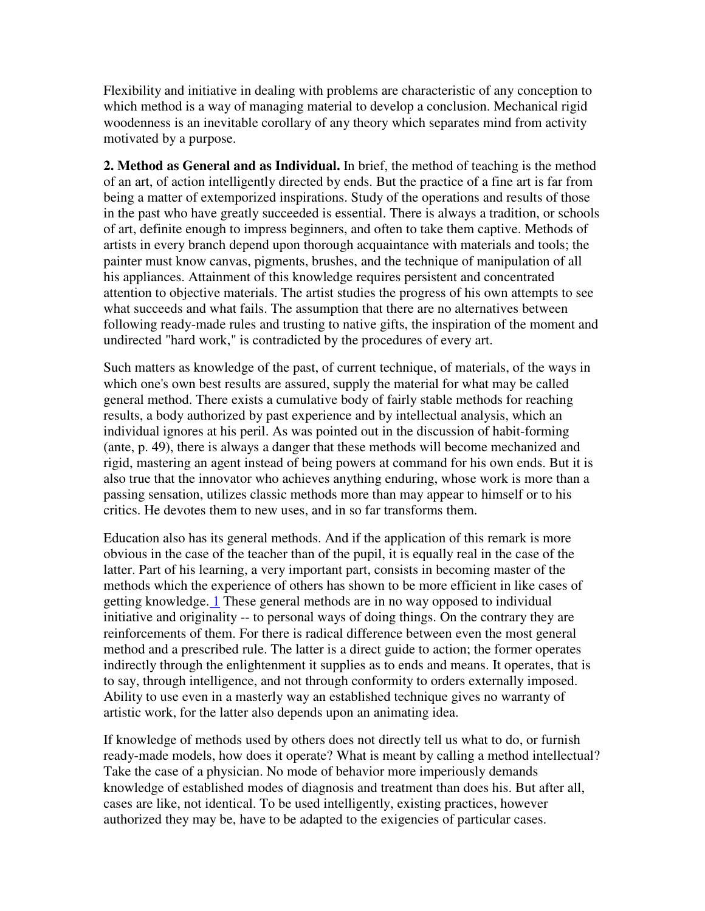Flexibility and initiative in dealing with problems are characteristic of any conception to which method is a way of managing material to develop a conclusion. Mechanical rigid woodenness is an inevitable corollary of any theory which separates mind from activity motivated by a purpose.

**2. Method as General and as Individual.** In brief, the method of teaching is the method of an art, of action intelligently directed by ends. But the practice of a fine art is far from being a matter of extemporized inspirations. Study of the operations and results of those in the past who have greatly succeeded is essential. There is always a tradition, or schools of art, definite enough to impress beginners, and often to take them captive. Methods of artists in every branch depend upon thorough acquaintance with materials and tools; the painter must know canvas, pigments, brushes, and the technique of manipulation of all his appliances. Attainment of this knowledge requires persistent and concentrated attention to objective materials. The artist studies the progress of his own attempts to see what succeeds and what fails. The assumption that there are no alternatives between following ready-made rules and trusting to native gifts, the inspiration of the moment and undirected "hard work," is contradicted by the procedures of every art.

Such matters as knowledge of the past, of current technique, of materials, of the ways in which one's own best results are assured, supply the material for what may be called general method. There exists a cumulative body of fairly stable methods for reaching results, a body authorized by past experience and by intellectual analysis, which an individual ignores at his peril. As was pointed out in the discussion of habit-forming (ante, p. 49), there is always a danger that these methods will become mechanized and rigid, mastering an agent instead of being powers at command for his own ends. But it is also true that the innovator who achieves anything enduring, whose work is more than a passing sensation, utilizes classic methods more than may appear to himself or to his critics. He devotes them to new uses, and in so far transforms them.

Education also has its general methods. And if the application of this remark is more obvious in the case of the teacher than of the pupil, it is equally real in the case of the latter. Part of his learning, a very important part, consists in becoming master of the methods which the experience of others has shown to be more efficient in like cases of getting knowledge. 1 These general methods are in no way opposed to individual initiative and originality -- to personal ways of doing things. On the contrary they are reinforcements of them. For there is radical difference between even the most general method and a prescribed rule. The latter is a direct guide to action; the former operates indirectly through the enlightenment it supplies as to ends and means. It operates, that is to say, through intelligence, and not through conformity to orders externally imposed. Ability to use even in a masterly way an established technique gives no warranty of artistic work, for the latter also depends upon an animating idea.

If knowledge of methods used by others does not directly tell us what to do, or furnish ready-made models, how does it operate? What is meant by calling a method intellectual? Take the case of a physician. No mode of behavior more imperiously demands knowledge of established modes of diagnosis and treatment than does his. But after all, cases are like, not identical. To be used intelligently, existing practices, however authorized they may be, have to be adapted to the exigencies of particular cases.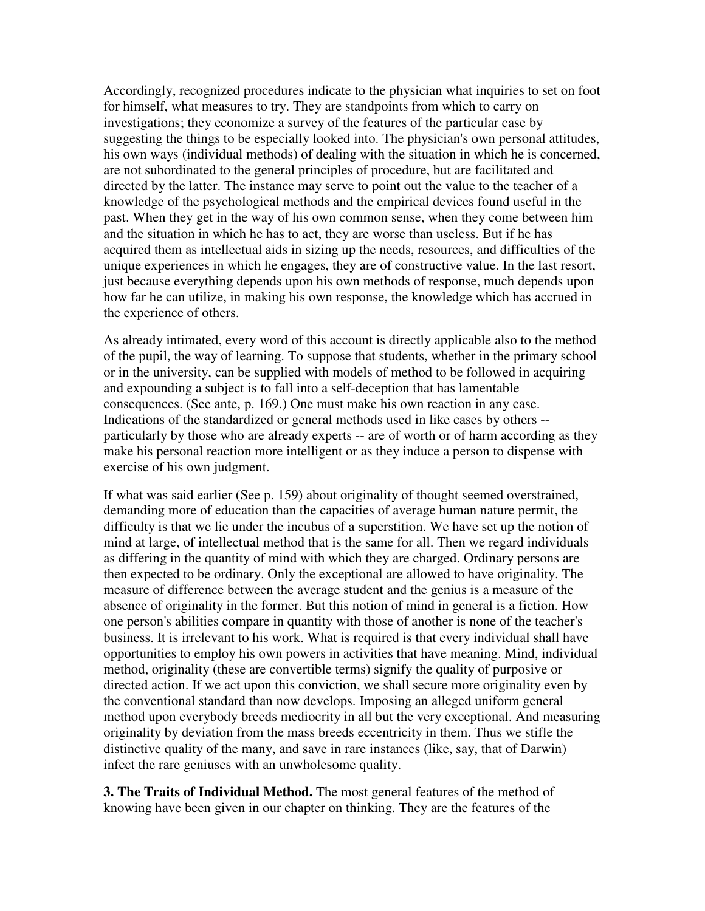Accordingly, recognized procedures indicate to the physician what inquiries to set on foot for himself, what measures to try. They are standpoints from which to carry on investigations; they economize a survey of the features of the particular case by suggesting the things to be especially looked into. The physician's own personal attitudes, his own ways (individual methods) of dealing with the situation in which he is concerned, are not subordinated to the general principles of procedure, but are facilitated and directed by the latter. The instance may serve to point out the value to the teacher of a knowledge of the psychological methods and the empirical devices found useful in the past. When they get in the way of his own common sense, when they come between him and the situation in which he has to act, they are worse than useless. But if he has acquired them as intellectual aids in sizing up the needs, resources, and difficulties of the unique experiences in which he engages, they are of constructive value. In the last resort, just because everything depends upon his own methods of response, much depends upon how far he can utilize, in making his own response, the knowledge which has accrued in the experience of others.

As already intimated, every word of this account is directly applicable also to the method of the pupil, the way of learning. To suppose that students, whether in the primary school or in the university, can be supplied with models of method to be followed in acquiring and expounding a subject is to fall into a self-deception that has lamentable consequences. (See ante, p. 169.) One must make his own reaction in any case. Indications of the standardized or general methods used in like cases by others - particularly by those who are already experts -- are of worth or of harm according as they make his personal reaction more intelligent or as they induce a person to dispense with exercise of his own judgment.

If what was said earlier (See p. 159) about originality of thought seemed overstrained, demanding more of education than the capacities of average human nature permit, the difficulty is that we lie under the incubus of a superstition. We have set up the notion of mind at large, of intellectual method that is the same for all. Then we regard individuals as differing in the quantity of mind with which they are charged. Ordinary persons are then expected to be ordinary. Only the exceptional are allowed to have originality. The measure of difference between the average student and the genius is a measure of the absence of originality in the former. But this notion of mind in general is a fiction. How one person's abilities compare in quantity with those of another is none of the teacher's business. It is irrelevant to his work. What is required is that every individual shall have opportunities to employ his own powers in activities that have meaning. Mind, individual method, originality (these are convertible terms) signify the quality of purposive or directed action. If we act upon this conviction, we shall secure more originality even by the conventional standard than now develops. Imposing an alleged uniform general method upon everybody breeds mediocrity in all but the very exceptional. And measuring originality by deviation from the mass breeds eccentricity in them. Thus we stifle the distinctive quality of the many, and save in rare instances (like, say, that of Darwin) infect the rare geniuses with an unwholesome quality.

**3. The Traits of Individual Method.** The most general features of the method of knowing have been given in our chapter on thinking. They are the features of the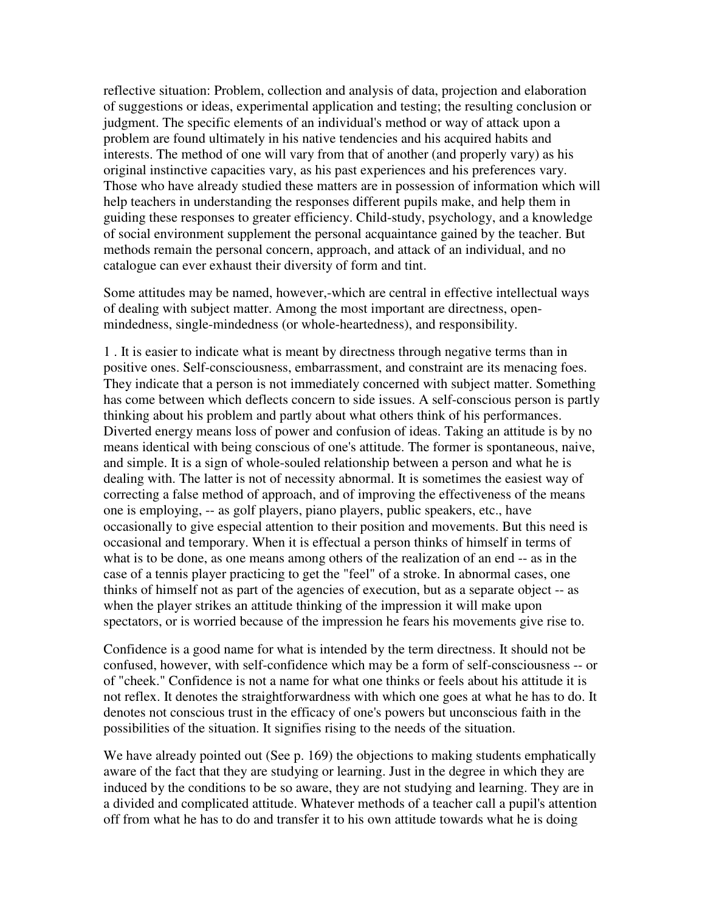reflective situation: Problem, collection and analysis of data, projection and elaboration of suggestions or ideas, experimental application and testing; the resulting conclusion or judgment. The specific elements of an individual's method or way of attack upon a problem are found ultimately in his native tendencies and his acquired habits and interests. The method of one will vary from that of another (and properly vary) as his original instinctive capacities vary, as his past experiences and his preferences vary. Those who have already studied these matters are in possession of information which will help teachers in understanding the responses different pupils make, and help them in guiding these responses to greater efficiency. Child-study, psychology, and a knowledge of social environment supplement the personal acquaintance gained by the teacher. But methods remain the personal concern, approach, and attack of an individual, and no catalogue can ever exhaust their diversity of form and tint.

Some attitudes may be named, however,-which are central in effective intellectual ways of dealing with subject matter. Among the most important are directness, openmindedness, single-mindedness (or whole-heartedness), and responsibility.

1 . It is easier to indicate what is meant by directness through negative terms than in positive ones. Self-consciousness, embarrassment, and constraint are its menacing foes. They indicate that a person is not immediately concerned with subject matter. Something has come between which deflects concern to side issues. A self-conscious person is partly thinking about his problem and partly about what others think of his performances. Diverted energy means loss of power and confusion of ideas. Taking an attitude is by no means identical with being conscious of one's attitude. The former is spontaneous, naive, and simple. It is a sign of whole-souled relationship between a person and what he is dealing with. The latter is not of necessity abnormal. It is sometimes the easiest way of correcting a false method of approach, and of improving the effectiveness of the means one is employing, -- as golf players, piano players, public speakers, etc., have occasionally to give especial attention to their position and movements. But this need is occasional and temporary. When it is effectual a person thinks of himself in terms of what is to be done, as one means among others of the realization of an end -- as in the case of a tennis player practicing to get the "feel" of a stroke. In abnormal cases, one thinks of himself not as part of the agencies of execution, but as a separate object -- as when the player strikes an attitude thinking of the impression it will make upon spectators, or is worried because of the impression he fears his movements give rise to.

Confidence is a good name for what is intended by the term directness. It should not be confused, however, with self-confidence which may be a form of self-consciousness -- or of "cheek." Confidence is not a name for what one thinks or feels about his attitude it is not reflex. It denotes the straightforwardness with which one goes at what he has to do. It denotes not conscious trust in the efficacy of one's powers but unconscious faith in the possibilities of the situation. It signifies rising to the needs of the situation.

We have already pointed out (See p. 169) the objections to making students emphatically aware of the fact that they are studying or learning. Just in the degree in which they are induced by the conditions to be so aware, they are not studying and learning. They are in a divided and complicated attitude. Whatever methods of a teacher call a pupil's attention off from what he has to do and transfer it to his own attitude towards what he is doing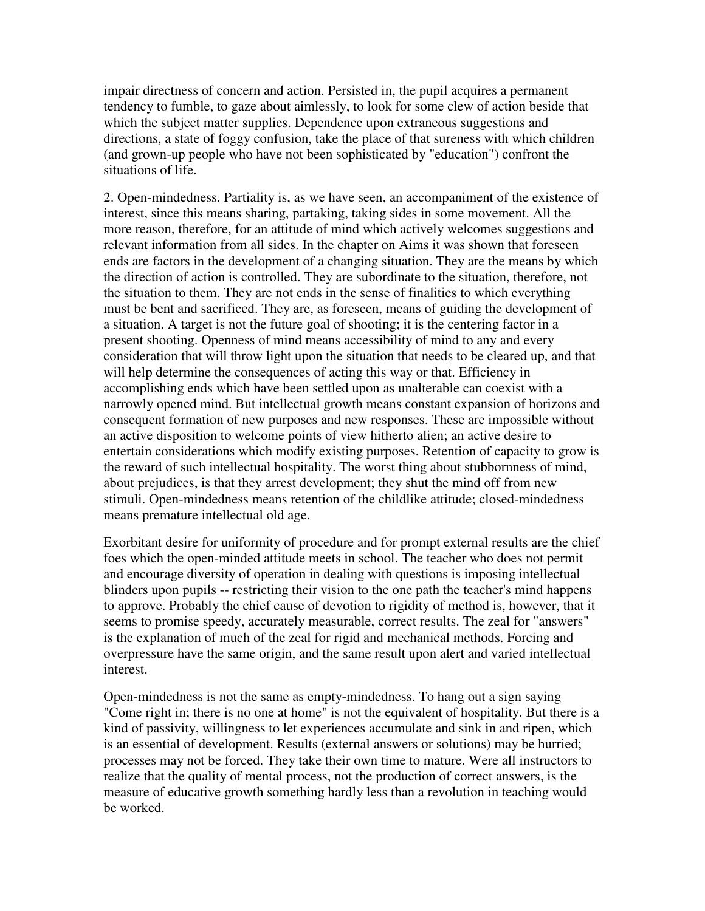impair directness of concern and action. Persisted in, the pupil acquires a permanent tendency to fumble, to gaze about aimlessly, to look for some clew of action beside that which the subject matter supplies. Dependence upon extraneous suggestions and directions, a state of foggy confusion, take the place of that sureness with which children (and grown-up people who have not been sophisticated by "education") confront the situations of life.

2. Open-mindedness. Partiality is, as we have seen, an accompaniment of the existence of interest, since this means sharing, partaking, taking sides in some movement. All the more reason, therefore, for an attitude of mind which actively welcomes suggestions and relevant information from all sides. In the chapter on Aims it was shown that foreseen ends are factors in the development of a changing situation. They are the means by which the direction of action is controlled. They are subordinate to the situation, therefore, not the situation to them. They are not ends in the sense of finalities to which everything must be bent and sacrificed. They are, as foreseen, means of guiding the development of a situation. A target is not the future goal of shooting; it is the centering factor in a present shooting. Openness of mind means accessibility of mind to any and every consideration that will throw light upon the situation that needs to be cleared up, and that will help determine the consequences of acting this way or that. Efficiency in accomplishing ends which have been settled upon as unalterable can coexist with a narrowly opened mind. But intellectual growth means constant expansion of horizons and consequent formation of new purposes and new responses. These are impossible without an active disposition to welcome points of view hitherto alien; an active desire to entertain considerations which modify existing purposes. Retention of capacity to grow is the reward of such intellectual hospitality. The worst thing about stubbornness of mind, about prejudices, is that they arrest development; they shut the mind off from new stimuli. Open-mindedness means retention of the childlike attitude; closed-mindedness means premature intellectual old age.

Exorbitant desire for uniformity of procedure and for prompt external results are the chief foes which the open-minded attitude meets in school. The teacher who does not permit and encourage diversity of operation in dealing with questions is imposing intellectual blinders upon pupils -- restricting their vision to the one path the teacher's mind happens to approve. Probably the chief cause of devotion to rigidity of method is, however, that it seems to promise speedy, accurately measurable, correct results. The zeal for "answers" is the explanation of much of the zeal for rigid and mechanical methods. Forcing and overpressure have the same origin, and the same result upon alert and varied intellectual interest.

Open-mindedness is not the same as empty-mindedness. To hang out a sign saying "Come right in; there is no one at home" is not the equivalent of hospitality. But there is a kind of passivity, willingness to let experiences accumulate and sink in and ripen, which is an essential of development. Results (external answers or solutions) may be hurried; processes may not be forced. They take their own time to mature. Were all instructors to realize that the quality of mental process, not the production of correct answers, is the measure of educative growth something hardly less than a revolution in teaching would be worked.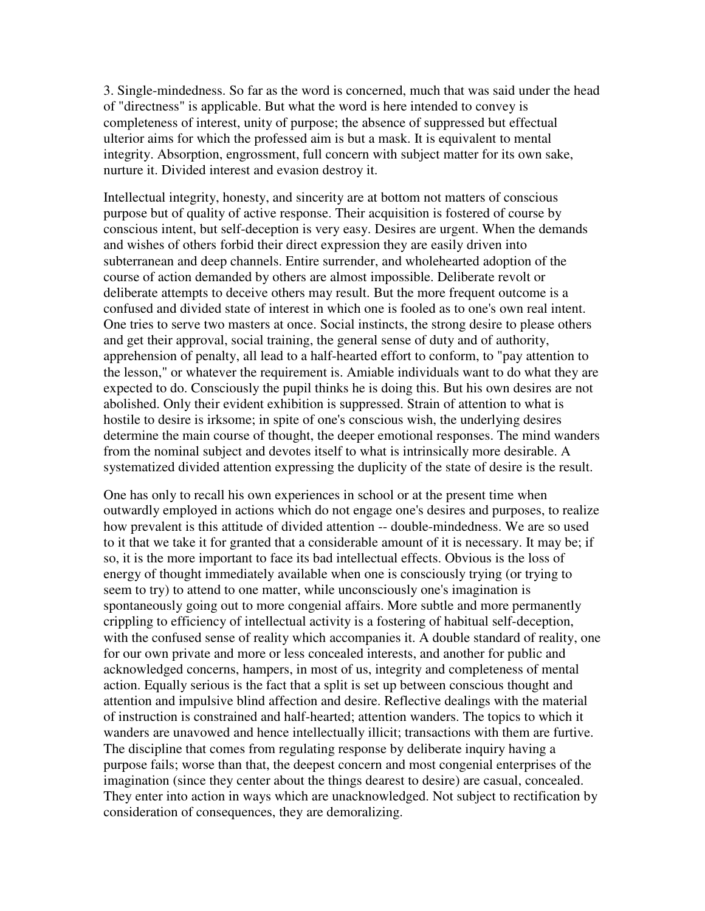3. Single-mindedness. So far as the word is concerned, much that was said under the head of "directness" is applicable. But what the word is here intended to convey is completeness of interest, unity of purpose; the absence of suppressed but effectual ulterior aims for which the professed aim is but a mask. It is equivalent to mental integrity. Absorption, engrossment, full concern with subject matter for its own sake, nurture it. Divided interest and evasion destroy it.

Intellectual integrity, honesty, and sincerity are at bottom not matters of conscious purpose but of quality of active response. Their acquisition is fostered of course by conscious intent, but self-deception is very easy. Desires are urgent. When the demands and wishes of others forbid their direct expression they are easily driven into subterranean and deep channels. Entire surrender, and wholehearted adoption of the course of action demanded by others are almost impossible. Deliberate revolt or deliberate attempts to deceive others may result. But the more frequent outcome is a confused and divided state of interest in which one is fooled as to one's own real intent. One tries to serve two masters at once. Social instincts, the strong desire to please others and get their approval, social training, the general sense of duty and of authority, apprehension of penalty, all lead to a half-hearted effort to conform, to "pay attention to the lesson," or whatever the requirement is. Amiable individuals want to do what they are expected to do. Consciously the pupil thinks he is doing this. But his own desires are not abolished. Only their evident exhibition is suppressed. Strain of attention to what is hostile to desire is irksome; in spite of one's conscious wish, the underlying desires determine the main course of thought, the deeper emotional responses. The mind wanders from the nominal subject and devotes itself to what is intrinsically more desirable. A systematized divided attention expressing the duplicity of the state of desire is the result.

One has only to recall his own experiences in school or at the present time when outwardly employed in actions which do not engage one's desires and purposes, to realize how prevalent is this attitude of divided attention -- double-mindedness. We are so used to it that we take it for granted that a considerable amount of it is necessary. It may be; if so, it is the more important to face its bad intellectual effects. Obvious is the loss of energy of thought immediately available when one is consciously trying (or trying to seem to try) to attend to one matter, while unconsciously one's imagination is spontaneously going out to more congenial affairs. More subtle and more permanently crippling to efficiency of intellectual activity is a fostering of habitual self-deception, with the confused sense of reality which accompanies it. A double standard of reality, one for our own private and more or less concealed interests, and another for public and acknowledged concerns, hampers, in most of us, integrity and completeness of mental action. Equally serious is the fact that a split is set up between conscious thought and attention and impulsive blind affection and desire. Reflective dealings with the material of instruction is constrained and half-hearted; attention wanders. The topics to which it wanders are unavowed and hence intellectually illicit; transactions with them are furtive. The discipline that comes from regulating response by deliberate inquiry having a purpose fails; worse than that, the deepest concern and most congenial enterprises of the imagination (since they center about the things dearest to desire) are casual, concealed. They enter into action in ways which are unacknowledged. Not subject to rectification by consideration of consequences, they are demoralizing.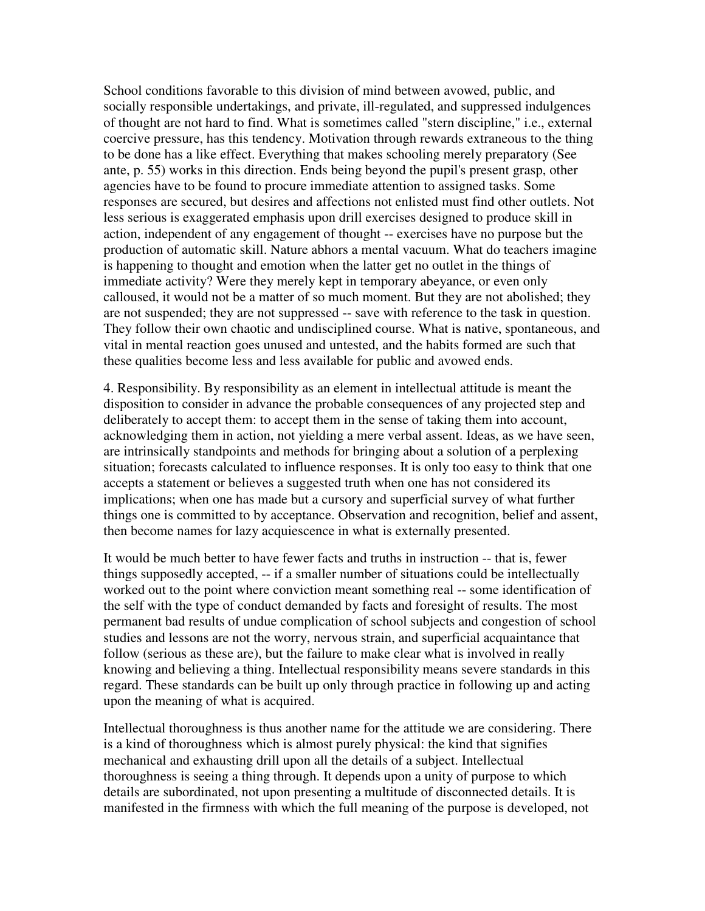School conditions favorable to this division of mind between avowed, public, and socially responsible undertakings, and private, ill-regulated, and suppressed indulgences of thought are not hard to find. What is sometimes called "stern discipline," i.e., external coercive pressure, has this tendency. Motivation through rewards extraneous to the thing to be done has a like effect. Everything that makes schooling merely preparatory (See ante, p. 55) works in this direction. Ends being beyond the pupil's present grasp, other agencies have to be found to procure immediate attention to assigned tasks. Some responses are secured, but desires and affections not enlisted must find other outlets. Not less serious is exaggerated emphasis upon drill exercises designed to produce skill in action, independent of any engagement of thought -- exercises have no purpose but the production of automatic skill. Nature abhors a mental vacuum. What do teachers imagine is happening to thought and emotion when the latter get no outlet in the things of immediate activity? Were they merely kept in temporary abeyance, or even only calloused, it would not be a matter of so much moment. But they are not abolished; they are not suspended; they are not suppressed -- save with reference to the task in question. They follow their own chaotic and undisciplined course. What is native, spontaneous, and vital in mental reaction goes unused and untested, and the habits formed are such that these qualities become less and less available for public and avowed ends.

4. Responsibility. By responsibility as an element in intellectual attitude is meant the disposition to consider in advance the probable consequences of any projected step and deliberately to accept them: to accept them in the sense of taking them into account, acknowledging them in action, not yielding a mere verbal assent. Ideas, as we have seen, are intrinsically standpoints and methods for bringing about a solution of a perplexing situation; forecasts calculated to influence responses. It is only too easy to think that one accepts a statement or believes a suggested truth when one has not considered its implications; when one has made but a cursory and superficial survey of what further things one is committed to by acceptance. Observation and recognition, belief and assent, then become names for lazy acquiescence in what is externally presented.

It would be much better to have fewer facts and truths in instruction -- that is, fewer things supposedly accepted, -- if a smaller number of situations could be intellectually worked out to the point where conviction meant something real -- some identification of the self with the type of conduct demanded by facts and foresight of results. The most permanent bad results of undue complication of school subjects and congestion of school studies and lessons are not the worry, nervous strain, and superficial acquaintance that follow (serious as these are), but the failure to make clear what is involved in really knowing and believing a thing. Intellectual responsibility means severe standards in this regard. These standards can be built up only through practice in following up and acting upon the meaning of what is acquired.

Intellectual thoroughness is thus another name for the attitude we are considering. There is a kind of thoroughness which is almost purely physical: the kind that signifies mechanical and exhausting drill upon all the details of a subject. Intellectual thoroughness is seeing a thing through. It depends upon a unity of purpose to which details are subordinated, not upon presenting a multitude of disconnected details. It is manifested in the firmness with which the full meaning of the purpose is developed, not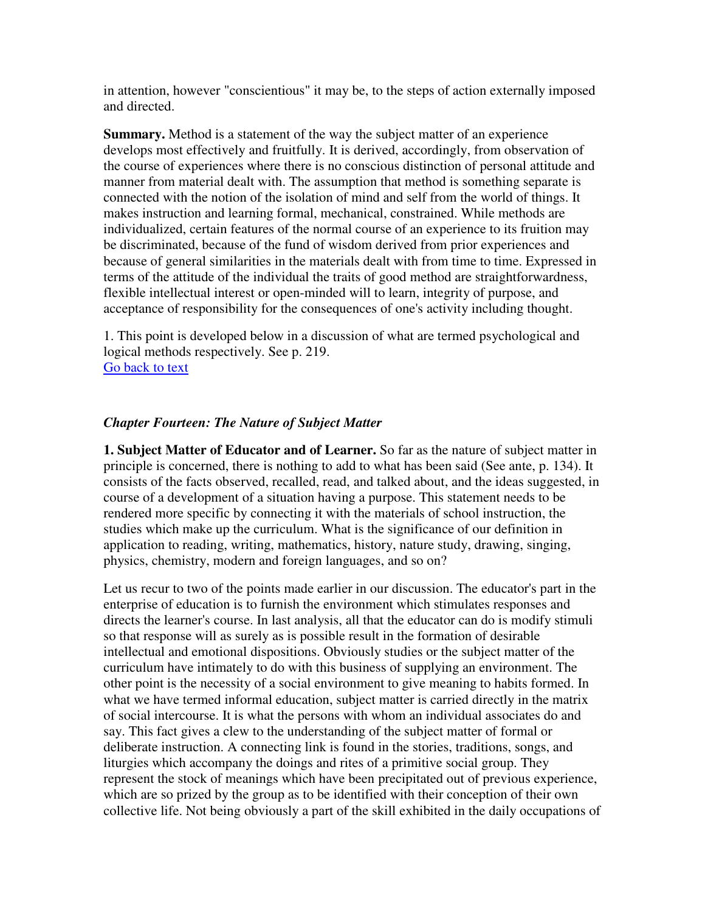in attention, however "conscientious" it may be, to the steps of action externally imposed and directed.

**Summary.** Method is a statement of the way the subject matter of an experience develops most effectively and fruitfully. It is derived, accordingly, from observation of the course of experiences where there is no conscious distinction of personal attitude and manner from material dealt with. The assumption that method is something separate is connected with the notion of the isolation of mind and self from the world of things. It makes instruction and learning formal, mechanical, constrained. While methods are individualized, certain features of the normal course of an experience to its fruition may be discriminated, because of the fund of wisdom derived from prior experiences and because of general similarities in the materials dealt with from time to time. Expressed in terms of the attitude of the individual the traits of good method are straightforwardness, flexible intellectual interest or open-minded will to learn, integrity of purpose, and acceptance of responsibility for the consequences of one's activity including thought.

1. This point is developed below in a discussion of what are termed psychological and logical methods respectively. See p. 219. Go back to text

## *Chapter Fourteen: The Nature of Subject Matter*

**1. Subject Matter of Educator and of Learner.** So far as the nature of subject matter in principle is concerned, there is nothing to add to what has been said (See ante, p. 134). It consists of the facts observed, recalled, read, and talked about, and the ideas suggested, in course of a development of a situation having a purpose. This statement needs to be rendered more specific by connecting it with the materials of school instruction, the studies which make up the curriculum. What is the significance of our definition in application to reading, writing, mathematics, history, nature study, drawing, singing, physics, chemistry, modern and foreign languages, and so on?

Let us recur to two of the points made earlier in our discussion. The educator's part in the enterprise of education is to furnish the environment which stimulates responses and directs the learner's course. In last analysis, all that the educator can do is modify stimuli so that response will as surely as is possible result in the formation of desirable intellectual and emotional dispositions. Obviously studies or the subject matter of the curriculum have intimately to do with this business of supplying an environment. The other point is the necessity of a social environment to give meaning to habits formed. In what we have termed informal education, subject matter is carried directly in the matrix of social intercourse. It is what the persons with whom an individual associates do and say. This fact gives a clew to the understanding of the subject matter of formal or deliberate instruction. A connecting link is found in the stories, traditions, songs, and liturgies which accompany the doings and rites of a primitive social group. They represent the stock of meanings which have been precipitated out of previous experience, which are so prized by the group as to be identified with their conception of their own collective life. Not being obviously a part of the skill exhibited in the daily occupations of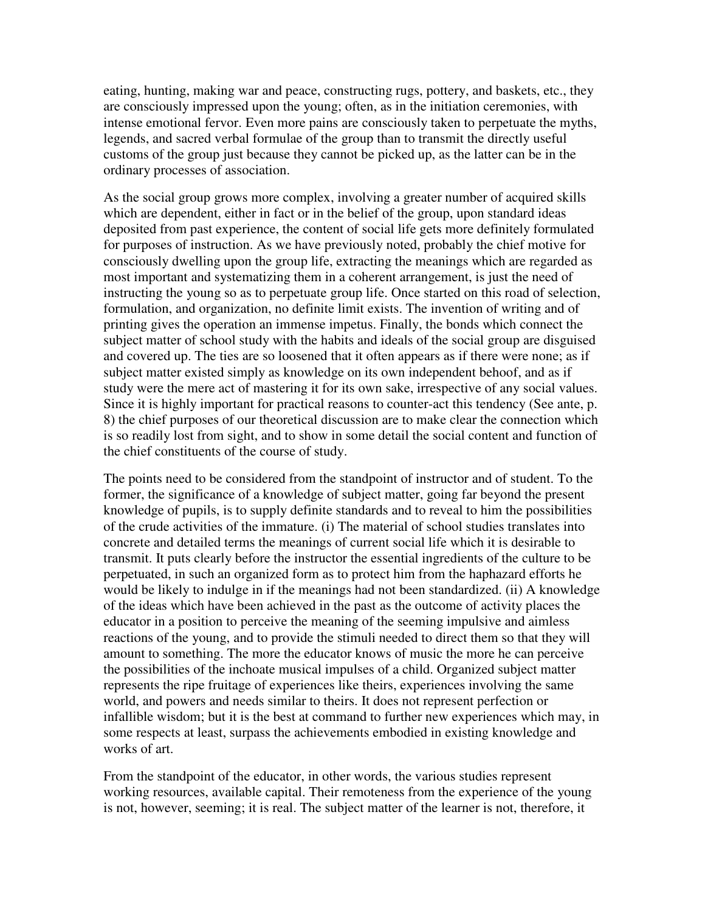eating, hunting, making war and peace, constructing rugs, pottery, and baskets, etc., they are consciously impressed upon the young; often, as in the initiation ceremonies, with intense emotional fervor. Even more pains are consciously taken to perpetuate the myths, legends, and sacred verbal formulae of the group than to transmit the directly useful customs of the group just because they cannot be picked up, as the latter can be in the ordinary processes of association.

As the social group grows more complex, involving a greater number of acquired skills which are dependent, either in fact or in the belief of the group, upon standard ideas deposited from past experience, the content of social life gets more definitely formulated for purposes of instruction. As we have previously noted, probably the chief motive for consciously dwelling upon the group life, extracting the meanings which are regarded as most important and systematizing them in a coherent arrangement, is just the need of instructing the young so as to perpetuate group life. Once started on this road of selection, formulation, and organization, no definite limit exists. The invention of writing and of printing gives the operation an immense impetus. Finally, the bonds which connect the subject matter of school study with the habits and ideals of the social group are disguised and covered up. The ties are so loosened that it often appears as if there were none; as if subject matter existed simply as knowledge on its own independent behoof, and as if study were the mere act of mastering it for its own sake, irrespective of any social values. Since it is highly important for practical reasons to counter-act this tendency (See ante, p. 8) the chief purposes of our theoretical discussion are to make clear the connection which is so readily lost from sight, and to show in some detail the social content and function of the chief constituents of the course of study.

The points need to be considered from the standpoint of instructor and of student. To the former, the significance of a knowledge of subject matter, going far beyond the present knowledge of pupils, is to supply definite standards and to reveal to him the possibilities of the crude activities of the immature. (i) The material of school studies translates into concrete and detailed terms the meanings of current social life which it is desirable to transmit. It puts clearly before the instructor the essential ingredients of the culture to be perpetuated, in such an organized form as to protect him from the haphazard efforts he would be likely to indulge in if the meanings had not been standardized. (ii) A knowledge of the ideas which have been achieved in the past as the outcome of activity places the educator in a position to perceive the meaning of the seeming impulsive and aimless reactions of the young, and to provide the stimuli needed to direct them so that they will amount to something. The more the educator knows of music the more he can perceive the possibilities of the inchoate musical impulses of a child. Organized subject matter represents the ripe fruitage of experiences like theirs, experiences involving the same world, and powers and needs similar to theirs. It does not represent perfection or infallible wisdom; but it is the best at command to further new experiences which may, in some respects at least, surpass the achievements embodied in existing knowledge and works of art.

From the standpoint of the educator, in other words, the various studies represent working resources, available capital. Their remoteness from the experience of the young is not, however, seeming; it is real. The subject matter of the learner is not, therefore, it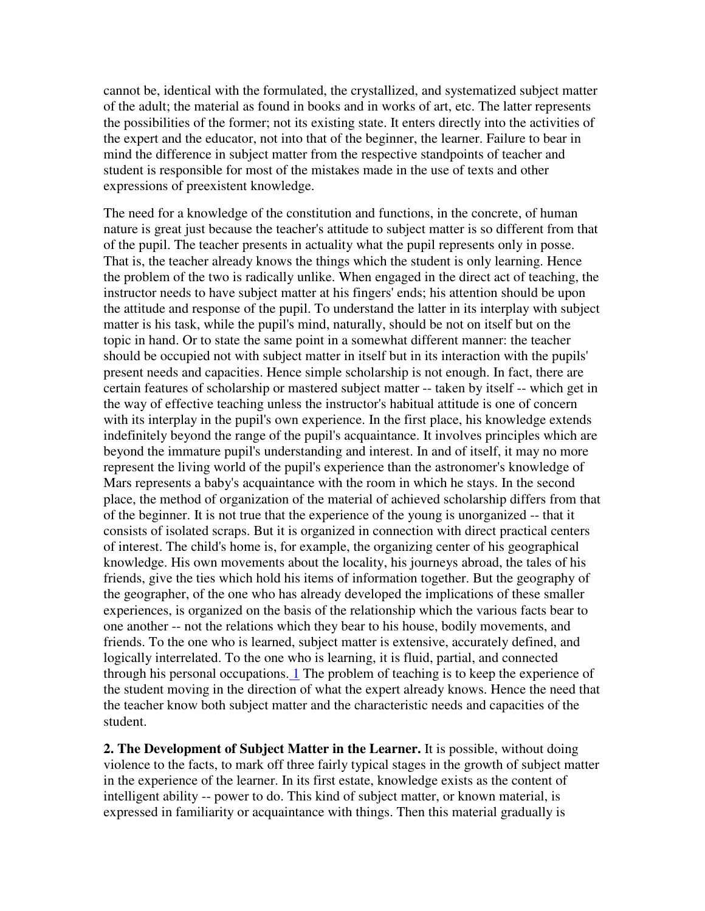cannot be, identical with the formulated, the crystallized, and systematized subject matter of the adult; the material as found in books and in works of art, etc. The latter represents the possibilities of the former; not its existing state. It enters directly into the activities of the expert and the educator, not into that of the beginner, the learner. Failure to bear in mind the difference in subject matter from the respective standpoints of teacher and student is responsible for most of the mistakes made in the use of texts and other expressions of preexistent knowledge.

The need for a knowledge of the constitution and functions, in the concrete, of human nature is great just because the teacher's attitude to subject matter is so different from that of the pupil. The teacher presents in actuality what the pupil represents only in posse. That is, the teacher already knows the things which the student is only learning. Hence the problem of the two is radically unlike. When engaged in the direct act of teaching, the instructor needs to have subject matter at his fingers' ends; his attention should be upon the attitude and response of the pupil. To understand the latter in its interplay with subject matter is his task, while the pupil's mind, naturally, should be not on itself but on the topic in hand. Or to state the same point in a somewhat different manner: the teacher should be occupied not with subject matter in itself but in its interaction with the pupils' present needs and capacities. Hence simple scholarship is not enough. In fact, there are certain features of scholarship or mastered subject matter -- taken by itself -- which get in the way of effective teaching unless the instructor's habitual attitude is one of concern with its interplay in the pupil's own experience. In the first place, his knowledge extends indefinitely beyond the range of the pupil's acquaintance. It involves principles which are beyond the immature pupil's understanding and interest. In and of itself, it may no more represent the living world of the pupil's experience than the astronomer's knowledge of Mars represents a baby's acquaintance with the room in which he stays. In the second place, the method of organization of the material of achieved scholarship differs from that of the beginner. It is not true that the experience of the young is unorganized -- that it consists of isolated scraps. But it is organized in connection with direct practical centers of interest. The child's home is, for example, the organizing center of his geographical knowledge. His own movements about the locality, his journeys abroad, the tales of his friends, give the ties which hold his items of information together. But the geography of the geographer, of the one who has already developed the implications of these smaller experiences, is organized on the basis of the relationship which the various facts bear to one another -- not the relations which they bear to his house, bodily movements, and friends. To the one who is learned, subject matter is extensive, accurately defined, and logically interrelated. To the one who is learning, it is fluid, partial, and connected through his personal occupations. 1 The problem of teaching is to keep the experience of the student moving in the direction of what the expert already knows. Hence the need that the teacher know both subject matter and the characteristic needs and capacities of the student.

**2. The Development of Subject Matter in the Learner.** It is possible, without doing violence to the facts, to mark off three fairly typical stages in the growth of subject matter in the experience of the learner. In its first estate, knowledge exists as the content of intelligent ability -- power to do. This kind of subject matter, or known material, is expressed in familiarity or acquaintance with things. Then this material gradually is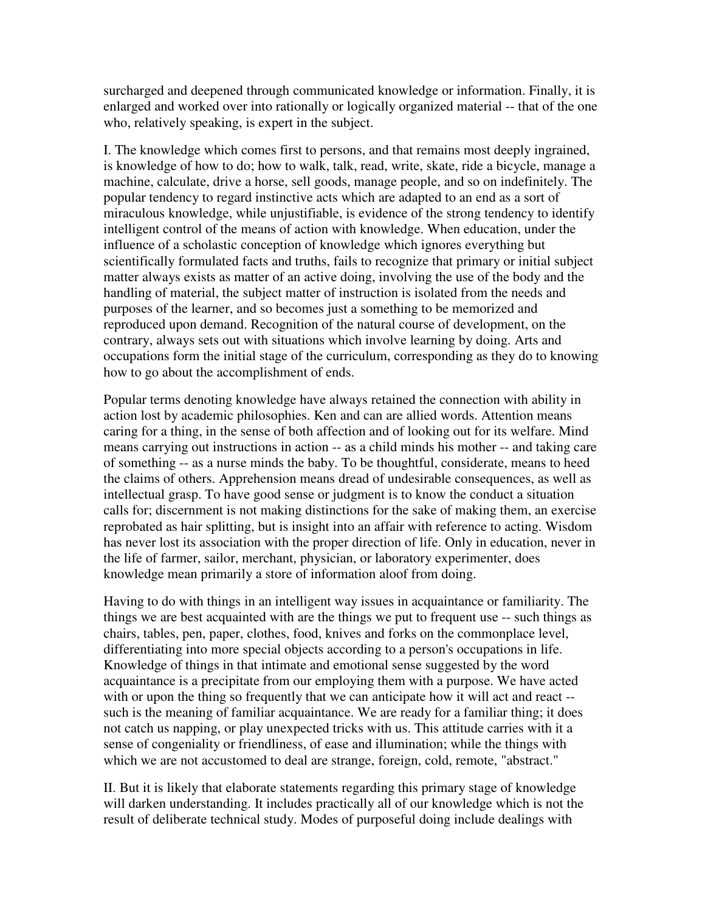surcharged and deepened through communicated knowledge or information. Finally, it is enlarged and worked over into rationally or logically organized material -- that of the one who, relatively speaking, is expert in the subject.

I. The knowledge which comes first to persons, and that remains most deeply ingrained, is knowledge of how to do; how to walk, talk, read, write, skate, ride a bicycle, manage a machine, calculate, drive a horse, sell goods, manage people, and so on indefinitely. The popular tendency to regard instinctive acts which are adapted to an end as a sort of miraculous knowledge, while unjustifiable, is evidence of the strong tendency to identify intelligent control of the means of action with knowledge. When education, under the influence of a scholastic conception of knowledge which ignores everything but scientifically formulated facts and truths, fails to recognize that primary or initial subject matter always exists as matter of an active doing, involving the use of the body and the handling of material, the subject matter of instruction is isolated from the needs and purposes of the learner, and so becomes just a something to be memorized and reproduced upon demand. Recognition of the natural course of development, on the contrary, always sets out with situations which involve learning by doing. Arts and occupations form the initial stage of the curriculum, corresponding as they do to knowing how to go about the accomplishment of ends.

Popular terms denoting knowledge have always retained the connection with ability in action lost by academic philosophies. Ken and can are allied words. Attention means caring for a thing, in the sense of both affection and of looking out for its welfare. Mind means carrying out instructions in action -- as a child minds his mother -- and taking care of something -- as a nurse minds the baby. To be thoughtful, considerate, means to heed the claims of others. Apprehension means dread of undesirable consequences, as well as intellectual grasp. To have good sense or judgment is to know the conduct a situation calls for; discernment is not making distinctions for the sake of making them, an exercise reprobated as hair splitting, but is insight into an affair with reference to acting. Wisdom has never lost its association with the proper direction of life. Only in education, never in the life of farmer, sailor, merchant, physician, or laboratory experimenter, does knowledge mean primarily a store of information aloof from doing.

Having to do with things in an intelligent way issues in acquaintance or familiarity. The things we are best acquainted with are the things we put to frequent use -- such things as chairs, tables, pen, paper, clothes, food, knives and forks on the commonplace level, differentiating into more special objects according to a person's occupations in life. Knowledge of things in that intimate and emotional sense suggested by the word acquaintance is a precipitate from our employing them with a purpose. We have acted with or upon the thing so frequently that we can anticipate how it will act and react -such is the meaning of familiar acquaintance. We are ready for a familiar thing; it does not catch us napping, or play unexpected tricks with us. This attitude carries with it a sense of congeniality or friendliness, of ease and illumination; while the things with which we are not accustomed to deal are strange, foreign, cold, remote, "abstract."

II. But it is likely that elaborate statements regarding this primary stage of knowledge will darken understanding. It includes practically all of our knowledge which is not the result of deliberate technical study. Modes of purposeful doing include dealings with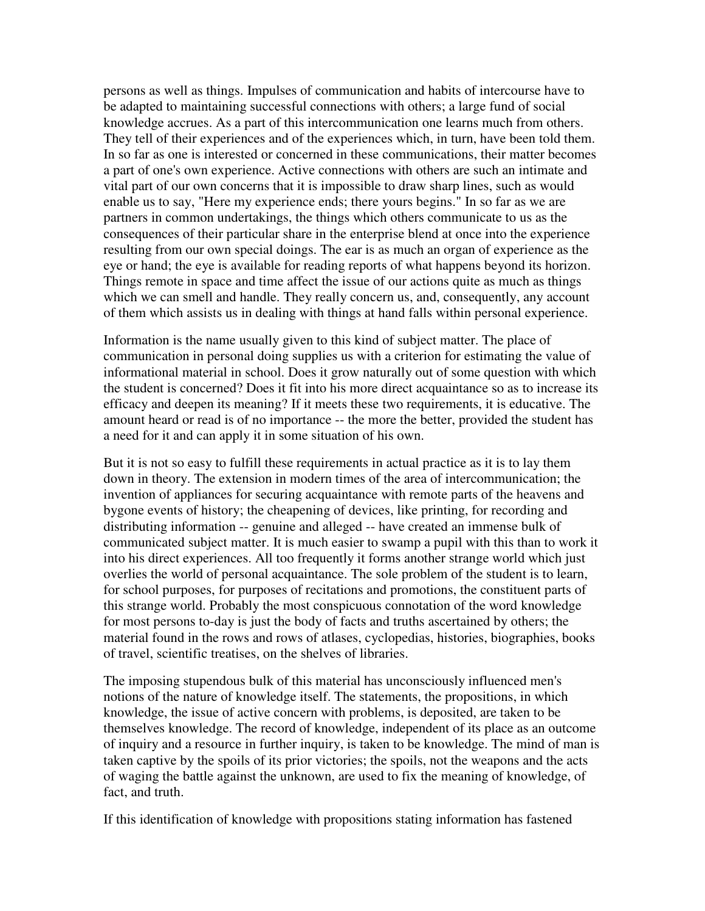persons as well as things. Impulses of communication and habits of intercourse have to be adapted to maintaining successful connections with others; a large fund of social knowledge accrues. As a part of this intercommunication one learns much from others. They tell of their experiences and of the experiences which, in turn, have been told them. In so far as one is interested or concerned in these communications, their matter becomes a part of one's own experience. Active connections with others are such an intimate and vital part of our own concerns that it is impossible to draw sharp lines, such as would enable us to say, "Here my experience ends; there yours begins." In so far as we are partners in common undertakings, the things which others communicate to us as the consequences of their particular share in the enterprise blend at once into the experience resulting from our own special doings. The ear is as much an organ of experience as the eye or hand; the eye is available for reading reports of what happens beyond its horizon. Things remote in space and time affect the issue of our actions quite as much as things which we can smell and handle. They really concern us, and, consequently, any account of them which assists us in dealing with things at hand falls within personal experience.

Information is the name usually given to this kind of subject matter. The place of communication in personal doing supplies us with a criterion for estimating the value of informational material in school. Does it grow naturally out of some question with which the student is concerned? Does it fit into his more direct acquaintance so as to increase its efficacy and deepen its meaning? If it meets these two requirements, it is educative. The amount heard or read is of no importance -- the more the better, provided the student has a need for it and can apply it in some situation of his own.

But it is not so easy to fulfill these requirements in actual practice as it is to lay them down in theory. The extension in modern times of the area of intercommunication; the invention of appliances for securing acquaintance with remote parts of the heavens and bygone events of history; the cheapening of devices, like printing, for recording and distributing information -- genuine and alleged -- have created an immense bulk of communicated subject matter. It is much easier to swamp a pupil with this than to work it into his direct experiences. All too frequently it forms another strange world which just overlies the world of personal acquaintance. The sole problem of the student is to learn, for school purposes, for purposes of recitations and promotions, the constituent parts of this strange world. Probably the most conspicuous connotation of the word knowledge for most persons to-day is just the body of facts and truths ascertained by others; the material found in the rows and rows of atlases, cyclopedias, histories, biographies, books of travel, scientific treatises, on the shelves of libraries.

The imposing stupendous bulk of this material has unconsciously influenced men's notions of the nature of knowledge itself. The statements, the propositions, in which knowledge, the issue of active concern with problems, is deposited, are taken to be themselves knowledge. The record of knowledge, independent of its place as an outcome of inquiry and a resource in further inquiry, is taken to be knowledge. The mind of man is taken captive by the spoils of its prior victories; the spoils, not the weapons and the acts of waging the battle against the unknown, are used to fix the meaning of knowledge, of fact, and truth.

If this identification of knowledge with propositions stating information has fastened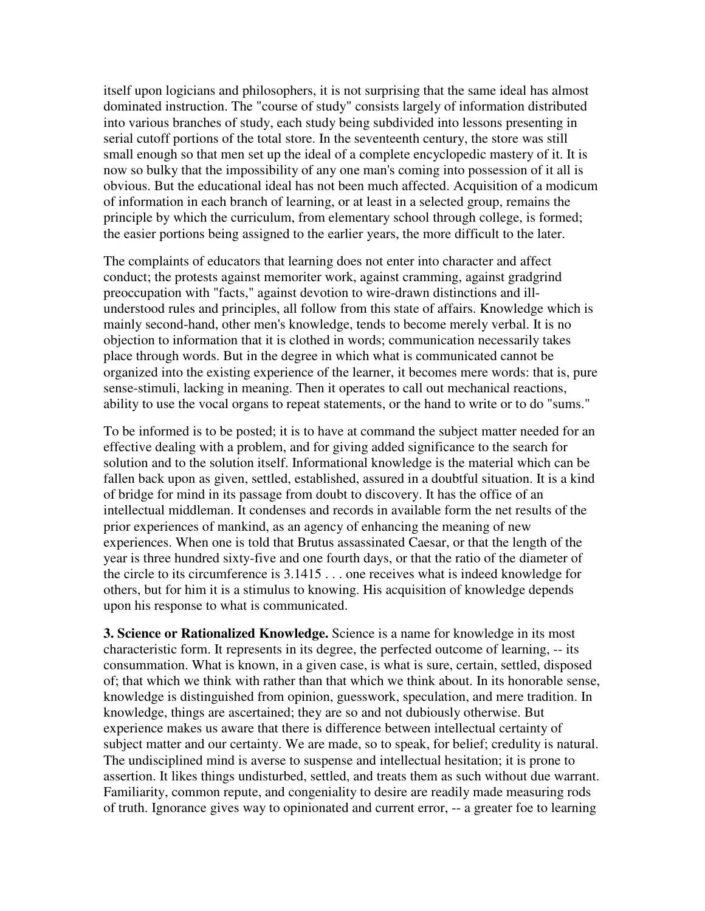itself upon logicians and philosophers, it is not surprising that the same ideal has almost dominated instruction. The "course of study" consists largely of information distributed into various branches of study, each study being subdivided into lessons presenting in serial cutoff portions of the total store. In the seventeenth century, the store was still small enough so that men set up the ideal of a complete encyclopedic mastery of it. It is now so bulky that the impossibility of any one man's coming into possession of it all is obvious. But the educational ideal has not been much affected. Acquisition of a modicum of information in each branch of learning, or at least in a selected group, remains the principle by which the curriculum, from elementary school through college, is formed; the easier portions being assigned to the earlier years, the more difficult to the later.

The complaints of educators that learning does not enter into character and affect conduct; the protests against memoriter work, against cramming, against gradgrind preoccupation with "facts," against devotion to wire-drawn distinctions and illunderstood rules and principles, all follow from this state of affairs. Knowledge which is mainly second-hand, other men's knowledge, tends to become merely verbal. It is no objection to information that it is clothed in words; communication necessarily takes place through words. But in the degree in which what is communicated cannot be organized into the existing experience of the learner, it becomes mere words: that is, pure sense-stimuli, lacking in meaning. Then it operates to call out mechanical reactions, ability to use the vocal organs to repeat statements, or the hand to write or to do "sums."

To be informed is to be posted; it is to have at command the subject matter needed for an effective dealing with a problem, and for giving added significance to the search for solution and to the solution itself. Informational knowledge is the material which can be fallen back upon as given, settled, established, assured in a doubtful situation. It is a kind of bridge for mind in its passage from doubt to discovery. It has the office of an intellectual middleman. It condenses and records in available form the net results of the prior experiences of mankind, as an agency of enhancing the meaning of new experiences. When one is told that Brutus assassinated Caesar, or that the length of the year is three hundred sixty-five and one fourth days, or that the ratio of the diameter of the circle to its circumference is 3.1415 . . . one receives what is indeed knowledge for others, but for him it is a stimulus to knowing. His acquisition of knowledge depends upon his response to what is communicated.

**3. Science or Rationalized Knowledge.** Science is a name for knowledge in its most characteristic form. It represents in its degree, the perfected outcome of learning, -- its consummation. What is known, in a given case, is what is sure, certain, settled, disposed of; that which we think with rather than that which we think about. In its honorable sense, knowledge is distinguished from opinion, guesswork, speculation, and mere tradition. In knowledge, things are ascertained; they are so and not dubiously otherwise. But experience makes us aware that there is difference between intellectual certainty of subject matter and our certainty. We are made, so to speak, for belief; credulity is natural. The undisciplined mind is averse to suspense and intellectual hesitation; it is prone to assertion. It likes things undisturbed, settled, and treats them as such without due warrant. Familiarity, common repute, and congeniality to desire are readily made measuring rods of truth. Ignorance gives way to opinionated and current error, -- a greater foe to learning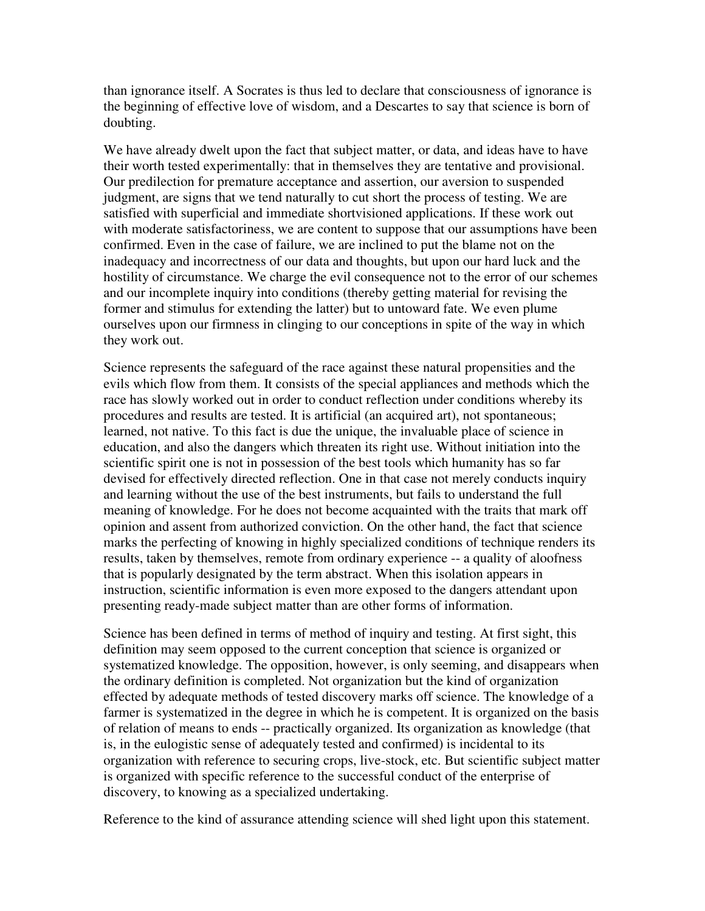than ignorance itself. A Socrates is thus led to declare that consciousness of ignorance is the beginning of effective love of wisdom, and a Descartes to say that science is born of doubting.

We have already dwelt upon the fact that subject matter, or data, and ideas have to have their worth tested experimentally: that in themselves they are tentative and provisional. Our predilection for premature acceptance and assertion, our aversion to suspended judgment, are signs that we tend naturally to cut short the process of testing. We are satisfied with superficial and immediate shortvisioned applications. If these work out with moderate satisfactoriness, we are content to suppose that our assumptions have been confirmed. Even in the case of failure, we are inclined to put the blame not on the inadequacy and incorrectness of our data and thoughts, but upon our hard luck and the hostility of circumstance. We charge the evil consequence not to the error of our schemes and our incomplete inquiry into conditions (thereby getting material for revising the former and stimulus for extending the latter) but to untoward fate. We even plume ourselves upon our firmness in clinging to our conceptions in spite of the way in which they work out.

Science represents the safeguard of the race against these natural propensities and the evils which flow from them. It consists of the special appliances and methods which the race has slowly worked out in order to conduct reflection under conditions whereby its procedures and results are tested. It is artificial (an acquired art), not spontaneous; learned, not native. To this fact is due the unique, the invaluable place of science in education, and also the dangers which threaten its right use. Without initiation into the scientific spirit one is not in possession of the best tools which humanity has so far devised for effectively directed reflection. One in that case not merely conducts inquiry and learning without the use of the best instruments, but fails to understand the full meaning of knowledge. For he does not become acquainted with the traits that mark off opinion and assent from authorized conviction. On the other hand, the fact that science marks the perfecting of knowing in highly specialized conditions of technique renders its results, taken by themselves, remote from ordinary experience -- a quality of aloofness that is popularly designated by the term abstract. When this isolation appears in instruction, scientific information is even more exposed to the dangers attendant upon presenting ready-made subject matter than are other forms of information.

Science has been defined in terms of method of inquiry and testing. At first sight, this definition may seem opposed to the current conception that science is organized or systematized knowledge. The opposition, however, is only seeming, and disappears when the ordinary definition is completed. Not organization but the kind of organization effected by adequate methods of tested discovery marks off science. The knowledge of a farmer is systematized in the degree in which he is competent. It is organized on the basis of relation of means to ends -- practically organized. Its organization as knowledge (that is, in the eulogistic sense of adequately tested and confirmed) is incidental to its organization with reference to securing crops, live-stock, etc. But scientific subject matter is organized with specific reference to the successful conduct of the enterprise of discovery, to knowing as a specialized undertaking.

Reference to the kind of assurance attending science will shed light upon this statement.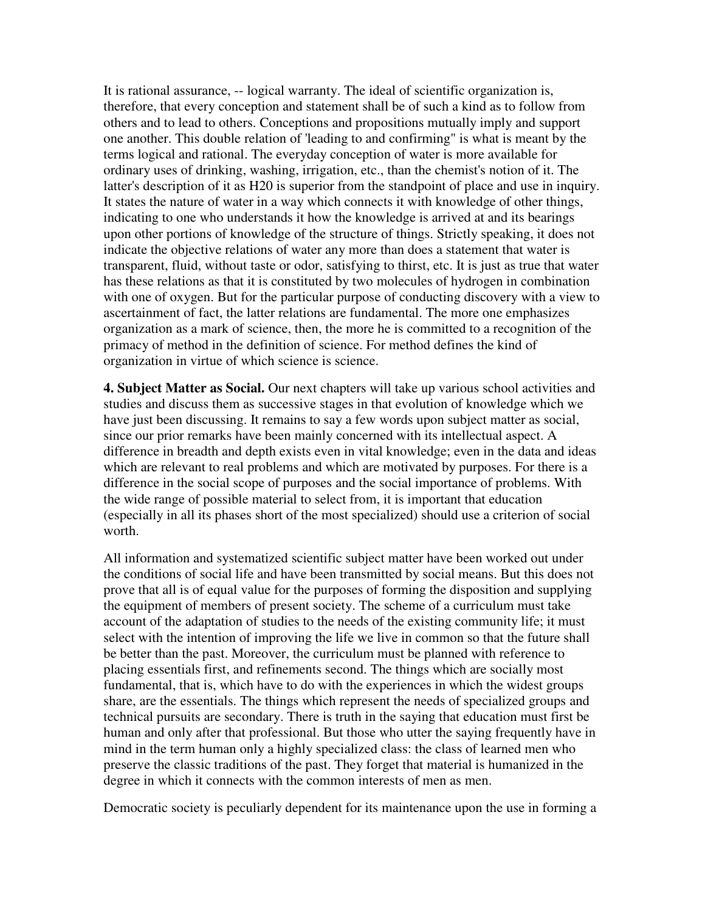It is rational assurance, -- logical warranty. The ideal of scientific organization is, therefore, that every conception and statement shall be of such a kind as to follow from others and to lead to others. Conceptions and propositions mutually imply and support one another. This double relation of 'leading to and confirming" is what is meant by the terms logical and rational. The everyday conception of water is more available for ordinary uses of drinking, washing, irrigation, etc., than the chemist's notion of it. The latter's description of it as H20 is superior from the standpoint of place and use in inquiry. It states the nature of water in a way which connects it with knowledge of other things, indicating to one who understands it how the knowledge is arrived at and its bearings upon other portions of knowledge of the structure of things. Strictly speaking, it does not indicate the objective relations of water any more than does a statement that water is transparent, fluid, without taste or odor, satisfying to thirst, etc. It is just as true that water has these relations as that it is constituted by two molecules of hydrogen in combination with one of oxygen. But for the particular purpose of conducting discovery with a view to ascertainment of fact, the latter relations are fundamental. The more one emphasizes organization as a mark of science, then, the more he is committed to a recognition of the primacy of method in the definition of science. For method defines the kind of organization in virtue of which science is science.

**4. Subject Matter as Social.** Our next chapters will take up various school activities and studies and discuss them as successive stages in that evolution of knowledge which we have just been discussing. It remains to say a few words upon subject matter as social, since our prior remarks have been mainly concerned with its intellectual aspect. A difference in breadth and depth exists even in vital knowledge; even in the data and ideas which are relevant to real problems and which are motivated by purposes. For there is a difference in the social scope of purposes and the social importance of problems. With the wide range of possible material to select from, it is important that education (especially in all its phases short of the most specialized) should use a criterion of social worth.

All information and systematized scientific subject matter have been worked out under the conditions of social life and have been transmitted by social means. But this does not prove that all is of equal value for the purposes of forming the disposition and supplying the equipment of members of present society. The scheme of a curriculum must take account of the adaptation of studies to the needs of the existing community life; it must select with the intention of improving the life we live in common so that the future shall be better than the past. Moreover, the curriculum must be planned with reference to placing essentials first, and refinements second. The things which are socially most fundamental, that is, which have to do with the experiences in which the widest groups share, are the essentials. The things which represent the needs of specialized groups and technical pursuits are secondary. There is truth in the saying that education must first be human and only after that professional. But those who utter the saying frequently have in mind in the term human only a highly specialized class: the class of learned men who preserve the classic traditions of the past. They forget that material is humanized in the degree in which it connects with the common interests of men as men.

Democratic society is peculiarly dependent for its maintenance upon the use in forming a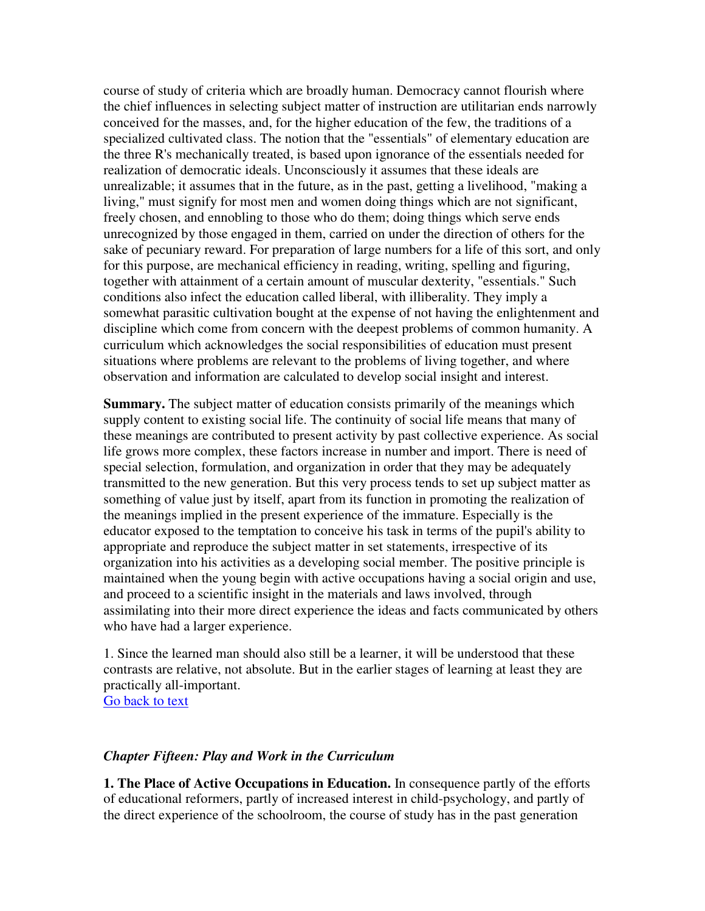course of study of criteria which are broadly human. Democracy cannot flourish where the chief influences in selecting subject matter of instruction are utilitarian ends narrowly conceived for the masses, and, for the higher education of the few, the traditions of a specialized cultivated class. The notion that the "essentials" of elementary education are the three R's mechanically treated, is based upon ignorance of the essentials needed for realization of democratic ideals. Unconsciously it assumes that these ideals are unrealizable; it assumes that in the future, as in the past, getting a livelihood, "making a living," must signify for most men and women doing things which are not significant, freely chosen, and ennobling to those who do them; doing things which serve ends unrecognized by those engaged in them, carried on under the direction of others for the sake of pecuniary reward. For preparation of large numbers for a life of this sort, and only for this purpose, are mechanical efficiency in reading, writing, spelling and figuring, together with attainment of a certain amount of muscular dexterity, "essentials." Such conditions also infect the education called liberal, with illiberality. They imply a somewhat parasitic cultivation bought at the expense of not having the enlightenment and discipline which come from concern with the deepest problems of common humanity. A curriculum which acknowledges the social responsibilities of education must present situations where problems are relevant to the problems of living together, and where observation and information are calculated to develop social insight and interest.

**Summary.** The subject matter of education consists primarily of the meanings which supply content to existing social life. The continuity of social life means that many of these meanings are contributed to present activity by past collective experience. As social life grows more complex, these factors increase in number and import. There is need of special selection, formulation, and organization in order that they may be adequately transmitted to the new generation. But this very process tends to set up subject matter as something of value just by itself, apart from its function in promoting the realization of the meanings implied in the present experience of the immature. Especially is the educator exposed to the temptation to conceive his task in terms of the pupil's ability to appropriate and reproduce the subject matter in set statements, irrespective of its organization into his activities as a developing social member. The positive principle is maintained when the young begin with active occupations having a social origin and use, and proceed to a scientific insight in the materials and laws involved, through assimilating into their more direct experience the ideas and facts communicated by others who have had a larger experience.

1. Since the learned man should also still be a learner, it will be understood that these contrasts are relative, not absolute. But in the earlier stages of learning at least they are practically all-important.

Go back to text

### *Chapter Fifteen: Play and Work in the Curriculum*

**1. The Place of Active Occupations in Education.** In consequence partly of the efforts of educational reformers, partly of increased interest in child-psychology, and partly of the direct experience of the schoolroom, the course of study has in the past generation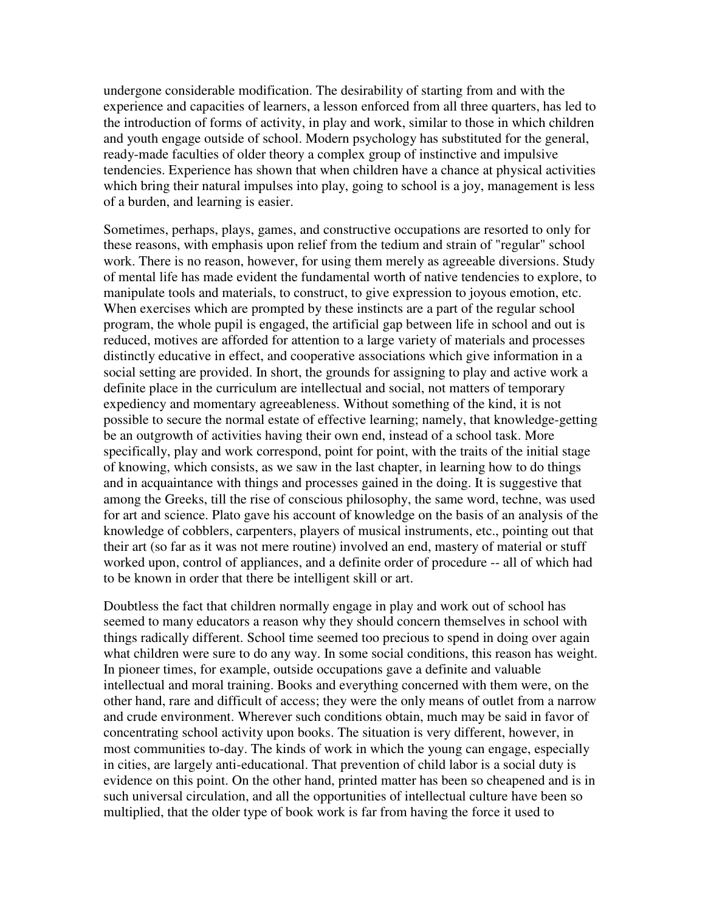undergone considerable modification. The desirability of starting from and with the experience and capacities of learners, a lesson enforced from all three quarters, has led to the introduction of forms of activity, in play and work, similar to those in which children and youth engage outside of school. Modern psychology has substituted for the general, ready-made faculties of older theory a complex group of instinctive and impulsive tendencies. Experience has shown that when children have a chance at physical activities which bring their natural impulses into play, going to school is a joy, management is less of a burden, and learning is easier.

Sometimes, perhaps, plays, games, and constructive occupations are resorted to only for these reasons, with emphasis upon relief from the tedium and strain of "regular" school work. There is no reason, however, for using them merely as agreeable diversions. Study of mental life has made evident the fundamental worth of native tendencies to explore, to manipulate tools and materials, to construct, to give expression to joyous emotion, etc. When exercises which are prompted by these instincts are a part of the regular school program, the whole pupil is engaged, the artificial gap between life in school and out is reduced, motives are afforded for attention to a large variety of materials and processes distinctly educative in effect, and cooperative associations which give information in a social setting are provided. In short, the grounds for assigning to play and active work a definite place in the curriculum are intellectual and social, not matters of temporary expediency and momentary agreeableness. Without something of the kind, it is not possible to secure the normal estate of effective learning; namely, that knowledge-getting be an outgrowth of activities having their own end, instead of a school task. More specifically, play and work correspond, point for point, with the traits of the initial stage of knowing, which consists, as we saw in the last chapter, in learning how to do things and in acquaintance with things and processes gained in the doing. It is suggestive that among the Greeks, till the rise of conscious philosophy, the same word, techne, was used for art and science. Plato gave his account of knowledge on the basis of an analysis of the knowledge of cobblers, carpenters, players of musical instruments, etc., pointing out that their art (so far as it was not mere routine) involved an end, mastery of material or stuff worked upon, control of appliances, and a definite order of procedure -- all of which had to be known in order that there be intelligent skill or art.

Doubtless the fact that children normally engage in play and work out of school has seemed to many educators a reason why they should concern themselves in school with things radically different. School time seemed too precious to spend in doing over again what children were sure to do any way. In some social conditions, this reason has weight. In pioneer times, for example, outside occupations gave a definite and valuable intellectual and moral training. Books and everything concerned with them were, on the other hand, rare and difficult of access; they were the only means of outlet from a narrow and crude environment. Wherever such conditions obtain, much may be said in favor of concentrating school activity upon books. The situation is very different, however, in most communities to-day. The kinds of work in which the young can engage, especially in cities, are largely anti-educational. That prevention of child labor is a social duty is evidence on this point. On the other hand, printed matter has been so cheapened and is in such universal circulation, and all the opportunities of intellectual culture have been so multiplied, that the older type of book work is far from having the force it used to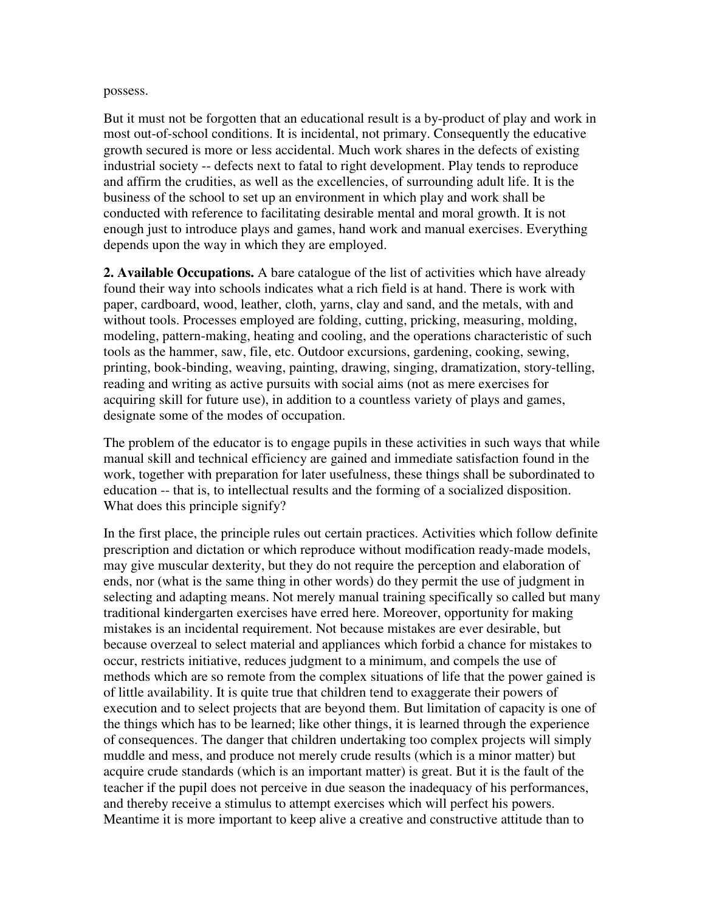#### possess.

But it must not be forgotten that an educational result is a by-product of play and work in most out-of-school conditions. It is incidental, not primary. Consequently the educative growth secured is more or less accidental. Much work shares in the defects of existing industrial society -- defects next to fatal to right development. Play tends to reproduce and affirm the crudities, as well as the excellencies, of surrounding adult life. It is the business of the school to set up an environment in which play and work shall be conducted with reference to facilitating desirable mental and moral growth. It is not enough just to introduce plays and games, hand work and manual exercises. Everything depends upon the way in which they are employed.

**2. Available Occupations.** A bare catalogue of the list of activities which have already found their way into schools indicates what a rich field is at hand. There is work with paper, cardboard, wood, leather, cloth, yarns, clay and sand, and the metals, with and without tools. Processes employed are folding, cutting, pricking, measuring, molding, modeling, pattern-making, heating and cooling, and the operations characteristic of such tools as the hammer, saw, file, etc. Outdoor excursions, gardening, cooking, sewing, printing, book-binding, weaving, painting, drawing, singing, dramatization, story-telling, reading and writing as active pursuits with social aims (not as mere exercises for acquiring skill for future use), in addition to a countless variety of plays and games, designate some of the modes of occupation.

The problem of the educator is to engage pupils in these activities in such ways that while manual skill and technical efficiency are gained and immediate satisfaction found in the work, together with preparation for later usefulness, these things shall be subordinated to education -- that is, to intellectual results and the forming of a socialized disposition. What does this principle signify?

In the first place, the principle rules out certain practices. Activities which follow definite prescription and dictation or which reproduce without modification ready-made models, may give muscular dexterity, but they do not require the perception and elaboration of ends, nor (what is the same thing in other words) do they permit the use of judgment in selecting and adapting means. Not merely manual training specifically so called but many traditional kindergarten exercises have erred here. Moreover, opportunity for making mistakes is an incidental requirement. Not because mistakes are ever desirable, but because overzeal to select material and appliances which forbid a chance for mistakes to occur, restricts initiative, reduces judgment to a minimum, and compels the use of methods which are so remote from the complex situations of life that the power gained is of little availability. It is quite true that children tend to exaggerate their powers of execution and to select projects that are beyond them. But limitation of capacity is one of the things which has to be learned; like other things, it is learned through the experience of consequences. The danger that children undertaking too complex projects will simply muddle and mess, and produce not merely crude results (which is a minor matter) but acquire crude standards (which is an important matter) is great. But it is the fault of the teacher if the pupil does not perceive in due season the inadequacy of his performances, and thereby receive a stimulus to attempt exercises which will perfect his powers. Meantime it is more important to keep alive a creative and constructive attitude than to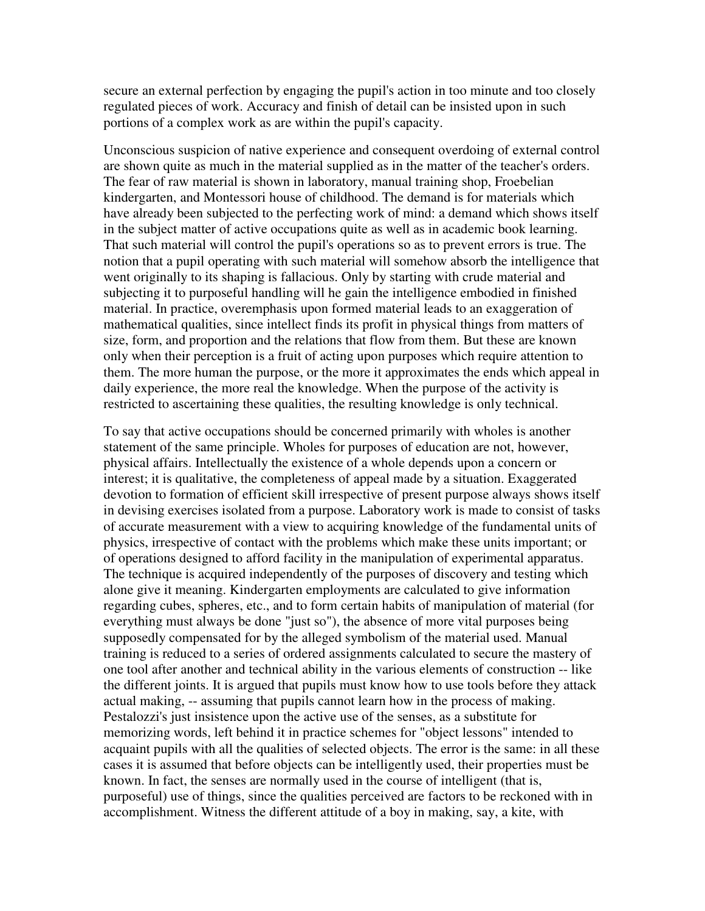secure an external perfection by engaging the pupil's action in too minute and too closely regulated pieces of work. Accuracy and finish of detail can be insisted upon in such portions of a complex work as are within the pupil's capacity.

Unconscious suspicion of native experience and consequent overdoing of external control are shown quite as much in the material supplied as in the matter of the teacher's orders. The fear of raw material is shown in laboratory, manual training shop, Froebelian kindergarten, and Montessori house of childhood. The demand is for materials which have already been subjected to the perfecting work of mind: a demand which shows itself in the subject matter of active occupations quite as well as in academic book learning. That such material will control the pupil's operations so as to prevent errors is true. The notion that a pupil operating with such material will somehow absorb the intelligence that went originally to its shaping is fallacious. Only by starting with crude material and subjecting it to purposeful handling will he gain the intelligence embodied in finished material. In practice, overemphasis upon formed material leads to an exaggeration of mathematical qualities, since intellect finds its profit in physical things from matters of size, form, and proportion and the relations that flow from them. But these are known only when their perception is a fruit of acting upon purposes which require attention to them. The more human the purpose, or the more it approximates the ends which appeal in daily experience, the more real the knowledge. When the purpose of the activity is restricted to ascertaining these qualities, the resulting knowledge is only technical.

To say that active occupations should be concerned primarily with wholes is another statement of the same principle. Wholes for purposes of education are not, however, physical affairs. Intellectually the existence of a whole depends upon a concern or interest; it is qualitative, the completeness of appeal made by a situation. Exaggerated devotion to formation of efficient skill irrespective of present purpose always shows itself in devising exercises isolated from a purpose. Laboratory work is made to consist of tasks of accurate measurement with a view to acquiring knowledge of the fundamental units of physics, irrespective of contact with the problems which make these units important; or of operations designed to afford facility in the manipulation of experimental apparatus. The technique is acquired independently of the purposes of discovery and testing which alone give it meaning. Kindergarten employments are calculated to give information regarding cubes, spheres, etc., and to form certain habits of manipulation of material (for everything must always be done "just so"), the absence of more vital purposes being supposedly compensated for by the alleged symbolism of the material used. Manual training is reduced to a series of ordered assignments calculated to secure the mastery of one tool after another and technical ability in the various elements of construction -- like the different joints. It is argued that pupils must know how to use tools before they attack actual making, -- assuming that pupils cannot learn how in the process of making. Pestalozzi's just insistence upon the active use of the senses, as a substitute for memorizing words, left behind it in practice schemes for "object lessons" intended to acquaint pupils with all the qualities of selected objects. The error is the same: in all these cases it is assumed that before objects can be intelligently used, their properties must be known. In fact, the senses are normally used in the course of intelligent (that is, purposeful) use of things, since the qualities perceived are factors to be reckoned with in accomplishment. Witness the different attitude of a boy in making, say, a kite, with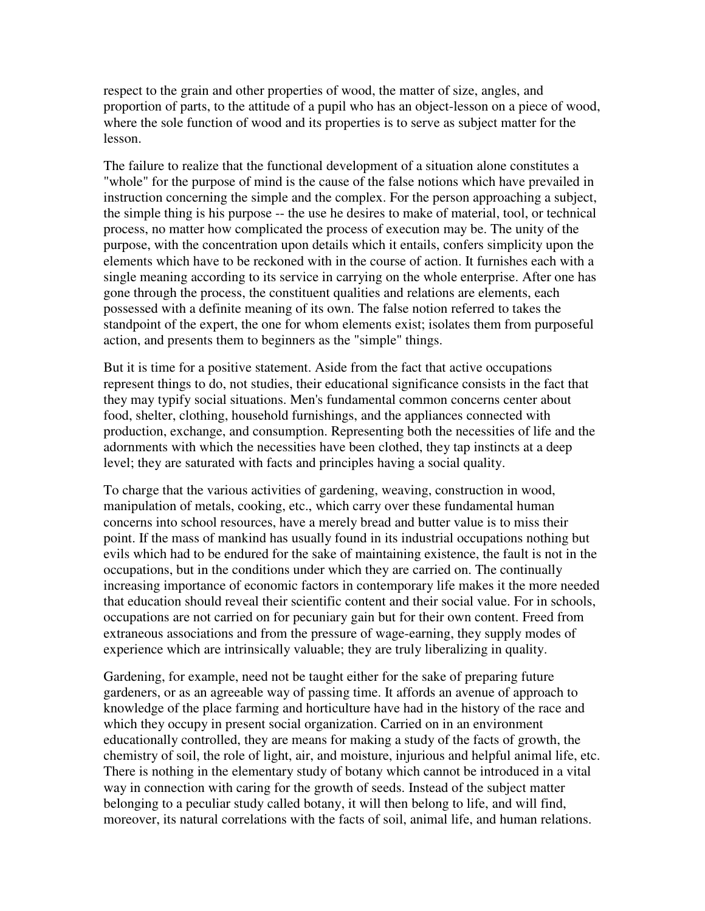respect to the grain and other properties of wood, the matter of size, angles, and proportion of parts, to the attitude of a pupil who has an object-lesson on a piece of wood, where the sole function of wood and its properties is to serve as subject matter for the lesson.

The failure to realize that the functional development of a situation alone constitutes a "whole" for the purpose of mind is the cause of the false notions which have prevailed in instruction concerning the simple and the complex. For the person approaching a subject, the simple thing is his purpose -- the use he desires to make of material, tool, or technical process, no matter how complicated the process of execution may be. The unity of the purpose, with the concentration upon details which it entails, confers simplicity upon the elements which have to be reckoned with in the course of action. It furnishes each with a single meaning according to its service in carrying on the whole enterprise. After one has gone through the process, the constituent qualities and relations are elements, each possessed with a definite meaning of its own. The false notion referred to takes the standpoint of the expert, the one for whom elements exist; isolates them from purposeful action, and presents them to beginners as the "simple" things.

But it is time for a positive statement. Aside from the fact that active occupations represent things to do, not studies, their educational significance consists in the fact that they may typify social situations. Men's fundamental common concerns center about food, shelter, clothing, household furnishings, and the appliances connected with production, exchange, and consumption. Representing both the necessities of life and the adornments with which the necessities have been clothed, they tap instincts at a deep level; they are saturated with facts and principles having a social quality.

To charge that the various activities of gardening, weaving, construction in wood, manipulation of metals, cooking, etc., which carry over these fundamental human concerns into school resources, have a merely bread and butter value is to miss their point. If the mass of mankind has usually found in its industrial occupations nothing but evils which had to be endured for the sake of maintaining existence, the fault is not in the occupations, but in the conditions under which they are carried on. The continually increasing importance of economic factors in contemporary life makes it the more needed that education should reveal their scientific content and their social value. For in schools, occupations are not carried on for pecuniary gain but for their own content. Freed from extraneous associations and from the pressure of wage-earning, they supply modes of experience which are intrinsically valuable; they are truly liberalizing in quality.

Gardening, for example, need not be taught either for the sake of preparing future gardeners, or as an agreeable way of passing time. It affords an avenue of approach to knowledge of the place farming and horticulture have had in the history of the race and which they occupy in present social organization. Carried on in an environment educationally controlled, they are means for making a study of the facts of growth, the chemistry of soil, the role of light, air, and moisture, injurious and helpful animal life, etc. There is nothing in the elementary study of botany which cannot be introduced in a vital way in connection with caring for the growth of seeds. Instead of the subject matter belonging to a peculiar study called botany, it will then belong to life, and will find, moreover, its natural correlations with the facts of soil, animal life, and human relations.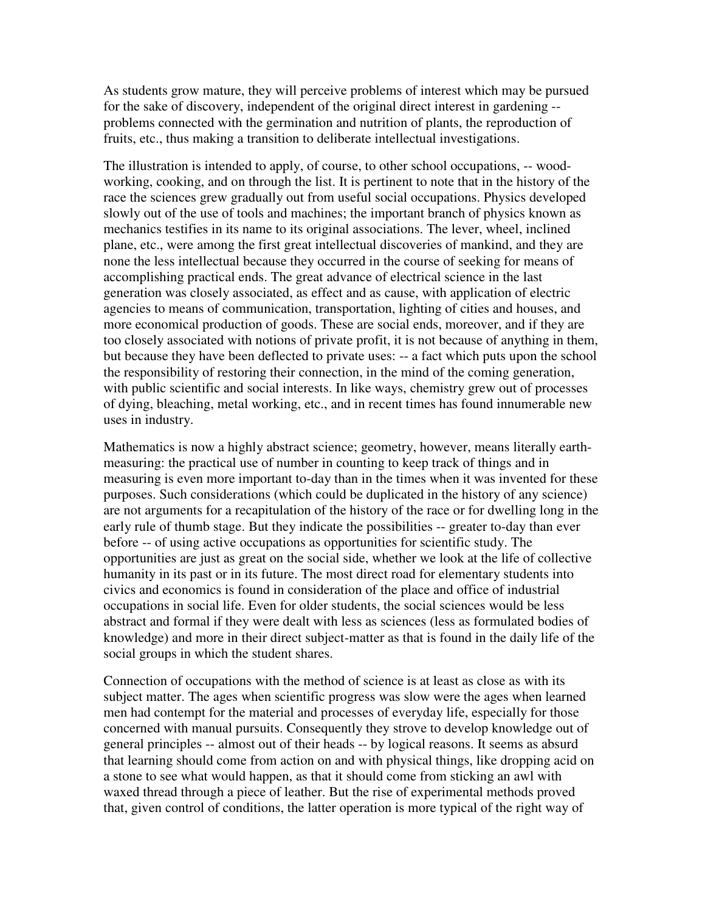As students grow mature, they will perceive problems of interest which may be pursued for the sake of discovery, independent of the original direct interest in gardening - problems connected with the germination and nutrition of plants, the reproduction of fruits, etc., thus making a transition to deliberate intellectual investigations.

The illustration is intended to apply, of course, to other school occupations, -- woodworking, cooking, and on through the list. It is pertinent to note that in the history of the race the sciences grew gradually out from useful social occupations. Physics developed slowly out of the use of tools and machines; the important branch of physics known as mechanics testifies in its name to its original associations. The lever, wheel, inclined plane, etc., were among the first great intellectual discoveries of mankind, and they are none the less intellectual because they occurred in the course of seeking for means of accomplishing practical ends. The great advance of electrical science in the last generation was closely associated, as effect and as cause, with application of electric agencies to means of communication, transportation, lighting of cities and houses, and more economical production of goods. These are social ends, moreover, and if they are too closely associated with notions of private profit, it is not because of anything in them, but because they have been deflected to private uses: -- a fact which puts upon the school the responsibility of restoring their connection, in the mind of the coming generation, with public scientific and social interests. In like ways, chemistry grew out of processes of dying, bleaching, metal working, etc., and in recent times has found innumerable new uses in industry.

Mathematics is now a highly abstract science; geometry, however, means literally earthmeasuring: the practical use of number in counting to keep track of things and in measuring is even more important to-day than in the times when it was invented for these purposes. Such considerations (which could be duplicated in the history of any science) are not arguments for a recapitulation of the history of the race or for dwelling long in the early rule of thumb stage. But they indicate the possibilities -- greater to-day than ever before -- of using active occupations as opportunities for scientific study. The opportunities are just as great on the social side, whether we look at the life of collective humanity in its past or in its future. The most direct road for elementary students into civics and economics is found in consideration of the place and office of industrial occupations in social life. Even for older students, the social sciences would be less abstract and formal if they were dealt with less as sciences (less as formulated bodies of knowledge) and more in their direct subject-matter as that is found in the daily life of the social groups in which the student shares.

Connection of occupations with the method of science is at least as close as with its subject matter. The ages when scientific progress was slow were the ages when learned men had contempt for the material and processes of everyday life, especially for those concerned with manual pursuits. Consequently they strove to develop knowledge out of general principles -- almost out of their heads -- by logical reasons. It seems as absurd that learning should come from action on and with physical things, like dropping acid on a stone to see what would happen, as that it should come from sticking an awl with waxed thread through a piece of leather. But the rise of experimental methods proved that, given control of conditions, the latter operation is more typical of the right way of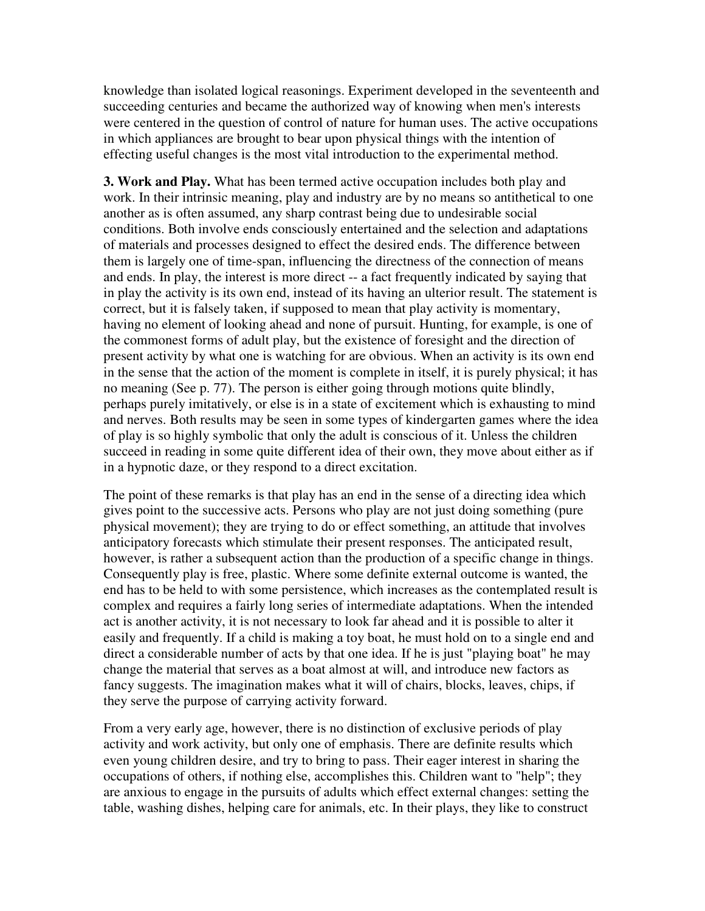knowledge than isolated logical reasonings. Experiment developed in the seventeenth and succeeding centuries and became the authorized way of knowing when men's interests were centered in the question of control of nature for human uses. The active occupations in which appliances are brought to bear upon physical things with the intention of effecting useful changes is the most vital introduction to the experimental method.

**3. Work and Play.** What has been termed active occupation includes both play and work. In their intrinsic meaning, play and industry are by no means so antithetical to one another as is often assumed, any sharp contrast being due to undesirable social conditions. Both involve ends consciously entertained and the selection and adaptations of materials and processes designed to effect the desired ends. The difference between them is largely one of time-span, influencing the directness of the connection of means and ends. In play, the interest is more direct -- a fact frequently indicated by saying that in play the activity is its own end, instead of its having an ulterior result. The statement is correct, but it is falsely taken, if supposed to mean that play activity is momentary, having no element of looking ahead and none of pursuit. Hunting, for example, is one of the commonest forms of adult play, but the existence of foresight and the direction of present activity by what one is watching for are obvious. When an activity is its own end in the sense that the action of the moment is complete in itself, it is purely physical; it has no meaning (See p. 77). The person is either going through motions quite blindly, perhaps purely imitatively, or else is in a state of excitement which is exhausting to mind and nerves. Both results may be seen in some types of kindergarten games where the idea of play is so highly symbolic that only the adult is conscious of it. Unless the children succeed in reading in some quite different idea of their own, they move about either as if in a hypnotic daze, or they respond to a direct excitation.

The point of these remarks is that play has an end in the sense of a directing idea which gives point to the successive acts. Persons who play are not just doing something (pure physical movement); they are trying to do or effect something, an attitude that involves anticipatory forecasts which stimulate their present responses. The anticipated result, however, is rather a subsequent action than the production of a specific change in things. Consequently play is free, plastic. Where some definite external outcome is wanted, the end has to be held to with some persistence, which increases as the contemplated result is complex and requires a fairly long series of intermediate adaptations. When the intended act is another activity, it is not necessary to look far ahead and it is possible to alter it easily and frequently. If a child is making a toy boat, he must hold on to a single end and direct a considerable number of acts by that one idea. If he is just "playing boat" he may change the material that serves as a boat almost at will, and introduce new factors as fancy suggests. The imagination makes what it will of chairs, blocks, leaves, chips, if they serve the purpose of carrying activity forward.

From a very early age, however, there is no distinction of exclusive periods of play activity and work activity, but only one of emphasis. There are definite results which even young children desire, and try to bring to pass. Their eager interest in sharing the occupations of others, if nothing else, accomplishes this. Children want to "help"; they are anxious to engage in the pursuits of adults which effect external changes: setting the table, washing dishes, helping care for animals, etc. In their plays, they like to construct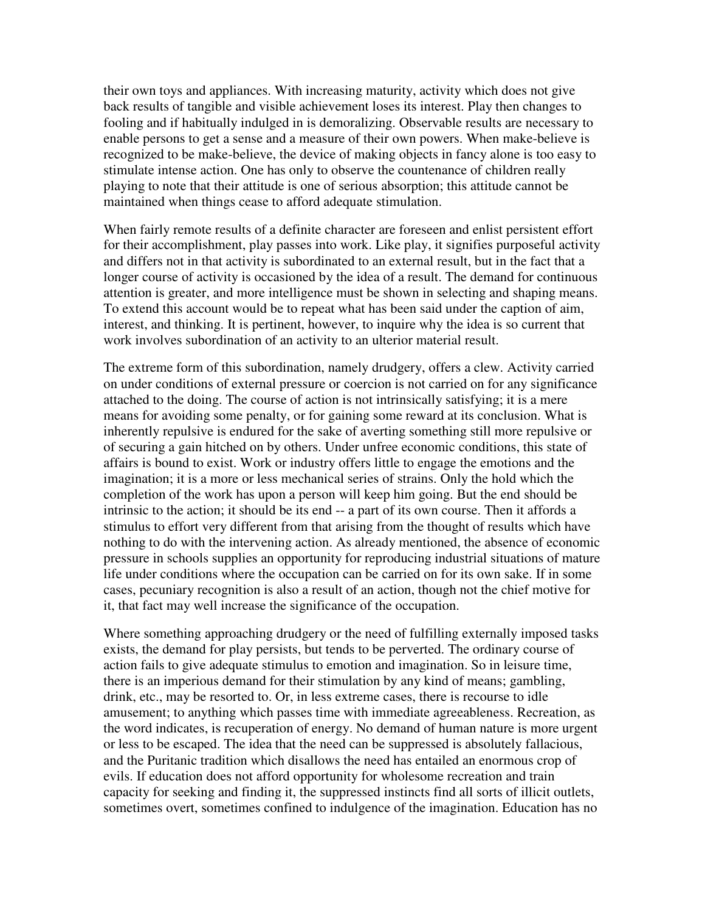their own toys and appliances. With increasing maturity, activity which does not give back results of tangible and visible achievement loses its interest. Play then changes to fooling and if habitually indulged in is demoralizing. Observable results are necessary to enable persons to get a sense and a measure of their own powers. When make-believe is recognized to be make-believe, the device of making objects in fancy alone is too easy to stimulate intense action. One has only to observe the countenance of children really playing to note that their attitude is one of serious absorption; this attitude cannot be maintained when things cease to afford adequate stimulation.

When fairly remote results of a definite character are foreseen and enlist persistent effort for their accomplishment, play passes into work. Like play, it signifies purposeful activity and differs not in that activity is subordinated to an external result, but in the fact that a longer course of activity is occasioned by the idea of a result. The demand for continuous attention is greater, and more intelligence must be shown in selecting and shaping means. To extend this account would be to repeat what has been said under the caption of aim, interest, and thinking. It is pertinent, however, to inquire why the idea is so current that work involves subordination of an activity to an ulterior material result.

The extreme form of this subordination, namely drudgery, offers a clew. Activity carried on under conditions of external pressure or coercion is not carried on for any significance attached to the doing. The course of action is not intrinsically satisfying; it is a mere means for avoiding some penalty, or for gaining some reward at its conclusion. What is inherently repulsive is endured for the sake of averting something still more repulsive or of securing a gain hitched on by others. Under unfree economic conditions, this state of affairs is bound to exist. Work or industry offers little to engage the emotions and the imagination; it is a more or less mechanical series of strains. Only the hold which the completion of the work has upon a person will keep him going. But the end should be intrinsic to the action; it should be its end -- a part of its own course. Then it affords a stimulus to effort very different from that arising from the thought of results which have nothing to do with the intervening action. As already mentioned, the absence of economic pressure in schools supplies an opportunity for reproducing industrial situations of mature life under conditions where the occupation can be carried on for its own sake. If in some cases, pecuniary recognition is also a result of an action, though not the chief motive for it, that fact may well increase the significance of the occupation.

Where something approaching drudgery or the need of fulfilling externally imposed tasks exists, the demand for play persists, but tends to be perverted. The ordinary course of action fails to give adequate stimulus to emotion and imagination. So in leisure time, there is an imperious demand for their stimulation by any kind of means; gambling, drink, etc., may be resorted to. Or, in less extreme cases, there is recourse to idle amusement; to anything which passes time with immediate agreeableness. Recreation, as the word indicates, is recuperation of energy. No demand of human nature is more urgent or less to be escaped. The idea that the need can be suppressed is absolutely fallacious, and the Puritanic tradition which disallows the need has entailed an enormous crop of evils. If education does not afford opportunity for wholesome recreation and train capacity for seeking and finding it, the suppressed instincts find all sorts of illicit outlets, sometimes overt, sometimes confined to indulgence of the imagination. Education has no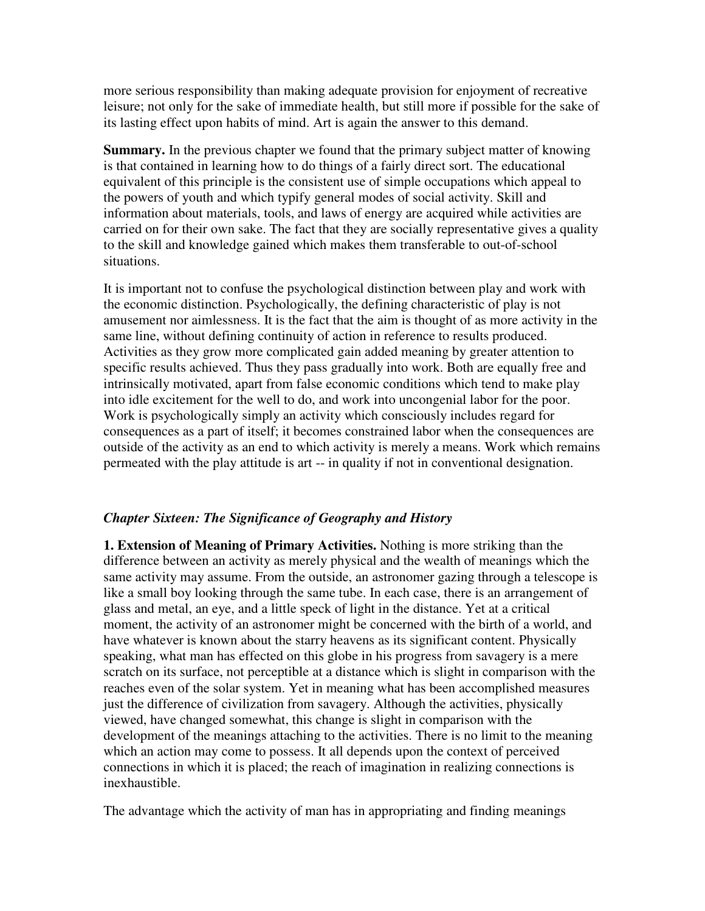more serious responsibility than making adequate provision for enjoyment of recreative leisure; not only for the sake of immediate health, but still more if possible for the sake of its lasting effect upon habits of mind. Art is again the answer to this demand.

**Summary.** In the previous chapter we found that the primary subject matter of knowing is that contained in learning how to do things of a fairly direct sort. The educational equivalent of this principle is the consistent use of simple occupations which appeal to the powers of youth and which typify general modes of social activity. Skill and information about materials, tools, and laws of energy are acquired while activities are carried on for their own sake. The fact that they are socially representative gives a quality to the skill and knowledge gained which makes them transferable to out-of-school situations.

It is important not to confuse the psychological distinction between play and work with the economic distinction. Psychologically, the defining characteristic of play is not amusement nor aimlessness. It is the fact that the aim is thought of as more activity in the same line, without defining continuity of action in reference to results produced. Activities as they grow more complicated gain added meaning by greater attention to specific results achieved. Thus they pass gradually into work. Both are equally free and intrinsically motivated, apart from false economic conditions which tend to make play into idle excitement for the well to do, and work into uncongenial labor for the poor. Work is psychologically simply an activity which consciously includes regard for consequences as a part of itself; it becomes constrained labor when the consequences are outside of the activity as an end to which activity is merely a means. Work which remains permeated with the play attitude is art -- in quality if not in conventional designation.

# *Chapter Sixteen: The Significance of Geography and History*

**1. Extension of Meaning of Primary Activities.** Nothing is more striking than the difference between an activity as merely physical and the wealth of meanings which the same activity may assume. From the outside, an astronomer gazing through a telescope is like a small boy looking through the same tube. In each case, there is an arrangement of glass and metal, an eye, and a little speck of light in the distance. Yet at a critical moment, the activity of an astronomer might be concerned with the birth of a world, and have whatever is known about the starry heavens as its significant content. Physically speaking, what man has effected on this globe in his progress from savagery is a mere scratch on its surface, not perceptible at a distance which is slight in comparison with the reaches even of the solar system. Yet in meaning what has been accomplished measures just the difference of civilization from savagery. Although the activities, physically viewed, have changed somewhat, this change is slight in comparison with the development of the meanings attaching to the activities. There is no limit to the meaning which an action may come to possess. It all depends upon the context of perceived connections in which it is placed; the reach of imagination in realizing connections is inexhaustible.

The advantage which the activity of man has in appropriating and finding meanings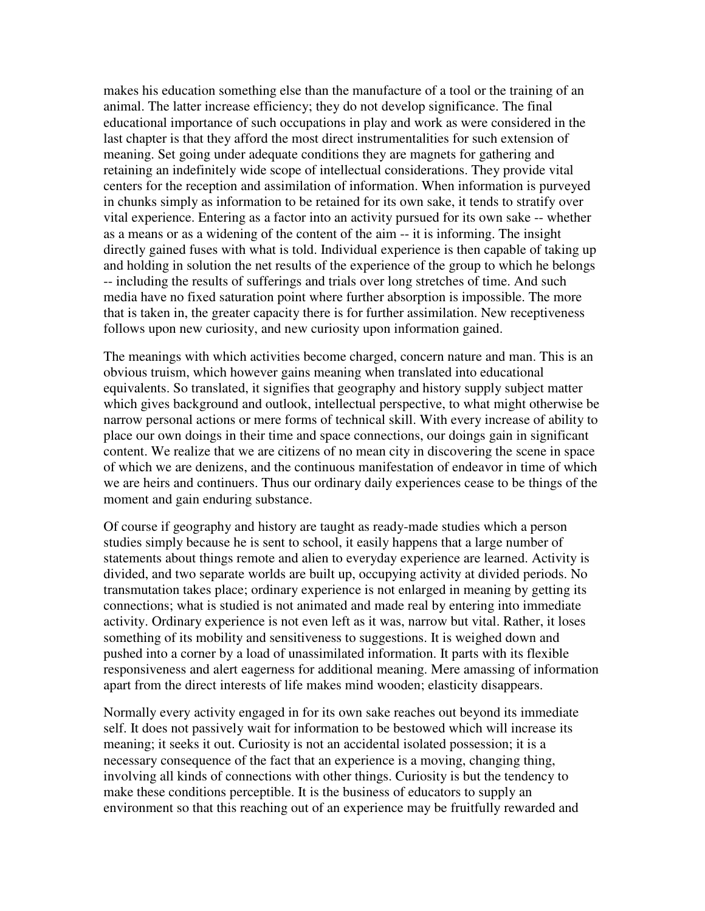makes his education something else than the manufacture of a tool or the training of an animal. The latter increase efficiency; they do not develop significance. The final educational importance of such occupations in play and work as were considered in the last chapter is that they afford the most direct instrumentalities for such extension of meaning. Set going under adequate conditions they are magnets for gathering and retaining an indefinitely wide scope of intellectual considerations. They provide vital centers for the reception and assimilation of information. When information is purveyed in chunks simply as information to be retained for its own sake, it tends to stratify over vital experience. Entering as a factor into an activity pursued for its own sake -- whether as a means or as a widening of the content of the aim -- it is informing. The insight directly gained fuses with what is told. Individual experience is then capable of taking up and holding in solution the net results of the experience of the group to which he belongs -- including the results of sufferings and trials over long stretches of time. And such media have no fixed saturation point where further absorption is impossible. The more that is taken in, the greater capacity there is for further assimilation. New receptiveness follows upon new curiosity, and new curiosity upon information gained.

The meanings with which activities become charged, concern nature and man. This is an obvious truism, which however gains meaning when translated into educational equivalents. So translated, it signifies that geography and history supply subject matter which gives background and outlook, intellectual perspective, to what might otherwise be narrow personal actions or mere forms of technical skill. With every increase of ability to place our own doings in their time and space connections, our doings gain in significant content. We realize that we are citizens of no mean city in discovering the scene in space of which we are denizens, and the continuous manifestation of endeavor in time of which we are heirs and continuers. Thus our ordinary daily experiences cease to be things of the moment and gain enduring substance.

Of course if geography and history are taught as ready-made studies which a person studies simply because he is sent to school, it easily happens that a large number of statements about things remote and alien to everyday experience are learned. Activity is divided, and two separate worlds are built up, occupying activity at divided periods. No transmutation takes place; ordinary experience is not enlarged in meaning by getting its connections; what is studied is not animated and made real by entering into immediate activity. Ordinary experience is not even left as it was, narrow but vital. Rather, it loses something of its mobility and sensitiveness to suggestions. It is weighed down and pushed into a corner by a load of unassimilated information. It parts with its flexible responsiveness and alert eagerness for additional meaning. Mere amassing of information apart from the direct interests of life makes mind wooden; elasticity disappears.

Normally every activity engaged in for its own sake reaches out beyond its immediate self. It does not passively wait for information to be bestowed which will increase its meaning; it seeks it out. Curiosity is not an accidental isolated possession; it is a necessary consequence of the fact that an experience is a moving, changing thing, involving all kinds of connections with other things. Curiosity is but the tendency to make these conditions perceptible. It is the business of educators to supply an environment so that this reaching out of an experience may be fruitfully rewarded and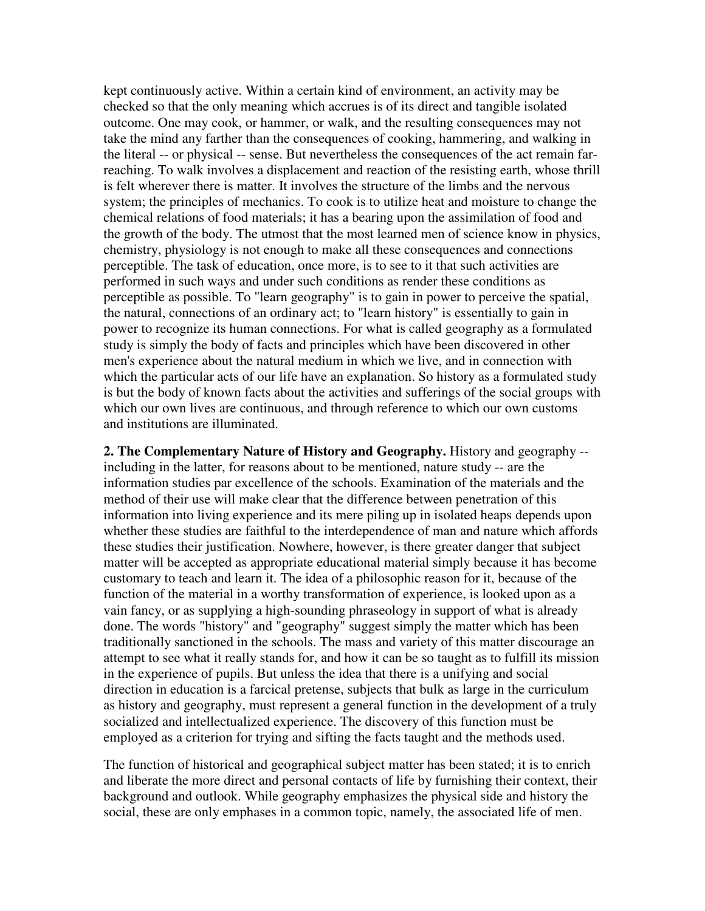kept continuously active. Within a certain kind of environment, an activity may be checked so that the only meaning which accrues is of its direct and tangible isolated outcome. One may cook, or hammer, or walk, and the resulting consequences may not take the mind any farther than the consequences of cooking, hammering, and walking in the literal -- or physical -- sense. But nevertheless the consequences of the act remain farreaching. To walk involves a displacement and reaction of the resisting earth, whose thrill is felt wherever there is matter. It involves the structure of the limbs and the nervous system; the principles of mechanics. To cook is to utilize heat and moisture to change the chemical relations of food materials; it has a bearing upon the assimilation of food and the growth of the body. The utmost that the most learned men of science know in physics, chemistry, physiology is not enough to make all these consequences and connections perceptible. The task of education, once more, is to see to it that such activities are performed in such ways and under such conditions as render these conditions as perceptible as possible. To "learn geography" is to gain in power to perceive the spatial, the natural, connections of an ordinary act; to "learn history" is essentially to gain in power to recognize its human connections. For what is called geography as a formulated study is simply the body of facts and principles which have been discovered in other men's experience about the natural medium in which we live, and in connection with which the particular acts of our life have an explanation. So history as a formulated study is but the body of known facts about the activities and sufferings of the social groups with which our own lives are continuous, and through reference to which our own customs and institutions are illuminated.

**2. The Complementary Nature of History and Geography.** History and geography - including in the latter, for reasons about to be mentioned, nature study -- are the information studies par excellence of the schools. Examination of the materials and the method of their use will make clear that the difference between penetration of this information into living experience and its mere piling up in isolated heaps depends upon whether these studies are faithful to the interdependence of man and nature which affords these studies their justification. Nowhere, however, is there greater danger that subject matter will be accepted as appropriate educational material simply because it has become customary to teach and learn it. The idea of a philosophic reason for it, because of the function of the material in a worthy transformation of experience, is looked upon as a vain fancy, or as supplying a high-sounding phraseology in support of what is already done. The words "history" and "geography" suggest simply the matter which has been traditionally sanctioned in the schools. The mass and variety of this matter discourage an attempt to see what it really stands for, and how it can be so taught as to fulfill its mission in the experience of pupils. But unless the idea that there is a unifying and social direction in education is a farcical pretense, subjects that bulk as large in the curriculum as history and geography, must represent a general function in the development of a truly socialized and intellectualized experience. The discovery of this function must be employed as a criterion for trying and sifting the facts taught and the methods used.

The function of historical and geographical subject matter has been stated; it is to enrich and liberate the more direct and personal contacts of life by furnishing their context, their background and outlook. While geography emphasizes the physical side and history the social, these are only emphases in a common topic, namely, the associated life of men.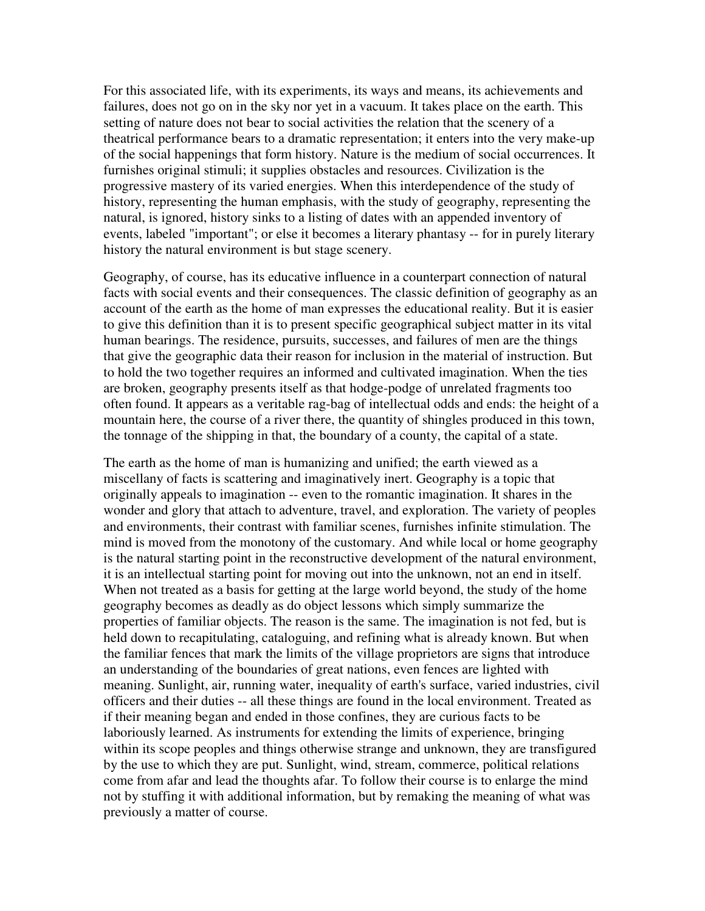For this associated life, with its experiments, its ways and means, its achievements and failures, does not go on in the sky nor yet in a vacuum. It takes place on the earth. This setting of nature does not bear to social activities the relation that the scenery of a theatrical performance bears to a dramatic representation; it enters into the very make-up of the social happenings that form history. Nature is the medium of social occurrences. It furnishes original stimuli; it supplies obstacles and resources. Civilization is the progressive mastery of its varied energies. When this interdependence of the study of history, representing the human emphasis, with the study of geography, representing the natural, is ignored, history sinks to a listing of dates with an appended inventory of events, labeled "important"; or else it becomes a literary phantasy -- for in purely literary history the natural environment is but stage scenery.

Geography, of course, has its educative influence in a counterpart connection of natural facts with social events and their consequences. The classic definition of geography as an account of the earth as the home of man expresses the educational reality. But it is easier to give this definition than it is to present specific geographical subject matter in its vital human bearings. The residence, pursuits, successes, and failures of men are the things that give the geographic data their reason for inclusion in the material of instruction. But to hold the two together requires an informed and cultivated imagination. When the ties are broken, geography presents itself as that hodge-podge of unrelated fragments too often found. It appears as a veritable rag-bag of intellectual odds and ends: the height of a mountain here, the course of a river there, the quantity of shingles produced in this town, the tonnage of the shipping in that, the boundary of a county, the capital of a state.

The earth as the home of man is humanizing and unified; the earth viewed as a miscellany of facts is scattering and imaginatively inert. Geography is a topic that originally appeals to imagination -- even to the romantic imagination. It shares in the wonder and glory that attach to adventure, travel, and exploration. The variety of peoples and environments, their contrast with familiar scenes, furnishes infinite stimulation. The mind is moved from the monotony of the customary. And while local or home geography is the natural starting point in the reconstructive development of the natural environment, it is an intellectual starting point for moving out into the unknown, not an end in itself. When not treated as a basis for getting at the large world beyond, the study of the home geography becomes as deadly as do object lessons which simply summarize the properties of familiar objects. The reason is the same. The imagination is not fed, but is held down to recapitulating, cataloguing, and refining what is already known. But when the familiar fences that mark the limits of the village proprietors are signs that introduce an understanding of the boundaries of great nations, even fences are lighted with meaning. Sunlight, air, running water, inequality of earth's surface, varied industries, civil officers and their duties -- all these things are found in the local environment. Treated as if their meaning began and ended in those confines, they are curious facts to be laboriously learned. As instruments for extending the limits of experience, bringing within its scope peoples and things otherwise strange and unknown, they are transfigured by the use to which they are put. Sunlight, wind, stream, commerce, political relations come from afar and lead the thoughts afar. To follow their course is to enlarge the mind not by stuffing it with additional information, but by remaking the meaning of what was previously a matter of course.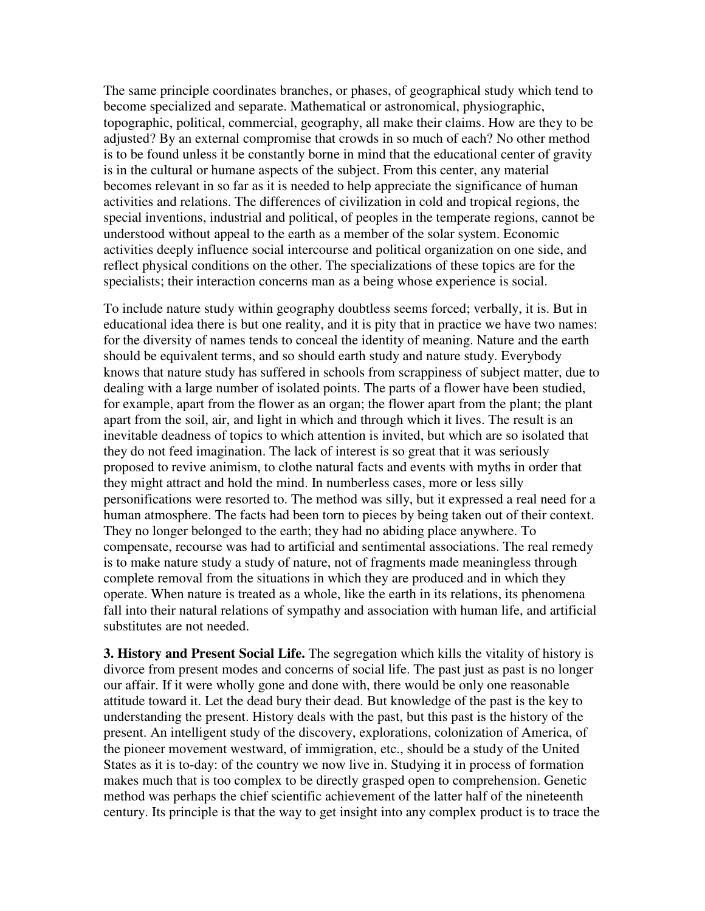The same principle coordinates branches, or phases, of geographical study which tend to become specialized and separate. Mathematical or astronomical, physiographic, topographic, political, commercial, geography, all make their claims. How are they to be adjusted? By an external compromise that crowds in so much of each? No other method is to be found unless it be constantly borne in mind that the educational center of gravity is in the cultural or humane aspects of the subject. From this center, any material becomes relevant in so far as it is needed to help appreciate the significance of human activities and relations. The differences of civilization in cold and tropical regions, the special inventions, industrial and political, of peoples in the temperate regions, cannot be understood without appeal to the earth as a member of the solar system. Economic activities deeply influence social intercourse and political organization on one side, and reflect physical conditions on the other. The specializations of these topics are for the specialists; their interaction concerns man as a being whose experience is social.

To include nature study within geography doubtless seems forced; verbally, it is. But in educational idea there is but one reality, and it is pity that in practice we have two names: for the diversity of names tends to conceal the identity of meaning. Nature and the earth should be equivalent terms, and so should earth study and nature study. Everybody knows that nature study has suffered in schools from scrappiness of subject matter, due to dealing with a large number of isolated points. The parts of a flower have been studied, for example, apart from the flower as an organ; the flower apart from the plant; the plant apart from the soil, air, and light in which and through which it lives. The result is an inevitable deadness of topics to which attention is invited, but which are so isolated that they do not feed imagination. The lack of interest is so great that it was seriously proposed to revive animism, to clothe natural facts and events with myths in order that they might attract and hold the mind. In numberless cases, more or less silly personifications were resorted to. The method was silly, but it expressed a real need for a human atmosphere. The facts had been torn to pieces by being taken out of their context. They no longer belonged to the earth; they had no abiding place anywhere. To compensate, recourse was had to artificial and sentimental associations. The real remedy is to make nature study a study of nature, not of fragments made meaningless through complete removal from the situations in which they are produced and in which they operate. When nature is treated as a whole, like the earth in its relations, its phenomena fall into their natural relations of sympathy and association with human life, and artificial substitutes are not needed.

**3. History and Present Social Life.** The segregation which kills the vitality of history is divorce from present modes and concerns of social life. The past just as past is no longer our affair. If it were wholly gone and done with, there would be only one reasonable attitude toward it. Let the dead bury their dead. But knowledge of the past is the key to understanding the present. History deals with the past, but this past is the history of the present. An intelligent study of the discovery, explorations, colonization of America, of the pioneer movement westward, of immigration, etc., should be a study of the United States as it is to-day: of the country we now live in. Studying it in process of formation makes much that is too complex to be directly grasped open to comprehension. Genetic method was perhaps the chief scientific achievement of the latter half of the nineteenth century. Its principle is that the way to get insight into any complex product is to trace the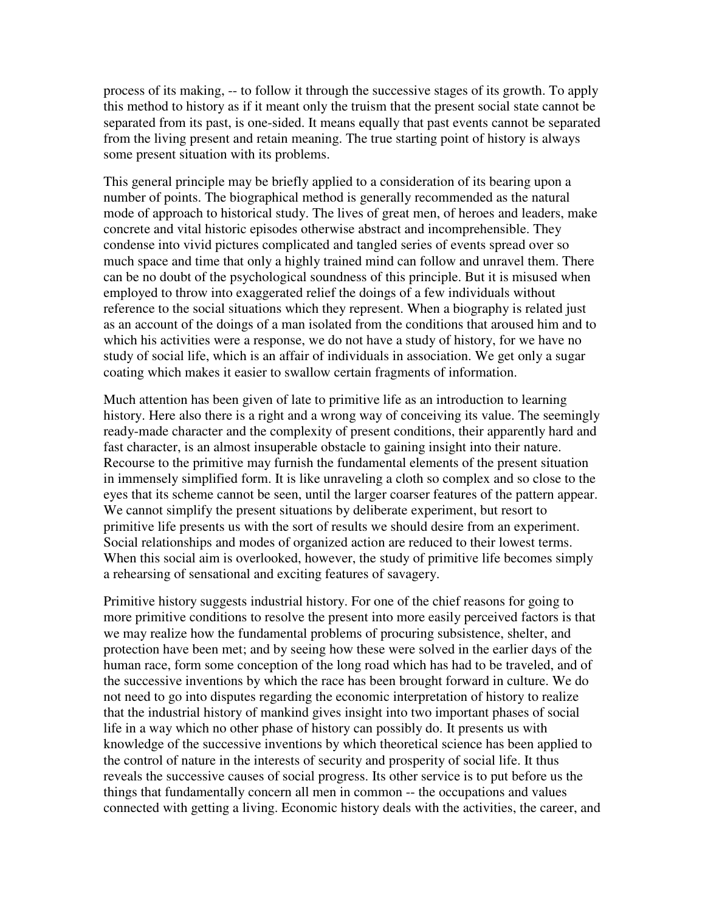process of its making, -- to follow it through the successive stages of its growth. To apply this method to history as if it meant only the truism that the present social state cannot be separated from its past, is one-sided. It means equally that past events cannot be separated from the living present and retain meaning. The true starting point of history is always some present situation with its problems.

This general principle may be briefly applied to a consideration of its bearing upon a number of points. The biographical method is generally recommended as the natural mode of approach to historical study. The lives of great men, of heroes and leaders, make concrete and vital historic episodes otherwise abstract and incomprehensible. They condense into vivid pictures complicated and tangled series of events spread over so much space and time that only a highly trained mind can follow and unravel them. There can be no doubt of the psychological soundness of this principle. But it is misused when employed to throw into exaggerated relief the doings of a few individuals without reference to the social situations which they represent. When a biography is related just as an account of the doings of a man isolated from the conditions that aroused him and to which his activities were a response, we do not have a study of history, for we have no study of social life, which is an affair of individuals in association. We get only a sugar coating which makes it easier to swallow certain fragments of information.

Much attention has been given of late to primitive life as an introduction to learning history. Here also there is a right and a wrong way of conceiving its value. The seemingly ready-made character and the complexity of present conditions, their apparently hard and fast character, is an almost insuperable obstacle to gaining insight into their nature. Recourse to the primitive may furnish the fundamental elements of the present situation in immensely simplified form. It is like unraveling a cloth so complex and so close to the eyes that its scheme cannot be seen, until the larger coarser features of the pattern appear. We cannot simplify the present situations by deliberate experiment, but resort to primitive life presents us with the sort of results we should desire from an experiment. Social relationships and modes of organized action are reduced to their lowest terms. When this social aim is overlooked, however, the study of primitive life becomes simply a rehearsing of sensational and exciting features of savagery.

Primitive history suggests industrial history. For one of the chief reasons for going to more primitive conditions to resolve the present into more easily perceived factors is that we may realize how the fundamental problems of procuring subsistence, shelter, and protection have been met; and by seeing how these were solved in the earlier days of the human race, form some conception of the long road which has had to be traveled, and of the successive inventions by which the race has been brought forward in culture. We do not need to go into disputes regarding the economic interpretation of history to realize that the industrial history of mankind gives insight into two important phases of social life in a way which no other phase of history can possibly do. It presents us with knowledge of the successive inventions by which theoretical science has been applied to the control of nature in the interests of security and prosperity of social life. It thus reveals the successive causes of social progress. Its other service is to put before us the things that fundamentally concern all men in common -- the occupations and values connected with getting a living. Economic history deals with the activities, the career, and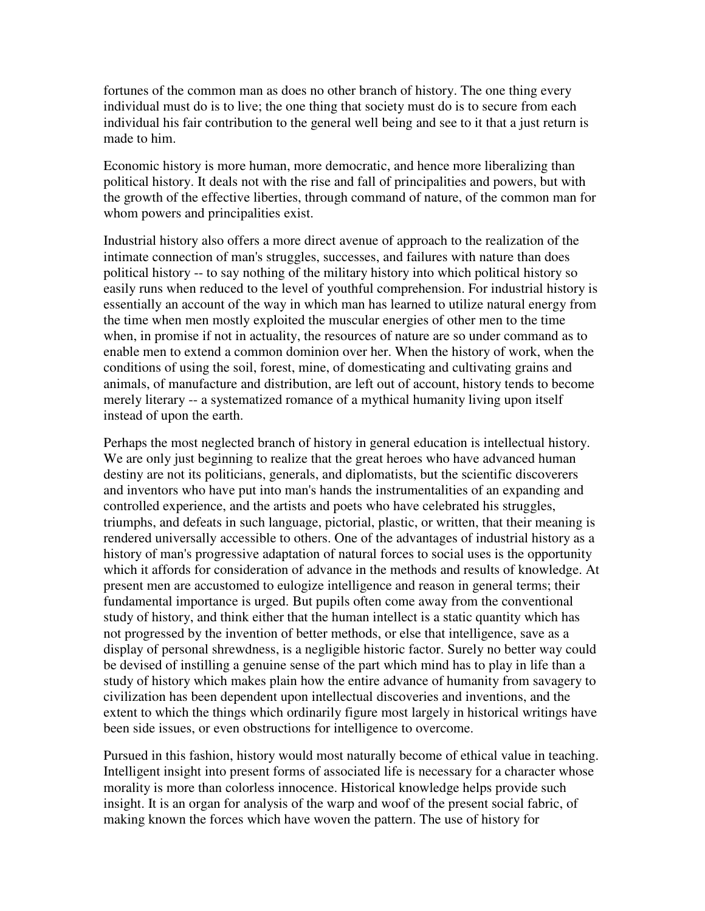fortunes of the common man as does no other branch of history. The one thing every individual must do is to live; the one thing that society must do is to secure from each individual his fair contribution to the general well being and see to it that a just return is made to him.

Economic history is more human, more democratic, and hence more liberalizing than political history. It deals not with the rise and fall of principalities and powers, but with the growth of the effective liberties, through command of nature, of the common man for whom powers and principalities exist.

Industrial history also offers a more direct avenue of approach to the realization of the intimate connection of man's struggles, successes, and failures with nature than does political history -- to say nothing of the military history into which political history so easily runs when reduced to the level of youthful comprehension. For industrial history is essentially an account of the way in which man has learned to utilize natural energy from the time when men mostly exploited the muscular energies of other men to the time when, in promise if not in actuality, the resources of nature are so under command as to enable men to extend a common dominion over her. When the history of work, when the conditions of using the soil, forest, mine, of domesticating and cultivating grains and animals, of manufacture and distribution, are left out of account, history tends to become merely literary -- a systematized romance of a mythical humanity living upon itself instead of upon the earth.

Perhaps the most neglected branch of history in general education is intellectual history. We are only just beginning to realize that the great heroes who have advanced human destiny are not its politicians, generals, and diplomatists, but the scientific discoverers and inventors who have put into man's hands the instrumentalities of an expanding and controlled experience, and the artists and poets who have celebrated his struggles, triumphs, and defeats in such language, pictorial, plastic, or written, that their meaning is rendered universally accessible to others. One of the advantages of industrial history as a history of man's progressive adaptation of natural forces to social uses is the opportunity which it affords for consideration of advance in the methods and results of knowledge. At present men are accustomed to eulogize intelligence and reason in general terms; their fundamental importance is urged. But pupils often come away from the conventional study of history, and think either that the human intellect is a static quantity which has not progressed by the invention of better methods, or else that intelligence, save as a display of personal shrewdness, is a negligible historic factor. Surely no better way could be devised of instilling a genuine sense of the part which mind has to play in life than a study of history which makes plain how the entire advance of humanity from savagery to civilization has been dependent upon intellectual discoveries and inventions, and the extent to which the things which ordinarily figure most largely in historical writings have been side issues, or even obstructions for intelligence to overcome.

Pursued in this fashion, history would most naturally become of ethical value in teaching. Intelligent insight into present forms of associated life is necessary for a character whose morality is more than colorless innocence. Historical knowledge helps provide such insight. It is an organ for analysis of the warp and woof of the present social fabric, of making known the forces which have woven the pattern. The use of history for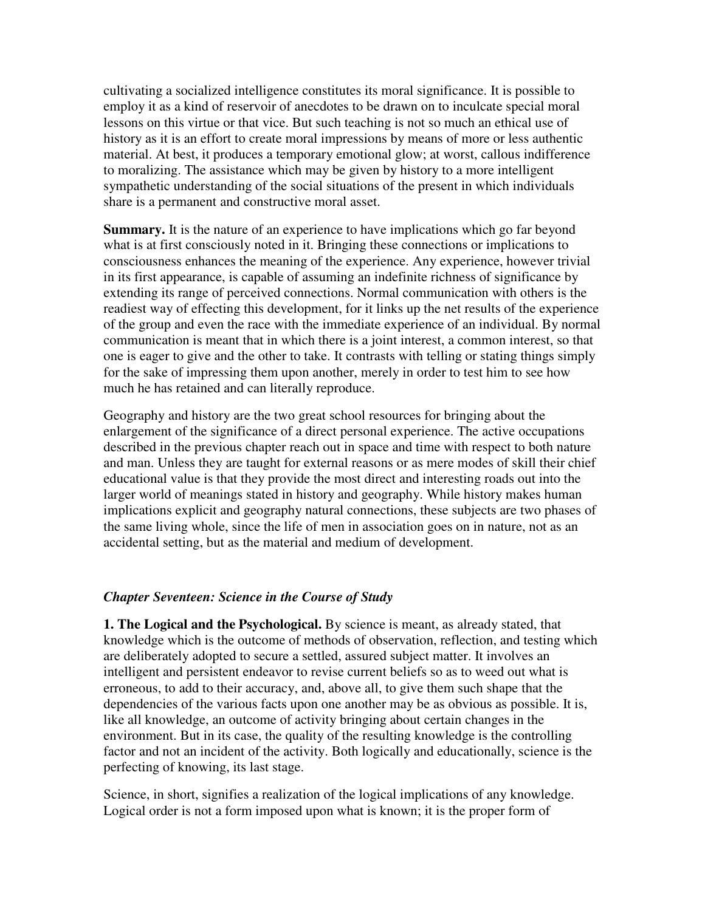cultivating a socialized intelligence constitutes its moral significance. It is possible to employ it as a kind of reservoir of anecdotes to be drawn on to inculcate special moral lessons on this virtue or that vice. But such teaching is not so much an ethical use of history as it is an effort to create moral impressions by means of more or less authentic material. At best, it produces a temporary emotional glow; at worst, callous indifference to moralizing. The assistance which may be given by history to a more intelligent sympathetic understanding of the social situations of the present in which individuals share is a permanent and constructive moral asset.

**Summary.** It is the nature of an experience to have implications which go far beyond what is at first consciously noted in it. Bringing these connections or implications to consciousness enhances the meaning of the experience. Any experience, however trivial in its first appearance, is capable of assuming an indefinite richness of significance by extending its range of perceived connections. Normal communication with others is the readiest way of effecting this development, for it links up the net results of the experience of the group and even the race with the immediate experience of an individual. By normal communication is meant that in which there is a joint interest, a common interest, so that one is eager to give and the other to take. It contrasts with telling or stating things simply for the sake of impressing them upon another, merely in order to test him to see how much he has retained and can literally reproduce.

Geography and history are the two great school resources for bringing about the enlargement of the significance of a direct personal experience. The active occupations described in the previous chapter reach out in space and time with respect to both nature and man. Unless they are taught for external reasons or as mere modes of skill their chief educational value is that they provide the most direct and interesting roads out into the larger world of meanings stated in history and geography. While history makes human implications explicit and geography natural connections, these subjects are two phases of the same living whole, since the life of men in association goes on in nature, not as an accidental setting, but as the material and medium of development.

## *Chapter Seventeen: Science in the Course of Study*

**1. The Logical and the Psychological.** By science is meant, as already stated, that knowledge which is the outcome of methods of observation, reflection, and testing which are deliberately adopted to secure a settled, assured subject matter. It involves an intelligent and persistent endeavor to revise current beliefs so as to weed out what is erroneous, to add to their accuracy, and, above all, to give them such shape that the dependencies of the various facts upon one another may be as obvious as possible. It is, like all knowledge, an outcome of activity bringing about certain changes in the environment. But in its case, the quality of the resulting knowledge is the controlling factor and not an incident of the activity. Both logically and educationally, science is the perfecting of knowing, its last stage.

Science, in short, signifies a realization of the logical implications of any knowledge. Logical order is not a form imposed upon what is known; it is the proper form of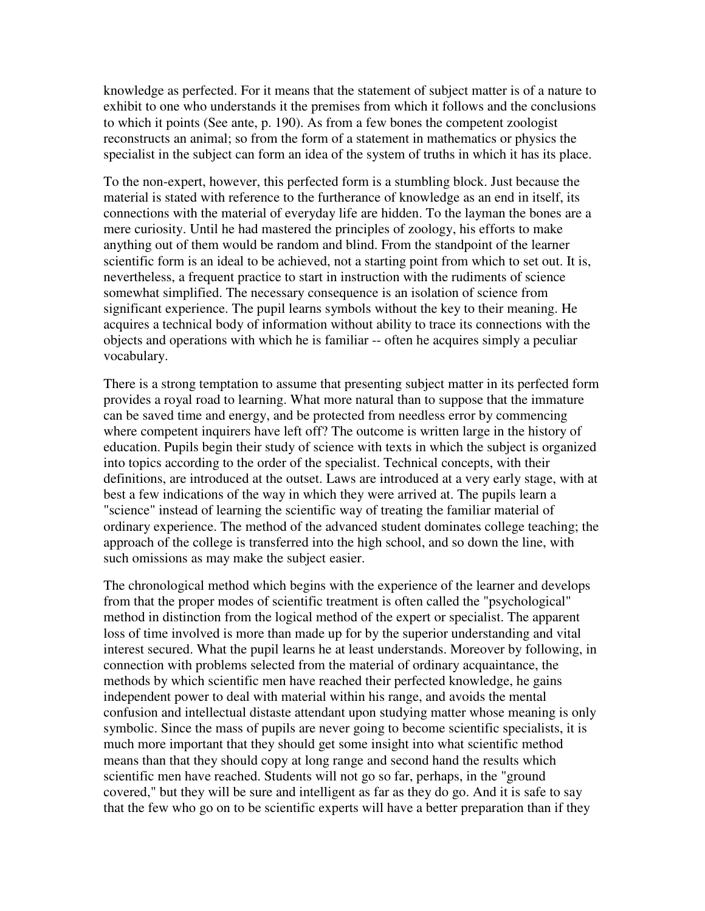knowledge as perfected. For it means that the statement of subject matter is of a nature to exhibit to one who understands it the premises from which it follows and the conclusions to which it points (See ante, p. 190). As from a few bones the competent zoologist reconstructs an animal; so from the form of a statement in mathematics or physics the specialist in the subject can form an idea of the system of truths in which it has its place.

To the non-expert, however, this perfected form is a stumbling block. Just because the material is stated with reference to the furtherance of knowledge as an end in itself, its connections with the material of everyday life are hidden. To the layman the bones are a mere curiosity. Until he had mastered the principles of zoology, his efforts to make anything out of them would be random and blind. From the standpoint of the learner scientific form is an ideal to be achieved, not a starting point from which to set out. It is, nevertheless, a frequent practice to start in instruction with the rudiments of science somewhat simplified. The necessary consequence is an isolation of science from significant experience. The pupil learns symbols without the key to their meaning. He acquires a technical body of information without ability to trace its connections with the objects and operations with which he is familiar -- often he acquires simply a peculiar vocabulary.

There is a strong temptation to assume that presenting subject matter in its perfected form provides a royal road to learning. What more natural than to suppose that the immature can be saved time and energy, and be protected from needless error by commencing where competent inquirers have left off? The outcome is written large in the history of education. Pupils begin their study of science with texts in which the subject is organized into topics according to the order of the specialist. Technical concepts, with their definitions, are introduced at the outset. Laws are introduced at a very early stage, with at best a few indications of the way in which they were arrived at. The pupils learn a "science" instead of learning the scientific way of treating the familiar material of ordinary experience. The method of the advanced student dominates college teaching; the approach of the college is transferred into the high school, and so down the line, with such omissions as may make the subject easier.

The chronological method which begins with the experience of the learner and develops from that the proper modes of scientific treatment is often called the "psychological" method in distinction from the logical method of the expert or specialist. The apparent loss of time involved is more than made up for by the superior understanding and vital interest secured. What the pupil learns he at least understands. Moreover by following, in connection with problems selected from the material of ordinary acquaintance, the methods by which scientific men have reached their perfected knowledge, he gains independent power to deal with material within his range, and avoids the mental confusion and intellectual distaste attendant upon studying matter whose meaning is only symbolic. Since the mass of pupils are never going to become scientific specialists, it is much more important that they should get some insight into what scientific method means than that they should copy at long range and second hand the results which scientific men have reached. Students will not go so far, perhaps, in the "ground covered," but they will be sure and intelligent as far as they do go. And it is safe to say that the few who go on to be scientific experts will have a better preparation than if they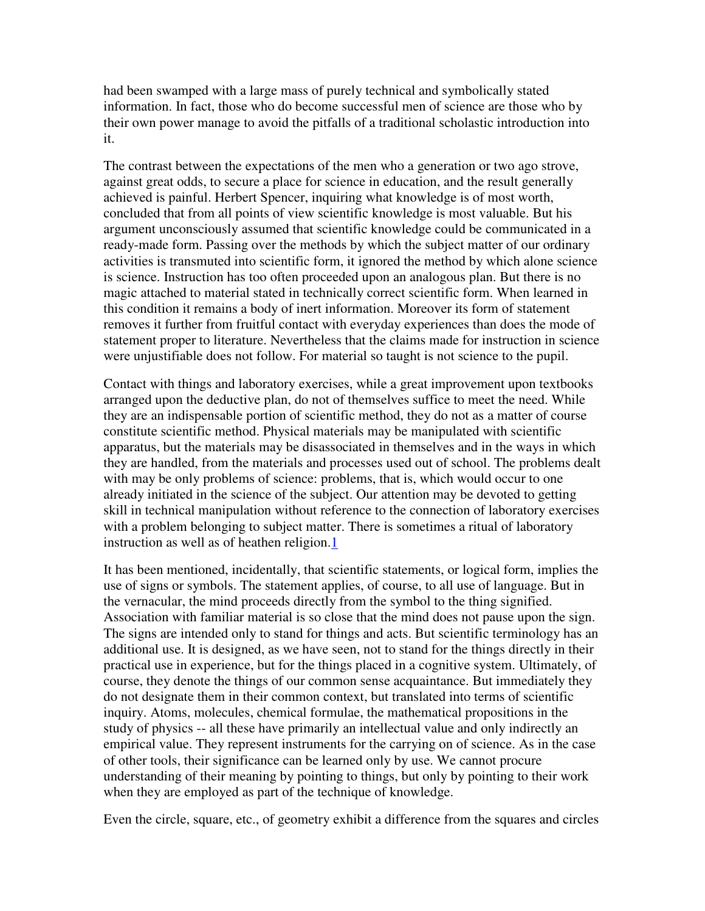had been swamped with a large mass of purely technical and symbolically stated information. In fact, those who do become successful men of science are those who by their own power manage to avoid the pitfalls of a traditional scholastic introduction into it.

The contrast between the expectations of the men who a generation or two ago strove, against great odds, to secure a place for science in education, and the result generally achieved is painful. Herbert Spencer, inquiring what knowledge is of most worth, concluded that from all points of view scientific knowledge is most valuable. But his argument unconsciously assumed that scientific knowledge could be communicated in a ready-made form. Passing over the methods by which the subject matter of our ordinary activities is transmuted into scientific form, it ignored the method by which alone science is science. Instruction has too often proceeded upon an analogous plan. But there is no magic attached to material stated in technically correct scientific form. When learned in this condition it remains a body of inert information. Moreover its form of statement removes it further from fruitful contact with everyday experiences than does the mode of statement proper to literature. Nevertheless that the claims made for instruction in science were unjustifiable does not follow. For material so taught is not science to the pupil.

Contact with things and laboratory exercises, while a great improvement upon textbooks arranged upon the deductive plan, do not of themselves suffice to meet the need. While they are an indispensable portion of scientific method, they do not as a matter of course constitute scientific method. Physical materials may be manipulated with scientific apparatus, but the materials may be disassociated in themselves and in the ways in which they are handled, from the materials and processes used out of school. The problems dealt with may be only problems of science: problems, that is, which would occur to one already initiated in the science of the subject. Our attention may be devoted to getting skill in technical manipulation without reference to the connection of laboratory exercises with a problem belonging to subject matter. There is sometimes a ritual of laboratory instruction as well as of heathen religion.1

It has been mentioned, incidentally, that scientific statements, or logical form, implies the use of signs or symbols. The statement applies, of course, to all use of language. But in the vernacular, the mind proceeds directly from the symbol to the thing signified. Association with familiar material is so close that the mind does not pause upon the sign. The signs are intended only to stand for things and acts. But scientific terminology has an additional use. It is designed, as we have seen, not to stand for the things directly in their practical use in experience, but for the things placed in a cognitive system. Ultimately, of course, they denote the things of our common sense acquaintance. But immediately they do not designate them in their common context, but translated into terms of scientific inquiry. Atoms, molecules, chemical formulae, the mathematical propositions in the study of physics -- all these have primarily an intellectual value and only indirectly an empirical value. They represent instruments for the carrying on of science. As in the case of other tools, their significance can be learned only by use. We cannot procure understanding of their meaning by pointing to things, but only by pointing to their work when they are employed as part of the technique of knowledge.

Even the circle, square, etc., of geometry exhibit a difference from the squares and circles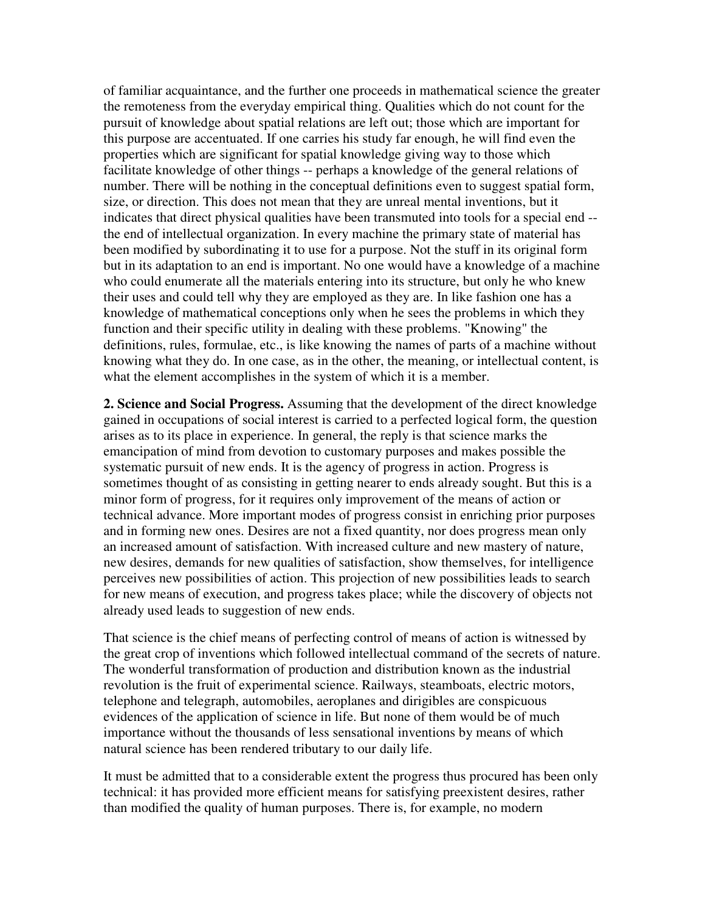of familiar acquaintance, and the further one proceeds in mathematical science the greater the remoteness from the everyday empirical thing. Qualities which do not count for the pursuit of knowledge about spatial relations are left out; those which are important for this purpose are accentuated. If one carries his study far enough, he will find even the properties which are significant for spatial knowledge giving way to those which facilitate knowledge of other things -- perhaps a knowledge of the general relations of number. There will be nothing in the conceptual definitions even to suggest spatial form, size, or direction. This does not mean that they are unreal mental inventions, but it indicates that direct physical qualities have been transmuted into tools for a special end - the end of intellectual organization. In every machine the primary state of material has been modified by subordinating it to use for a purpose. Not the stuff in its original form but in its adaptation to an end is important. No one would have a knowledge of a machine who could enumerate all the materials entering into its structure, but only he who knew their uses and could tell why they are employed as they are. In like fashion one has a knowledge of mathematical conceptions only when he sees the problems in which they function and their specific utility in dealing with these problems. "Knowing" the definitions, rules, formulae, etc., is like knowing the names of parts of a machine without knowing what they do. In one case, as in the other, the meaning, or intellectual content, is what the element accomplishes in the system of which it is a member.

**2. Science and Social Progress.** Assuming that the development of the direct knowledge gained in occupations of social interest is carried to a perfected logical form, the question arises as to its place in experience. In general, the reply is that science marks the emancipation of mind from devotion to customary purposes and makes possible the systematic pursuit of new ends. It is the agency of progress in action. Progress is sometimes thought of as consisting in getting nearer to ends already sought. But this is a minor form of progress, for it requires only improvement of the means of action or technical advance. More important modes of progress consist in enriching prior purposes and in forming new ones. Desires are not a fixed quantity, nor does progress mean only an increased amount of satisfaction. With increased culture and new mastery of nature, new desires, demands for new qualities of satisfaction, show themselves, for intelligence perceives new possibilities of action. This projection of new possibilities leads to search for new means of execution, and progress takes place; while the discovery of objects not already used leads to suggestion of new ends.

That science is the chief means of perfecting control of means of action is witnessed by the great crop of inventions which followed intellectual command of the secrets of nature. The wonderful transformation of production and distribution known as the industrial revolution is the fruit of experimental science. Railways, steamboats, electric motors, telephone and telegraph, automobiles, aeroplanes and dirigibles are conspicuous evidences of the application of science in life. But none of them would be of much importance without the thousands of less sensational inventions by means of which natural science has been rendered tributary to our daily life.

It must be admitted that to a considerable extent the progress thus procured has been only technical: it has provided more efficient means for satisfying preexistent desires, rather than modified the quality of human purposes. There is, for example, no modern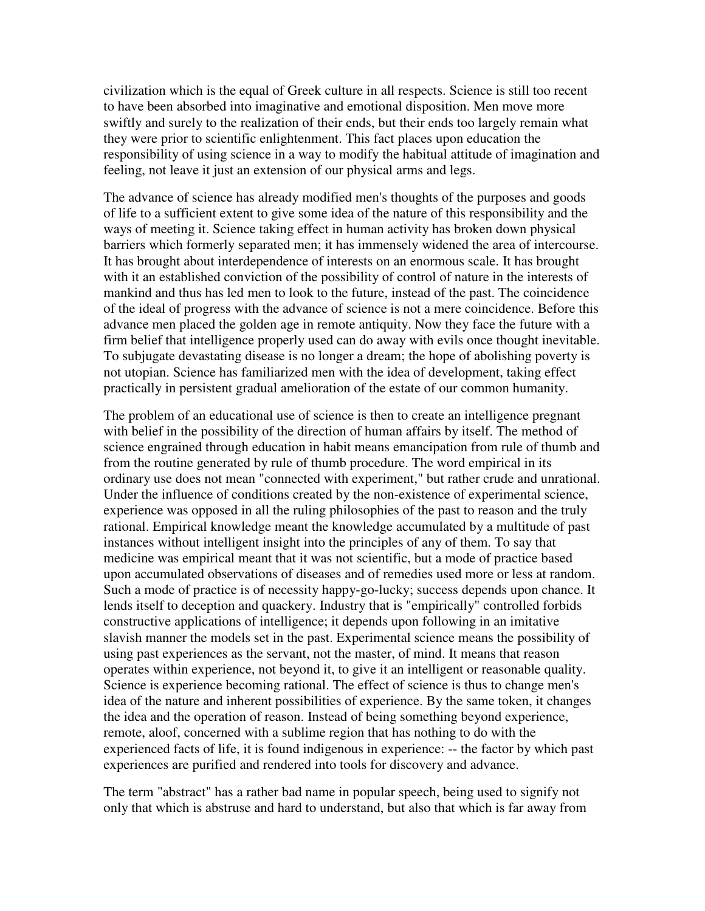civilization which is the equal of Greek culture in all respects. Science is still too recent to have been absorbed into imaginative and emotional disposition. Men move more swiftly and surely to the realization of their ends, but their ends too largely remain what they were prior to scientific enlightenment. This fact places upon education the responsibility of using science in a way to modify the habitual attitude of imagination and feeling, not leave it just an extension of our physical arms and legs.

The advance of science has already modified men's thoughts of the purposes and goods of life to a sufficient extent to give some idea of the nature of this responsibility and the ways of meeting it. Science taking effect in human activity has broken down physical barriers which formerly separated men; it has immensely widened the area of intercourse. It has brought about interdependence of interests on an enormous scale. It has brought with it an established conviction of the possibility of control of nature in the interests of mankind and thus has led men to look to the future, instead of the past. The coincidence of the ideal of progress with the advance of science is not a mere coincidence. Before this advance men placed the golden age in remote antiquity. Now they face the future with a firm belief that intelligence properly used can do away with evils once thought inevitable. To subjugate devastating disease is no longer a dream; the hope of abolishing poverty is not utopian. Science has familiarized men with the idea of development, taking effect practically in persistent gradual amelioration of the estate of our common humanity.

The problem of an educational use of science is then to create an intelligence pregnant with belief in the possibility of the direction of human affairs by itself. The method of science engrained through education in habit means emancipation from rule of thumb and from the routine generated by rule of thumb procedure. The word empirical in its ordinary use does not mean "connected with experiment," but rather crude and unrational. Under the influence of conditions created by the non-existence of experimental science, experience was opposed in all the ruling philosophies of the past to reason and the truly rational. Empirical knowledge meant the knowledge accumulated by a multitude of past instances without intelligent insight into the principles of any of them. To say that medicine was empirical meant that it was not scientific, but a mode of practice based upon accumulated observations of diseases and of remedies used more or less at random. Such a mode of practice is of necessity happy-go-lucky; success depends upon chance. It lends itself to deception and quackery. Industry that is "empirically" controlled forbids constructive applications of intelligence; it depends upon following in an imitative slavish manner the models set in the past. Experimental science means the possibility of using past experiences as the servant, not the master, of mind. It means that reason operates within experience, not beyond it, to give it an intelligent or reasonable quality. Science is experience becoming rational. The effect of science is thus to change men's idea of the nature and inherent possibilities of experience. By the same token, it changes the idea and the operation of reason. Instead of being something beyond experience, remote, aloof, concerned with a sublime region that has nothing to do with the experienced facts of life, it is found indigenous in experience: -- the factor by which past experiences are purified and rendered into tools for discovery and advance.

The term "abstract" has a rather bad name in popular speech, being used to signify not only that which is abstruse and hard to understand, but also that which is far away from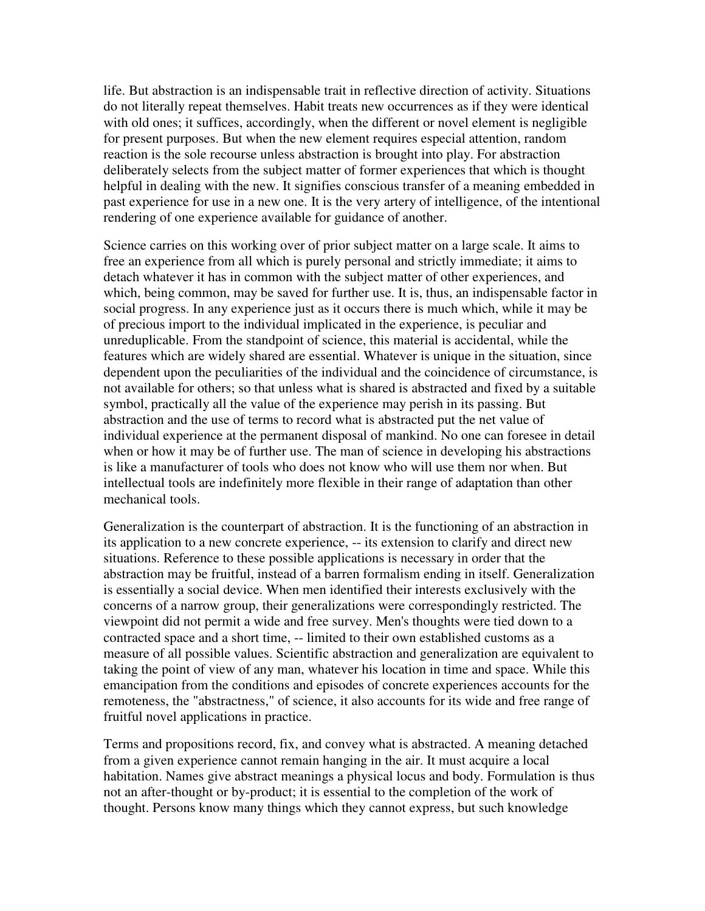life. But abstraction is an indispensable trait in reflective direction of activity. Situations do not literally repeat themselves. Habit treats new occurrences as if they were identical with old ones; it suffices, accordingly, when the different or novel element is negligible for present purposes. But when the new element requires especial attention, random reaction is the sole recourse unless abstraction is brought into play. For abstraction deliberately selects from the subject matter of former experiences that which is thought helpful in dealing with the new. It signifies conscious transfer of a meaning embedded in past experience for use in a new one. It is the very artery of intelligence, of the intentional rendering of one experience available for guidance of another.

Science carries on this working over of prior subject matter on a large scale. It aims to free an experience from all which is purely personal and strictly immediate; it aims to detach whatever it has in common with the subject matter of other experiences, and which, being common, may be saved for further use. It is, thus, an indispensable factor in social progress. In any experience just as it occurs there is much which, while it may be of precious import to the individual implicated in the experience, is peculiar and unreduplicable. From the standpoint of science, this material is accidental, while the features which are widely shared are essential. Whatever is unique in the situation, since dependent upon the peculiarities of the individual and the coincidence of circumstance, is not available for others; so that unless what is shared is abstracted and fixed by a suitable symbol, practically all the value of the experience may perish in its passing. But abstraction and the use of terms to record what is abstracted put the net value of individual experience at the permanent disposal of mankind. No one can foresee in detail when or how it may be of further use. The man of science in developing his abstractions is like a manufacturer of tools who does not know who will use them nor when. But intellectual tools are indefinitely more flexible in their range of adaptation than other mechanical tools.

Generalization is the counterpart of abstraction. It is the functioning of an abstraction in its application to a new concrete experience, -- its extension to clarify and direct new situations. Reference to these possible applications is necessary in order that the abstraction may be fruitful, instead of a barren formalism ending in itself. Generalization is essentially a social device. When men identified their interests exclusively with the concerns of a narrow group, their generalizations were correspondingly restricted. The viewpoint did not permit a wide and free survey. Men's thoughts were tied down to a contracted space and a short time, -- limited to their own established customs as a measure of all possible values. Scientific abstraction and generalization are equivalent to taking the point of view of any man, whatever his location in time and space. While this emancipation from the conditions and episodes of concrete experiences accounts for the remoteness, the "abstractness," of science, it also accounts for its wide and free range of fruitful novel applications in practice.

Terms and propositions record, fix, and convey what is abstracted. A meaning detached from a given experience cannot remain hanging in the air. It must acquire a local habitation. Names give abstract meanings a physical locus and body. Formulation is thus not an after-thought or by-product; it is essential to the completion of the work of thought. Persons know many things which they cannot express, but such knowledge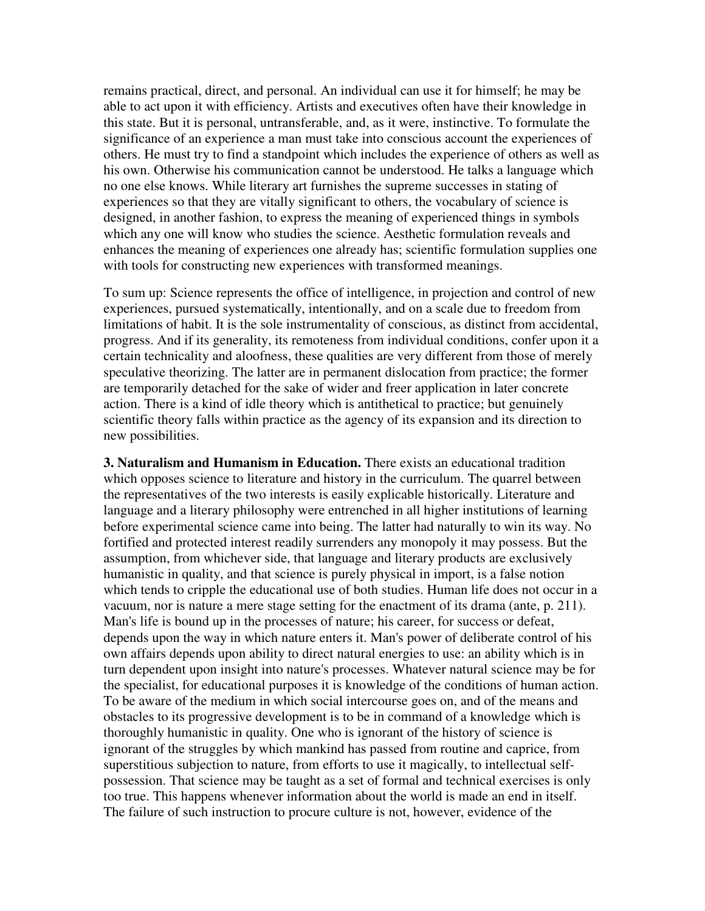remains practical, direct, and personal. An individual can use it for himself; he may be able to act upon it with efficiency. Artists and executives often have their knowledge in this state. But it is personal, untransferable, and, as it were, instinctive. To formulate the significance of an experience a man must take into conscious account the experiences of others. He must try to find a standpoint which includes the experience of others as well as his own. Otherwise his communication cannot be understood. He talks a language which no one else knows. While literary art furnishes the supreme successes in stating of experiences so that they are vitally significant to others, the vocabulary of science is designed, in another fashion, to express the meaning of experienced things in symbols which any one will know who studies the science. Aesthetic formulation reveals and enhances the meaning of experiences one already has; scientific formulation supplies one with tools for constructing new experiences with transformed meanings.

To sum up: Science represents the office of intelligence, in projection and control of new experiences, pursued systematically, intentionally, and on a scale due to freedom from limitations of habit. It is the sole instrumentality of conscious, as distinct from accidental, progress. And if its generality, its remoteness from individual conditions, confer upon it a certain technicality and aloofness, these qualities are very different from those of merely speculative theorizing. The latter are in permanent dislocation from practice; the former are temporarily detached for the sake of wider and freer application in later concrete action. There is a kind of idle theory which is antithetical to practice; but genuinely scientific theory falls within practice as the agency of its expansion and its direction to new possibilities.

**3. Naturalism and Humanism in Education.** There exists an educational tradition which opposes science to literature and history in the curriculum. The quarrel between the representatives of the two interests is easily explicable historically. Literature and language and a literary philosophy were entrenched in all higher institutions of learning before experimental science came into being. The latter had naturally to win its way. No fortified and protected interest readily surrenders any monopoly it may possess. But the assumption, from whichever side, that language and literary products are exclusively humanistic in quality, and that science is purely physical in import, is a false notion which tends to cripple the educational use of both studies. Human life does not occur in a vacuum, nor is nature a mere stage setting for the enactment of its drama (ante, p. 211). Man's life is bound up in the processes of nature; his career, for success or defeat, depends upon the way in which nature enters it. Man's power of deliberate control of his own affairs depends upon ability to direct natural energies to use: an ability which is in turn dependent upon insight into nature's processes. Whatever natural science may be for the specialist, for educational purposes it is knowledge of the conditions of human action. To be aware of the medium in which social intercourse goes on, and of the means and obstacles to its progressive development is to be in command of a knowledge which is thoroughly humanistic in quality. One who is ignorant of the history of science is ignorant of the struggles by which mankind has passed from routine and caprice, from superstitious subjection to nature, from efforts to use it magically, to intellectual selfpossession. That science may be taught as a set of formal and technical exercises is only too true. This happens whenever information about the world is made an end in itself. The failure of such instruction to procure culture is not, however, evidence of the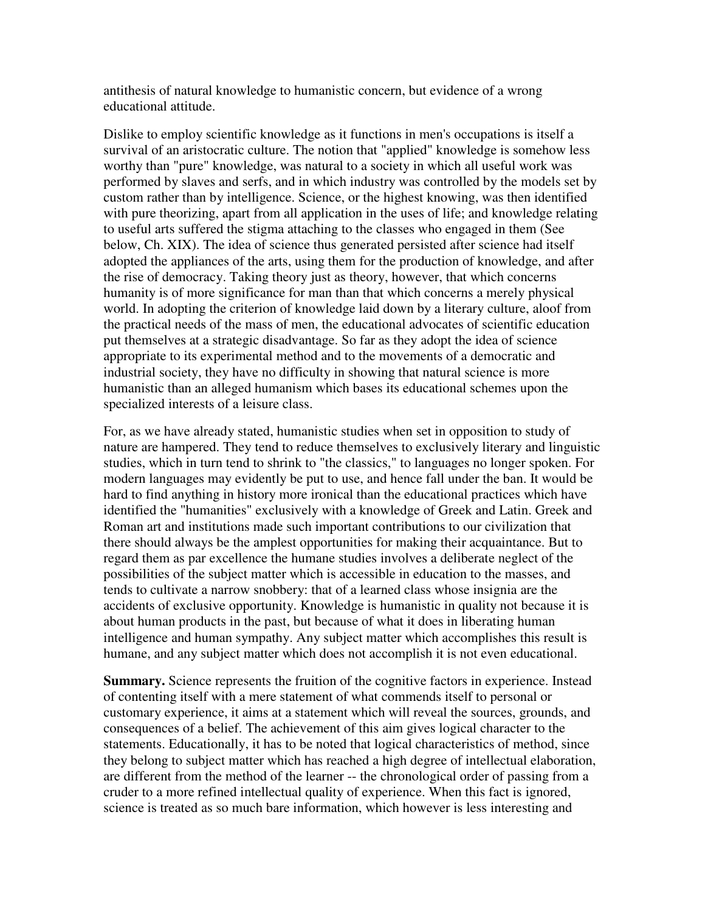antithesis of natural knowledge to humanistic concern, but evidence of a wrong educational attitude.

Dislike to employ scientific knowledge as it functions in men's occupations is itself a survival of an aristocratic culture. The notion that "applied" knowledge is somehow less worthy than "pure" knowledge, was natural to a society in which all useful work was performed by slaves and serfs, and in which industry was controlled by the models set by custom rather than by intelligence. Science, or the highest knowing, was then identified with pure theorizing, apart from all application in the uses of life; and knowledge relating to useful arts suffered the stigma attaching to the classes who engaged in them (See below, Ch. XIX). The idea of science thus generated persisted after science had itself adopted the appliances of the arts, using them for the production of knowledge, and after the rise of democracy. Taking theory just as theory, however, that which concerns humanity is of more significance for man than that which concerns a merely physical world. In adopting the criterion of knowledge laid down by a literary culture, aloof from the practical needs of the mass of men, the educational advocates of scientific education put themselves at a strategic disadvantage. So far as they adopt the idea of science appropriate to its experimental method and to the movements of a democratic and industrial society, they have no difficulty in showing that natural science is more humanistic than an alleged humanism which bases its educational schemes upon the specialized interests of a leisure class.

For, as we have already stated, humanistic studies when set in opposition to study of nature are hampered. They tend to reduce themselves to exclusively literary and linguistic studies, which in turn tend to shrink to "the classics," to languages no longer spoken. For modern languages may evidently be put to use, and hence fall under the ban. It would be hard to find anything in history more ironical than the educational practices which have identified the "humanities" exclusively with a knowledge of Greek and Latin. Greek and Roman art and institutions made such important contributions to our civilization that there should always be the amplest opportunities for making their acquaintance. But to regard them as par excellence the humane studies involves a deliberate neglect of the possibilities of the subject matter which is accessible in education to the masses, and tends to cultivate a narrow snobbery: that of a learned class whose insignia are the accidents of exclusive opportunity. Knowledge is humanistic in quality not because it is about human products in the past, but because of what it does in liberating human intelligence and human sympathy. Any subject matter which accomplishes this result is humane, and any subject matter which does not accomplish it is not even educational.

**Summary.** Science represents the fruition of the cognitive factors in experience. Instead of contenting itself with a mere statement of what commends itself to personal or customary experience, it aims at a statement which will reveal the sources, grounds, and consequences of a belief. The achievement of this aim gives logical character to the statements. Educationally, it has to be noted that logical characteristics of method, since they belong to subject matter which has reached a high degree of intellectual elaboration, are different from the method of the learner -- the chronological order of passing from a cruder to a more refined intellectual quality of experience. When this fact is ignored, science is treated as so much bare information, which however is less interesting and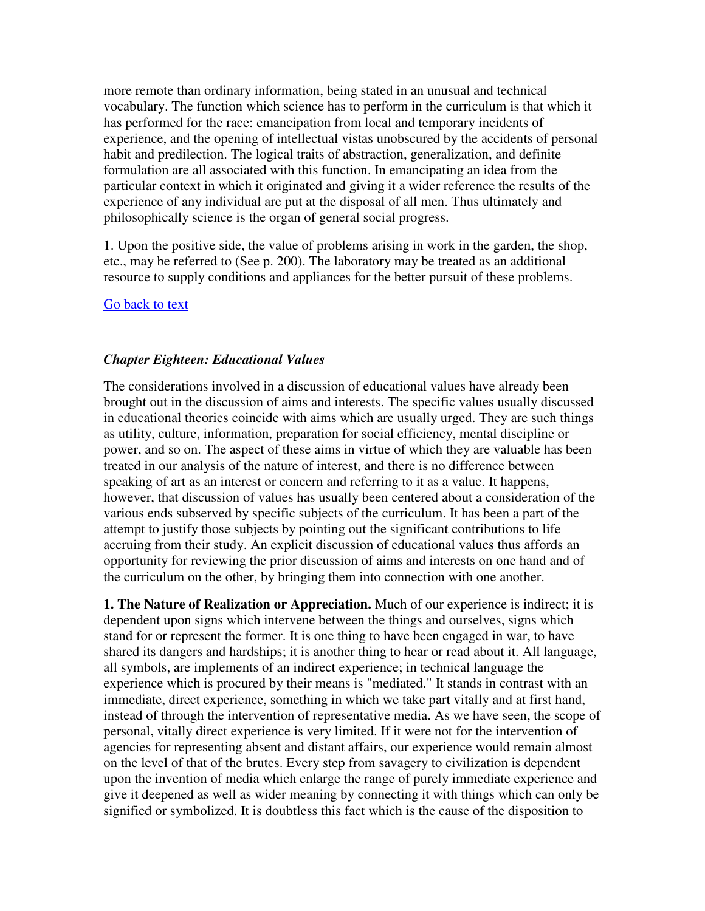more remote than ordinary information, being stated in an unusual and technical vocabulary. The function which science has to perform in the curriculum is that which it has performed for the race: emancipation from local and temporary incidents of experience, and the opening of intellectual vistas unobscured by the accidents of personal habit and predilection. The logical traits of abstraction, generalization, and definite formulation are all associated with this function. In emancipating an idea from the particular context in which it originated and giving it a wider reference the results of the experience of any individual are put at the disposal of all men. Thus ultimately and philosophically science is the organ of general social progress.

1. Upon the positive side, the value of problems arising in work in the garden, the shop, etc., may be referred to (See p. 200). The laboratory may be treated as an additional resource to supply conditions and appliances for the better pursuit of these problems.

### Go back to text

### *Chapter Eighteen: Educational Values*

The considerations involved in a discussion of educational values have already been brought out in the discussion of aims and interests. The specific values usually discussed in educational theories coincide with aims which are usually urged. They are such things as utility, culture, information, preparation for social efficiency, mental discipline or power, and so on. The aspect of these aims in virtue of which they are valuable has been treated in our analysis of the nature of interest, and there is no difference between speaking of art as an interest or concern and referring to it as a value. It happens, however, that discussion of values has usually been centered about a consideration of the various ends subserved by specific subjects of the curriculum. It has been a part of the attempt to justify those subjects by pointing out the significant contributions to life accruing from their study. An explicit discussion of educational values thus affords an opportunity for reviewing the prior discussion of aims and interests on one hand and of the curriculum on the other, by bringing them into connection with one another.

**1. The Nature of Realization or Appreciation.** Much of our experience is indirect; it is dependent upon signs which intervene between the things and ourselves, signs which stand for or represent the former. It is one thing to have been engaged in war, to have shared its dangers and hardships; it is another thing to hear or read about it. All language, all symbols, are implements of an indirect experience; in technical language the experience which is procured by their means is "mediated." It stands in contrast with an immediate, direct experience, something in which we take part vitally and at first hand, instead of through the intervention of representative media. As we have seen, the scope of personal, vitally direct experience is very limited. If it were not for the intervention of agencies for representing absent and distant affairs, our experience would remain almost on the level of that of the brutes. Every step from savagery to civilization is dependent upon the invention of media which enlarge the range of purely immediate experience and give it deepened as well as wider meaning by connecting it with things which can only be signified or symbolized. It is doubtless this fact which is the cause of the disposition to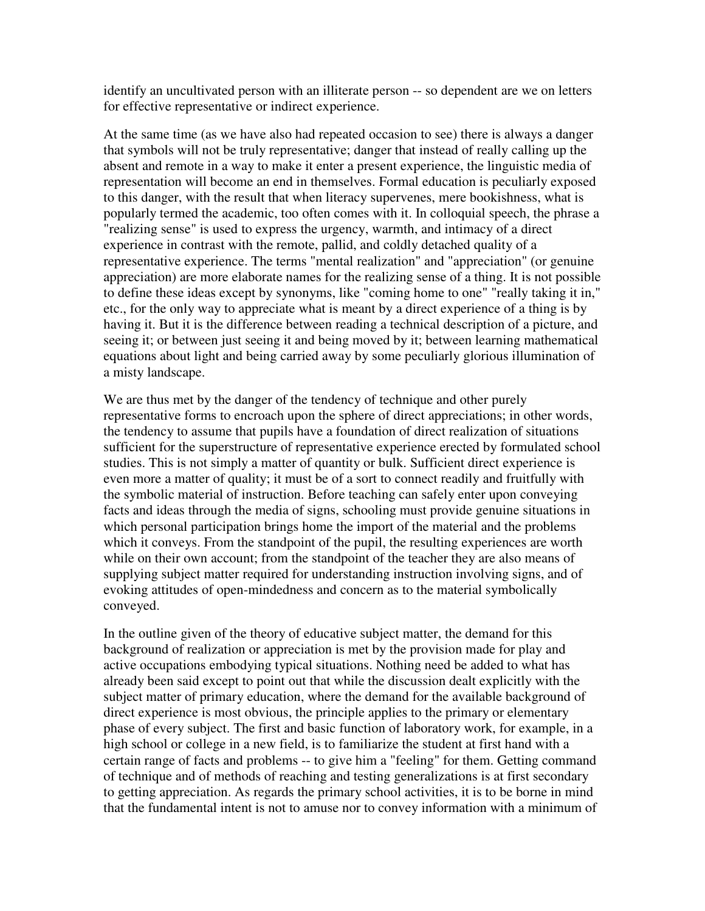identify an uncultivated person with an illiterate person -- so dependent are we on letters for effective representative or indirect experience.

At the same time (as we have also had repeated occasion to see) there is always a danger that symbols will not be truly representative; danger that instead of really calling up the absent and remote in a way to make it enter a present experience, the linguistic media of representation will become an end in themselves. Formal education is peculiarly exposed to this danger, with the result that when literacy supervenes, mere bookishness, what is popularly termed the academic, too often comes with it. In colloquial speech, the phrase a "realizing sense" is used to express the urgency, warmth, and intimacy of a direct experience in contrast with the remote, pallid, and coldly detached quality of a representative experience. The terms "mental realization" and "appreciation" (or genuine appreciation) are more elaborate names for the realizing sense of a thing. It is not possible to define these ideas except by synonyms, like "coming home to one" "really taking it in," etc., for the only way to appreciate what is meant by a direct experience of a thing is by having it. But it is the difference between reading a technical description of a picture, and seeing it; or between just seeing it and being moved by it; between learning mathematical equations about light and being carried away by some peculiarly glorious illumination of a misty landscape.

We are thus met by the danger of the tendency of technique and other purely representative forms to encroach upon the sphere of direct appreciations; in other words, the tendency to assume that pupils have a foundation of direct realization of situations sufficient for the superstructure of representative experience erected by formulated school studies. This is not simply a matter of quantity or bulk. Sufficient direct experience is even more a matter of quality; it must be of a sort to connect readily and fruitfully with the symbolic material of instruction. Before teaching can safely enter upon conveying facts and ideas through the media of signs, schooling must provide genuine situations in which personal participation brings home the import of the material and the problems which it conveys. From the standpoint of the pupil, the resulting experiences are worth while on their own account; from the standpoint of the teacher they are also means of supplying subject matter required for understanding instruction involving signs, and of evoking attitudes of open-mindedness and concern as to the material symbolically conveyed.

In the outline given of the theory of educative subject matter, the demand for this background of realization or appreciation is met by the provision made for play and active occupations embodying typical situations. Nothing need be added to what has already been said except to point out that while the discussion dealt explicitly with the subject matter of primary education, where the demand for the available background of direct experience is most obvious, the principle applies to the primary or elementary phase of every subject. The first and basic function of laboratory work, for example, in a high school or college in a new field, is to familiarize the student at first hand with a certain range of facts and problems -- to give him a "feeling" for them. Getting command of technique and of methods of reaching and testing generalizations is at first secondary to getting appreciation. As regards the primary school activities, it is to be borne in mind that the fundamental intent is not to amuse nor to convey information with a minimum of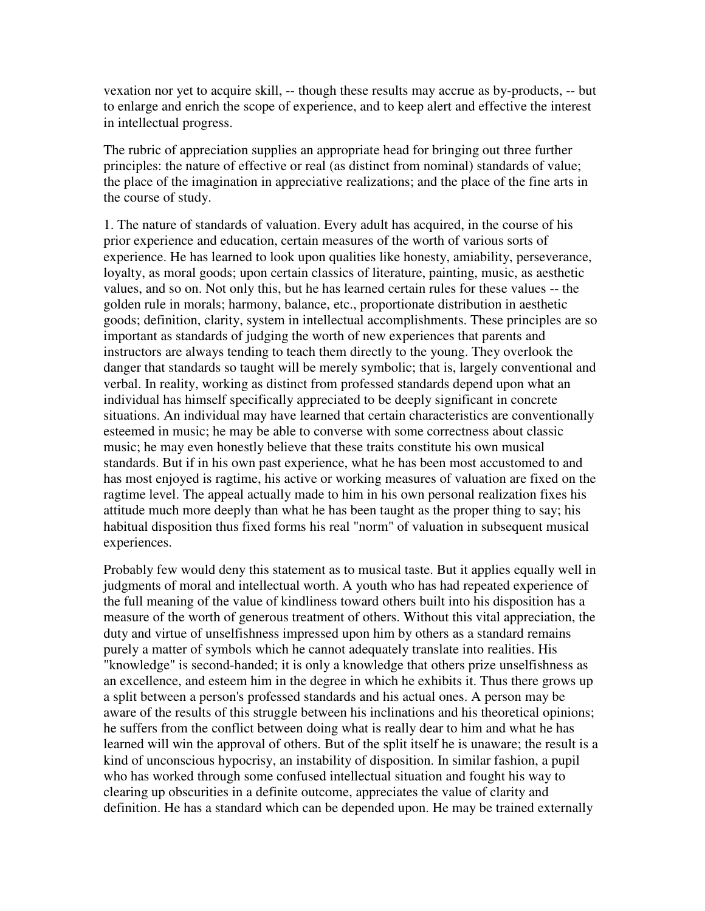vexation nor yet to acquire skill, -- though these results may accrue as by-products, -- but to enlarge and enrich the scope of experience, and to keep alert and effective the interest in intellectual progress.

The rubric of appreciation supplies an appropriate head for bringing out three further principles: the nature of effective or real (as distinct from nominal) standards of value; the place of the imagination in appreciative realizations; and the place of the fine arts in the course of study.

1. The nature of standards of valuation. Every adult has acquired, in the course of his prior experience and education, certain measures of the worth of various sorts of experience. He has learned to look upon qualities like honesty, amiability, perseverance, loyalty, as moral goods; upon certain classics of literature, painting, music, as aesthetic values, and so on. Not only this, but he has learned certain rules for these values -- the golden rule in morals; harmony, balance, etc., proportionate distribution in aesthetic goods; definition, clarity, system in intellectual accomplishments. These principles are so important as standards of judging the worth of new experiences that parents and instructors are always tending to teach them directly to the young. They overlook the danger that standards so taught will be merely symbolic; that is, largely conventional and verbal. In reality, working as distinct from professed standards depend upon what an individual has himself specifically appreciated to be deeply significant in concrete situations. An individual may have learned that certain characteristics are conventionally esteemed in music; he may be able to converse with some correctness about classic music; he may even honestly believe that these traits constitute his own musical standards. But if in his own past experience, what he has been most accustomed to and has most enjoyed is ragtime, his active or working measures of valuation are fixed on the ragtime level. The appeal actually made to him in his own personal realization fixes his attitude much more deeply than what he has been taught as the proper thing to say; his habitual disposition thus fixed forms his real "norm" of valuation in subsequent musical experiences.

Probably few would deny this statement as to musical taste. But it applies equally well in judgments of moral and intellectual worth. A youth who has had repeated experience of the full meaning of the value of kindliness toward others built into his disposition has a measure of the worth of generous treatment of others. Without this vital appreciation, the duty and virtue of unselfishness impressed upon him by others as a standard remains purely a matter of symbols which he cannot adequately translate into realities. His "knowledge" is second-handed; it is only a knowledge that others prize unselfishness as an excellence, and esteem him in the degree in which he exhibits it. Thus there grows up a split between a person's professed standards and his actual ones. A person may be aware of the results of this struggle between his inclinations and his theoretical opinions; he suffers from the conflict between doing what is really dear to him and what he has learned will win the approval of others. But of the split itself he is unaware; the result is a kind of unconscious hypocrisy, an instability of disposition. In similar fashion, a pupil who has worked through some confused intellectual situation and fought his way to clearing up obscurities in a definite outcome, appreciates the value of clarity and definition. He has a standard which can be depended upon. He may be trained externally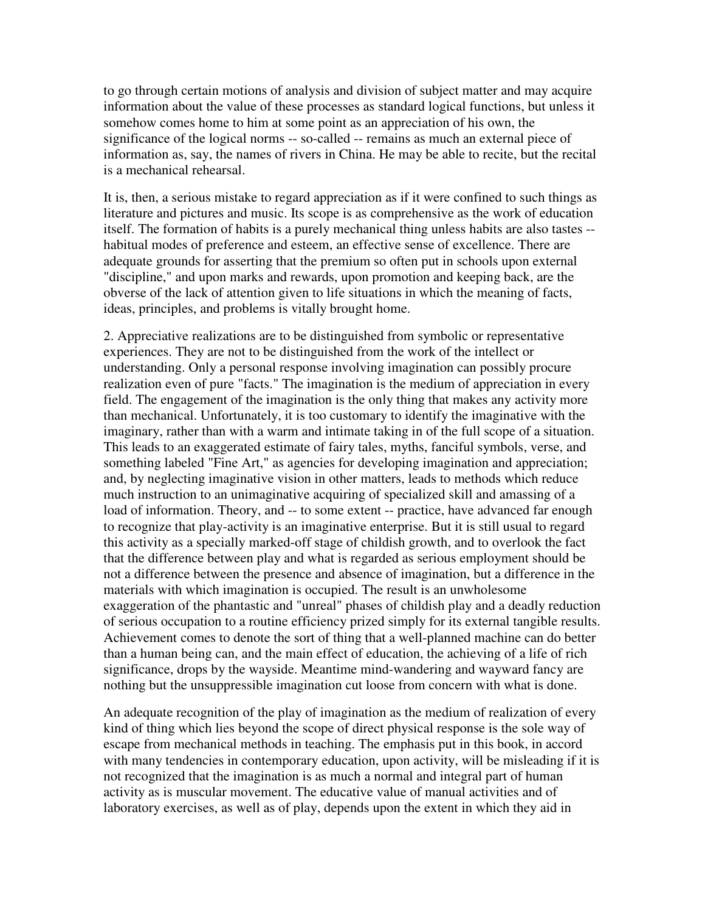to go through certain motions of analysis and division of subject matter and may acquire information about the value of these processes as standard logical functions, but unless it somehow comes home to him at some point as an appreciation of his own, the significance of the logical norms -- so-called -- remains as much an external piece of information as, say, the names of rivers in China. He may be able to recite, but the recital is a mechanical rehearsal.

It is, then, a serious mistake to regard appreciation as if it were confined to such things as literature and pictures and music. Its scope is as comprehensive as the work of education itself. The formation of habits is a purely mechanical thing unless habits are also tastes - habitual modes of preference and esteem, an effective sense of excellence. There are adequate grounds for asserting that the premium so often put in schools upon external "discipline," and upon marks and rewards, upon promotion and keeping back, are the obverse of the lack of attention given to life situations in which the meaning of facts, ideas, principles, and problems is vitally brought home.

2. Appreciative realizations are to be distinguished from symbolic or representative experiences. They are not to be distinguished from the work of the intellect or understanding. Only a personal response involving imagination can possibly procure realization even of pure "facts." The imagination is the medium of appreciation in every field. The engagement of the imagination is the only thing that makes any activity more than mechanical. Unfortunately, it is too customary to identify the imaginative with the imaginary, rather than with a warm and intimate taking in of the full scope of a situation. This leads to an exaggerated estimate of fairy tales, myths, fanciful symbols, verse, and something labeled "Fine Art," as agencies for developing imagination and appreciation; and, by neglecting imaginative vision in other matters, leads to methods which reduce much instruction to an unimaginative acquiring of specialized skill and amassing of a load of information. Theory, and -- to some extent -- practice, have advanced far enough to recognize that play-activity is an imaginative enterprise. But it is still usual to regard this activity as a specially marked-off stage of childish growth, and to overlook the fact that the difference between play and what is regarded as serious employment should be not a difference between the presence and absence of imagination, but a difference in the materials with which imagination is occupied. The result is an unwholesome exaggeration of the phantastic and "unreal" phases of childish play and a deadly reduction of serious occupation to a routine efficiency prized simply for its external tangible results. Achievement comes to denote the sort of thing that a well-planned machine can do better than a human being can, and the main effect of education, the achieving of a life of rich significance, drops by the wayside. Meantime mind-wandering and wayward fancy are nothing but the unsuppressible imagination cut loose from concern with what is done.

An adequate recognition of the play of imagination as the medium of realization of every kind of thing which lies beyond the scope of direct physical response is the sole way of escape from mechanical methods in teaching. The emphasis put in this book, in accord with many tendencies in contemporary education, upon activity, will be misleading if it is not recognized that the imagination is as much a normal and integral part of human activity as is muscular movement. The educative value of manual activities and of laboratory exercises, as well as of play, depends upon the extent in which they aid in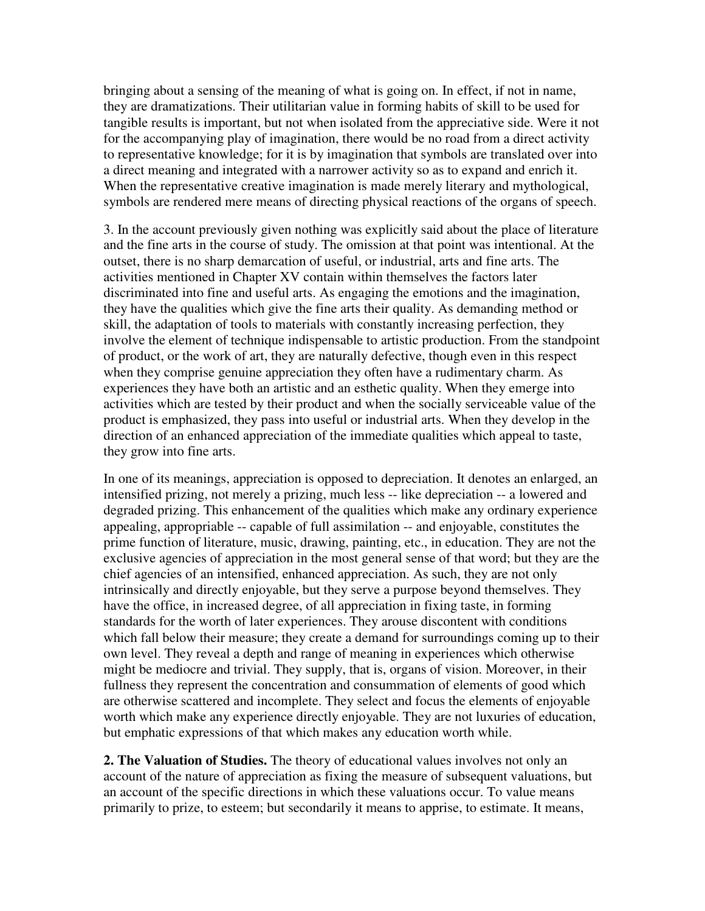bringing about a sensing of the meaning of what is going on. In effect, if not in name, they are dramatizations. Their utilitarian value in forming habits of skill to be used for tangible results is important, but not when isolated from the appreciative side. Were it not for the accompanying play of imagination, there would be no road from a direct activity to representative knowledge; for it is by imagination that symbols are translated over into a direct meaning and integrated with a narrower activity so as to expand and enrich it. When the representative creative imagination is made merely literary and mythological, symbols are rendered mere means of directing physical reactions of the organs of speech.

3. In the account previously given nothing was explicitly said about the place of literature and the fine arts in the course of study. The omission at that point was intentional. At the outset, there is no sharp demarcation of useful, or industrial, arts and fine arts. The activities mentioned in Chapter XV contain within themselves the factors later discriminated into fine and useful arts. As engaging the emotions and the imagination, they have the qualities which give the fine arts their quality. As demanding method or skill, the adaptation of tools to materials with constantly increasing perfection, they involve the element of technique indispensable to artistic production. From the standpoint of product, or the work of art, they are naturally defective, though even in this respect when they comprise genuine appreciation they often have a rudimentary charm. As experiences they have both an artistic and an esthetic quality. When they emerge into activities which are tested by their product and when the socially serviceable value of the product is emphasized, they pass into useful or industrial arts. When they develop in the direction of an enhanced appreciation of the immediate qualities which appeal to taste, they grow into fine arts.

In one of its meanings, appreciation is opposed to depreciation. It denotes an enlarged, an intensified prizing, not merely a prizing, much less -- like depreciation -- a lowered and degraded prizing. This enhancement of the qualities which make any ordinary experience appealing, appropriable -- capable of full assimilation -- and enjoyable, constitutes the prime function of literature, music, drawing, painting, etc., in education. They are not the exclusive agencies of appreciation in the most general sense of that word; but they are the chief agencies of an intensified, enhanced appreciation. As such, they are not only intrinsically and directly enjoyable, but they serve a purpose beyond themselves. They have the office, in increased degree, of all appreciation in fixing taste, in forming standards for the worth of later experiences. They arouse discontent with conditions which fall below their measure; they create a demand for surroundings coming up to their own level. They reveal a depth and range of meaning in experiences which otherwise might be mediocre and trivial. They supply, that is, organs of vision. Moreover, in their fullness they represent the concentration and consummation of elements of good which are otherwise scattered and incomplete. They select and focus the elements of enjoyable worth which make any experience directly enjoyable. They are not luxuries of education, but emphatic expressions of that which makes any education worth while.

**2. The Valuation of Studies.** The theory of educational values involves not only an account of the nature of appreciation as fixing the measure of subsequent valuations, but an account of the specific directions in which these valuations occur. To value means primarily to prize, to esteem; but secondarily it means to apprise, to estimate. It means,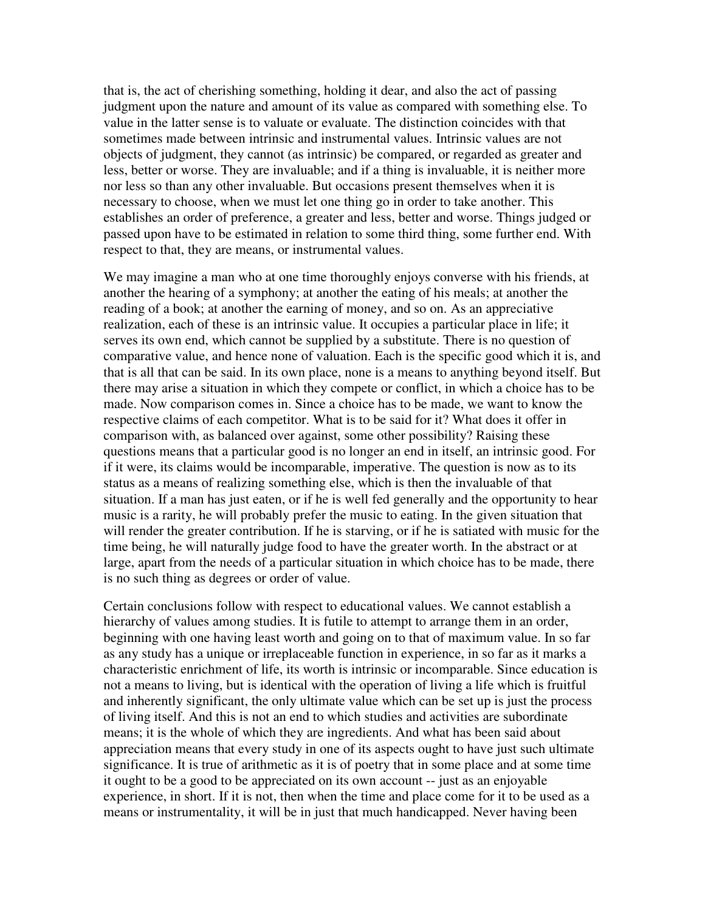that is, the act of cherishing something, holding it dear, and also the act of passing judgment upon the nature and amount of its value as compared with something else. To value in the latter sense is to valuate or evaluate. The distinction coincides with that sometimes made between intrinsic and instrumental values. Intrinsic values are not objects of judgment, they cannot (as intrinsic) be compared, or regarded as greater and less, better or worse. They are invaluable; and if a thing is invaluable, it is neither more nor less so than any other invaluable. But occasions present themselves when it is necessary to choose, when we must let one thing go in order to take another. This establishes an order of preference, a greater and less, better and worse. Things judged or passed upon have to be estimated in relation to some third thing, some further end. With respect to that, they are means, or instrumental values.

We may imagine a man who at one time thoroughly enjoys converse with his friends, at another the hearing of a symphony; at another the eating of his meals; at another the reading of a book; at another the earning of money, and so on. As an appreciative realization, each of these is an intrinsic value. It occupies a particular place in life; it serves its own end, which cannot be supplied by a substitute. There is no question of comparative value, and hence none of valuation. Each is the specific good which it is, and that is all that can be said. In its own place, none is a means to anything beyond itself. But there may arise a situation in which they compete or conflict, in which a choice has to be made. Now comparison comes in. Since a choice has to be made, we want to know the respective claims of each competitor. What is to be said for it? What does it offer in comparison with, as balanced over against, some other possibility? Raising these questions means that a particular good is no longer an end in itself, an intrinsic good. For if it were, its claims would be incomparable, imperative. The question is now as to its status as a means of realizing something else, which is then the invaluable of that situation. If a man has just eaten, or if he is well fed generally and the opportunity to hear music is a rarity, he will probably prefer the music to eating. In the given situation that will render the greater contribution. If he is starving, or if he is satiated with music for the time being, he will naturally judge food to have the greater worth. In the abstract or at large, apart from the needs of a particular situation in which choice has to be made, there is no such thing as degrees or order of value.

Certain conclusions follow with respect to educational values. We cannot establish a hierarchy of values among studies. It is futile to attempt to arrange them in an order, beginning with one having least worth and going on to that of maximum value. In so far as any study has a unique or irreplaceable function in experience, in so far as it marks a characteristic enrichment of life, its worth is intrinsic or incomparable. Since education is not a means to living, but is identical with the operation of living a life which is fruitful and inherently significant, the only ultimate value which can be set up is just the process of living itself. And this is not an end to which studies and activities are subordinate means; it is the whole of which they are ingredients. And what has been said about appreciation means that every study in one of its aspects ought to have just such ultimate significance. It is true of arithmetic as it is of poetry that in some place and at some time it ought to be a good to be appreciated on its own account -- just as an enjoyable experience, in short. If it is not, then when the time and place come for it to be used as a means or instrumentality, it will be in just that much handicapped. Never having been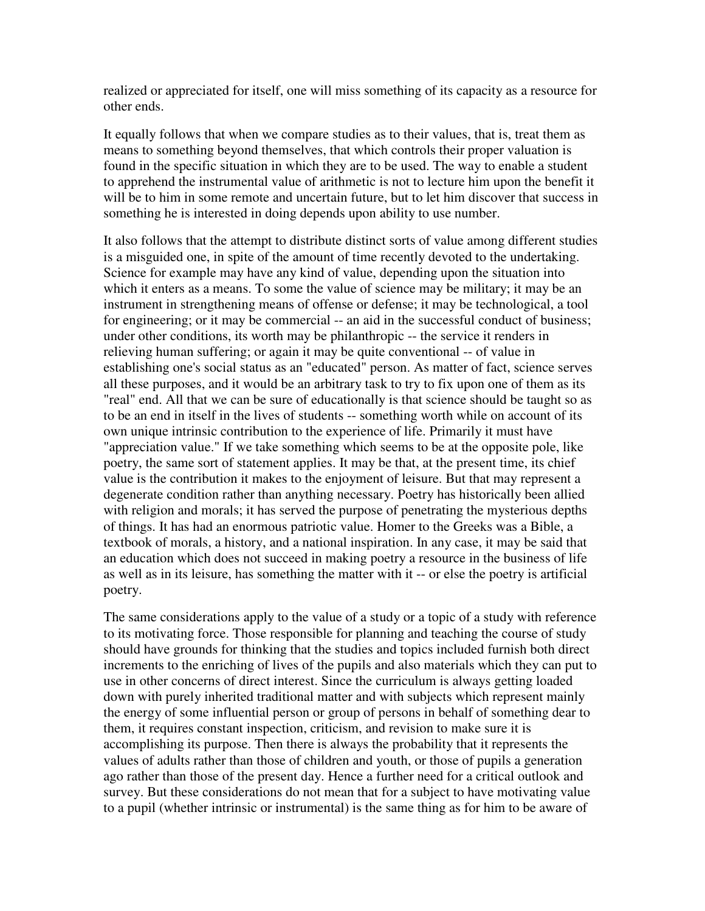realized or appreciated for itself, one will miss something of its capacity as a resource for other ends.

It equally follows that when we compare studies as to their values, that is, treat them as means to something beyond themselves, that which controls their proper valuation is found in the specific situation in which they are to be used. The way to enable a student to apprehend the instrumental value of arithmetic is not to lecture him upon the benefit it will be to him in some remote and uncertain future, but to let him discover that success in something he is interested in doing depends upon ability to use number.

It also follows that the attempt to distribute distinct sorts of value among different studies is a misguided one, in spite of the amount of time recently devoted to the undertaking. Science for example may have any kind of value, depending upon the situation into which it enters as a means. To some the value of science may be military; it may be an instrument in strengthening means of offense or defense; it may be technological, a tool for engineering; or it may be commercial -- an aid in the successful conduct of business; under other conditions, its worth may be philanthropic -- the service it renders in relieving human suffering; or again it may be quite conventional -- of value in establishing one's social status as an "educated" person. As matter of fact, science serves all these purposes, and it would be an arbitrary task to try to fix upon one of them as its "real" end. All that we can be sure of educationally is that science should be taught so as to be an end in itself in the lives of students -- something worth while on account of its own unique intrinsic contribution to the experience of life. Primarily it must have "appreciation value." If we take something which seems to be at the opposite pole, like poetry, the same sort of statement applies. It may be that, at the present time, its chief value is the contribution it makes to the enjoyment of leisure. But that may represent a degenerate condition rather than anything necessary. Poetry has historically been allied with religion and morals; it has served the purpose of penetrating the mysterious depths of things. It has had an enormous patriotic value. Homer to the Greeks was a Bible, a textbook of morals, a history, and a national inspiration. In any case, it may be said that an education which does not succeed in making poetry a resource in the business of life as well as in its leisure, has something the matter with it -- or else the poetry is artificial poetry.

The same considerations apply to the value of a study or a topic of a study with reference to its motivating force. Those responsible for planning and teaching the course of study should have grounds for thinking that the studies and topics included furnish both direct increments to the enriching of lives of the pupils and also materials which they can put to use in other concerns of direct interest. Since the curriculum is always getting loaded down with purely inherited traditional matter and with subjects which represent mainly the energy of some influential person or group of persons in behalf of something dear to them, it requires constant inspection, criticism, and revision to make sure it is accomplishing its purpose. Then there is always the probability that it represents the values of adults rather than those of children and youth, or those of pupils a generation ago rather than those of the present day. Hence a further need for a critical outlook and survey. But these considerations do not mean that for a subject to have motivating value to a pupil (whether intrinsic or instrumental) is the same thing as for him to be aware of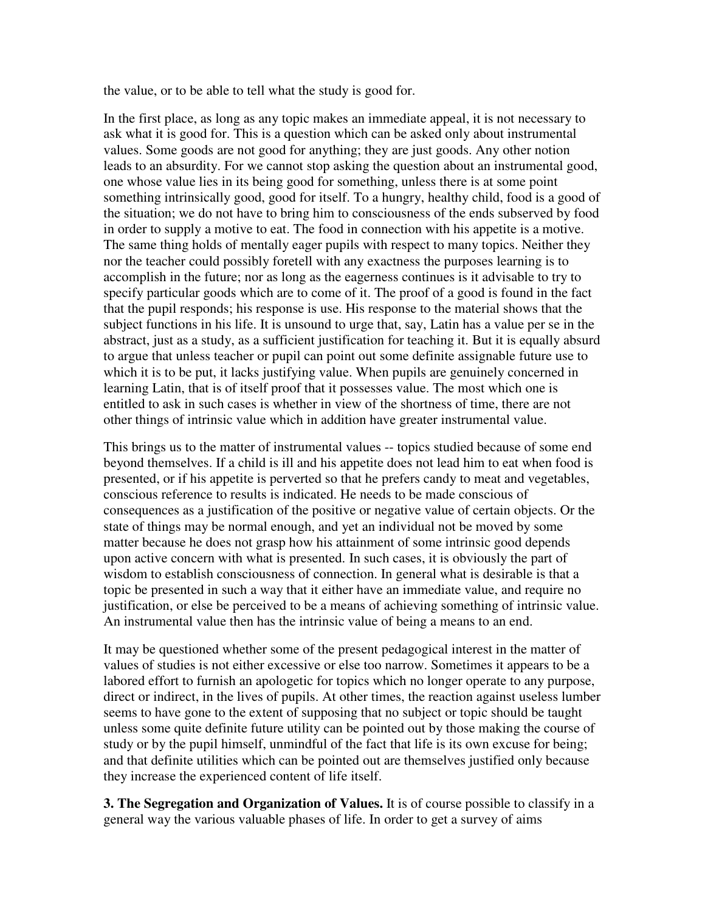the value, or to be able to tell what the study is good for.

In the first place, as long as any topic makes an immediate appeal, it is not necessary to ask what it is good for. This is a question which can be asked only about instrumental values. Some goods are not good for anything; they are just goods. Any other notion leads to an absurdity. For we cannot stop asking the question about an instrumental good, one whose value lies in its being good for something, unless there is at some point something intrinsically good, good for itself. To a hungry, healthy child, food is a good of the situation; we do not have to bring him to consciousness of the ends subserved by food in order to supply a motive to eat. The food in connection with his appetite is a motive. The same thing holds of mentally eager pupils with respect to many topics. Neither they nor the teacher could possibly foretell with any exactness the purposes learning is to accomplish in the future; nor as long as the eagerness continues is it advisable to try to specify particular goods which are to come of it. The proof of a good is found in the fact that the pupil responds; his response is use. His response to the material shows that the subject functions in his life. It is unsound to urge that, say, Latin has a value per se in the abstract, just as a study, as a sufficient justification for teaching it. But it is equally absurd to argue that unless teacher or pupil can point out some definite assignable future use to which it is to be put, it lacks justifying value. When pupils are genuinely concerned in learning Latin, that is of itself proof that it possesses value. The most which one is entitled to ask in such cases is whether in view of the shortness of time, there are not other things of intrinsic value which in addition have greater instrumental value.

This brings us to the matter of instrumental values -- topics studied because of some end beyond themselves. If a child is ill and his appetite does not lead him to eat when food is presented, or if his appetite is perverted so that he prefers candy to meat and vegetables, conscious reference to results is indicated. He needs to be made conscious of consequences as a justification of the positive or negative value of certain objects. Or the state of things may be normal enough, and yet an individual not be moved by some matter because he does not grasp how his attainment of some intrinsic good depends upon active concern with what is presented. In such cases, it is obviously the part of wisdom to establish consciousness of connection. In general what is desirable is that a topic be presented in such a way that it either have an immediate value, and require no justification, or else be perceived to be a means of achieving something of intrinsic value. An instrumental value then has the intrinsic value of being a means to an end.

It may be questioned whether some of the present pedagogical interest in the matter of values of studies is not either excessive or else too narrow. Sometimes it appears to be a labored effort to furnish an apologetic for topics which no longer operate to any purpose, direct or indirect, in the lives of pupils. At other times, the reaction against useless lumber seems to have gone to the extent of supposing that no subject or topic should be taught unless some quite definite future utility can be pointed out by those making the course of study or by the pupil himself, unmindful of the fact that life is its own excuse for being; and that definite utilities which can be pointed out are themselves justified only because they increase the experienced content of life itself.

**3. The Segregation and Organization of Values.** It is of course possible to classify in a general way the various valuable phases of life. In order to get a survey of aims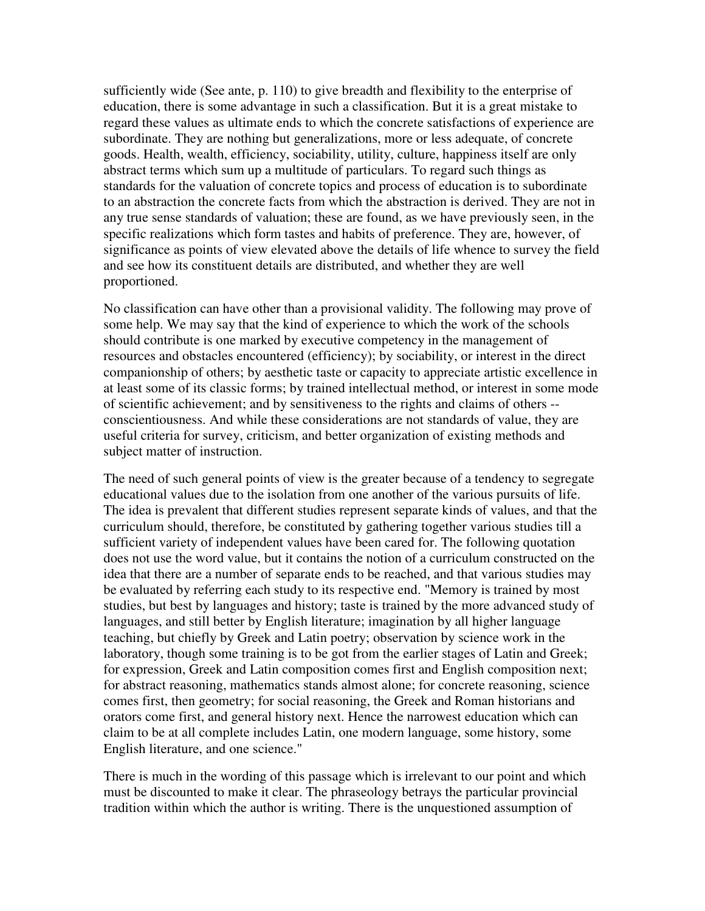sufficiently wide (See ante, p. 110) to give breadth and flexibility to the enterprise of education, there is some advantage in such a classification. But it is a great mistake to regard these values as ultimate ends to which the concrete satisfactions of experience are subordinate. They are nothing but generalizations, more or less adequate, of concrete goods. Health, wealth, efficiency, sociability, utility, culture, happiness itself are only abstract terms which sum up a multitude of particulars. To regard such things as standards for the valuation of concrete topics and process of education is to subordinate to an abstraction the concrete facts from which the abstraction is derived. They are not in any true sense standards of valuation; these are found, as we have previously seen, in the specific realizations which form tastes and habits of preference. They are, however, of significance as points of view elevated above the details of life whence to survey the field and see how its constituent details are distributed, and whether they are well proportioned.

No classification can have other than a provisional validity. The following may prove of some help. We may say that the kind of experience to which the work of the schools should contribute is one marked by executive competency in the management of resources and obstacles encountered (efficiency); by sociability, or interest in the direct companionship of others; by aesthetic taste or capacity to appreciate artistic excellence in at least some of its classic forms; by trained intellectual method, or interest in some mode of scientific achievement; and by sensitiveness to the rights and claims of others - conscientiousness. And while these considerations are not standards of value, they are useful criteria for survey, criticism, and better organization of existing methods and subject matter of instruction.

The need of such general points of view is the greater because of a tendency to segregate educational values due to the isolation from one another of the various pursuits of life. The idea is prevalent that different studies represent separate kinds of values, and that the curriculum should, therefore, be constituted by gathering together various studies till a sufficient variety of independent values have been cared for. The following quotation does not use the word value, but it contains the notion of a curriculum constructed on the idea that there are a number of separate ends to be reached, and that various studies may be evaluated by referring each study to its respective end. "Memory is trained by most studies, but best by languages and history; taste is trained by the more advanced study of languages, and still better by English literature; imagination by all higher language teaching, but chiefly by Greek and Latin poetry; observation by science work in the laboratory, though some training is to be got from the earlier stages of Latin and Greek; for expression, Greek and Latin composition comes first and English composition next; for abstract reasoning, mathematics stands almost alone; for concrete reasoning, science comes first, then geometry; for social reasoning, the Greek and Roman historians and orators come first, and general history next. Hence the narrowest education which can claim to be at all complete includes Latin, one modern language, some history, some English literature, and one science."

There is much in the wording of this passage which is irrelevant to our point and which must be discounted to make it clear. The phraseology betrays the particular provincial tradition within which the author is writing. There is the unquestioned assumption of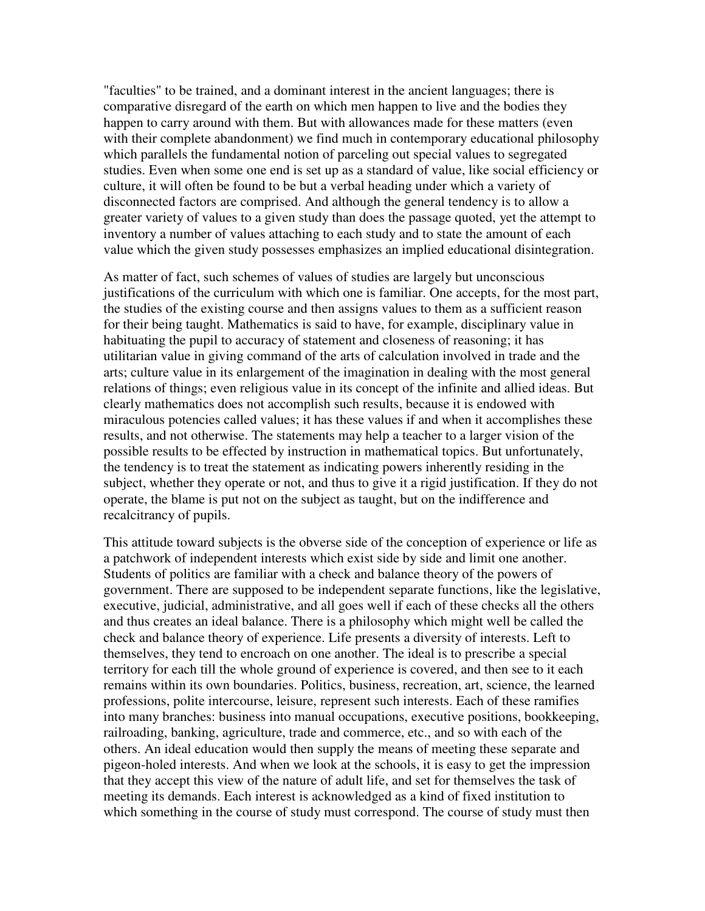"faculties" to be trained, and a dominant interest in the ancient languages; there is comparative disregard of the earth on which men happen to live and the bodies they happen to carry around with them. But with allowances made for these matters (even with their complete abandonment) we find much in contemporary educational philosophy which parallels the fundamental notion of parceling out special values to segregated studies. Even when some one end is set up as a standard of value, like social efficiency or culture, it will often be found to be but a verbal heading under which a variety of disconnected factors are comprised. And although the general tendency is to allow a greater variety of values to a given study than does the passage quoted, yet the attempt to inventory a number of values attaching to each study and to state the amount of each value which the given study possesses emphasizes an implied educational disintegration.

As matter of fact, such schemes of values of studies are largely but unconscious justifications of the curriculum with which one is familiar. One accepts, for the most part, the studies of the existing course and then assigns values to them as a sufficient reason for their being taught. Mathematics is said to have, for example, disciplinary value in habituating the pupil to accuracy of statement and closeness of reasoning; it has utilitarian value in giving command of the arts of calculation involved in trade and the arts; culture value in its enlargement of the imagination in dealing with the most general relations of things; even religious value in its concept of the infinite and allied ideas. But clearly mathematics does not accomplish such results, because it is endowed with miraculous potencies called values; it has these values if and when it accomplishes these results, and not otherwise. The statements may help a teacher to a larger vision of the possible results to be effected by instruction in mathematical topics. But unfortunately, the tendency is to treat the statement as indicating powers inherently residing in the subject, whether they operate or not, and thus to give it a rigid justification. If they do not operate, the blame is put not on the subject as taught, but on the indifference and recalcitrancy of pupils.

This attitude toward subjects is the obverse side of the conception of experience or life as a patchwork of independent interests which exist side by side and limit one another. Students of politics are familiar with a check and balance theory of the powers of government. There are supposed to be independent separate functions, like the legislative, executive, judicial, administrative, and all goes well if each of these checks all the others and thus creates an ideal balance. There is a philosophy which might well be called the check and balance theory of experience. Life presents a diversity of interests. Left to themselves, they tend to encroach on one another. The ideal is to prescribe a special territory for each till the whole ground of experience is covered, and then see to it each remains within its own boundaries. Politics, business, recreation, art, science, the learned professions, polite intercourse, leisure, represent such interests. Each of these ramifies into many branches: business into manual occupations, executive positions, bookkeeping, railroading, banking, agriculture, trade and commerce, etc., and so with each of the others. An ideal education would then supply the means of meeting these separate and pigeon-holed interests. And when we look at the schools, it is easy to get the impression that they accept this view of the nature of adult life, and set for themselves the task of meeting its demands. Each interest is acknowledged as a kind of fixed institution to which something in the course of study must correspond. The course of study must then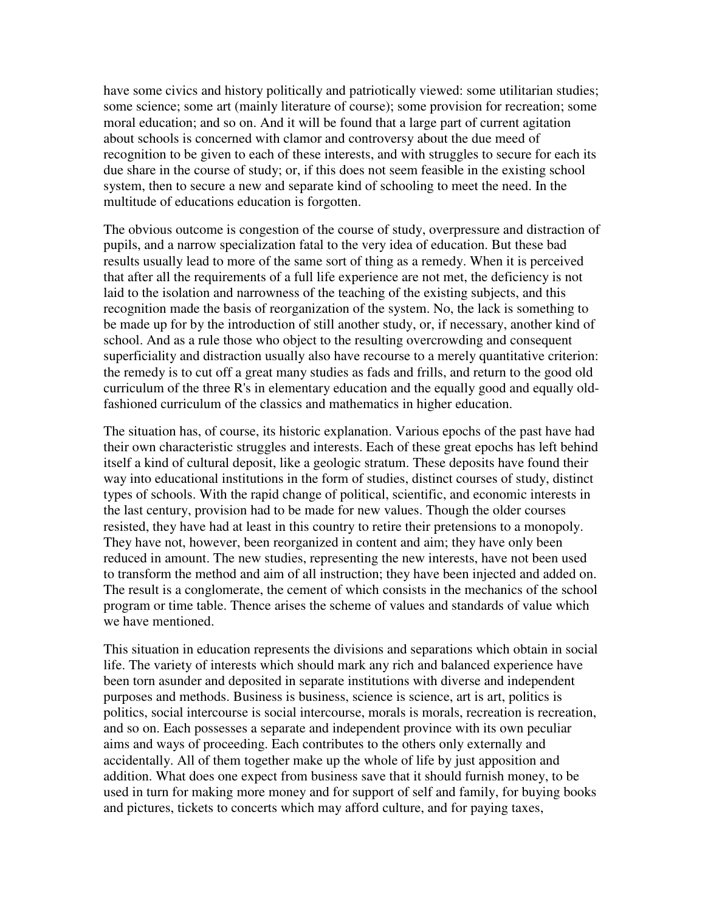have some civics and history politically and patriotically viewed: some utilitarian studies; some science; some art (mainly literature of course); some provision for recreation; some moral education; and so on. And it will be found that a large part of current agitation about schools is concerned with clamor and controversy about the due meed of recognition to be given to each of these interests, and with struggles to secure for each its due share in the course of study; or, if this does not seem feasible in the existing school system, then to secure a new and separate kind of schooling to meet the need. In the multitude of educations education is forgotten.

The obvious outcome is congestion of the course of study, overpressure and distraction of pupils, and a narrow specialization fatal to the very idea of education. But these bad results usually lead to more of the same sort of thing as a remedy. When it is perceived that after all the requirements of a full life experience are not met, the deficiency is not laid to the isolation and narrowness of the teaching of the existing subjects, and this recognition made the basis of reorganization of the system. No, the lack is something to be made up for by the introduction of still another study, or, if necessary, another kind of school. And as a rule those who object to the resulting overcrowding and consequent superficiality and distraction usually also have recourse to a merely quantitative criterion: the remedy is to cut off a great many studies as fads and frills, and return to the good old curriculum of the three R's in elementary education and the equally good and equally oldfashioned curriculum of the classics and mathematics in higher education.

The situation has, of course, its historic explanation. Various epochs of the past have had their own characteristic struggles and interests. Each of these great epochs has left behind itself a kind of cultural deposit, like a geologic stratum. These deposits have found their way into educational institutions in the form of studies, distinct courses of study, distinct types of schools. With the rapid change of political, scientific, and economic interests in the last century, provision had to be made for new values. Though the older courses resisted, they have had at least in this country to retire their pretensions to a monopoly. They have not, however, been reorganized in content and aim; they have only been reduced in amount. The new studies, representing the new interests, have not been used to transform the method and aim of all instruction; they have been injected and added on. The result is a conglomerate, the cement of which consists in the mechanics of the school program or time table. Thence arises the scheme of values and standards of value which we have mentioned.

This situation in education represents the divisions and separations which obtain in social life. The variety of interests which should mark any rich and balanced experience have been torn asunder and deposited in separate institutions with diverse and independent purposes and methods. Business is business, science is science, art is art, politics is politics, social intercourse is social intercourse, morals is morals, recreation is recreation, and so on. Each possesses a separate and independent province with its own peculiar aims and ways of proceeding. Each contributes to the others only externally and accidentally. All of them together make up the whole of life by just apposition and addition. What does one expect from business save that it should furnish money, to be used in turn for making more money and for support of self and family, for buying books and pictures, tickets to concerts which may afford culture, and for paying taxes,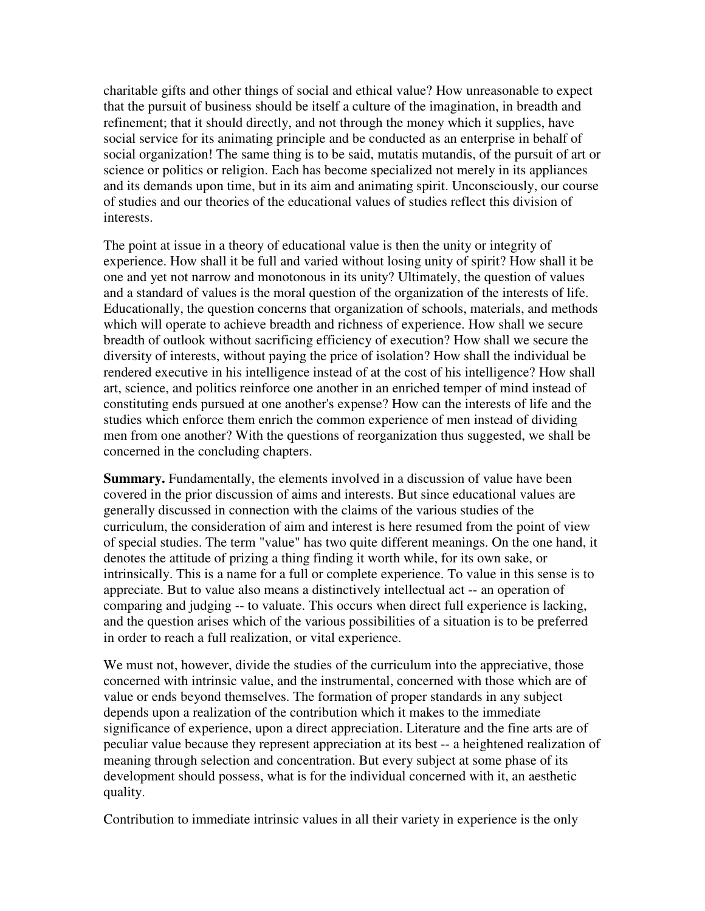charitable gifts and other things of social and ethical value? How unreasonable to expect that the pursuit of business should be itself a culture of the imagination, in breadth and refinement; that it should directly, and not through the money which it supplies, have social service for its animating principle and be conducted as an enterprise in behalf of social organization! The same thing is to be said, mutatis mutandis, of the pursuit of art or science or politics or religion. Each has become specialized not merely in its appliances and its demands upon time, but in its aim and animating spirit. Unconsciously, our course of studies and our theories of the educational values of studies reflect this division of interests.

The point at issue in a theory of educational value is then the unity or integrity of experience. How shall it be full and varied without losing unity of spirit? How shall it be one and yet not narrow and monotonous in its unity? Ultimately, the question of values and a standard of values is the moral question of the organization of the interests of life. Educationally, the question concerns that organization of schools, materials, and methods which will operate to achieve breadth and richness of experience. How shall we secure breadth of outlook without sacrificing efficiency of execution? How shall we secure the diversity of interests, without paying the price of isolation? How shall the individual be rendered executive in his intelligence instead of at the cost of his intelligence? How shall art, science, and politics reinforce one another in an enriched temper of mind instead of constituting ends pursued at one another's expense? How can the interests of life and the studies which enforce them enrich the common experience of men instead of dividing men from one another? With the questions of reorganization thus suggested, we shall be concerned in the concluding chapters.

**Summary.** Fundamentally, the elements involved in a discussion of value have been covered in the prior discussion of aims and interests. But since educational values are generally discussed in connection with the claims of the various studies of the curriculum, the consideration of aim and interest is here resumed from the point of view of special studies. The term "value" has two quite different meanings. On the one hand, it denotes the attitude of prizing a thing finding it worth while, for its own sake, or intrinsically. This is a name for a full or complete experience. To value in this sense is to appreciate. But to value also means a distinctively intellectual act -- an operation of comparing and judging -- to valuate. This occurs when direct full experience is lacking, and the question arises which of the various possibilities of a situation is to be preferred in order to reach a full realization, or vital experience.

We must not, however, divide the studies of the curriculum into the appreciative, those concerned with intrinsic value, and the instrumental, concerned with those which are of value or ends beyond themselves. The formation of proper standards in any subject depends upon a realization of the contribution which it makes to the immediate significance of experience, upon a direct appreciation. Literature and the fine arts are of peculiar value because they represent appreciation at its best -- a heightened realization of meaning through selection and concentration. But every subject at some phase of its development should possess, what is for the individual concerned with it, an aesthetic quality.

Contribution to immediate intrinsic values in all their variety in experience is the only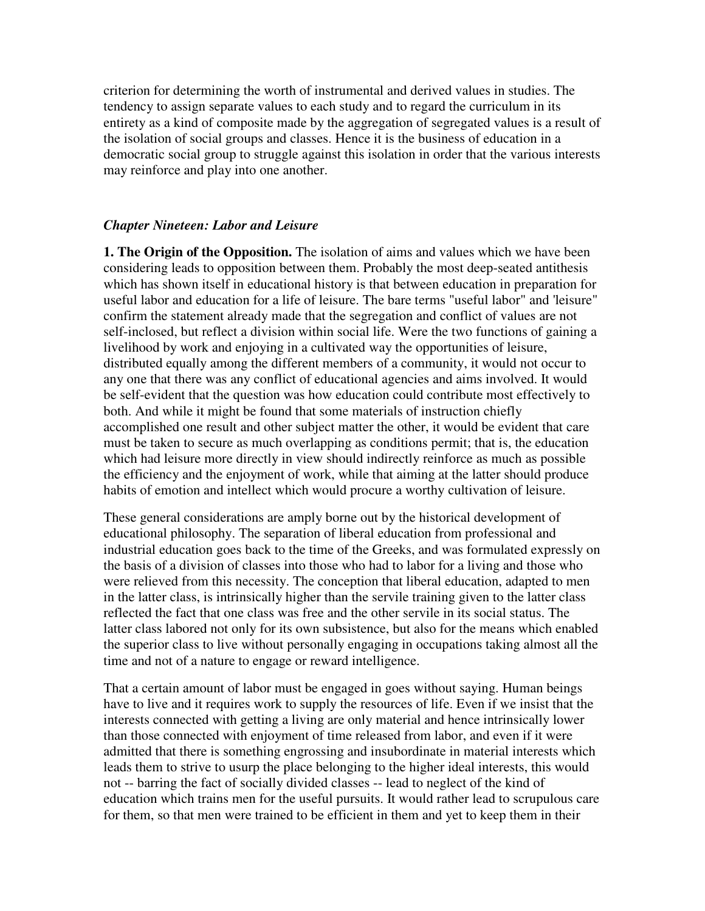criterion for determining the worth of instrumental and derived values in studies. The tendency to assign separate values to each study and to regard the curriculum in its entirety as a kind of composite made by the aggregation of segregated values is a result of the isolation of social groups and classes. Hence it is the business of education in a democratic social group to struggle against this isolation in order that the various interests may reinforce and play into one another.

## *Chapter Nineteen: Labor and Leisure*

**1. The Origin of the Opposition.** The isolation of aims and values which we have been considering leads to opposition between them. Probably the most deep-seated antithesis which has shown itself in educational history is that between education in preparation for useful labor and education for a life of leisure. The bare terms "useful labor" and 'leisure" confirm the statement already made that the segregation and conflict of values are not self-inclosed, but reflect a division within social life. Were the two functions of gaining a livelihood by work and enjoying in a cultivated way the opportunities of leisure, distributed equally among the different members of a community, it would not occur to any one that there was any conflict of educational agencies and aims involved. It would be self-evident that the question was how education could contribute most effectively to both. And while it might be found that some materials of instruction chiefly accomplished one result and other subject matter the other, it would be evident that care must be taken to secure as much overlapping as conditions permit; that is, the education which had leisure more directly in view should indirectly reinforce as much as possible the efficiency and the enjoyment of work, while that aiming at the latter should produce habits of emotion and intellect which would procure a worthy cultivation of leisure.

These general considerations are amply borne out by the historical development of educational philosophy. The separation of liberal education from professional and industrial education goes back to the time of the Greeks, and was formulated expressly on the basis of a division of classes into those who had to labor for a living and those who were relieved from this necessity. The conception that liberal education, adapted to men in the latter class, is intrinsically higher than the servile training given to the latter class reflected the fact that one class was free and the other servile in its social status. The latter class labored not only for its own subsistence, but also for the means which enabled the superior class to live without personally engaging in occupations taking almost all the time and not of a nature to engage or reward intelligence.

That a certain amount of labor must be engaged in goes without saying. Human beings have to live and it requires work to supply the resources of life. Even if we insist that the interests connected with getting a living are only material and hence intrinsically lower than those connected with enjoyment of time released from labor, and even if it were admitted that there is something engrossing and insubordinate in material interests which leads them to strive to usurp the place belonging to the higher ideal interests, this would not -- barring the fact of socially divided classes -- lead to neglect of the kind of education which trains men for the useful pursuits. It would rather lead to scrupulous care for them, so that men were trained to be efficient in them and yet to keep them in their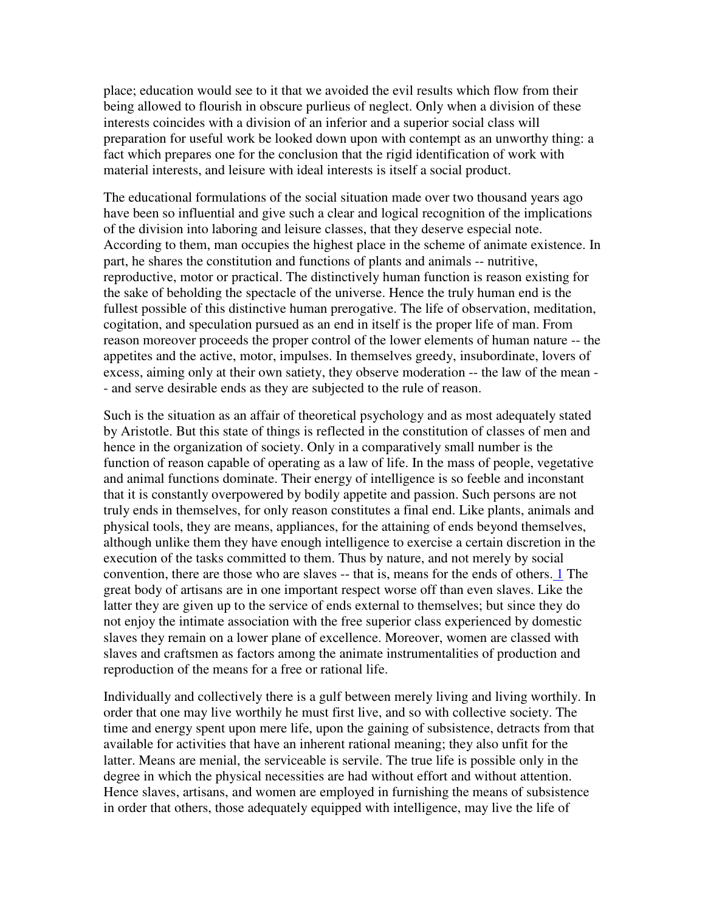place; education would see to it that we avoided the evil results which flow from their being allowed to flourish in obscure purlieus of neglect. Only when a division of these interests coincides with a division of an inferior and a superior social class will preparation for useful work be looked down upon with contempt as an unworthy thing: a fact which prepares one for the conclusion that the rigid identification of work with material interests, and leisure with ideal interests is itself a social product.

The educational formulations of the social situation made over two thousand years ago have been so influential and give such a clear and logical recognition of the implications of the division into laboring and leisure classes, that they deserve especial note. According to them, man occupies the highest place in the scheme of animate existence. In part, he shares the constitution and functions of plants and animals -- nutritive, reproductive, motor or practical. The distinctively human function is reason existing for the sake of beholding the spectacle of the universe. Hence the truly human end is the fullest possible of this distinctive human prerogative. The life of observation, meditation, cogitation, and speculation pursued as an end in itself is the proper life of man. From reason moreover proceeds the proper control of the lower elements of human nature -- the appetites and the active, motor, impulses. In themselves greedy, insubordinate, lovers of excess, aiming only at their own satiety, they observe moderation -- the law of the mean - - and serve desirable ends as they are subjected to the rule of reason.

Such is the situation as an affair of theoretical psychology and as most adequately stated by Aristotle. But this state of things is reflected in the constitution of classes of men and hence in the organization of society. Only in a comparatively small number is the function of reason capable of operating as a law of life. In the mass of people, vegetative and animal functions dominate. Their energy of intelligence is so feeble and inconstant that it is constantly overpowered by bodily appetite and passion. Such persons are not truly ends in themselves, for only reason constitutes a final end. Like plants, animals and physical tools, they are means, appliances, for the attaining of ends beyond themselves, although unlike them they have enough intelligence to exercise a certain discretion in the execution of the tasks committed to them. Thus by nature, and not merely by social convention, there are those who are slaves -- that is, means for the ends of others. 1 The great body of artisans are in one important respect worse off than even slaves. Like the latter they are given up to the service of ends external to themselves; but since they do not enjoy the intimate association with the free superior class experienced by domestic slaves they remain on a lower plane of excellence. Moreover, women are classed with slaves and craftsmen as factors among the animate instrumentalities of production and reproduction of the means for a free or rational life.

Individually and collectively there is a gulf between merely living and living worthily. In order that one may live worthily he must first live, and so with collective society. The time and energy spent upon mere life, upon the gaining of subsistence, detracts from that available for activities that have an inherent rational meaning; they also unfit for the latter. Means are menial, the serviceable is servile. The true life is possible only in the degree in which the physical necessities are had without effort and without attention. Hence slaves, artisans, and women are employed in furnishing the means of subsistence in order that others, those adequately equipped with intelligence, may live the life of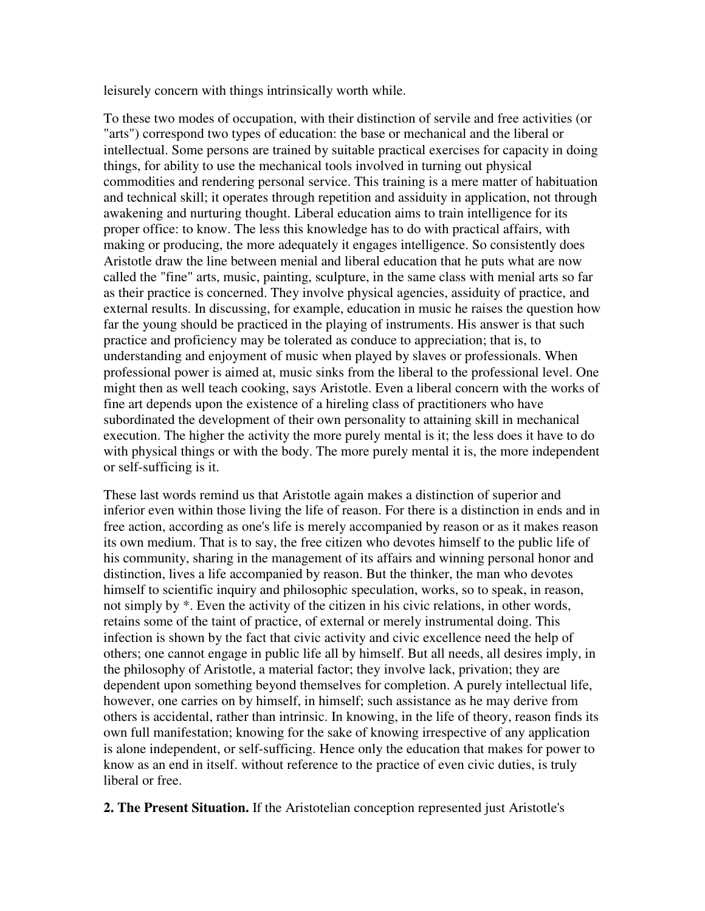leisurely concern with things intrinsically worth while.

To these two modes of occupation, with their distinction of servile and free activities (or "arts") correspond two types of education: the base or mechanical and the liberal or intellectual. Some persons are trained by suitable practical exercises for capacity in doing things, for ability to use the mechanical tools involved in turning out physical commodities and rendering personal service. This training is a mere matter of habituation and technical skill; it operates through repetition and assiduity in application, not through awakening and nurturing thought. Liberal education aims to train intelligence for its proper office: to know. The less this knowledge has to do with practical affairs, with making or producing, the more adequately it engages intelligence. So consistently does Aristotle draw the line between menial and liberal education that he puts what are now called the "fine" arts, music, painting, sculpture, in the same class with menial arts so far as their practice is concerned. They involve physical agencies, assiduity of practice, and external results. In discussing, for example, education in music he raises the question how far the young should be practiced in the playing of instruments. His answer is that such practice and proficiency may be tolerated as conduce to appreciation; that is, to understanding and enjoyment of music when played by slaves or professionals. When professional power is aimed at, music sinks from the liberal to the professional level. One might then as well teach cooking, says Aristotle. Even a liberal concern with the works of fine art depends upon the existence of a hireling class of practitioners who have subordinated the development of their own personality to attaining skill in mechanical execution. The higher the activity the more purely mental is it; the less does it have to do with physical things or with the body. The more purely mental it is, the more independent or self-sufficing is it.

These last words remind us that Aristotle again makes a distinction of superior and inferior even within those living the life of reason. For there is a distinction in ends and in free action, according as one's life is merely accompanied by reason or as it makes reason its own medium. That is to say, the free citizen who devotes himself to the public life of his community, sharing in the management of its affairs and winning personal honor and distinction, lives a life accompanied by reason. But the thinker, the man who devotes himself to scientific inquiry and philosophic speculation, works, so to speak, in reason, not simply by \*. Even the activity of the citizen in his civic relations, in other words, retains some of the taint of practice, of external or merely instrumental doing. This infection is shown by the fact that civic activity and civic excellence need the help of others; one cannot engage in public life all by himself. But all needs, all desires imply, in the philosophy of Aristotle, a material factor; they involve lack, privation; they are dependent upon something beyond themselves for completion. A purely intellectual life, however, one carries on by himself, in himself; such assistance as he may derive from others is accidental, rather than intrinsic. In knowing, in the life of theory, reason finds its own full manifestation; knowing for the sake of knowing irrespective of any application is alone independent, or self-sufficing. Hence only the education that makes for power to know as an end in itself. without reference to the practice of even civic duties, is truly liberal or free.

**2. The Present Situation.** If the Aristotelian conception represented just Aristotle's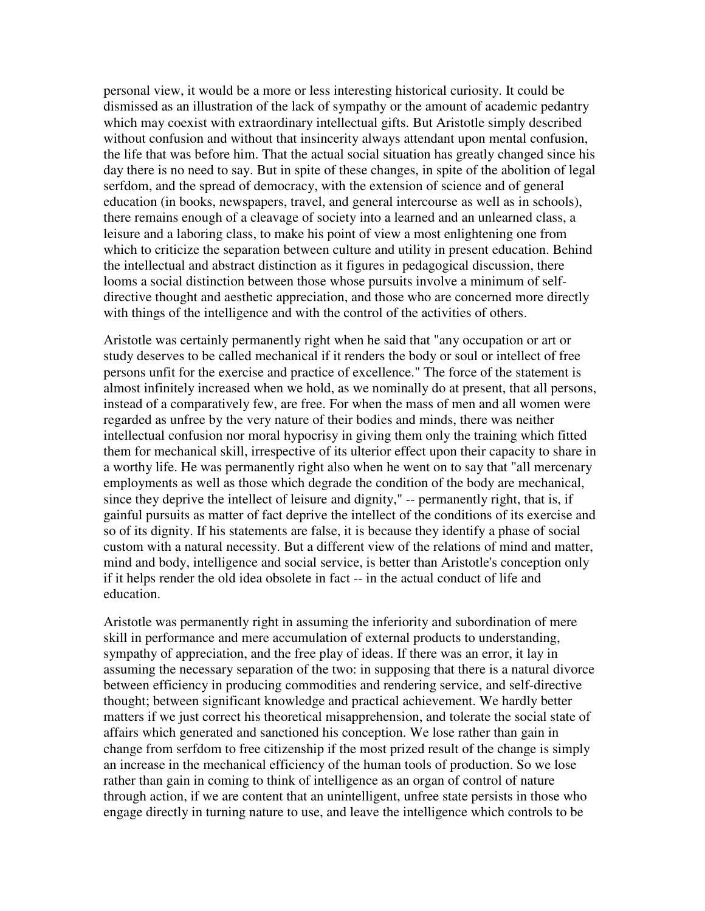personal view, it would be a more or less interesting historical curiosity. It could be dismissed as an illustration of the lack of sympathy or the amount of academic pedantry which may coexist with extraordinary intellectual gifts. But Aristotle simply described without confusion and without that insincerity always attendant upon mental confusion, the life that was before him. That the actual social situation has greatly changed since his day there is no need to say. But in spite of these changes, in spite of the abolition of legal serfdom, and the spread of democracy, with the extension of science and of general education (in books, newspapers, travel, and general intercourse as well as in schools), there remains enough of a cleavage of society into a learned and an unlearned class, a leisure and a laboring class, to make his point of view a most enlightening one from which to criticize the separation between culture and utility in present education. Behind the intellectual and abstract distinction as it figures in pedagogical discussion, there looms a social distinction between those whose pursuits involve a minimum of selfdirective thought and aesthetic appreciation, and those who are concerned more directly with things of the intelligence and with the control of the activities of others.

Aristotle was certainly permanently right when he said that "any occupation or art or study deserves to be called mechanical if it renders the body or soul or intellect of free persons unfit for the exercise and practice of excellence." The force of the statement is almost infinitely increased when we hold, as we nominally do at present, that all persons, instead of a comparatively few, are free. For when the mass of men and all women were regarded as unfree by the very nature of their bodies and minds, there was neither intellectual confusion nor moral hypocrisy in giving them only the training which fitted them for mechanical skill, irrespective of its ulterior effect upon their capacity to share in a worthy life. He was permanently right also when he went on to say that "all mercenary employments as well as those which degrade the condition of the body are mechanical, since they deprive the intellect of leisure and dignity," -- permanently right, that is, if gainful pursuits as matter of fact deprive the intellect of the conditions of its exercise and so of its dignity. If his statements are false, it is because they identify a phase of social custom with a natural necessity. But a different view of the relations of mind and matter, mind and body, intelligence and social service, is better than Aristotle's conception only if it helps render the old idea obsolete in fact -- in the actual conduct of life and education.

Aristotle was permanently right in assuming the inferiority and subordination of mere skill in performance and mere accumulation of external products to understanding, sympathy of appreciation, and the free play of ideas. If there was an error, it lay in assuming the necessary separation of the two: in supposing that there is a natural divorce between efficiency in producing commodities and rendering service, and self-directive thought; between significant knowledge and practical achievement. We hardly better matters if we just correct his theoretical misapprehension, and tolerate the social state of affairs which generated and sanctioned his conception. We lose rather than gain in change from serfdom to free citizenship if the most prized result of the change is simply an increase in the mechanical efficiency of the human tools of production. So we lose rather than gain in coming to think of intelligence as an organ of control of nature through action, if we are content that an unintelligent, unfree state persists in those who engage directly in turning nature to use, and leave the intelligence which controls to be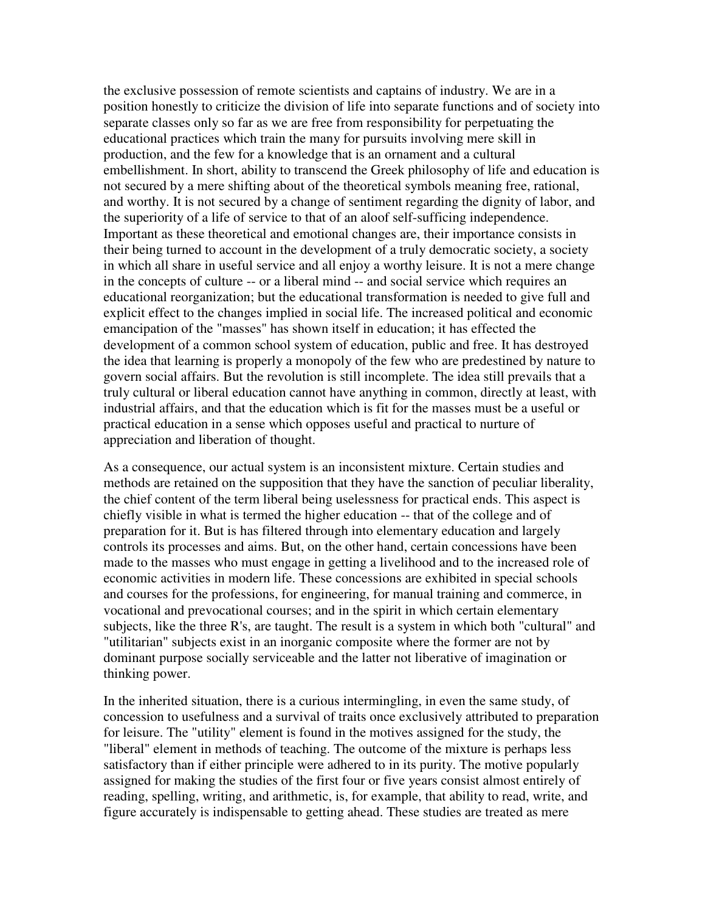the exclusive possession of remote scientists and captains of industry. We are in a position honestly to criticize the division of life into separate functions and of society into separate classes only so far as we are free from responsibility for perpetuating the educational practices which train the many for pursuits involving mere skill in production, and the few for a knowledge that is an ornament and a cultural embellishment. In short, ability to transcend the Greek philosophy of life and education is not secured by a mere shifting about of the theoretical symbols meaning free, rational, and worthy. It is not secured by a change of sentiment regarding the dignity of labor, and the superiority of a life of service to that of an aloof self-sufficing independence. Important as these theoretical and emotional changes are, their importance consists in their being turned to account in the development of a truly democratic society, a society in which all share in useful service and all enjoy a worthy leisure. It is not a mere change in the concepts of culture -- or a liberal mind -- and social service which requires an educational reorganization; but the educational transformation is needed to give full and explicit effect to the changes implied in social life. The increased political and economic emancipation of the "masses" has shown itself in education; it has effected the development of a common school system of education, public and free. It has destroyed the idea that learning is properly a monopoly of the few who are predestined by nature to govern social affairs. But the revolution is still incomplete. The idea still prevails that a truly cultural or liberal education cannot have anything in common, directly at least, with industrial affairs, and that the education which is fit for the masses must be a useful or practical education in a sense which opposes useful and practical to nurture of appreciation and liberation of thought.

As a consequence, our actual system is an inconsistent mixture. Certain studies and methods are retained on the supposition that they have the sanction of peculiar liberality, the chief content of the term liberal being uselessness for practical ends. This aspect is chiefly visible in what is termed the higher education -- that of the college and of preparation for it. But is has filtered through into elementary education and largely controls its processes and aims. But, on the other hand, certain concessions have been made to the masses who must engage in getting a livelihood and to the increased role of economic activities in modern life. These concessions are exhibited in special schools and courses for the professions, for engineering, for manual training and commerce, in vocational and prevocational courses; and in the spirit in which certain elementary subjects, like the three R's, are taught. The result is a system in which both "cultural" and "utilitarian" subjects exist in an inorganic composite where the former are not by dominant purpose socially serviceable and the latter not liberative of imagination or thinking power.

In the inherited situation, there is a curious intermingling, in even the same study, of concession to usefulness and a survival of traits once exclusively attributed to preparation for leisure. The "utility" element is found in the motives assigned for the study, the "liberal" element in methods of teaching. The outcome of the mixture is perhaps less satisfactory than if either principle were adhered to in its purity. The motive popularly assigned for making the studies of the first four or five years consist almost entirely of reading, spelling, writing, and arithmetic, is, for example, that ability to read, write, and figure accurately is indispensable to getting ahead. These studies are treated as mere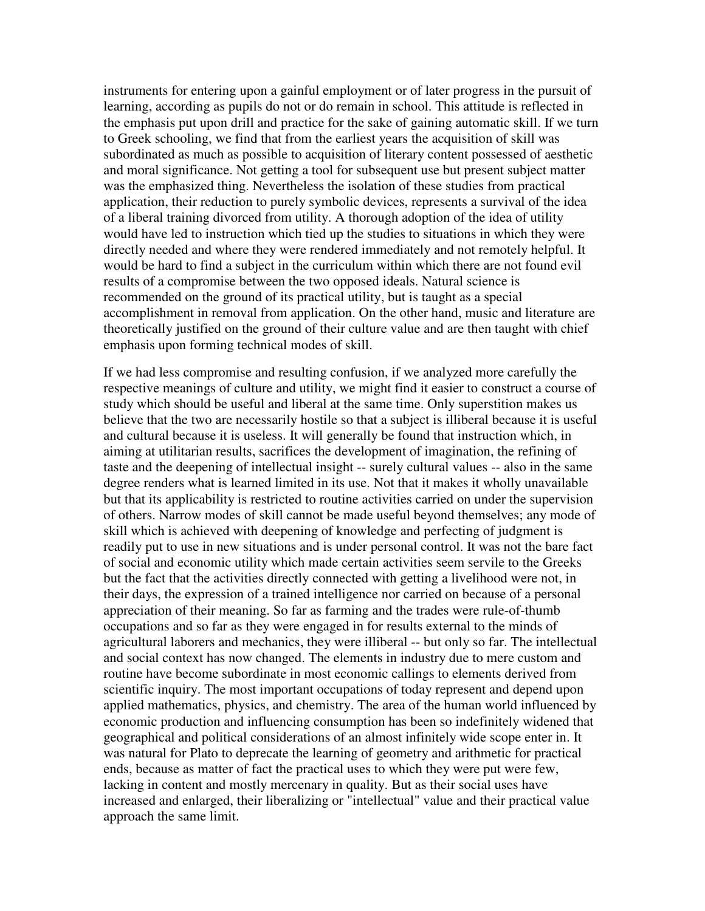instruments for entering upon a gainful employment or of later progress in the pursuit of learning, according as pupils do not or do remain in school. This attitude is reflected in the emphasis put upon drill and practice for the sake of gaining automatic skill. If we turn to Greek schooling, we find that from the earliest years the acquisition of skill was subordinated as much as possible to acquisition of literary content possessed of aesthetic and moral significance. Not getting a tool for subsequent use but present subject matter was the emphasized thing. Nevertheless the isolation of these studies from practical application, their reduction to purely symbolic devices, represents a survival of the idea of a liberal training divorced from utility. A thorough adoption of the idea of utility would have led to instruction which tied up the studies to situations in which they were directly needed and where they were rendered immediately and not remotely helpful. It would be hard to find a subject in the curriculum within which there are not found evil results of a compromise between the two opposed ideals. Natural science is recommended on the ground of its practical utility, but is taught as a special accomplishment in removal from application. On the other hand, music and literature are theoretically justified on the ground of their culture value and are then taught with chief emphasis upon forming technical modes of skill.

If we had less compromise and resulting confusion, if we analyzed more carefully the respective meanings of culture and utility, we might find it easier to construct a course of study which should be useful and liberal at the same time. Only superstition makes us believe that the two are necessarily hostile so that a subject is illiberal because it is useful and cultural because it is useless. It will generally be found that instruction which, in aiming at utilitarian results, sacrifices the development of imagination, the refining of taste and the deepening of intellectual insight -- surely cultural values -- also in the same degree renders what is learned limited in its use. Not that it makes it wholly unavailable but that its applicability is restricted to routine activities carried on under the supervision of others. Narrow modes of skill cannot be made useful beyond themselves; any mode of skill which is achieved with deepening of knowledge and perfecting of judgment is readily put to use in new situations and is under personal control. It was not the bare fact of social and economic utility which made certain activities seem servile to the Greeks but the fact that the activities directly connected with getting a livelihood were not, in their days, the expression of a trained intelligence nor carried on because of a personal appreciation of their meaning. So far as farming and the trades were rule-of-thumb occupations and so far as they were engaged in for results external to the minds of agricultural laborers and mechanics, they were illiberal -- but only so far. The intellectual and social context has now changed. The elements in industry due to mere custom and routine have become subordinate in most economic callings to elements derived from scientific inquiry. The most important occupations of today represent and depend upon applied mathematics, physics, and chemistry. The area of the human world influenced by economic production and influencing consumption has been so indefinitely widened that geographical and political considerations of an almost infinitely wide scope enter in. It was natural for Plato to deprecate the learning of geometry and arithmetic for practical ends, because as matter of fact the practical uses to which they were put were few, lacking in content and mostly mercenary in quality. But as their social uses have increased and enlarged, their liberalizing or "intellectual" value and their practical value approach the same limit.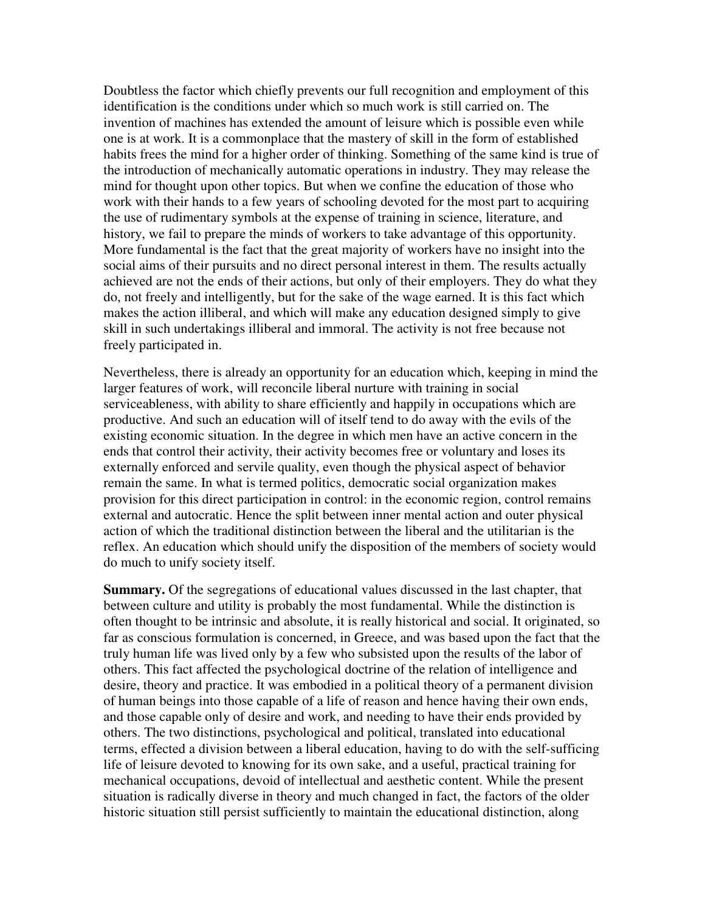Doubtless the factor which chiefly prevents our full recognition and employment of this identification is the conditions under which so much work is still carried on. The invention of machines has extended the amount of leisure which is possible even while one is at work. It is a commonplace that the mastery of skill in the form of established habits frees the mind for a higher order of thinking. Something of the same kind is true of the introduction of mechanically automatic operations in industry. They may release the mind for thought upon other topics. But when we confine the education of those who work with their hands to a few years of schooling devoted for the most part to acquiring the use of rudimentary symbols at the expense of training in science, literature, and history, we fail to prepare the minds of workers to take advantage of this opportunity. More fundamental is the fact that the great majority of workers have no insight into the social aims of their pursuits and no direct personal interest in them. The results actually achieved are not the ends of their actions, but only of their employers. They do what they do, not freely and intelligently, but for the sake of the wage earned. It is this fact which makes the action illiberal, and which will make any education designed simply to give skill in such undertakings illiberal and immoral. The activity is not free because not freely participated in.

Nevertheless, there is already an opportunity for an education which, keeping in mind the larger features of work, will reconcile liberal nurture with training in social serviceableness, with ability to share efficiently and happily in occupations which are productive. And such an education will of itself tend to do away with the evils of the existing economic situation. In the degree in which men have an active concern in the ends that control their activity, their activity becomes free or voluntary and loses its externally enforced and servile quality, even though the physical aspect of behavior remain the same. In what is termed politics, democratic social organization makes provision for this direct participation in control: in the economic region, control remains external and autocratic. Hence the split between inner mental action and outer physical action of which the traditional distinction between the liberal and the utilitarian is the reflex. An education which should unify the disposition of the members of society would do much to unify society itself.

**Summary.** Of the segregations of educational values discussed in the last chapter, that between culture and utility is probably the most fundamental. While the distinction is often thought to be intrinsic and absolute, it is really historical and social. It originated, so far as conscious formulation is concerned, in Greece, and was based upon the fact that the truly human life was lived only by a few who subsisted upon the results of the labor of others. This fact affected the psychological doctrine of the relation of intelligence and desire, theory and practice. It was embodied in a political theory of a permanent division of human beings into those capable of a life of reason and hence having their own ends, and those capable only of desire and work, and needing to have their ends provided by others. The two distinctions, psychological and political, translated into educational terms, effected a division between a liberal education, having to do with the self-sufficing life of leisure devoted to knowing for its own sake, and a useful, practical training for mechanical occupations, devoid of intellectual and aesthetic content. While the present situation is radically diverse in theory and much changed in fact, the factors of the older historic situation still persist sufficiently to maintain the educational distinction, along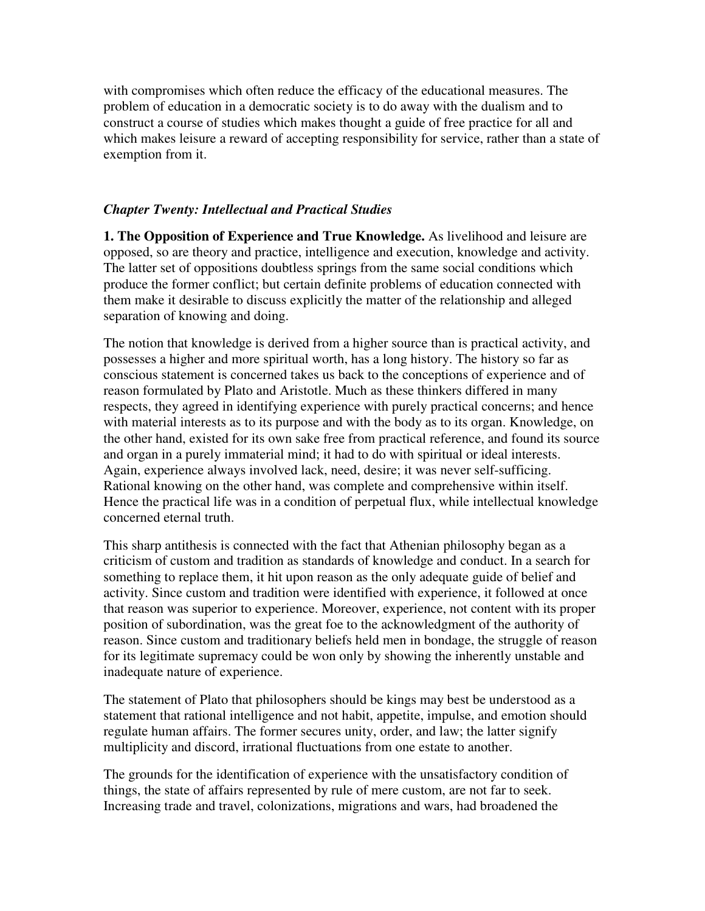with compromises which often reduce the efficacy of the educational measures. The problem of education in a democratic society is to do away with the dualism and to construct a course of studies which makes thought a guide of free practice for all and which makes leisure a reward of accepting responsibility for service, rather than a state of exemption from it.

# *Chapter Twenty: Intellectual and Practical Studies*

**1. The Opposition of Experience and True Knowledge.** As livelihood and leisure are opposed, so are theory and practice, intelligence and execution, knowledge and activity. The latter set of oppositions doubtless springs from the same social conditions which produce the former conflict; but certain definite problems of education connected with them make it desirable to discuss explicitly the matter of the relationship and alleged separation of knowing and doing.

The notion that knowledge is derived from a higher source than is practical activity, and possesses a higher and more spiritual worth, has a long history. The history so far as conscious statement is concerned takes us back to the conceptions of experience and of reason formulated by Plato and Aristotle. Much as these thinkers differed in many respects, they agreed in identifying experience with purely practical concerns; and hence with material interests as to its purpose and with the body as to its organ. Knowledge, on the other hand, existed for its own sake free from practical reference, and found its source and organ in a purely immaterial mind; it had to do with spiritual or ideal interests. Again, experience always involved lack, need, desire; it was never self-sufficing. Rational knowing on the other hand, was complete and comprehensive within itself. Hence the practical life was in a condition of perpetual flux, while intellectual knowledge concerned eternal truth.

This sharp antithesis is connected with the fact that Athenian philosophy began as a criticism of custom and tradition as standards of knowledge and conduct. In a search for something to replace them, it hit upon reason as the only adequate guide of belief and activity. Since custom and tradition were identified with experience, it followed at once that reason was superior to experience. Moreover, experience, not content with its proper position of subordination, was the great foe to the acknowledgment of the authority of reason. Since custom and traditionary beliefs held men in bondage, the struggle of reason for its legitimate supremacy could be won only by showing the inherently unstable and inadequate nature of experience.

The statement of Plato that philosophers should be kings may best be understood as a statement that rational intelligence and not habit, appetite, impulse, and emotion should regulate human affairs. The former secures unity, order, and law; the latter signify multiplicity and discord, irrational fluctuations from one estate to another.

The grounds for the identification of experience with the unsatisfactory condition of things, the state of affairs represented by rule of mere custom, are not far to seek. Increasing trade and travel, colonizations, migrations and wars, had broadened the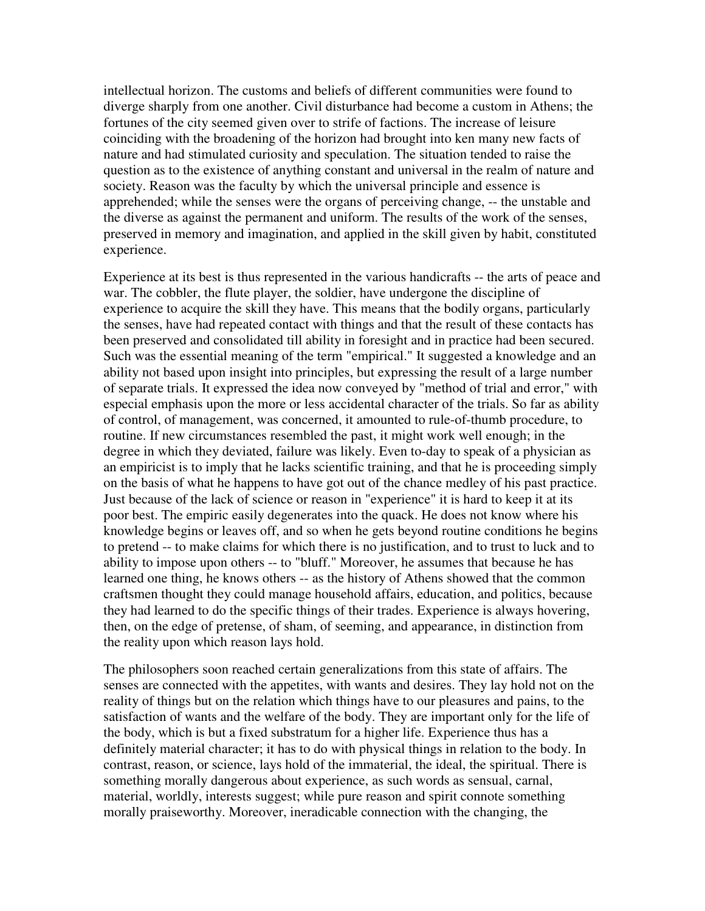intellectual horizon. The customs and beliefs of different communities were found to diverge sharply from one another. Civil disturbance had become a custom in Athens; the fortunes of the city seemed given over to strife of factions. The increase of leisure coinciding with the broadening of the horizon had brought into ken many new facts of nature and had stimulated curiosity and speculation. The situation tended to raise the question as to the existence of anything constant and universal in the realm of nature and society. Reason was the faculty by which the universal principle and essence is apprehended; while the senses were the organs of perceiving change, -- the unstable and the diverse as against the permanent and uniform. The results of the work of the senses, preserved in memory and imagination, and applied in the skill given by habit, constituted experience.

Experience at its best is thus represented in the various handicrafts -- the arts of peace and war. The cobbler, the flute player, the soldier, have undergone the discipline of experience to acquire the skill they have. This means that the bodily organs, particularly the senses, have had repeated contact with things and that the result of these contacts has been preserved and consolidated till ability in foresight and in practice had been secured. Such was the essential meaning of the term "empirical." It suggested a knowledge and an ability not based upon insight into principles, but expressing the result of a large number of separate trials. It expressed the idea now conveyed by "method of trial and error," with especial emphasis upon the more or less accidental character of the trials. So far as ability of control, of management, was concerned, it amounted to rule-of-thumb procedure, to routine. If new circumstances resembled the past, it might work well enough; in the degree in which they deviated, failure was likely. Even to-day to speak of a physician as an empiricist is to imply that he lacks scientific training, and that he is proceeding simply on the basis of what he happens to have got out of the chance medley of his past practice. Just because of the lack of science or reason in "experience" it is hard to keep it at its poor best. The empiric easily degenerates into the quack. He does not know where his knowledge begins or leaves off, and so when he gets beyond routine conditions he begins to pretend -- to make claims for which there is no justification, and to trust to luck and to ability to impose upon others -- to "bluff." Moreover, he assumes that because he has learned one thing, he knows others -- as the history of Athens showed that the common craftsmen thought they could manage household affairs, education, and politics, because they had learned to do the specific things of their trades. Experience is always hovering, then, on the edge of pretense, of sham, of seeming, and appearance, in distinction from the reality upon which reason lays hold.

The philosophers soon reached certain generalizations from this state of affairs. The senses are connected with the appetites, with wants and desires. They lay hold not on the reality of things but on the relation which things have to our pleasures and pains, to the satisfaction of wants and the welfare of the body. They are important only for the life of the body, which is but a fixed substratum for a higher life. Experience thus has a definitely material character; it has to do with physical things in relation to the body. In contrast, reason, or science, lays hold of the immaterial, the ideal, the spiritual. There is something morally dangerous about experience, as such words as sensual, carnal, material, worldly, interests suggest; while pure reason and spirit connote something morally praiseworthy. Moreover, ineradicable connection with the changing, the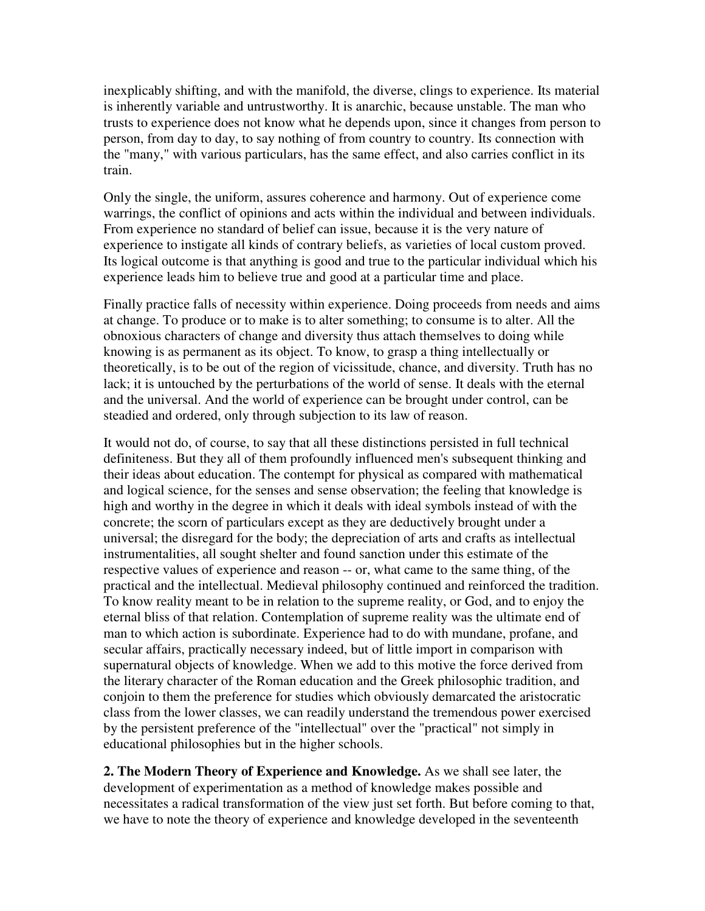inexplicably shifting, and with the manifold, the diverse, clings to experience. Its material is inherently variable and untrustworthy. It is anarchic, because unstable. The man who trusts to experience does not know what he depends upon, since it changes from person to person, from day to day, to say nothing of from country to country. Its connection with the "many," with various particulars, has the same effect, and also carries conflict in its train.

Only the single, the uniform, assures coherence and harmony. Out of experience come warrings, the conflict of opinions and acts within the individual and between individuals. From experience no standard of belief can issue, because it is the very nature of experience to instigate all kinds of contrary beliefs, as varieties of local custom proved. Its logical outcome is that anything is good and true to the particular individual which his experience leads him to believe true and good at a particular time and place.

Finally practice falls of necessity within experience. Doing proceeds from needs and aims at change. To produce or to make is to alter something; to consume is to alter. All the obnoxious characters of change and diversity thus attach themselves to doing while knowing is as permanent as its object. To know, to grasp a thing intellectually or theoretically, is to be out of the region of vicissitude, chance, and diversity. Truth has no lack; it is untouched by the perturbations of the world of sense. It deals with the eternal and the universal. And the world of experience can be brought under control, can be steadied and ordered, only through subjection to its law of reason.

It would not do, of course, to say that all these distinctions persisted in full technical definiteness. But they all of them profoundly influenced men's subsequent thinking and their ideas about education. The contempt for physical as compared with mathematical and logical science, for the senses and sense observation; the feeling that knowledge is high and worthy in the degree in which it deals with ideal symbols instead of with the concrete; the scorn of particulars except as they are deductively brought under a universal; the disregard for the body; the depreciation of arts and crafts as intellectual instrumentalities, all sought shelter and found sanction under this estimate of the respective values of experience and reason -- or, what came to the same thing, of the practical and the intellectual. Medieval philosophy continued and reinforced the tradition. To know reality meant to be in relation to the supreme reality, or God, and to enjoy the eternal bliss of that relation. Contemplation of supreme reality was the ultimate end of man to which action is subordinate. Experience had to do with mundane, profane, and secular affairs, practically necessary indeed, but of little import in comparison with supernatural objects of knowledge. When we add to this motive the force derived from the literary character of the Roman education and the Greek philosophic tradition, and conjoin to them the preference for studies which obviously demarcated the aristocratic class from the lower classes, we can readily understand the tremendous power exercised by the persistent preference of the "intellectual" over the "practical" not simply in educational philosophies but in the higher schools.

**2. The Modern Theory of Experience and Knowledge.** As we shall see later, the development of experimentation as a method of knowledge makes possible and necessitates a radical transformation of the view just set forth. But before coming to that, we have to note the theory of experience and knowledge developed in the seventeenth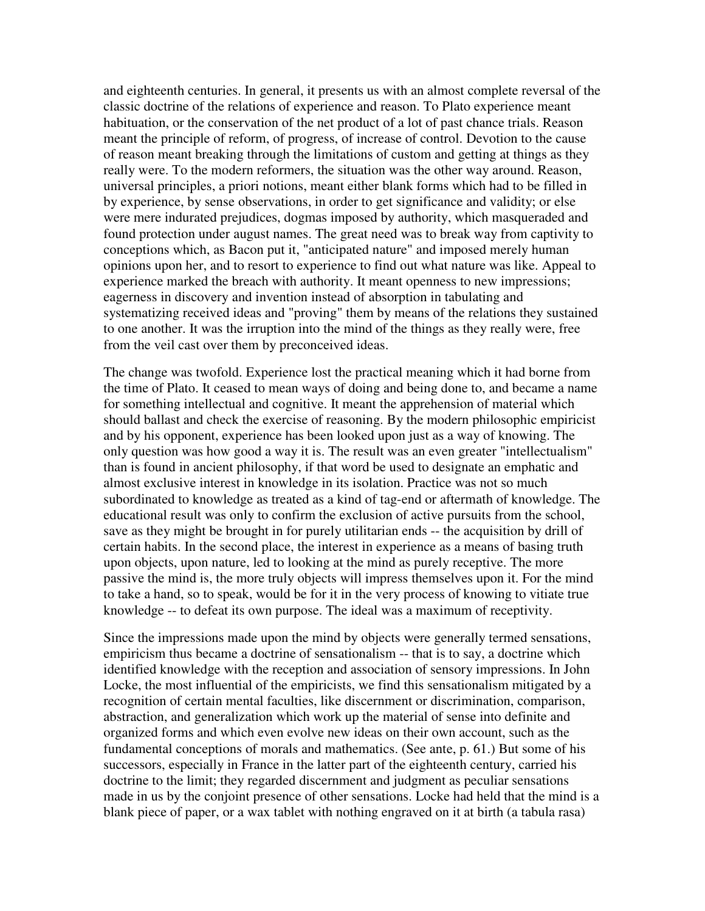and eighteenth centuries. In general, it presents us with an almost complete reversal of the classic doctrine of the relations of experience and reason. To Plato experience meant habituation, or the conservation of the net product of a lot of past chance trials. Reason meant the principle of reform, of progress, of increase of control. Devotion to the cause of reason meant breaking through the limitations of custom and getting at things as they really were. To the modern reformers, the situation was the other way around. Reason, universal principles, a priori notions, meant either blank forms which had to be filled in by experience, by sense observations, in order to get significance and validity; or else were mere indurated prejudices, dogmas imposed by authority, which masqueraded and found protection under august names. The great need was to break way from captivity to conceptions which, as Bacon put it, "anticipated nature" and imposed merely human opinions upon her, and to resort to experience to find out what nature was like. Appeal to experience marked the breach with authority. It meant openness to new impressions; eagerness in discovery and invention instead of absorption in tabulating and systematizing received ideas and "proving" them by means of the relations they sustained to one another. It was the irruption into the mind of the things as they really were, free from the veil cast over them by preconceived ideas.

The change was twofold. Experience lost the practical meaning which it had borne from the time of Plato. It ceased to mean ways of doing and being done to, and became a name for something intellectual and cognitive. It meant the apprehension of material which should ballast and check the exercise of reasoning. By the modern philosophic empiricist and by his opponent, experience has been looked upon just as a way of knowing. The only question was how good a way it is. The result was an even greater "intellectualism" than is found in ancient philosophy, if that word be used to designate an emphatic and almost exclusive interest in knowledge in its isolation. Practice was not so much subordinated to knowledge as treated as a kind of tag-end or aftermath of knowledge. The educational result was only to confirm the exclusion of active pursuits from the school, save as they might be brought in for purely utilitarian ends -- the acquisition by drill of certain habits. In the second place, the interest in experience as a means of basing truth upon objects, upon nature, led to looking at the mind as purely receptive. The more passive the mind is, the more truly objects will impress themselves upon it. For the mind to take a hand, so to speak, would be for it in the very process of knowing to vitiate true knowledge -- to defeat its own purpose. The ideal was a maximum of receptivity.

Since the impressions made upon the mind by objects were generally termed sensations, empiricism thus became a doctrine of sensationalism -- that is to say, a doctrine which identified knowledge with the reception and association of sensory impressions. In John Locke, the most influential of the empiricists, we find this sensationalism mitigated by a recognition of certain mental faculties, like discernment or discrimination, comparison, abstraction, and generalization which work up the material of sense into definite and organized forms and which even evolve new ideas on their own account, such as the fundamental conceptions of morals and mathematics. (See ante, p. 61.) But some of his successors, especially in France in the latter part of the eighteenth century, carried his doctrine to the limit; they regarded discernment and judgment as peculiar sensations made in us by the conjoint presence of other sensations. Locke had held that the mind is a blank piece of paper, or a wax tablet with nothing engraved on it at birth (a tabula rasa)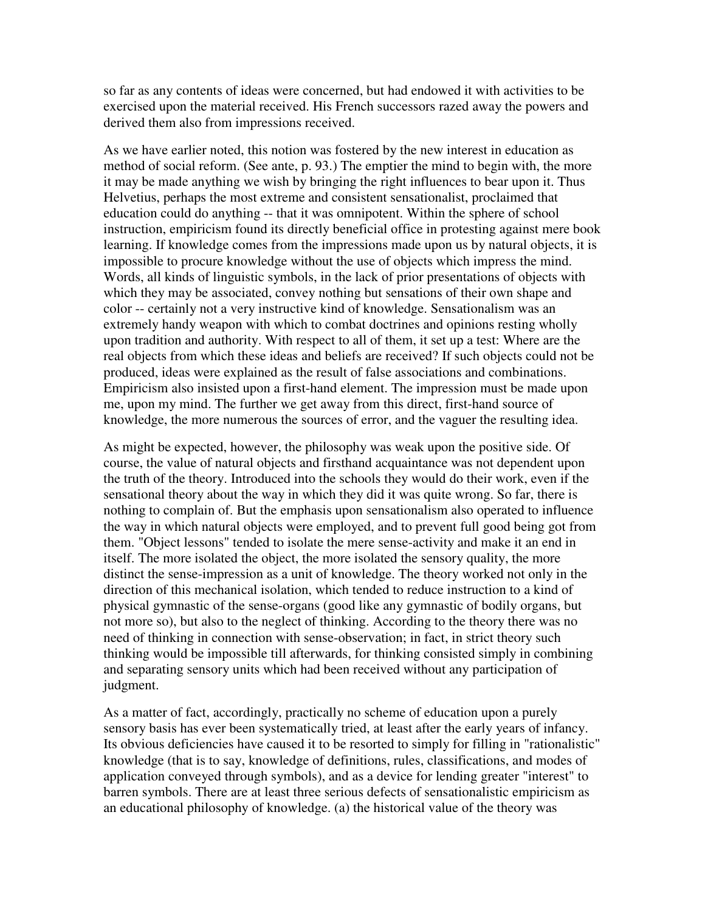so far as any contents of ideas were concerned, but had endowed it with activities to be exercised upon the material received. His French successors razed away the powers and derived them also from impressions received.

As we have earlier noted, this notion was fostered by the new interest in education as method of social reform. (See ante, p. 93.) The emptier the mind to begin with, the more it may be made anything we wish by bringing the right influences to bear upon it. Thus Helvetius, perhaps the most extreme and consistent sensationalist, proclaimed that education could do anything -- that it was omnipotent. Within the sphere of school instruction, empiricism found its directly beneficial office in protesting against mere book learning. If knowledge comes from the impressions made upon us by natural objects, it is impossible to procure knowledge without the use of objects which impress the mind. Words, all kinds of linguistic symbols, in the lack of prior presentations of objects with which they may be associated, convey nothing but sensations of their own shape and color -- certainly not a very instructive kind of knowledge. Sensationalism was an extremely handy weapon with which to combat doctrines and opinions resting wholly upon tradition and authority. With respect to all of them, it set up a test: Where are the real objects from which these ideas and beliefs are received? If such objects could not be produced, ideas were explained as the result of false associations and combinations. Empiricism also insisted upon a first-hand element. The impression must be made upon me, upon my mind. The further we get away from this direct, first-hand source of knowledge, the more numerous the sources of error, and the vaguer the resulting idea.

As might be expected, however, the philosophy was weak upon the positive side. Of course, the value of natural objects and firsthand acquaintance was not dependent upon the truth of the theory. Introduced into the schools they would do their work, even if the sensational theory about the way in which they did it was quite wrong. So far, there is nothing to complain of. But the emphasis upon sensationalism also operated to influence the way in which natural objects were employed, and to prevent full good being got from them. "Object lessons" tended to isolate the mere sense-activity and make it an end in itself. The more isolated the object, the more isolated the sensory quality, the more distinct the sense-impression as a unit of knowledge. The theory worked not only in the direction of this mechanical isolation, which tended to reduce instruction to a kind of physical gymnastic of the sense-organs (good like any gymnastic of bodily organs, but not more so), but also to the neglect of thinking. According to the theory there was no need of thinking in connection with sense-observation; in fact, in strict theory such thinking would be impossible till afterwards, for thinking consisted simply in combining and separating sensory units which had been received without any participation of judgment.

As a matter of fact, accordingly, practically no scheme of education upon a purely sensory basis has ever been systematically tried, at least after the early years of infancy. Its obvious deficiencies have caused it to be resorted to simply for filling in "rationalistic" knowledge (that is to say, knowledge of definitions, rules, classifications, and modes of application conveyed through symbols), and as a device for lending greater "interest" to barren symbols. There are at least three serious defects of sensationalistic empiricism as an educational philosophy of knowledge. (a) the historical value of the theory was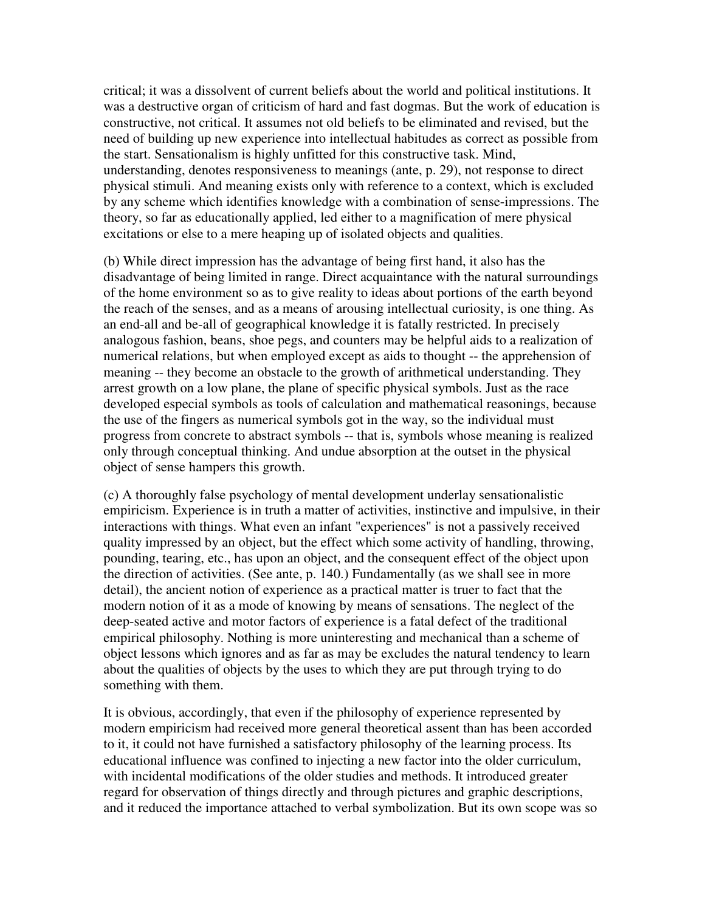critical; it was a dissolvent of current beliefs about the world and political institutions. It was a destructive organ of criticism of hard and fast dogmas. But the work of education is constructive, not critical. It assumes not old beliefs to be eliminated and revised, but the need of building up new experience into intellectual habitudes as correct as possible from the start. Sensationalism is highly unfitted for this constructive task. Mind, understanding, denotes responsiveness to meanings (ante, p. 29), not response to direct physical stimuli. And meaning exists only with reference to a context, which is excluded by any scheme which identifies knowledge with a combination of sense-impressions. The theory, so far as educationally applied, led either to a magnification of mere physical excitations or else to a mere heaping up of isolated objects and qualities.

(b) While direct impression has the advantage of being first hand, it also has the disadvantage of being limited in range. Direct acquaintance with the natural surroundings of the home environment so as to give reality to ideas about portions of the earth beyond the reach of the senses, and as a means of arousing intellectual curiosity, is one thing. As an end-all and be-all of geographical knowledge it is fatally restricted. In precisely analogous fashion, beans, shoe pegs, and counters may be helpful aids to a realization of numerical relations, but when employed except as aids to thought -- the apprehension of meaning -- they become an obstacle to the growth of arithmetical understanding. They arrest growth on a low plane, the plane of specific physical symbols. Just as the race developed especial symbols as tools of calculation and mathematical reasonings, because the use of the fingers as numerical symbols got in the way, so the individual must progress from concrete to abstract symbols -- that is, symbols whose meaning is realized only through conceptual thinking. And undue absorption at the outset in the physical object of sense hampers this growth.

(c) A thoroughly false psychology of mental development underlay sensationalistic empiricism. Experience is in truth a matter of activities, instinctive and impulsive, in their interactions with things. What even an infant "experiences" is not a passively received quality impressed by an object, but the effect which some activity of handling, throwing, pounding, tearing, etc., has upon an object, and the consequent effect of the object upon the direction of activities. (See ante, p. 140.) Fundamentally (as we shall see in more detail), the ancient notion of experience as a practical matter is truer to fact that the modern notion of it as a mode of knowing by means of sensations. The neglect of the deep-seated active and motor factors of experience is a fatal defect of the traditional empirical philosophy. Nothing is more uninteresting and mechanical than a scheme of object lessons which ignores and as far as may be excludes the natural tendency to learn about the qualities of objects by the uses to which they are put through trying to do something with them.

It is obvious, accordingly, that even if the philosophy of experience represented by modern empiricism had received more general theoretical assent than has been accorded to it, it could not have furnished a satisfactory philosophy of the learning process. Its educational influence was confined to injecting a new factor into the older curriculum, with incidental modifications of the older studies and methods. It introduced greater regard for observation of things directly and through pictures and graphic descriptions, and it reduced the importance attached to verbal symbolization. But its own scope was so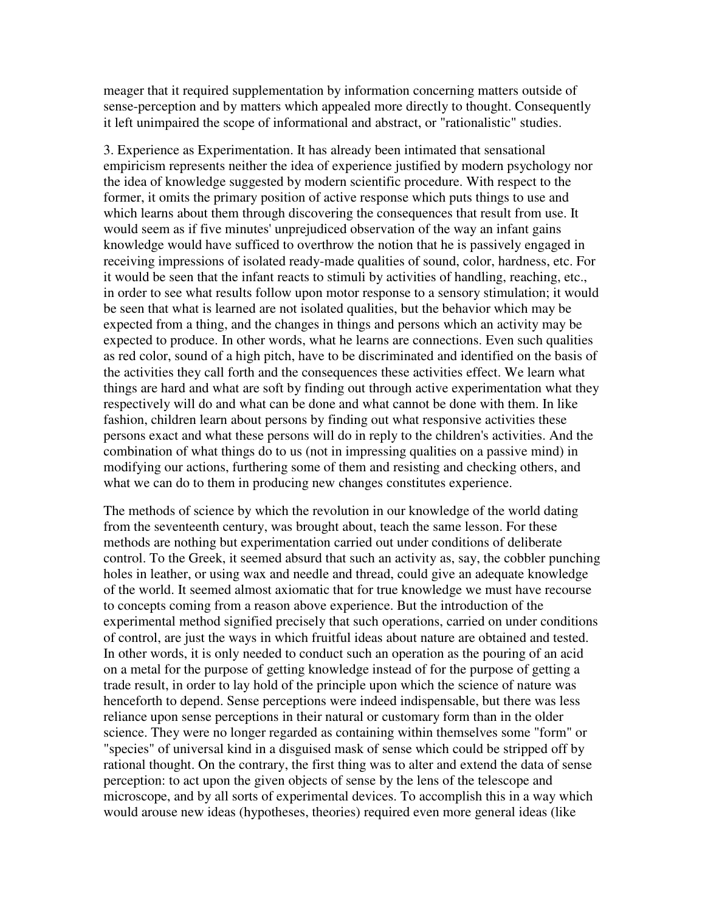meager that it required supplementation by information concerning matters outside of sense-perception and by matters which appealed more directly to thought. Consequently it left unimpaired the scope of informational and abstract, or "rationalistic" studies.

3. Experience as Experimentation. It has already been intimated that sensational empiricism represents neither the idea of experience justified by modern psychology nor the idea of knowledge suggested by modern scientific procedure. With respect to the former, it omits the primary position of active response which puts things to use and which learns about them through discovering the consequences that result from use. It would seem as if five minutes' unprejudiced observation of the way an infant gains knowledge would have sufficed to overthrow the notion that he is passively engaged in receiving impressions of isolated ready-made qualities of sound, color, hardness, etc. For it would be seen that the infant reacts to stimuli by activities of handling, reaching, etc., in order to see what results follow upon motor response to a sensory stimulation; it would be seen that what is learned are not isolated qualities, but the behavior which may be expected from a thing, and the changes in things and persons which an activity may be expected to produce. In other words, what he learns are connections. Even such qualities as red color, sound of a high pitch, have to be discriminated and identified on the basis of the activities they call forth and the consequences these activities effect. We learn what things are hard and what are soft by finding out through active experimentation what they respectively will do and what can be done and what cannot be done with them. In like fashion, children learn about persons by finding out what responsive activities these persons exact and what these persons will do in reply to the children's activities. And the combination of what things do to us (not in impressing qualities on a passive mind) in modifying our actions, furthering some of them and resisting and checking others, and what we can do to them in producing new changes constitutes experience.

The methods of science by which the revolution in our knowledge of the world dating from the seventeenth century, was brought about, teach the same lesson. For these methods are nothing but experimentation carried out under conditions of deliberate control. To the Greek, it seemed absurd that such an activity as, say, the cobbler punching holes in leather, or using wax and needle and thread, could give an adequate knowledge of the world. It seemed almost axiomatic that for true knowledge we must have recourse to concepts coming from a reason above experience. But the introduction of the experimental method signified precisely that such operations, carried on under conditions of control, are just the ways in which fruitful ideas about nature are obtained and tested. In other words, it is only needed to conduct such an operation as the pouring of an acid on a metal for the purpose of getting knowledge instead of for the purpose of getting a trade result, in order to lay hold of the principle upon which the science of nature was henceforth to depend. Sense perceptions were indeed indispensable, but there was less reliance upon sense perceptions in their natural or customary form than in the older science. They were no longer regarded as containing within themselves some "form" or "species" of universal kind in a disguised mask of sense which could be stripped off by rational thought. On the contrary, the first thing was to alter and extend the data of sense perception: to act upon the given objects of sense by the lens of the telescope and microscope, and by all sorts of experimental devices. To accomplish this in a way which would arouse new ideas (hypotheses, theories) required even more general ideas (like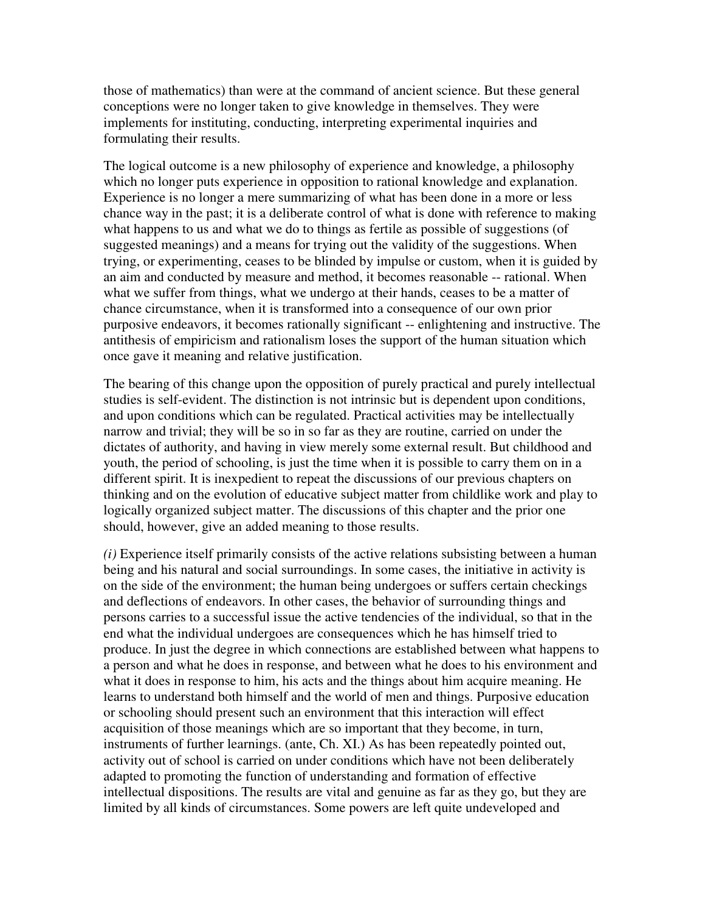those of mathematics) than were at the command of ancient science. But these general conceptions were no longer taken to give knowledge in themselves. They were implements for instituting, conducting, interpreting experimental inquiries and formulating their results.

The logical outcome is a new philosophy of experience and knowledge, a philosophy which no longer puts experience in opposition to rational knowledge and explanation. Experience is no longer a mere summarizing of what has been done in a more or less chance way in the past; it is a deliberate control of what is done with reference to making what happens to us and what we do to things as fertile as possible of suggestions (of suggested meanings) and a means for trying out the validity of the suggestions. When trying, or experimenting, ceases to be blinded by impulse or custom, when it is guided by an aim and conducted by measure and method, it becomes reasonable -- rational. When what we suffer from things, what we undergo at their hands, ceases to be a matter of chance circumstance, when it is transformed into a consequence of our own prior purposive endeavors, it becomes rationally significant -- enlightening and instructive. The antithesis of empiricism and rationalism loses the support of the human situation which once gave it meaning and relative justification.

The bearing of this change upon the opposition of purely practical and purely intellectual studies is self-evident. The distinction is not intrinsic but is dependent upon conditions, and upon conditions which can be regulated. Practical activities may be intellectually narrow and trivial; they will be so in so far as they are routine, carried on under the dictates of authority, and having in view merely some external result. But childhood and youth, the period of schooling, is just the time when it is possible to carry them on in a different spirit. It is inexpedient to repeat the discussions of our previous chapters on thinking and on the evolution of educative subject matter from childlike work and play to logically organized subject matter. The discussions of this chapter and the prior one should, however, give an added meaning to those results.

*(i)* Experience itself primarily consists of the active relations subsisting between a human being and his natural and social surroundings. In some cases, the initiative in activity is on the side of the environment; the human being undergoes or suffers certain checkings and deflections of endeavors. In other cases, the behavior of surrounding things and persons carries to a successful issue the active tendencies of the individual, so that in the end what the individual undergoes are consequences which he has himself tried to produce. In just the degree in which connections are established between what happens to a person and what he does in response, and between what he does to his environment and what it does in response to him, his acts and the things about him acquire meaning. He learns to understand both himself and the world of men and things. Purposive education or schooling should present such an environment that this interaction will effect acquisition of those meanings which are so important that they become, in turn, instruments of further learnings. (ante, Ch. XI.) As has been repeatedly pointed out, activity out of school is carried on under conditions which have not been deliberately adapted to promoting the function of understanding and formation of effective intellectual dispositions. The results are vital and genuine as far as they go, but they are limited by all kinds of circumstances. Some powers are left quite undeveloped and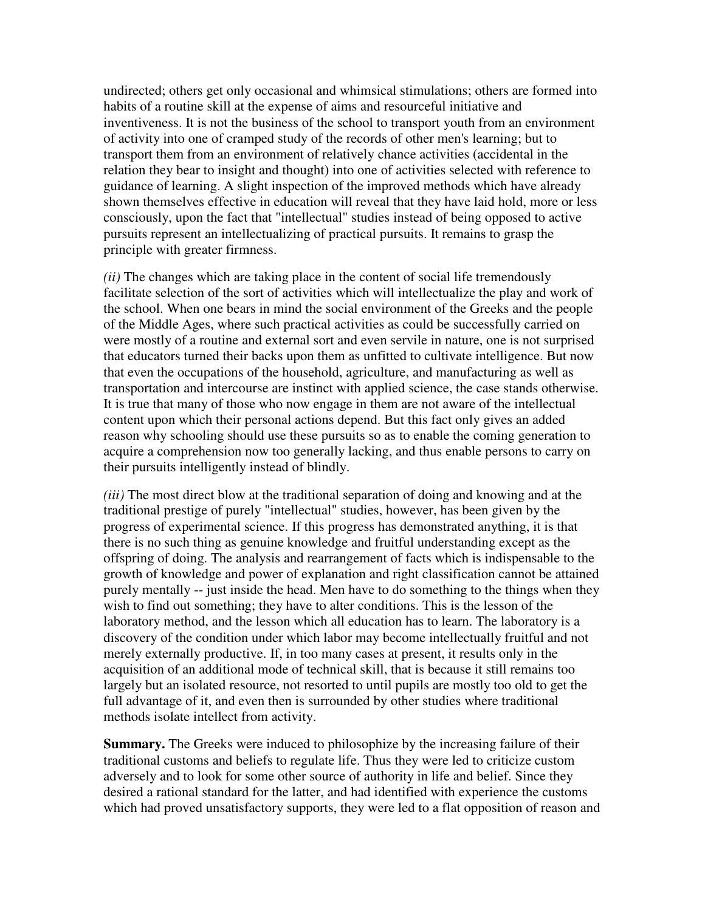undirected; others get only occasional and whimsical stimulations; others are formed into habits of a routine skill at the expense of aims and resourceful initiative and inventiveness. It is not the business of the school to transport youth from an environment of activity into one of cramped study of the records of other men's learning; but to transport them from an environment of relatively chance activities (accidental in the relation they bear to insight and thought) into one of activities selected with reference to guidance of learning. A slight inspection of the improved methods which have already shown themselves effective in education will reveal that they have laid hold, more or less consciously, upon the fact that "intellectual" studies instead of being opposed to active pursuits represent an intellectualizing of practical pursuits. It remains to grasp the principle with greater firmness.

*(ii)* The changes which are taking place in the content of social life tremendously facilitate selection of the sort of activities which will intellectualize the play and work of the school. When one bears in mind the social environment of the Greeks and the people of the Middle Ages, where such practical activities as could be successfully carried on were mostly of a routine and external sort and even servile in nature, one is not surprised that educators turned their backs upon them as unfitted to cultivate intelligence. But now that even the occupations of the household, agriculture, and manufacturing as well as transportation and intercourse are instinct with applied science, the case stands otherwise. It is true that many of those who now engage in them are not aware of the intellectual content upon which their personal actions depend. But this fact only gives an added reason why schooling should use these pursuits so as to enable the coming generation to acquire a comprehension now too generally lacking, and thus enable persons to carry on their pursuits intelligently instead of blindly.

*(iii)* The most direct blow at the traditional separation of doing and knowing and at the traditional prestige of purely "intellectual" studies, however, has been given by the progress of experimental science. If this progress has demonstrated anything, it is that there is no such thing as genuine knowledge and fruitful understanding except as the offspring of doing. The analysis and rearrangement of facts which is indispensable to the growth of knowledge and power of explanation and right classification cannot be attained purely mentally -- just inside the head. Men have to do something to the things when they wish to find out something; they have to alter conditions. This is the lesson of the laboratory method, and the lesson which all education has to learn. The laboratory is a discovery of the condition under which labor may become intellectually fruitful and not merely externally productive. If, in too many cases at present, it results only in the acquisition of an additional mode of technical skill, that is because it still remains too largely but an isolated resource, not resorted to until pupils are mostly too old to get the full advantage of it, and even then is surrounded by other studies where traditional methods isolate intellect from activity.

**Summary.** The Greeks were induced to philosophize by the increasing failure of their traditional customs and beliefs to regulate life. Thus they were led to criticize custom adversely and to look for some other source of authority in life and belief. Since they desired a rational standard for the latter, and had identified with experience the customs which had proved unsatisfactory supports, they were led to a flat opposition of reason and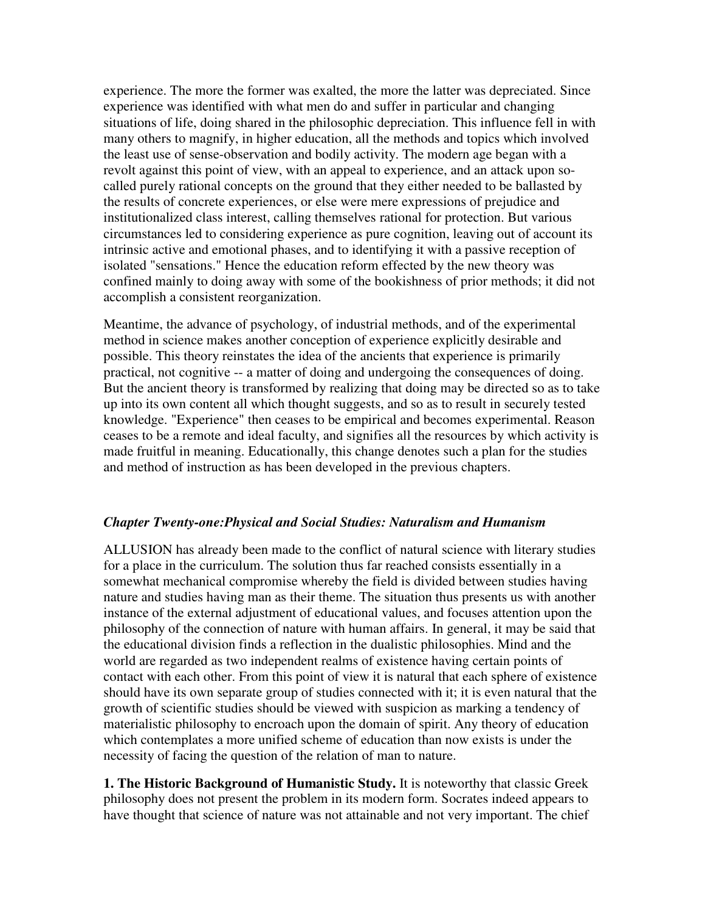experience. The more the former was exalted, the more the latter was depreciated. Since experience was identified with what men do and suffer in particular and changing situations of life, doing shared in the philosophic depreciation. This influence fell in with many others to magnify, in higher education, all the methods and topics which involved the least use of sense-observation and bodily activity. The modern age began with a revolt against this point of view, with an appeal to experience, and an attack upon socalled purely rational concepts on the ground that they either needed to be ballasted by the results of concrete experiences, or else were mere expressions of prejudice and institutionalized class interest, calling themselves rational for protection. But various circumstances led to considering experience as pure cognition, leaving out of account its intrinsic active and emotional phases, and to identifying it with a passive reception of isolated "sensations." Hence the education reform effected by the new theory was confined mainly to doing away with some of the bookishness of prior methods; it did not accomplish a consistent reorganization.

Meantime, the advance of psychology, of industrial methods, and of the experimental method in science makes another conception of experience explicitly desirable and possible. This theory reinstates the idea of the ancients that experience is primarily practical, not cognitive -- a matter of doing and undergoing the consequences of doing. But the ancient theory is transformed by realizing that doing may be directed so as to take up into its own content all which thought suggests, and so as to result in securely tested knowledge. "Experience" then ceases to be empirical and becomes experimental. Reason ceases to be a remote and ideal faculty, and signifies all the resources by which activity is made fruitful in meaning. Educationally, this change denotes such a plan for the studies and method of instruction as has been developed in the previous chapters.

### *Chapter Twenty-one:Physical and Social Studies: Naturalism and Humanism*

ALLUSION has already been made to the conflict of natural science with literary studies for a place in the curriculum. The solution thus far reached consists essentially in a somewhat mechanical compromise whereby the field is divided between studies having nature and studies having man as their theme. The situation thus presents us with another instance of the external adjustment of educational values, and focuses attention upon the philosophy of the connection of nature with human affairs. In general, it may be said that the educational division finds a reflection in the dualistic philosophies. Mind and the world are regarded as two independent realms of existence having certain points of contact with each other. From this point of view it is natural that each sphere of existence should have its own separate group of studies connected with it; it is even natural that the growth of scientific studies should be viewed with suspicion as marking a tendency of materialistic philosophy to encroach upon the domain of spirit. Any theory of education which contemplates a more unified scheme of education than now exists is under the necessity of facing the question of the relation of man to nature.

**1. The Historic Background of Humanistic Study.** It is noteworthy that classic Greek philosophy does not present the problem in its modern form. Socrates indeed appears to have thought that science of nature was not attainable and not very important. The chief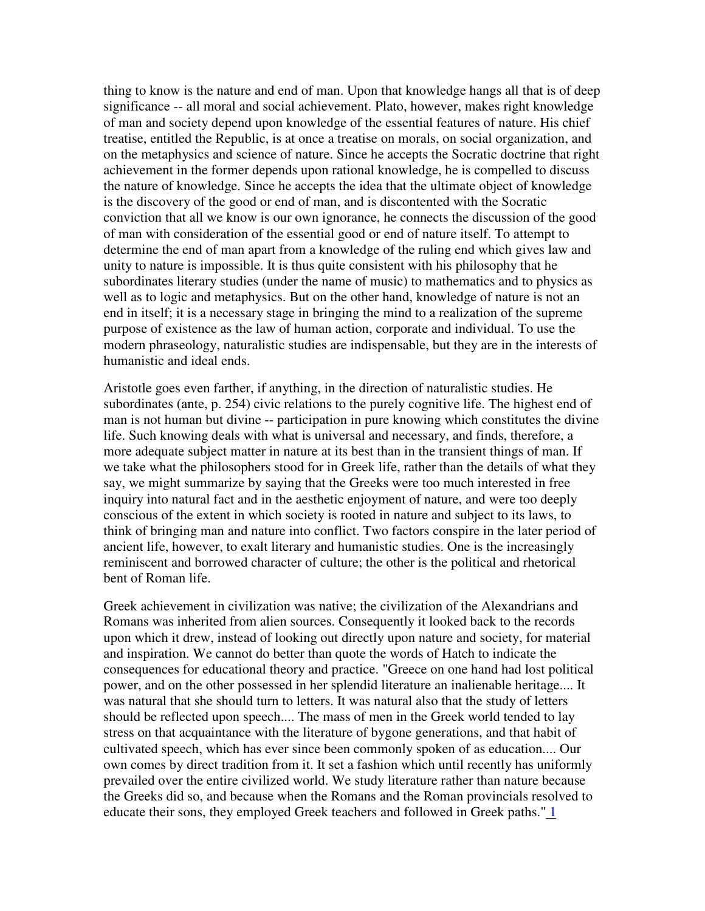thing to know is the nature and end of man. Upon that knowledge hangs all that is of deep significance -- all moral and social achievement. Plato, however, makes right knowledge of man and society depend upon knowledge of the essential features of nature. His chief treatise, entitled the Republic, is at once a treatise on morals, on social organization, and on the metaphysics and science of nature. Since he accepts the Socratic doctrine that right achievement in the former depends upon rational knowledge, he is compelled to discuss the nature of knowledge. Since he accepts the idea that the ultimate object of knowledge is the discovery of the good or end of man, and is discontented with the Socratic conviction that all we know is our own ignorance, he connects the discussion of the good of man with consideration of the essential good or end of nature itself. To attempt to determine the end of man apart from a knowledge of the ruling end which gives law and unity to nature is impossible. It is thus quite consistent with his philosophy that he subordinates literary studies (under the name of music) to mathematics and to physics as well as to logic and metaphysics. But on the other hand, knowledge of nature is not an end in itself; it is a necessary stage in bringing the mind to a realization of the supreme purpose of existence as the law of human action, corporate and individual. To use the modern phraseology, naturalistic studies are indispensable, but they are in the interests of humanistic and ideal ends.

Aristotle goes even farther, if anything, in the direction of naturalistic studies. He subordinates (ante, p. 254) civic relations to the purely cognitive life. The highest end of man is not human but divine -- participation in pure knowing which constitutes the divine life. Such knowing deals with what is universal and necessary, and finds, therefore, a more adequate subject matter in nature at its best than in the transient things of man. If we take what the philosophers stood for in Greek life, rather than the details of what they say, we might summarize by saying that the Greeks were too much interested in free inquiry into natural fact and in the aesthetic enjoyment of nature, and were too deeply conscious of the extent in which society is rooted in nature and subject to its laws, to think of bringing man and nature into conflict. Two factors conspire in the later period of ancient life, however, to exalt literary and humanistic studies. One is the increasingly reminiscent and borrowed character of culture; the other is the political and rhetorical bent of Roman life.

Greek achievement in civilization was native; the civilization of the Alexandrians and Romans was inherited from alien sources. Consequently it looked back to the records upon which it drew, instead of looking out directly upon nature and society, for material and inspiration. We cannot do better than quote the words of Hatch to indicate the consequences for educational theory and practice. "Greece on one hand had lost political power, and on the other possessed in her splendid literature an inalienable heritage.... It was natural that she should turn to letters. It was natural also that the study of letters should be reflected upon speech.... The mass of men in the Greek world tended to lay stress on that acquaintance with the literature of bygone generations, and that habit of cultivated speech, which has ever since been commonly spoken of as education.... Our own comes by direct tradition from it. It set a fashion which until recently has uniformly prevailed over the entire civilized world. We study literature rather than nature because the Greeks did so, and because when the Romans and the Roman provincials resolved to educate their sons, they employed Greek teachers and followed in Greek paths." 1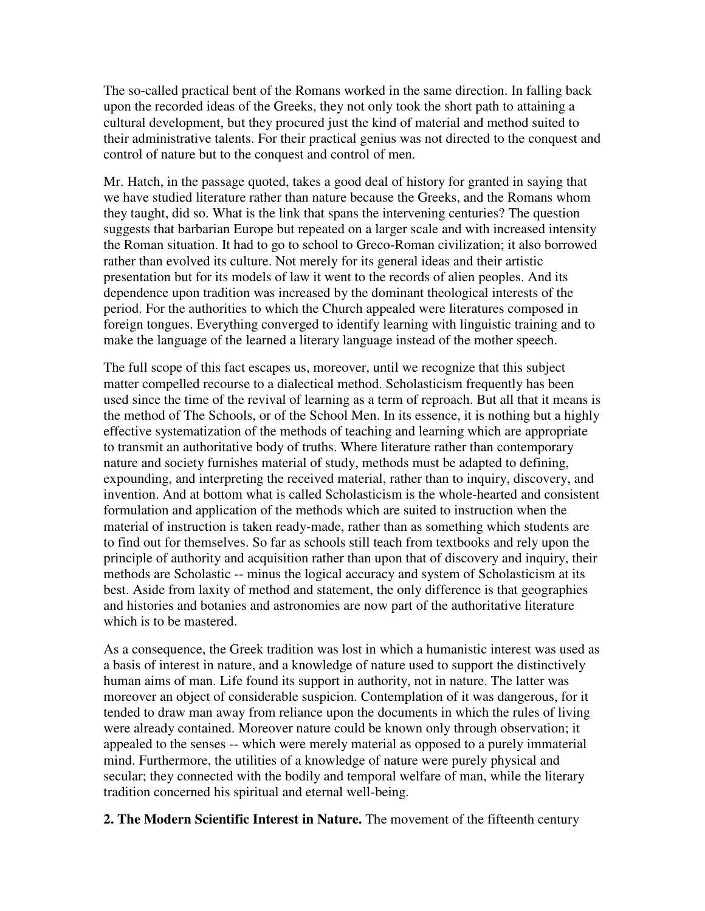The so-called practical bent of the Romans worked in the same direction. In falling back upon the recorded ideas of the Greeks, they not only took the short path to attaining a cultural development, but they procured just the kind of material and method suited to their administrative talents. For their practical genius was not directed to the conquest and control of nature but to the conquest and control of men.

Mr. Hatch, in the passage quoted, takes a good deal of history for granted in saying that we have studied literature rather than nature because the Greeks, and the Romans whom they taught, did so. What is the link that spans the intervening centuries? The question suggests that barbarian Europe but repeated on a larger scale and with increased intensity the Roman situation. It had to go to school to Greco-Roman civilization; it also borrowed rather than evolved its culture. Not merely for its general ideas and their artistic presentation but for its models of law it went to the records of alien peoples. And its dependence upon tradition was increased by the dominant theological interests of the period. For the authorities to which the Church appealed were literatures composed in foreign tongues. Everything converged to identify learning with linguistic training and to make the language of the learned a literary language instead of the mother speech.

The full scope of this fact escapes us, moreover, until we recognize that this subject matter compelled recourse to a dialectical method. Scholasticism frequently has been used since the time of the revival of learning as a term of reproach. But all that it means is the method of The Schools, or of the School Men. In its essence, it is nothing but a highly effective systematization of the methods of teaching and learning which are appropriate to transmit an authoritative body of truths. Where literature rather than contemporary nature and society furnishes material of study, methods must be adapted to defining, expounding, and interpreting the received material, rather than to inquiry, discovery, and invention. And at bottom what is called Scholasticism is the whole-hearted and consistent formulation and application of the methods which are suited to instruction when the material of instruction is taken ready-made, rather than as something which students are to find out for themselves. So far as schools still teach from textbooks and rely upon the principle of authority and acquisition rather than upon that of discovery and inquiry, their methods are Scholastic -- minus the logical accuracy and system of Scholasticism at its best. Aside from laxity of method and statement, the only difference is that geographies and histories and botanies and astronomies are now part of the authoritative literature which is to be mastered.

As a consequence, the Greek tradition was lost in which a humanistic interest was used as a basis of interest in nature, and a knowledge of nature used to support the distinctively human aims of man. Life found its support in authority, not in nature. The latter was moreover an object of considerable suspicion. Contemplation of it was dangerous, for it tended to draw man away from reliance upon the documents in which the rules of living were already contained. Moreover nature could be known only through observation; it appealed to the senses -- which were merely material as opposed to a purely immaterial mind. Furthermore, the utilities of a knowledge of nature were purely physical and secular; they connected with the bodily and temporal welfare of man, while the literary tradition concerned his spiritual and eternal well-being.

**2. The Modern Scientific Interest in Nature.** The movement of the fifteenth century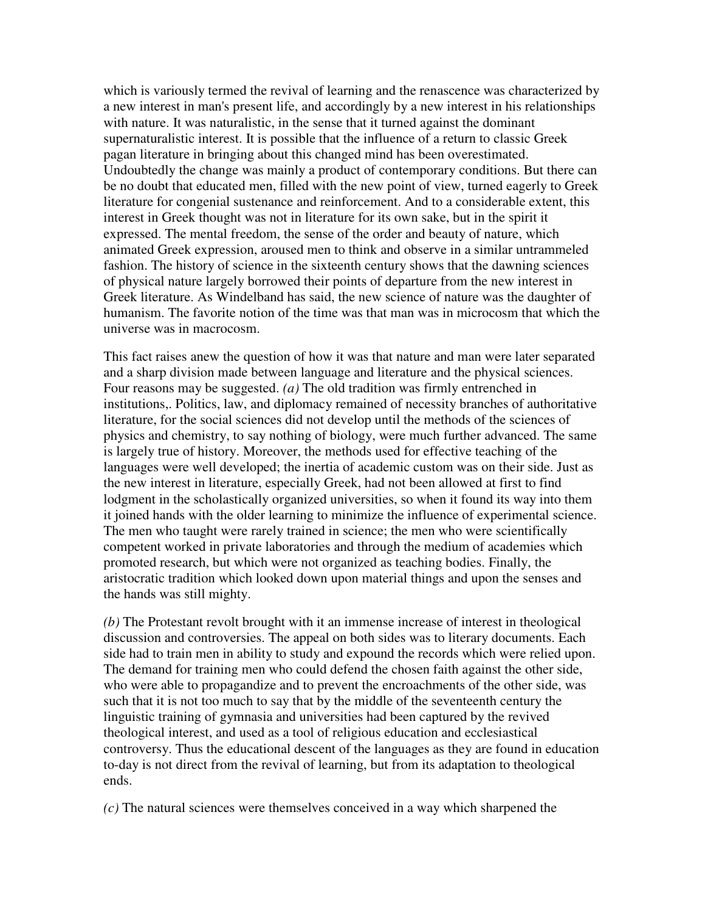which is variously termed the revival of learning and the renascence was characterized by a new interest in man's present life, and accordingly by a new interest in his relationships with nature. It was naturalistic, in the sense that it turned against the dominant supernaturalistic interest. It is possible that the influence of a return to classic Greek pagan literature in bringing about this changed mind has been overestimated. Undoubtedly the change was mainly a product of contemporary conditions. But there can be no doubt that educated men, filled with the new point of view, turned eagerly to Greek literature for congenial sustenance and reinforcement. And to a considerable extent, this interest in Greek thought was not in literature for its own sake, but in the spirit it expressed. The mental freedom, the sense of the order and beauty of nature, which animated Greek expression, aroused men to think and observe in a similar untrammeled fashion. The history of science in the sixteenth century shows that the dawning sciences of physical nature largely borrowed their points of departure from the new interest in Greek literature. As Windelband has said, the new science of nature was the daughter of humanism. The favorite notion of the time was that man was in microcosm that which the universe was in macrocosm.

This fact raises anew the question of how it was that nature and man were later separated and a sharp division made between language and literature and the physical sciences. Four reasons may be suggested. *(a)* The old tradition was firmly entrenched in institutions,. Politics, law, and diplomacy remained of necessity branches of authoritative literature, for the social sciences did not develop until the methods of the sciences of physics and chemistry, to say nothing of biology, were much further advanced. The same is largely true of history. Moreover, the methods used for effective teaching of the languages were well developed; the inertia of academic custom was on their side. Just as the new interest in literature, especially Greek, had not been allowed at first to find lodgment in the scholastically organized universities, so when it found its way into them it joined hands with the older learning to minimize the influence of experimental science. The men who taught were rarely trained in science; the men who were scientifically competent worked in private laboratories and through the medium of academies which promoted research, but which were not organized as teaching bodies. Finally, the aristocratic tradition which looked down upon material things and upon the senses and the hands was still mighty.

*(b)* The Protestant revolt brought with it an immense increase of interest in theological discussion and controversies. The appeal on both sides was to literary documents. Each side had to train men in ability to study and expound the records which were relied upon. The demand for training men who could defend the chosen faith against the other side, who were able to propagandize and to prevent the encroachments of the other side, was such that it is not too much to say that by the middle of the seventeenth century the linguistic training of gymnasia and universities had been captured by the revived theological interest, and used as a tool of religious education and ecclesiastical controversy. Thus the educational descent of the languages as they are found in education to-day is not direct from the revival of learning, but from its adaptation to theological ends.

*(c)* The natural sciences were themselves conceived in a way which sharpened the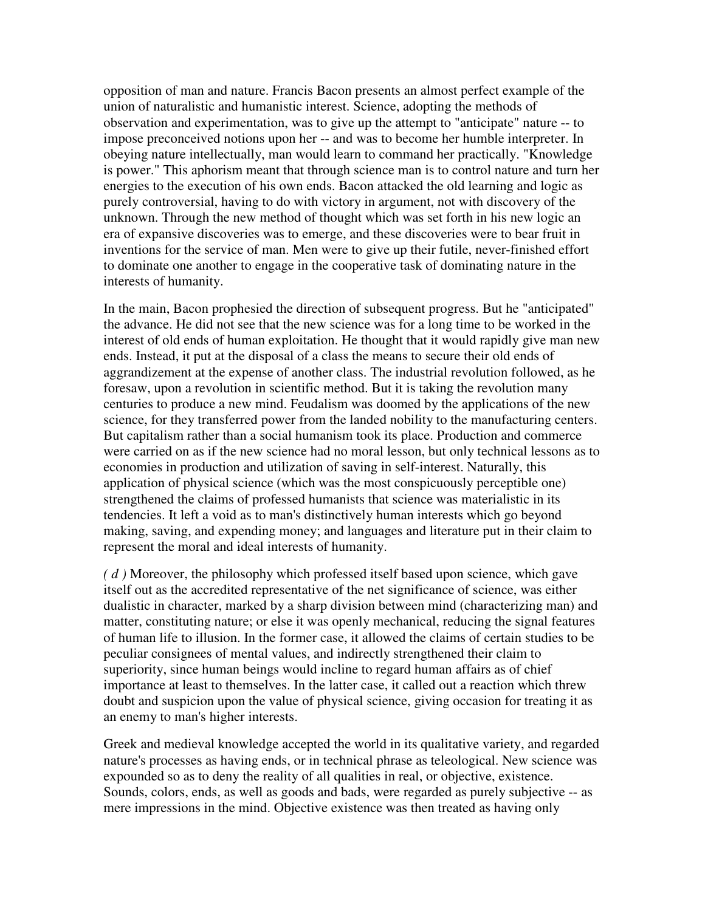opposition of man and nature. Francis Bacon presents an almost perfect example of the union of naturalistic and humanistic interest. Science, adopting the methods of observation and experimentation, was to give up the attempt to "anticipate" nature -- to impose preconceived notions upon her -- and was to become her humble interpreter. In obeying nature intellectually, man would learn to command her practically. "Knowledge is power." This aphorism meant that through science man is to control nature and turn her energies to the execution of his own ends. Bacon attacked the old learning and logic as purely controversial, having to do with victory in argument, not with discovery of the unknown. Through the new method of thought which was set forth in his new logic an era of expansive discoveries was to emerge, and these discoveries were to bear fruit in inventions for the service of man. Men were to give up their futile, never-finished effort to dominate one another to engage in the cooperative task of dominating nature in the interests of humanity.

In the main, Bacon prophesied the direction of subsequent progress. But he "anticipated" the advance. He did not see that the new science was for a long time to be worked in the interest of old ends of human exploitation. He thought that it would rapidly give man new ends. Instead, it put at the disposal of a class the means to secure their old ends of aggrandizement at the expense of another class. The industrial revolution followed, as he foresaw, upon a revolution in scientific method. But it is taking the revolution many centuries to produce a new mind. Feudalism was doomed by the applications of the new science, for they transferred power from the landed nobility to the manufacturing centers. But capitalism rather than a social humanism took its place. Production and commerce were carried on as if the new science had no moral lesson, but only technical lessons as to economies in production and utilization of saving in self-interest. Naturally, this application of physical science (which was the most conspicuously perceptible one) strengthened the claims of professed humanists that science was materialistic in its tendencies. It left a void as to man's distinctively human interests which go beyond making, saving, and expending money; and languages and literature put in their claim to represent the moral and ideal interests of humanity.

*( d )* Moreover, the philosophy which professed itself based upon science, which gave itself out as the accredited representative of the net significance of science, was either dualistic in character, marked by a sharp division between mind (characterizing man) and matter, constituting nature; or else it was openly mechanical, reducing the signal features of human life to illusion. In the former case, it allowed the claims of certain studies to be peculiar consignees of mental values, and indirectly strengthened their claim to superiority, since human beings would incline to regard human affairs as of chief importance at least to themselves. In the latter case, it called out a reaction which threw doubt and suspicion upon the value of physical science, giving occasion for treating it as an enemy to man's higher interests.

Greek and medieval knowledge accepted the world in its qualitative variety, and regarded nature's processes as having ends, or in technical phrase as teleological. New science was expounded so as to deny the reality of all qualities in real, or objective, existence. Sounds, colors, ends, as well as goods and bads, were regarded as purely subjective -- as mere impressions in the mind. Objective existence was then treated as having only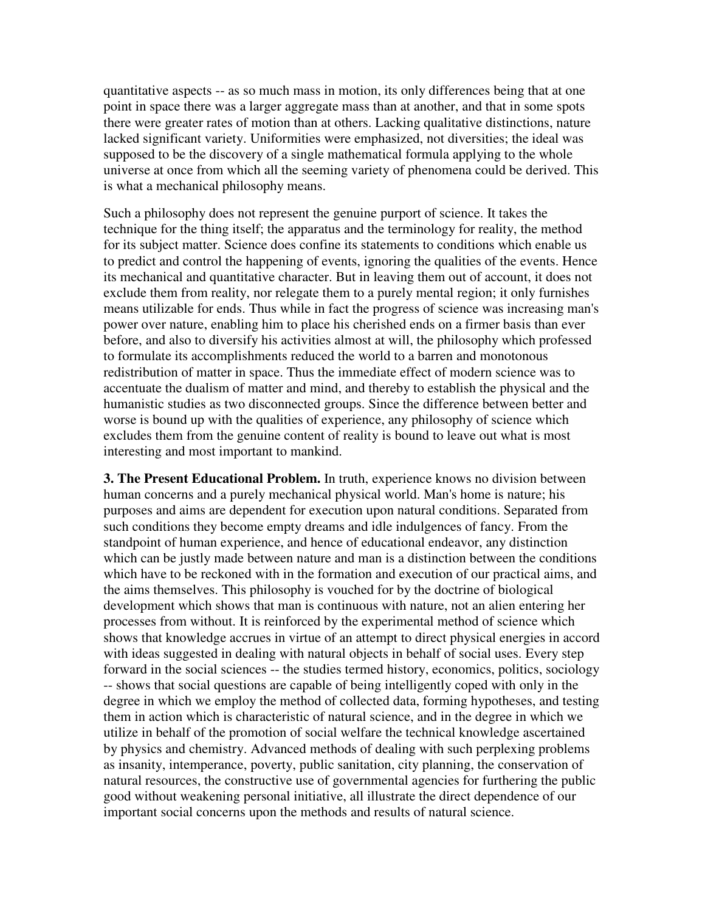quantitative aspects -- as so much mass in motion, its only differences being that at one point in space there was a larger aggregate mass than at another, and that in some spots there were greater rates of motion than at others. Lacking qualitative distinctions, nature lacked significant variety. Uniformities were emphasized, not diversities; the ideal was supposed to be the discovery of a single mathematical formula applying to the whole universe at once from which all the seeming variety of phenomena could be derived. This is what a mechanical philosophy means.

Such a philosophy does not represent the genuine purport of science. It takes the technique for the thing itself; the apparatus and the terminology for reality, the method for its subject matter. Science does confine its statements to conditions which enable us to predict and control the happening of events, ignoring the qualities of the events. Hence its mechanical and quantitative character. But in leaving them out of account, it does not exclude them from reality, nor relegate them to a purely mental region; it only furnishes means utilizable for ends. Thus while in fact the progress of science was increasing man's power over nature, enabling him to place his cherished ends on a firmer basis than ever before, and also to diversify his activities almost at will, the philosophy which professed to formulate its accomplishments reduced the world to a barren and monotonous redistribution of matter in space. Thus the immediate effect of modern science was to accentuate the dualism of matter and mind, and thereby to establish the physical and the humanistic studies as two disconnected groups. Since the difference between better and worse is bound up with the qualities of experience, any philosophy of science which excludes them from the genuine content of reality is bound to leave out what is most interesting and most important to mankind.

**3. The Present Educational Problem.** In truth, experience knows no division between human concerns and a purely mechanical physical world. Man's home is nature; his purposes and aims are dependent for execution upon natural conditions. Separated from such conditions they become empty dreams and idle indulgences of fancy. From the standpoint of human experience, and hence of educational endeavor, any distinction which can be justly made between nature and man is a distinction between the conditions which have to be reckoned with in the formation and execution of our practical aims, and the aims themselves. This philosophy is vouched for by the doctrine of biological development which shows that man is continuous with nature, not an alien entering her processes from without. It is reinforced by the experimental method of science which shows that knowledge accrues in virtue of an attempt to direct physical energies in accord with ideas suggested in dealing with natural objects in behalf of social uses. Every step forward in the social sciences -- the studies termed history, economics, politics, sociology -- shows that social questions are capable of being intelligently coped with only in the degree in which we employ the method of collected data, forming hypotheses, and testing them in action which is characteristic of natural science, and in the degree in which we utilize in behalf of the promotion of social welfare the technical knowledge ascertained by physics and chemistry. Advanced methods of dealing with such perplexing problems as insanity, intemperance, poverty, public sanitation, city planning, the conservation of natural resources, the constructive use of governmental agencies for furthering the public good without weakening personal initiative, all illustrate the direct dependence of our important social concerns upon the methods and results of natural science.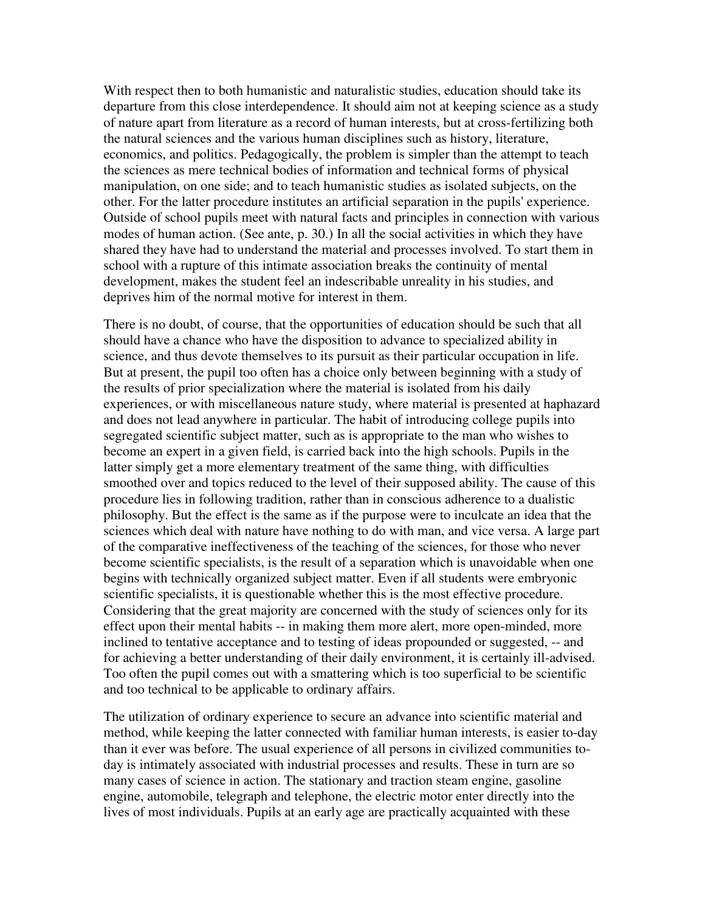With respect then to both humanistic and naturalistic studies, education should take its departure from this close interdependence. It should aim not at keeping science as a study of nature apart from literature as a record of human interests, but at cross-fertilizing both the natural sciences and the various human disciplines such as history, literature, economics, and politics. Pedagogically, the problem is simpler than the attempt to teach the sciences as mere technical bodies of information and technical forms of physical manipulation, on one side; and to teach humanistic studies as isolated subjects, on the other. For the latter procedure institutes an artificial separation in the pupils' experience. Outside of school pupils meet with natural facts and principles in connection with various modes of human action. (See ante, p. 30.) In all the social activities in which they have shared they have had to understand the material and processes involved. To start them in school with a rupture of this intimate association breaks the continuity of mental development, makes the student feel an indescribable unreality in his studies, and deprives him of the normal motive for interest in them.

There is no doubt, of course, that the opportunities of education should be such that all should have a chance who have the disposition to advance to specialized ability in science, and thus devote themselves to its pursuit as their particular occupation in life. But at present, the pupil too often has a choice only between beginning with a study of the results of prior specialization where the material is isolated from his daily experiences, or with miscellaneous nature study, where material is presented at haphazard and does not lead anywhere in particular. The habit of introducing college pupils into segregated scientific subject matter, such as is appropriate to the man who wishes to become an expert in a given field, is carried back into the high schools. Pupils in the latter simply get a more elementary treatment of the same thing, with difficulties smoothed over and topics reduced to the level of their supposed ability. The cause of this procedure lies in following tradition, rather than in conscious adherence to a dualistic philosophy. But the effect is the same as if the purpose were to inculcate an idea that the sciences which deal with nature have nothing to do with man, and vice versa. A large part of the comparative ineffectiveness of the teaching of the sciences, for those who never become scientific specialists, is the result of a separation which is unavoidable when one begins with technically organized subject matter. Even if all students were embryonic scientific specialists, it is questionable whether this is the most effective procedure. Considering that the great majority are concerned with the study of sciences only for its effect upon their mental habits -- in making them more alert, more open-minded, more inclined to tentative acceptance and to testing of ideas propounded or suggested, -- and for achieving a better understanding of their daily environment, it is certainly ill-advised. Too often the pupil comes out with a smattering which is too superficial to be scientific and too technical to be applicable to ordinary affairs.

The utilization of ordinary experience to secure an advance into scientific material and method, while keeping the latter connected with familiar human interests, is easier to-day than it ever was before. The usual experience of all persons in civilized communities today is intimately associated with industrial processes and results. These in turn are so many cases of science in action. The stationary and traction steam engine, gasoline engine, automobile, telegraph and telephone, the electric motor enter directly into the lives of most individuals. Pupils at an early age are practically acquainted with these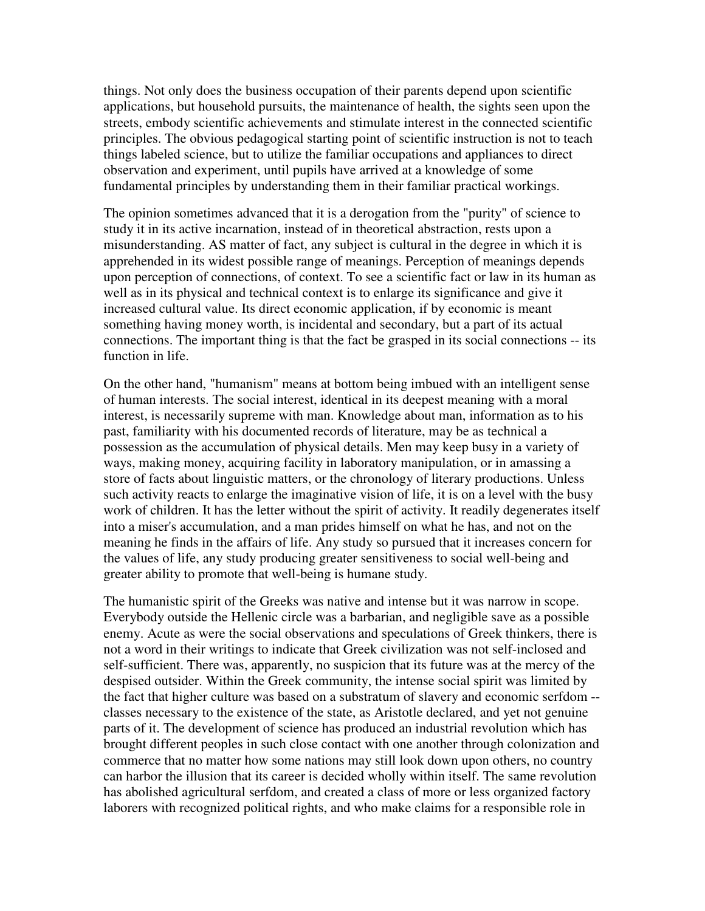things. Not only does the business occupation of their parents depend upon scientific applications, but household pursuits, the maintenance of health, the sights seen upon the streets, embody scientific achievements and stimulate interest in the connected scientific principles. The obvious pedagogical starting point of scientific instruction is not to teach things labeled science, but to utilize the familiar occupations and appliances to direct observation and experiment, until pupils have arrived at a knowledge of some fundamental principles by understanding them in their familiar practical workings.

The opinion sometimes advanced that it is a derogation from the "purity" of science to study it in its active incarnation, instead of in theoretical abstraction, rests upon a misunderstanding. AS matter of fact, any subject is cultural in the degree in which it is apprehended in its widest possible range of meanings. Perception of meanings depends upon perception of connections, of context. To see a scientific fact or law in its human as well as in its physical and technical context is to enlarge its significance and give it increased cultural value. Its direct economic application, if by economic is meant something having money worth, is incidental and secondary, but a part of its actual connections. The important thing is that the fact be grasped in its social connections -- its function in life.

On the other hand, "humanism" means at bottom being imbued with an intelligent sense of human interests. The social interest, identical in its deepest meaning with a moral interest, is necessarily supreme with man. Knowledge about man, information as to his past, familiarity with his documented records of literature, may be as technical a possession as the accumulation of physical details. Men may keep busy in a variety of ways, making money, acquiring facility in laboratory manipulation, or in amassing a store of facts about linguistic matters, or the chronology of literary productions. Unless such activity reacts to enlarge the imaginative vision of life, it is on a level with the busy work of children. It has the letter without the spirit of activity. It readily degenerates itself into a miser's accumulation, and a man prides himself on what he has, and not on the meaning he finds in the affairs of life. Any study so pursued that it increases concern for the values of life, any study producing greater sensitiveness to social well-being and greater ability to promote that well-being is humane study.

The humanistic spirit of the Greeks was native and intense but it was narrow in scope. Everybody outside the Hellenic circle was a barbarian, and negligible save as a possible enemy. Acute as were the social observations and speculations of Greek thinkers, there is not a word in their writings to indicate that Greek civilization was not self-inclosed and self-sufficient. There was, apparently, no suspicion that its future was at the mercy of the despised outsider. Within the Greek community, the intense social spirit was limited by the fact that higher culture was based on a substratum of slavery and economic serfdom - classes necessary to the existence of the state, as Aristotle declared, and yet not genuine parts of it. The development of science has produced an industrial revolution which has brought different peoples in such close contact with one another through colonization and commerce that no matter how some nations may still look down upon others, no country can harbor the illusion that its career is decided wholly within itself. The same revolution has abolished agricultural serfdom, and created a class of more or less organized factory laborers with recognized political rights, and who make claims for a responsible role in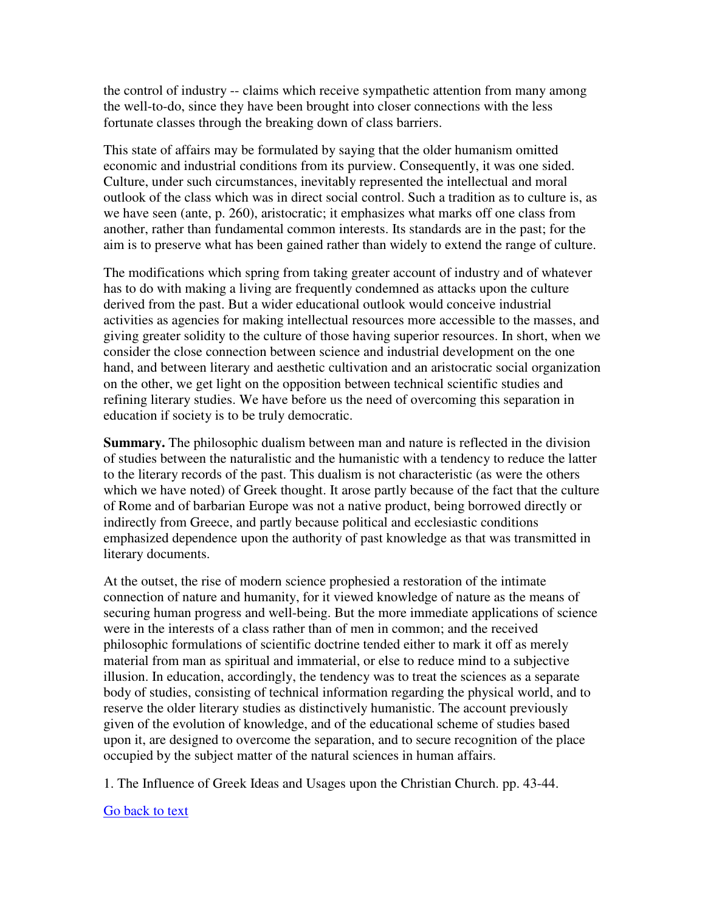the control of industry -- claims which receive sympathetic attention from many among the well-to-do, since they have been brought into closer connections with the less fortunate classes through the breaking down of class barriers.

This state of affairs may be formulated by saying that the older humanism omitted economic and industrial conditions from its purview. Consequently, it was one sided. Culture, under such circumstances, inevitably represented the intellectual and moral outlook of the class which was in direct social control. Such a tradition as to culture is, as we have seen (ante, p. 260), aristocratic; it emphasizes what marks off one class from another, rather than fundamental common interests. Its standards are in the past; for the aim is to preserve what has been gained rather than widely to extend the range of culture.

The modifications which spring from taking greater account of industry and of whatever has to do with making a living are frequently condemned as attacks upon the culture derived from the past. But a wider educational outlook would conceive industrial activities as agencies for making intellectual resources more accessible to the masses, and giving greater solidity to the culture of those having superior resources. In short, when we consider the close connection between science and industrial development on the one hand, and between literary and aesthetic cultivation and an aristocratic social organization on the other, we get light on the opposition between technical scientific studies and refining literary studies. We have before us the need of overcoming this separation in education if society is to be truly democratic.

**Summary.** The philosophic dualism between man and nature is reflected in the division of studies between the naturalistic and the humanistic with a tendency to reduce the latter to the literary records of the past. This dualism is not characteristic (as were the others which we have noted) of Greek thought. It arose partly because of the fact that the culture of Rome and of barbarian Europe was not a native product, being borrowed directly or indirectly from Greece, and partly because political and ecclesiastic conditions emphasized dependence upon the authority of past knowledge as that was transmitted in literary documents.

At the outset, the rise of modern science prophesied a restoration of the intimate connection of nature and humanity, for it viewed knowledge of nature as the means of securing human progress and well-being. But the more immediate applications of science were in the interests of a class rather than of men in common; and the received philosophic formulations of scientific doctrine tended either to mark it off as merely material from man as spiritual and immaterial, or else to reduce mind to a subjective illusion. In education, accordingly, the tendency was to treat the sciences as a separate body of studies, consisting of technical information regarding the physical world, and to reserve the older literary studies as distinctively humanistic. The account previously given of the evolution of knowledge, and of the educational scheme of studies based upon it, are designed to overcome the separation, and to secure recognition of the place occupied by the subject matter of the natural sciences in human affairs.

1. The Influence of Greek Ideas and Usages upon the Christian Church. pp. 43-44.

#### Go back to text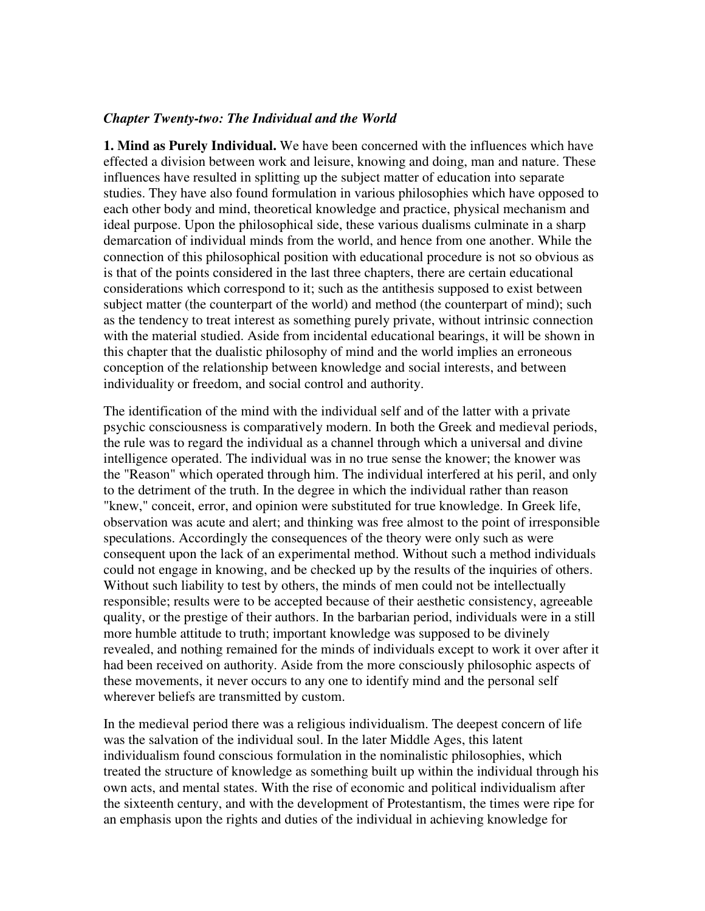## *Chapter Twenty-two: The Individual and the World*

**1. Mind as Purely Individual.** We have been concerned with the influences which have effected a division between work and leisure, knowing and doing, man and nature. These influences have resulted in splitting up the subject matter of education into separate studies. They have also found formulation in various philosophies which have opposed to each other body and mind, theoretical knowledge and practice, physical mechanism and ideal purpose. Upon the philosophical side, these various dualisms culminate in a sharp demarcation of individual minds from the world, and hence from one another. While the connection of this philosophical position with educational procedure is not so obvious as is that of the points considered in the last three chapters, there are certain educational considerations which correspond to it; such as the antithesis supposed to exist between subject matter (the counterpart of the world) and method (the counterpart of mind); such as the tendency to treat interest as something purely private, without intrinsic connection with the material studied. Aside from incidental educational bearings, it will be shown in this chapter that the dualistic philosophy of mind and the world implies an erroneous conception of the relationship between knowledge and social interests, and between individuality or freedom, and social control and authority.

The identification of the mind with the individual self and of the latter with a private psychic consciousness is comparatively modern. In both the Greek and medieval periods, the rule was to regard the individual as a channel through which a universal and divine intelligence operated. The individual was in no true sense the knower; the knower was the "Reason" which operated through him. The individual interfered at his peril, and only to the detriment of the truth. In the degree in which the individual rather than reason "knew," conceit, error, and opinion were substituted for true knowledge. In Greek life, observation was acute and alert; and thinking was free almost to the point of irresponsible speculations. Accordingly the consequences of the theory were only such as were consequent upon the lack of an experimental method. Without such a method individuals could not engage in knowing, and be checked up by the results of the inquiries of others. Without such liability to test by others, the minds of men could not be intellectually responsible; results were to be accepted because of their aesthetic consistency, agreeable quality, or the prestige of their authors. In the barbarian period, individuals were in a still more humble attitude to truth; important knowledge was supposed to be divinely revealed, and nothing remained for the minds of individuals except to work it over after it had been received on authority. Aside from the more consciously philosophic aspects of these movements, it never occurs to any one to identify mind and the personal self wherever beliefs are transmitted by custom.

In the medieval period there was a religious individualism. The deepest concern of life was the salvation of the individual soul. In the later Middle Ages, this latent individualism found conscious formulation in the nominalistic philosophies, which treated the structure of knowledge as something built up within the individual through his own acts, and mental states. With the rise of economic and political individualism after the sixteenth century, and with the development of Protestantism, the times were ripe for an emphasis upon the rights and duties of the individual in achieving knowledge for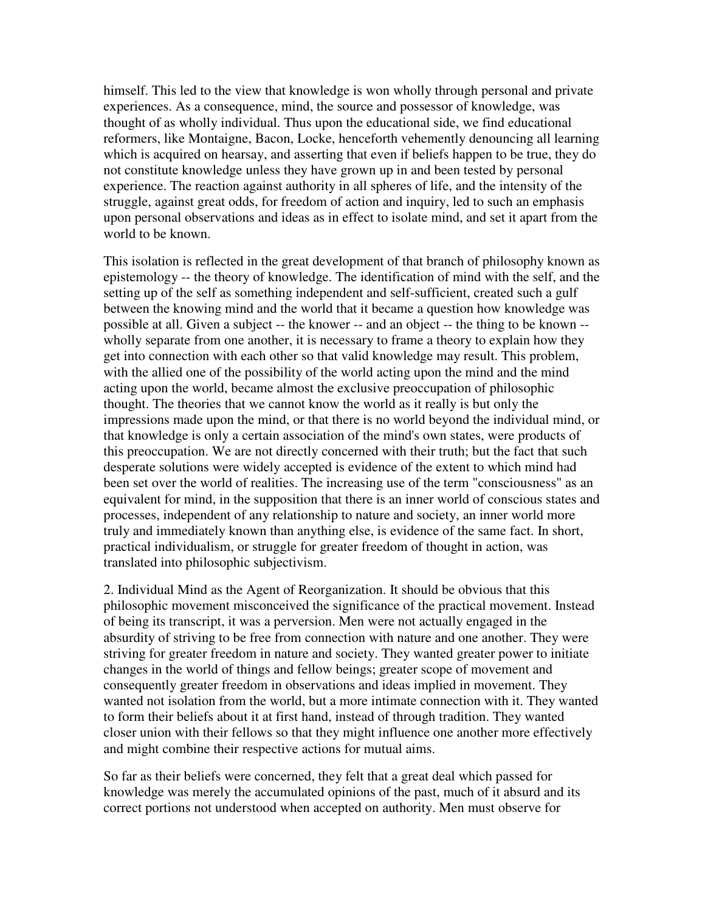himself. This led to the view that knowledge is won wholly through personal and private experiences. As a consequence, mind, the source and possessor of knowledge, was thought of as wholly individual. Thus upon the educational side, we find educational reformers, like Montaigne, Bacon, Locke, henceforth vehemently denouncing all learning which is acquired on hearsay, and asserting that even if beliefs happen to be true, they do not constitute knowledge unless they have grown up in and been tested by personal experience. The reaction against authority in all spheres of life, and the intensity of the struggle, against great odds, for freedom of action and inquiry, led to such an emphasis upon personal observations and ideas as in effect to isolate mind, and set it apart from the world to be known.

This isolation is reflected in the great development of that branch of philosophy known as epistemology -- the theory of knowledge. The identification of mind with the self, and the setting up of the self as something independent and self-sufficient, created such a gulf between the knowing mind and the world that it became a question how knowledge was possible at all. Given a subject -- the knower -- and an object -- the thing to be known - wholly separate from one another, it is necessary to frame a theory to explain how they get into connection with each other so that valid knowledge may result. This problem, with the allied one of the possibility of the world acting upon the mind and the mind acting upon the world, became almost the exclusive preoccupation of philosophic thought. The theories that we cannot know the world as it really is but only the impressions made upon the mind, or that there is no world beyond the individual mind, or that knowledge is only a certain association of the mind's own states, were products of this preoccupation. We are not directly concerned with their truth; but the fact that such desperate solutions were widely accepted is evidence of the extent to which mind had been set over the world of realities. The increasing use of the term "consciousness" as an equivalent for mind, in the supposition that there is an inner world of conscious states and processes, independent of any relationship to nature and society, an inner world more truly and immediately known than anything else, is evidence of the same fact. In short, practical individualism, or struggle for greater freedom of thought in action, was translated into philosophic subjectivism.

2. Individual Mind as the Agent of Reorganization. It should be obvious that this philosophic movement misconceived the significance of the practical movement. Instead of being its transcript, it was a perversion. Men were not actually engaged in the absurdity of striving to be free from connection with nature and one another. They were striving for greater freedom in nature and society. They wanted greater power to initiate changes in the world of things and fellow beings; greater scope of movement and consequently greater freedom in observations and ideas implied in movement. They wanted not isolation from the world, but a more intimate connection with it. They wanted to form their beliefs about it at first hand, instead of through tradition. They wanted closer union with their fellows so that they might influence one another more effectively and might combine their respective actions for mutual aims.

So far as their beliefs were concerned, they felt that a great deal which passed for knowledge was merely the accumulated opinions of the past, much of it absurd and its correct portions not understood when accepted on authority. Men must observe for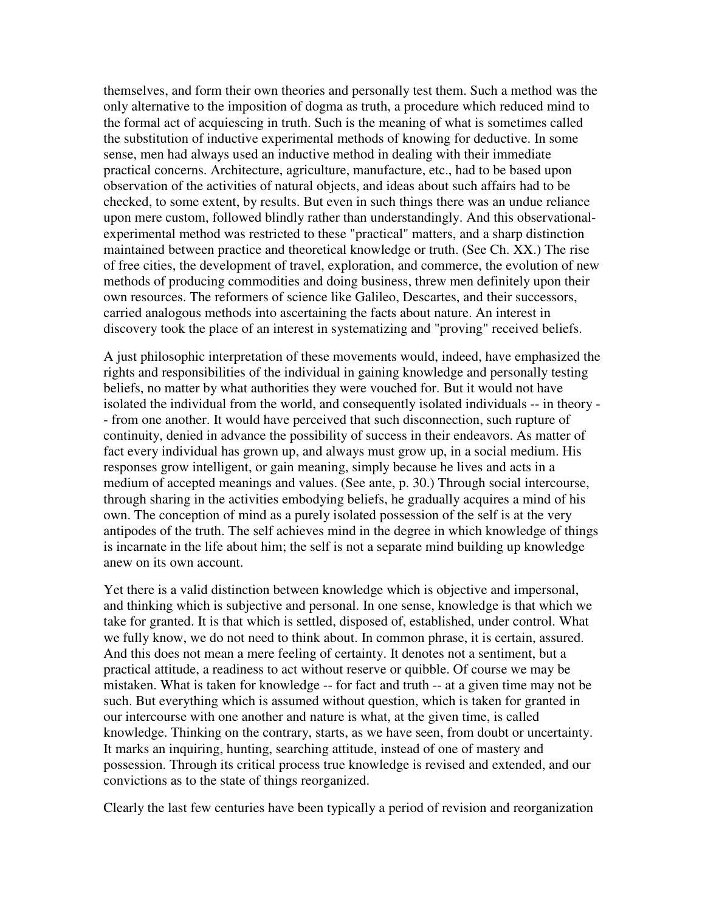themselves, and form their own theories and personally test them. Such a method was the only alternative to the imposition of dogma as truth, a procedure which reduced mind to the formal act of acquiescing in truth. Such is the meaning of what is sometimes called the substitution of inductive experimental methods of knowing for deductive. In some sense, men had always used an inductive method in dealing with their immediate practical concerns. Architecture, agriculture, manufacture, etc., had to be based upon observation of the activities of natural objects, and ideas about such affairs had to be checked, to some extent, by results. But even in such things there was an undue reliance upon mere custom, followed blindly rather than understandingly. And this observationalexperimental method was restricted to these "practical" matters, and a sharp distinction maintained between practice and theoretical knowledge or truth. (See Ch. XX.) The rise of free cities, the development of travel, exploration, and commerce, the evolution of new methods of producing commodities and doing business, threw men definitely upon their own resources. The reformers of science like Galileo, Descartes, and their successors, carried analogous methods into ascertaining the facts about nature. An interest in discovery took the place of an interest in systematizing and "proving" received beliefs.

A just philosophic interpretation of these movements would, indeed, have emphasized the rights and responsibilities of the individual in gaining knowledge and personally testing beliefs, no matter by what authorities they were vouched for. But it would not have isolated the individual from the world, and consequently isolated individuals -- in theory - - from one another. It would have perceived that such disconnection, such rupture of continuity, denied in advance the possibility of success in their endeavors. As matter of fact every individual has grown up, and always must grow up, in a social medium. His responses grow intelligent, or gain meaning, simply because he lives and acts in a medium of accepted meanings and values. (See ante, p. 30.) Through social intercourse, through sharing in the activities embodying beliefs, he gradually acquires a mind of his own. The conception of mind as a purely isolated possession of the self is at the very antipodes of the truth. The self achieves mind in the degree in which knowledge of things is incarnate in the life about him; the self is not a separate mind building up knowledge anew on its own account.

Yet there is a valid distinction between knowledge which is objective and impersonal, and thinking which is subjective and personal. In one sense, knowledge is that which we take for granted. It is that which is settled, disposed of, established, under control. What we fully know, we do not need to think about. In common phrase, it is certain, assured. And this does not mean a mere feeling of certainty. It denotes not a sentiment, but a practical attitude, a readiness to act without reserve or quibble. Of course we may be mistaken. What is taken for knowledge -- for fact and truth -- at a given time may not be such. But everything which is assumed without question, which is taken for granted in our intercourse with one another and nature is what, at the given time, is called knowledge. Thinking on the contrary, starts, as we have seen, from doubt or uncertainty. It marks an inquiring, hunting, searching attitude, instead of one of mastery and possession. Through its critical process true knowledge is revised and extended, and our convictions as to the state of things reorganized.

Clearly the last few centuries have been typically a period of revision and reorganization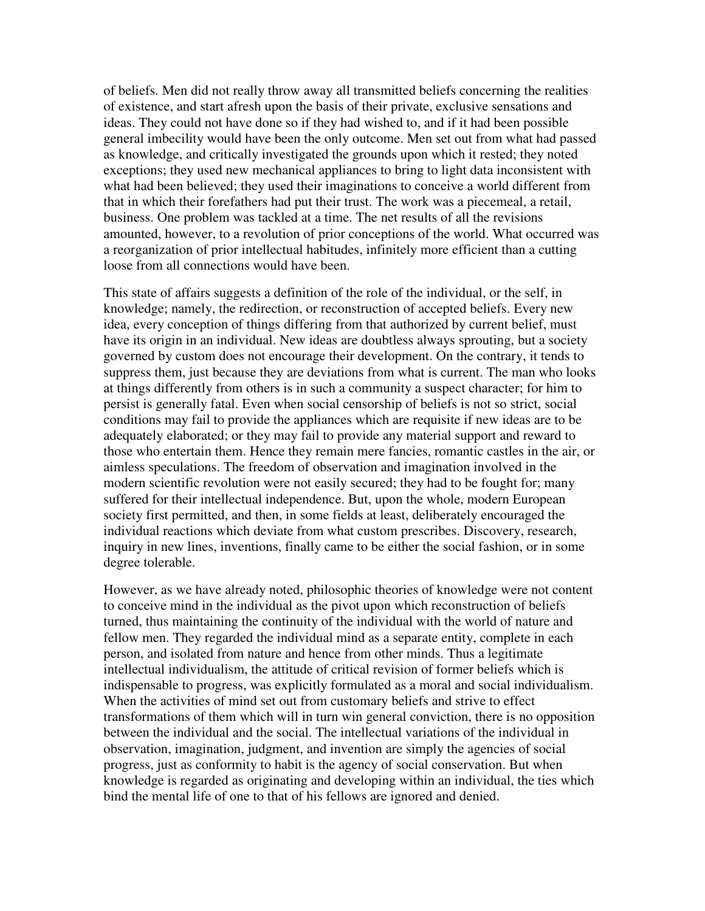of beliefs. Men did not really throw away all transmitted beliefs concerning the realities of existence, and start afresh upon the basis of their private, exclusive sensations and ideas. They could not have done so if they had wished to, and if it had been possible general imbecility would have been the only outcome. Men set out from what had passed as knowledge, and critically investigated the grounds upon which it rested; they noted exceptions; they used new mechanical appliances to bring to light data inconsistent with what had been believed; they used their imaginations to conceive a world different from that in which their forefathers had put their trust. The work was a piecemeal, a retail, business. One problem was tackled at a time. The net results of all the revisions amounted, however, to a revolution of prior conceptions of the world. What occurred was a reorganization of prior intellectual habitudes, infinitely more efficient than a cutting loose from all connections would have been.

This state of affairs suggests a definition of the role of the individual, or the self, in knowledge; namely, the redirection, or reconstruction of accepted beliefs. Every new idea, every conception of things differing from that authorized by current belief, must have its origin in an individual. New ideas are doubtless always sprouting, but a society governed by custom does not encourage their development. On the contrary, it tends to suppress them, just because they are deviations from what is current. The man who looks at things differently from others is in such a community a suspect character; for him to persist is generally fatal. Even when social censorship of beliefs is not so strict, social conditions may fail to provide the appliances which are requisite if new ideas are to be adequately elaborated; or they may fail to provide any material support and reward to those who entertain them. Hence they remain mere fancies, romantic castles in the air, or aimless speculations. The freedom of observation and imagination involved in the modern scientific revolution were not easily secured; they had to be fought for; many suffered for their intellectual independence. But, upon the whole, modern European society first permitted, and then, in some fields at least, deliberately encouraged the individual reactions which deviate from what custom prescribes. Discovery, research, inquiry in new lines, inventions, finally came to be either the social fashion, or in some degree tolerable.

However, as we have already noted, philosophic theories of knowledge were not content to conceive mind in the individual as the pivot upon which reconstruction of beliefs turned, thus maintaining the continuity of the individual with the world of nature and fellow men. They regarded the individual mind as a separate entity, complete in each person, and isolated from nature and hence from other minds. Thus a legitimate intellectual individualism, the attitude of critical revision of former beliefs which is indispensable to progress, was explicitly formulated as a moral and social individualism. When the activities of mind set out from customary beliefs and strive to effect transformations of them which will in turn win general conviction, there is no opposition between the individual and the social. The intellectual variations of the individual in observation, imagination, judgment, and invention are simply the agencies of social progress, just as conformity to habit is the agency of social conservation. But when knowledge is regarded as originating and developing within an individual, the ties which bind the mental life of one to that of his fellows are ignored and denied.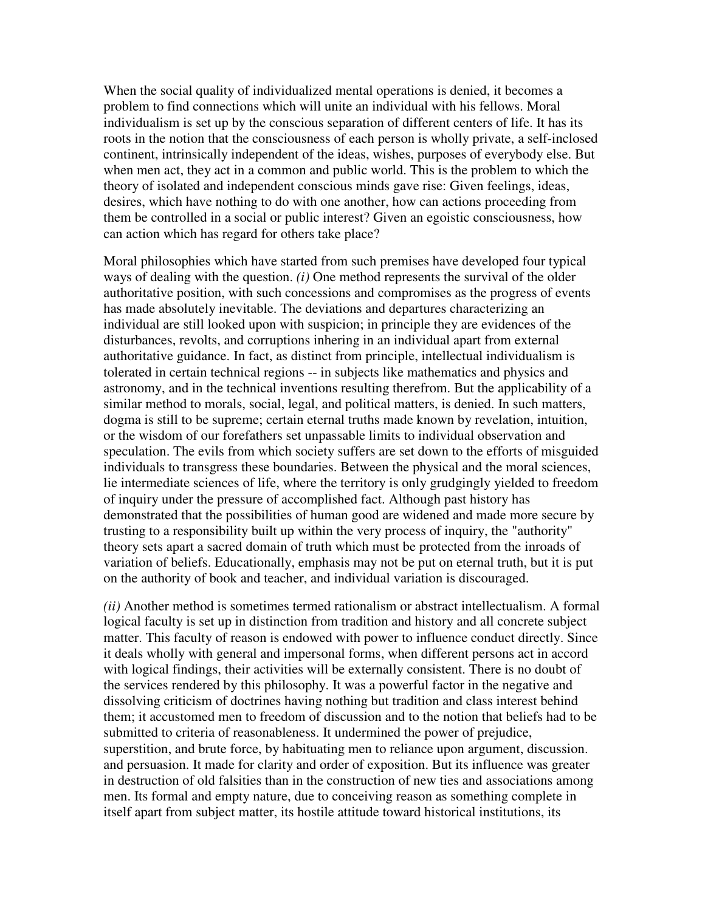When the social quality of individualized mental operations is denied, it becomes a problem to find connections which will unite an individual with his fellows. Moral individualism is set up by the conscious separation of different centers of life. It has its roots in the notion that the consciousness of each person is wholly private, a self-inclosed continent, intrinsically independent of the ideas, wishes, purposes of everybody else. But when men act, they act in a common and public world. This is the problem to which the theory of isolated and independent conscious minds gave rise: Given feelings, ideas, desires, which have nothing to do with one another, how can actions proceeding from them be controlled in a social or public interest? Given an egoistic consciousness, how can action which has regard for others take place?

Moral philosophies which have started from such premises have developed four typical ways of dealing with the question. *(i)* One method represents the survival of the older authoritative position, with such concessions and compromises as the progress of events has made absolutely inevitable. The deviations and departures characterizing an individual are still looked upon with suspicion; in principle they are evidences of the disturbances, revolts, and corruptions inhering in an individual apart from external authoritative guidance. In fact, as distinct from principle, intellectual individualism is tolerated in certain technical regions -- in subjects like mathematics and physics and astronomy, and in the technical inventions resulting therefrom. But the applicability of a similar method to morals, social, legal, and political matters, is denied. In such matters, dogma is still to be supreme; certain eternal truths made known by revelation, intuition, or the wisdom of our forefathers set unpassable limits to individual observation and speculation. The evils from which society suffers are set down to the efforts of misguided individuals to transgress these boundaries. Between the physical and the moral sciences, lie intermediate sciences of life, where the territory is only grudgingly yielded to freedom of inquiry under the pressure of accomplished fact. Although past history has demonstrated that the possibilities of human good are widened and made more secure by trusting to a responsibility built up within the very process of inquiry, the "authority" theory sets apart a sacred domain of truth which must be protected from the inroads of variation of beliefs. Educationally, emphasis may not be put on eternal truth, but it is put on the authority of book and teacher, and individual variation is discouraged.

*(ii)* Another method is sometimes termed rationalism or abstract intellectualism. A formal logical faculty is set up in distinction from tradition and history and all concrete subject matter. This faculty of reason is endowed with power to influence conduct directly. Since it deals wholly with general and impersonal forms, when different persons act in accord with logical findings, their activities will be externally consistent. There is no doubt of the services rendered by this philosophy. It was a powerful factor in the negative and dissolving criticism of doctrines having nothing but tradition and class interest behind them; it accustomed men to freedom of discussion and to the notion that beliefs had to be submitted to criteria of reasonableness. It undermined the power of prejudice, superstition, and brute force, by habituating men to reliance upon argument, discussion. and persuasion. It made for clarity and order of exposition. But its influence was greater in destruction of old falsities than in the construction of new ties and associations among men. Its formal and empty nature, due to conceiving reason as something complete in itself apart from subject matter, its hostile attitude toward historical institutions, its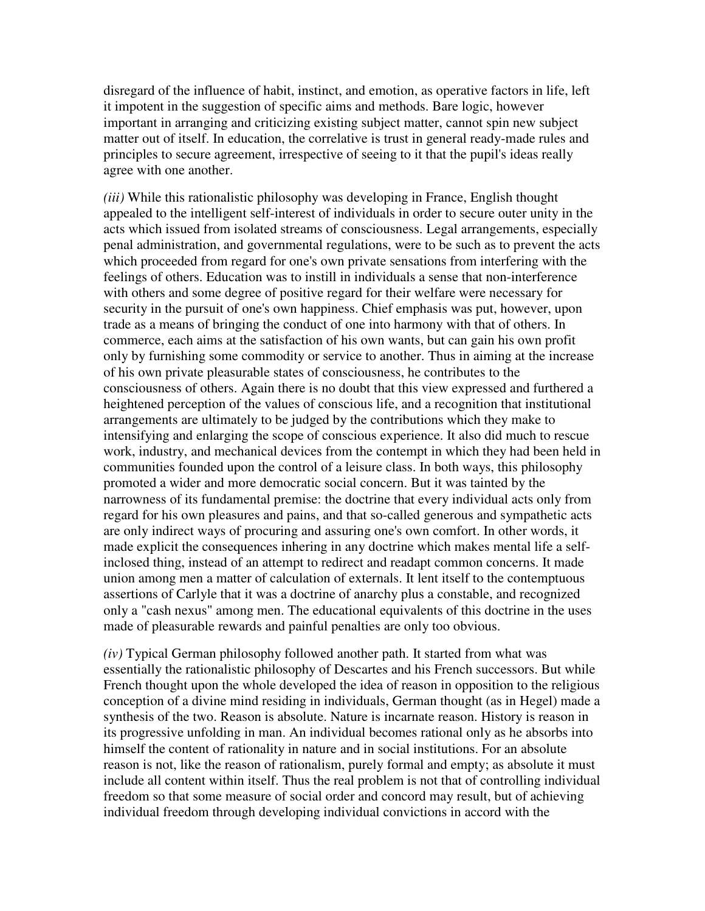disregard of the influence of habit, instinct, and emotion, as operative factors in life, left it impotent in the suggestion of specific aims and methods. Bare logic, however important in arranging and criticizing existing subject matter, cannot spin new subject matter out of itself. In education, the correlative is trust in general ready-made rules and principles to secure agreement, irrespective of seeing to it that the pupil's ideas really agree with one another.

*(iii)* While this rationalistic philosophy was developing in France, English thought appealed to the intelligent self-interest of individuals in order to secure outer unity in the acts which issued from isolated streams of consciousness. Legal arrangements, especially penal administration, and governmental regulations, were to be such as to prevent the acts which proceeded from regard for one's own private sensations from interfering with the feelings of others. Education was to instill in individuals a sense that non-interference with others and some degree of positive regard for their welfare were necessary for security in the pursuit of one's own happiness. Chief emphasis was put, however, upon trade as a means of bringing the conduct of one into harmony with that of others. In commerce, each aims at the satisfaction of his own wants, but can gain his own profit only by furnishing some commodity or service to another. Thus in aiming at the increase of his own private pleasurable states of consciousness, he contributes to the consciousness of others. Again there is no doubt that this view expressed and furthered a heightened perception of the values of conscious life, and a recognition that institutional arrangements are ultimately to be judged by the contributions which they make to intensifying and enlarging the scope of conscious experience. It also did much to rescue work, industry, and mechanical devices from the contempt in which they had been held in communities founded upon the control of a leisure class. In both ways, this philosophy promoted a wider and more democratic social concern. But it was tainted by the narrowness of its fundamental premise: the doctrine that every individual acts only from regard for his own pleasures and pains, and that so-called generous and sympathetic acts are only indirect ways of procuring and assuring one's own comfort. In other words, it made explicit the consequences inhering in any doctrine which makes mental life a selfinclosed thing, instead of an attempt to redirect and readapt common concerns. It made union among men a matter of calculation of externals. It lent itself to the contemptuous assertions of Carlyle that it was a doctrine of anarchy plus a constable, and recognized only a "cash nexus" among men. The educational equivalents of this doctrine in the uses made of pleasurable rewards and painful penalties are only too obvious.

*(iv)* Typical German philosophy followed another path. It started from what was essentially the rationalistic philosophy of Descartes and his French successors. But while French thought upon the whole developed the idea of reason in opposition to the religious conception of a divine mind residing in individuals, German thought (as in Hegel) made a synthesis of the two. Reason is absolute. Nature is incarnate reason. History is reason in its progressive unfolding in man. An individual becomes rational only as he absorbs into himself the content of rationality in nature and in social institutions. For an absolute reason is not, like the reason of rationalism, purely formal and empty; as absolute it must include all content within itself. Thus the real problem is not that of controlling individual freedom so that some measure of social order and concord may result, but of achieving individual freedom through developing individual convictions in accord with the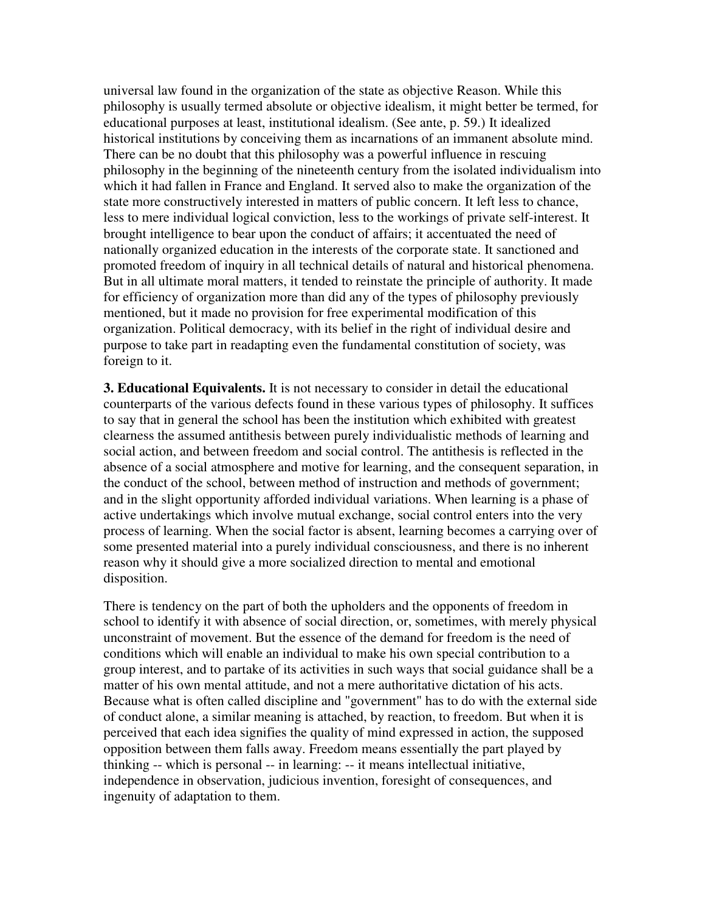universal law found in the organization of the state as objective Reason. While this philosophy is usually termed absolute or objective idealism, it might better be termed, for educational purposes at least, institutional idealism. (See ante, p. 59.) It idealized historical institutions by conceiving them as incarnations of an immanent absolute mind. There can be no doubt that this philosophy was a powerful influence in rescuing philosophy in the beginning of the nineteenth century from the isolated individualism into which it had fallen in France and England. It served also to make the organization of the state more constructively interested in matters of public concern. It left less to chance, less to mere individual logical conviction, less to the workings of private self-interest. It brought intelligence to bear upon the conduct of affairs; it accentuated the need of nationally organized education in the interests of the corporate state. It sanctioned and promoted freedom of inquiry in all technical details of natural and historical phenomena. But in all ultimate moral matters, it tended to reinstate the principle of authority. It made for efficiency of organization more than did any of the types of philosophy previously mentioned, but it made no provision for free experimental modification of this organization. Political democracy, with its belief in the right of individual desire and purpose to take part in readapting even the fundamental constitution of society, was foreign to it.

**3. Educational Equivalents.** It is not necessary to consider in detail the educational counterparts of the various defects found in these various types of philosophy. It suffices to say that in general the school has been the institution which exhibited with greatest clearness the assumed antithesis between purely individualistic methods of learning and social action, and between freedom and social control. The antithesis is reflected in the absence of a social atmosphere and motive for learning, and the consequent separation, in the conduct of the school, between method of instruction and methods of government; and in the slight opportunity afforded individual variations. When learning is a phase of active undertakings which involve mutual exchange, social control enters into the very process of learning. When the social factor is absent, learning becomes a carrying over of some presented material into a purely individual consciousness, and there is no inherent reason why it should give a more socialized direction to mental and emotional disposition.

There is tendency on the part of both the upholders and the opponents of freedom in school to identify it with absence of social direction, or, sometimes, with merely physical unconstraint of movement. But the essence of the demand for freedom is the need of conditions which will enable an individual to make his own special contribution to a group interest, and to partake of its activities in such ways that social guidance shall be a matter of his own mental attitude, and not a mere authoritative dictation of his acts. Because what is often called discipline and "government" has to do with the external side of conduct alone, a similar meaning is attached, by reaction, to freedom. But when it is perceived that each idea signifies the quality of mind expressed in action, the supposed opposition between them falls away. Freedom means essentially the part played by thinking -- which is personal -- in learning: -- it means intellectual initiative, independence in observation, judicious invention, foresight of consequences, and ingenuity of adaptation to them.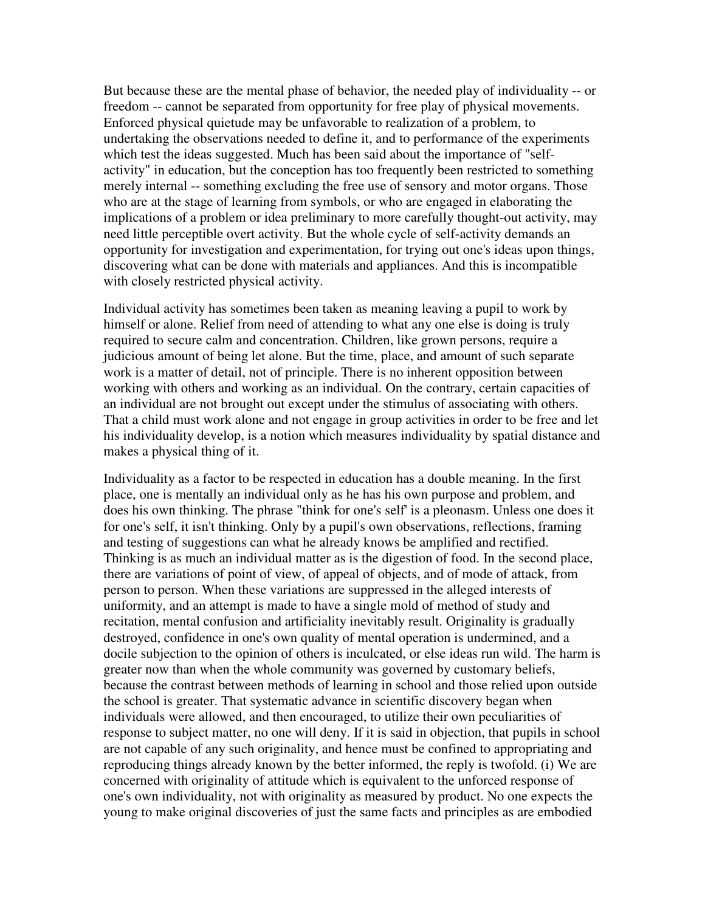But because these are the mental phase of behavior, the needed play of individuality -- or freedom -- cannot be separated from opportunity for free play of physical movements. Enforced physical quietude may be unfavorable to realization of a problem, to undertaking the observations needed to define it, and to performance of the experiments which test the ideas suggested. Much has been said about the importance of "selfactivity" in education, but the conception has too frequently been restricted to something merely internal -- something excluding the free use of sensory and motor organs. Those who are at the stage of learning from symbols, or who are engaged in elaborating the implications of a problem or idea preliminary to more carefully thought-out activity, may need little perceptible overt activity. But the whole cycle of self-activity demands an opportunity for investigation and experimentation, for trying out one's ideas upon things, discovering what can be done with materials and appliances. And this is incompatible with closely restricted physical activity.

Individual activity has sometimes been taken as meaning leaving a pupil to work by himself or alone. Relief from need of attending to what any one else is doing is truly required to secure calm and concentration. Children, like grown persons, require a judicious amount of being let alone. But the time, place, and amount of such separate work is a matter of detail, not of principle. There is no inherent opposition between working with others and working as an individual. On the contrary, certain capacities of an individual are not brought out except under the stimulus of associating with others. That a child must work alone and not engage in group activities in order to be free and let his individuality develop, is a notion which measures individuality by spatial distance and makes a physical thing of it.

Individuality as a factor to be respected in education has a double meaning. In the first place, one is mentally an individual only as he has his own purpose and problem, and does his own thinking. The phrase "think for one's self' is a pleonasm. Unless one does it for one's self, it isn't thinking. Only by a pupil's own observations, reflections, framing and testing of suggestions can what he already knows be amplified and rectified. Thinking is as much an individual matter as is the digestion of food. In the second place, there are variations of point of view, of appeal of objects, and of mode of attack, from person to person. When these variations are suppressed in the alleged interests of uniformity, and an attempt is made to have a single mold of method of study and recitation, mental confusion and artificiality inevitably result. Originality is gradually destroyed, confidence in one's own quality of mental operation is undermined, and a docile subjection to the opinion of others is inculcated, or else ideas run wild. The harm is greater now than when the whole community was governed by customary beliefs, because the contrast between methods of learning in school and those relied upon outside the school is greater. That systematic advance in scientific discovery began when individuals were allowed, and then encouraged, to utilize their own peculiarities of response to subject matter, no one will deny. If it is said in objection, that pupils in school are not capable of any such originality, and hence must be confined to appropriating and reproducing things already known by the better informed, the reply is twofold. (i) We are concerned with originality of attitude which is equivalent to the unforced response of one's own individuality, not with originality as measured by product. No one expects the young to make original discoveries of just the same facts and principles as are embodied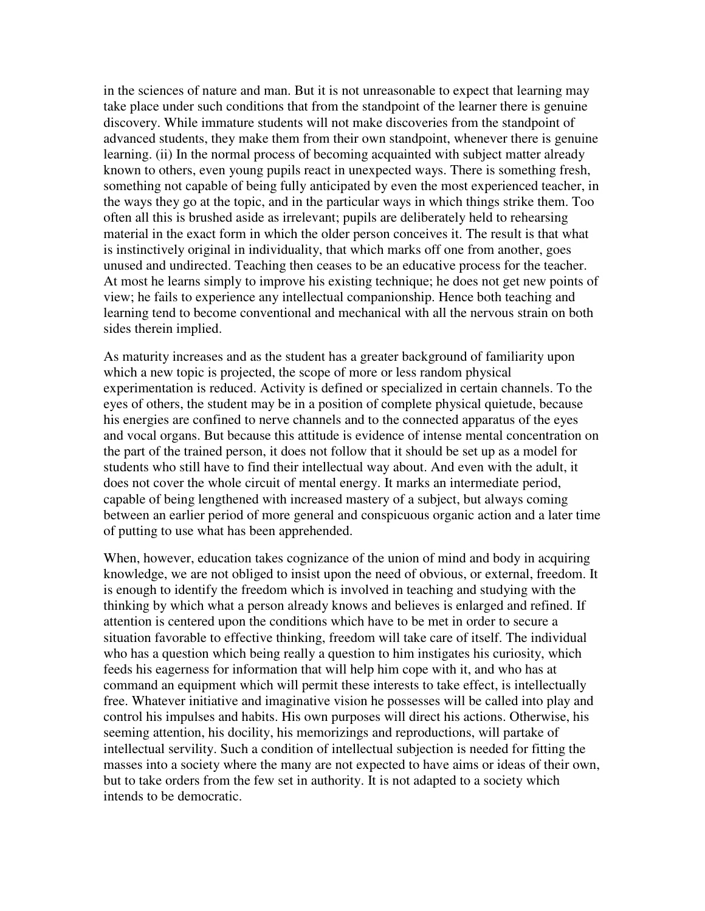in the sciences of nature and man. But it is not unreasonable to expect that learning may take place under such conditions that from the standpoint of the learner there is genuine discovery. While immature students will not make discoveries from the standpoint of advanced students, they make them from their own standpoint, whenever there is genuine learning. (ii) In the normal process of becoming acquainted with subject matter already known to others, even young pupils react in unexpected ways. There is something fresh, something not capable of being fully anticipated by even the most experienced teacher, in the ways they go at the topic, and in the particular ways in which things strike them. Too often all this is brushed aside as irrelevant; pupils are deliberately held to rehearsing material in the exact form in which the older person conceives it. The result is that what is instinctively original in individuality, that which marks off one from another, goes unused and undirected. Teaching then ceases to be an educative process for the teacher. At most he learns simply to improve his existing technique; he does not get new points of view; he fails to experience any intellectual companionship. Hence both teaching and learning tend to become conventional and mechanical with all the nervous strain on both sides therein implied.

As maturity increases and as the student has a greater background of familiarity upon which a new topic is projected, the scope of more or less random physical experimentation is reduced. Activity is defined or specialized in certain channels. To the eyes of others, the student may be in a position of complete physical quietude, because his energies are confined to nerve channels and to the connected apparatus of the eyes and vocal organs. But because this attitude is evidence of intense mental concentration on the part of the trained person, it does not follow that it should be set up as a model for students who still have to find their intellectual way about. And even with the adult, it does not cover the whole circuit of mental energy. It marks an intermediate period, capable of being lengthened with increased mastery of a subject, but always coming between an earlier period of more general and conspicuous organic action and a later time of putting to use what has been apprehended.

When, however, education takes cognizance of the union of mind and body in acquiring knowledge, we are not obliged to insist upon the need of obvious, or external, freedom. It is enough to identify the freedom which is involved in teaching and studying with the thinking by which what a person already knows and believes is enlarged and refined. If attention is centered upon the conditions which have to be met in order to secure a situation favorable to effective thinking, freedom will take care of itself. The individual who has a question which being really a question to him instigates his curiosity, which feeds his eagerness for information that will help him cope with it, and who has at command an equipment which will permit these interests to take effect, is intellectually free. Whatever initiative and imaginative vision he possesses will be called into play and control his impulses and habits. His own purposes will direct his actions. Otherwise, his seeming attention, his docility, his memorizings and reproductions, will partake of intellectual servility. Such a condition of intellectual subjection is needed for fitting the masses into a society where the many are not expected to have aims or ideas of their own, but to take orders from the few set in authority. It is not adapted to a society which intends to be democratic.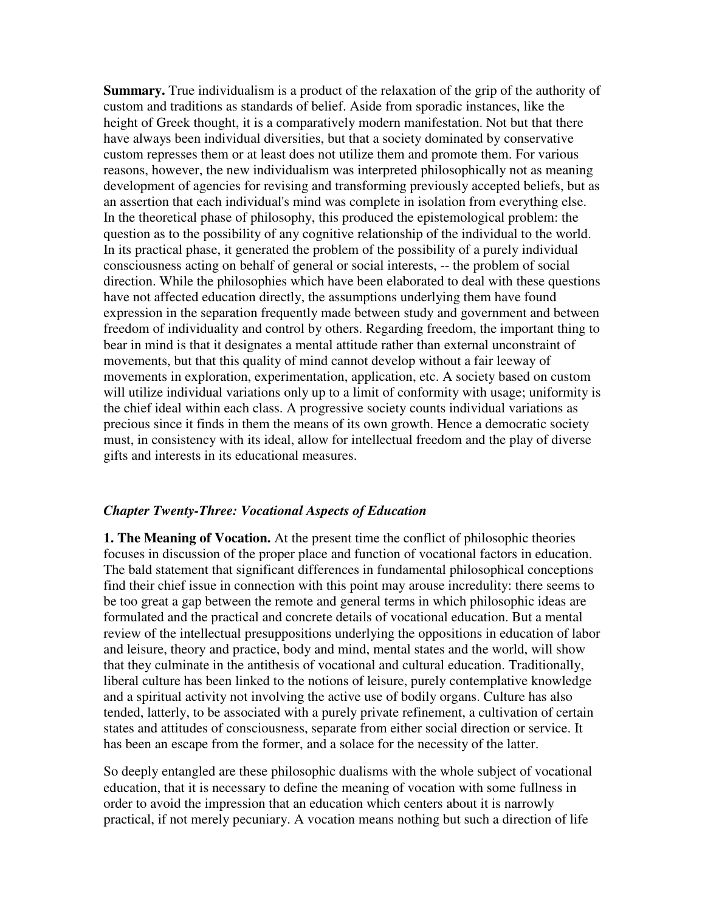**Summary.** True individualism is a product of the relaxation of the grip of the authority of custom and traditions as standards of belief. Aside from sporadic instances, like the height of Greek thought, it is a comparatively modern manifestation. Not but that there have always been individual diversities, but that a society dominated by conservative custom represses them or at least does not utilize them and promote them. For various reasons, however, the new individualism was interpreted philosophically not as meaning development of agencies for revising and transforming previously accepted beliefs, but as an assertion that each individual's mind was complete in isolation from everything else. In the theoretical phase of philosophy, this produced the epistemological problem: the question as to the possibility of any cognitive relationship of the individual to the world. In its practical phase, it generated the problem of the possibility of a purely individual consciousness acting on behalf of general or social interests, -- the problem of social direction. While the philosophies which have been elaborated to deal with these questions have not affected education directly, the assumptions underlying them have found expression in the separation frequently made between study and government and between freedom of individuality and control by others. Regarding freedom, the important thing to bear in mind is that it designates a mental attitude rather than external unconstraint of movements, but that this quality of mind cannot develop without a fair leeway of movements in exploration, experimentation, application, etc. A society based on custom will utilize individual variations only up to a limit of conformity with usage; uniformity is the chief ideal within each class. A progressive society counts individual variations as precious since it finds in them the means of its own growth. Hence a democratic society must, in consistency with its ideal, allow for intellectual freedom and the play of diverse gifts and interests in its educational measures.

## *Chapter Twenty-Three: Vocational Aspects of Education*

**1. The Meaning of Vocation.** At the present time the conflict of philosophic theories focuses in discussion of the proper place and function of vocational factors in education. The bald statement that significant differences in fundamental philosophical conceptions find their chief issue in connection with this point may arouse incredulity: there seems to be too great a gap between the remote and general terms in which philosophic ideas are formulated and the practical and concrete details of vocational education. But a mental review of the intellectual presuppositions underlying the oppositions in education of labor and leisure, theory and practice, body and mind, mental states and the world, will show that they culminate in the antithesis of vocational and cultural education. Traditionally, liberal culture has been linked to the notions of leisure, purely contemplative knowledge and a spiritual activity not involving the active use of bodily organs. Culture has also tended, latterly, to be associated with a purely private refinement, a cultivation of certain states and attitudes of consciousness, separate from either social direction or service. It has been an escape from the former, and a solace for the necessity of the latter.

So deeply entangled are these philosophic dualisms with the whole subject of vocational education, that it is necessary to define the meaning of vocation with some fullness in order to avoid the impression that an education which centers about it is narrowly practical, if not merely pecuniary. A vocation means nothing but such a direction of life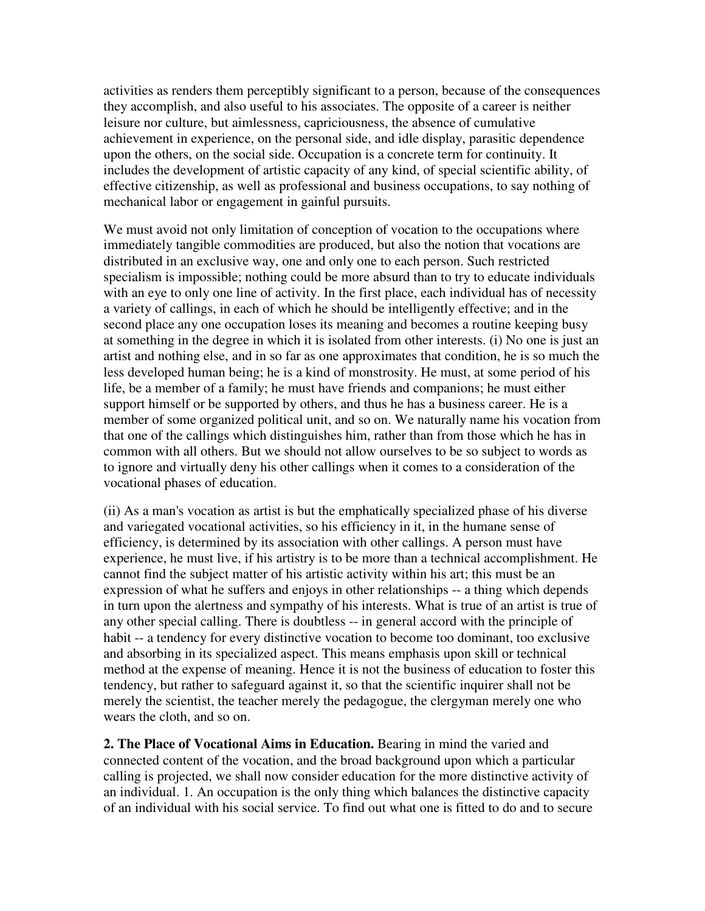activities as renders them perceptibly significant to a person, because of the consequences they accomplish, and also useful to his associates. The opposite of a career is neither leisure nor culture, but aimlessness, capriciousness, the absence of cumulative achievement in experience, on the personal side, and idle display, parasitic dependence upon the others, on the social side. Occupation is a concrete term for continuity. It includes the development of artistic capacity of any kind, of special scientific ability, of effective citizenship, as well as professional and business occupations, to say nothing of mechanical labor or engagement in gainful pursuits.

We must avoid not only limitation of conception of vocation to the occupations where immediately tangible commodities are produced, but also the notion that vocations are distributed in an exclusive way, one and only one to each person. Such restricted specialism is impossible; nothing could be more absurd than to try to educate individuals with an eye to only one line of activity. In the first place, each individual has of necessity a variety of callings, in each of which he should be intelligently effective; and in the second place any one occupation loses its meaning and becomes a routine keeping busy at something in the degree in which it is isolated from other interests. (i) No one is just an artist and nothing else, and in so far as one approximates that condition, he is so much the less developed human being; he is a kind of monstrosity. He must, at some period of his life, be a member of a family; he must have friends and companions; he must either support himself or be supported by others, and thus he has a business career. He is a member of some organized political unit, and so on. We naturally name his vocation from that one of the callings which distinguishes him, rather than from those which he has in common with all others. But we should not allow ourselves to be so subject to words as to ignore and virtually deny his other callings when it comes to a consideration of the vocational phases of education.

(ii) As a man's vocation as artist is but the emphatically specialized phase of his diverse and variegated vocational activities, so his efficiency in it, in the humane sense of efficiency, is determined by its association with other callings. A person must have experience, he must live, if his artistry is to be more than a technical accomplishment. He cannot find the subject matter of his artistic activity within his art; this must be an expression of what he suffers and enjoys in other relationships -- a thing which depends in turn upon the alertness and sympathy of his interests. What is true of an artist is true of any other special calling. There is doubtless -- in general accord with the principle of habit -- a tendency for every distinctive vocation to become too dominant, too exclusive and absorbing in its specialized aspect. This means emphasis upon skill or technical method at the expense of meaning. Hence it is not the business of education to foster this tendency, but rather to safeguard against it, so that the scientific inquirer shall not be merely the scientist, the teacher merely the pedagogue, the clergyman merely one who wears the cloth, and so on.

**2. The Place of Vocational Aims in Education.** Bearing in mind the varied and connected content of the vocation, and the broad background upon which a particular calling is projected, we shall now consider education for the more distinctive activity of an individual. 1. An occupation is the only thing which balances the distinctive capacity of an individual with his social service. To find out what one is fitted to do and to secure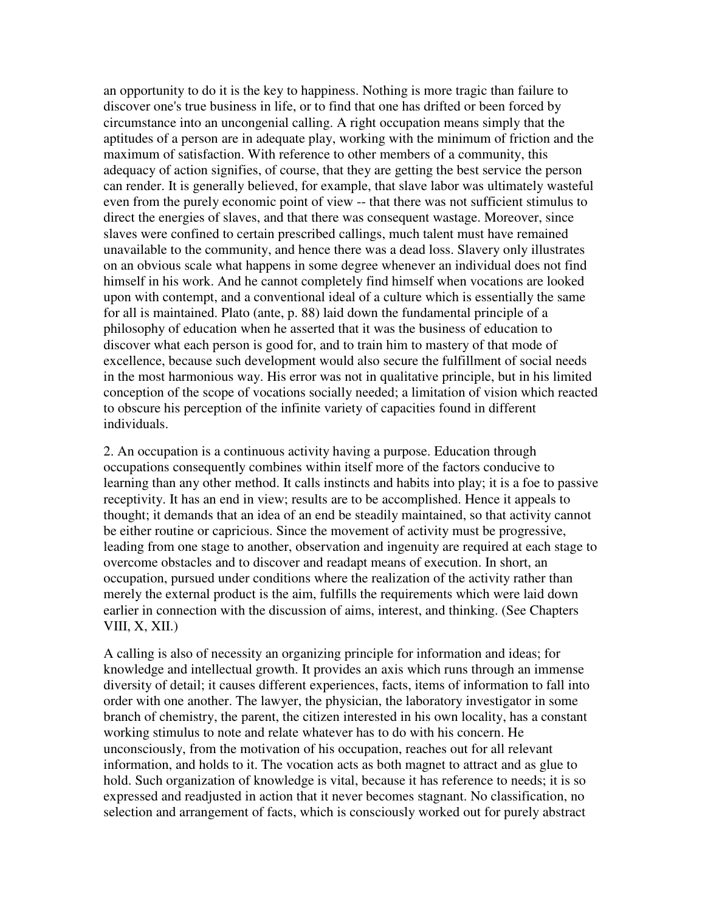an opportunity to do it is the key to happiness. Nothing is more tragic than failure to discover one's true business in life, or to find that one has drifted or been forced by circumstance into an uncongenial calling. A right occupation means simply that the aptitudes of a person are in adequate play, working with the minimum of friction and the maximum of satisfaction. With reference to other members of a community, this adequacy of action signifies, of course, that they are getting the best service the person can render. It is generally believed, for example, that slave labor was ultimately wasteful even from the purely economic point of view -- that there was not sufficient stimulus to direct the energies of slaves, and that there was consequent wastage. Moreover, since slaves were confined to certain prescribed callings, much talent must have remained unavailable to the community, and hence there was a dead loss. Slavery only illustrates on an obvious scale what happens in some degree whenever an individual does not find himself in his work. And he cannot completely find himself when vocations are looked upon with contempt, and a conventional ideal of a culture which is essentially the same for all is maintained. Plato (ante, p. 88) laid down the fundamental principle of a philosophy of education when he asserted that it was the business of education to discover what each person is good for, and to train him to mastery of that mode of excellence, because such development would also secure the fulfillment of social needs in the most harmonious way. His error was not in qualitative principle, but in his limited conception of the scope of vocations socially needed; a limitation of vision which reacted to obscure his perception of the infinite variety of capacities found in different individuals.

2. An occupation is a continuous activity having a purpose. Education through occupations consequently combines within itself more of the factors conducive to learning than any other method. It calls instincts and habits into play; it is a foe to passive receptivity. It has an end in view; results are to be accomplished. Hence it appeals to thought; it demands that an idea of an end be steadily maintained, so that activity cannot be either routine or capricious. Since the movement of activity must be progressive, leading from one stage to another, observation and ingenuity are required at each stage to overcome obstacles and to discover and readapt means of execution. In short, an occupation, pursued under conditions where the realization of the activity rather than merely the external product is the aim, fulfills the requirements which were laid down earlier in connection with the discussion of aims, interest, and thinking. (See Chapters VIII, X, XII.)

A calling is also of necessity an organizing principle for information and ideas; for knowledge and intellectual growth. It provides an axis which runs through an immense diversity of detail; it causes different experiences, facts, items of information to fall into order with one another. The lawyer, the physician, the laboratory investigator in some branch of chemistry, the parent, the citizen interested in his own locality, has a constant working stimulus to note and relate whatever has to do with his concern. He unconsciously, from the motivation of his occupation, reaches out for all relevant information, and holds to it. The vocation acts as both magnet to attract and as glue to hold. Such organization of knowledge is vital, because it has reference to needs; it is so expressed and readjusted in action that it never becomes stagnant. No classification, no selection and arrangement of facts, which is consciously worked out for purely abstract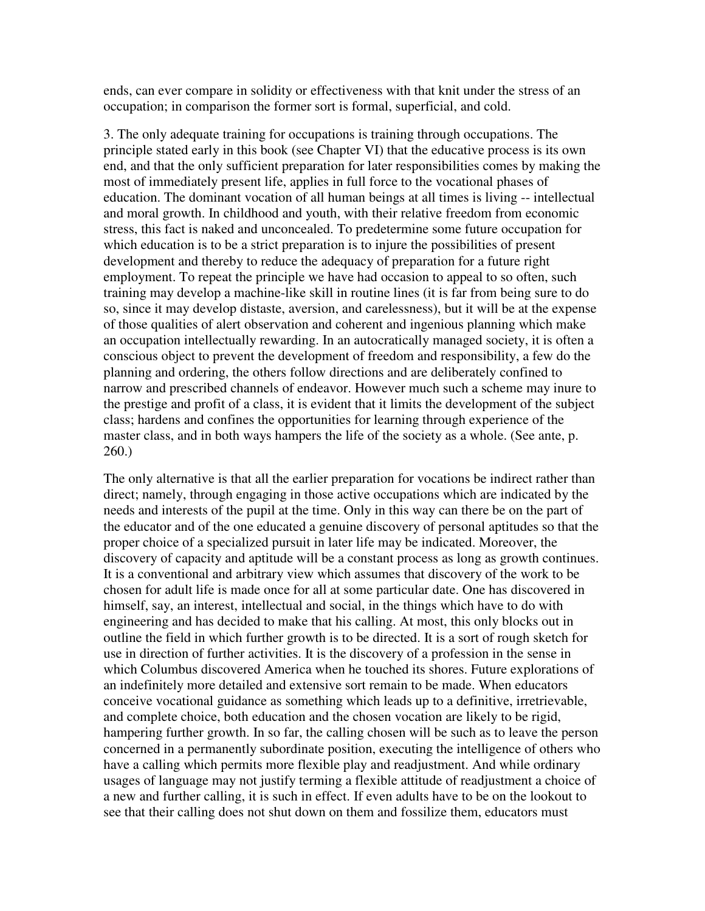ends, can ever compare in solidity or effectiveness with that knit under the stress of an occupation; in comparison the former sort is formal, superficial, and cold.

3. The only adequate training for occupations is training through occupations. The principle stated early in this book (see Chapter VI) that the educative process is its own end, and that the only sufficient preparation for later responsibilities comes by making the most of immediately present life, applies in full force to the vocational phases of education. The dominant vocation of all human beings at all times is living -- intellectual and moral growth. In childhood and youth, with their relative freedom from economic stress, this fact is naked and unconcealed. To predetermine some future occupation for which education is to be a strict preparation is to injure the possibilities of present development and thereby to reduce the adequacy of preparation for a future right employment. To repeat the principle we have had occasion to appeal to so often, such training may develop a machine-like skill in routine lines (it is far from being sure to do so, since it may develop distaste, aversion, and carelessness), but it will be at the expense of those qualities of alert observation and coherent and ingenious planning which make an occupation intellectually rewarding. In an autocratically managed society, it is often a conscious object to prevent the development of freedom and responsibility, a few do the planning and ordering, the others follow directions and are deliberately confined to narrow and prescribed channels of endeavor. However much such a scheme may inure to the prestige and profit of a class, it is evident that it limits the development of the subject class; hardens and confines the opportunities for learning through experience of the master class, and in both ways hampers the life of the society as a whole. (See ante, p. 260.)

The only alternative is that all the earlier preparation for vocations be indirect rather than direct; namely, through engaging in those active occupations which are indicated by the needs and interests of the pupil at the time. Only in this way can there be on the part of the educator and of the one educated a genuine discovery of personal aptitudes so that the proper choice of a specialized pursuit in later life may be indicated. Moreover, the discovery of capacity and aptitude will be a constant process as long as growth continues. It is a conventional and arbitrary view which assumes that discovery of the work to be chosen for adult life is made once for all at some particular date. One has discovered in himself, say, an interest, intellectual and social, in the things which have to do with engineering and has decided to make that his calling. At most, this only blocks out in outline the field in which further growth is to be directed. It is a sort of rough sketch for use in direction of further activities. It is the discovery of a profession in the sense in which Columbus discovered America when he touched its shores. Future explorations of an indefinitely more detailed and extensive sort remain to be made. When educators conceive vocational guidance as something which leads up to a definitive, irretrievable, and complete choice, both education and the chosen vocation are likely to be rigid, hampering further growth. In so far, the calling chosen will be such as to leave the person concerned in a permanently subordinate position, executing the intelligence of others who have a calling which permits more flexible play and readjustment. And while ordinary usages of language may not justify terming a flexible attitude of readjustment a choice of a new and further calling, it is such in effect. If even adults have to be on the lookout to see that their calling does not shut down on them and fossilize them, educators must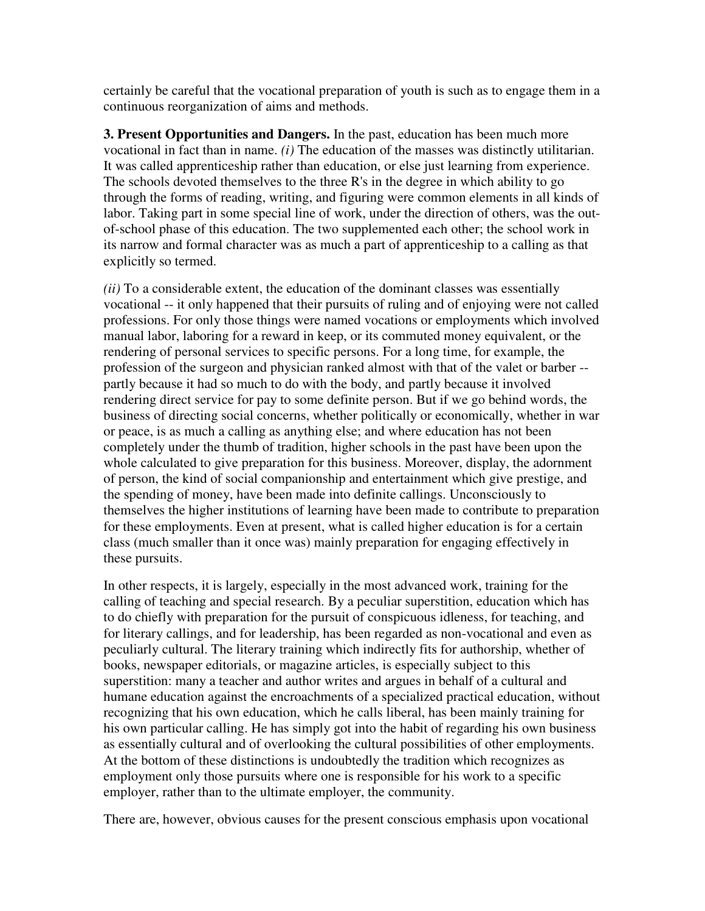certainly be careful that the vocational preparation of youth is such as to engage them in a continuous reorganization of aims and methods.

**3. Present Opportunities and Dangers.** In the past, education has been much more vocational in fact than in name. *(i)* The education of the masses was distinctly utilitarian. It was called apprenticeship rather than education, or else just learning from experience. The schools devoted themselves to the three R's in the degree in which ability to go through the forms of reading, writing, and figuring were common elements in all kinds of labor. Taking part in some special line of work, under the direction of others, was the outof-school phase of this education. The two supplemented each other; the school work in its narrow and formal character was as much a part of apprenticeship to a calling as that explicitly so termed.

*(ii)* To a considerable extent, the education of the dominant classes was essentially vocational -- it only happened that their pursuits of ruling and of enjoying were not called professions. For only those things were named vocations or employments which involved manual labor, laboring for a reward in keep, or its commuted money equivalent, or the rendering of personal services to specific persons. For a long time, for example, the profession of the surgeon and physician ranked almost with that of the valet or barber - partly because it had so much to do with the body, and partly because it involved rendering direct service for pay to some definite person. But if we go behind words, the business of directing social concerns, whether politically or economically, whether in war or peace, is as much a calling as anything else; and where education has not been completely under the thumb of tradition, higher schools in the past have been upon the whole calculated to give preparation for this business. Moreover, display, the adornment of person, the kind of social companionship and entertainment which give prestige, and the spending of money, have been made into definite callings. Unconsciously to themselves the higher institutions of learning have been made to contribute to preparation for these employments. Even at present, what is called higher education is for a certain class (much smaller than it once was) mainly preparation for engaging effectively in these pursuits.

In other respects, it is largely, especially in the most advanced work, training for the calling of teaching and special research. By a peculiar superstition, education which has to do chiefly with preparation for the pursuit of conspicuous idleness, for teaching, and for literary callings, and for leadership, has been regarded as non-vocational and even as peculiarly cultural. The literary training which indirectly fits for authorship, whether of books, newspaper editorials, or magazine articles, is especially subject to this superstition: many a teacher and author writes and argues in behalf of a cultural and humane education against the encroachments of a specialized practical education, without recognizing that his own education, which he calls liberal, has been mainly training for his own particular calling. He has simply got into the habit of regarding his own business as essentially cultural and of overlooking the cultural possibilities of other employments. At the bottom of these distinctions is undoubtedly the tradition which recognizes as employment only those pursuits where one is responsible for his work to a specific employer, rather than to the ultimate employer, the community.

There are, however, obvious causes for the present conscious emphasis upon vocational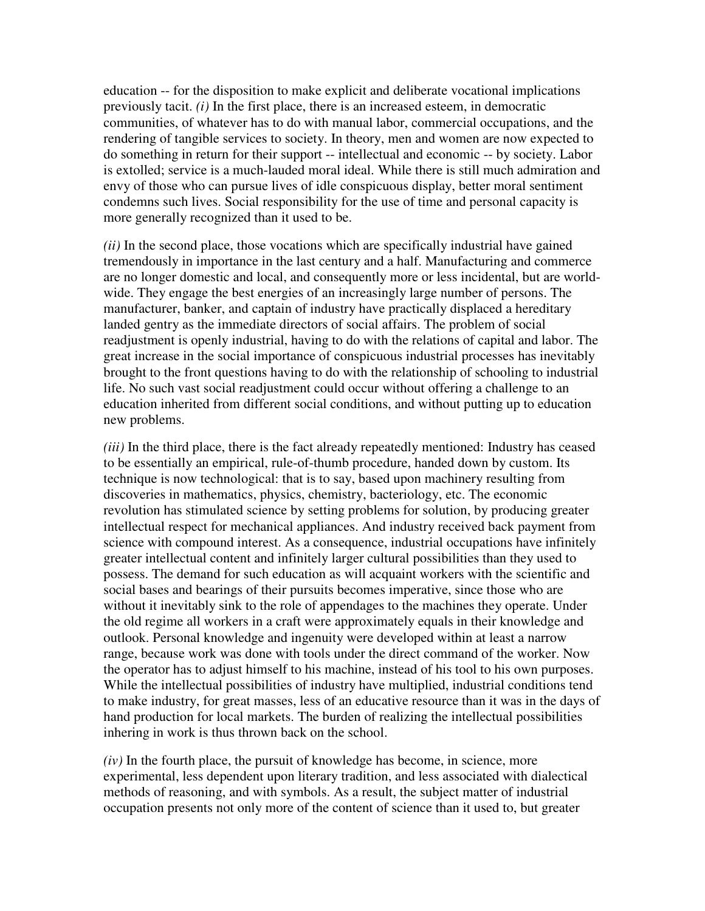education -- for the disposition to make explicit and deliberate vocational implications previously tacit. *(i)* In the first place, there is an increased esteem, in democratic communities, of whatever has to do with manual labor, commercial occupations, and the rendering of tangible services to society. In theory, men and women are now expected to do something in return for their support -- intellectual and economic -- by society. Labor is extolled; service is a much-lauded moral ideal. While there is still much admiration and envy of those who can pursue lives of idle conspicuous display, better moral sentiment condemns such lives. Social responsibility for the use of time and personal capacity is more generally recognized than it used to be.

*(ii)* In the second place, those vocations which are specifically industrial have gained tremendously in importance in the last century and a half. Manufacturing and commerce are no longer domestic and local, and consequently more or less incidental, but are worldwide. They engage the best energies of an increasingly large number of persons. The manufacturer, banker, and captain of industry have practically displaced a hereditary landed gentry as the immediate directors of social affairs. The problem of social readjustment is openly industrial, having to do with the relations of capital and labor. The great increase in the social importance of conspicuous industrial processes has inevitably brought to the front questions having to do with the relationship of schooling to industrial life. No such vast social readjustment could occur without offering a challenge to an education inherited from different social conditions, and without putting up to education new problems.

*(iii)* In the third place, there is the fact already repeatedly mentioned: Industry has ceased to be essentially an empirical, rule-of-thumb procedure, handed down by custom. Its technique is now technological: that is to say, based upon machinery resulting from discoveries in mathematics, physics, chemistry, bacteriology, etc. The economic revolution has stimulated science by setting problems for solution, by producing greater intellectual respect for mechanical appliances. And industry received back payment from science with compound interest. As a consequence, industrial occupations have infinitely greater intellectual content and infinitely larger cultural possibilities than they used to possess. The demand for such education as will acquaint workers with the scientific and social bases and bearings of their pursuits becomes imperative, since those who are without it inevitably sink to the role of appendages to the machines they operate. Under the old regime all workers in a craft were approximately equals in their knowledge and outlook. Personal knowledge and ingenuity were developed within at least a narrow range, because work was done with tools under the direct command of the worker. Now the operator has to adjust himself to his machine, instead of his tool to his own purposes. While the intellectual possibilities of industry have multiplied, industrial conditions tend to make industry, for great masses, less of an educative resource than it was in the days of hand production for local markets. The burden of realizing the intellectual possibilities inhering in work is thus thrown back on the school.

 $(iv)$  In the fourth place, the pursuit of knowledge has become, in science, more experimental, less dependent upon literary tradition, and less associated with dialectical methods of reasoning, and with symbols. As a result, the subject matter of industrial occupation presents not only more of the content of science than it used to, but greater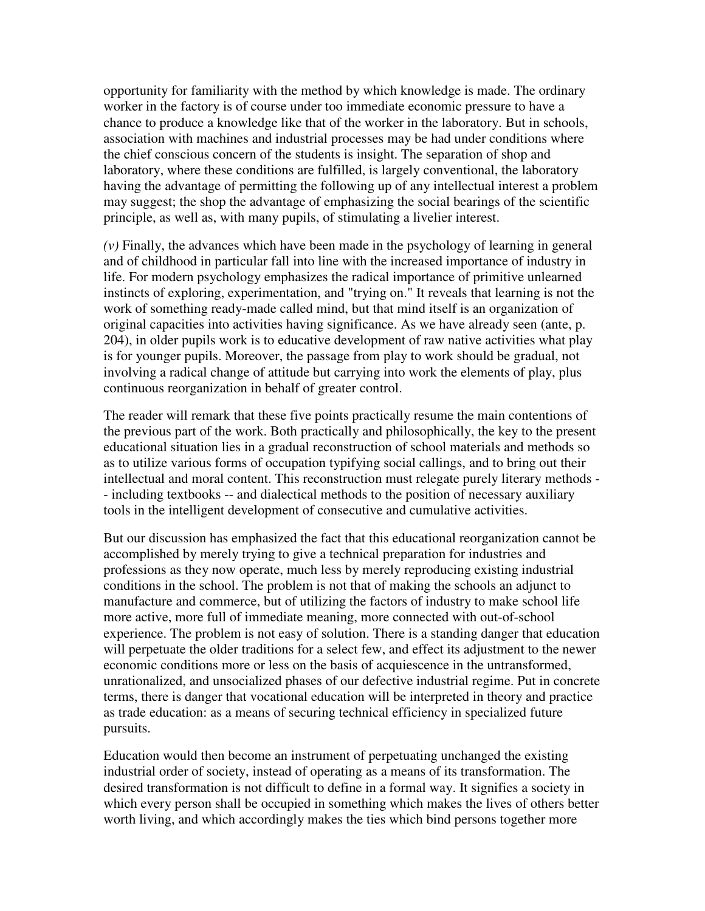opportunity for familiarity with the method by which knowledge is made. The ordinary worker in the factory is of course under too immediate economic pressure to have a chance to produce a knowledge like that of the worker in the laboratory. But in schools, association with machines and industrial processes may be had under conditions where the chief conscious concern of the students is insight. The separation of shop and laboratory, where these conditions are fulfilled, is largely conventional, the laboratory having the advantage of permitting the following up of any intellectual interest a problem may suggest; the shop the advantage of emphasizing the social bearings of the scientific principle, as well as, with many pupils, of stimulating a livelier interest.

*(v)* Finally, the advances which have been made in the psychology of learning in general and of childhood in particular fall into line with the increased importance of industry in life. For modern psychology emphasizes the radical importance of primitive unlearned instincts of exploring, experimentation, and "trying on." It reveals that learning is not the work of something ready-made called mind, but that mind itself is an organization of original capacities into activities having significance. As we have already seen (ante, p. 204), in older pupils work is to educative development of raw native activities what play is for younger pupils. Moreover, the passage from play to work should be gradual, not involving a radical change of attitude but carrying into work the elements of play, plus continuous reorganization in behalf of greater control.

The reader will remark that these five points practically resume the main contentions of the previous part of the work. Both practically and philosophically, the key to the present educational situation lies in a gradual reconstruction of school materials and methods so as to utilize various forms of occupation typifying social callings, and to bring out their intellectual and moral content. This reconstruction must relegate purely literary methods - - including textbooks -- and dialectical methods to the position of necessary auxiliary tools in the intelligent development of consecutive and cumulative activities.

But our discussion has emphasized the fact that this educational reorganization cannot be accomplished by merely trying to give a technical preparation for industries and professions as they now operate, much less by merely reproducing existing industrial conditions in the school. The problem is not that of making the schools an adjunct to manufacture and commerce, but of utilizing the factors of industry to make school life more active, more full of immediate meaning, more connected with out-of-school experience. The problem is not easy of solution. There is a standing danger that education will perpetuate the older traditions for a select few, and effect its adjustment to the newer economic conditions more or less on the basis of acquiescence in the untransformed, unrationalized, and unsocialized phases of our defective industrial regime. Put in concrete terms, there is danger that vocational education will be interpreted in theory and practice as trade education: as a means of securing technical efficiency in specialized future pursuits.

Education would then become an instrument of perpetuating unchanged the existing industrial order of society, instead of operating as a means of its transformation. The desired transformation is not difficult to define in a formal way. It signifies a society in which every person shall be occupied in something which makes the lives of others better worth living, and which accordingly makes the ties which bind persons together more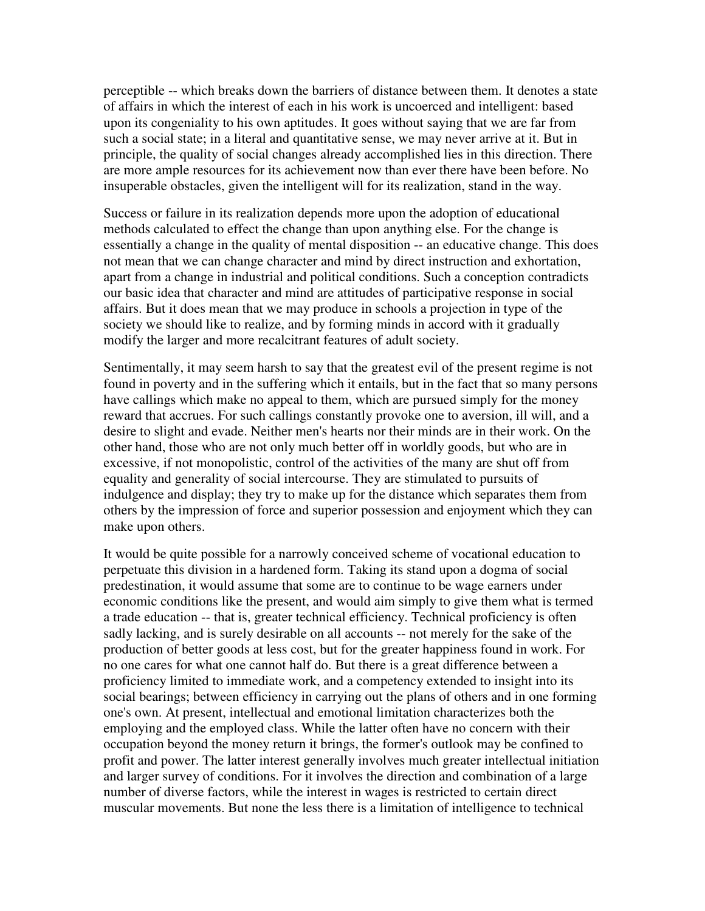perceptible -- which breaks down the barriers of distance between them. It denotes a state of affairs in which the interest of each in his work is uncoerced and intelligent: based upon its congeniality to his own aptitudes. It goes without saying that we are far from such a social state; in a literal and quantitative sense, we may never arrive at it. But in principle, the quality of social changes already accomplished lies in this direction. There are more ample resources for its achievement now than ever there have been before. No insuperable obstacles, given the intelligent will for its realization, stand in the way.

Success or failure in its realization depends more upon the adoption of educational methods calculated to effect the change than upon anything else. For the change is essentially a change in the quality of mental disposition -- an educative change. This does not mean that we can change character and mind by direct instruction and exhortation, apart from a change in industrial and political conditions. Such a conception contradicts our basic idea that character and mind are attitudes of participative response in social affairs. But it does mean that we may produce in schools a projection in type of the society we should like to realize, and by forming minds in accord with it gradually modify the larger and more recalcitrant features of adult society.

Sentimentally, it may seem harsh to say that the greatest evil of the present regime is not found in poverty and in the suffering which it entails, but in the fact that so many persons have callings which make no appeal to them, which are pursued simply for the money reward that accrues. For such callings constantly provoke one to aversion, ill will, and a desire to slight and evade. Neither men's hearts nor their minds are in their work. On the other hand, those who are not only much better off in worldly goods, but who are in excessive, if not monopolistic, control of the activities of the many are shut off from equality and generality of social intercourse. They are stimulated to pursuits of indulgence and display; they try to make up for the distance which separates them from others by the impression of force and superior possession and enjoyment which they can make upon others.

It would be quite possible for a narrowly conceived scheme of vocational education to perpetuate this division in a hardened form. Taking its stand upon a dogma of social predestination, it would assume that some are to continue to be wage earners under economic conditions like the present, and would aim simply to give them what is termed a trade education -- that is, greater technical efficiency. Technical proficiency is often sadly lacking, and is surely desirable on all accounts -- not merely for the sake of the production of better goods at less cost, but for the greater happiness found in work. For no one cares for what one cannot half do. But there is a great difference between a proficiency limited to immediate work, and a competency extended to insight into its social bearings; between efficiency in carrying out the plans of others and in one forming one's own. At present, intellectual and emotional limitation characterizes both the employing and the employed class. While the latter often have no concern with their occupation beyond the money return it brings, the former's outlook may be confined to profit and power. The latter interest generally involves much greater intellectual initiation and larger survey of conditions. For it involves the direction and combination of a large number of diverse factors, while the interest in wages is restricted to certain direct muscular movements. But none the less there is a limitation of intelligence to technical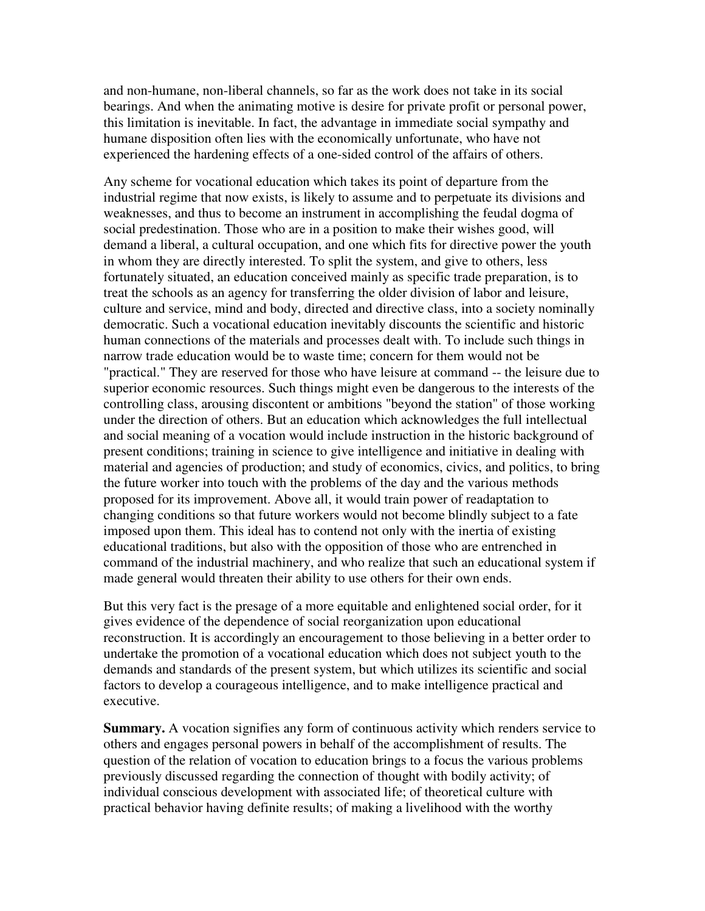and non-humane, non-liberal channels, so far as the work does not take in its social bearings. And when the animating motive is desire for private profit or personal power, this limitation is inevitable. In fact, the advantage in immediate social sympathy and humane disposition often lies with the economically unfortunate, who have not experienced the hardening effects of a one-sided control of the affairs of others.

Any scheme for vocational education which takes its point of departure from the industrial regime that now exists, is likely to assume and to perpetuate its divisions and weaknesses, and thus to become an instrument in accomplishing the feudal dogma of social predestination. Those who are in a position to make their wishes good, will demand a liberal, a cultural occupation, and one which fits for directive power the youth in whom they are directly interested. To split the system, and give to others, less fortunately situated, an education conceived mainly as specific trade preparation, is to treat the schools as an agency for transferring the older division of labor and leisure, culture and service, mind and body, directed and directive class, into a society nominally democratic. Such a vocational education inevitably discounts the scientific and historic human connections of the materials and processes dealt with. To include such things in narrow trade education would be to waste time; concern for them would not be "practical." They are reserved for those who have leisure at command -- the leisure due to superior economic resources. Such things might even be dangerous to the interests of the controlling class, arousing discontent or ambitions "beyond the station" of those working under the direction of others. But an education which acknowledges the full intellectual and social meaning of a vocation would include instruction in the historic background of present conditions; training in science to give intelligence and initiative in dealing with material and agencies of production; and study of economics, civics, and politics, to bring the future worker into touch with the problems of the day and the various methods proposed for its improvement. Above all, it would train power of readaptation to changing conditions so that future workers would not become blindly subject to a fate imposed upon them. This ideal has to contend not only with the inertia of existing educational traditions, but also with the opposition of those who are entrenched in command of the industrial machinery, and who realize that such an educational system if made general would threaten their ability to use others for their own ends.

But this very fact is the presage of a more equitable and enlightened social order, for it gives evidence of the dependence of social reorganization upon educational reconstruction. It is accordingly an encouragement to those believing in a better order to undertake the promotion of a vocational education which does not subject youth to the demands and standards of the present system, but which utilizes its scientific and social factors to develop a courageous intelligence, and to make intelligence practical and executive.

**Summary.** A vocation signifies any form of continuous activity which renders service to others and engages personal powers in behalf of the accomplishment of results. The question of the relation of vocation to education brings to a focus the various problems previously discussed regarding the connection of thought with bodily activity; of individual conscious development with associated life; of theoretical culture with practical behavior having definite results; of making a livelihood with the worthy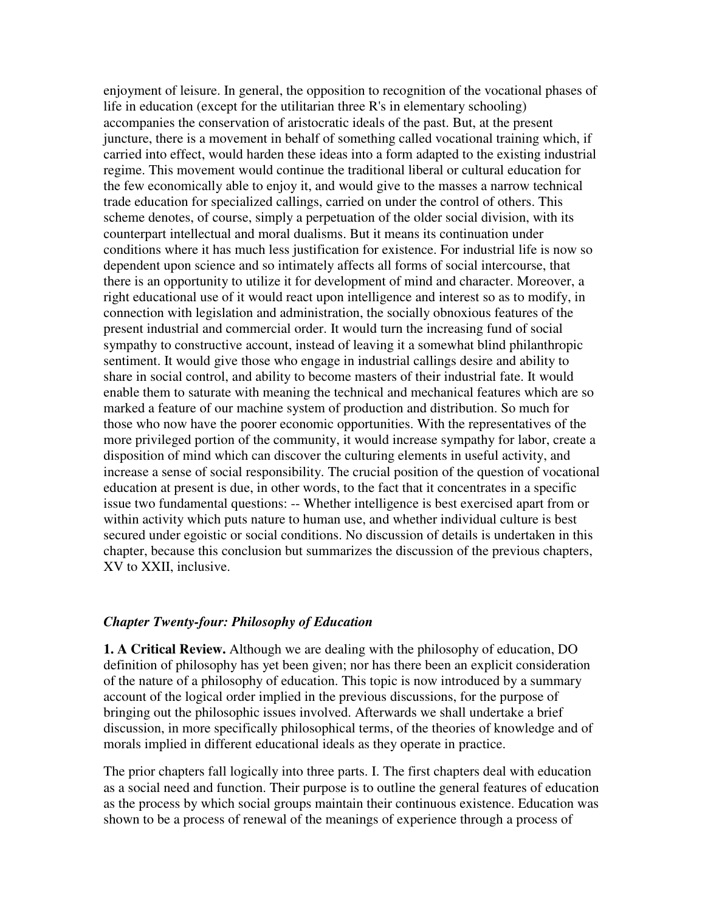enjoyment of leisure. In general, the opposition to recognition of the vocational phases of life in education (except for the utilitarian three R's in elementary schooling) accompanies the conservation of aristocratic ideals of the past. But, at the present juncture, there is a movement in behalf of something called vocational training which, if carried into effect, would harden these ideas into a form adapted to the existing industrial regime. This movement would continue the traditional liberal or cultural education for the few economically able to enjoy it, and would give to the masses a narrow technical trade education for specialized callings, carried on under the control of others. This scheme denotes, of course, simply a perpetuation of the older social division, with its counterpart intellectual and moral dualisms. But it means its continuation under conditions where it has much less justification for existence. For industrial life is now so dependent upon science and so intimately affects all forms of social intercourse, that there is an opportunity to utilize it for development of mind and character. Moreover, a right educational use of it would react upon intelligence and interest so as to modify, in connection with legislation and administration, the socially obnoxious features of the present industrial and commercial order. It would turn the increasing fund of social sympathy to constructive account, instead of leaving it a somewhat blind philanthropic sentiment. It would give those who engage in industrial callings desire and ability to share in social control, and ability to become masters of their industrial fate. It would enable them to saturate with meaning the technical and mechanical features which are so marked a feature of our machine system of production and distribution. So much for those who now have the poorer economic opportunities. With the representatives of the more privileged portion of the community, it would increase sympathy for labor, create a disposition of mind which can discover the culturing elements in useful activity, and increase a sense of social responsibility. The crucial position of the question of vocational education at present is due, in other words, to the fact that it concentrates in a specific issue two fundamental questions: -- Whether intelligence is best exercised apart from or within activity which puts nature to human use, and whether individual culture is best secured under egoistic or social conditions. No discussion of details is undertaken in this chapter, because this conclusion but summarizes the discussion of the previous chapters, XV to XXII, inclusive.

#### *Chapter Twenty-four: Philosophy of Education*

**1. A Critical Review.** Although we are dealing with the philosophy of education, DO definition of philosophy has yet been given; nor has there been an explicit consideration of the nature of a philosophy of education. This topic is now introduced by a summary account of the logical order implied in the previous discussions, for the purpose of bringing out the philosophic issues involved. Afterwards we shall undertake a brief discussion, in more specifically philosophical terms, of the theories of knowledge and of morals implied in different educational ideals as they operate in practice.

The prior chapters fall logically into three parts. I. The first chapters deal with education as a social need and function. Their purpose is to outline the general features of education as the process by which social groups maintain their continuous existence. Education was shown to be a process of renewal of the meanings of experience through a process of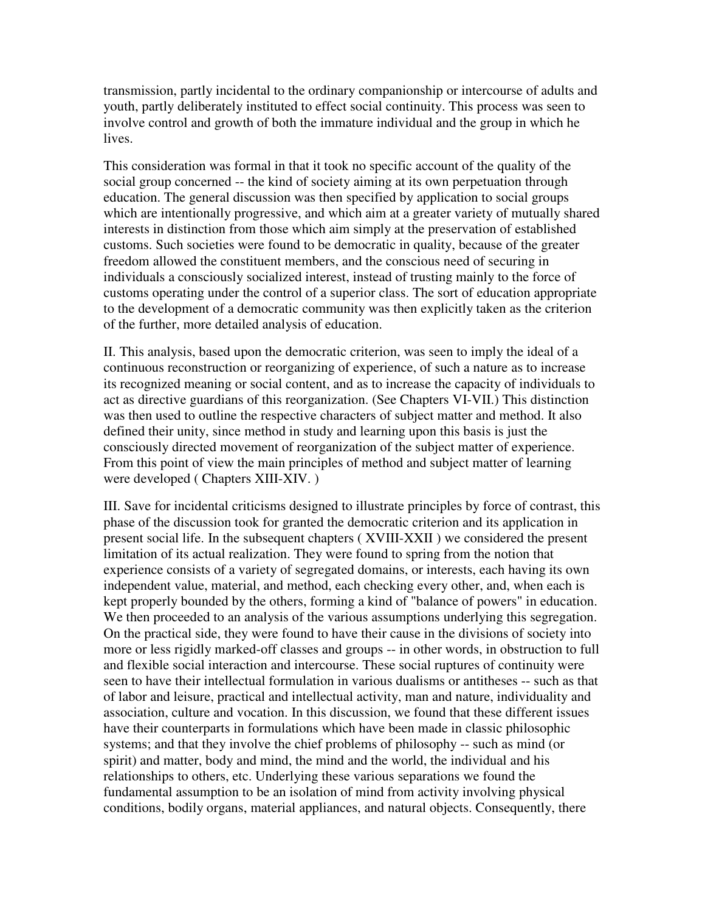transmission, partly incidental to the ordinary companionship or intercourse of adults and youth, partly deliberately instituted to effect social continuity. This process was seen to involve control and growth of both the immature individual and the group in which he lives.

This consideration was formal in that it took no specific account of the quality of the social group concerned -- the kind of society aiming at its own perpetuation through education. The general discussion was then specified by application to social groups which are intentionally progressive, and which aim at a greater variety of mutually shared interests in distinction from those which aim simply at the preservation of established customs. Such societies were found to be democratic in quality, because of the greater freedom allowed the constituent members, and the conscious need of securing in individuals a consciously socialized interest, instead of trusting mainly to the force of customs operating under the control of a superior class. The sort of education appropriate to the development of a democratic community was then explicitly taken as the criterion of the further, more detailed analysis of education.

II. This analysis, based upon the democratic criterion, was seen to imply the ideal of a continuous reconstruction or reorganizing of experience, of such a nature as to increase its recognized meaning or social content, and as to increase the capacity of individuals to act as directive guardians of this reorganization. (See Chapters VI-VII.) This distinction was then used to outline the respective characters of subject matter and method. It also defined their unity, since method in study and learning upon this basis is just the consciously directed movement of reorganization of the subject matter of experience. From this point of view the main principles of method and subject matter of learning were developed ( Chapters XIII-XIV. )

III. Save for incidental criticisms designed to illustrate principles by force of contrast, this phase of the discussion took for granted the democratic criterion and its application in present social life. In the subsequent chapters ( XVIII-XXII ) we considered the present limitation of its actual realization. They were found to spring from the notion that experience consists of a variety of segregated domains, or interests, each having its own independent value, material, and method, each checking every other, and, when each is kept properly bounded by the others, forming a kind of "balance of powers" in education. We then proceeded to an analysis of the various assumptions underlying this segregation. On the practical side, they were found to have their cause in the divisions of society into more or less rigidly marked-off classes and groups -- in other words, in obstruction to full and flexible social interaction and intercourse. These social ruptures of continuity were seen to have their intellectual formulation in various dualisms or antitheses -- such as that of labor and leisure, practical and intellectual activity, man and nature, individuality and association, culture and vocation. In this discussion, we found that these different issues have their counterparts in formulations which have been made in classic philosophic systems; and that they involve the chief problems of philosophy -- such as mind (or spirit) and matter, body and mind, the mind and the world, the individual and his relationships to others, etc. Underlying these various separations we found the fundamental assumption to be an isolation of mind from activity involving physical conditions, bodily organs, material appliances, and natural objects. Consequently, there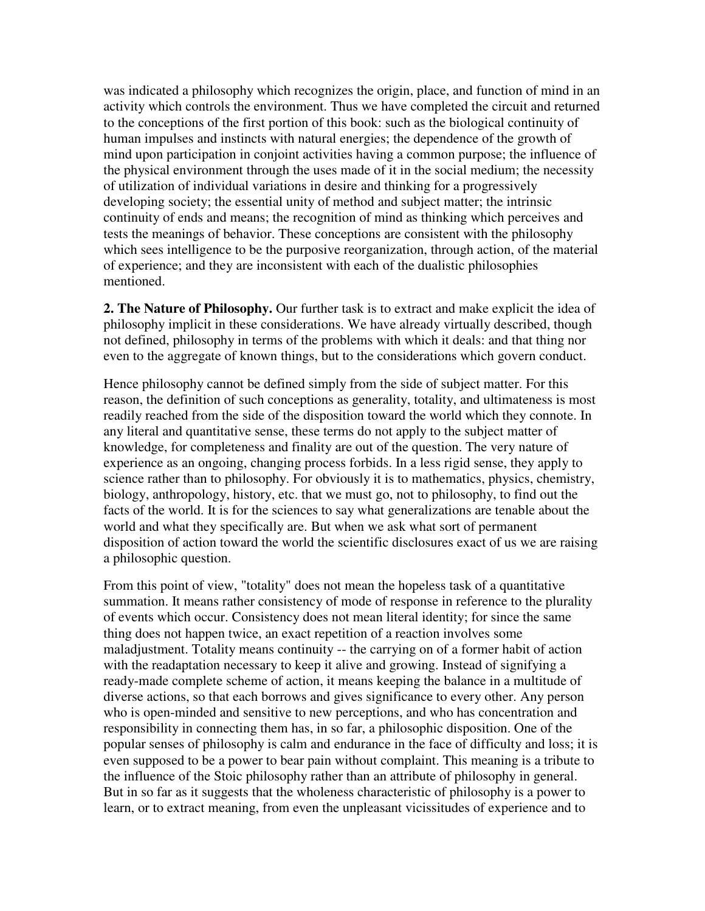was indicated a philosophy which recognizes the origin, place, and function of mind in an activity which controls the environment. Thus we have completed the circuit and returned to the conceptions of the first portion of this book: such as the biological continuity of human impulses and instincts with natural energies; the dependence of the growth of mind upon participation in conjoint activities having a common purpose; the influence of the physical environment through the uses made of it in the social medium; the necessity of utilization of individual variations in desire and thinking for a progressively developing society; the essential unity of method and subject matter; the intrinsic continuity of ends and means; the recognition of mind as thinking which perceives and tests the meanings of behavior. These conceptions are consistent with the philosophy which sees intelligence to be the purposive reorganization, through action, of the material of experience; and they are inconsistent with each of the dualistic philosophies mentioned.

**2. The Nature of Philosophy.** Our further task is to extract and make explicit the idea of philosophy implicit in these considerations. We have already virtually described, though not defined, philosophy in terms of the problems with which it deals: and that thing nor even to the aggregate of known things, but to the considerations which govern conduct.

Hence philosophy cannot be defined simply from the side of subject matter. For this reason, the definition of such conceptions as generality, totality, and ultimateness is most readily reached from the side of the disposition toward the world which they connote. In any literal and quantitative sense, these terms do not apply to the subject matter of knowledge, for completeness and finality are out of the question. The very nature of experience as an ongoing, changing process forbids. In a less rigid sense, they apply to science rather than to philosophy. For obviously it is to mathematics, physics, chemistry, biology, anthropology, history, etc. that we must go, not to philosophy, to find out the facts of the world. It is for the sciences to say what generalizations are tenable about the world and what they specifically are. But when we ask what sort of permanent disposition of action toward the world the scientific disclosures exact of us we are raising a philosophic question.

From this point of view, "totality" does not mean the hopeless task of a quantitative summation. It means rather consistency of mode of response in reference to the plurality of events which occur. Consistency does not mean literal identity; for since the same thing does not happen twice, an exact repetition of a reaction involves some maladjustment. Totality means continuity -- the carrying on of a former habit of action with the readaptation necessary to keep it alive and growing. Instead of signifying a ready-made complete scheme of action, it means keeping the balance in a multitude of diverse actions, so that each borrows and gives significance to every other. Any person who is open-minded and sensitive to new perceptions, and who has concentration and responsibility in connecting them has, in so far, a philosophic disposition. One of the popular senses of philosophy is calm and endurance in the face of difficulty and loss; it is even supposed to be a power to bear pain without complaint. This meaning is a tribute to the influence of the Stoic philosophy rather than an attribute of philosophy in general. But in so far as it suggests that the wholeness characteristic of philosophy is a power to learn, or to extract meaning, from even the unpleasant vicissitudes of experience and to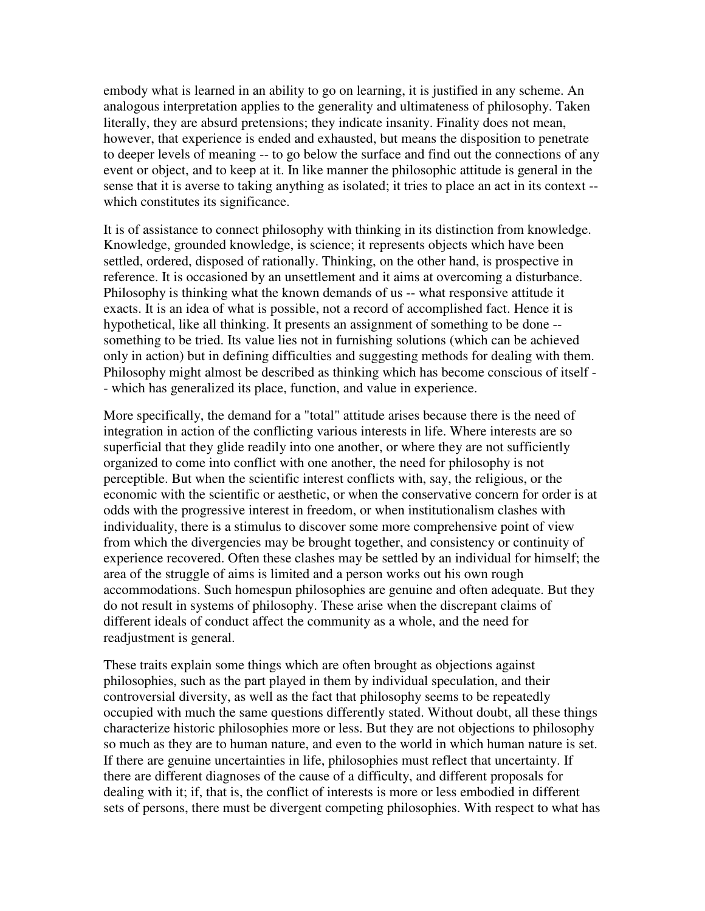embody what is learned in an ability to go on learning, it is justified in any scheme. An analogous interpretation applies to the generality and ultimateness of philosophy. Taken literally, they are absurd pretensions; they indicate insanity. Finality does not mean, however, that experience is ended and exhausted, but means the disposition to penetrate to deeper levels of meaning -- to go below the surface and find out the connections of any event or object, and to keep at it. In like manner the philosophic attitude is general in the sense that it is averse to taking anything as isolated; it tries to place an act in its context - which constitutes its significance.

It is of assistance to connect philosophy with thinking in its distinction from knowledge. Knowledge, grounded knowledge, is science; it represents objects which have been settled, ordered, disposed of rationally. Thinking, on the other hand, is prospective in reference. It is occasioned by an unsettlement and it aims at overcoming a disturbance. Philosophy is thinking what the known demands of us -- what responsive attitude it exacts. It is an idea of what is possible, not a record of accomplished fact. Hence it is hypothetical, like all thinking. It presents an assignment of something to be done - something to be tried. Its value lies not in furnishing solutions (which can be achieved only in action) but in defining difficulties and suggesting methods for dealing with them. Philosophy might almost be described as thinking which has become conscious of itself - - which has generalized its place, function, and value in experience.

More specifically, the demand for a "total" attitude arises because there is the need of integration in action of the conflicting various interests in life. Where interests are so superficial that they glide readily into one another, or where they are not sufficiently organized to come into conflict with one another, the need for philosophy is not perceptible. But when the scientific interest conflicts with, say, the religious, or the economic with the scientific or aesthetic, or when the conservative concern for order is at odds with the progressive interest in freedom, or when institutionalism clashes with individuality, there is a stimulus to discover some more comprehensive point of view from which the divergencies may be brought together, and consistency or continuity of experience recovered. Often these clashes may be settled by an individual for himself; the area of the struggle of aims is limited and a person works out his own rough accommodations. Such homespun philosophies are genuine and often adequate. But they do not result in systems of philosophy. These arise when the discrepant claims of different ideals of conduct affect the community as a whole, and the need for readjustment is general.

These traits explain some things which are often brought as objections against philosophies, such as the part played in them by individual speculation, and their controversial diversity, as well as the fact that philosophy seems to be repeatedly occupied with much the same questions differently stated. Without doubt, all these things characterize historic philosophies more or less. But they are not objections to philosophy so much as they are to human nature, and even to the world in which human nature is set. If there are genuine uncertainties in life, philosophies must reflect that uncertainty. If there are different diagnoses of the cause of a difficulty, and different proposals for dealing with it; if, that is, the conflict of interests is more or less embodied in different sets of persons, there must be divergent competing philosophies. With respect to what has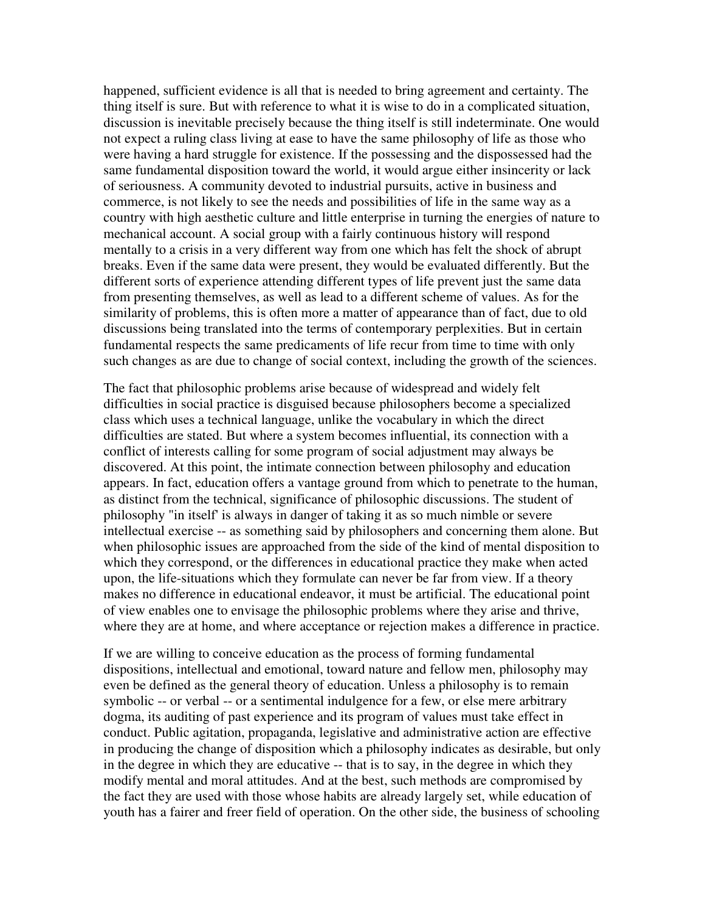happened, sufficient evidence is all that is needed to bring agreement and certainty. The thing itself is sure. But with reference to what it is wise to do in a complicated situation, discussion is inevitable precisely because the thing itself is still indeterminate. One would not expect a ruling class living at ease to have the same philosophy of life as those who were having a hard struggle for existence. If the possessing and the dispossessed had the same fundamental disposition toward the world, it would argue either insincerity or lack of seriousness. A community devoted to industrial pursuits, active in business and commerce, is not likely to see the needs and possibilities of life in the same way as a country with high aesthetic culture and little enterprise in turning the energies of nature to mechanical account. A social group with a fairly continuous history will respond mentally to a crisis in a very different way from one which has felt the shock of abrupt breaks. Even if the same data were present, they would be evaluated differently. But the different sorts of experience attending different types of life prevent just the same data from presenting themselves, as well as lead to a different scheme of values. As for the similarity of problems, this is often more a matter of appearance than of fact, due to old discussions being translated into the terms of contemporary perplexities. But in certain fundamental respects the same predicaments of life recur from time to time with only such changes as are due to change of social context, including the growth of the sciences.

The fact that philosophic problems arise because of widespread and widely felt difficulties in social practice is disguised because philosophers become a specialized class which uses a technical language, unlike the vocabulary in which the direct difficulties are stated. But where a system becomes influential, its connection with a conflict of interests calling for some program of social adjustment may always be discovered. At this point, the intimate connection between philosophy and education appears. In fact, education offers a vantage ground from which to penetrate to the human, as distinct from the technical, significance of philosophic discussions. The student of philosophy "in itself' is always in danger of taking it as so much nimble or severe intellectual exercise -- as something said by philosophers and concerning them alone. But when philosophic issues are approached from the side of the kind of mental disposition to which they correspond, or the differences in educational practice they make when acted upon, the life-situations which they formulate can never be far from view. If a theory makes no difference in educational endeavor, it must be artificial. The educational point of view enables one to envisage the philosophic problems where they arise and thrive, where they are at home, and where acceptance or rejection makes a difference in practice.

If we are willing to conceive education as the process of forming fundamental dispositions, intellectual and emotional, toward nature and fellow men, philosophy may even be defined as the general theory of education. Unless a philosophy is to remain symbolic -- or verbal -- or a sentimental indulgence for a few, or else mere arbitrary dogma, its auditing of past experience and its program of values must take effect in conduct. Public agitation, propaganda, legislative and administrative action are effective in producing the change of disposition which a philosophy indicates as desirable, but only in the degree in which they are educative -- that is to say, in the degree in which they modify mental and moral attitudes. And at the best, such methods are compromised by the fact they are used with those whose habits are already largely set, while education of youth has a fairer and freer field of operation. On the other side, the business of schooling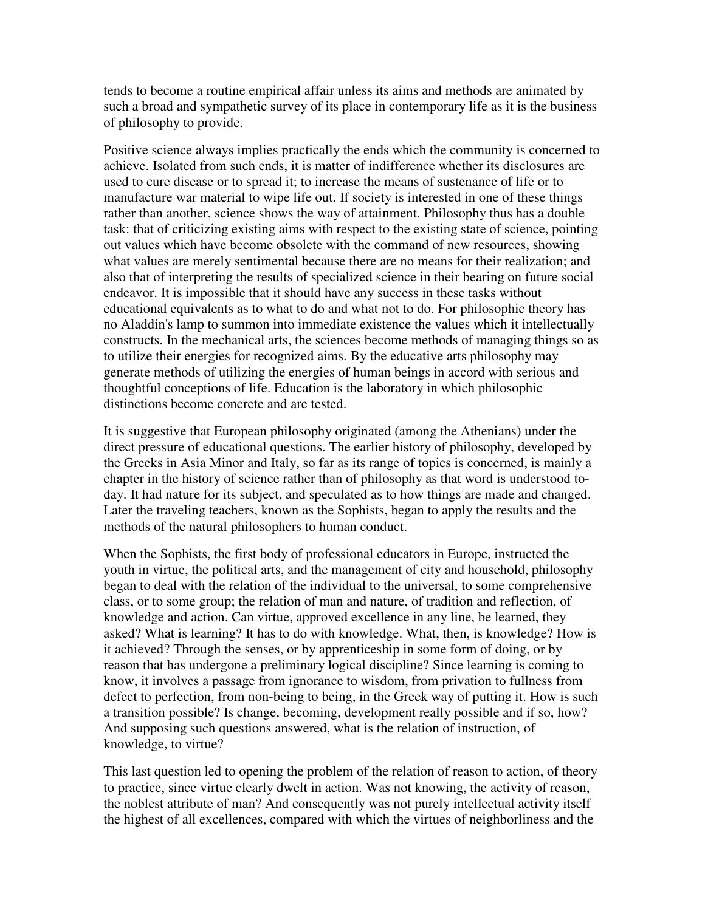tends to become a routine empirical affair unless its aims and methods are animated by such a broad and sympathetic survey of its place in contemporary life as it is the business of philosophy to provide.

Positive science always implies practically the ends which the community is concerned to achieve. Isolated from such ends, it is matter of indifference whether its disclosures are used to cure disease or to spread it; to increase the means of sustenance of life or to manufacture war material to wipe life out. If society is interested in one of these things rather than another, science shows the way of attainment. Philosophy thus has a double task: that of criticizing existing aims with respect to the existing state of science, pointing out values which have become obsolete with the command of new resources, showing what values are merely sentimental because there are no means for their realization; and also that of interpreting the results of specialized science in their bearing on future social endeavor. It is impossible that it should have any success in these tasks without educational equivalents as to what to do and what not to do. For philosophic theory has no Aladdin's lamp to summon into immediate existence the values which it intellectually constructs. In the mechanical arts, the sciences become methods of managing things so as to utilize their energies for recognized aims. By the educative arts philosophy may generate methods of utilizing the energies of human beings in accord with serious and thoughtful conceptions of life. Education is the laboratory in which philosophic distinctions become concrete and are tested.

It is suggestive that European philosophy originated (among the Athenians) under the direct pressure of educational questions. The earlier history of philosophy, developed by the Greeks in Asia Minor and Italy, so far as its range of topics is concerned, is mainly a chapter in the history of science rather than of philosophy as that word is understood today. It had nature for its subject, and speculated as to how things are made and changed. Later the traveling teachers, known as the Sophists, began to apply the results and the methods of the natural philosophers to human conduct.

When the Sophists, the first body of professional educators in Europe, instructed the youth in virtue, the political arts, and the management of city and household, philosophy began to deal with the relation of the individual to the universal, to some comprehensive class, or to some group; the relation of man and nature, of tradition and reflection, of knowledge and action. Can virtue, approved excellence in any line, be learned, they asked? What is learning? It has to do with knowledge. What, then, is knowledge? How is it achieved? Through the senses, or by apprenticeship in some form of doing, or by reason that has undergone a preliminary logical discipline? Since learning is coming to know, it involves a passage from ignorance to wisdom, from privation to fullness from defect to perfection, from non-being to being, in the Greek way of putting it. How is such a transition possible? Is change, becoming, development really possible and if so, how? And supposing such questions answered, what is the relation of instruction, of knowledge, to virtue?

This last question led to opening the problem of the relation of reason to action, of theory to practice, since virtue clearly dwelt in action. Was not knowing, the activity of reason, the noblest attribute of man? And consequently was not purely intellectual activity itself the highest of all excellences, compared with which the virtues of neighborliness and the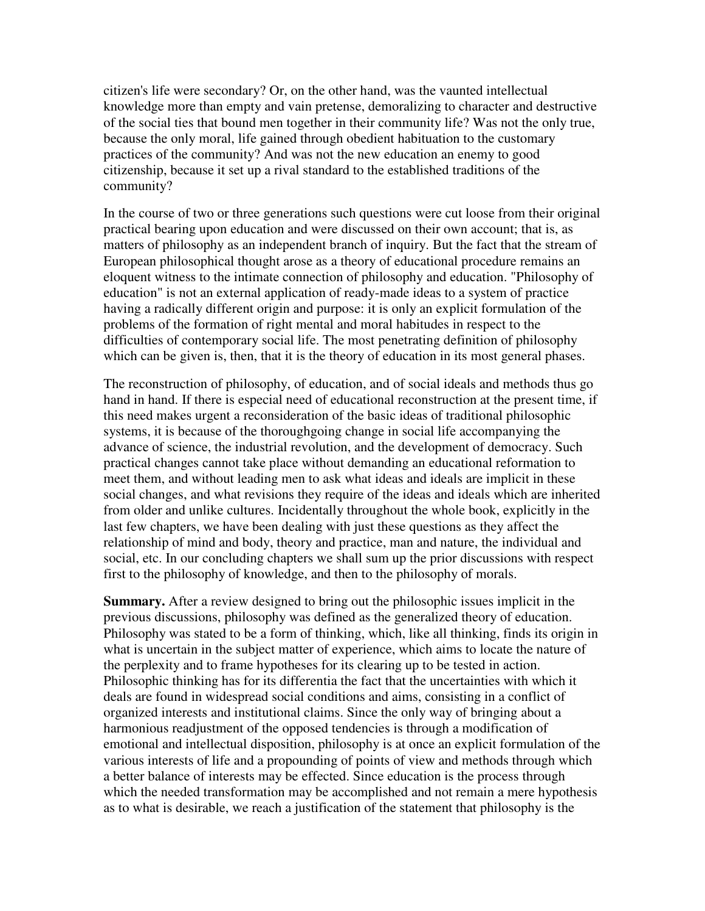citizen's life were secondary? Or, on the other hand, was the vaunted intellectual knowledge more than empty and vain pretense, demoralizing to character and destructive of the social ties that bound men together in their community life? Was not the only true, because the only moral, life gained through obedient habituation to the customary practices of the community? And was not the new education an enemy to good citizenship, because it set up a rival standard to the established traditions of the community?

In the course of two or three generations such questions were cut loose from their original practical bearing upon education and were discussed on their own account; that is, as matters of philosophy as an independent branch of inquiry. But the fact that the stream of European philosophical thought arose as a theory of educational procedure remains an eloquent witness to the intimate connection of philosophy and education. "Philosophy of education" is not an external application of ready-made ideas to a system of practice having a radically different origin and purpose: it is only an explicit formulation of the problems of the formation of right mental and moral habitudes in respect to the difficulties of contemporary social life. The most penetrating definition of philosophy which can be given is, then, that it is the theory of education in its most general phases.

The reconstruction of philosophy, of education, and of social ideals and methods thus go hand in hand. If there is especial need of educational reconstruction at the present time, if this need makes urgent a reconsideration of the basic ideas of traditional philosophic systems, it is because of the thoroughgoing change in social life accompanying the advance of science, the industrial revolution, and the development of democracy. Such practical changes cannot take place without demanding an educational reformation to meet them, and without leading men to ask what ideas and ideals are implicit in these social changes, and what revisions they require of the ideas and ideals which are inherited from older and unlike cultures. Incidentally throughout the whole book, explicitly in the last few chapters, we have been dealing with just these questions as they affect the relationship of mind and body, theory and practice, man and nature, the individual and social, etc. In our concluding chapters we shall sum up the prior discussions with respect first to the philosophy of knowledge, and then to the philosophy of morals.

**Summary.** After a review designed to bring out the philosophic issues implicit in the previous discussions, philosophy was defined as the generalized theory of education. Philosophy was stated to be a form of thinking, which, like all thinking, finds its origin in what is uncertain in the subject matter of experience, which aims to locate the nature of the perplexity and to frame hypotheses for its clearing up to be tested in action. Philosophic thinking has for its differentia the fact that the uncertainties with which it deals are found in widespread social conditions and aims, consisting in a conflict of organized interests and institutional claims. Since the only way of bringing about a harmonious readjustment of the opposed tendencies is through a modification of emotional and intellectual disposition, philosophy is at once an explicit formulation of the various interests of life and a propounding of points of view and methods through which a better balance of interests may be effected. Since education is the process through which the needed transformation may be accomplished and not remain a mere hypothesis as to what is desirable, we reach a justification of the statement that philosophy is the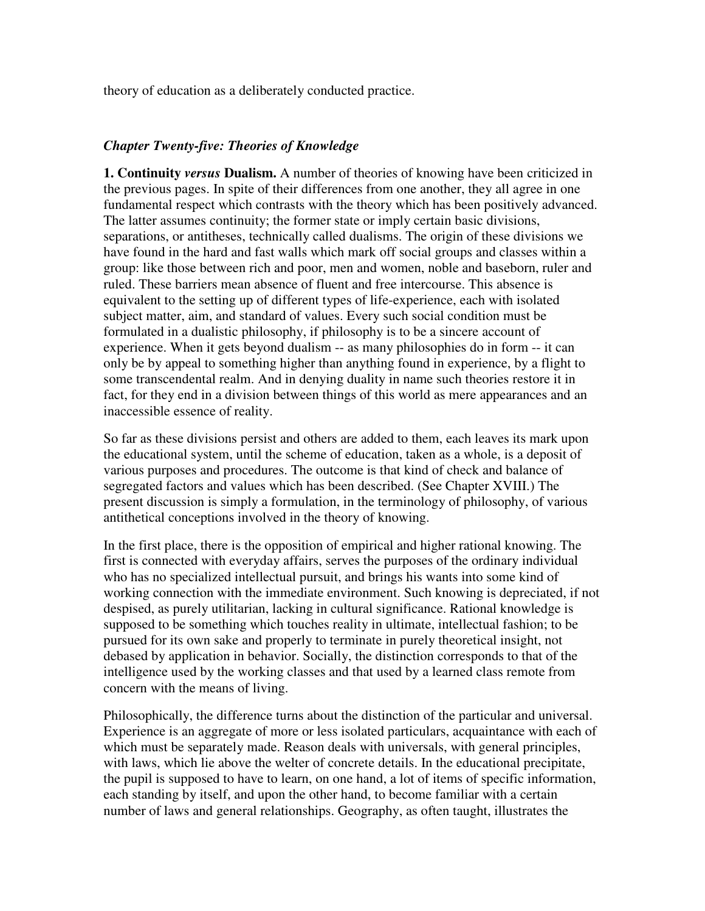theory of education as a deliberately conducted practice.

## *Chapter Twenty-five: Theories of Knowledge*

**1. Continuity** *versus* **Dualism.** A number of theories of knowing have been criticized in the previous pages. In spite of their differences from one another, they all agree in one fundamental respect which contrasts with the theory which has been positively advanced. The latter assumes continuity; the former state or imply certain basic divisions, separations, or antitheses, technically called dualisms. The origin of these divisions we have found in the hard and fast walls which mark off social groups and classes within a group: like those between rich and poor, men and women, noble and baseborn, ruler and ruled. These barriers mean absence of fluent and free intercourse. This absence is equivalent to the setting up of different types of life-experience, each with isolated subject matter, aim, and standard of values. Every such social condition must be formulated in a dualistic philosophy, if philosophy is to be a sincere account of experience. When it gets beyond dualism -- as many philosophies do in form -- it can only be by appeal to something higher than anything found in experience, by a flight to some transcendental realm. And in denying duality in name such theories restore it in fact, for they end in a division between things of this world as mere appearances and an inaccessible essence of reality.

So far as these divisions persist and others are added to them, each leaves its mark upon the educational system, until the scheme of education, taken as a whole, is a deposit of various purposes and procedures. The outcome is that kind of check and balance of segregated factors and values which has been described. (See Chapter XVIII.) The present discussion is simply a formulation, in the terminology of philosophy, of various antithetical conceptions involved in the theory of knowing.

In the first place, there is the opposition of empirical and higher rational knowing. The first is connected with everyday affairs, serves the purposes of the ordinary individual who has no specialized intellectual pursuit, and brings his wants into some kind of working connection with the immediate environment. Such knowing is depreciated, if not despised, as purely utilitarian, lacking in cultural significance. Rational knowledge is supposed to be something which touches reality in ultimate, intellectual fashion; to be pursued for its own sake and properly to terminate in purely theoretical insight, not debased by application in behavior. Socially, the distinction corresponds to that of the intelligence used by the working classes and that used by a learned class remote from concern with the means of living.

Philosophically, the difference turns about the distinction of the particular and universal. Experience is an aggregate of more or less isolated particulars, acquaintance with each of which must be separately made. Reason deals with universals, with general principles, with laws, which lie above the welter of concrete details. In the educational precipitate, the pupil is supposed to have to learn, on one hand, a lot of items of specific information, each standing by itself, and upon the other hand, to become familiar with a certain number of laws and general relationships. Geography, as often taught, illustrates the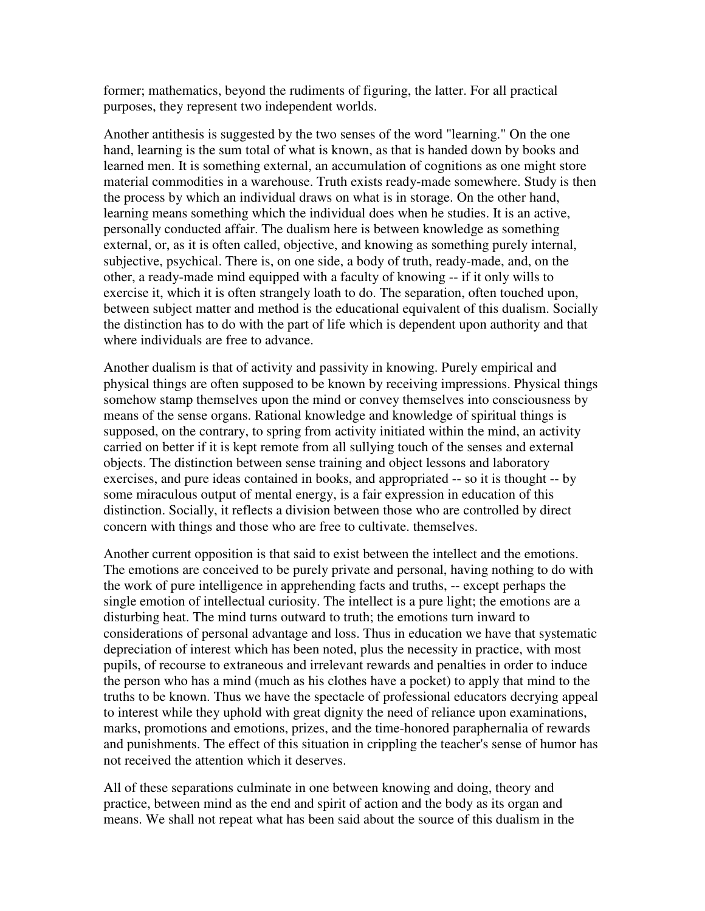former; mathematics, beyond the rudiments of figuring, the latter. For all practical purposes, they represent two independent worlds.

Another antithesis is suggested by the two senses of the word "learning." On the one hand, learning is the sum total of what is known, as that is handed down by books and learned men. It is something external, an accumulation of cognitions as one might store material commodities in a warehouse. Truth exists ready-made somewhere. Study is then the process by which an individual draws on what is in storage. On the other hand, learning means something which the individual does when he studies. It is an active, personally conducted affair. The dualism here is between knowledge as something external, or, as it is often called, objective, and knowing as something purely internal, subjective, psychical. There is, on one side, a body of truth, ready-made, and, on the other, a ready-made mind equipped with a faculty of knowing -- if it only wills to exercise it, which it is often strangely loath to do. The separation, often touched upon, between subject matter and method is the educational equivalent of this dualism. Socially the distinction has to do with the part of life which is dependent upon authority and that where individuals are free to advance.

Another dualism is that of activity and passivity in knowing. Purely empirical and physical things are often supposed to be known by receiving impressions. Physical things somehow stamp themselves upon the mind or convey themselves into consciousness by means of the sense organs. Rational knowledge and knowledge of spiritual things is supposed, on the contrary, to spring from activity initiated within the mind, an activity carried on better if it is kept remote from all sullying touch of the senses and external objects. The distinction between sense training and object lessons and laboratory exercises, and pure ideas contained in books, and appropriated -- so it is thought -- by some miraculous output of mental energy, is a fair expression in education of this distinction. Socially, it reflects a division between those who are controlled by direct concern with things and those who are free to cultivate. themselves.

Another current opposition is that said to exist between the intellect and the emotions. The emotions are conceived to be purely private and personal, having nothing to do with the work of pure intelligence in apprehending facts and truths, -- except perhaps the single emotion of intellectual curiosity. The intellect is a pure light; the emotions are a disturbing heat. The mind turns outward to truth; the emotions turn inward to considerations of personal advantage and loss. Thus in education we have that systematic depreciation of interest which has been noted, plus the necessity in practice, with most pupils, of recourse to extraneous and irrelevant rewards and penalties in order to induce the person who has a mind (much as his clothes have a pocket) to apply that mind to the truths to be known. Thus we have the spectacle of professional educators decrying appeal to interest while they uphold with great dignity the need of reliance upon examinations, marks, promotions and emotions, prizes, and the time-honored paraphernalia of rewards and punishments. The effect of this situation in crippling the teacher's sense of humor has not received the attention which it deserves.

All of these separations culminate in one between knowing and doing, theory and practice, between mind as the end and spirit of action and the body as its organ and means. We shall not repeat what has been said about the source of this dualism in the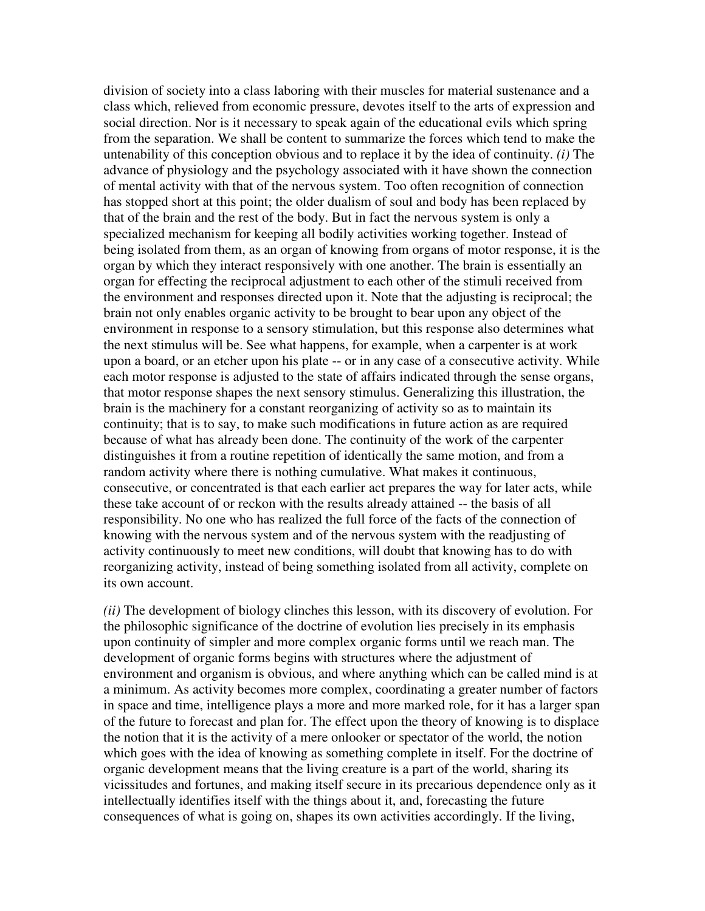division of society into a class laboring with their muscles for material sustenance and a class which, relieved from economic pressure, devotes itself to the arts of expression and social direction. Nor is it necessary to speak again of the educational evils which spring from the separation. We shall be content to summarize the forces which tend to make the untenability of this conception obvious and to replace it by the idea of continuity. *(i)* The advance of physiology and the psychology associated with it have shown the connection of mental activity with that of the nervous system. Too often recognition of connection has stopped short at this point; the older dualism of soul and body has been replaced by that of the brain and the rest of the body. But in fact the nervous system is only a specialized mechanism for keeping all bodily activities working together. Instead of being isolated from them, as an organ of knowing from organs of motor response, it is the organ by which they interact responsively with one another. The brain is essentially an organ for effecting the reciprocal adjustment to each other of the stimuli received from the environment and responses directed upon it. Note that the adjusting is reciprocal; the brain not only enables organic activity to be brought to bear upon any object of the environment in response to a sensory stimulation, but this response also determines what the next stimulus will be. See what happens, for example, when a carpenter is at work upon a board, or an etcher upon his plate -- or in any case of a consecutive activity. While each motor response is adjusted to the state of affairs indicated through the sense organs, that motor response shapes the next sensory stimulus. Generalizing this illustration, the brain is the machinery for a constant reorganizing of activity so as to maintain its continuity; that is to say, to make such modifications in future action as are required because of what has already been done. The continuity of the work of the carpenter distinguishes it from a routine repetition of identically the same motion, and from a random activity where there is nothing cumulative. What makes it continuous, consecutive, or concentrated is that each earlier act prepares the way for later acts, while these take account of or reckon with the results already attained -- the basis of all responsibility. No one who has realized the full force of the facts of the connection of knowing with the nervous system and of the nervous system with the readjusting of activity continuously to meet new conditions, will doubt that knowing has to do with reorganizing activity, instead of being something isolated from all activity, complete on its own account.

*(ii)* The development of biology clinches this lesson, with its discovery of evolution. For the philosophic significance of the doctrine of evolution lies precisely in its emphasis upon continuity of simpler and more complex organic forms until we reach man. The development of organic forms begins with structures where the adjustment of environment and organism is obvious, and where anything which can be called mind is at a minimum. As activity becomes more complex, coordinating a greater number of factors in space and time, intelligence plays a more and more marked role, for it has a larger span of the future to forecast and plan for. The effect upon the theory of knowing is to displace the notion that it is the activity of a mere onlooker or spectator of the world, the notion which goes with the idea of knowing as something complete in itself. For the doctrine of organic development means that the living creature is a part of the world, sharing its vicissitudes and fortunes, and making itself secure in its precarious dependence only as it intellectually identifies itself with the things about it, and, forecasting the future consequences of what is going on, shapes its own activities accordingly. If the living,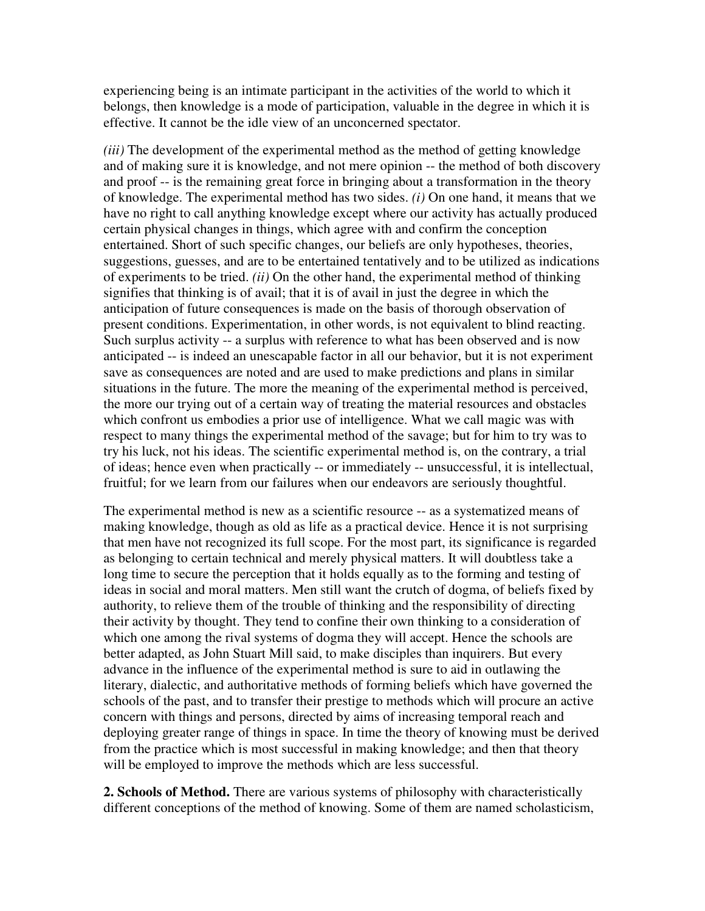experiencing being is an intimate participant in the activities of the world to which it belongs, then knowledge is a mode of participation, valuable in the degree in which it is effective. It cannot be the idle view of an unconcerned spectator.

*(iii)* The development of the experimental method as the method of getting knowledge and of making sure it is knowledge, and not mere opinion -- the method of both discovery and proof -- is the remaining great force in bringing about a transformation in the theory of knowledge. The experimental method has two sides. *(i)* On one hand, it means that we have no right to call anything knowledge except where our activity has actually produced certain physical changes in things, which agree with and confirm the conception entertained. Short of such specific changes, our beliefs are only hypotheses, theories, suggestions, guesses, and are to be entertained tentatively and to be utilized as indications of experiments to be tried. *(ii)* On the other hand, the experimental method of thinking signifies that thinking is of avail; that it is of avail in just the degree in which the anticipation of future consequences is made on the basis of thorough observation of present conditions. Experimentation, in other words, is not equivalent to blind reacting. Such surplus activity -- a surplus with reference to what has been observed and is now anticipated -- is indeed an unescapable factor in all our behavior, but it is not experiment save as consequences are noted and are used to make predictions and plans in similar situations in the future. The more the meaning of the experimental method is perceived, the more our trying out of a certain way of treating the material resources and obstacles which confront us embodies a prior use of intelligence. What we call magic was with respect to many things the experimental method of the savage; but for him to try was to try his luck, not his ideas. The scientific experimental method is, on the contrary, a trial of ideas; hence even when practically -- or immediately -- unsuccessful, it is intellectual, fruitful; for we learn from our failures when our endeavors are seriously thoughtful.

The experimental method is new as a scientific resource -- as a systematized means of making knowledge, though as old as life as a practical device. Hence it is not surprising that men have not recognized its full scope. For the most part, its significance is regarded as belonging to certain technical and merely physical matters. It will doubtless take a long time to secure the perception that it holds equally as to the forming and testing of ideas in social and moral matters. Men still want the crutch of dogma, of beliefs fixed by authority, to relieve them of the trouble of thinking and the responsibility of directing their activity by thought. They tend to confine their own thinking to a consideration of which one among the rival systems of dogma they will accept. Hence the schools are better adapted, as John Stuart Mill said, to make disciples than inquirers. But every advance in the influence of the experimental method is sure to aid in outlawing the literary, dialectic, and authoritative methods of forming beliefs which have governed the schools of the past, and to transfer their prestige to methods which will procure an active concern with things and persons, directed by aims of increasing temporal reach and deploying greater range of things in space. In time the theory of knowing must be derived from the practice which is most successful in making knowledge; and then that theory will be employed to improve the methods which are less successful.

**2. Schools of Method.** There are various systems of philosophy with characteristically different conceptions of the method of knowing. Some of them are named scholasticism,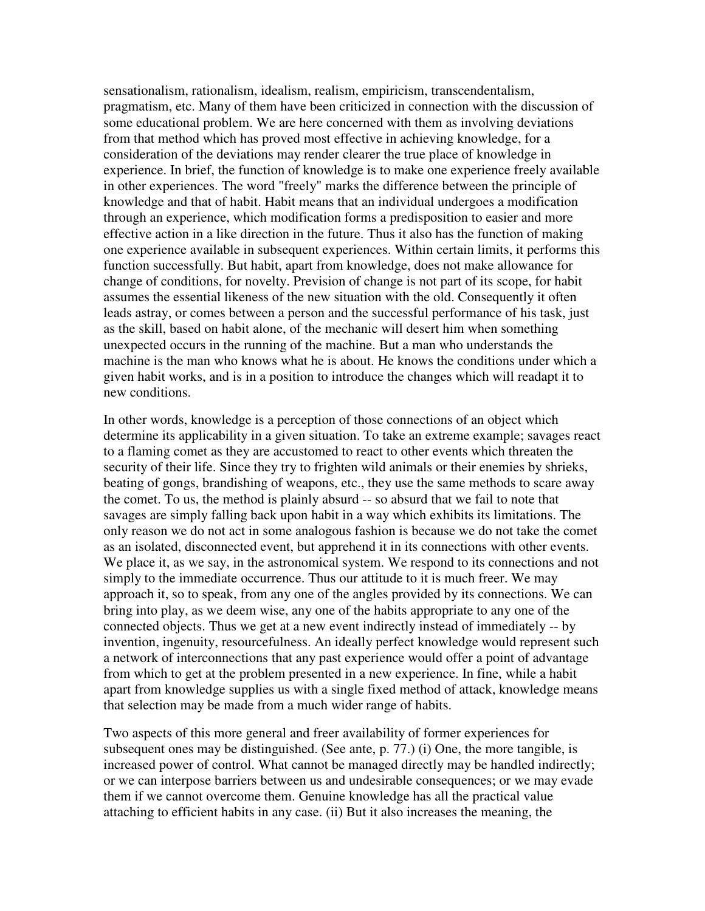sensationalism, rationalism, idealism, realism, empiricism, transcendentalism, pragmatism, etc. Many of them have been criticized in connection with the discussion of some educational problem. We are here concerned with them as involving deviations from that method which has proved most effective in achieving knowledge, for a consideration of the deviations may render clearer the true place of knowledge in experience. In brief, the function of knowledge is to make one experience freely available in other experiences. The word "freely" marks the difference between the principle of knowledge and that of habit. Habit means that an individual undergoes a modification through an experience, which modification forms a predisposition to easier and more effective action in a like direction in the future. Thus it also has the function of making one experience available in subsequent experiences. Within certain limits, it performs this function successfully. But habit, apart from knowledge, does not make allowance for change of conditions, for novelty. Prevision of change is not part of its scope, for habit assumes the essential likeness of the new situation with the old. Consequently it often leads astray, or comes between a person and the successful performance of his task, just as the skill, based on habit alone, of the mechanic will desert him when something unexpected occurs in the running of the machine. But a man who understands the machine is the man who knows what he is about. He knows the conditions under which a given habit works, and is in a position to introduce the changes which will readapt it to new conditions.

In other words, knowledge is a perception of those connections of an object which determine its applicability in a given situation. To take an extreme example; savages react to a flaming comet as they are accustomed to react to other events which threaten the security of their life. Since they try to frighten wild animals or their enemies by shrieks, beating of gongs, brandishing of weapons, etc., they use the same methods to scare away the comet. To us, the method is plainly absurd -- so absurd that we fail to note that savages are simply falling back upon habit in a way which exhibits its limitations. The only reason we do not act in some analogous fashion is because we do not take the comet as an isolated, disconnected event, but apprehend it in its connections with other events. We place it, as we say, in the astronomical system. We respond to its connections and not simply to the immediate occurrence. Thus our attitude to it is much freer. We may approach it, so to speak, from any one of the angles provided by its connections. We can bring into play, as we deem wise, any one of the habits appropriate to any one of the connected objects. Thus we get at a new event indirectly instead of immediately -- by invention, ingenuity, resourcefulness. An ideally perfect knowledge would represent such a network of interconnections that any past experience would offer a point of advantage from which to get at the problem presented in a new experience. In fine, while a habit apart from knowledge supplies us with a single fixed method of attack, knowledge means that selection may be made from a much wider range of habits.

Two aspects of this more general and freer availability of former experiences for subsequent ones may be distinguished. (See ante, p. 77.) (i) One, the more tangible, is increased power of control. What cannot be managed directly may be handled indirectly; or we can interpose barriers between us and undesirable consequences; or we may evade them if we cannot overcome them. Genuine knowledge has all the practical value attaching to efficient habits in any case. (ii) But it also increases the meaning, the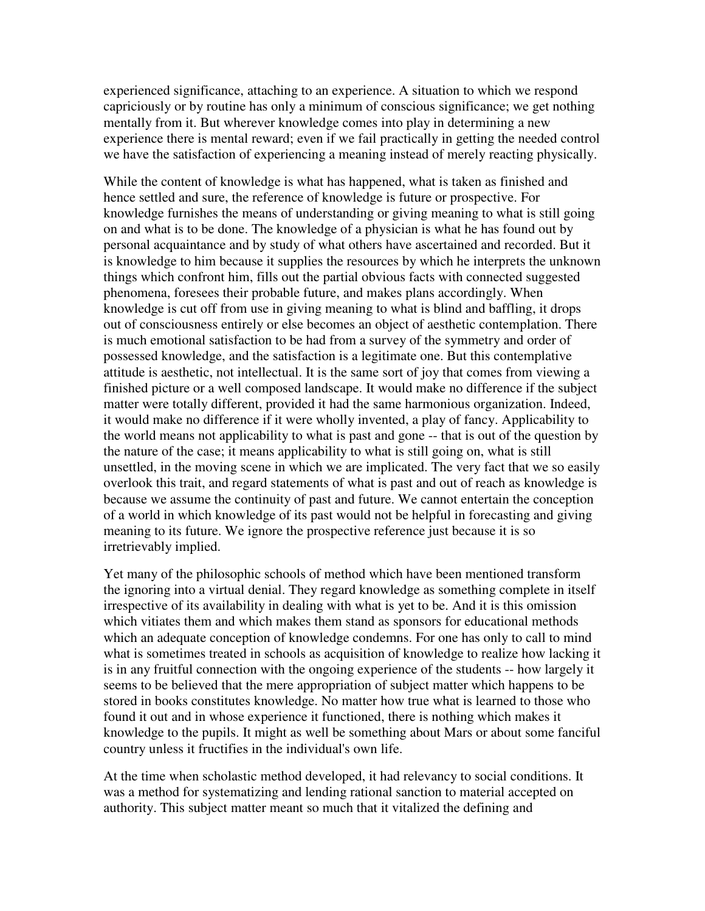experienced significance, attaching to an experience. A situation to which we respond capriciously or by routine has only a minimum of conscious significance; we get nothing mentally from it. But wherever knowledge comes into play in determining a new experience there is mental reward; even if we fail practically in getting the needed control we have the satisfaction of experiencing a meaning instead of merely reacting physically.

While the content of knowledge is what has happened, what is taken as finished and hence settled and sure, the reference of knowledge is future or prospective. For knowledge furnishes the means of understanding or giving meaning to what is still going on and what is to be done. The knowledge of a physician is what he has found out by personal acquaintance and by study of what others have ascertained and recorded. But it is knowledge to him because it supplies the resources by which he interprets the unknown things which confront him, fills out the partial obvious facts with connected suggested phenomena, foresees their probable future, and makes plans accordingly. When knowledge is cut off from use in giving meaning to what is blind and baffling, it drops out of consciousness entirely or else becomes an object of aesthetic contemplation. There is much emotional satisfaction to be had from a survey of the symmetry and order of possessed knowledge, and the satisfaction is a legitimate one. But this contemplative attitude is aesthetic, not intellectual. It is the same sort of joy that comes from viewing a finished picture or a well composed landscape. It would make no difference if the subject matter were totally different, provided it had the same harmonious organization. Indeed, it would make no difference if it were wholly invented, a play of fancy. Applicability to the world means not applicability to what is past and gone -- that is out of the question by the nature of the case; it means applicability to what is still going on, what is still unsettled, in the moving scene in which we are implicated. The very fact that we so easily overlook this trait, and regard statements of what is past and out of reach as knowledge is because we assume the continuity of past and future. We cannot entertain the conception of a world in which knowledge of its past would not be helpful in forecasting and giving meaning to its future. We ignore the prospective reference just because it is so irretrievably implied.

Yet many of the philosophic schools of method which have been mentioned transform the ignoring into a virtual denial. They regard knowledge as something complete in itself irrespective of its availability in dealing with what is yet to be. And it is this omission which vitiates them and which makes them stand as sponsors for educational methods which an adequate conception of knowledge condemns. For one has only to call to mind what is sometimes treated in schools as acquisition of knowledge to realize how lacking it is in any fruitful connection with the ongoing experience of the students -- how largely it seems to be believed that the mere appropriation of subject matter which happens to be stored in books constitutes knowledge. No matter how true what is learned to those who found it out and in whose experience it functioned, there is nothing which makes it knowledge to the pupils. It might as well be something about Mars or about some fanciful country unless it fructifies in the individual's own life.

At the time when scholastic method developed, it had relevancy to social conditions. It was a method for systematizing and lending rational sanction to material accepted on authority. This subject matter meant so much that it vitalized the defining and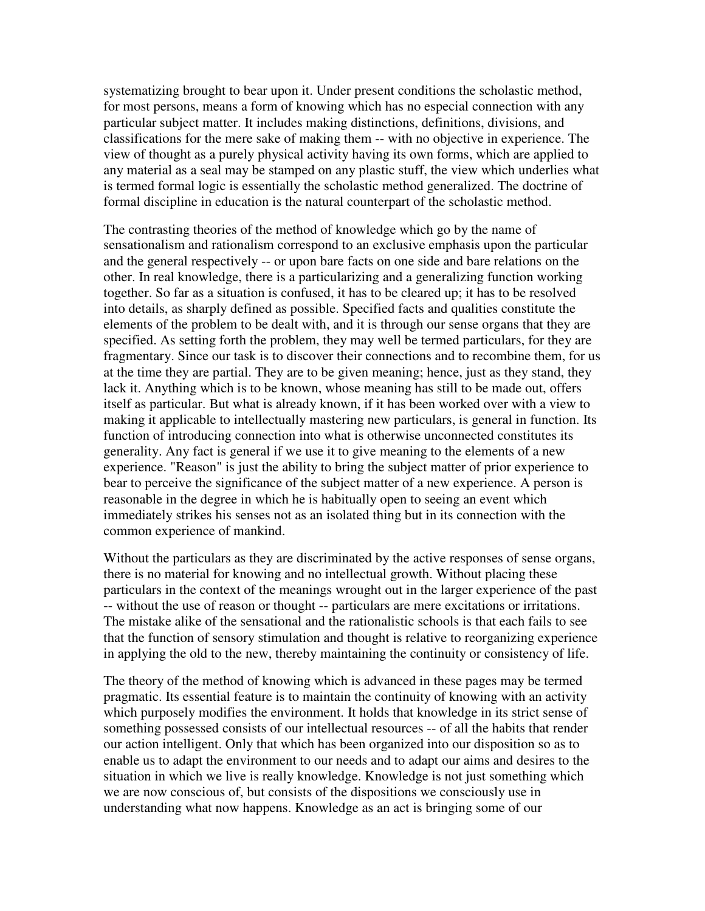systematizing brought to bear upon it. Under present conditions the scholastic method, for most persons, means a form of knowing which has no especial connection with any particular subject matter. It includes making distinctions, definitions, divisions, and classifications for the mere sake of making them -- with no objective in experience. The view of thought as a purely physical activity having its own forms, which are applied to any material as a seal may be stamped on any plastic stuff, the view which underlies what is termed formal logic is essentially the scholastic method generalized. The doctrine of formal discipline in education is the natural counterpart of the scholastic method.

The contrasting theories of the method of knowledge which go by the name of sensationalism and rationalism correspond to an exclusive emphasis upon the particular and the general respectively -- or upon bare facts on one side and bare relations on the other. In real knowledge, there is a particularizing and a generalizing function working together. So far as a situation is confused, it has to be cleared up; it has to be resolved into details, as sharply defined as possible. Specified facts and qualities constitute the elements of the problem to be dealt with, and it is through our sense organs that they are specified. As setting forth the problem, they may well be termed particulars, for they are fragmentary. Since our task is to discover their connections and to recombine them, for us at the time they are partial. They are to be given meaning; hence, just as they stand, they lack it. Anything which is to be known, whose meaning has still to be made out, offers itself as particular. But what is already known, if it has been worked over with a view to making it applicable to intellectually mastering new particulars, is general in function. Its function of introducing connection into what is otherwise unconnected constitutes its generality. Any fact is general if we use it to give meaning to the elements of a new experience. "Reason" is just the ability to bring the subject matter of prior experience to bear to perceive the significance of the subject matter of a new experience. A person is reasonable in the degree in which he is habitually open to seeing an event which immediately strikes his senses not as an isolated thing but in its connection with the common experience of mankind.

Without the particulars as they are discriminated by the active responses of sense organs, there is no material for knowing and no intellectual growth. Without placing these particulars in the context of the meanings wrought out in the larger experience of the past -- without the use of reason or thought -- particulars are mere excitations or irritations. The mistake alike of the sensational and the rationalistic schools is that each fails to see that the function of sensory stimulation and thought is relative to reorganizing experience in applying the old to the new, thereby maintaining the continuity or consistency of life.

The theory of the method of knowing which is advanced in these pages may be termed pragmatic. Its essential feature is to maintain the continuity of knowing with an activity which purposely modifies the environment. It holds that knowledge in its strict sense of something possessed consists of our intellectual resources -- of all the habits that render our action intelligent. Only that which has been organized into our disposition so as to enable us to adapt the environment to our needs and to adapt our aims and desires to the situation in which we live is really knowledge. Knowledge is not just something which we are now conscious of, but consists of the dispositions we consciously use in understanding what now happens. Knowledge as an act is bringing some of our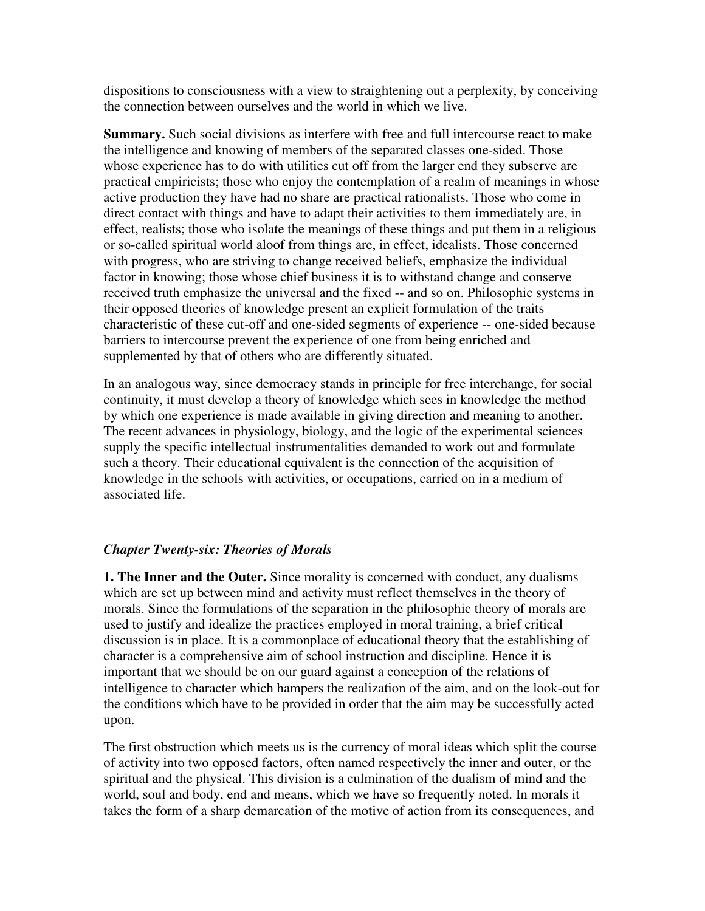dispositions to consciousness with a view to straightening out a perplexity, by conceiving the connection between ourselves and the world in which we live.

**Summary.** Such social divisions as interfere with free and full intercourse react to make the intelligence and knowing of members of the separated classes one-sided. Those whose experience has to do with utilities cut off from the larger end they subserve are practical empiricists; those who enjoy the contemplation of a realm of meanings in whose active production they have had no share are practical rationalists. Those who come in direct contact with things and have to adapt their activities to them immediately are, in effect, realists; those who isolate the meanings of these things and put them in a religious or so-called spiritual world aloof from things are, in effect, idealists. Those concerned with progress, who are striving to change received beliefs, emphasize the individual factor in knowing; those whose chief business it is to withstand change and conserve received truth emphasize the universal and the fixed -- and so on. Philosophic systems in their opposed theories of knowledge present an explicit formulation of the traits characteristic of these cut-off and one-sided segments of experience -- one-sided because barriers to intercourse prevent the experience of one from being enriched and supplemented by that of others who are differently situated.

In an analogous way, since democracy stands in principle for free interchange, for social continuity, it must develop a theory of knowledge which sees in knowledge the method by which one experience is made available in giving direction and meaning to another. The recent advances in physiology, biology, and the logic of the experimental sciences supply the specific intellectual instrumentalities demanded to work out and formulate such a theory. Their educational equivalent is the connection of the acquisition of knowledge in the schools with activities, or occupations, carried on in a medium of associated life.

# *Chapter Twenty-six: Theories of Morals*

**1. The Inner and the Outer.** Since morality is concerned with conduct, any dualisms which are set up between mind and activity must reflect themselves in the theory of morals. Since the formulations of the separation in the philosophic theory of morals are used to justify and idealize the practices employed in moral training, a brief critical discussion is in place. It is a commonplace of educational theory that the establishing of character is a comprehensive aim of school instruction and discipline. Hence it is important that we should be on our guard against a conception of the relations of intelligence to character which hampers the realization of the aim, and on the look-out for the conditions which have to be provided in order that the aim may be successfully acted upon.

The first obstruction which meets us is the currency of moral ideas which split the course of activity into two opposed factors, often named respectively the inner and outer, or the spiritual and the physical. This division is a culmination of the dualism of mind and the world, soul and body, end and means, which we have so frequently noted. In morals it takes the form of a sharp demarcation of the motive of action from its consequences, and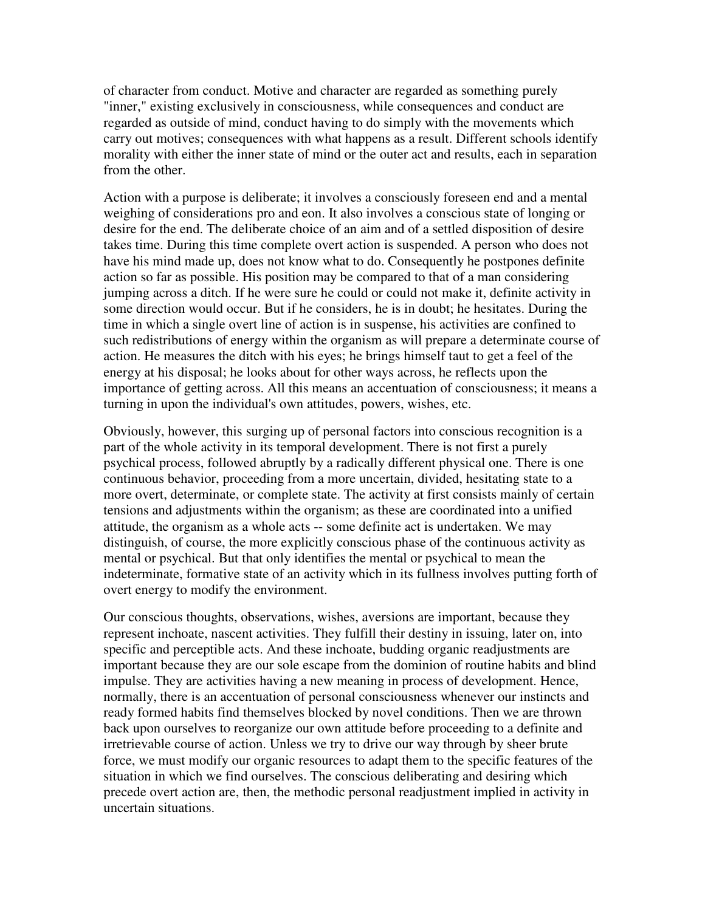of character from conduct. Motive and character are regarded as something purely "inner," existing exclusively in consciousness, while consequences and conduct are regarded as outside of mind, conduct having to do simply with the movements which carry out motives; consequences with what happens as a result. Different schools identify morality with either the inner state of mind or the outer act and results, each in separation from the other.

Action with a purpose is deliberate; it involves a consciously foreseen end and a mental weighing of considerations pro and eon. It also involves a conscious state of longing or desire for the end. The deliberate choice of an aim and of a settled disposition of desire takes time. During this time complete overt action is suspended. A person who does not have his mind made up, does not know what to do. Consequently he postpones definite action so far as possible. His position may be compared to that of a man considering jumping across a ditch. If he were sure he could or could not make it, definite activity in some direction would occur. But if he considers, he is in doubt; he hesitates. During the time in which a single overt line of action is in suspense, his activities are confined to such redistributions of energy within the organism as will prepare a determinate course of action. He measures the ditch with his eyes; he brings himself taut to get a feel of the energy at his disposal; he looks about for other ways across, he reflects upon the importance of getting across. All this means an accentuation of consciousness; it means a turning in upon the individual's own attitudes, powers, wishes, etc.

Obviously, however, this surging up of personal factors into conscious recognition is a part of the whole activity in its temporal development. There is not first a purely psychical process, followed abruptly by a radically different physical one. There is one continuous behavior, proceeding from a more uncertain, divided, hesitating state to a more overt, determinate, or complete state. The activity at first consists mainly of certain tensions and adjustments within the organism; as these are coordinated into a unified attitude, the organism as a whole acts -- some definite act is undertaken. We may distinguish, of course, the more explicitly conscious phase of the continuous activity as mental or psychical. But that only identifies the mental or psychical to mean the indeterminate, formative state of an activity which in its fullness involves putting forth of overt energy to modify the environment.

Our conscious thoughts, observations, wishes, aversions are important, because they represent inchoate, nascent activities. They fulfill their destiny in issuing, later on, into specific and perceptible acts. And these inchoate, budding organic readjustments are important because they are our sole escape from the dominion of routine habits and blind impulse. They are activities having a new meaning in process of development. Hence, normally, there is an accentuation of personal consciousness whenever our instincts and ready formed habits find themselves blocked by novel conditions. Then we are thrown back upon ourselves to reorganize our own attitude before proceeding to a definite and irretrievable course of action. Unless we try to drive our way through by sheer brute force, we must modify our organic resources to adapt them to the specific features of the situation in which we find ourselves. The conscious deliberating and desiring which precede overt action are, then, the methodic personal readjustment implied in activity in uncertain situations.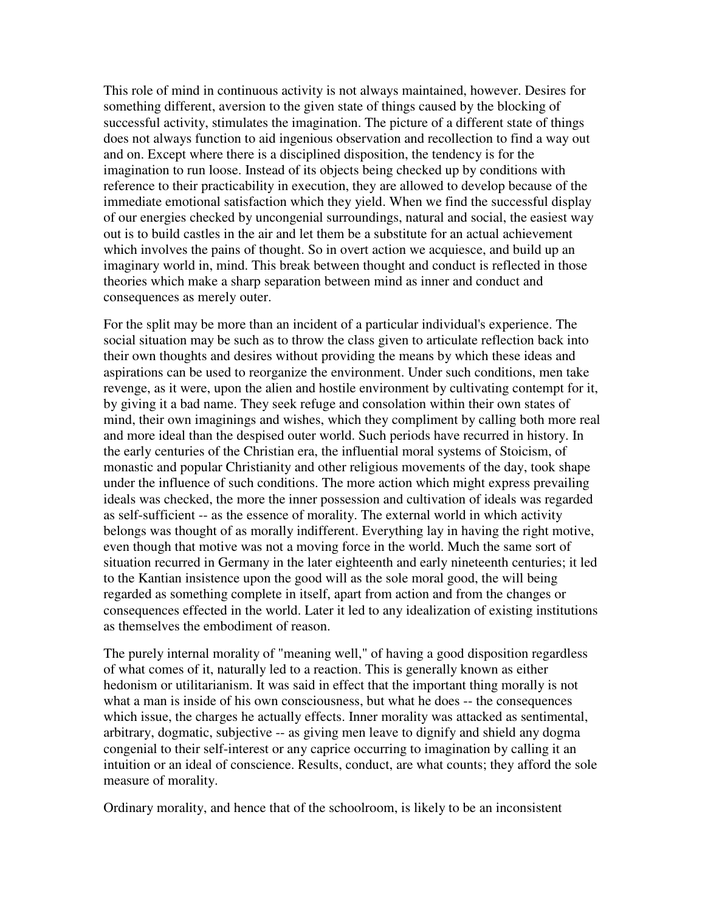This role of mind in continuous activity is not always maintained, however. Desires for something different, aversion to the given state of things caused by the blocking of successful activity, stimulates the imagination. The picture of a different state of things does not always function to aid ingenious observation and recollection to find a way out and on. Except where there is a disciplined disposition, the tendency is for the imagination to run loose. Instead of its objects being checked up by conditions with reference to their practicability in execution, they are allowed to develop because of the immediate emotional satisfaction which they yield. When we find the successful display of our energies checked by uncongenial surroundings, natural and social, the easiest way out is to build castles in the air and let them be a substitute for an actual achievement which involves the pains of thought. So in overt action we acquiesce, and build up an imaginary world in, mind. This break between thought and conduct is reflected in those theories which make a sharp separation between mind as inner and conduct and consequences as merely outer.

For the split may be more than an incident of a particular individual's experience. The social situation may be such as to throw the class given to articulate reflection back into their own thoughts and desires without providing the means by which these ideas and aspirations can be used to reorganize the environment. Under such conditions, men take revenge, as it were, upon the alien and hostile environment by cultivating contempt for it, by giving it a bad name. They seek refuge and consolation within their own states of mind, their own imaginings and wishes, which they compliment by calling both more real and more ideal than the despised outer world. Such periods have recurred in history. In the early centuries of the Christian era, the influential moral systems of Stoicism, of monastic and popular Christianity and other religious movements of the day, took shape under the influence of such conditions. The more action which might express prevailing ideals was checked, the more the inner possession and cultivation of ideals was regarded as self-sufficient -- as the essence of morality. The external world in which activity belongs was thought of as morally indifferent. Everything lay in having the right motive, even though that motive was not a moving force in the world. Much the same sort of situation recurred in Germany in the later eighteenth and early nineteenth centuries; it led to the Kantian insistence upon the good will as the sole moral good, the will being regarded as something complete in itself, apart from action and from the changes or consequences effected in the world. Later it led to any idealization of existing institutions as themselves the embodiment of reason.

The purely internal morality of "meaning well," of having a good disposition regardless of what comes of it, naturally led to a reaction. This is generally known as either hedonism or utilitarianism. It was said in effect that the important thing morally is not what a man is inside of his own consciousness, but what he does -- the consequences which issue, the charges he actually effects. Inner morality was attacked as sentimental, arbitrary, dogmatic, subjective -- as giving men leave to dignify and shield any dogma congenial to their self-interest or any caprice occurring to imagination by calling it an intuition or an ideal of conscience. Results, conduct, are what counts; they afford the sole measure of morality.

Ordinary morality, and hence that of the schoolroom, is likely to be an inconsistent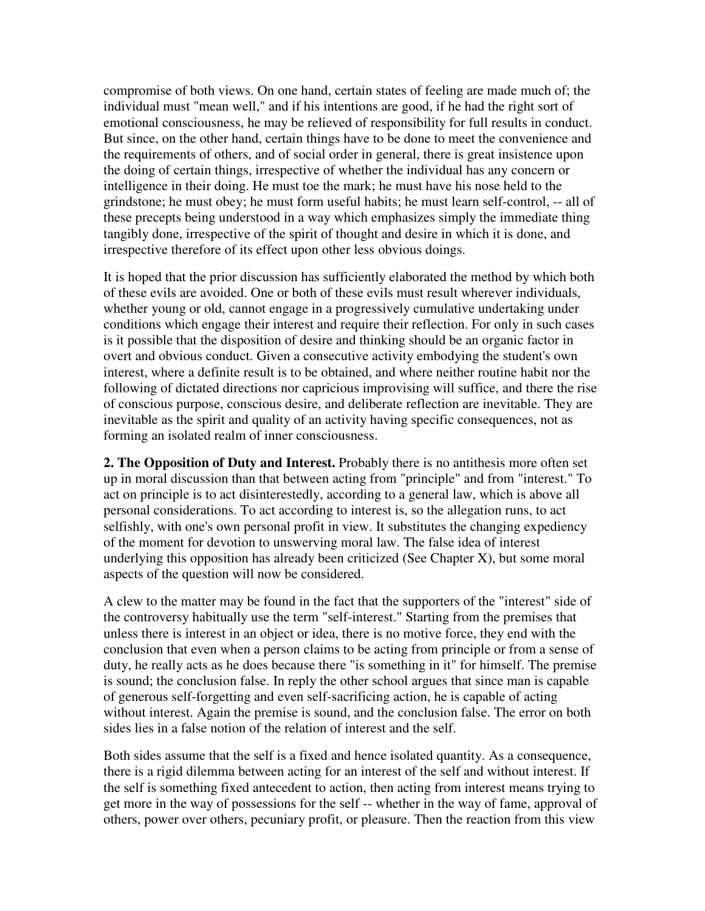compromise of both views. On one hand, certain states of feeling are made much of; the individual must "mean well," and if his intentions are good, if he had the right sort of emotional consciousness, he may be relieved of responsibility for full results in conduct. But since, on the other hand, certain things have to be done to meet the convenience and the requirements of others, and of social order in general, there is great insistence upon the doing of certain things, irrespective of whether the individual has any concern or intelligence in their doing. He must toe the mark; he must have his nose held to the grindstone; he must obey; he must form useful habits; he must learn self-control, -- all of these precepts being understood in a way which emphasizes simply the immediate thing tangibly done, irrespective of the spirit of thought and desire in which it is done, and irrespective therefore of its effect upon other less obvious doings.

It is hoped that the prior discussion has sufficiently elaborated the method by which both of these evils are avoided. One or both of these evils must result wherever individuals, whether young or old, cannot engage in a progressively cumulative undertaking under conditions which engage their interest and require their reflection. For only in such cases is it possible that the disposition of desire and thinking should be an organic factor in overt and obvious conduct. Given a consecutive activity embodying the student's own interest, where a definite result is to be obtained, and where neither routine habit nor the following of dictated directions nor capricious improvising will suffice, and there the rise of conscious purpose, conscious desire, and deliberate reflection are inevitable. They are inevitable as the spirit and quality of an activity having specific consequences, not as forming an isolated realm of inner consciousness.

**2. The Opposition of Duty and Interest.** Probably there is no antithesis more often set up in moral discussion than that between acting from "principle" and from "interest." To act on principle is to act disinterestedly, according to a general law, which is above all personal considerations. To act according to interest is, so the allegation runs, to act selfishly, with one's own personal profit in view. It substitutes the changing expediency of the moment for devotion to unswerving moral law. The false idea of interest underlying this opposition has already been criticized (See Chapter X), but some moral aspects of the question will now be considered.

A clew to the matter may be found in the fact that the supporters of the "interest" side of the controversy habitually use the term "self-interest." Starting from the premises that unless there is interest in an object or idea, there is no motive force, they end with the conclusion that even when a person claims to be acting from principle or from a sense of duty, he really acts as he does because there "is something in it" for himself. The premise is sound; the conclusion false. In reply the other school argues that since man is capable of generous self-forgetting and even self-sacrificing action, he is capable of acting without interest. Again the premise is sound, and the conclusion false. The error on both sides lies in a false notion of the relation of interest and the self.

Both sides assume that the self is a fixed and hence isolated quantity. As a consequence, there is a rigid dilemma between acting for an interest of the self and without interest. If the self is something fixed antecedent to action, then acting from interest means trying to get more in the way of possessions for the self -- whether in the way of fame, approval of others, power over others, pecuniary profit, or pleasure. Then the reaction from this view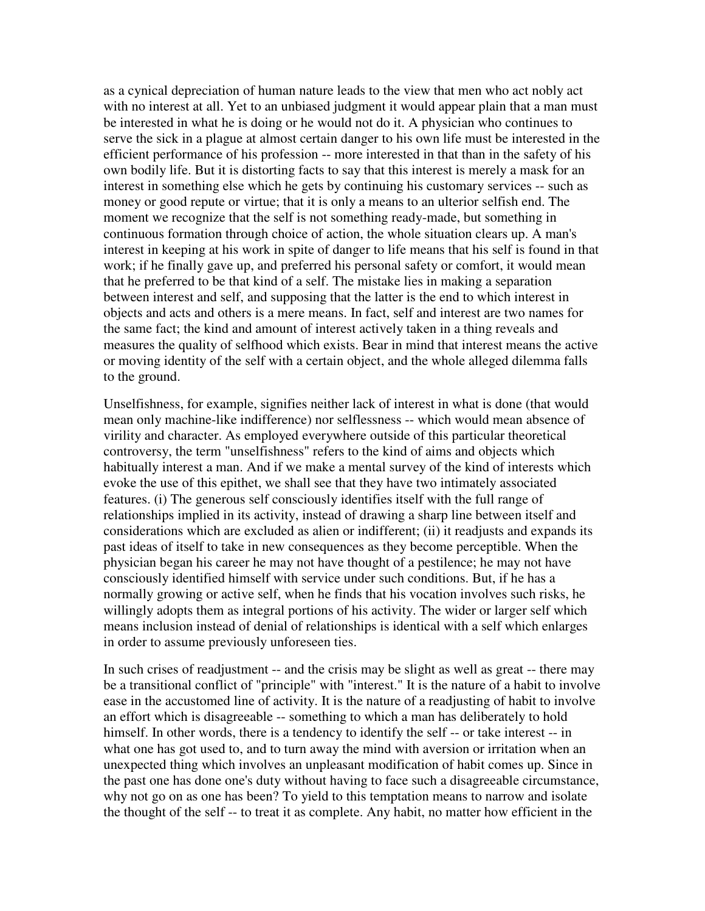as a cynical depreciation of human nature leads to the view that men who act nobly act with no interest at all. Yet to an unbiased judgment it would appear plain that a man must be interested in what he is doing or he would not do it. A physician who continues to serve the sick in a plague at almost certain danger to his own life must be interested in the efficient performance of his profession -- more interested in that than in the safety of his own bodily life. But it is distorting facts to say that this interest is merely a mask for an interest in something else which he gets by continuing his customary services -- such as money or good repute or virtue; that it is only a means to an ulterior selfish end. The moment we recognize that the self is not something ready-made, but something in continuous formation through choice of action, the whole situation clears up. A man's interest in keeping at his work in spite of danger to life means that his self is found in that work; if he finally gave up, and preferred his personal safety or comfort, it would mean that he preferred to be that kind of a self. The mistake lies in making a separation between interest and self, and supposing that the latter is the end to which interest in objects and acts and others is a mere means. In fact, self and interest are two names for the same fact; the kind and amount of interest actively taken in a thing reveals and measures the quality of selfhood which exists. Bear in mind that interest means the active or moving identity of the self with a certain object, and the whole alleged dilemma falls to the ground.

Unselfishness, for example, signifies neither lack of interest in what is done (that would mean only machine-like indifference) nor selflessness -- which would mean absence of virility and character. As employed everywhere outside of this particular theoretical controversy, the term "unselfishness" refers to the kind of aims and objects which habitually interest a man. And if we make a mental survey of the kind of interests which evoke the use of this epithet, we shall see that they have two intimately associated features. (i) The generous self consciously identifies itself with the full range of relationships implied in its activity, instead of drawing a sharp line between itself and considerations which are excluded as alien or indifferent; (ii) it readjusts and expands its past ideas of itself to take in new consequences as they become perceptible. When the physician began his career he may not have thought of a pestilence; he may not have consciously identified himself with service under such conditions. But, if he has a normally growing or active self, when he finds that his vocation involves such risks, he willingly adopts them as integral portions of his activity. The wider or larger self which means inclusion instead of denial of relationships is identical with a self which enlarges in order to assume previously unforeseen ties.

In such crises of readjustment -- and the crisis may be slight as well as great -- there may be a transitional conflict of "principle" with "interest." It is the nature of a habit to involve ease in the accustomed line of activity. It is the nature of a readjusting of habit to involve an effort which is disagreeable -- something to which a man has deliberately to hold himself. In other words, there is a tendency to identify the self -- or take interest -- in what one has got used to, and to turn away the mind with aversion or irritation when an unexpected thing which involves an unpleasant modification of habit comes up. Since in the past one has done one's duty without having to face such a disagreeable circumstance, why not go on as one has been? To yield to this temptation means to narrow and isolate the thought of the self -- to treat it as complete. Any habit, no matter how efficient in the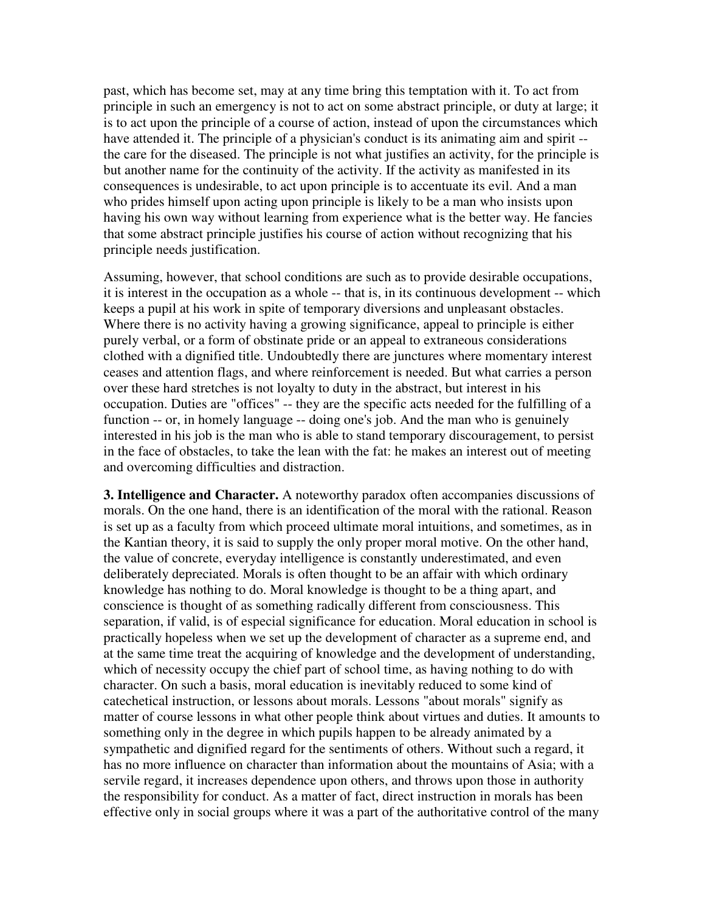past, which has become set, may at any time bring this temptation with it. To act from principle in such an emergency is not to act on some abstract principle, or duty at large; it is to act upon the principle of a course of action, instead of upon the circumstances which have attended it. The principle of a physician's conduct is its animating aim and spirit - the care for the diseased. The principle is not what justifies an activity, for the principle is but another name for the continuity of the activity. If the activity as manifested in its consequences is undesirable, to act upon principle is to accentuate its evil. And a man who prides himself upon acting upon principle is likely to be a man who insists upon having his own way without learning from experience what is the better way. He fancies that some abstract principle justifies his course of action without recognizing that his principle needs justification.

Assuming, however, that school conditions are such as to provide desirable occupations, it is interest in the occupation as a whole -- that is, in its continuous development -- which keeps a pupil at his work in spite of temporary diversions and unpleasant obstacles. Where there is no activity having a growing significance, appeal to principle is either purely verbal, or a form of obstinate pride or an appeal to extraneous considerations clothed with a dignified title. Undoubtedly there are junctures where momentary interest ceases and attention flags, and where reinforcement is needed. But what carries a person over these hard stretches is not loyalty to duty in the abstract, but interest in his occupation. Duties are "offices" -- they are the specific acts needed for the fulfilling of a function -- or, in homely language -- doing one's job. And the man who is genuinely interested in his job is the man who is able to stand temporary discouragement, to persist in the face of obstacles, to take the lean with the fat: he makes an interest out of meeting and overcoming difficulties and distraction.

**3. Intelligence and Character.** A noteworthy paradox often accompanies discussions of morals. On the one hand, there is an identification of the moral with the rational. Reason is set up as a faculty from which proceed ultimate moral intuitions, and sometimes, as in the Kantian theory, it is said to supply the only proper moral motive. On the other hand, the value of concrete, everyday intelligence is constantly underestimated, and even deliberately depreciated. Morals is often thought to be an affair with which ordinary knowledge has nothing to do. Moral knowledge is thought to be a thing apart, and conscience is thought of as something radically different from consciousness. This separation, if valid, is of especial significance for education. Moral education in school is practically hopeless when we set up the development of character as a supreme end, and at the same time treat the acquiring of knowledge and the development of understanding, which of necessity occupy the chief part of school time, as having nothing to do with character. On such a basis, moral education is inevitably reduced to some kind of catechetical instruction, or lessons about morals. Lessons "about morals" signify as matter of course lessons in what other people think about virtues and duties. It amounts to something only in the degree in which pupils happen to be already animated by a sympathetic and dignified regard for the sentiments of others. Without such a regard, it has no more influence on character than information about the mountains of Asia; with a servile regard, it increases dependence upon others, and throws upon those in authority the responsibility for conduct. As a matter of fact, direct instruction in morals has been effective only in social groups where it was a part of the authoritative control of the many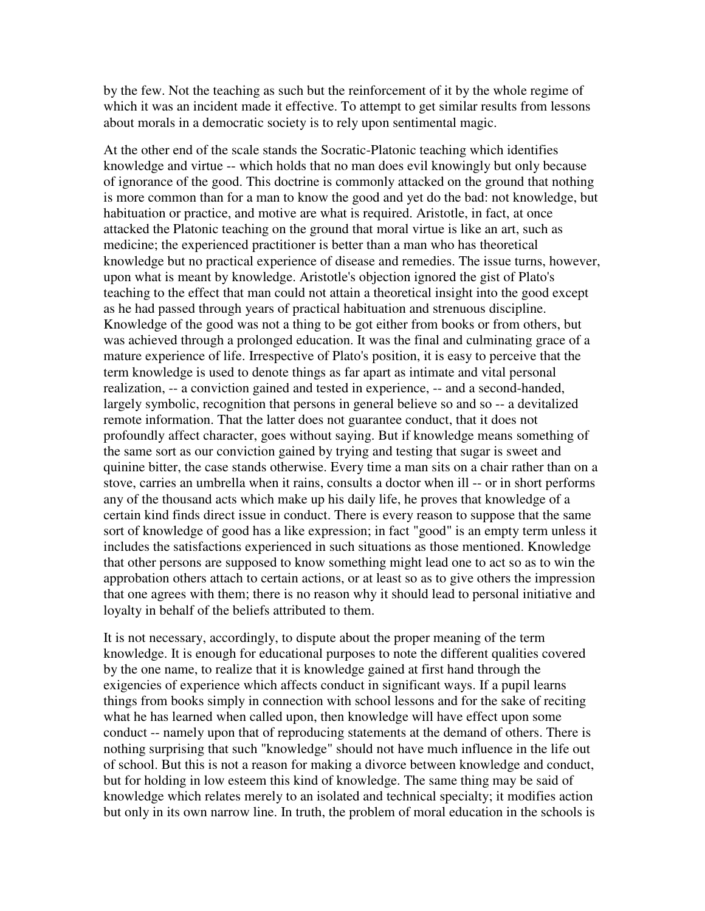by the few. Not the teaching as such but the reinforcement of it by the whole regime of which it was an incident made it effective. To attempt to get similar results from lessons about morals in a democratic society is to rely upon sentimental magic.

At the other end of the scale stands the Socratic-Platonic teaching which identifies knowledge and virtue -- which holds that no man does evil knowingly but only because of ignorance of the good. This doctrine is commonly attacked on the ground that nothing is more common than for a man to know the good and yet do the bad: not knowledge, but habituation or practice, and motive are what is required. Aristotle, in fact, at once attacked the Platonic teaching on the ground that moral virtue is like an art, such as medicine; the experienced practitioner is better than a man who has theoretical knowledge but no practical experience of disease and remedies. The issue turns, however, upon what is meant by knowledge. Aristotle's objection ignored the gist of Plato's teaching to the effect that man could not attain a theoretical insight into the good except as he had passed through years of practical habituation and strenuous discipline. Knowledge of the good was not a thing to be got either from books or from others, but was achieved through a prolonged education. It was the final and culminating grace of a mature experience of life. Irrespective of Plato's position, it is easy to perceive that the term knowledge is used to denote things as far apart as intimate and vital personal realization, -- a conviction gained and tested in experience, -- and a second-handed, largely symbolic, recognition that persons in general believe so and so -- a devitalized remote information. That the latter does not guarantee conduct, that it does not profoundly affect character, goes without saying. But if knowledge means something of the same sort as our conviction gained by trying and testing that sugar is sweet and quinine bitter, the case stands otherwise. Every time a man sits on a chair rather than on a stove, carries an umbrella when it rains, consults a doctor when ill -- or in short performs any of the thousand acts which make up his daily life, he proves that knowledge of a certain kind finds direct issue in conduct. There is every reason to suppose that the same sort of knowledge of good has a like expression; in fact "good" is an empty term unless it includes the satisfactions experienced in such situations as those mentioned. Knowledge that other persons are supposed to know something might lead one to act so as to win the approbation others attach to certain actions, or at least so as to give others the impression that one agrees with them; there is no reason why it should lead to personal initiative and loyalty in behalf of the beliefs attributed to them.

It is not necessary, accordingly, to dispute about the proper meaning of the term knowledge. It is enough for educational purposes to note the different qualities covered by the one name, to realize that it is knowledge gained at first hand through the exigencies of experience which affects conduct in significant ways. If a pupil learns things from books simply in connection with school lessons and for the sake of reciting what he has learned when called upon, then knowledge will have effect upon some conduct -- namely upon that of reproducing statements at the demand of others. There is nothing surprising that such "knowledge" should not have much influence in the life out of school. But this is not a reason for making a divorce between knowledge and conduct, but for holding in low esteem this kind of knowledge. The same thing may be said of knowledge which relates merely to an isolated and technical specialty; it modifies action but only in its own narrow line. In truth, the problem of moral education in the schools is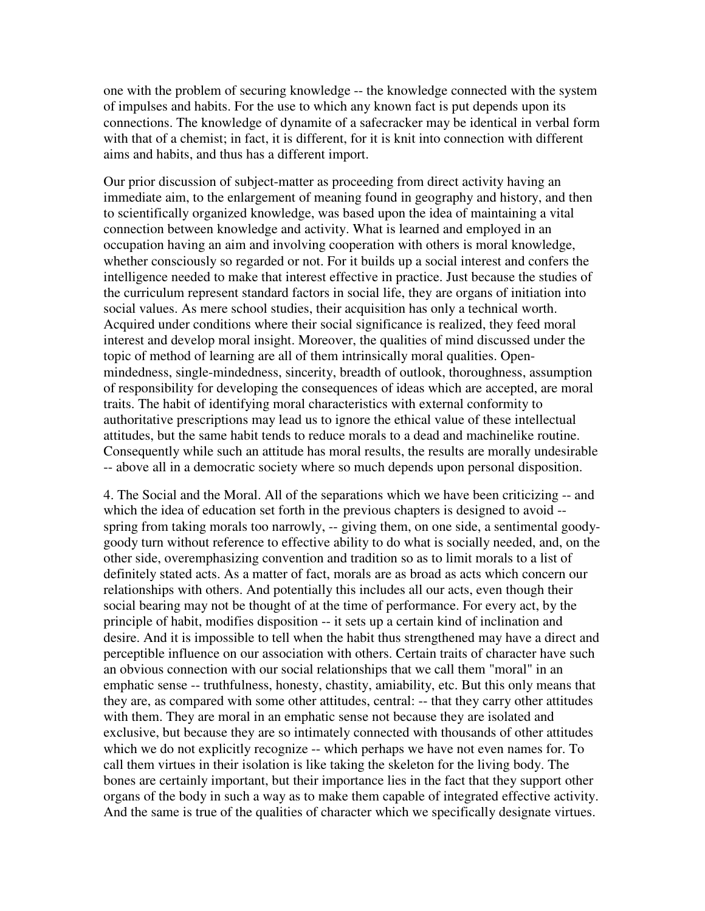one with the problem of securing knowledge -- the knowledge connected with the system of impulses and habits. For the use to which any known fact is put depends upon its connections. The knowledge of dynamite of a safecracker may be identical in verbal form with that of a chemist; in fact, it is different, for it is knit into connection with different aims and habits, and thus has a different import.

Our prior discussion of subject-matter as proceeding from direct activity having an immediate aim, to the enlargement of meaning found in geography and history, and then to scientifically organized knowledge, was based upon the idea of maintaining a vital connection between knowledge and activity. What is learned and employed in an occupation having an aim and involving cooperation with others is moral knowledge, whether consciously so regarded or not. For it builds up a social interest and confers the intelligence needed to make that interest effective in practice. Just because the studies of the curriculum represent standard factors in social life, they are organs of initiation into social values. As mere school studies, their acquisition has only a technical worth. Acquired under conditions where their social significance is realized, they feed moral interest and develop moral insight. Moreover, the qualities of mind discussed under the topic of method of learning are all of them intrinsically moral qualities. Openmindedness, single-mindedness, sincerity, breadth of outlook, thoroughness, assumption of responsibility for developing the consequences of ideas which are accepted, are moral traits. The habit of identifying moral characteristics with external conformity to authoritative prescriptions may lead us to ignore the ethical value of these intellectual attitudes, but the same habit tends to reduce morals to a dead and machinelike routine. Consequently while such an attitude has moral results, the results are morally undesirable -- above all in a democratic society where so much depends upon personal disposition.

4. The Social and the Moral. All of the separations which we have been criticizing -- and which the idea of education set forth in the previous chapters is designed to avoid - spring from taking morals too narrowly, -- giving them, on one side, a sentimental goodygoody turn without reference to effective ability to do what is socially needed, and, on the other side, overemphasizing convention and tradition so as to limit morals to a list of definitely stated acts. As a matter of fact, morals are as broad as acts which concern our relationships with others. And potentially this includes all our acts, even though their social bearing may not be thought of at the time of performance. For every act, by the principle of habit, modifies disposition -- it sets up a certain kind of inclination and desire. And it is impossible to tell when the habit thus strengthened may have a direct and perceptible influence on our association with others. Certain traits of character have such an obvious connection with our social relationships that we call them "moral" in an emphatic sense -- truthfulness, honesty, chastity, amiability, etc. But this only means that they are, as compared with some other attitudes, central: -- that they carry other attitudes with them. They are moral in an emphatic sense not because they are isolated and exclusive, but because they are so intimately connected with thousands of other attitudes which we do not explicitly recognize -- which perhaps we have not even names for. To call them virtues in their isolation is like taking the skeleton for the living body. The bones are certainly important, but their importance lies in the fact that they support other organs of the body in such a way as to make them capable of integrated effective activity. And the same is true of the qualities of character which we specifically designate virtues.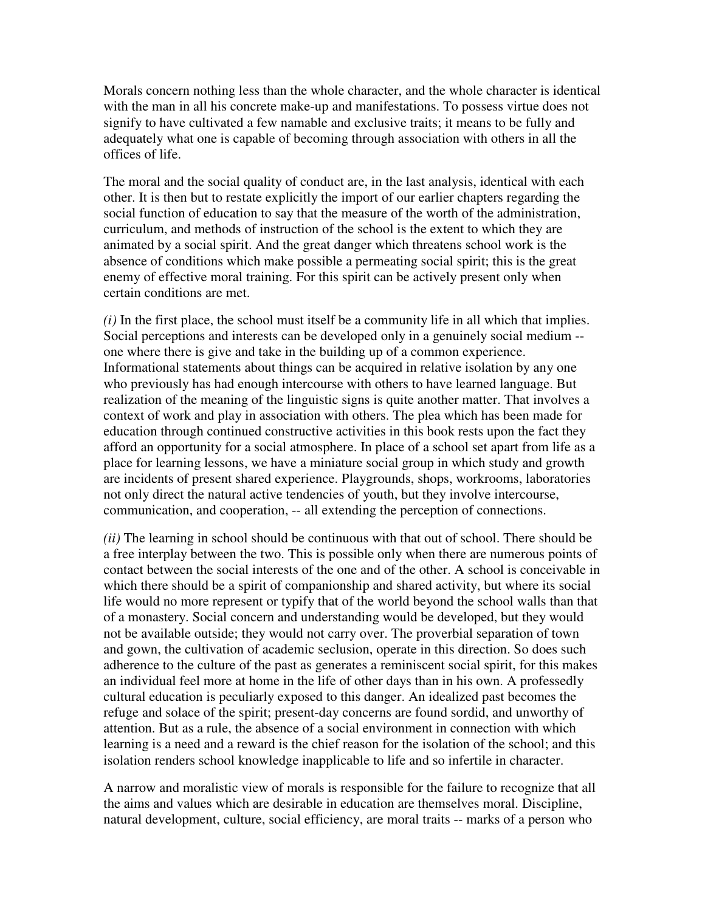Morals concern nothing less than the whole character, and the whole character is identical with the man in all his concrete make-up and manifestations. To possess virtue does not signify to have cultivated a few namable and exclusive traits; it means to be fully and adequately what one is capable of becoming through association with others in all the offices of life.

The moral and the social quality of conduct are, in the last analysis, identical with each other. It is then but to restate explicitly the import of our earlier chapters regarding the social function of education to say that the measure of the worth of the administration, curriculum, and methods of instruction of the school is the extent to which they are animated by a social spirit. And the great danger which threatens school work is the absence of conditions which make possible a permeating social spirit; this is the great enemy of effective moral training. For this spirit can be actively present only when certain conditions are met.

*(i)* In the first place, the school must itself be a community life in all which that implies. Social perceptions and interests can be developed only in a genuinely social medium - one where there is give and take in the building up of a common experience. Informational statements about things can be acquired in relative isolation by any one who previously has had enough intercourse with others to have learned language. But realization of the meaning of the linguistic signs is quite another matter. That involves a context of work and play in association with others. The plea which has been made for education through continued constructive activities in this book rests upon the fact they afford an opportunity for a social atmosphere. In place of a school set apart from life as a place for learning lessons, we have a miniature social group in which study and growth are incidents of present shared experience. Playgrounds, shops, workrooms, laboratories not only direct the natural active tendencies of youth, but they involve intercourse, communication, and cooperation, -- all extending the perception of connections.

*(ii)* The learning in school should be continuous with that out of school. There should be a free interplay between the two. This is possible only when there are numerous points of contact between the social interests of the one and of the other. A school is conceivable in which there should be a spirit of companionship and shared activity, but where its social life would no more represent or typify that of the world beyond the school walls than that of a monastery. Social concern and understanding would be developed, but they would not be available outside; they would not carry over. The proverbial separation of town and gown, the cultivation of academic seclusion, operate in this direction. So does such adherence to the culture of the past as generates a reminiscent social spirit, for this makes an individual feel more at home in the life of other days than in his own. A professedly cultural education is peculiarly exposed to this danger. An idealized past becomes the refuge and solace of the spirit; present-day concerns are found sordid, and unworthy of attention. But as a rule, the absence of a social environment in connection with which learning is a need and a reward is the chief reason for the isolation of the school; and this isolation renders school knowledge inapplicable to life and so infertile in character.

A narrow and moralistic view of morals is responsible for the failure to recognize that all the aims and values which are desirable in education are themselves moral. Discipline, natural development, culture, social efficiency, are moral traits -- marks of a person who